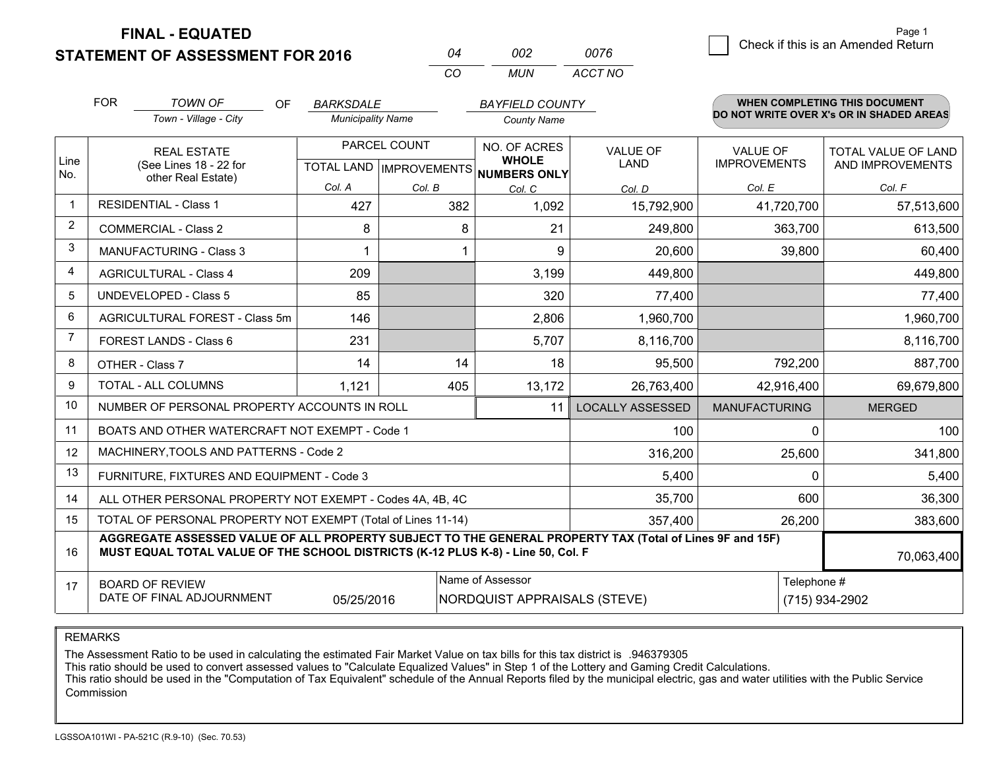**STATEMENT OF ASSESSMENT FOR 2016** 

**FINAL - EQUATED**

| 04  | 002 | 0076    |
|-----|-----|---------|
| CO. | MUN | ACCT NO |

|                | <b>FOR</b>                                                                                                                                                                                   | <b>TOWN OF</b><br>OF.                                     | <b>BARKSDALE</b>         |              | <b>BAYFIELD COUNTY</b>                              |                         |                      | <b>WHEN COMPLETING THIS DOCUMENT</b>     |  |
|----------------|----------------------------------------------------------------------------------------------------------------------------------------------------------------------------------------------|-----------------------------------------------------------|--------------------------|--------------|-----------------------------------------------------|-------------------------|----------------------|------------------------------------------|--|
|                |                                                                                                                                                                                              | Town - Village - City                                     | <b>Municipality Name</b> |              | <b>County Name</b>                                  |                         |                      | DO NOT WRITE OVER X's OR IN SHADED AREAS |  |
|                |                                                                                                                                                                                              | <b>REAL ESTATE</b>                                        |                          | PARCEL COUNT | NO. OF ACRES                                        | <b>VALUE OF</b>         | <b>VALUE OF</b>      | TOTAL VALUE OF LAND                      |  |
| Line<br>No.    |                                                                                                                                                                                              | (See Lines 18 - 22 for<br>other Real Estate)              |                          |              | <b>WHOLE</b><br>TOTAL LAND MPROVEMENTS NUMBERS ONLY | LAND                    | <b>IMPROVEMENTS</b>  | AND IMPROVEMENTS                         |  |
|                |                                                                                                                                                                                              |                                                           | Col. A                   | Col. B       | Col. C                                              | Col. D                  | Col. E               | Col. F                                   |  |
| $\mathbf 1$    |                                                                                                                                                                                              | <b>RESIDENTIAL - Class 1</b>                              | 427                      | 382          | 1,092                                               | 15,792,900              | 41,720,700           | 57,513,600                               |  |
| $\overline{2}$ |                                                                                                                                                                                              | <b>COMMERCIAL - Class 2</b>                               | 8                        | 8            | 21                                                  | 249,800                 | 363,700              | 613,500                                  |  |
| 3              |                                                                                                                                                                                              | <b>MANUFACTURING - Class 3</b>                            |                          |              | 9                                                   | 20,600                  | 39,800               | 60,400                                   |  |
| 4              |                                                                                                                                                                                              | <b>AGRICULTURAL - Class 4</b>                             | 209                      |              | 3,199                                               | 449,800                 |                      | 449,800                                  |  |
| 5              |                                                                                                                                                                                              | <b>UNDEVELOPED - Class 5</b>                              | 85                       |              | 320                                                 | 77,400                  |                      | 77,400                                   |  |
| 6              |                                                                                                                                                                                              | AGRICULTURAL FOREST - Class 5m                            | 146                      |              | 2,806                                               | 1,960,700               |                      | 1,960,700                                |  |
| 7              | FOREST LANDS - Class 6                                                                                                                                                                       |                                                           | 231                      |              | 5,707                                               | 8,116,700               |                      | 8,116,700                                |  |
| 8              |                                                                                                                                                                                              | OTHER - Class 7                                           | 14                       | 14           | 18                                                  | 95,500                  | 792,200              | 887,700                                  |  |
| 9              |                                                                                                                                                                                              | TOTAL - ALL COLUMNS                                       | 1,121                    | 405          | 13,172                                              | 26,763,400              | 42,916,400           | 69,679,800                               |  |
| 10             |                                                                                                                                                                                              | NUMBER OF PERSONAL PROPERTY ACCOUNTS IN ROLL              |                          |              | 11                                                  | <b>LOCALLY ASSESSED</b> | <b>MANUFACTURING</b> | <b>MERGED</b>                            |  |
| 11             |                                                                                                                                                                                              | BOATS AND OTHER WATERCRAFT NOT EXEMPT - Code 1            |                          |              |                                                     | 100                     | 0                    | 100                                      |  |
| 12             |                                                                                                                                                                                              | MACHINERY, TOOLS AND PATTERNS - Code 2                    |                          |              |                                                     | 316,200                 | 25,600               | 341,800                                  |  |
| 13             |                                                                                                                                                                                              | FURNITURE, FIXTURES AND EQUIPMENT - Code 3                |                          |              |                                                     | 5,400                   | 0                    | 5,400                                    |  |
| 14             |                                                                                                                                                                                              | ALL OTHER PERSONAL PROPERTY NOT EXEMPT - Codes 4A, 4B, 4C |                          |              |                                                     | 35,700                  | 600                  | 36,300                                   |  |
| 15             | TOTAL OF PERSONAL PROPERTY NOT EXEMPT (Total of Lines 11-14)<br>357,400                                                                                                                      |                                                           |                          |              |                                                     |                         | 26,200               | 383,600                                  |  |
| 16             | AGGREGATE ASSESSED VALUE OF ALL PROPERTY SUBJECT TO THE GENERAL PROPERTY TAX (Total of Lines 9F and 15F)<br>MUST EQUAL TOTAL VALUE OF THE SCHOOL DISTRICTS (K-12 PLUS K-8) - Line 50, Col. F |                                                           |                          |              |                                                     |                         | 70,063,400           |                                          |  |
| 17             |                                                                                                                                                                                              | <b>BOARD OF REVIEW</b>                                    |                          |              | Name of Assessor                                    |                         | Telephone #          |                                          |  |
|                |                                                                                                                                                                                              | DATE OF FINAL ADJOURNMENT                                 | 05/25/2016               |              | NORDQUIST APPRAISALS (STEVE)                        |                         |                      | (715) 934-2902                           |  |

REMARKS

The Assessment Ratio to be used in calculating the estimated Fair Market Value on tax bills for this tax district is .946379305

This ratio should be used to convert assessed values to "Calculate Equalized Values" in Step 1 of the Lottery and Gaming Credit Calculations.<br>This ratio should be used in the "Computation of Tax Equivalent" schedule of the Commission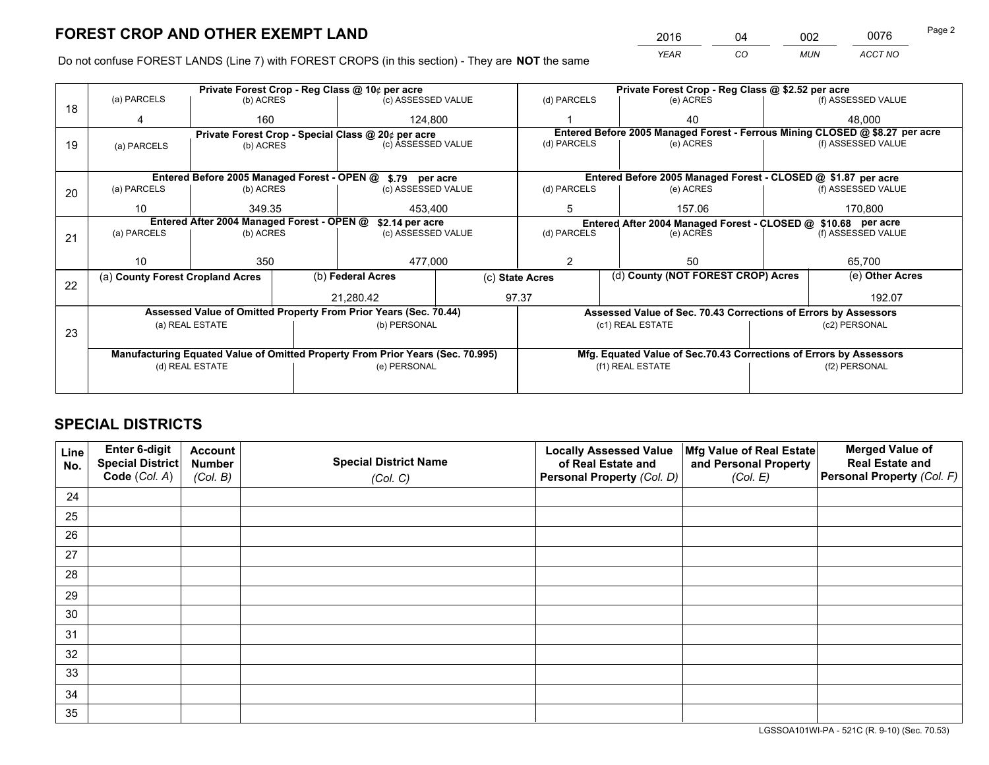*YEAR CO MUN ACCT NO* <sup>2016</sup> <sup>04</sup> <sup>002</sup> <sup>0076</sup>

Do not confuse FOREST LANDS (Line 7) with FOREST CROPS (in this section) - They are **NOT** the same

|    |                                                                                | Private Forest Crop - Reg Class @ 10¢ per acre |                                       |                                                                  |                                                                                           |                                                                    | Private Forest Crop - Reg Class @ \$2.52 per acre                            |                    |                    |  |
|----|--------------------------------------------------------------------------------|------------------------------------------------|---------------------------------------|------------------------------------------------------------------|-------------------------------------------------------------------------------------------|--------------------------------------------------------------------|------------------------------------------------------------------------------|--------------------|--------------------|--|
| 18 | (a) PARCELS                                                                    | (b) ACRES                                      |                                       | (c) ASSESSED VALUE                                               |                                                                                           | (d) PARCELS                                                        | (e) ACRES                                                                    |                    | (f) ASSESSED VALUE |  |
|    |                                                                                | 160                                            |                                       | 124,800                                                          |                                                                                           |                                                                    | 40                                                                           |                    | 48,000             |  |
|    |                                                                                |                                                |                                       | Private Forest Crop - Special Class @ 20¢ per acre               |                                                                                           |                                                                    | Entered Before 2005 Managed Forest - Ferrous Mining CLOSED @ \$8.27 per acre |                    |                    |  |
| 19 | (a) PARCELS                                                                    | (b) ACRES                                      |                                       | (c) ASSESSED VALUE                                               |                                                                                           | (d) PARCELS                                                        | (e) ACRES                                                                    |                    | (f) ASSESSED VALUE |  |
|    |                                                                                |                                                |                                       |                                                                  |                                                                                           |                                                                    |                                                                              |                    |                    |  |
|    |                                                                                |                                                |                                       | Entered Before 2005 Managed Forest - OPEN @ \$.79 per acre       |                                                                                           |                                                                    | Entered Before 2005 Managed Forest - CLOSED @ \$1.87 per acre                |                    |                    |  |
| 20 | (a) PARCELS                                                                    | (b) ACRES                                      |                                       | (c) ASSESSED VALUE                                               |                                                                                           | (d) PARCELS                                                        | (e) ACRES                                                                    |                    | (f) ASSESSED VALUE |  |
|    | 10                                                                             | 349.35                                         |                                       |                                                                  |                                                                                           | 5                                                                  | 157.06                                                                       |                    | 170,800            |  |
|    |                                                                                | 453,400                                        |                                       |                                                                  |                                                                                           |                                                                    |                                                                              |                    |                    |  |
|    | Entered After 2004 Managed Forest - OPEN @                                     |                                                | \$2.14 per acre<br>(c) ASSESSED VALUE |                                                                  | Entered After 2004 Managed Forest - CLOSED @ \$10.68 per acre<br>(d) PARCELS<br>(e) ACRES |                                                                    |                                                                              | (f) ASSESSED VALUE |                    |  |
| 21 | (a) PARCELS                                                                    | (b) ACRES                                      |                                       |                                                                  |                                                                                           |                                                                    |                                                                              |                    |                    |  |
|    |                                                                                |                                                |                                       |                                                                  |                                                                                           |                                                                    |                                                                              |                    |                    |  |
|    | 10                                                                             | 350                                            |                                       | 477,000                                                          |                                                                                           | 2                                                                  | 50                                                                           |                    | 65,700             |  |
|    | (a) County Forest Cropland Acres                                               |                                                |                                       | (b) Federal Acres                                                |                                                                                           | (c) State Acres                                                    | (d) County (NOT FOREST CROP) Acres                                           |                    | (e) Other Acres    |  |
| 22 |                                                                                |                                                |                                       |                                                                  |                                                                                           | 97.37                                                              |                                                                              |                    |                    |  |
|    |                                                                                |                                                |                                       | 21.280.42                                                        |                                                                                           |                                                                    |                                                                              |                    | 192.07             |  |
|    |                                                                                |                                                |                                       | Assessed Value of Omitted Property From Prior Years (Sec. 70.44) |                                                                                           |                                                                    | Assessed Value of Sec. 70.43 Corrections of Errors by Assessors              |                    |                    |  |
| 23 |                                                                                | (a) REAL ESTATE                                |                                       | (b) PERSONAL                                                     |                                                                                           | (c1) REAL ESTATE                                                   |                                                                              | (c2) PERSONAL      |                    |  |
|    |                                                                                |                                                |                                       |                                                                  |                                                                                           |                                                                    |                                                                              |                    |                    |  |
|    | Manufacturing Equated Value of Omitted Property From Prior Years (Sec. 70.995) |                                                |                                       |                                                                  |                                                                                           | Mfg. Equated Value of Sec.70.43 Corrections of Errors by Assessors |                                                                              |                    |                    |  |
|    |                                                                                | (d) REAL ESTATE                                |                                       | (e) PERSONAL                                                     |                                                                                           |                                                                    | (f1) REAL ESTATE                                                             |                    | (f2) PERSONAL      |  |
|    |                                                                                |                                                |                                       |                                                                  |                                                                                           |                                                                    |                                                                              |                    |                    |  |
|    |                                                                                |                                                |                                       |                                                                  |                                                                                           |                                                                    |                                                                              |                    |                    |  |

## **SPECIAL DISTRICTS**

| Line<br>No. | Enter 6-digit<br>Special District | <b>Account</b><br><b>Number</b> | <b>Special District Name</b> | <b>Locally Assessed Value</b><br>of Real Estate and | Mfg Value of Real Estate<br>and Personal Property | <b>Merged Value of</b><br><b>Real Estate and</b> |
|-------------|-----------------------------------|---------------------------------|------------------------------|-----------------------------------------------------|---------------------------------------------------|--------------------------------------------------|
|             | Code (Col. A)                     | (Col. B)                        | (Col. C)                     | Personal Property (Col. D)                          | (Col. E)                                          | <b>Personal Property (Col. F)</b>                |
| 24          |                                   |                                 |                              |                                                     |                                                   |                                                  |
| 25          |                                   |                                 |                              |                                                     |                                                   |                                                  |
| 26          |                                   |                                 |                              |                                                     |                                                   |                                                  |
| 27          |                                   |                                 |                              |                                                     |                                                   |                                                  |
| 28          |                                   |                                 |                              |                                                     |                                                   |                                                  |
| 29          |                                   |                                 |                              |                                                     |                                                   |                                                  |
| 30          |                                   |                                 |                              |                                                     |                                                   |                                                  |
| 31          |                                   |                                 |                              |                                                     |                                                   |                                                  |
| 32          |                                   |                                 |                              |                                                     |                                                   |                                                  |
| 33          |                                   |                                 |                              |                                                     |                                                   |                                                  |
| 34          |                                   |                                 |                              |                                                     |                                                   |                                                  |
| 35          |                                   |                                 |                              |                                                     |                                                   |                                                  |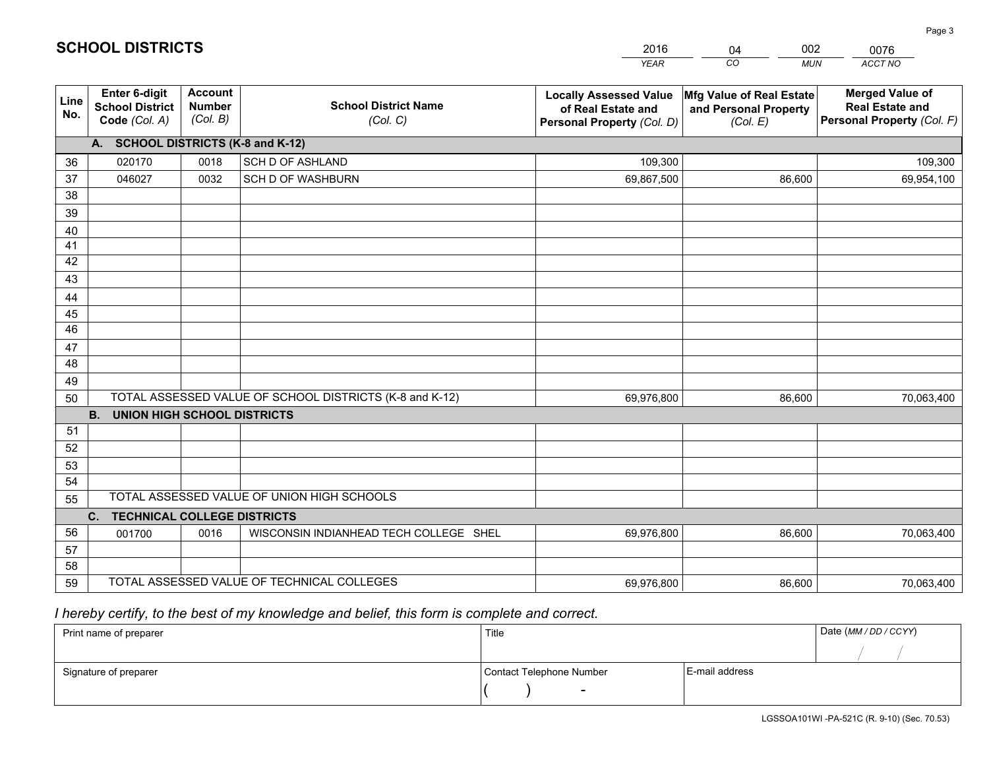|                 |                                                                 |                                             |                                                         | <b>YEAR</b>                                                                       | CO<br><b>MUN</b>                                              | ACCT NO                                                                        |
|-----------------|-----------------------------------------------------------------|---------------------------------------------|---------------------------------------------------------|-----------------------------------------------------------------------------------|---------------------------------------------------------------|--------------------------------------------------------------------------------|
| Line<br>No.     | <b>Enter 6-digit</b><br><b>School District</b><br>Code (Col. A) | <b>Account</b><br><b>Number</b><br>(Col. B) | <b>School District Name</b><br>(Col. C)                 | <b>Locally Assessed Value</b><br>of Real Estate and<br>Personal Property (Col. D) | Mfg Value of Real Estate<br>and Personal Property<br>(Col. E) | <b>Merged Value of</b><br><b>Real Estate and</b><br>Personal Property (Col. F) |
|                 | A. SCHOOL DISTRICTS (K-8 and K-12)                              |                                             |                                                         |                                                                                   |                                                               |                                                                                |
| 36              | 020170                                                          | 0018                                        | SCH D OF ASHLAND                                        | 109,300                                                                           |                                                               | 109,300                                                                        |
| 37              | 046027                                                          | 0032                                        | <b>SCH D OF WASHBURN</b>                                | 69,867,500                                                                        | 86,600                                                        | 69,954,100                                                                     |
| 38              |                                                                 |                                             |                                                         |                                                                                   |                                                               |                                                                                |
| 39              |                                                                 |                                             |                                                         |                                                                                   |                                                               |                                                                                |
| 40              |                                                                 |                                             |                                                         |                                                                                   |                                                               |                                                                                |
| 41              |                                                                 |                                             |                                                         |                                                                                   |                                                               |                                                                                |
| 42              |                                                                 |                                             |                                                         |                                                                                   |                                                               |                                                                                |
| 43              |                                                                 |                                             |                                                         |                                                                                   |                                                               |                                                                                |
| 44<br>45        |                                                                 |                                             |                                                         |                                                                                   |                                                               |                                                                                |
| $\overline{46}$ |                                                                 |                                             |                                                         |                                                                                   |                                                               |                                                                                |
| 47              |                                                                 |                                             |                                                         |                                                                                   |                                                               |                                                                                |
| 48              |                                                                 |                                             |                                                         |                                                                                   |                                                               |                                                                                |
| 49              |                                                                 |                                             |                                                         |                                                                                   |                                                               |                                                                                |
| 50              |                                                                 |                                             | TOTAL ASSESSED VALUE OF SCHOOL DISTRICTS (K-8 and K-12) | 69,976,800                                                                        | 86,600                                                        | 70,063,400                                                                     |
|                 | <b>B.</b><br><b>UNION HIGH SCHOOL DISTRICTS</b>                 |                                             |                                                         |                                                                                   |                                                               |                                                                                |
| 51              |                                                                 |                                             |                                                         |                                                                                   |                                                               |                                                                                |
| 52              |                                                                 |                                             |                                                         |                                                                                   |                                                               |                                                                                |
| 53              |                                                                 |                                             |                                                         |                                                                                   |                                                               |                                                                                |
| 54              |                                                                 |                                             |                                                         |                                                                                   |                                                               |                                                                                |
| 55              |                                                                 |                                             | TOTAL ASSESSED VALUE OF UNION HIGH SCHOOLS              |                                                                                   |                                                               |                                                                                |
|                 | C.<br><b>TECHNICAL COLLEGE DISTRICTS</b>                        |                                             |                                                         |                                                                                   |                                                               |                                                                                |
| 56              | 001700                                                          | 0016                                        | WISCONSIN INDIANHEAD TECH COLLEGE SHEL                  | 69,976,800                                                                        | 86,600                                                        | 70,063,400                                                                     |
| 57              |                                                                 |                                             |                                                         |                                                                                   |                                                               |                                                                                |
| 58              |                                                                 |                                             |                                                         |                                                                                   |                                                               |                                                                                |
| 59              |                                                                 |                                             | TOTAL ASSESSED VALUE OF TECHNICAL COLLEGES              | 69,976,800                                                                        | 86,600                                                        | 70,063,400                                                                     |

 *I hereby certify, to the best of my knowledge and belief, this form is complete and correct.*

| Print name of preparer | Title                    |                | Date (MM / DD / CCYY) |
|------------------------|--------------------------|----------------|-----------------------|
|                        |                          |                |                       |
| Signature of preparer  | Contact Telephone Number | E-mail address |                       |
|                        | $\sim$                   |                |                       |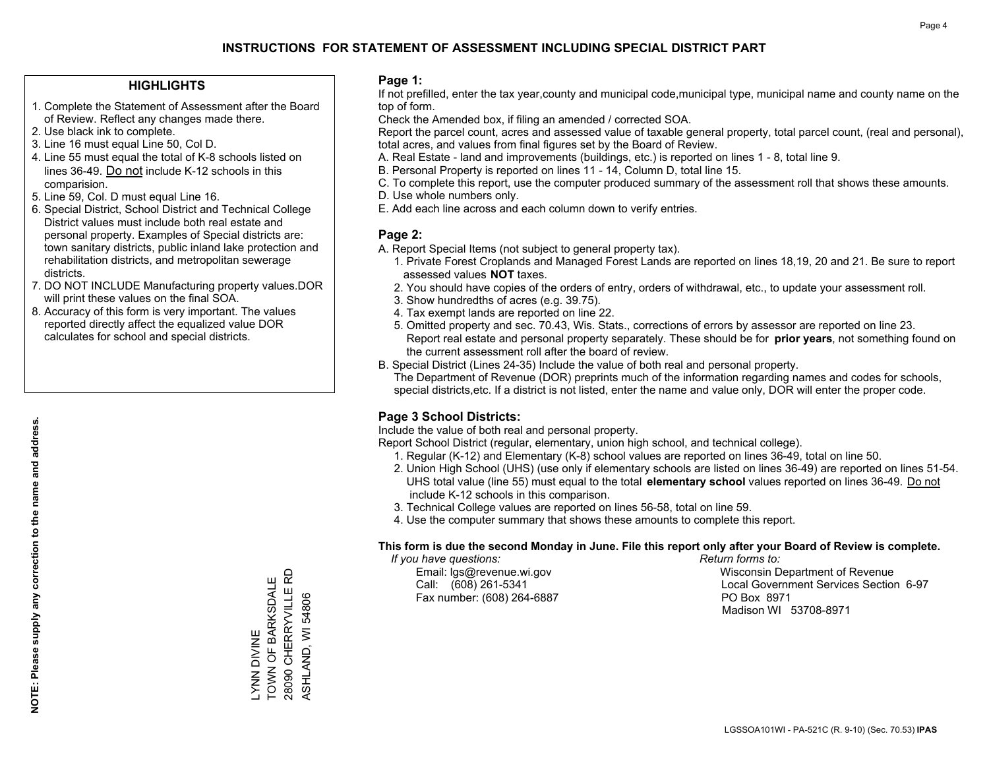#### **HIGHLIGHTS**

- 1. Complete the Statement of Assessment after the Board of Review. Reflect any changes made there.
- 2. Use black ink to complete.
- 3. Line 16 must equal Line 50, Col D.
- 4. Line 55 must equal the total of K-8 schools listed on lines 36-49. Do not include K-12 schools in this comparision.
- 5. Line 59, Col. D must equal Line 16.
- 6. Special District, School District and Technical College District values must include both real estate and personal property. Examples of Special districts are: town sanitary districts, public inland lake protection and rehabilitation districts, and metropolitan sewerage districts.
- 7. DO NOT INCLUDE Manufacturing property values.DOR will print these values on the final SOA.

LYNN DIVINE

**NIVIO NNVIC** 

TOWN OF BARKSDALE 28090 CHERRYVILLE RD ASHLAND, WI 54806

TOWN OF BARKSDALE 28090 CHERRYVILLE ASHLAND, WI 54806

윤

 8. Accuracy of this form is very important. The values reported directly affect the equalized value DOR calculates for school and special districts.

#### **Page 1:**

 If not prefilled, enter the tax year,county and municipal code,municipal type, municipal name and county name on the top of form.

Check the Amended box, if filing an amended / corrected SOA.

 Report the parcel count, acres and assessed value of taxable general property, total parcel count, (real and personal), total acres, and values from final figures set by the Board of Review.

- A. Real Estate land and improvements (buildings, etc.) is reported on lines 1 8, total line 9.
- B. Personal Property is reported on lines 11 14, Column D, total line 15.
- C. To complete this report, use the computer produced summary of the assessment roll that shows these amounts.
- D. Use whole numbers only.
- E. Add each line across and each column down to verify entries.

### **Page 2:**

- A. Report Special Items (not subject to general property tax).
- 1. Private Forest Croplands and Managed Forest Lands are reported on lines 18,19, 20 and 21. Be sure to report assessed values **NOT** taxes.
- 2. You should have copies of the orders of entry, orders of withdrawal, etc., to update your assessment roll.
	- 3. Show hundredths of acres (e.g. 39.75).
- 4. Tax exempt lands are reported on line 22.
- 5. Omitted property and sec. 70.43, Wis. Stats., corrections of errors by assessor are reported on line 23. Report real estate and personal property separately. These should be for **prior years**, not something found on the current assessment roll after the board of review.
- B. Special District (Lines 24-35) Include the value of both real and personal property.
- The Department of Revenue (DOR) preprints much of the information regarding names and codes for schools, special districts,etc. If a district is not listed, enter the name and value only, DOR will enter the proper code.

## **Page 3 School Districts:**

Include the value of both real and personal property.

Report School District (regular, elementary, union high school, and technical college).

- 1. Regular (K-12) and Elementary (K-8) school values are reported on lines 36-49, total on line 50.
- 2. Union High School (UHS) (use only if elementary schools are listed on lines 36-49) are reported on lines 51-54. UHS total value (line 55) must equal to the total **elementary school** values reported on lines 36-49. Do notinclude K-12 schools in this comparison.
- 3. Technical College values are reported on lines 56-58, total on line 59.
- 4. Use the computer summary that shows these amounts to complete this report.

#### **This form is due the second Monday in June. File this report only after your Board of Review is complete.**

 *If you have questions: Return forms to:*

Fax number: (608) 264-6887 PO Box 8971

 Email: lgs@revenue.wi.gov Wisconsin Department of Revenue Call: (608) 261-5341 Local Government Services Section 6-97Madison WI 53708-8971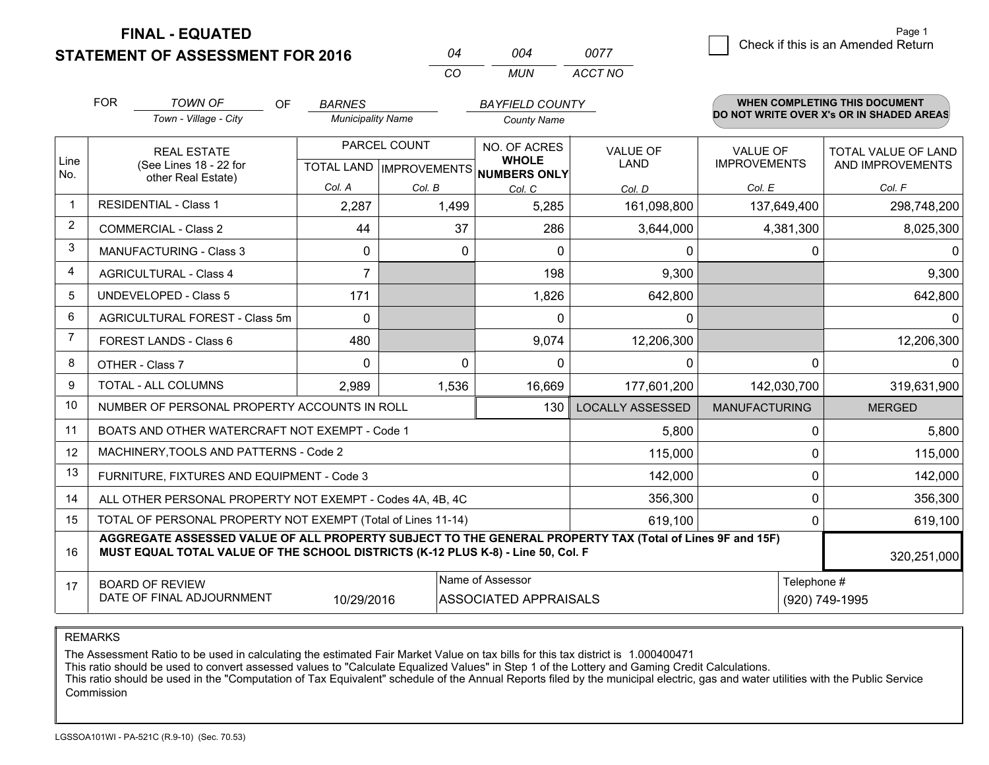**STATEMENT OF ASSESSMENT FOR 2016** 

**FINAL - EQUATED**

**Check if this is an Amended Return**<br> **Check if this is an Amended Return** Page 1

|                | <b>FOR</b>                                                                                                                                                                                   | <b>TOWN OF</b><br>OF                                      | <b>BARNES</b>                |                           | <b>BAYFIELD COUNTY</b>       |                         |                      | WHEN COMPLETING THIS DOCUMENT            |
|----------------|----------------------------------------------------------------------------------------------------------------------------------------------------------------------------------------------|-----------------------------------------------------------|------------------------------|---------------------------|------------------------------|-------------------------|----------------------|------------------------------------------|
|                |                                                                                                                                                                                              | Town - Village - City                                     | <b>Municipality Name</b>     |                           | <b>County Name</b>           |                         |                      | DO NOT WRITE OVER X's OR IN SHADED AREAS |
|                | <b>REAL ESTATE</b><br>(See Lines 18 - 22 for<br>other Real Estate)                                                                                                                           |                                                           | PARCEL COUNT<br>NO. OF ACRES |                           | <b>VALUE OF</b>              | <b>VALUE OF</b>         | TOTAL VALUE OF LAND  |                                          |
| Line<br>No.    |                                                                                                                                                                                              |                                                           |                              | TOTAL LAND   IMPROVEMENTS | <b>WHOLE</b><br>NUMBERS ONLY | LAND                    | <b>IMPROVEMENTS</b>  | AND IMPROVEMENTS                         |
|                |                                                                                                                                                                                              |                                                           | Col. A                       | Col. B                    | Col. C                       | Col. D                  | Col. E               | Col. F                                   |
| $\mathbf 1$    |                                                                                                                                                                                              | <b>RESIDENTIAL - Class 1</b>                              | 2,287                        | 1,499                     | 5,285                        | 161,098,800             | 137,649,400          | 298,748,200                              |
| $\overline{2}$ |                                                                                                                                                                                              | <b>COMMERCIAL - Class 2</b>                               | 44                           | 37                        | 286                          | 3,644,000               | 4,381,300            | 8,025,300                                |
| 3              |                                                                                                                                                                                              | MANUFACTURING - Class 3                                   | $\mathbf{0}$                 | 0                         | $\Omega$                     | 0                       |                      | $\mathbf{0}$<br>0                        |
| 4              |                                                                                                                                                                                              | <b>AGRICULTURAL - Class 4</b>                             | $\overline{7}$               |                           | 198                          | 9,300                   |                      | 9,300                                    |
| 5              |                                                                                                                                                                                              | <b>UNDEVELOPED - Class 5</b>                              | 171                          |                           | 1,826                        | 642,800                 |                      | 642,800                                  |
| 6              |                                                                                                                                                                                              | AGRICULTURAL FOREST - Class 5m                            | $\Omega$                     |                           | $\Omega$                     | $\mathbf{0}$            |                      | 0                                        |
| 7              |                                                                                                                                                                                              | FOREST LANDS - Class 6                                    | 480                          |                           | 9,074                        | 12,206,300              |                      | 12,206,300                               |
| 8              | OTHER - Class 7                                                                                                                                                                              |                                                           | $\Omega$                     | $\Omega$                  | $\Omega$                     | 0                       |                      | $\Omega$<br>0                            |
| 9              |                                                                                                                                                                                              | TOTAL - ALL COLUMNS                                       | 2,989                        | 1,536                     | 16,669                       | 177,601,200             | 142,030,700          | 319,631,900                              |
| 10             |                                                                                                                                                                                              | NUMBER OF PERSONAL PROPERTY ACCOUNTS IN ROLL              |                              |                           | 130                          | <b>LOCALLY ASSESSED</b> | <b>MANUFACTURING</b> | <b>MERGED</b>                            |
| 11             |                                                                                                                                                                                              | BOATS AND OTHER WATERCRAFT NOT EXEMPT - Code 1            |                              |                           |                              | 5,800                   |                      | $\Omega$<br>5,800                        |
| 12             |                                                                                                                                                                                              | MACHINERY, TOOLS AND PATTERNS - Code 2                    |                              |                           |                              | 115,000                 |                      | 0<br>115,000                             |
| 13             |                                                                                                                                                                                              | FURNITURE, FIXTURES AND EQUIPMENT - Code 3                |                              |                           |                              | 142,000                 |                      | 0<br>142,000                             |
| 14             |                                                                                                                                                                                              | ALL OTHER PERSONAL PROPERTY NOT EXEMPT - Codes 4A, 4B, 4C |                              |                           |                              | 356,300                 |                      | $\mathbf 0$<br>356,300                   |
| 15             | TOTAL OF PERSONAL PROPERTY NOT EXEMPT (Total of Lines 11-14)                                                                                                                                 |                                                           |                              |                           |                              | 619,100                 |                      | 619,100<br>0                             |
| 16             | AGGREGATE ASSESSED VALUE OF ALL PROPERTY SUBJECT TO THE GENERAL PROPERTY TAX (Total of Lines 9F and 15F)<br>MUST EQUAL TOTAL VALUE OF THE SCHOOL DISTRICTS (K-12 PLUS K-8) - Line 50, Col. F |                                                           |                              |                           |                              |                         | 320,251,000          |                                          |
| 17             |                                                                                                                                                                                              | <b>BOARD OF REVIEW</b>                                    |                              |                           | Name of Assessor             |                         |                      | Telephone #                              |
|                |                                                                                                                                                                                              | DATE OF FINAL ADJOURNMENT                                 | 10/29/2016                   |                           | <b>ASSOCIATED APPRAISALS</b> |                         |                      | (920) 749-1995                           |

*CO*

*MUN*

*ACCT NO0077*

*<sup>04</sup> <sup>004</sup>*

REMARKS

The Assessment Ratio to be used in calculating the estimated Fair Market Value on tax bills for this tax district is 1.000400471<br>This ratio should be used to convert assessed values to "Calculate Equalized Values" in Step Commission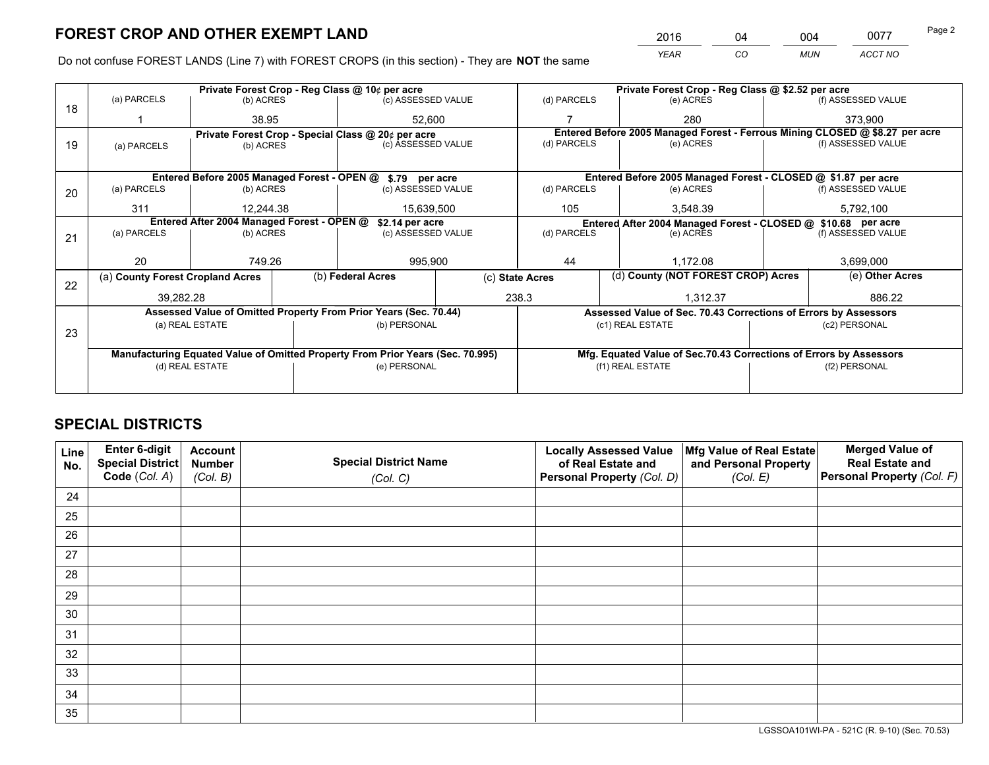*YEAR CO MUN ACCT NO* 2016 04 004 0077

Do not confuse FOREST LANDS (Line 7) with FOREST CROPS (in this section) - They are **NOT** the same

|    |                                                                                |                                             |                                 | Private Forest Crop - Reg Class @ 10¢ per acre                   |             |                   | Private Forest Crop - Reg Class @ \$2.52 per acre                            |               |                    |  |
|----|--------------------------------------------------------------------------------|---------------------------------------------|---------------------------------|------------------------------------------------------------------|-------------|-------------------|------------------------------------------------------------------------------|---------------|--------------------|--|
| 18 | (a) PARCELS                                                                    | (b) ACRES                                   |                                 | (c) ASSESSED VALUE                                               |             | (d) PARCELS       | (e) ACRES                                                                    |               | (f) ASSESSED VALUE |  |
|    |                                                                                | 38.95                                       |                                 | 52.600                                                           |             |                   | 280                                                                          |               | 373.900            |  |
|    |                                                                                |                                             |                                 | Private Forest Crop - Special Class @ 20¢ per acre               |             |                   | Entered Before 2005 Managed Forest - Ferrous Mining CLOSED @ \$8.27 per acre |               |                    |  |
| 19 | (a) PARCELS                                                                    |                                             | (c) ASSESSED VALUE<br>(b) ACRES |                                                                  |             | (d) PARCELS       | (e) ACRES                                                                    |               | (f) ASSESSED VALUE |  |
|    |                                                                                |                                             |                                 |                                                                  |             |                   |                                                                              |               |                    |  |
|    |                                                                                | Entered Before 2005 Managed Forest - OPEN @ |                                 | \$.79 per acre                                                   |             |                   | Entered Before 2005 Managed Forest - CLOSED @ \$1.87 per acre                |               |                    |  |
| 20 | (a) PARCELS                                                                    | (b) ACRES                                   |                                 | (c) ASSESSED VALUE                                               |             | (d) PARCELS       | (e) ACRES                                                                    |               | (f) ASSESSED VALUE |  |
|    | 311                                                                            | 15,639,500<br>12.244.38                     |                                 |                                                                  | 105         | 3.548.39          |                                                                              | 5,792,100     |                    |  |
|    | Entered After 2004 Managed Forest - OPEN @                                     |                                             |                                 | \$2.14 per acre                                                  |             |                   | Entered After 2004 Managed Forest - CLOSED @ \$10.68 per acre                |               |                    |  |
| 21 | (a) PARCELS                                                                    | (b) ACRES                                   |                                 | (c) ASSESSED VALUE                                               | (d) PARCELS |                   | (e) ACRES                                                                    |               | (f) ASSESSED VALUE |  |
|    |                                                                                |                                             |                                 |                                                                  |             |                   |                                                                              |               |                    |  |
|    | 20                                                                             | 749.26                                      |                                 | 995,900                                                          |             | 44<br>1,172.08    |                                                                              |               | 3,699,000          |  |
| 22 | (a) County Forest Cropland Acres                                               |                                             |                                 | (b) Federal Acres                                                |             | (c) State Acres   | (d) County (NOT FOREST CROP) Acres                                           |               | (e) Other Acres    |  |
|    | 39,282.28                                                                      |                                             |                                 |                                                                  |             | 238.3<br>1,312.37 |                                                                              |               | 886.22             |  |
|    |                                                                                |                                             |                                 | Assessed Value of Omitted Property From Prior Years (Sec. 70.44) |             |                   | Assessed Value of Sec. 70.43 Corrections of Errors by Assessors              |               |                    |  |
|    |                                                                                | (a) REAL ESTATE                             |                                 | (b) PERSONAL                                                     |             |                   | (c1) REAL ESTATE                                                             | (c2) PERSONAL |                    |  |
| 23 |                                                                                |                                             |                                 |                                                                  |             |                   |                                                                              |               |                    |  |
|    | Manufacturing Equated Value of Omitted Property From Prior Years (Sec. 70.995) |                                             |                                 |                                                                  |             |                   | Mfg. Equated Value of Sec.70.43 Corrections of Errors by Assessors           |               |                    |  |
|    |                                                                                | (d) REAL ESTATE                             |                                 | (e) PERSONAL                                                     |             |                   | (f1) REAL ESTATE                                                             |               | (f2) PERSONAL      |  |
|    |                                                                                |                                             |                                 |                                                                  |             |                   |                                                                              |               |                    |  |

## **SPECIAL DISTRICTS**

| Line<br>No. | Enter 6-digit<br>Special District<br>Code (Col. A) | <b>Account</b><br><b>Number</b><br>(Col. B) | <b>Special District Name</b><br>(Col. C) | <b>Locally Assessed Value</b><br>of Real Estate and<br>Personal Property (Col. D) | Mfg Value of Real Estate<br>and Personal Property<br>(Col. E) | <b>Merged Value of</b><br><b>Real Estate and</b><br>Personal Property (Col. F) |
|-------------|----------------------------------------------------|---------------------------------------------|------------------------------------------|-----------------------------------------------------------------------------------|---------------------------------------------------------------|--------------------------------------------------------------------------------|
| 24          |                                                    |                                             |                                          |                                                                                   |                                                               |                                                                                |
| 25          |                                                    |                                             |                                          |                                                                                   |                                                               |                                                                                |
| 26          |                                                    |                                             |                                          |                                                                                   |                                                               |                                                                                |
| 27          |                                                    |                                             |                                          |                                                                                   |                                                               |                                                                                |
| 28          |                                                    |                                             |                                          |                                                                                   |                                                               |                                                                                |
| 29          |                                                    |                                             |                                          |                                                                                   |                                                               |                                                                                |
| 30          |                                                    |                                             |                                          |                                                                                   |                                                               |                                                                                |
| 31          |                                                    |                                             |                                          |                                                                                   |                                                               |                                                                                |
| 32          |                                                    |                                             |                                          |                                                                                   |                                                               |                                                                                |
| 33          |                                                    |                                             |                                          |                                                                                   |                                                               |                                                                                |
| 34          |                                                    |                                             |                                          |                                                                                   |                                                               |                                                                                |
| 35          |                                                    |                                             |                                          |                                                                                   |                                                               |                                                                                |

LGSSOA101WI-PA - 521C (R. 9-10) (Sec. 70.53)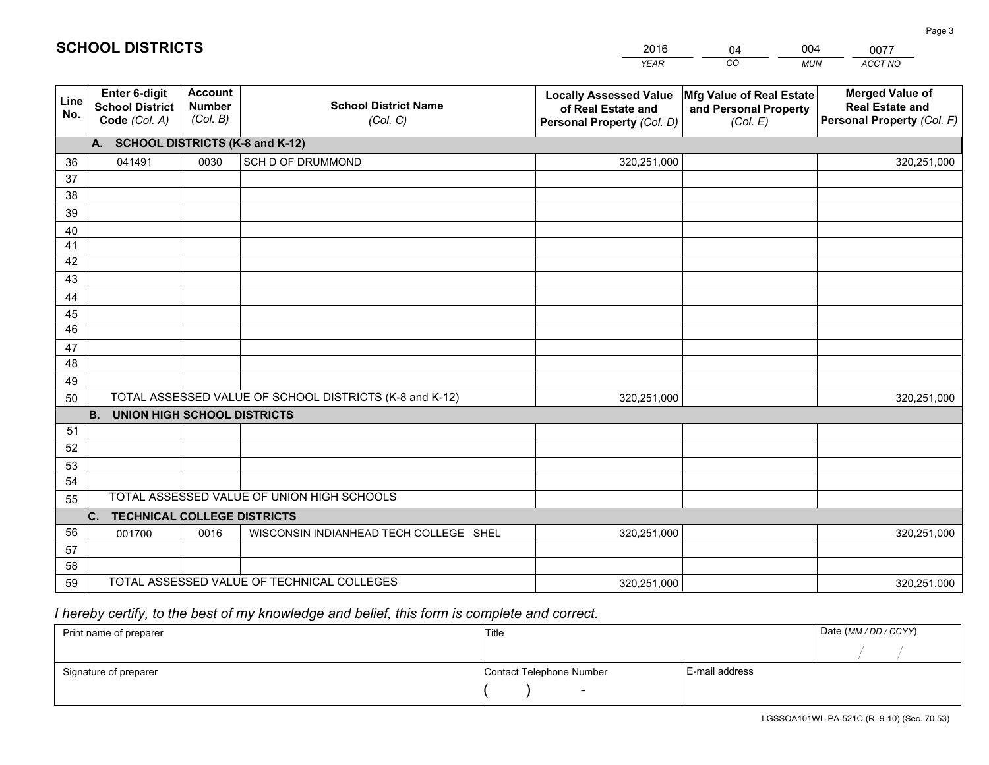|             |                                                          |                                             |                                                         | <b>YEAR</b>                                                                       | CO<br><b>MUN</b>                                              | ACCT NO                                                                        |
|-------------|----------------------------------------------------------|---------------------------------------------|---------------------------------------------------------|-----------------------------------------------------------------------------------|---------------------------------------------------------------|--------------------------------------------------------------------------------|
| Line<br>No. | Enter 6-digit<br><b>School District</b><br>Code (Col. A) | <b>Account</b><br><b>Number</b><br>(Col. B) | <b>School District Name</b><br>(Col. C)                 | <b>Locally Assessed Value</b><br>of Real Estate and<br>Personal Property (Col. D) | Mfg Value of Real Estate<br>and Personal Property<br>(Col. E) | <b>Merged Value of</b><br><b>Real Estate and</b><br>Personal Property (Col. F) |
|             | A. SCHOOL DISTRICTS (K-8 and K-12)                       |                                             |                                                         |                                                                                   |                                                               |                                                                                |
| 36          | 041491                                                   | 0030                                        | SCH D OF DRUMMOND                                       | 320,251,000                                                                       |                                                               | 320,251,000                                                                    |
| 37          |                                                          |                                             |                                                         |                                                                                   |                                                               |                                                                                |
| 38          |                                                          |                                             |                                                         |                                                                                   |                                                               |                                                                                |
| 39          |                                                          |                                             |                                                         |                                                                                   |                                                               |                                                                                |
| 40          |                                                          |                                             |                                                         |                                                                                   |                                                               |                                                                                |
| 41          |                                                          |                                             |                                                         |                                                                                   |                                                               |                                                                                |
| 42<br>43    |                                                          |                                             |                                                         |                                                                                   |                                                               |                                                                                |
|             |                                                          |                                             |                                                         |                                                                                   |                                                               |                                                                                |
| 44<br>45    |                                                          |                                             |                                                         |                                                                                   |                                                               |                                                                                |
| 46          |                                                          |                                             |                                                         |                                                                                   |                                                               |                                                                                |
| 47          |                                                          |                                             |                                                         |                                                                                   |                                                               |                                                                                |
| 48          |                                                          |                                             |                                                         |                                                                                   |                                                               |                                                                                |
| 49          |                                                          |                                             |                                                         |                                                                                   |                                                               |                                                                                |
| 50          |                                                          |                                             | TOTAL ASSESSED VALUE OF SCHOOL DISTRICTS (K-8 and K-12) | 320,251,000                                                                       |                                                               | 320,251,000                                                                    |
|             | <b>B.</b><br><b>UNION HIGH SCHOOL DISTRICTS</b>          |                                             |                                                         |                                                                                   |                                                               |                                                                                |
| 51          |                                                          |                                             |                                                         |                                                                                   |                                                               |                                                                                |
| 52          |                                                          |                                             |                                                         |                                                                                   |                                                               |                                                                                |
| 53          |                                                          |                                             |                                                         |                                                                                   |                                                               |                                                                                |
| 54          |                                                          |                                             |                                                         |                                                                                   |                                                               |                                                                                |
| 55          |                                                          |                                             | TOTAL ASSESSED VALUE OF UNION HIGH SCHOOLS              |                                                                                   |                                                               |                                                                                |
|             | C.<br><b>TECHNICAL COLLEGE DISTRICTS</b>                 |                                             |                                                         |                                                                                   |                                                               |                                                                                |
| 56          | 001700                                                   | 0016                                        | WISCONSIN INDIANHEAD TECH COLLEGE SHEL                  | 320,251,000                                                                       |                                                               | 320,251,000                                                                    |
| 57          |                                                          |                                             |                                                         |                                                                                   |                                                               |                                                                                |
| 58          |                                                          |                                             |                                                         |                                                                                   |                                                               |                                                                                |
| 59          |                                                          |                                             | TOTAL ASSESSED VALUE OF TECHNICAL COLLEGES              | 320,251,000                                                                       |                                                               | 320,251,000                                                                    |

04

004

 *I hereby certify, to the best of my knowledge and belief, this form is complete and correct.*

**SCHOOL DISTRICTS**

| Print name of preparer | Title                    |                | Date (MM / DD / CCYY) |
|------------------------|--------------------------|----------------|-----------------------|
|                        |                          |                |                       |
| Signature of preparer  | Contact Telephone Number | E-mail address |                       |
|                        | $\sim$                   |                |                       |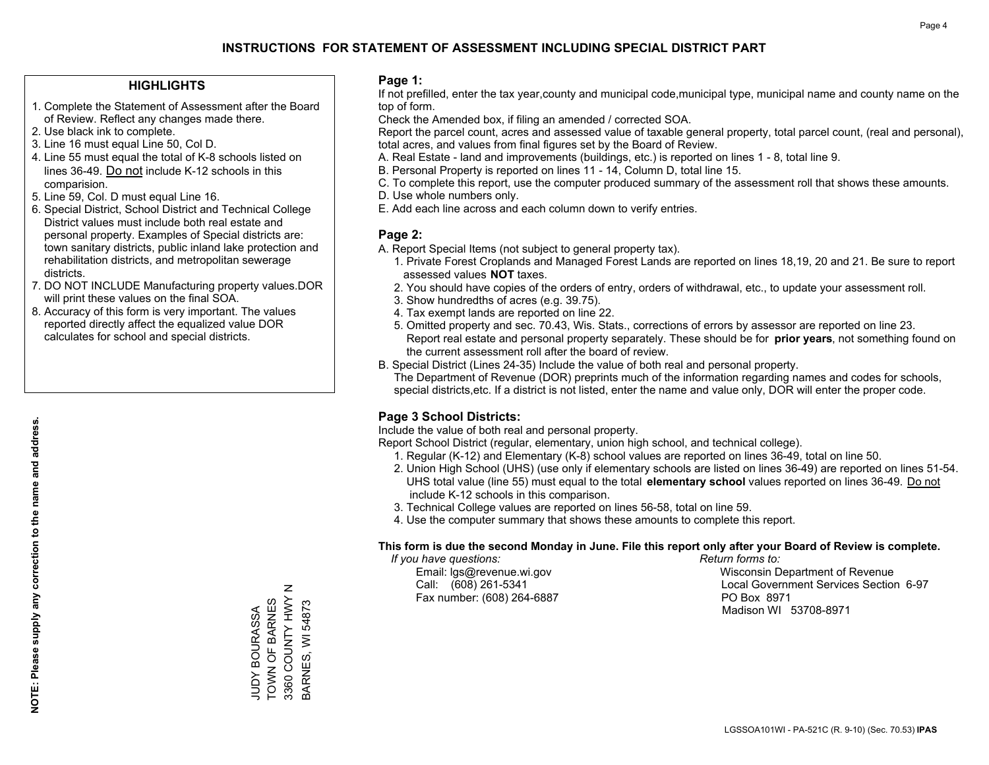#### **HIGHLIGHTS**

- 1. Complete the Statement of Assessment after the Board of Review. Reflect any changes made there.
- 2. Use black ink to complete.
- 3. Line 16 must equal Line 50, Col D.
- 4. Line 55 must equal the total of K-8 schools listed on lines 36-49. Do not include K-12 schools in this comparision.
- 5. Line 59, Col. D must equal Line 16.
- 6. Special District, School District and Technical College District values must include both real estate and personal property. Examples of Special districts are: town sanitary districts, public inland lake protection and rehabilitation districts, and metropolitan sewerage districts.
- 7. DO NOT INCLUDE Manufacturing property values.DOR will print these values on the final SOA.

JUDY BOURASSA TOWN OF BARNES 3360 COUNTY HWY N BARNES, WI 54873

 $\mathsf z$ 

3360 COUNTY HWY JUDY BOURASSA<br>TOWN OF BARNES

3ARNES, WI 54873

 8. Accuracy of this form is very important. The values reported directly affect the equalized value DOR calculates for school and special districts.

#### **Page 1:**

 If not prefilled, enter the tax year,county and municipal code,municipal type, municipal name and county name on the top of form.

Check the Amended box, if filing an amended / corrected SOA.

 Report the parcel count, acres and assessed value of taxable general property, total parcel count, (real and personal), total acres, and values from final figures set by the Board of Review.

- A. Real Estate land and improvements (buildings, etc.) is reported on lines 1 8, total line 9.
- B. Personal Property is reported on lines 11 14, Column D, total line 15.
- C. To complete this report, use the computer produced summary of the assessment roll that shows these amounts.
- D. Use whole numbers only.
- E. Add each line across and each column down to verify entries.

#### **Page 2:**

- A. Report Special Items (not subject to general property tax).
- 1. Private Forest Croplands and Managed Forest Lands are reported on lines 18,19, 20 and 21. Be sure to report assessed values **NOT** taxes.
- 2. You should have copies of the orders of entry, orders of withdrawal, etc., to update your assessment roll.
	- 3. Show hundredths of acres (e.g. 39.75).
- 4. Tax exempt lands are reported on line 22.
- 5. Omitted property and sec. 70.43, Wis. Stats., corrections of errors by assessor are reported on line 23. Report real estate and personal property separately. These should be for **prior years**, not something found on the current assessment roll after the board of review.
- B. Special District (Lines 24-35) Include the value of both real and personal property.
- The Department of Revenue (DOR) preprints much of the information regarding names and codes for schools, special districts,etc. If a district is not listed, enter the name and value only, DOR will enter the proper code.

### **Page 3 School Districts:**

Include the value of both real and personal property.

Report School District (regular, elementary, union high school, and technical college).

- 1. Regular (K-12) and Elementary (K-8) school values are reported on lines 36-49, total on line 50.
- 2. Union High School (UHS) (use only if elementary schools are listed on lines 36-49) are reported on lines 51-54. UHS total value (line 55) must equal to the total **elementary school** values reported on lines 36-49. Do notinclude K-12 schools in this comparison.
- 3. Technical College values are reported on lines 56-58, total on line 59.
- 4. Use the computer summary that shows these amounts to complete this report.

#### **This form is due the second Monday in June. File this report only after your Board of Review is complete.**

 *If you have questions: Return forms to:*

Fax number: (608) 264-6887 PO Box 8971

 Email: lgs@revenue.wi.gov Wisconsin Department of Revenue Call: (608) 261-5341 Local Government Services Section 6-97Madison WI 53708-8971

LGSSOA101WI - PA-521C (R. 9-10) (Sec. 70.53) **IPAS**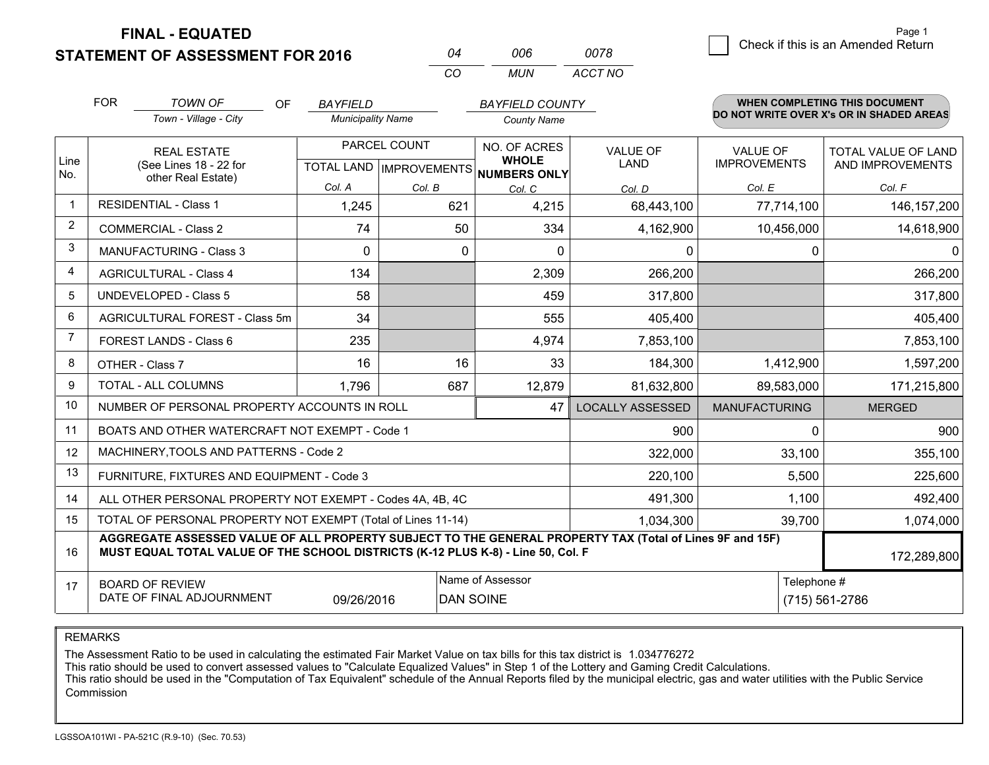**STATEMENT OF ASSESSM FINAL - EQUATED**  $\overline{\mathcal{B}}$  Check if this is an Amended Return Page 1

WHEN COMPLETE THIS COMPLETE THIS DOCUMENT OF **COMPLETE** 

| <b>ENT FOR 2016</b> | 04 | 006 |
|---------------------|----|-----|
|                     |    |     |

*CO MUN ACCT NO0078*

|                | <b>FOR</b>                                                        | <b>TOWN OF</b><br><b>OF</b>                                                                                                                                                                  | <b>BAYFIELD</b>          |                                           | <b>BAYFIELD COUNTY</b>                              |                                |                                        | WHEN COMPLETING THIS DOCUMENT            |
|----------------|-------------------------------------------------------------------|----------------------------------------------------------------------------------------------------------------------------------------------------------------------------------------------|--------------------------|-------------------------------------------|-----------------------------------------------------|--------------------------------|----------------------------------------|------------------------------------------|
|                |                                                                   | Town - Village - City                                                                                                                                                                        | <b>Municipality Name</b> |                                           | <b>County Name</b>                                  |                                |                                        | DO NOT WRITE OVER X's OR IN SHADED AREAS |
| Line<br>No.    |                                                                   | <b>REAL ESTATE</b><br>(See Lines 18 - 22 for                                                                                                                                                 |                          | PARCEL COUNT<br>TOTAL LAND   IMPROVEMENTS | NO. OF ACRES<br><b>WHOLE</b><br><b>NUMBERS ONLY</b> | <b>VALUE OF</b><br><b>LAND</b> | <b>VALUE OF</b><br><b>IMPROVEMENTS</b> | TOTAL VALUE OF LAND<br>AND IMPROVEMENTS  |
|                |                                                                   | other Real Estate)                                                                                                                                                                           | Col. A                   | Col. B                                    | Col. C                                              | Col. D                         | Col. E                                 | Col. F                                   |
| $\mathbf{1}$   |                                                                   | <b>RESIDENTIAL - Class 1</b>                                                                                                                                                                 | 1,245                    | 621                                       | 4,215                                               | 68,443,100                     | 77,714,100                             | 146, 157, 200                            |
| 2              |                                                                   | <b>COMMERCIAL - Class 2</b>                                                                                                                                                                  | 74                       | 50                                        | 334                                                 | 4,162,900                      | 10,456,000                             | 14,618,900                               |
| 3              |                                                                   | <b>MANUFACTURING - Class 3</b>                                                                                                                                                               | $\mathbf{0}$             | 0                                         | $\mathbf{0}$                                        | 0                              | $\mathbf 0$                            | 0                                        |
| 4              |                                                                   | <b>AGRICULTURAL - Class 4</b>                                                                                                                                                                | 134                      |                                           | 2,309                                               | 266,200                        |                                        | 266,200                                  |
| 5              |                                                                   | <b>UNDEVELOPED - Class 5</b>                                                                                                                                                                 | 58                       |                                           | 459                                                 | 317,800                        |                                        | 317,800                                  |
| 6              |                                                                   | AGRICULTURAL FOREST - Class 5m                                                                                                                                                               | 34                       |                                           | 555                                                 | 405,400                        |                                        | 405,400                                  |
| $\overline{7}$ |                                                                   | FOREST LANDS - Class 6                                                                                                                                                                       | 235                      |                                           | 4,974                                               | 7,853,100                      |                                        | 7,853,100                                |
| 8              |                                                                   | OTHER - Class 7                                                                                                                                                                              | 16                       | 16                                        | 33                                                  | 184,300                        | 1,412,900                              | 1,597,200                                |
| 9              |                                                                   | TOTAL - ALL COLUMNS                                                                                                                                                                          | 1,796                    | 687                                       | 12,879                                              | 81,632,800                     | 89,583,000                             | 171,215,800                              |
| 10             |                                                                   | NUMBER OF PERSONAL PROPERTY ACCOUNTS IN ROLL                                                                                                                                                 |                          |                                           | 47                                                  | <b>LOCALLY ASSESSED</b>        | <b>MANUFACTURING</b>                   | <b>MERGED</b>                            |
| 11             |                                                                   | BOATS AND OTHER WATERCRAFT NOT EXEMPT - Code 1                                                                                                                                               |                          |                                           |                                                     | 900                            | $\Omega$                               | 900                                      |
| 12             |                                                                   | MACHINERY, TOOLS AND PATTERNS - Code 2                                                                                                                                                       |                          |                                           |                                                     | 322,000                        | 33,100                                 | 355,100                                  |
| 13             |                                                                   | FURNITURE, FIXTURES AND EQUIPMENT - Code 3                                                                                                                                                   |                          |                                           |                                                     | 220,100                        | 5,500                                  | 225,600                                  |
| 14             |                                                                   | ALL OTHER PERSONAL PROPERTY NOT EXEMPT - Codes 4A, 4B, 4C                                                                                                                                    |                          |                                           |                                                     | 491,300                        | 1,100                                  | 492,400                                  |
| 15             |                                                                   | TOTAL OF PERSONAL PROPERTY NOT EXEMPT (Total of Lines 11-14)                                                                                                                                 |                          |                                           |                                                     | 1,034,300                      | 39,700                                 | 1,074,000                                |
| 16             |                                                                   | AGGREGATE ASSESSED VALUE OF ALL PROPERTY SUBJECT TO THE GENERAL PROPERTY TAX (Total of Lines 9F and 15F)<br>MUST EQUAL TOTAL VALUE OF THE SCHOOL DISTRICTS (K-12 PLUS K-8) - Line 50, Col. F |                          |                                           |                                                     | 172,289,800                    |                                        |                                          |
| 17             | <b>BOARD OF REVIEW</b><br>DATE OF FINAL ADJOURNMENT<br>09/26/2016 |                                                                                                                                                                                              |                          |                                           | Name of Assessor<br><b>DAN SOINE</b>                |                                |                                        | Telephone #<br>(715) 561-2786            |

REMARKS

The Assessment Ratio to be used in calculating the estimated Fair Market Value on tax bills for this tax district is 1.034776272

This ratio should be used to convert assessed values to "Calculate Equalized Values" in Step 1 of the Lottery and Gaming Credit Calculations.<br>This ratio should be used in the "Computation of Tax Equivalent" schedule of the Commission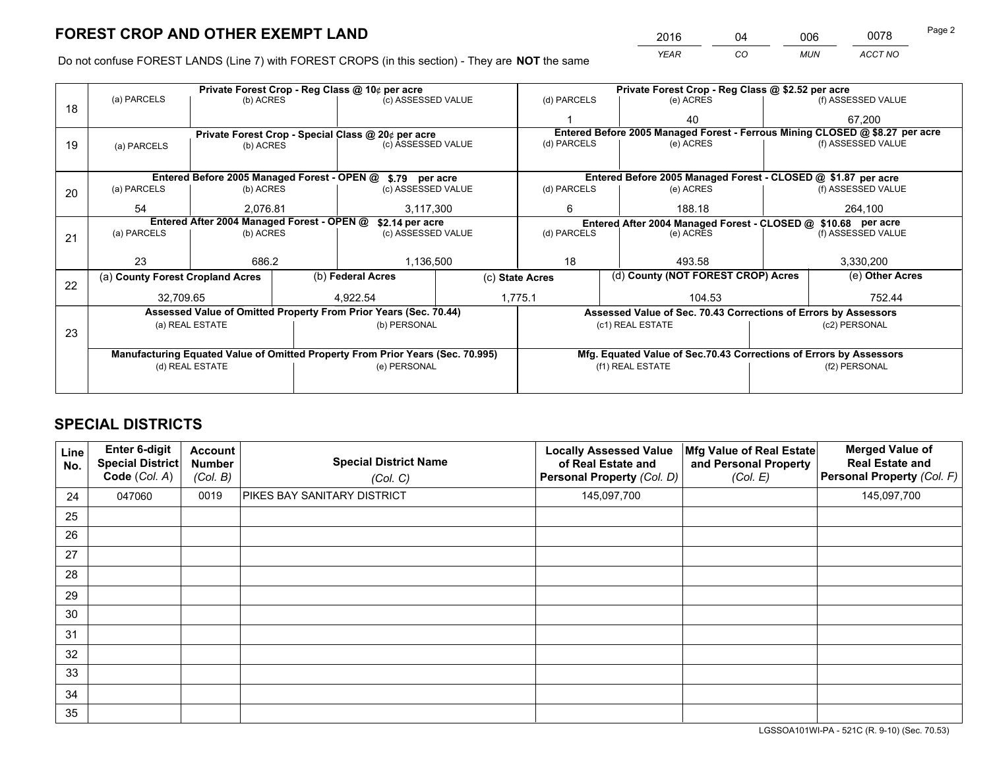*YEAR CO MUN ACCT NO* <sup>2016</sup> <sup>04</sup> <sup>006</sup> <sup>0078</sup> Page 2

Do not confuse FOREST LANDS (Line 7) with FOREST CROPS (in this section) - They are **NOT** the same

|    |                                  |                                            |           | Private Forest Crop - Reg Class @ 10¢ per acre                                 |  | Private Forest Crop - Reg Class @ \$2.52 per acre                  |  |                                                                 |                    |                                                                              |
|----|----------------------------------|--------------------------------------------|-----------|--------------------------------------------------------------------------------|--|--------------------------------------------------------------------|--|-----------------------------------------------------------------|--------------------|------------------------------------------------------------------------------|
| 18 | (a) PARCELS                      | (b) ACRES                                  |           | (c) ASSESSED VALUE                                                             |  | (d) PARCELS                                                        |  | (e) ACRES                                                       |                    | (f) ASSESSED VALUE                                                           |
|    |                                  |                                            |           |                                                                                |  |                                                                    |  | 40                                                              |                    | 67,200                                                                       |
|    |                                  |                                            |           | Private Forest Crop - Special Class @ 20¢ per acre                             |  |                                                                    |  |                                                                 |                    | Entered Before 2005 Managed Forest - Ferrous Mining CLOSED @ \$8.27 per acre |
| 19 | (a) PARCELS                      | (b) ACRES                                  |           | (c) ASSESSED VALUE                                                             |  | (d) PARCELS                                                        |  | (e) ACRES                                                       |                    | (f) ASSESSED VALUE                                                           |
|    |                                  |                                            |           |                                                                                |  |                                                                    |  |                                                                 |                    |                                                                              |
|    |                                  |                                            |           | Entered Before 2005 Managed Forest - OPEN @ \$.79 per acre                     |  |                                                                    |  | Entered Before 2005 Managed Forest - CLOSED @ \$1.87 per acre   |                    |                                                                              |
| 20 | (a) PARCELS                      | (b) ACRES                                  |           | (c) ASSESSED VALUE                                                             |  | (d) PARCELS                                                        |  | (e) ACRES                                                       |                    | (f) ASSESSED VALUE                                                           |
|    | 54                               | 2.076.81                                   | 3,117,300 |                                                                                |  | 188.18<br>6                                                        |  |                                                                 | 264,100            |                                                                              |
|    |                                  | Entered After 2004 Managed Forest - OPEN @ |           | \$2.14 per acre                                                                |  |                                                                    |  | Entered After 2004 Managed Forest - CLOSED @ \$10.68 per acre   |                    |                                                                              |
| 21 | (a) PARCELS                      | (b) ACRES                                  |           | (c) ASSESSED VALUE                                                             |  | (d) PARCELS<br>(e) ACRES                                           |  |                                                                 | (f) ASSESSED VALUE |                                                                              |
|    |                                  |                                            |           |                                                                                |  |                                                                    |  |                                                                 |                    |                                                                              |
|    | 23                               | 686.2                                      |           | 1,136,500                                                                      |  | 18                                                                 |  | 493.58                                                          |                    | 3,330,200                                                                    |
| 22 | (a) County Forest Cropland Acres |                                            |           | (b) Federal Acres                                                              |  | (d) County (NOT FOREST CROP) Acres<br>(c) State Acres              |  | (e) Other Acres                                                 |                    |                                                                              |
|    | 32,709.65                        |                                            |           | 4,922.54                                                                       |  | 1,775.1<br>104.53                                                  |  |                                                                 | 752.44             |                                                                              |
|    |                                  |                                            |           | Assessed Value of Omitted Property From Prior Years (Sec. 70.44)               |  |                                                                    |  | Assessed Value of Sec. 70.43 Corrections of Errors by Assessors |                    |                                                                              |
|    |                                  | (a) REAL ESTATE                            |           | (b) PERSONAL                                                                   |  |                                                                    |  | (c1) REAL ESTATE                                                |                    | (c2) PERSONAL                                                                |
| 23 |                                  |                                            |           |                                                                                |  |                                                                    |  |                                                                 |                    |                                                                              |
|    |                                  |                                            |           | Manufacturing Equated Value of Omitted Property From Prior Years (Sec. 70.995) |  | Mfg. Equated Value of Sec.70.43 Corrections of Errors by Assessors |  |                                                                 |                    |                                                                              |
|    |                                  | (d) REAL ESTATE                            |           | (e) PERSONAL                                                                   |  | (f1) REAL ESTATE                                                   |  | (f2) PERSONAL                                                   |                    |                                                                              |
|    |                                  |                                            |           |                                                                                |  |                                                                    |  |                                                                 |                    |                                                                              |

## **SPECIAL DISTRICTS**

| Line<br>No. | Enter 6-digit<br><b>Special District</b><br>Code (Col. A) | <b>Account</b><br><b>Number</b><br>(Col. B) | <b>Special District Name</b><br>(Col. C) | <b>Locally Assessed Value</b><br>of Real Estate and<br>Personal Property (Col. D) | Mfg Value of Real Estate<br>and Personal Property<br>(Col. E) | <b>Merged Value of</b><br><b>Real Estate and</b><br>Personal Property (Col. F) |
|-------------|-----------------------------------------------------------|---------------------------------------------|------------------------------------------|-----------------------------------------------------------------------------------|---------------------------------------------------------------|--------------------------------------------------------------------------------|
| 24          | 047060                                                    | 0019                                        | PIKES BAY SANITARY DISTRICT              | 145,097,700                                                                       |                                                               | 145,097,700                                                                    |
| 25          |                                                           |                                             |                                          |                                                                                   |                                                               |                                                                                |
| 26          |                                                           |                                             |                                          |                                                                                   |                                                               |                                                                                |
| 27          |                                                           |                                             |                                          |                                                                                   |                                                               |                                                                                |
| 28          |                                                           |                                             |                                          |                                                                                   |                                                               |                                                                                |
| 29          |                                                           |                                             |                                          |                                                                                   |                                                               |                                                                                |
| 30          |                                                           |                                             |                                          |                                                                                   |                                                               |                                                                                |
| 31          |                                                           |                                             |                                          |                                                                                   |                                                               |                                                                                |
| 32          |                                                           |                                             |                                          |                                                                                   |                                                               |                                                                                |
| 33          |                                                           |                                             |                                          |                                                                                   |                                                               |                                                                                |
| 34          |                                                           |                                             |                                          |                                                                                   |                                                               |                                                                                |
| 35          |                                                           |                                             |                                          |                                                                                   |                                                               |                                                                                |

LGSSOA101WI-PA - 521C (R. 9-10) (Sec. 70.53)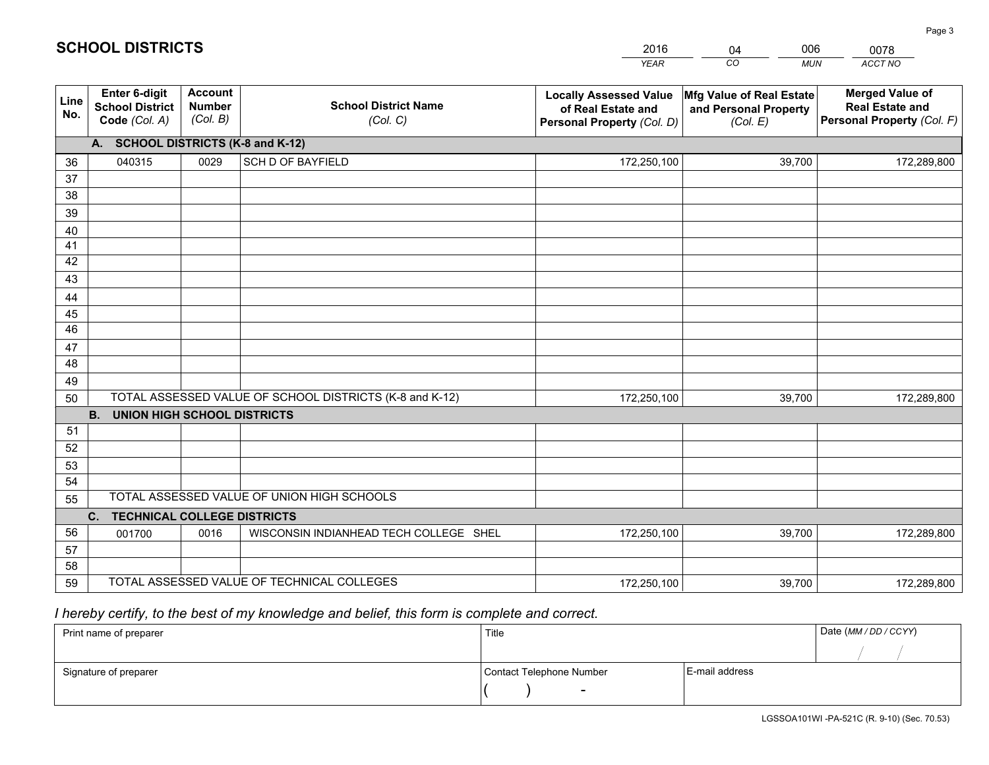|             |                                                                 |                                             |                                                         | <b>YEAR</b>                                                                       | CO<br><b>MUN</b>                                              | ACCT NO                                                                        |
|-------------|-----------------------------------------------------------------|---------------------------------------------|---------------------------------------------------------|-----------------------------------------------------------------------------------|---------------------------------------------------------------|--------------------------------------------------------------------------------|
| Line<br>No. | <b>Enter 6-digit</b><br><b>School District</b><br>Code (Col. A) | <b>Account</b><br><b>Number</b><br>(Col. B) | <b>School District Name</b><br>(Col. C)                 | <b>Locally Assessed Value</b><br>of Real Estate and<br>Personal Property (Col. D) | Mfg Value of Real Estate<br>and Personal Property<br>(Col. E) | <b>Merged Value of</b><br><b>Real Estate and</b><br>Personal Property (Col. F) |
|             | A. SCHOOL DISTRICTS (K-8 and K-12)                              |                                             |                                                         |                                                                                   |                                                               |                                                                                |
| 36          | 040315                                                          | 0029                                        | <b>SCH D OF BAYFIELD</b>                                | 172,250,100                                                                       | 39,700                                                        | 172,289,800                                                                    |
| 37          |                                                                 |                                             |                                                         |                                                                                   |                                                               |                                                                                |
| 38          |                                                                 |                                             |                                                         |                                                                                   |                                                               |                                                                                |
| 39          |                                                                 |                                             |                                                         |                                                                                   |                                                               |                                                                                |
| 40          |                                                                 |                                             |                                                         |                                                                                   |                                                               |                                                                                |
| 41<br>42    |                                                                 |                                             |                                                         |                                                                                   |                                                               |                                                                                |
| 43          |                                                                 |                                             |                                                         |                                                                                   |                                                               |                                                                                |
|             |                                                                 |                                             |                                                         |                                                                                   |                                                               |                                                                                |
| 44<br>45    |                                                                 |                                             |                                                         |                                                                                   |                                                               |                                                                                |
| 46          |                                                                 |                                             |                                                         |                                                                                   |                                                               |                                                                                |
| 47          |                                                                 |                                             |                                                         |                                                                                   |                                                               |                                                                                |
| 48          |                                                                 |                                             |                                                         |                                                                                   |                                                               |                                                                                |
| 49          |                                                                 |                                             |                                                         |                                                                                   |                                                               |                                                                                |
| 50          |                                                                 |                                             | TOTAL ASSESSED VALUE OF SCHOOL DISTRICTS (K-8 and K-12) | 172,250,100                                                                       | 39,700                                                        | 172,289,800                                                                    |
|             | <b>B.</b><br>UNION HIGH SCHOOL DISTRICTS                        |                                             |                                                         |                                                                                   |                                                               |                                                                                |
| 51          |                                                                 |                                             |                                                         |                                                                                   |                                                               |                                                                                |
| 52          |                                                                 |                                             |                                                         |                                                                                   |                                                               |                                                                                |
| 53          |                                                                 |                                             |                                                         |                                                                                   |                                                               |                                                                                |
| 54          |                                                                 |                                             |                                                         |                                                                                   |                                                               |                                                                                |
| 55          |                                                                 |                                             | TOTAL ASSESSED VALUE OF UNION HIGH SCHOOLS              |                                                                                   |                                                               |                                                                                |
|             | C.<br><b>TECHNICAL COLLEGE DISTRICTS</b>                        |                                             |                                                         |                                                                                   |                                                               |                                                                                |
| 56          | 001700                                                          | 0016                                        | WISCONSIN INDIANHEAD TECH COLLEGE SHEL                  | 172,250,100                                                                       | 39,700                                                        | 172,289,800                                                                    |
| 57<br>58    |                                                                 |                                             |                                                         |                                                                                   |                                                               |                                                                                |
| 59          |                                                                 |                                             | TOTAL ASSESSED VALUE OF TECHNICAL COLLEGES              | 172,250,100                                                                       | 39,700                                                        | 172,289,800                                                                    |
|             |                                                                 |                                             |                                                         |                                                                                   |                                                               |                                                                                |

04

006

 *I hereby certify, to the best of my knowledge and belief, this form is complete and correct.*

**SCHOOL DISTRICTS**

| Print name of preparer | Title                    |                | Date (MM / DD / CCYY) |
|------------------------|--------------------------|----------------|-----------------------|
|                        |                          |                |                       |
| Signature of preparer  | Contact Telephone Number | E-mail address |                       |
|                        | $\overline{\phantom{0}}$ |                |                       |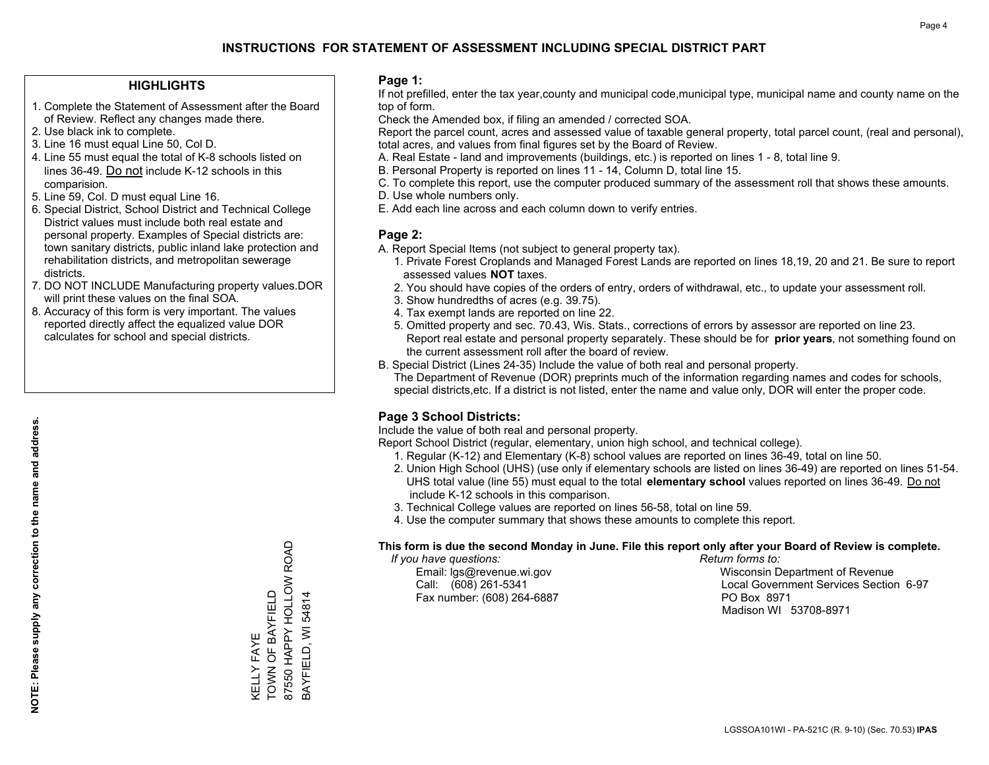#### **HIGHLIGHTS**

- 1. Complete the Statement of Assessment after the Board of Review. Reflect any changes made there.
- 2. Use black ink to complete.
- 3. Line 16 must equal Line 50, Col D.
- 4. Line 55 must equal the total of K-8 schools listed on lines 36-49. Do not include K-12 schools in this comparision.
- 5. Line 59, Col. D must equal Line 16.
- 6. Special District, School District and Technical College District values must include both real estate and personal property. Examples of Special districts are: town sanitary districts, public inland lake protection and rehabilitation districts, and metropolitan sewerage districts.
- 7. DO NOT INCLUDE Manufacturing property values.DOR will print these values on the final SOA.

KELLY FAYE

TOWN OF BAYFIELD

KELLY FAYE<br>TOWN OF BAYFIELD

87550 HAPPY HOLLOW ROAD

87550 HAPPY HOLLOW ROAD

BAYFIELD, WI 54814

BAYFIELD, WI 54814

 8. Accuracy of this form is very important. The values reported directly affect the equalized value DOR calculates for school and special districts.

#### **Page 1:**

 If not prefilled, enter the tax year,county and municipal code,municipal type, municipal name and county name on the top of form.

Check the Amended box, if filing an amended / corrected SOA.

 Report the parcel count, acres and assessed value of taxable general property, total parcel count, (real and personal), total acres, and values from final figures set by the Board of Review.

- A. Real Estate land and improvements (buildings, etc.) is reported on lines 1 8, total line 9.
- B. Personal Property is reported on lines 11 14, Column D, total line 15.
- C. To complete this report, use the computer produced summary of the assessment roll that shows these amounts.
- D. Use whole numbers only.
- E. Add each line across and each column down to verify entries.

#### **Page 2:**

- A. Report Special Items (not subject to general property tax).
- 1. Private Forest Croplands and Managed Forest Lands are reported on lines 18,19, 20 and 21. Be sure to report assessed values **NOT** taxes.
- 2. You should have copies of the orders of entry, orders of withdrawal, etc., to update your assessment roll.
	- 3. Show hundredths of acres (e.g. 39.75).
- 4. Tax exempt lands are reported on line 22.
- 5. Omitted property and sec. 70.43, Wis. Stats., corrections of errors by assessor are reported on line 23. Report real estate and personal property separately. These should be for **prior years**, not something found on the current assessment roll after the board of review.
- B. Special District (Lines 24-35) Include the value of both real and personal property.
- The Department of Revenue (DOR) preprints much of the information regarding names and codes for schools, special districts,etc. If a district is not listed, enter the name and value only, DOR will enter the proper code.

### **Page 3 School Districts:**

Include the value of both real and personal property.

Report School District (regular, elementary, union high school, and technical college).

- 1. Regular (K-12) and Elementary (K-8) school values are reported on lines 36-49, total on line 50.
- 2. Union High School (UHS) (use only if elementary schools are listed on lines 36-49) are reported on lines 51-54. UHS total value (line 55) must equal to the total **elementary school** values reported on lines 36-49. Do notinclude K-12 schools in this comparison.
- 3. Technical College values are reported on lines 56-58, total on line 59.
- 4. Use the computer summary that shows these amounts to complete this report.

#### **This form is due the second Monday in June. File this report only after your Board of Review is complete.**

 *If you have questions: Return forms to:*

Fax number: (608) 264-6887 PO Box 8971

 Email: lgs@revenue.wi.gov Wisconsin Department of Revenue Call: (608) 261-5341 Local Government Services Section 6-97Madison WI 53708-8971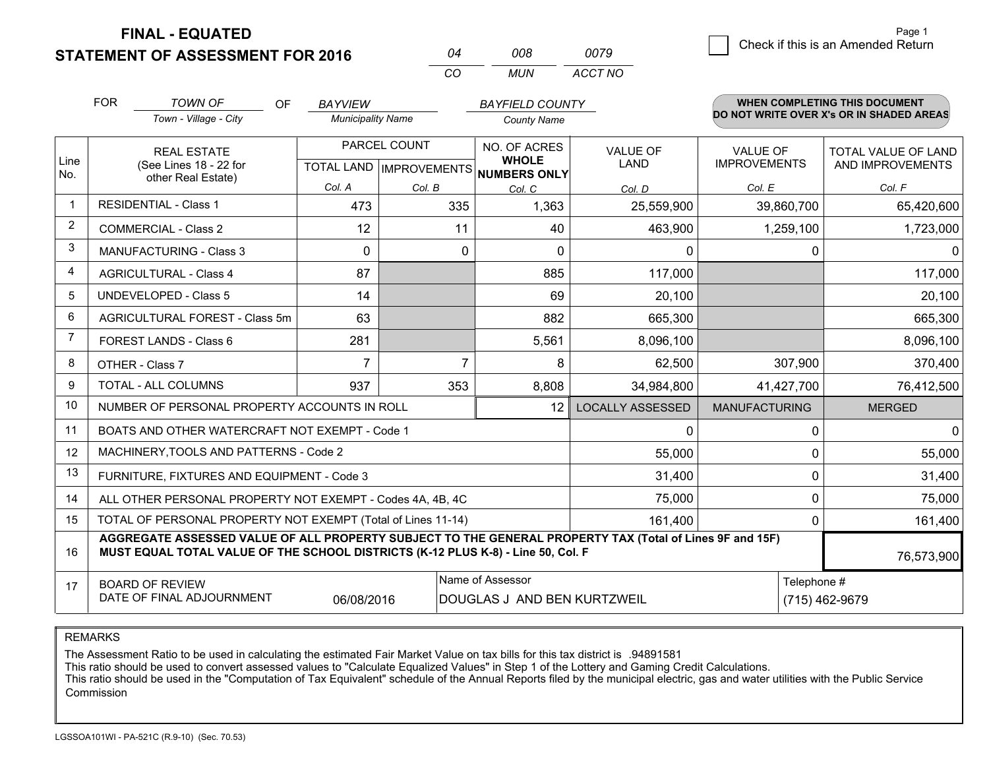**STATEMENT OF ASSESSMENT FOR 2016** 

**FINAL - EQUATED**

|                | <b>FOR</b>                                                   | <b>TOWN OF</b><br><b>OF</b>                                                                                                                                                                  | <b>BAYVIEW</b>           |              | <b>BAYFIELD COUNTY</b>                               |                         |                      | <b>WHEN COMPLETING THIS DOCUMENT</b>     |  |  |
|----------------|--------------------------------------------------------------|----------------------------------------------------------------------------------------------------------------------------------------------------------------------------------------------|--------------------------|--------------|------------------------------------------------------|-------------------------|----------------------|------------------------------------------|--|--|
|                |                                                              | Town - Village - City                                                                                                                                                                        | <b>Municipality Name</b> |              | <b>County Name</b>                                   |                         |                      | DO NOT WRITE OVER X's OR IN SHADED AREAS |  |  |
|                |                                                              | PARCEL COUNT<br><b>REAL ESTATE</b>                                                                                                                                                           |                          | NO. OF ACRES | <b>VALUE OF</b>                                      | <b>VALUE OF</b>         | TOTAL VALUE OF LAND  |                                          |  |  |
| Line<br>No.    |                                                              | (See Lines 18 - 22 for<br>other Real Estate)                                                                                                                                                 |                          |              | <b>WHOLE</b><br>TOTAL LAND IMPROVEMENTS NUMBERS ONLY | LAND                    | <b>IMPROVEMENTS</b>  | AND IMPROVEMENTS                         |  |  |
|                |                                                              |                                                                                                                                                                                              | Col. A                   | Col. B       | Col. C                                               | Col. D                  | Col. E               | Col. F                                   |  |  |
|                |                                                              | <b>RESIDENTIAL - Class 1</b>                                                                                                                                                                 | 473                      | 335          | 1,363                                                | 25,559,900              | 39,860,700           | 65,420,600                               |  |  |
| $\overline{2}$ |                                                              | <b>COMMERCIAL - Class 2</b>                                                                                                                                                                  | 12                       | 11           | 40                                                   | 463,900                 | 1,259,100            | 1,723,000                                |  |  |
| 3              |                                                              | <b>MANUFACTURING - Class 3</b>                                                                                                                                                               | 0                        |              | 0<br>$\Omega$                                        | 0                       | 0                    | $\mathbf{0}$                             |  |  |
| 4              |                                                              | <b>AGRICULTURAL - Class 4</b>                                                                                                                                                                | 87                       |              | 885                                                  | 117,000                 |                      | 117,000                                  |  |  |
| 5              |                                                              | <b>UNDEVELOPED - Class 5</b>                                                                                                                                                                 | 14                       |              | 69                                                   | 20,100                  |                      | 20,100                                   |  |  |
| 6              |                                                              | AGRICULTURAL FOREST - Class 5m                                                                                                                                                               | 63                       |              | 882                                                  | 665,300                 |                      | 665,300                                  |  |  |
| 7              |                                                              | <b>FOREST LANDS - Class 6</b>                                                                                                                                                                | 281                      |              | 5,561                                                | 8,096,100               |                      | 8,096,100                                |  |  |
| 8              |                                                              | OTHER - Class 7                                                                                                                                                                              | $\overline{7}$           |              | $\overline{7}$<br>8                                  | 62,500                  | 307,900              | 370,400                                  |  |  |
| 9              |                                                              | TOTAL - ALL COLUMNS                                                                                                                                                                          | 937                      | 353          | 8,808                                                | 34,984,800              | 41,427,700           | 76,412,500                               |  |  |
| 10             |                                                              | NUMBER OF PERSONAL PROPERTY ACCOUNTS IN ROLL                                                                                                                                                 |                          |              | 12                                                   | <b>LOCALLY ASSESSED</b> | <b>MANUFACTURING</b> | <b>MERGED</b>                            |  |  |
| 11             |                                                              | BOATS AND OTHER WATERCRAFT NOT EXEMPT - Code 1                                                                                                                                               |                          |              |                                                      | $\mathbf 0$             |                      | 0<br>$\mathbf{0}$                        |  |  |
| 12             |                                                              | MACHINERY, TOOLS AND PATTERNS - Code 2                                                                                                                                                       |                          |              |                                                      | 55,000                  |                      | 0<br>55,000                              |  |  |
| 13             |                                                              | FURNITURE, FIXTURES AND EQUIPMENT - Code 3                                                                                                                                                   |                          |              |                                                      | 31,400                  |                      | 0<br>31,400                              |  |  |
| 14             |                                                              | ALL OTHER PERSONAL PROPERTY NOT EXEMPT - Codes 4A, 4B, 4C                                                                                                                                    |                          |              |                                                      | 75,000                  |                      | 0<br>75,000                              |  |  |
| 15             | TOTAL OF PERSONAL PROPERTY NOT EXEMPT (Total of Lines 11-14) |                                                                                                                                                                                              |                          |              |                                                      | 161,400                 |                      | $\Omega$<br>161,400                      |  |  |
| 16             |                                                              | AGGREGATE ASSESSED VALUE OF ALL PROPERTY SUBJECT TO THE GENERAL PROPERTY TAX (Total of Lines 9F and 15F)<br>MUST EQUAL TOTAL VALUE OF THE SCHOOL DISTRICTS (K-12 PLUS K-8) - Line 50, Col. F |                          |              |                                                      |                         |                      | 76,573,900                               |  |  |
| 17             |                                                              | <b>BOARD OF REVIEW</b>                                                                                                                                                                       |                          |              | Name of Assessor                                     |                         | Telephone #          |                                          |  |  |
|                |                                                              | DATE OF FINAL ADJOURNMENT                                                                                                                                                                    | 06/08/2016               |              | DOUGLAS J AND BEN KURTZWEIL                          |                         |                      | (715) 462-9679                           |  |  |

*CO*

*MUN*

*ACCT NO0079*

*<sup>04</sup> <sup>008</sup>*

REMARKS

The Assessment Ratio to be used in calculating the estimated Fair Market Value on tax bills for this tax district is .94891581<br>This ratio should be used to convert assessed values to "Calculate Equalized Values" in Step 1 Commission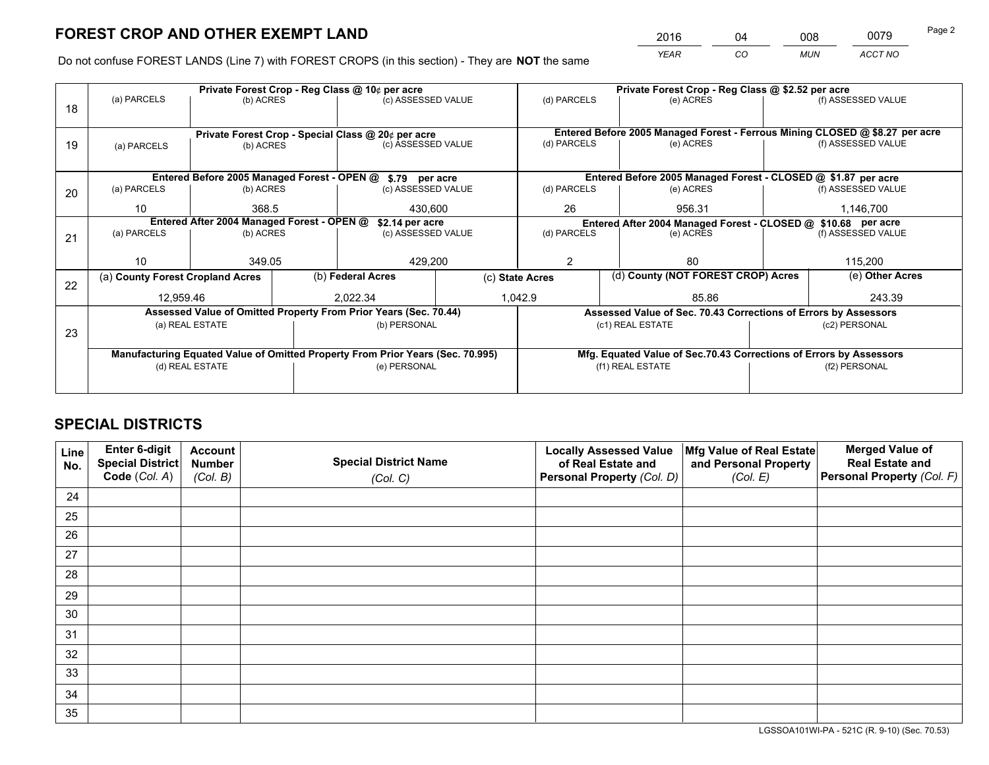*YEAR CO MUN ACCT NO* 2016 04 008 0079

Do not confuse FOREST LANDS (Line 7) with FOREST CROPS (in this section) - They are **NOT** the same

|    |                                  |                                            |           | Private Forest Crop - Reg Class @ 10¢ per acre                                 |                    | Private Forest Crop - Reg Class @ \$2.52 per acre             |  |                                                                    |               |                                                                              |
|----|----------------------------------|--------------------------------------------|-----------|--------------------------------------------------------------------------------|--------------------|---------------------------------------------------------------|--|--------------------------------------------------------------------|---------------|------------------------------------------------------------------------------|
| 18 | (a) PARCELS                      | (b) ACRES                                  |           | (c) ASSESSED VALUE                                                             |                    | (d) PARCELS                                                   |  | (e) ACRES                                                          |               | (f) ASSESSED VALUE                                                           |
|    |                                  |                                            |           |                                                                                |                    |                                                               |  |                                                                    |               |                                                                              |
|    |                                  |                                            |           | Private Forest Crop - Special Class @ 20¢ per acre                             |                    |                                                               |  |                                                                    |               | Entered Before 2005 Managed Forest - Ferrous Mining CLOSED @ \$8.27 per acre |
| 19 | (a) PARCELS                      |                                            | (b) ACRES |                                                                                | (c) ASSESSED VALUE | (d) PARCELS                                                   |  | (e) ACRES                                                          |               | (f) ASSESSED VALUE                                                           |
|    |                                  |                                            |           |                                                                                |                    |                                                               |  |                                                                    |               |                                                                              |
|    |                                  |                                            |           | Entered Before 2005 Managed Forest - OPEN @ \$.79 per acre                     |                    |                                                               |  | Entered Before 2005 Managed Forest - CLOSED @ \$1.87 per acre      |               |                                                                              |
| 20 | (a) PARCELS                      | (b) ACRES                                  |           | (c) ASSESSED VALUE                                                             |                    | (d) PARCELS                                                   |  | (e) ACRES                                                          |               | (f) ASSESSED VALUE                                                           |
|    | 10                               | 368.5                                      |           | 430.600                                                                        |                    | 26                                                            |  | 956.31                                                             | 1,146,700     |                                                                              |
|    |                                  | Entered After 2004 Managed Forest - OPEN @ |           | \$2.14 per acre                                                                |                    | Entered After 2004 Managed Forest - CLOSED @ \$10.68 per acre |  |                                                                    |               |                                                                              |
| 21 | (a) PARCELS                      | (b) ACRES                                  |           | (c) ASSESSED VALUE                                                             |                    | (d) PARCELS<br>(e) ACRES                                      |  | (f) ASSESSED VALUE                                                 |               |                                                                              |
|    |                                  |                                            |           |                                                                                |                    |                                                               |  |                                                                    |               |                                                                              |
|    | 10                               | 349.05                                     |           | 429,200                                                                        |                    | $\overline{2}$                                                |  | 80                                                                 |               | 115,200                                                                      |
| 22 | (a) County Forest Cropland Acres |                                            |           | (b) Federal Acres                                                              |                    | (d) County (NOT FOREST CROP) Acres<br>(c) State Acres         |  | (e) Other Acres                                                    |               |                                                                              |
|    | 12,959.46                        |                                            |           | 2,022.34                                                                       |                    | 1,042.9<br>85.86                                              |  |                                                                    | 243.39        |                                                                              |
|    |                                  |                                            |           | Assessed Value of Omitted Property From Prior Years (Sec. 70.44)               |                    |                                                               |  | Assessed Value of Sec. 70.43 Corrections of Errors by Assessors    |               |                                                                              |
| 23 |                                  | (a) REAL ESTATE                            |           | (b) PERSONAL                                                                   |                    |                                                               |  | (c1) REAL ESTATE                                                   | (c2) PERSONAL |                                                                              |
|    |                                  |                                            |           |                                                                                |                    |                                                               |  |                                                                    |               |                                                                              |
|    |                                  |                                            |           | Manufacturing Equated Value of Omitted Property From Prior Years (Sec. 70.995) |                    |                                                               |  | Mfg. Equated Value of Sec.70.43 Corrections of Errors by Assessors |               |                                                                              |
|    |                                  | (d) REAL ESTATE                            |           | (e) PERSONAL                                                                   |                    | (f1) REAL ESTATE                                              |  |                                                                    | (f2) PERSONAL |                                                                              |
|    |                                  |                                            |           |                                                                                |                    |                                                               |  |                                                                    |               |                                                                              |

## **SPECIAL DISTRICTS**

| Line<br>No. | Enter 6-digit<br>Special District<br>Code (Col. A) | <b>Account</b><br><b>Number</b> | <b>Special District Name</b> | <b>Locally Assessed Value</b><br>of Real Estate and | Mfg Value of Real Estate<br>and Personal Property | <b>Merged Value of</b><br><b>Real Estate and</b><br>Personal Property (Col. F) |
|-------------|----------------------------------------------------|---------------------------------|------------------------------|-----------------------------------------------------|---------------------------------------------------|--------------------------------------------------------------------------------|
|             |                                                    | (Col. B)                        | (Col. C)                     | Personal Property (Col. D)                          | (Col. E)                                          |                                                                                |
| 24          |                                                    |                                 |                              |                                                     |                                                   |                                                                                |
| 25          |                                                    |                                 |                              |                                                     |                                                   |                                                                                |
| 26          |                                                    |                                 |                              |                                                     |                                                   |                                                                                |
| 27          |                                                    |                                 |                              |                                                     |                                                   |                                                                                |
| 28          |                                                    |                                 |                              |                                                     |                                                   |                                                                                |
| 29          |                                                    |                                 |                              |                                                     |                                                   |                                                                                |
| 30          |                                                    |                                 |                              |                                                     |                                                   |                                                                                |
| 31          |                                                    |                                 |                              |                                                     |                                                   |                                                                                |
| 32          |                                                    |                                 |                              |                                                     |                                                   |                                                                                |
| 33          |                                                    |                                 |                              |                                                     |                                                   |                                                                                |
| 34          |                                                    |                                 |                              |                                                     |                                                   |                                                                                |
| 35          |                                                    |                                 |                              |                                                     |                                                   |                                                                                |

LGSSOA101WI-PA - 521C (R. 9-10) (Sec. 70.53)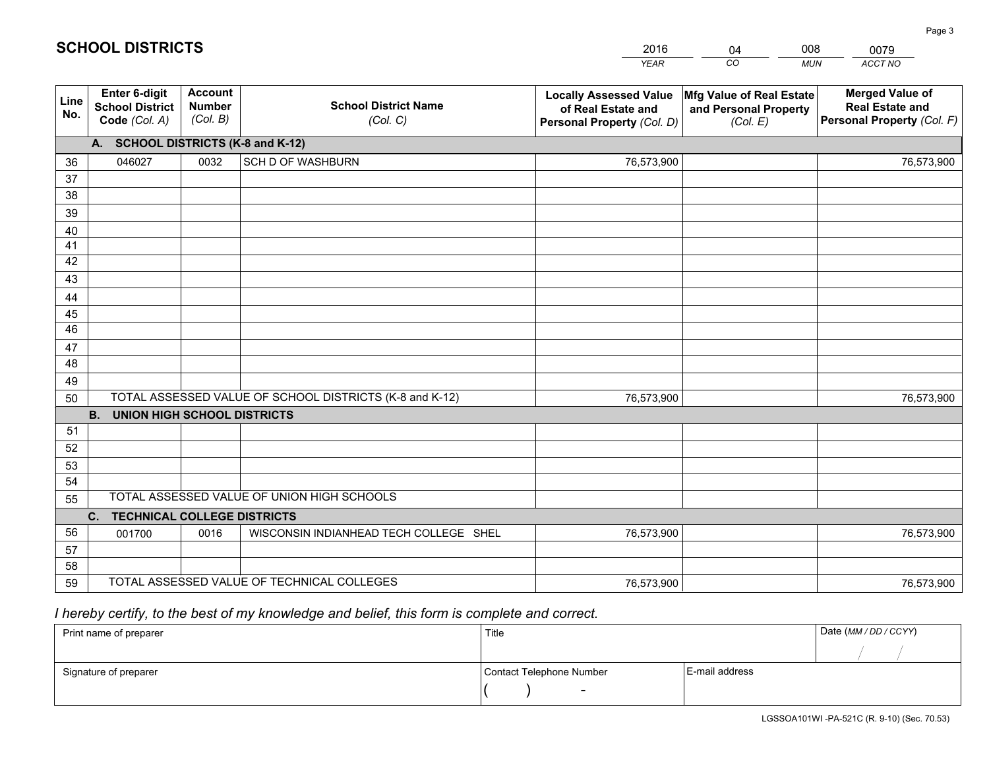|             |                                                          |                                             |                                                         | <b>YEAR</b>                                                                       | CO<br><b>MUN</b>                                              | ACCT NO                                                                        |
|-------------|----------------------------------------------------------|---------------------------------------------|---------------------------------------------------------|-----------------------------------------------------------------------------------|---------------------------------------------------------------|--------------------------------------------------------------------------------|
| Line<br>No. | Enter 6-digit<br><b>School District</b><br>Code (Col. A) | <b>Account</b><br><b>Number</b><br>(Col. B) | <b>School District Name</b><br>(Col. C)                 | <b>Locally Assessed Value</b><br>of Real Estate and<br>Personal Property (Col. D) | Mfg Value of Real Estate<br>and Personal Property<br>(Col. E) | <b>Merged Value of</b><br><b>Real Estate and</b><br>Personal Property (Col. F) |
|             | A. SCHOOL DISTRICTS (K-8 and K-12)                       |                                             |                                                         |                                                                                   |                                                               |                                                                                |
| 36          | 046027                                                   | 0032                                        | <b>SCH D OF WASHBURN</b>                                | 76,573,900                                                                        |                                                               | 76,573,900                                                                     |
| 37          |                                                          |                                             |                                                         |                                                                                   |                                                               |                                                                                |
| 38          |                                                          |                                             |                                                         |                                                                                   |                                                               |                                                                                |
| 39          |                                                          |                                             |                                                         |                                                                                   |                                                               |                                                                                |
| 40          |                                                          |                                             |                                                         |                                                                                   |                                                               |                                                                                |
| 41          |                                                          |                                             |                                                         |                                                                                   |                                                               |                                                                                |
| 42          |                                                          |                                             |                                                         |                                                                                   |                                                               |                                                                                |
| 43          |                                                          |                                             |                                                         |                                                                                   |                                                               |                                                                                |
| 44          |                                                          |                                             |                                                         |                                                                                   |                                                               |                                                                                |
| 45<br>46    |                                                          |                                             |                                                         |                                                                                   |                                                               |                                                                                |
| 47          |                                                          |                                             |                                                         |                                                                                   |                                                               |                                                                                |
| 48          |                                                          |                                             |                                                         |                                                                                   |                                                               |                                                                                |
| 49          |                                                          |                                             |                                                         |                                                                                   |                                                               |                                                                                |
| 50          |                                                          |                                             | TOTAL ASSESSED VALUE OF SCHOOL DISTRICTS (K-8 and K-12) | 76,573,900                                                                        |                                                               | 76,573,900                                                                     |
|             | <b>UNION HIGH SCHOOL DISTRICTS</b><br><b>B.</b>          |                                             |                                                         |                                                                                   |                                                               |                                                                                |
| 51          |                                                          |                                             |                                                         |                                                                                   |                                                               |                                                                                |
| 52          |                                                          |                                             |                                                         |                                                                                   |                                                               |                                                                                |
| 53          |                                                          |                                             |                                                         |                                                                                   |                                                               |                                                                                |
| 54          |                                                          |                                             |                                                         |                                                                                   |                                                               |                                                                                |
| 55          |                                                          |                                             | TOTAL ASSESSED VALUE OF UNION HIGH SCHOOLS              |                                                                                   |                                                               |                                                                                |
|             | <b>TECHNICAL COLLEGE DISTRICTS</b><br>C.                 |                                             |                                                         |                                                                                   |                                                               |                                                                                |
| 56          | 001700                                                   | 0016                                        | WISCONSIN INDIANHEAD TECH COLLEGE SHEL                  | 76,573,900                                                                        |                                                               | 76,573,900                                                                     |
| 57          |                                                          |                                             |                                                         |                                                                                   |                                                               |                                                                                |
| 58          |                                                          |                                             |                                                         |                                                                                   |                                                               |                                                                                |
| 59          |                                                          |                                             | TOTAL ASSESSED VALUE OF TECHNICAL COLLEGES              | 76,573,900                                                                        |                                                               | 76,573,900                                                                     |

04

008

## *I hereby certify, to the best of my knowledge and belief, this form is complete and correct.*

**SCHOOL DISTRICTS**

| Print name of preparer | Title                    |                | Date (MM / DD / CCYY) |
|------------------------|--------------------------|----------------|-----------------------|
|                        |                          |                |                       |
| Signature of preparer  | Contact Telephone Number | E-mail address |                       |
|                        | $\sim$                   |                |                       |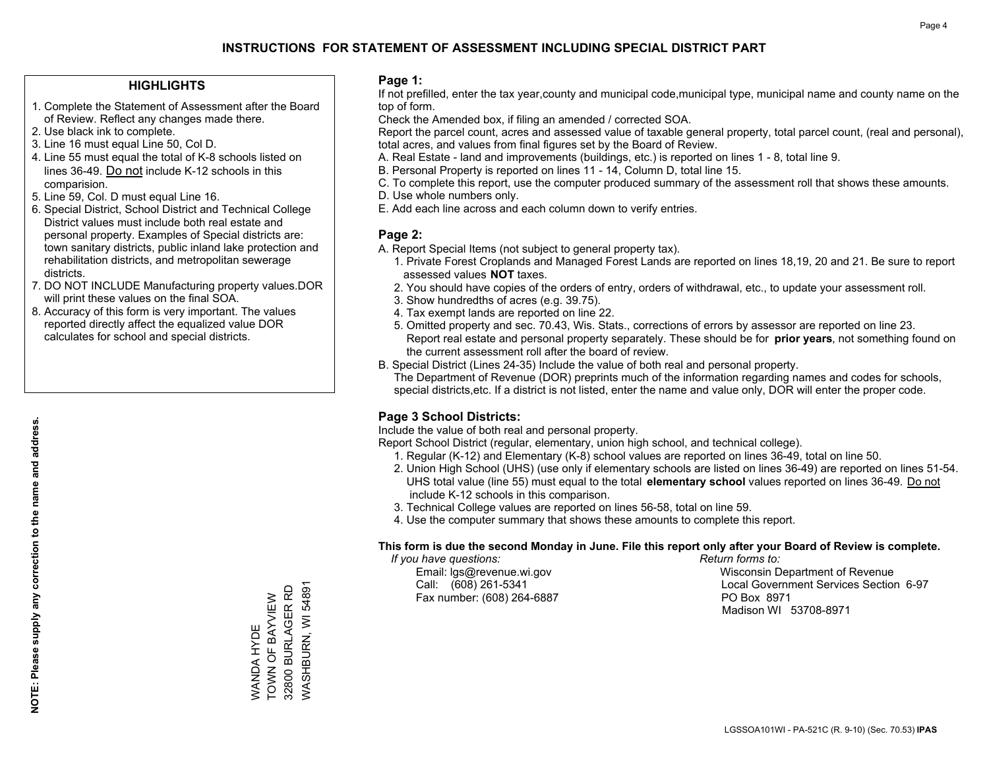#### **HIGHLIGHTS**

- 1. Complete the Statement of Assessment after the Board of Review. Reflect any changes made there.
- 2. Use black ink to complete.
- 3. Line 16 must equal Line 50, Col D.
- 4. Line 55 must equal the total of K-8 schools listed on lines 36-49. Do not include K-12 schools in this comparision.
- 5. Line 59, Col. D must equal Line 16.
- 6. Special District, School District and Technical College District values must include both real estate and personal property. Examples of Special districts are: town sanitary districts, public inland lake protection and rehabilitation districts, and metropolitan sewerage districts.
- 7. DO NOT INCLUDE Manufacturing property values.DOR will print these values on the final SOA.
- 8. Accuracy of this form is very important. The values reported directly affect the equalized value DOR calculates for school and special districts.

#### **Page 1:**

 If not prefilled, enter the tax year,county and municipal code,municipal type, municipal name and county name on the top of form.

Check the Amended box, if filing an amended / corrected SOA.

 Report the parcel count, acres and assessed value of taxable general property, total parcel count, (real and personal), total acres, and values from final figures set by the Board of Review.

- A. Real Estate land and improvements (buildings, etc.) is reported on lines 1 8, total line 9.
- B. Personal Property is reported on lines 11 14, Column D, total line 15.
- C. To complete this report, use the computer produced summary of the assessment roll that shows these amounts.
- D. Use whole numbers only.
- E. Add each line across and each column down to verify entries.

#### **Page 2:**

- A. Report Special Items (not subject to general property tax).
- 1. Private Forest Croplands and Managed Forest Lands are reported on lines 18,19, 20 and 21. Be sure to report assessed values **NOT** taxes.
- 2. You should have copies of the orders of entry, orders of withdrawal, etc., to update your assessment roll.
	- 3. Show hundredths of acres (e.g. 39.75).
- 4. Tax exempt lands are reported on line 22.
- 5. Omitted property and sec. 70.43, Wis. Stats., corrections of errors by assessor are reported on line 23. Report real estate and personal property separately. These should be for **prior years**, not something found on the current assessment roll after the board of review.
- B. Special District (Lines 24-35) Include the value of both real and personal property.

 The Department of Revenue (DOR) preprints much of the information regarding names and codes for schools, special districts,etc. If a district is not listed, enter the name and value only, DOR will enter the proper code.

### **Page 3 School Districts:**

Include the value of both real and personal property.

Report School District (regular, elementary, union high school, and technical college).

- 1. Regular (K-12) and Elementary (K-8) school values are reported on lines 36-49, total on line 50.
- 2. Union High School (UHS) (use only if elementary schools are listed on lines 36-49) are reported on lines 51-54. UHS total value (line 55) must equal to the total **elementary school** values reported on lines 36-49. Do notinclude K-12 schools in this comparison.
- 3. Technical College values are reported on lines 56-58, total on line 59.
- 4. Use the computer summary that shows these amounts to complete this report.

#### **This form is due the second Monday in June. File this report only after your Board of Review is complete.**

 *If you have questions: Return forms to:*

Fax number: (608) 264-6887 PO Box 8971

 Email: lgs@revenue.wi.gov Wisconsin Department of Revenue Call: (608) 261-5341 Local Government Services Section 6-97Madison WI 53708-8971

32800 BURLAGER RD 32800 BURLAGER RD TOWN OF BAYVIEW WANDA HYDE<br>TOWN OF BAYVIEW WANDA HYDE

WASHBURN, WI 54891

/VASHBURN, WI 54891

**NOTE: Please supply any correction to the name and address.**

NOTE: Please supply any correction to the name and address.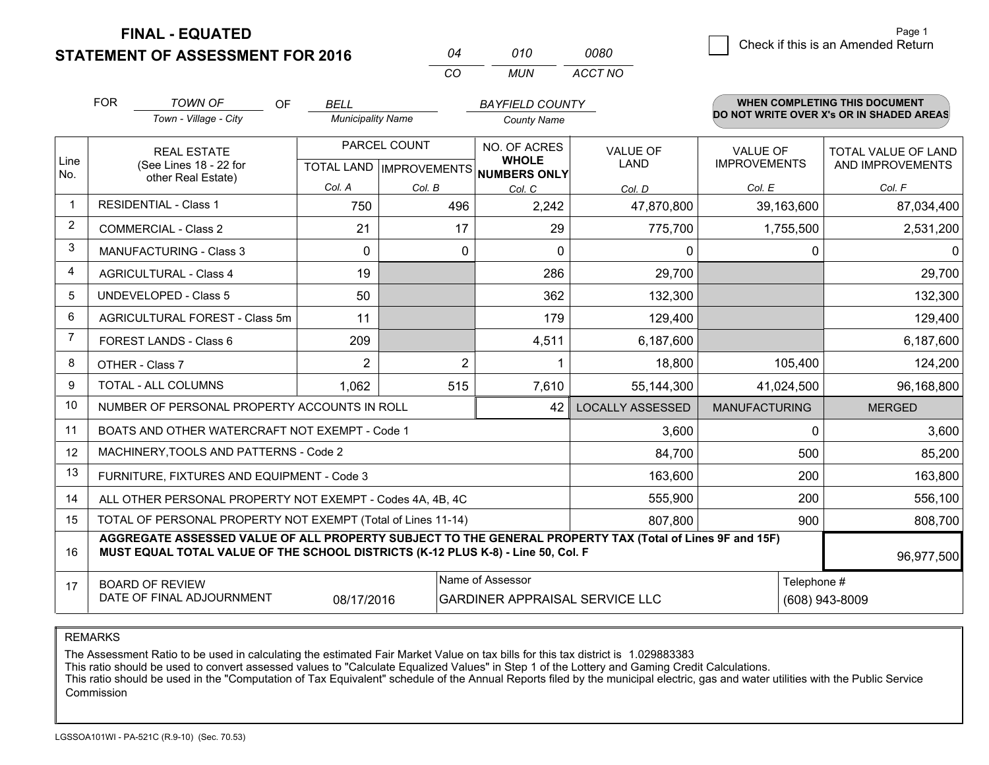**STATEMENT OF ASSESSMENT FOR 2016 FINAL - EQUATED**

|   | Page 1                             |
|---|------------------------------------|
| 0 | Check if this is an Amended Return |
|   |                                    |

| ∩4 | 010 | 0080    |
|----|-----|---------|
| CO | MUN | ACCT NO |

|                | <b>FOR</b>                                                                                                                                                                                   | <b>TOWN OF</b><br>OF                                         | <b>BELL</b>              |                                                  | <b>BAYFIELD COUNTY</b>                       |                         |                                        | <b>WHEN COMPLETING THIS DOCUMENT</b>           |
|----------------|----------------------------------------------------------------------------------------------------------------------------------------------------------------------------------------------|--------------------------------------------------------------|--------------------------|--------------------------------------------------|----------------------------------------------|-------------------------|----------------------------------------|------------------------------------------------|
|                |                                                                                                                                                                                              | Town - Village - City                                        | <b>Municipality Name</b> |                                                  | <b>County Name</b>                           |                         |                                        | DO NOT WRITE OVER X's OR IN SHADED AREAS       |
| Line<br>No.    |                                                                                                                                                                                              | <b>REAL ESTATE</b><br>(See Lines 18 - 22 for                 |                          | PARCEL COUNT<br><b>TOTAL LAND   IMPROVEMENTS</b> | NO. OF ACRES<br><b>WHOLE</b><br>NUMBERS ONLY | <b>VALUE OF</b><br>LAND | <b>VALUE OF</b><br><b>IMPROVEMENTS</b> | <b>TOTAL VALUE OF LAND</b><br>AND IMPROVEMENTS |
|                |                                                                                                                                                                                              | other Real Estate)                                           | Col. A                   | Col. B                                           | Col. C                                       | Col. D                  | Col. E                                 | Col. F                                         |
| $\mathbf 1$    |                                                                                                                                                                                              | <b>RESIDENTIAL - Class 1</b>                                 | 750                      | 496                                              | 2,242                                        | 47,870,800              | 39,163,600                             | 87,034,400                                     |
| $\overline{2}$ |                                                                                                                                                                                              | <b>COMMERCIAL - Class 2</b>                                  | 21                       | 17                                               | 29                                           | 775,700                 | 1,755,500                              | 2,531,200                                      |
| 3              |                                                                                                                                                                                              | <b>MANUFACTURING - Class 3</b>                               | 0                        | $\Omega$                                         | $\Omega$                                     | 0                       | 0                                      |                                                |
| 4              |                                                                                                                                                                                              | <b>AGRICULTURAL - Class 4</b>                                | 19                       |                                                  | 286                                          | 29,700                  |                                        | 29,700                                         |
| 5              |                                                                                                                                                                                              | <b>UNDEVELOPED - Class 5</b>                                 | 50                       |                                                  | 362                                          | 132,300                 |                                        | 132,300                                        |
| 6              |                                                                                                                                                                                              | AGRICULTURAL FOREST - Class 5m                               | 11                       |                                                  | 179                                          | 129,400                 |                                        | 129,400                                        |
| $\overline{7}$ |                                                                                                                                                                                              | FOREST LANDS - Class 6                                       | 209                      |                                                  | 4,511                                        | 6,187,600               |                                        | 6,187,600                                      |
| 8              |                                                                                                                                                                                              | OTHER - Class 7                                              | 2                        | $\overline{2}$                                   |                                              | 18,800                  | 105,400                                | 124,200                                        |
| 9              |                                                                                                                                                                                              | TOTAL - ALL COLUMNS                                          | 1,062                    | 515                                              | 7,610                                        | 55,144,300              | 41,024,500                             | 96,168,800                                     |
| 10             |                                                                                                                                                                                              | NUMBER OF PERSONAL PROPERTY ACCOUNTS IN ROLL                 |                          |                                                  | 42                                           | <b>LOCALLY ASSESSED</b> | <b>MANUFACTURING</b>                   | <b>MERGED</b>                                  |
| 11             |                                                                                                                                                                                              | BOATS AND OTHER WATERCRAFT NOT EXEMPT - Code 1               |                          |                                                  |                                              | 3,600                   | $\Omega$                               | 3,600                                          |
| 12             |                                                                                                                                                                                              | MACHINERY, TOOLS AND PATTERNS - Code 2                       |                          |                                                  |                                              | 84,700                  | 500                                    | 85,200                                         |
| 13             |                                                                                                                                                                                              | FURNITURE, FIXTURES AND EQUIPMENT - Code 3                   |                          |                                                  |                                              | 163,600                 | 200                                    | 163,800                                        |
| 14             |                                                                                                                                                                                              | ALL OTHER PERSONAL PROPERTY NOT EXEMPT - Codes 4A, 4B, 4C    |                          |                                                  |                                              | 555,900                 | 200                                    | 556,100                                        |
| 15             |                                                                                                                                                                                              | TOTAL OF PERSONAL PROPERTY NOT EXEMPT (Total of Lines 11-14) |                          |                                                  |                                              | 807,800                 | 900                                    | 808,700                                        |
| 16             | AGGREGATE ASSESSED VALUE OF ALL PROPERTY SUBJECT TO THE GENERAL PROPERTY TAX (Total of Lines 9F and 15F)<br>MUST EQUAL TOTAL VALUE OF THE SCHOOL DISTRICTS (K-12 PLUS K-8) - Line 50, Col. F |                                                              |                          |                                                  |                                              |                         |                                        | 96,977,500                                     |
| 17             | Name of Assessor<br>Telephone #<br><b>BOARD OF REVIEW</b><br>DATE OF FINAL ADJOURNMENT<br>08/17/2016<br><b>GARDINER APPRAISAL SERVICE LLC</b>                                                |                                                              |                          |                                                  |                                              | (608) 943-8009          |                                        |                                                |

### REMARKS

The Assessment Ratio to be used in calculating the estimated Fair Market Value on tax bills for this tax district is 1.029883383<br>This ratio should be used to convert assessed values to "Calculate Equalized Values" in Step Commission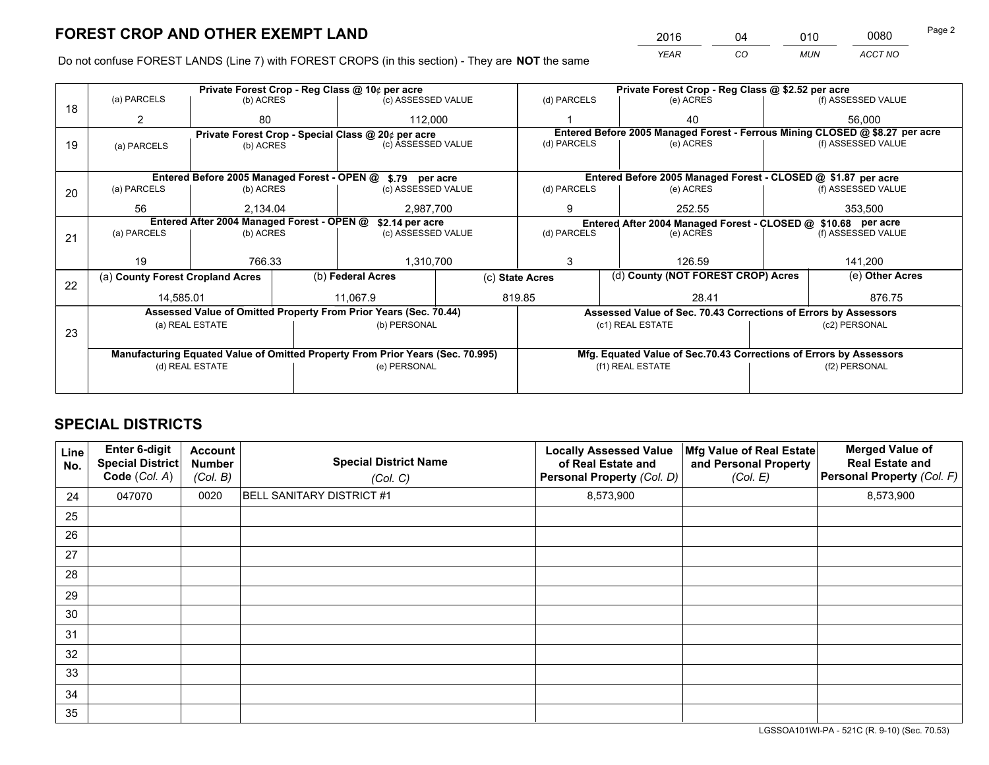*YEAR CO MUN ACCT NO* <sup>2016</sup> <sup>04</sup> <sup>010</sup> <sup>0080</sup>

Do not confuse FOREST LANDS (Line 7) with FOREST CROPS (in this section) - They are **NOT** the same

|    |                                                                                |                                            |  | Private Forest Crop - Reg Class @ 10¢ per acre                   |                 | Private Forest Crop - Reg Class @ \$2.52 per acre             |  |                                                                    |               |                                                                              |
|----|--------------------------------------------------------------------------------|--------------------------------------------|--|------------------------------------------------------------------|-----------------|---------------------------------------------------------------|--|--------------------------------------------------------------------|---------------|------------------------------------------------------------------------------|
| 18 | (a) PARCELS                                                                    | (b) ACRES                                  |  | (c) ASSESSED VALUE                                               |                 | (d) PARCELS                                                   |  | (e) ACRES                                                          |               | (f) ASSESSED VALUE                                                           |
|    | 2                                                                              | 80                                         |  |                                                                  | 112,000         |                                                               |  | 40                                                                 |               | 56,000                                                                       |
|    |                                                                                |                                            |  | Private Forest Crop - Special Class @ 20¢ per acre               |                 |                                                               |  |                                                                    |               | Entered Before 2005 Managed Forest - Ferrous Mining CLOSED @ \$8.27 per acre |
| 19 | (a) PARCELS                                                                    | (b) ACRES                                  |  | (c) ASSESSED VALUE                                               |                 | (d) PARCELS                                                   |  | (e) ACRES                                                          |               | (f) ASSESSED VALUE                                                           |
|    |                                                                                |                                            |  |                                                                  |                 |                                                               |  |                                                                    |               |                                                                              |
|    |                                                                                |                                            |  | Entered Before 2005 Managed Forest - OPEN @ \$.79 per acre       |                 |                                                               |  | Entered Before 2005 Managed Forest - CLOSED @ \$1.87 per acre      |               |                                                                              |
| 20 | (a) PARCELS                                                                    | (b) ACRES                                  |  | (c) ASSESSED VALUE                                               |                 | (d) PARCELS                                                   |  | (e) ACRES                                                          |               | (f) ASSESSED VALUE                                                           |
|    | 56                                                                             | 2.134.04                                   |  | 2.987.700                                                        |                 | 9                                                             |  | 252.55                                                             |               | 353,500                                                                      |
|    |                                                                                | Entered After 2004 Managed Forest - OPEN @ |  |                                                                  |                 | Entered After 2004 Managed Forest - CLOSED @ \$10.68 per acre |  |                                                                    |               |                                                                              |
|    | (a) PARCELS                                                                    | (b) ACRES                                  |  | \$2.14 per acre<br>(c) ASSESSED VALUE                            |                 | (d) PARCELS<br>(e) ACRES                                      |  | (f) ASSESSED VALUE                                                 |               |                                                                              |
| 21 |                                                                                |                                            |  |                                                                  |                 |                                                               |  |                                                                    |               |                                                                              |
|    | 19                                                                             | 766.33                                     |  | 1,310,700                                                        |                 | 3<br>126.59                                                   |  |                                                                    |               | 141,200                                                                      |
|    |                                                                                |                                            |  |                                                                  |                 |                                                               |  |                                                                    |               |                                                                              |
| 22 | (a) County Forest Cropland Acres                                               |                                            |  | (b) Federal Acres                                                | (c) State Acres |                                                               |  | (d) County (NOT FOREST CROP) Acres                                 |               | (e) Other Acres                                                              |
|    | 14,585.01                                                                      |                                            |  | 11,067.9                                                         |                 | 819.85<br>28.41                                               |  |                                                                    |               | 876.75                                                                       |
|    |                                                                                |                                            |  | Assessed Value of Omitted Property From Prior Years (Sec. 70.44) |                 |                                                               |  | Assessed Value of Sec. 70.43 Corrections of Errors by Assessors    |               |                                                                              |
|    |                                                                                | (a) REAL ESTATE                            |  | (b) PERSONAL                                                     |                 |                                                               |  | (c1) REAL ESTATE                                                   |               | (c2) PERSONAL                                                                |
| 23 |                                                                                |                                            |  |                                                                  |                 |                                                               |  |                                                                    |               |                                                                              |
|    | Manufacturing Equated Value of Omitted Property From Prior Years (Sec. 70.995) |                                            |  |                                                                  |                 |                                                               |  | Mfg. Equated Value of Sec.70.43 Corrections of Errors by Assessors |               |                                                                              |
|    |                                                                                | (d) REAL ESTATE                            |  | (e) PERSONAL                                                     |                 | (f1) REAL ESTATE                                              |  |                                                                    | (f2) PERSONAL |                                                                              |
|    |                                                                                |                                            |  |                                                                  |                 |                                                               |  |                                                                    |               |                                                                              |
|    |                                                                                |                                            |  |                                                                  |                 |                                                               |  |                                                                    |               |                                                                              |

## **SPECIAL DISTRICTS**

| Line<br>No. | Enter 6-digit<br><b>Special District</b><br>Code (Col. A) | <b>Account</b><br><b>Number</b><br>(Col. B) | <b>Special District Name</b><br>(Col. C) | <b>Locally Assessed Value</b><br>of Real Estate and<br>Personal Property (Col. D) | Mfg Value of Real Estate<br>and Personal Property<br>(Col. E) | <b>Merged Value of</b><br><b>Real Estate and</b><br>Personal Property (Col. F) |
|-------------|-----------------------------------------------------------|---------------------------------------------|------------------------------------------|-----------------------------------------------------------------------------------|---------------------------------------------------------------|--------------------------------------------------------------------------------|
| 24          | 047070                                                    | 0020                                        | <b>BELL SANITARY DISTRICT #1</b>         | 8,573,900                                                                         |                                                               | 8,573,900                                                                      |
| 25          |                                                           |                                             |                                          |                                                                                   |                                                               |                                                                                |
| 26          |                                                           |                                             |                                          |                                                                                   |                                                               |                                                                                |
| 27          |                                                           |                                             |                                          |                                                                                   |                                                               |                                                                                |
| 28          |                                                           |                                             |                                          |                                                                                   |                                                               |                                                                                |
| 29          |                                                           |                                             |                                          |                                                                                   |                                                               |                                                                                |
| 30          |                                                           |                                             |                                          |                                                                                   |                                                               |                                                                                |
| 31          |                                                           |                                             |                                          |                                                                                   |                                                               |                                                                                |
| 32          |                                                           |                                             |                                          |                                                                                   |                                                               |                                                                                |
| 33          |                                                           |                                             |                                          |                                                                                   |                                                               |                                                                                |
| 34          |                                                           |                                             |                                          |                                                                                   |                                                               |                                                                                |
| 35          |                                                           |                                             |                                          |                                                                                   |                                                               |                                                                                |

LGSSOA101WI-PA - 521C (R. 9-10) (Sec. 70.53)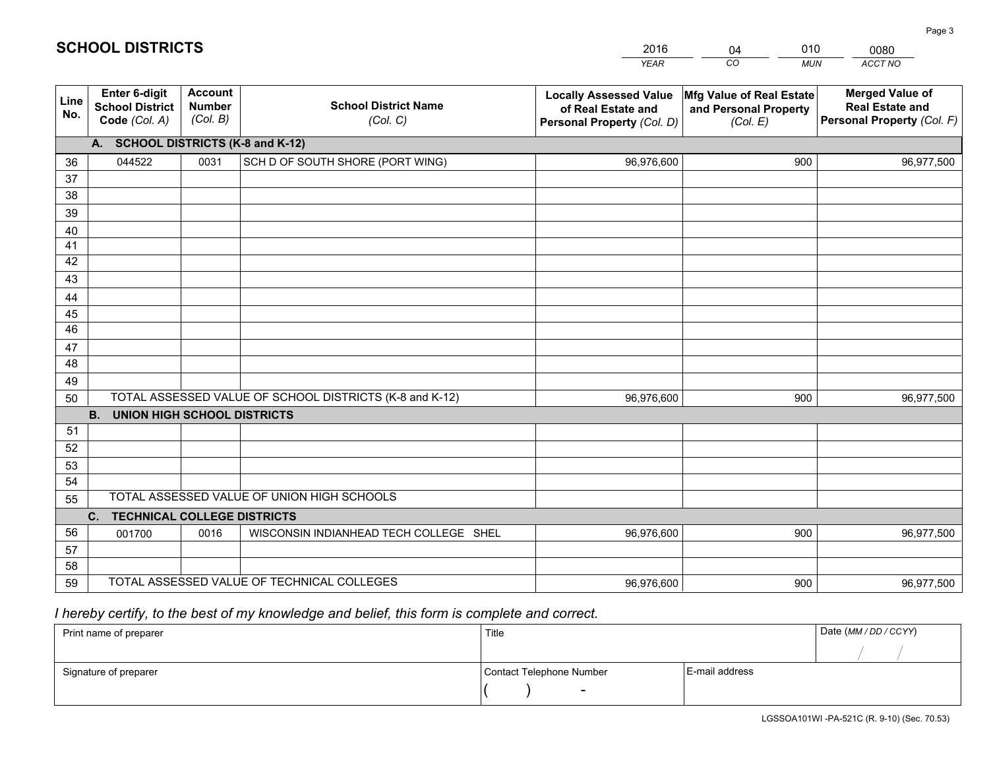|             |                                                                 |                                             |                                                         | <b>YEAR</b>                                                                       | CO<br><b>MUN</b>                                              | <b>ACCT NO</b>                                                                 |
|-------------|-----------------------------------------------------------------|---------------------------------------------|---------------------------------------------------------|-----------------------------------------------------------------------------------|---------------------------------------------------------------|--------------------------------------------------------------------------------|
| Line<br>No. | <b>Enter 6-digit</b><br><b>School District</b><br>Code (Col. A) | <b>Account</b><br><b>Number</b><br>(Col. B) | <b>School District Name</b><br>(Col. C)                 | <b>Locally Assessed Value</b><br>of Real Estate and<br>Personal Property (Col. D) | Mfg Value of Real Estate<br>and Personal Property<br>(Col. E) | <b>Merged Value of</b><br><b>Real Estate and</b><br>Personal Property (Col. F) |
|             | A. SCHOOL DISTRICTS (K-8 and K-12)                              |                                             |                                                         |                                                                                   |                                                               |                                                                                |
| 36          | 044522                                                          | 0031                                        | SCH D OF SOUTH SHORE (PORT WING)                        | 96,976,600                                                                        | 900                                                           | 96,977,500                                                                     |
| 37          |                                                                 |                                             |                                                         |                                                                                   |                                                               |                                                                                |
| 38          |                                                                 |                                             |                                                         |                                                                                   |                                                               |                                                                                |
| 39          |                                                                 |                                             |                                                         |                                                                                   |                                                               |                                                                                |
| 40          |                                                                 |                                             |                                                         |                                                                                   |                                                               |                                                                                |
| 41<br>42    |                                                                 |                                             |                                                         |                                                                                   |                                                               |                                                                                |
| 43          |                                                                 |                                             |                                                         |                                                                                   |                                                               |                                                                                |
| 44          |                                                                 |                                             |                                                         |                                                                                   |                                                               |                                                                                |
| 45          |                                                                 |                                             |                                                         |                                                                                   |                                                               |                                                                                |
| 46          |                                                                 |                                             |                                                         |                                                                                   |                                                               |                                                                                |
| 47          |                                                                 |                                             |                                                         |                                                                                   |                                                               |                                                                                |
| 48          |                                                                 |                                             |                                                         |                                                                                   |                                                               |                                                                                |
| 49          |                                                                 |                                             |                                                         |                                                                                   |                                                               |                                                                                |
| 50          |                                                                 |                                             | TOTAL ASSESSED VALUE OF SCHOOL DISTRICTS (K-8 and K-12) | 96,976,600                                                                        | 900                                                           | 96,977,500                                                                     |
|             | <b>B.</b><br><b>UNION HIGH SCHOOL DISTRICTS</b>                 |                                             |                                                         |                                                                                   |                                                               |                                                                                |
| 51          |                                                                 |                                             |                                                         |                                                                                   |                                                               |                                                                                |
| 52          |                                                                 |                                             |                                                         |                                                                                   |                                                               |                                                                                |
| 53          |                                                                 |                                             |                                                         |                                                                                   |                                                               |                                                                                |
| 54          |                                                                 |                                             | TOTAL ASSESSED VALUE OF UNION HIGH SCHOOLS              |                                                                                   |                                                               |                                                                                |
| 55          |                                                                 |                                             |                                                         |                                                                                   |                                                               |                                                                                |
| 56          | C.<br><b>TECHNICAL COLLEGE DISTRICTS</b><br>001700              | 0016                                        | WISCONSIN INDIANHEAD TECH COLLEGE SHEL                  | 96,976,600                                                                        | 900                                                           | 96,977,500                                                                     |
| 57          |                                                                 |                                             |                                                         |                                                                                   |                                                               |                                                                                |
| 58          |                                                                 |                                             |                                                         |                                                                                   |                                                               |                                                                                |
| 59          |                                                                 |                                             | TOTAL ASSESSED VALUE OF TECHNICAL COLLEGES              | 96,976,600                                                                        | 900                                                           | 96,977,500                                                                     |

04

010

## *I hereby certify, to the best of my knowledge and belief, this form is complete and correct.*

**SCHOOL DISTRICTS**

| Print name of preparer | Title                    |                | Date (MM / DD / CCYY) |
|------------------------|--------------------------|----------------|-----------------------|
|                        |                          |                |                       |
| Signature of preparer  | Contact Telephone Number | E-mail address |                       |
|                        | $\overline{\phantom{0}}$ |                |                       |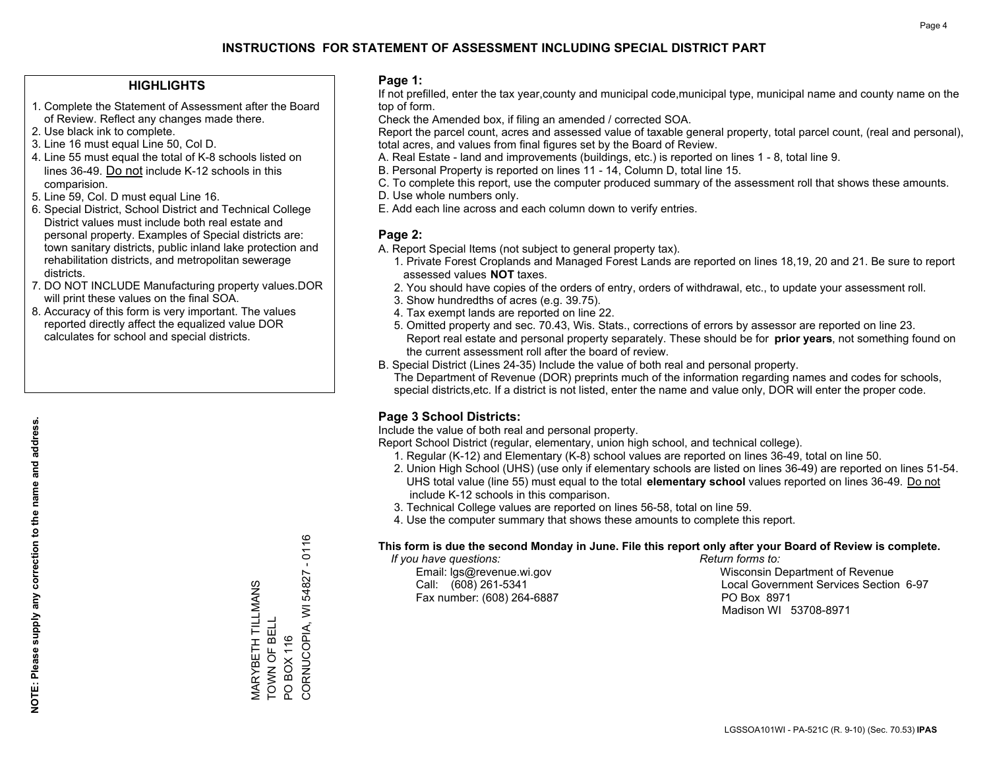#### **HIGHLIGHTS**

- 1. Complete the Statement of Assessment after the Board of Review. Reflect any changes made there.
- 2. Use black ink to complete.
- 3. Line 16 must equal Line 50, Col D.
- 4. Line 55 must equal the total of K-8 schools listed on lines 36-49. Do not include K-12 schools in this comparision.
- 5. Line 59, Col. D must equal Line 16.
- 6. Special District, School District and Technical College District values must include both real estate and personal property. Examples of Special districts are: town sanitary districts, public inland lake protection and rehabilitation districts, and metropolitan sewerage districts.
- 7. DO NOT INCLUDE Manufacturing property values.DOR will print these values on the final SOA.

MARYBETH TILLMANS TOWN OF BELL PO BOX 116

MARYBETH TILLMANS<br>TOWN OF BELL

CORNUCOPIA, WI 54827 - 0116

CORNUCOPIA, WI PO BOX 116

 $-0116$ 

54827

 8. Accuracy of this form is very important. The values reported directly affect the equalized value DOR calculates for school and special districts.

#### **Page 1:**

 If not prefilled, enter the tax year,county and municipal code,municipal type, municipal name and county name on the top of form.

Check the Amended box, if filing an amended / corrected SOA.

 Report the parcel count, acres and assessed value of taxable general property, total parcel count, (real and personal), total acres, and values from final figures set by the Board of Review.

- A. Real Estate land and improvements (buildings, etc.) is reported on lines 1 8, total line 9.
- B. Personal Property is reported on lines 11 14, Column D, total line 15.
- C. To complete this report, use the computer produced summary of the assessment roll that shows these amounts.
- D. Use whole numbers only.
- E. Add each line across and each column down to verify entries.

#### **Page 2:**

- A. Report Special Items (not subject to general property tax).
- 1. Private Forest Croplands and Managed Forest Lands are reported on lines 18,19, 20 and 21. Be sure to report assessed values **NOT** taxes.
- 2. You should have copies of the orders of entry, orders of withdrawal, etc., to update your assessment roll.
	- 3. Show hundredths of acres (e.g. 39.75).
- 4. Tax exempt lands are reported on line 22.
- 5. Omitted property and sec. 70.43, Wis. Stats., corrections of errors by assessor are reported on line 23. Report real estate and personal property separately. These should be for **prior years**, not something found on the current assessment roll after the board of review.
- B. Special District (Lines 24-35) Include the value of both real and personal property.
- The Department of Revenue (DOR) preprints much of the information regarding names and codes for schools, special districts,etc. If a district is not listed, enter the name and value only, DOR will enter the proper code.

### **Page 3 School Districts:**

Include the value of both real and personal property.

Report School District (regular, elementary, union high school, and technical college).

- 1. Regular (K-12) and Elementary (K-8) school values are reported on lines 36-49, total on line 50.
- 2. Union High School (UHS) (use only if elementary schools are listed on lines 36-49) are reported on lines 51-54. UHS total value (line 55) must equal to the total **elementary school** values reported on lines 36-49. Do notinclude K-12 schools in this comparison.
- 3. Technical College values are reported on lines 56-58, total on line 59.
- 4. Use the computer summary that shows these amounts to complete this report.

#### **This form is due the second Monday in June. File this report only after your Board of Review is complete.**

 *If you have questions: Return forms to:*

Fax number: (608) 264-6887 PO Box 8971

 Email: lgs@revenue.wi.gov Wisconsin Department of Revenue Call: (608) 261-5341 Local Government Services Section 6-97Madison WI 53708-8971

LGSSOA101WI - PA-521C (R. 9-10) (Sec. 70.53) **IPAS**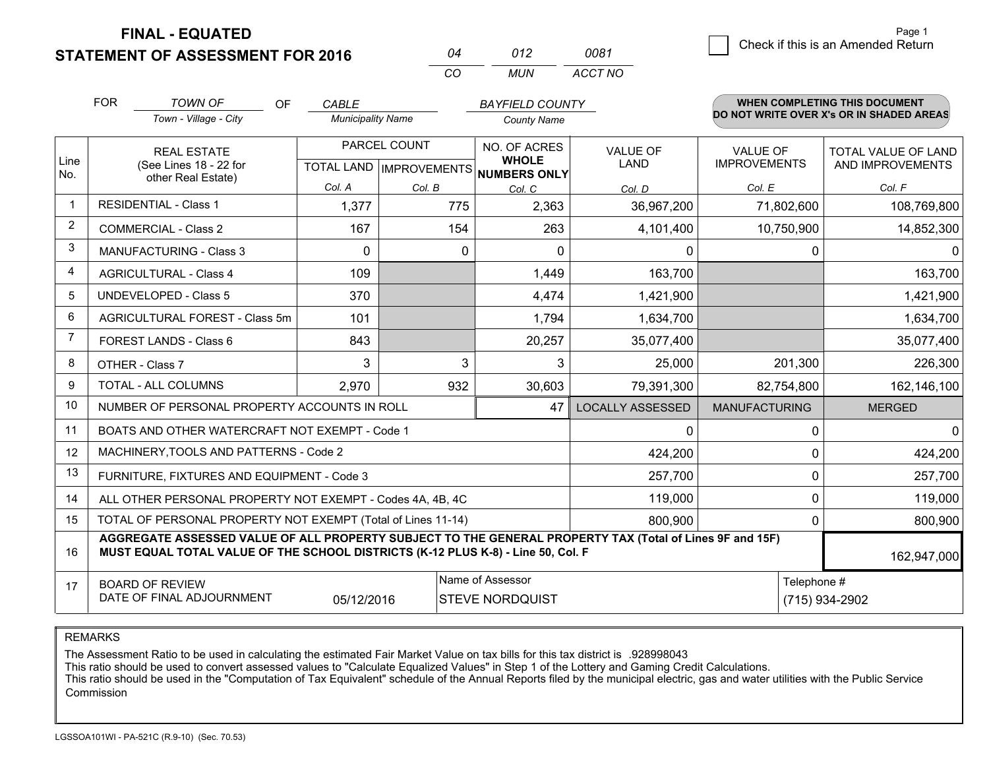**FINAL - EQUATED**

**STATEMENT OF ASSESSMENT FOR 2016** 

|          | N12  | 0081    |
|----------|------|---------|
| $\cdots$ | MUN. | ACCT NO |

|                | <b>FOR</b>                                                                                                                                                                                   | <b>TOWN OF</b><br>OF                                         | <b>CABLE</b>             |                           | <b>BAYFIELD COUNTY</b>              |                         |                      | <b>WHEN COMPLETING THIS DOCUMENT</b>     |
|----------------|----------------------------------------------------------------------------------------------------------------------------------------------------------------------------------------------|--------------------------------------------------------------|--------------------------|---------------------------|-------------------------------------|-------------------------|----------------------|------------------------------------------|
|                |                                                                                                                                                                                              | Town - Village - City                                        | <b>Municipality Name</b> |                           | <b>County Name</b>                  |                         |                      | DO NOT WRITE OVER X's OR IN SHADED AREAS |
|                |                                                                                                                                                                                              | <b>REAL ESTATE</b>                                           |                          | PARCEL COUNT              | NO. OF ACRES                        | <b>VALUE OF</b>         | <b>VALUE OF</b>      | TOTAL VALUE OF LAND                      |
| Line<br>No.    |                                                                                                                                                                                              | (See Lines 18 - 22 for<br>other Real Estate)                 |                          | TOTAL LAND   IMPROVEMENTS | <b>WHOLE</b><br><b>NUMBERS ONLY</b> | <b>LAND</b>             | <b>IMPROVEMENTS</b>  | AND IMPROVEMENTS                         |
|                |                                                                                                                                                                                              |                                                              | Col. A                   | Col. B                    | Col. C                              | Col. D                  | Col. E               | Col. F                                   |
| $\mathbf 1$    |                                                                                                                                                                                              | <b>RESIDENTIAL - Class 1</b>                                 | 1,377                    | 775                       | 2,363                               | 36,967,200              | 71,802,600           | 108,769,800                              |
| $\overline{2}$ |                                                                                                                                                                                              | <b>COMMERCIAL - Class 2</b>                                  | 167                      | 154                       | 263                                 | 4,101,400               | 10,750,900           | 14,852,300                               |
| 3              |                                                                                                                                                                                              | <b>MANUFACTURING - Class 3</b>                               | $\Omega$                 | 0                         | $\Omega$                            | 0                       | 0                    | 0                                        |
| $\overline{4}$ |                                                                                                                                                                                              | <b>AGRICULTURAL - Class 4</b>                                | 109                      |                           | 1,449                               | 163,700                 |                      | 163,700                                  |
| 5              |                                                                                                                                                                                              | <b>UNDEVELOPED - Class 5</b>                                 | 370                      |                           | 4,474                               | 1,421,900               |                      | 1,421,900                                |
| 6              | AGRICULTURAL FOREST - Class 5m                                                                                                                                                               |                                                              | 101                      |                           | 1,794                               | 1,634,700               |                      | 1,634,700                                |
| $\overline{7}$ | FOREST LANDS - Class 6                                                                                                                                                                       |                                                              | 843                      |                           | 20,257                              | 35,077,400              |                      | 35,077,400                               |
| 8              |                                                                                                                                                                                              | OTHER - Class 7                                              | 3                        | 3                         | 3                                   | 25,000                  | 201,300              | 226,300                                  |
| 9              |                                                                                                                                                                                              | TOTAL - ALL COLUMNS                                          | 2,970                    | 932                       | 30,603                              | 79,391,300              | 82,754,800           | 162,146,100                              |
| 10             |                                                                                                                                                                                              | NUMBER OF PERSONAL PROPERTY ACCOUNTS IN ROLL                 |                          |                           | 47                                  | <b>LOCALLY ASSESSED</b> | <b>MANUFACTURING</b> | <b>MERGED</b>                            |
| 11             |                                                                                                                                                                                              | BOATS AND OTHER WATERCRAFT NOT EXEMPT - Code 1               |                          |                           |                                     | $\Omega$                | 0                    | $\Omega$                                 |
| 12             |                                                                                                                                                                                              | MACHINERY, TOOLS AND PATTERNS - Code 2                       |                          |                           |                                     | 424,200                 | $\Omega$             | 424,200                                  |
| 13             |                                                                                                                                                                                              | FURNITURE, FIXTURES AND EQUIPMENT - Code 3                   |                          |                           |                                     | 257,700                 | 0                    | 257,700                                  |
| 14             |                                                                                                                                                                                              | ALL OTHER PERSONAL PROPERTY NOT EXEMPT - Codes 4A, 4B, 4C    |                          |                           |                                     | 119,000                 | 0                    | 119,000                                  |
| 15             |                                                                                                                                                                                              | TOTAL OF PERSONAL PROPERTY NOT EXEMPT (Total of Lines 11-14) |                          |                           |                                     | 800,900                 | 0                    | 800,900                                  |
| 16             | AGGREGATE ASSESSED VALUE OF ALL PROPERTY SUBJECT TO THE GENERAL PROPERTY TAX (Total of Lines 9F and 15F)<br>MUST EQUAL TOTAL VALUE OF THE SCHOOL DISTRICTS (K-12 PLUS K-8) - Line 50, Col. F |                                                              |                          |                           |                                     |                         |                      | 162,947,000                              |
| 17             |                                                                                                                                                                                              | <b>BOARD OF REVIEW</b>                                       |                          |                           | Name of Assessor                    |                         | Telephone #          |                                          |
|                |                                                                                                                                                                                              | DATE OF FINAL ADJOURNMENT                                    | 05/12/2016               |                           | <b>STEVE NORDQUIST</b>              |                         |                      | (715) 934-2902                           |

REMARKS

The Assessment Ratio to be used in calculating the estimated Fair Market Value on tax bills for this tax district is .928998043

This ratio should be used to convert assessed values to "Calculate Equalized Values" in Step 1 of the Lottery and Gaming Credit Calculations.<br>This ratio should be used in the "Computation of Tax Equivalent" schedule of the Commission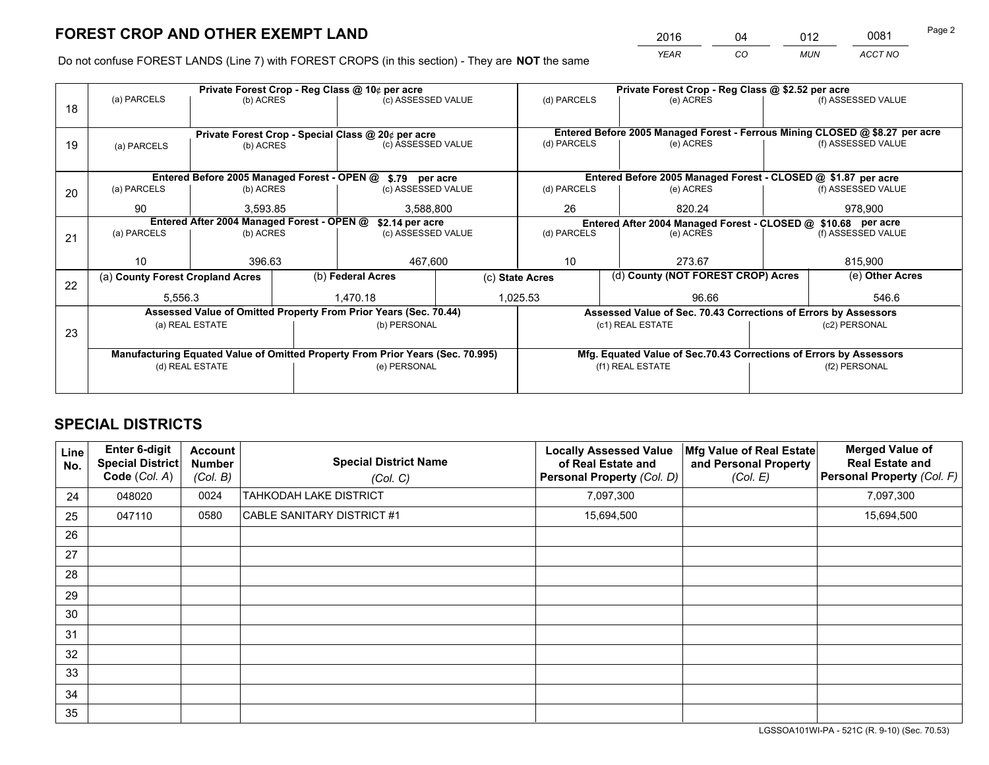*YEAR CO MUN ACCT NO* <sup>2016</sup> <sup>04</sup> <sup>012</sup> <sup>0081</sup>

Do not confuse FOREST LANDS (Line 7) with FOREST CROPS (in this section) - They are **NOT** the same

|    |                                                                                |                       |  | Private Forest Crop - Reg Class @ 10¢ per acre                   |              | Private Forest Crop - Reg Class @ \$2.52 per acre                                   |                                                                              |  |                    |  |
|----|--------------------------------------------------------------------------------|-----------------------|--|------------------------------------------------------------------|--------------|-------------------------------------------------------------------------------------|------------------------------------------------------------------------------|--|--------------------|--|
| 18 | (a) PARCELS                                                                    | (b) ACRES             |  | (c) ASSESSED VALUE                                               |              | (d) PARCELS                                                                         | (e) ACRES                                                                    |  | (f) ASSESSED VALUE |  |
|    |                                                                                |                       |  |                                                                  |              |                                                                                     |                                                                              |  |                    |  |
|    |                                                                                |                       |  | Private Forest Crop - Special Class @ 20¢ per acre               |              |                                                                                     | Entered Before 2005 Managed Forest - Ferrous Mining CLOSED @ \$8.27 per acre |  |                    |  |
| 19 | (a) PARCELS                                                                    | (b) ACRES             |  | (c) ASSESSED VALUE                                               |              | (d) PARCELS                                                                         | (e) ACRES                                                                    |  | (f) ASSESSED VALUE |  |
|    |                                                                                |                       |  |                                                                  |              |                                                                                     |                                                                              |  |                    |  |
|    |                                                                                |                       |  | Entered Before 2005 Managed Forest - OPEN @ \$.79 per acre       |              |                                                                                     | Entered Before 2005 Managed Forest - CLOSED @ \$1.87 per acre                |  |                    |  |
| 20 | (a) PARCELS                                                                    | (b) ACRES             |  | (c) ASSESSED VALUE                                               |              | (d) PARCELS                                                                         | (e) ACRES                                                                    |  | (f) ASSESSED VALUE |  |
|    | 90                                                                             | 3,588,800<br>3.593.85 |  |                                                                  | 26<br>820.24 |                                                                                     | 978,900                                                                      |  |                    |  |
|    | Entered After 2004 Managed Forest - OPEN @<br>\$2.14 per acre                  |                       |  |                                                                  |              | Entered After 2004 Managed Forest - CLOSED @ \$10.68 per acre<br>(f) ASSESSED VALUE |                                                                              |  |                    |  |
| 21 | (a) PARCELS                                                                    | (b) ACRES             |  | (c) ASSESSED VALUE                                               | (d) PARCELS  |                                                                                     | (e) ACRES                                                                    |  |                    |  |
|    |                                                                                |                       |  |                                                                  |              |                                                                                     |                                                                              |  |                    |  |
|    | 10 <sup>1</sup>                                                                | 396.63                |  | 467,600                                                          |              | 10                                                                                  | 273.67                                                                       |  |                    |  |
| 22 | (a) County Forest Cropland Acres                                               |                       |  | (b) Federal Acres                                                |              | (c) State Acres                                                                     | (d) County (NOT FOREST CROP) Acres                                           |  | (e) Other Acres    |  |
|    | 5,556.3                                                                        |                       |  | 1.470.18                                                         |              | 1,025.53<br>96.66                                                                   |                                                                              |  | 546.6              |  |
|    |                                                                                |                       |  | Assessed Value of Omitted Property From Prior Years (Sec. 70.44) |              |                                                                                     | Assessed Value of Sec. 70.43 Corrections of Errors by Assessors              |  |                    |  |
|    |                                                                                | (a) REAL ESTATE       |  | (b) PERSONAL                                                     |              |                                                                                     | (c1) REAL ESTATE                                                             |  | (c2) PERSONAL      |  |
| 23 |                                                                                |                       |  |                                                                  |              |                                                                                     |                                                                              |  |                    |  |
|    | Manufacturing Equated Value of Omitted Property From Prior Years (Sec. 70.995) |                       |  |                                                                  |              |                                                                                     | Mfg. Equated Value of Sec.70.43 Corrections of Errors by Assessors           |  |                    |  |
|    | (d) REAL ESTATE                                                                |                       |  | (e) PERSONAL                                                     |              | (f1) REAL ESTATE                                                                    |                                                                              |  | (f2) PERSONAL      |  |
|    |                                                                                |                       |  |                                                                  |              |                                                                                     |                                                                              |  |                    |  |

## **SPECIAL DISTRICTS**

| Line<br>No. | <b>Enter 6-digit</b><br>Special District<br>Code (Col. A) | Account<br><b>Number</b><br>(Col. B) | <b>Special District Name</b><br>(Col. C) | <b>Locally Assessed Value</b><br>of Real Estate and<br><b>Personal Property (Col. D)</b> | Mfg Value of Real Estate<br>and Personal Property<br>(Col. E) | <b>Merged Value of</b><br><b>Real Estate and</b><br>Personal Property (Col. F) |
|-------------|-----------------------------------------------------------|--------------------------------------|------------------------------------------|------------------------------------------------------------------------------------------|---------------------------------------------------------------|--------------------------------------------------------------------------------|
| 24          | 048020                                                    | 0024                                 | TAHKODAH LAKE DISTRICT                   | 7,097,300                                                                                |                                                               | 7,097,300                                                                      |
| 25          | 047110                                                    | 0580                                 | CABLE SANITARY DISTRICT #1               | 15,694,500                                                                               |                                                               | 15,694,500                                                                     |
| 26          |                                                           |                                      |                                          |                                                                                          |                                                               |                                                                                |
| 27          |                                                           |                                      |                                          |                                                                                          |                                                               |                                                                                |
| 28          |                                                           |                                      |                                          |                                                                                          |                                                               |                                                                                |
| 29          |                                                           |                                      |                                          |                                                                                          |                                                               |                                                                                |
| 30          |                                                           |                                      |                                          |                                                                                          |                                                               |                                                                                |
| 31          |                                                           |                                      |                                          |                                                                                          |                                                               |                                                                                |
| 32          |                                                           |                                      |                                          |                                                                                          |                                                               |                                                                                |
| 33          |                                                           |                                      |                                          |                                                                                          |                                                               |                                                                                |
| 34          |                                                           |                                      |                                          |                                                                                          |                                                               |                                                                                |
| 35          |                                                           |                                      |                                          |                                                                                          |                                                               |                                                                                |

LGSSOA101WI-PA - 521C (R. 9-10) (Sec. 70.53)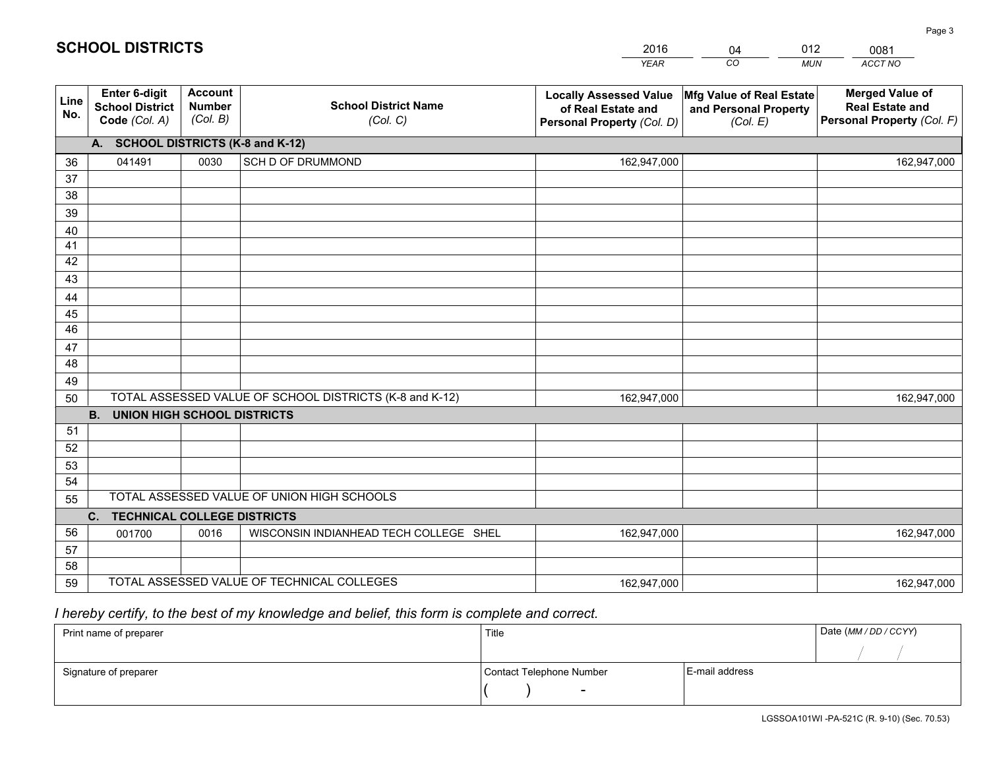|             |                                                          |                                             |                                                         | <b>YEAR</b>                                                                       | CO<br><b>MUN</b>                                              | ACCT NO                                                                        |
|-------------|----------------------------------------------------------|---------------------------------------------|---------------------------------------------------------|-----------------------------------------------------------------------------------|---------------------------------------------------------------|--------------------------------------------------------------------------------|
| Line<br>No. | Enter 6-digit<br><b>School District</b><br>Code (Col. A) | <b>Account</b><br><b>Number</b><br>(Col. B) | <b>School District Name</b><br>(Col. C)                 | <b>Locally Assessed Value</b><br>of Real Estate and<br>Personal Property (Col. D) | Mfg Value of Real Estate<br>and Personal Property<br>(Col. E) | <b>Merged Value of</b><br><b>Real Estate and</b><br>Personal Property (Col. F) |
|             | A. SCHOOL DISTRICTS (K-8 and K-12)                       |                                             |                                                         |                                                                                   |                                                               |                                                                                |
| 36          | 041491                                                   | 0030                                        | SCH D OF DRUMMOND                                       | 162,947,000                                                                       |                                                               | 162,947,000                                                                    |
| 37          |                                                          |                                             |                                                         |                                                                                   |                                                               |                                                                                |
| 38          |                                                          |                                             |                                                         |                                                                                   |                                                               |                                                                                |
| 39          |                                                          |                                             |                                                         |                                                                                   |                                                               |                                                                                |
| 40          |                                                          |                                             |                                                         |                                                                                   |                                                               |                                                                                |
| 41          |                                                          |                                             |                                                         |                                                                                   |                                                               |                                                                                |
| 42          |                                                          |                                             |                                                         |                                                                                   |                                                               |                                                                                |
| 43          |                                                          |                                             |                                                         |                                                                                   |                                                               |                                                                                |
| 44<br>45    |                                                          |                                             |                                                         |                                                                                   |                                                               |                                                                                |
| 46          |                                                          |                                             |                                                         |                                                                                   |                                                               |                                                                                |
| 47          |                                                          |                                             |                                                         |                                                                                   |                                                               |                                                                                |
| 48          |                                                          |                                             |                                                         |                                                                                   |                                                               |                                                                                |
| 49          |                                                          |                                             |                                                         |                                                                                   |                                                               |                                                                                |
| 50          |                                                          |                                             | TOTAL ASSESSED VALUE OF SCHOOL DISTRICTS (K-8 and K-12) | 162,947,000                                                                       |                                                               | 162,947,000                                                                    |
|             | <b>B.</b><br><b>UNION HIGH SCHOOL DISTRICTS</b>          |                                             |                                                         |                                                                                   |                                                               |                                                                                |
| 51          |                                                          |                                             |                                                         |                                                                                   |                                                               |                                                                                |
| 52          |                                                          |                                             |                                                         |                                                                                   |                                                               |                                                                                |
| 53          |                                                          |                                             |                                                         |                                                                                   |                                                               |                                                                                |
| 54          |                                                          |                                             |                                                         |                                                                                   |                                                               |                                                                                |
| 55          |                                                          |                                             | TOTAL ASSESSED VALUE OF UNION HIGH SCHOOLS              |                                                                                   |                                                               |                                                                                |
|             | C.<br><b>TECHNICAL COLLEGE DISTRICTS</b>                 |                                             |                                                         |                                                                                   |                                                               |                                                                                |
| 56          | 001700                                                   | 0016                                        | WISCONSIN INDIANHEAD TECH COLLEGE SHEL                  | 162,947,000                                                                       |                                                               | 162,947,000                                                                    |
| 57          |                                                          |                                             |                                                         |                                                                                   |                                                               |                                                                                |
| 58          |                                                          |                                             |                                                         |                                                                                   |                                                               |                                                                                |
| 59          |                                                          |                                             | TOTAL ASSESSED VALUE OF TECHNICAL COLLEGES              | 162,947,000                                                                       |                                                               | 162,947,000                                                                    |

04

012

 *I hereby certify, to the best of my knowledge and belief, this form is complete and correct.*

**SCHOOL DISTRICTS**

| Print name of preparer | Title                    |                | Date (MM / DD / CCYY) |
|------------------------|--------------------------|----------------|-----------------------|
|                        |                          |                |                       |
| Signature of preparer  | Contact Telephone Number | E-mail address |                       |
|                        | $\sim$                   |                |                       |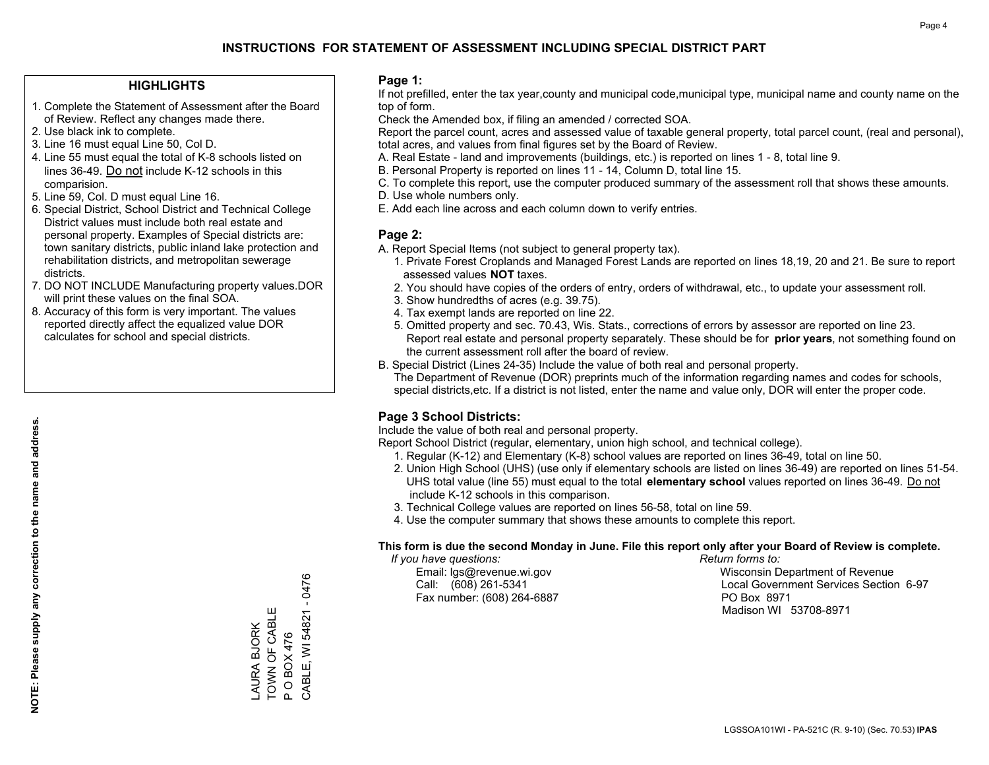#### **HIGHLIGHTS**

- 1. Complete the Statement of Assessment after the Board of Review. Reflect any changes made there.
- 2. Use black ink to complete.
- 3. Line 16 must equal Line 50, Col D.
- 4. Line 55 must equal the total of K-8 schools listed on lines 36-49. Do not include K-12 schools in this comparision.
- 5. Line 59, Col. D must equal Line 16.
- 6. Special District, School District and Technical College District values must include both real estate and personal property. Examples of Special districts are: town sanitary districts, public inland lake protection and rehabilitation districts, and metropolitan sewerage districts.
- 7. DO NOT INCLUDE Manufacturing property values.DOR will print these values on the final SOA.

LAURA BJORK TOWN OF CABLE P O BOX 476

LAURA BJORK<br>TOWN OF CABLE

CABLE, WI 54821 - 0476

CABLE, WI 54821 - 0476

P O BOX 476

 8. Accuracy of this form is very important. The values reported directly affect the equalized value DOR calculates for school and special districts.

#### **Page 1:**

 If not prefilled, enter the tax year,county and municipal code,municipal type, municipal name and county name on the top of form.

Check the Amended box, if filing an amended / corrected SOA.

 Report the parcel count, acres and assessed value of taxable general property, total parcel count, (real and personal), total acres, and values from final figures set by the Board of Review.

- A. Real Estate land and improvements (buildings, etc.) is reported on lines 1 8, total line 9.
- B. Personal Property is reported on lines 11 14, Column D, total line 15.
- C. To complete this report, use the computer produced summary of the assessment roll that shows these amounts.
- D. Use whole numbers only.
- E. Add each line across and each column down to verify entries.

#### **Page 2:**

- A. Report Special Items (not subject to general property tax).
- 1. Private Forest Croplands and Managed Forest Lands are reported on lines 18,19, 20 and 21. Be sure to report assessed values **NOT** taxes.
- 2. You should have copies of the orders of entry, orders of withdrawal, etc., to update your assessment roll.
	- 3. Show hundredths of acres (e.g. 39.75).
- 4. Tax exempt lands are reported on line 22.
- 5. Omitted property and sec. 70.43, Wis. Stats., corrections of errors by assessor are reported on line 23. Report real estate and personal property separately. These should be for **prior years**, not something found on the current assessment roll after the board of review.
- B. Special District (Lines 24-35) Include the value of both real and personal property.
- The Department of Revenue (DOR) preprints much of the information regarding names and codes for schools, special districts,etc. If a district is not listed, enter the name and value only, DOR will enter the proper code.

### **Page 3 School Districts:**

Include the value of both real and personal property.

Report School District (regular, elementary, union high school, and technical college).

- 1. Regular (K-12) and Elementary (K-8) school values are reported on lines 36-49, total on line 50.
- 2. Union High School (UHS) (use only if elementary schools are listed on lines 36-49) are reported on lines 51-54. UHS total value (line 55) must equal to the total **elementary school** values reported on lines 36-49. Do notinclude K-12 schools in this comparison.
- 3. Technical College values are reported on lines 56-58, total on line 59.
- 4. Use the computer summary that shows these amounts to complete this report.

#### **This form is due the second Monday in June. File this report only after your Board of Review is complete.**

 *If you have questions: Return forms to:*

Fax number: (608) 264-6887 PO Box 8971

 Email: lgs@revenue.wi.gov Wisconsin Department of Revenue Call: (608) 261-5341 Local Government Services Section 6-97Madison WI 53708-8971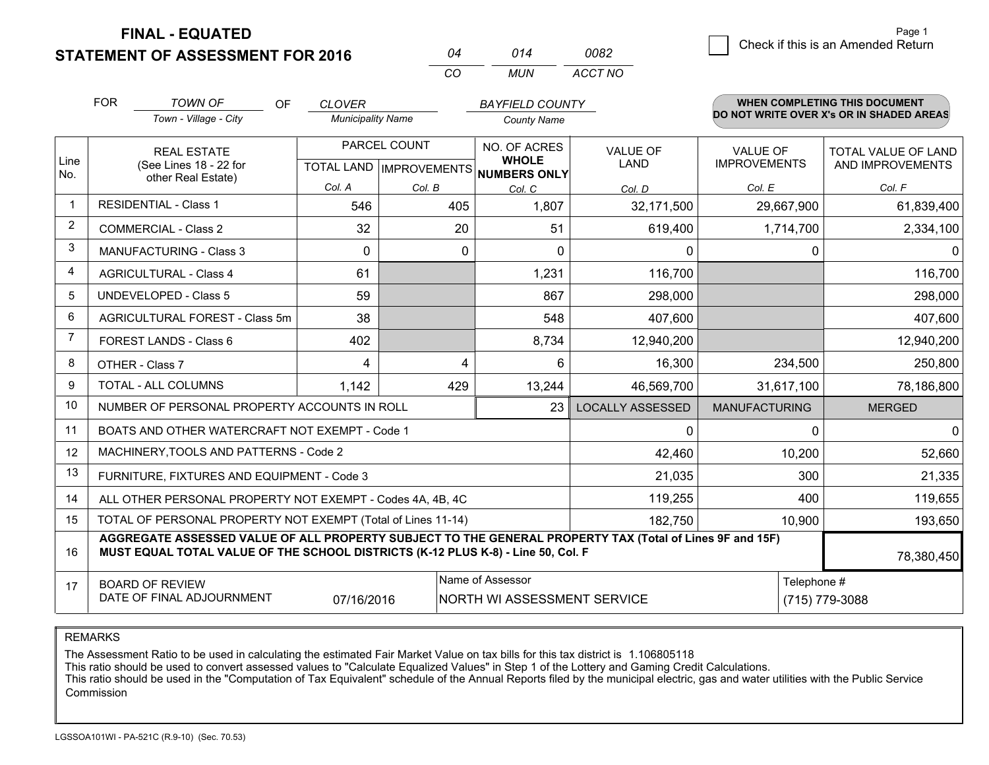**FINAL - EQUATED**

**STATEMENT OF ASSESSMENT FOR 2016** 

|    | 014  | NN82    |
|----|------|---------|
| ΓO | MUN. | ACCT NO |

|              | <b>FOR</b>                                                                                                                                                                                   | <b>TOWN OF</b><br><b>OF</b>                                  | <b>CLOVER</b>            |              | <b>BAYFIELD COUNTY</b>                              |                         |                      | <b>WHEN COMPLETING THIS DOCUMENT</b><br>DO NOT WRITE OVER X's OR IN SHADED AREAS |
|--------------|----------------------------------------------------------------------------------------------------------------------------------------------------------------------------------------------|--------------------------------------------------------------|--------------------------|--------------|-----------------------------------------------------|-------------------------|----------------------|----------------------------------------------------------------------------------|
|              |                                                                                                                                                                                              | Town - Village - City                                        | <b>Municipality Name</b> |              | <b>County Name</b>                                  |                         |                      |                                                                                  |
|              | <b>REAL ESTATE</b>                                                                                                                                                                           |                                                              |                          | PARCEL COUNT | <b>NO. OF ACRES</b>                                 | <b>VALUE OF</b>         | <b>VALUE OF</b>      | TOTAL VALUE OF LAND                                                              |
| Line<br>No.  | (See Lines 18 - 22 for                                                                                                                                                                       | other Real Estate)                                           |                          |              | <b>WHOLE</b><br>TOTAL LAND MPROVEMENTS NUMBERS ONLY | LAND                    | <b>IMPROVEMENTS</b>  | AND IMPROVEMENTS                                                                 |
|              |                                                                                                                                                                                              |                                                              | Col. A                   | Col. B       | Col. C                                              | Col. D                  | Col. E               | Col. F                                                                           |
| $\mathbf{1}$ |                                                                                                                                                                                              | <b>RESIDENTIAL - Class 1</b>                                 | 546                      | 405          | 1,807                                               | 32,171,500              | 29,667,900           | 61,839,400                                                                       |
| 2            |                                                                                                                                                                                              | <b>COMMERCIAL - Class 2</b>                                  | 32                       | 20           | 51                                                  | 619,400                 | 1,714,700            | 2,334,100                                                                        |
| 3            |                                                                                                                                                                                              | MANUFACTURING - Class 3                                      | $\Omega$                 | $\mathbf 0$  | $\Omega$                                            | 0                       | 0                    | 0                                                                                |
| 4            |                                                                                                                                                                                              | <b>AGRICULTURAL - Class 4</b>                                | 61                       |              | 1,231                                               | 116,700                 |                      | 116,700                                                                          |
| 5            |                                                                                                                                                                                              | <b>UNDEVELOPED - Class 5</b>                                 | 59                       |              | 867                                                 | 298,000                 |                      | 298,000                                                                          |
| 6            |                                                                                                                                                                                              | AGRICULTURAL FOREST - Class 5m                               | 38                       |              | 548                                                 | 407,600                 |                      | 407,600                                                                          |
| 7            |                                                                                                                                                                                              | FOREST LANDS - Class 6                                       | 402                      |              | 8,734                                               | 12,940,200              |                      | 12,940,200                                                                       |
| 8            |                                                                                                                                                                                              | OTHER - Class 7                                              | 4                        | 4            | 6                                                   | 16,300                  | 234,500              | 250,800                                                                          |
| 9            |                                                                                                                                                                                              | TOTAL - ALL COLUMNS                                          | 1,142                    | 429          | 13,244                                              | 46,569,700              | 31,617,100           | 78,186,800                                                                       |
| 10           |                                                                                                                                                                                              | NUMBER OF PERSONAL PROPERTY ACCOUNTS IN ROLL                 |                          |              | 23                                                  | <b>LOCALLY ASSESSED</b> | <b>MANUFACTURING</b> | <b>MERGED</b>                                                                    |
| 11           |                                                                                                                                                                                              | BOATS AND OTHER WATERCRAFT NOT EXEMPT - Code 1               |                          |              |                                                     | 0                       | 0                    | $\overline{0}$                                                                   |
| 12           |                                                                                                                                                                                              | MACHINERY, TOOLS AND PATTERNS - Code 2                       |                          |              |                                                     | 42,460                  | 10,200               | 52,660                                                                           |
| 13           |                                                                                                                                                                                              | FURNITURE, FIXTURES AND EQUIPMENT - Code 3                   |                          |              |                                                     | 21,035                  | 300                  | 21,335                                                                           |
| 14           |                                                                                                                                                                                              | ALL OTHER PERSONAL PROPERTY NOT EXEMPT - Codes 4A, 4B, 4C    |                          |              |                                                     | 119,255                 | 400                  | 119,655                                                                          |
| 15           |                                                                                                                                                                                              | TOTAL OF PERSONAL PROPERTY NOT EXEMPT (Total of Lines 11-14) |                          |              |                                                     | 182,750                 | 10,900               | 193,650                                                                          |
| 16           | AGGREGATE ASSESSED VALUE OF ALL PROPERTY SUBJECT TO THE GENERAL PROPERTY TAX (Total of Lines 9F and 15F)<br>MUST EQUAL TOTAL VALUE OF THE SCHOOL DISTRICTS (K-12 PLUS K-8) - Line 50, Col. F |                                                              |                          |              |                                                     |                         | 78,380,450           |                                                                                  |
| 17           |                                                                                                                                                                                              | <b>BOARD OF REVIEW</b>                                       |                          |              | Name of Assessor                                    |                         | Telephone #          |                                                                                  |
|              |                                                                                                                                                                                              | DATE OF FINAL ADJOURNMENT                                    | 07/16/2016               |              | NORTH WI ASSESSMENT SERVICE                         |                         |                      | (715) 779-3088                                                                   |

REMARKS

The Assessment Ratio to be used in calculating the estimated Fair Market Value on tax bills for this tax district is 1.106805118

This ratio should be used to convert assessed values to "Calculate Equalized Values" in Step 1 of the Lottery and Gaming Credit Calculations.<br>This ratio should be used in the "Computation of Tax Equivalent" schedule of the Commission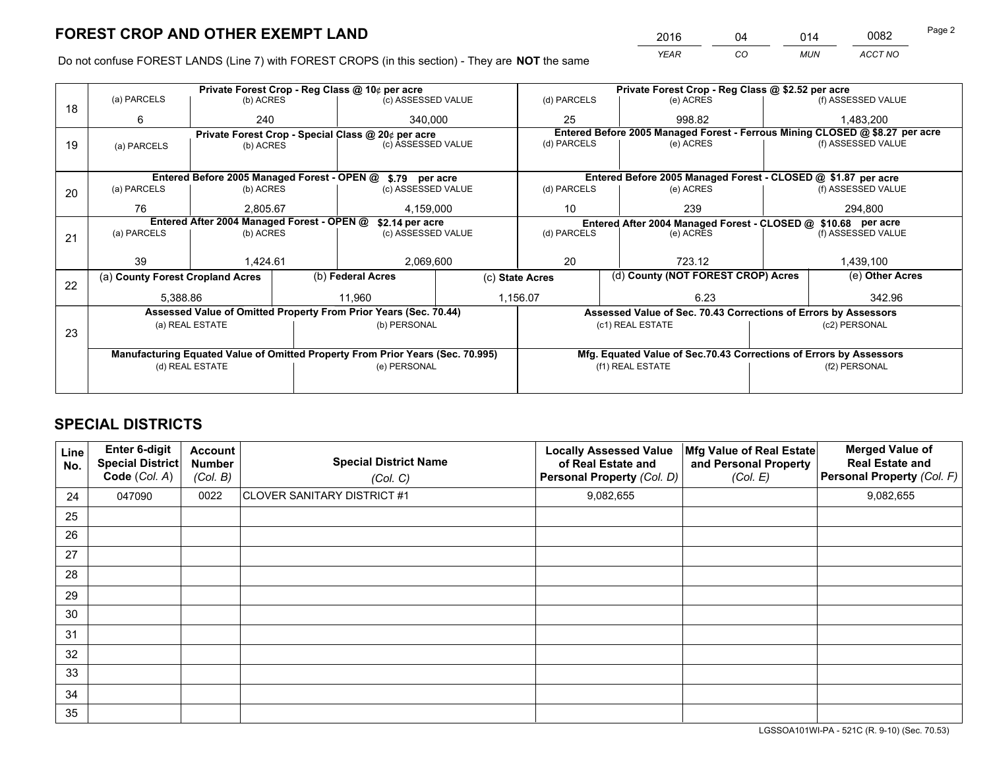*YEAR CO MUN ACCT NO* <sup>2016</sup> <sup>04</sup> <sup>014</sup> <sup>0082</sup>

Do not confuse FOREST LANDS (Line 7) with FOREST CROPS (in this section) - They are **NOT** the same

|    |                                                                                |                                            |  | Private Forest Crop - Reg Class @ 10¢ per acre                   |                 | Private Forest Crop - Reg Class @ \$2.52 per acre |                                                               |                                    |                    |                                                                              |
|----|--------------------------------------------------------------------------------|--------------------------------------------|--|------------------------------------------------------------------|-----------------|---------------------------------------------------|---------------------------------------------------------------|------------------------------------|--------------------|------------------------------------------------------------------------------|
| 18 | (a) PARCELS                                                                    | (b) ACRES                                  |  | (c) ASSESSED VALUE                                               |                 | (d) PARCELS                                       |                                                               | (e) ACRES                          |                    | (f) ASSESSED VALUE                                                           |
|    | 6                                                                              | 240                                        |  | 340.000                                                          |                 | 25                                                |                                                               | 998.82                             |                    | 1,483,200                                                                    |
|    |                                                                                |                                            |  | Private Forest Crop - Special Class @ 20¢ per acre               |                 |                                                   |                                                               |                                    |                    | Entered Before 2005 Managed Forest - Ferrous Mining CLOSED @ \$8.27 per acre |
| 19 | (a) PARCELS                                                                    | (b) ACRES                                  |  | (c) ASSESSED VALUE                                               |                 | (d) PARCELS                                       |                                                               | (e) ACRES                          |                    | (f) ASSESSED VALUE                                                           |
|    |                                                                                |                                            |  |                                                                  |                 |                                                   |                                                               |                                    |                    |                                                                              |
|    |                                                                                |                                            |  | Entered Before 2005 Managed Forest - OPEN @ \$.79 per acre       |                 |                                                   |                                                               |                                    |                    | Entered Before 2005 Managed Forest - CLOSED @ \$1.87 per acre                |
| 20 | (a) PARCELS                                                                    | (b) ACRES                                  |  | (c) ASSESSED VALUE                                               |                 | (d) PARCELS                                       |                                                               | (e) ACRES                          |                    | (f) ASSESSED VALUE                                                           |
|    | 76                                                                             | 2,805.67                                   |  |                                                                  | 4,159,000<br>10 |                                                   |                                                               | 239                                |                    | 294,800                                                                      |
|    |                                                                                | Entered After 2004 Managed Forest - OPEN @ |  | \$2.14 per acre                                                  |                 |                                                   | Entered After 2004 Managed Forest - CLOSED @ \$10.68 per acre |                                    |                    |                                                                              |
| 21 | (a) PARCELS                                                                    | (b) ACRES                                  |  | (c) ASSESSED VALUE                                               |                 | (d) PARCELS<br>(e) ACRES                          |                                                               |                                    | (f) ASSESSED VALUE |                                                                              |
|    |                                                                                |                                            |  |                                                                  |                 |                                                   |                                                               |                                    |                    |                                                                              |
|    | 39                                                                             | 1.424.61                                   |  | 2,069,600                                                        |                 | 20<br>723.12                                      |                                                               |                                    | 1,439,100          |                                                                              |
| 22 | (a) County Forest Cropland Acres                                               |                                            |  | (b) Federal Acres                                                | (c) State Acres |                                                   |                                                               | (d) County (NOT FOREST CROP) Acres |                    | (e) Other Acres                                                              |
|    | 5,388.86                                                                       |                                            |  | 11.960                                                           |                 | 1,156.07<br>6.23                                  |                                                               |                                    |                    | 342.96                                                                       |
|    |                                                                                |                                            |  | Assessed Value of Omitted Property From Prior Years (Sec. 70.44) |                 |                                                   |                                                               |                                    |                    | Assessed Value of Sec. 70.43 Corrections of Errors by Assessors              |
|    |                                                                                | (a) REAL ESTATE                            |  | (b) PERSONAL                                                     |                 |                                                   | (c1) REAL ESTATE                                              |                                    |                    | (c2) PERSONAL                                                                |
| 23 |                                                                                |                                            |  |                                                                  |                 |                                                   |                                                               |                                    |                    |                                                                              |
|    | Manufacturing Equated Value of Omitted Property From Prior Years (Sec. 70.995) |                                            |  |                                                                  |                 |                                                   |                                                               |                                    |                    | Mfg. Equated Value of Sec.70.43 Corrections of Errors by Assessors           |
|    | (d) REAL ESTATE                                                                |                                            |  | (e) PERSONAL                                                     |                 | (f1) REAL ESTATE                                  |                                                               |                                    | (f2) PERSONAL      |                                                                              |
|    |                                                                                |                                            |  |                                                                  |                 |                                                   |                                                               |                                    |                    |                                                                              |

## **SPECIAL DISTRICTS**

| Line<br>No. | Enter 6-digit<br>Special District<br>Code (Col. A) | <b>Account</b><br><b>Number</b><br>(Col. B) | <b>Special District Name</b><br>(Col. C) | <b>Locally Assessed Value</b><br>of Real Estate and<br>Personal Property (Col. D) | Mfg Value of Real Estate<br>and Personal Property<br>(Col. E) | <b>Merged Value of</b><br><b>Real Estate and</b><br>Personal Property (Col. F) |
|-------------|----------------------------------------------------|---------------------------------------------|------------------------------------------|-----------------------------------------------------------------------------------|---------------------------------------------------------------|--------------------------------------------------------------------------------|
| 24          | 047090                                             | 0022                                        | CLOVER SANITARY DISTRICT #1              | 9,082,655                                                                         |                                                               | 9,082,655                                                                      |
| 25          |                                                    |                                             |                                          |                                                                                   |                                                               |                                                                                |
| 26          |                                                    |                                             |                                          |                                                                                   |                                                               |                                                                                |
| 27          |                                                    |                                             |                                          |                                                                                   |                                                               |                                                                                |
| 28          |                                                    |                                             |                                          |                                                                                   |                                                               |                                                                                |
| 29          |                                                    |                                             |                                          |                                                                                   |                                                               |                                                                                |
| 30          |                                                    |                                             |                                          |                                                                                   |                                                               |                                                                                |
| 31          |                                                    |                                             |                                          |                                                                                   |                                                               |                                                                                |
| 32          |                                                    |                                             |                                          |                                                                                   |                                                               |                                                                                |
| 33          |                                                    |                                             |                                          |                                                                                   |                                                               |                                                                                |
| 34          |                                                    |                                             |                                          |                                                                                   |                                                               |                                                                                |
| 35          |                                                    |                                             |                                          |                                                                                   |                                                               |                                                                                |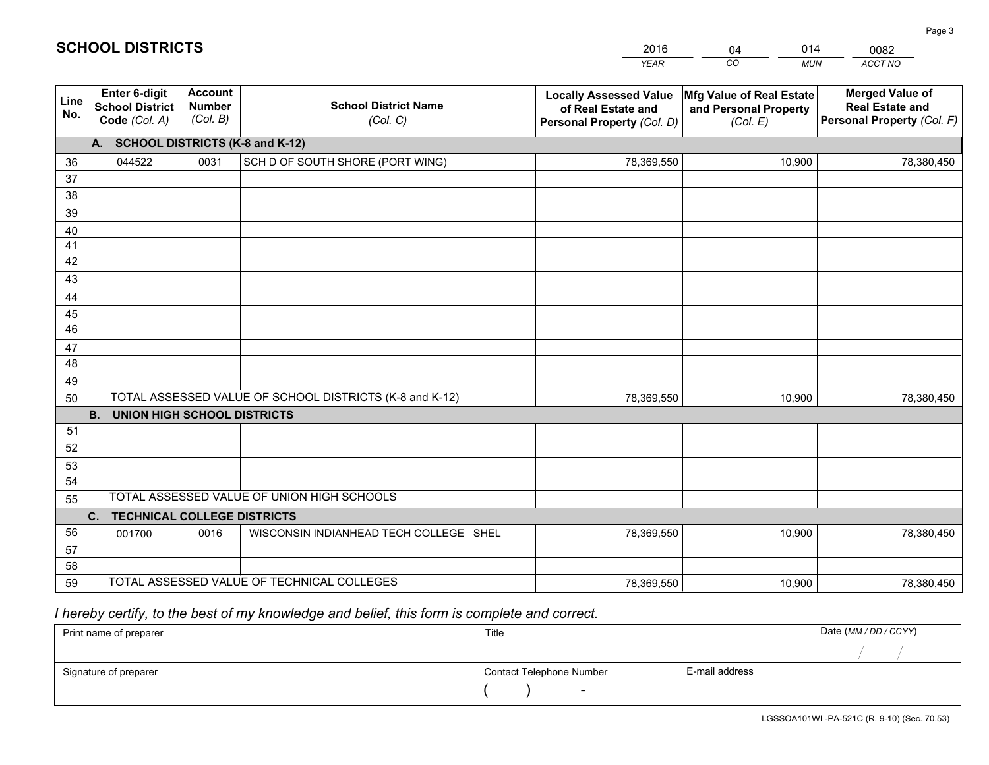|             |                                                                 |                                             |                                                         | <b>YEAR</b>                                                                       | CO<br><b>MUN</b>                                              | <b>ACCT NO</b>                                                                 |
|-------------|-----------------------------------------------------------------|---------------------------------------------|---------------------------------------------------------|-----------------------------------------------------------------------------------|---------------------------------------------------------------|--------------------------------------------------------------------------------|
| Line<br>No. | <b>Enter 6-digit</b><br><b>School District</b><br>Code (Col. A) | <b>Account</b><br><b>Number</b><br>(Col. B) | <b>School District Name</b><br>(Col. C)                 | <b>Locally Assessed Value</b><br>of Real Estate and<br>Personal Property (Col. D) | Mfg Value of Real Estate<br>and Personal Property<br>(Col. E) | <b>Merged Value of</b><br><b>Real Estate and</b><br>Personal Property (Col. F) |
|             | A. SCHOOL DISTRICTS (K-8 and K-12)                              |                                             |                                                         |                                                                                   |                                                               |                                                                                |
| 36          | 044522                                                          | 0031                                        | SCH D OF SOUTH SHORE (PORT WING)                        | 78,369,550                                                                        | 10,900                                                        | 78,380,450                                                                     |
| 37          |                                                                 |                                             |                                                         |                                                                                   |                                                               |                                                                                |
| 38          |                                                                 |                                             |                                                         |                                                                                   |                                                               |                                                                                |
| 39          |                                                                 |                                             |                                                         |                                                                                   |                                                               |                                                                                |
| 40          |                                                                 |                                             |                                                         |                                                                                   |                                                               |                                                                                |
| 41          |                                                                 |                                             |                                                         |                                                                                   |                                                               |                                                                                |
| 42          |                                                                 |                                             |                                                         |                                                                                   |                                                               |                                                                                |
| 43          |                                                                 |                                             |                                                         |                                                                                   |                                                               |                                                                                |
| 44<br>45    |                                                                 |                                             |                                                         |                                                                                   |                                                               |                                                                                |
| 46          |                                                                 |                                             |                                                         |                                                                                   |                                                               |                                                                                |
| 47          |                                                                 |                                             |                                                         |                                                                                   |                                                               |                                                                                |
| 48          |                                                                 |                                             |                                                         |                                                                                   |                                                               |                                                                                |
| 49          |                                                                 |                                             |                                                         |                                                                                   |                                                               |                                                                                |
| 50          |                                                                 |                                             | TOTAL ASSESSED VALUE OF SCHOOL DISTRICTS (K-8 and K-12) | 78,369,550                                                                        | 10,900                                                        | 78,380,450                                                                     |
|             | <b>B.</b><br><b>UNION HIGH SCHOOL DISTRICTS</b>                 |                                             |                                                         |                                                                                   |                                                               |                                                                                |
| 51          |                                                                 |                                             |                                                         |                                                                                   |                                                               |                                                                                |
| 52          |                                                                 |                                             |                                                         |                                                                                   |                                                               |                                                                                |
| 53          |                                                                 |                                             |                                                         |                                                                                   |                                                               |                                                                                |
| 54          |                                                                 |                                             |                                                         |                                                                                   |                                                               |                                                                                |
| 55          |                                                                 |                                             | TOTAL ASSESSED VALUE OF UNION HIGH SCHOOLS              |                                                                                   |                                                               |                                                                                |
|             | C.<br><b>TECHNICAL COLLEGE DISTRICTS</b>                        |                                             |                                                         |                                                                                   |                                                               |                                                                                |
| 56          | 001700                                                          | 0016                                        | WISCONSIN INDIANHEAD TECH COLLEGE SHEL                  | 78,369,550                                                                        | 10,900                                                        | 78,380,450                                                                     |
| 57          |                                                                 |                                             |                                                         |                                                                                   |                                                               |                                                                                |
| 58          |                                                                 |                                             |                                                         |                                                                                   |                                                               |                                                                                |
| 59          |                                                                 |                                             | TOTAL ASSESSED VALUE OF TECHNICAL COLLEGES              | 78,369,550                                                                        | 10,900                                                        | 78,380,450                                                                     |

04

014

 *I hereby certify, to the best of my knowledge and belief, this form is complete and correct.*

**SCHOOL DISTRICTS**

| Print name of preparer | Title                    |                | Date (MM / DD / CCYY) |
|------------------------|--------------------------|----------------|-----------------------|
|                        |                          |                |                       |
| Signature of preparer  | Contact Telephone Number | E-mail address |                       |
|                        | $\sim$                   |                |                       |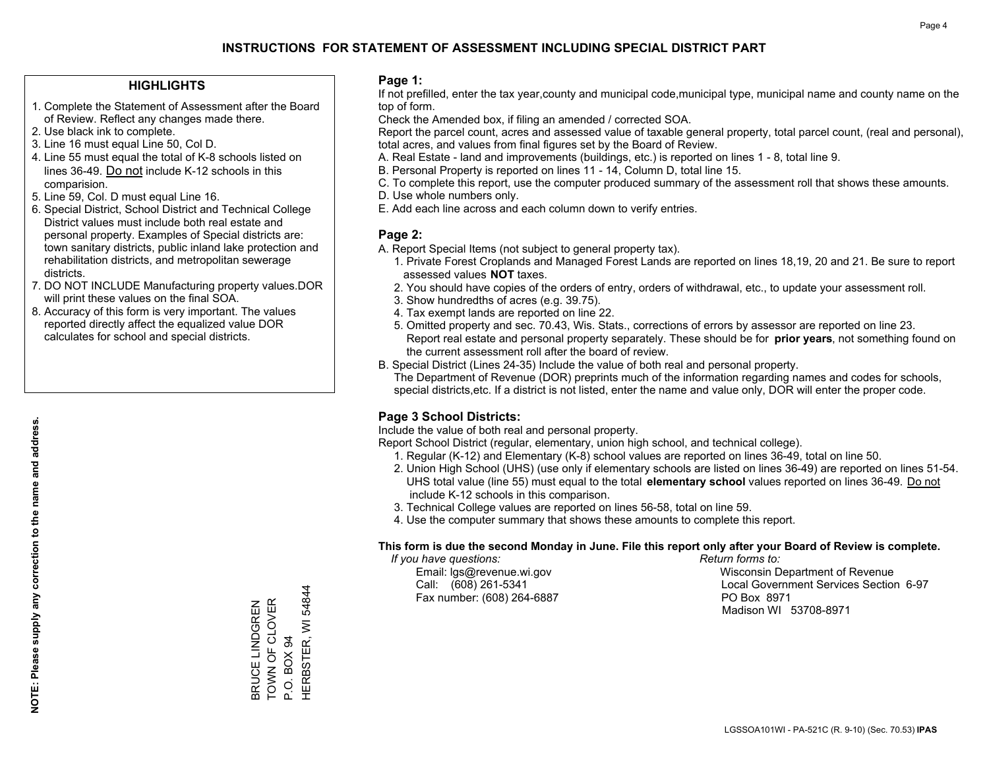#### **HIGHLIGHTS**

- 1. Complete the Statement of Assessment after the Board of Review. Reflect any changes made there.
- 2. Use black ink to complete.
- 3. Line 16 must equal Line 50, Col D.
- 4. Line 55 must equal the total of K-8 schools listed on lines 36-49. Do not include K-12 schools in this comparision.
- 5. Line 59, Col. D must equal Line 16.
- 6. Special District, School District and Technical College District values must include both real estate and personal property. Examples of Special districts are: town sanitary districts, public inland lake protection and rehabilitation districts, and metropolitan sewerage districts.
- 7. DO NOT INCLUDE Manufacturing property values.DOR will print these values on the final SOA.
- 8. Accuracy of this form is very important. The values reported directly affect the equalized value DOR calculates for school and special districts.

#### **Page 1:**

 If not prefilled, enter the tax year,county and municipal code,municipal type, municipal name and county name on the top of form.

Check the Amended box, if filing an amended / corrected SOA.

 Report the parcel count, acres and assessed value of taxable general property, total parcel count, (real and personal), total acres, and values from final figures set by the Board of Review.

- A. Real Estate land and improvements (buildings, etc.) is reported on lines 1 8, total line 9.
- B. Personal Property is reported on lines 11 14, Column D, total line 15.
- C. To complete this report, use the computer produced summary of the assessment roll that shows these amounts.
- D. Use whole numbers only.
- E. Add each line across and each column down to verify entries.

#### **Page 2:**

- A. Report Special Items (not subject to general property tax).
- 1. Private Forest Croplands and Managed Forest Lands are reported on lines 18,19, 20 and 21. Be sure to report assessed values **NOT** taxes.
- 2. You should have copies of the orders of entry, orders of withdrawal, etc., to update your assessment roll.
	- 3. Show hundredths of acres (e.g. 39.75).
- 4. Tax exempt lands are reported on line 22.
- 5. Omitted property and sec. 70.43, Wis. Stats., corrections of errors by assessor are reported on line 23. Report real estate and personal property separately. These should be for **prior years**, not something found on the current assessment roll after the board of review.
- B. Special District (Lines 24-35) Include the value of both real and personal property.
- The Department of Revenue (DOR) preprints much of the information regarding names and codes for schools, special districts,etc. If a district is not listed, enter the name and value only, DOR will enter the proper code.

### **Page 3 School Districts:**

Include the value of both real and personal property.

Report School District (regular, elementary, union high school, and technical college).

- 1. Regular (K-12) and Elementary (K-8) school values are reported on lines 36-49, total on line 50.
- 2. Union High School (UHS) (use only if elementary schools are listed on lines 36-49) are reported on lines 51-54. UHS total value (line 55) must equal to the total **elementary school** values reported on lines 36-49. Do notinclude K-12 schools in this comparison.
- 3. Technical College values are reported on lines 56-58, total on line 59.
- 4. Use the computer summary that shows these amounts to complete this report.

#### **This form is due the second Monday in June. File this report only after your Board of Review is complete.**

 *If you have questions: Return forms to:*

Fax number: (608) 264-6887 PO Box 8971

 Email: lgs@revenue.wi.gov Wisconsin Department of Revenue Call: (608) 261-5341 Local Government Services Section 6-97Madison WI 53708-8971

**NOTE: Please supply any correction to the name and address.**

NOTE: Please supply any correction to the name and address.

54844 HERBSTER, WI 54844 TOWN OF CLOVER BRUCE LINDGREN<br>TOWN OF CLOVER BRUCE LINDGREN HERBSTER, WI P.O. BOX 94 P.O. BOX 94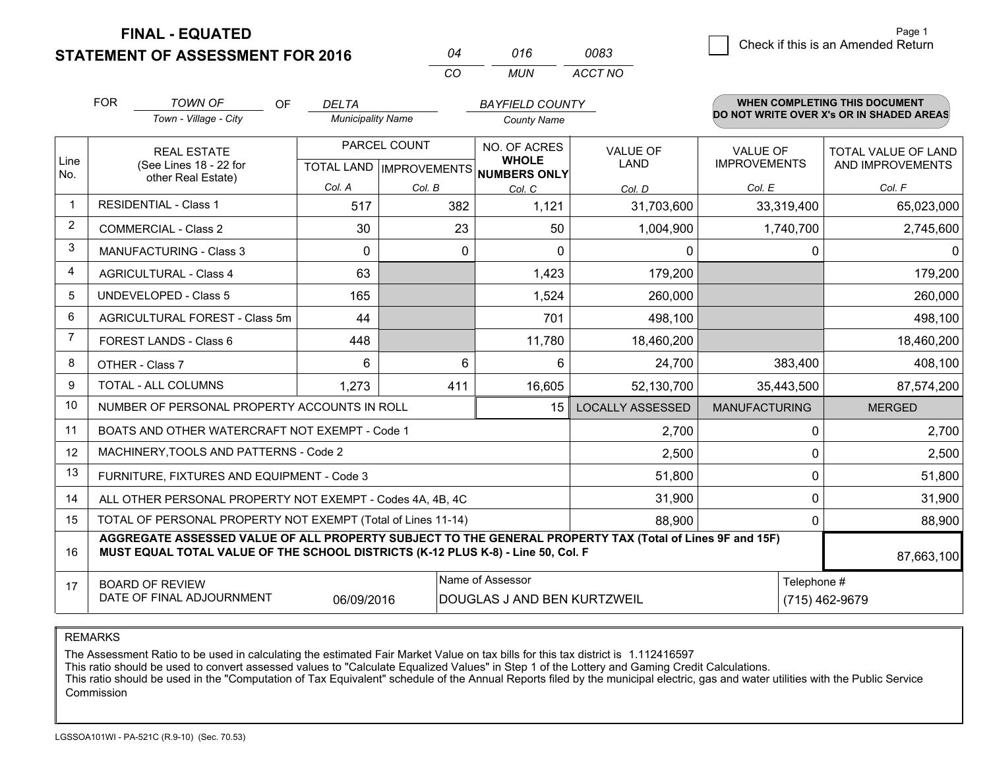**FINAL - EQUATED**

**STATEMENT OF ASSESSMENT FOR 2016** 

| ሰ4 | 016  | nna 3   |
|----|------|---------|
| ΓO | MUN. | ACCT NO |

|                         | <b>FOR</b>                                                                                                                                                                                   | <b>TOWN OF</b><br>OF                                      | <b>DELTA</b>             |                           | <b>BAYFIELD COUNTY</b>              |                         |                      | <b>WHEN COMPLETING THIS DOCUMENT</b>     |
|-------------------------|----------------------------------------------------------------------------------------------------------------------------------------------------------------------------------------------|-----------------------------------------------------------|--------------------------|---------------------------|-------------------------------------|-------------------------|----------------------|------------------------------------------|
|                         |                                                                                                                                                                                              | Town - Village - City                                     | <b>Municipality Name</b> |                           | <b>County Name</b>                  |                         |                      | DO NOT WRITE OVER X's OR IN SHADED AREAS |
|                         |                                                                                                                                                                                              | <b>REAL ESTATE</b>                                        |                          | PARCEL COUNT              | NO. OF ACRES                        | <b>VALUE OF</b>         | <b>VALUE OF</b>      | TOTAL VALUE OF LAND                      |
| Line<br>No.             |                                                                                                                                                                                              | (See Lines 18 - 22 for<br>other Real Estate)              |                          | TOTAL LAND   IMPROVEMENTS | <b>WHOLE</b><br><b>NUMBERS ONLY</b> | LAND                    | <b>IMPROVEMENTS</b>  | AND IMPROVEMENTS                         |
|                         |                                                                                                                                                                                              |                                                           | Col. A                   | Col. B                    | Col. C                              | Col. D                  | Col. E               | Col. F                                   |
| $\mathbf 1$             |                                                                                                                                                                                              | <b>RESIDENTIAL - Class 1</b>                              | 517                      | 382                       | 1,121                               | 31,703,600              | 33,319,400           | 65,023,000                               |
| $\overline{2}$          |                                                                                                                                                                                              | <b>COMMERCIAL - Class 2</b>                               | 30                       | 23                        | 50                                  | 1,004,900               | 1,740,700            | 2,745,600                                |
| 3                       |                                                                                                                                                                                              | <b>MANUFACTURING - Class 3</b>                            | $\Omega$                 | 0                         | $\Omega$                            | $\mathbf{0}$            | 0                    | 0.                                       |
| $\overline{\mathbf{4}}$ |                                                                                                                                                                                              | <b>AGRICULTURAL - Class 4</b>                             | 63                       |                           | 1,423                               | 179,200                 |                      | 179,200                                  |
| 5                       |                                                                                                                                                                                              | <b>UNDEVELOPED - Class 5</b>                              | 165                      |                           | 1,524                               | 260,000                 |                      | 260,000                                  |
| 6                       | AGRICULTURAL FOREST - Class 5m                                                                                                                                                               |                                                           | 44                       |                           | 701                                 | 498,100                 |                      | 498,100                                  |
| $\overline{7}$          | FOREST LANDS - Class 6                                                                                                                                                                       |                                                           | 448                      |                           | 11,780                              | 18,460,200              |                      | 18,460,200                               |
| 8                       |                                                                                                                                                                                              | OTHER - Class 7                                           | 6                        | 6                         | 6                                   | 24,700                  | 383,400              | 408,100                                  |
| 9                       |                                                                                                                                                                                              | TOTAL - ALL COLUMNS                                       | 1,273                    | 411                       | 16,605                              | 52,130,700              | 35,443,500           | 87,574,200                               |
| 10                      |                                                                                                                                                                                              | NUMBER OF PERSONAL PROPERTY ACCOUNTS IN ROLL              |                          |                           | 15                                  | <b>LOCALLY ASSESSED</b> | <b>MANUFACTURING</b> | <b>MERGED</b>                            |
| 11                      |                                                                                                                                                                                              | BOATS AND OTHER WATERCRAFT NOT EXEMPT - Code 1            |                          |                           |                                     | 2,700                   | 0                    | 2,700                                    |
| 12                      |                                                                                                                                                                                              | MACHINERY, TOOLS AND PATTERNS - Code 2                    |                          |                           |                                     | 2,500                   | $\mathbf{0}$         | 2,500                                    |
| 13                      |                                                                                                                                                                                              | FURNITURE, FIXTURES AND EQUIPMENT - Code 3                |                          |                           |                                     | 51,800                  | $\mathbf 0$          | 51,800                                   |
| 14                      |                                                                                                                                                                                              | ALL OTHER PERSONAL PROPERTY NOT EXEMPT - Codes 4A, 4B, 4C |                          |                           |                                     | 31,900                  | 0                    | 31,900                                   |
| 15                      | TOTAL OF PERSONAL PROPERTY NOT EXEMPT (Total of Lines 11-14)<br>88,900                                                                                                                       |                                                           |                          |                           |                                     |                         |                      | 88,900                                   |
| 16                      | AGGREGATE ASSESSED VALUE OF ALL PROPERTY SUBJECT TO THE GENERAL PROPERTY TAX (Total of Lines 9F and 15F)<br>MUST EQUAL TOTAL VALUE OF THE SCHOOL DISTRICTS (K-12 PLUS K-8) - Line 50, Col. F |                                                           |                          |                           |                                     |                         |                      | 87,663,100                               |
| 17                      |                                                                                                                                                                                              | <b>BOARD OF REVIEW</b>                                    |                          |                           | Name of Assessor                    |                         | Telephone #          |                                          |
|                         |                                                                                                                                                                                              | DATE OF FINAL ADJOURNMENT                                 | 06/09/2016               |                           | DOUGLAS J AND BEN KURTZWEIL         |                         |                      | (715) 462-9679                           |

REMARKS

The Assessment Ratio to be used in calculating the estimated Fair Market Value on tax bills for this tax district is 1.112416597

This ratio should be used to convert assessed values to "Calculate Equalized Values" in Step 1 of the Lottery and Gaming Credit Calculations.<br>This ratio should be used in the "Computation of Tax Equivalent" schedule of the Commission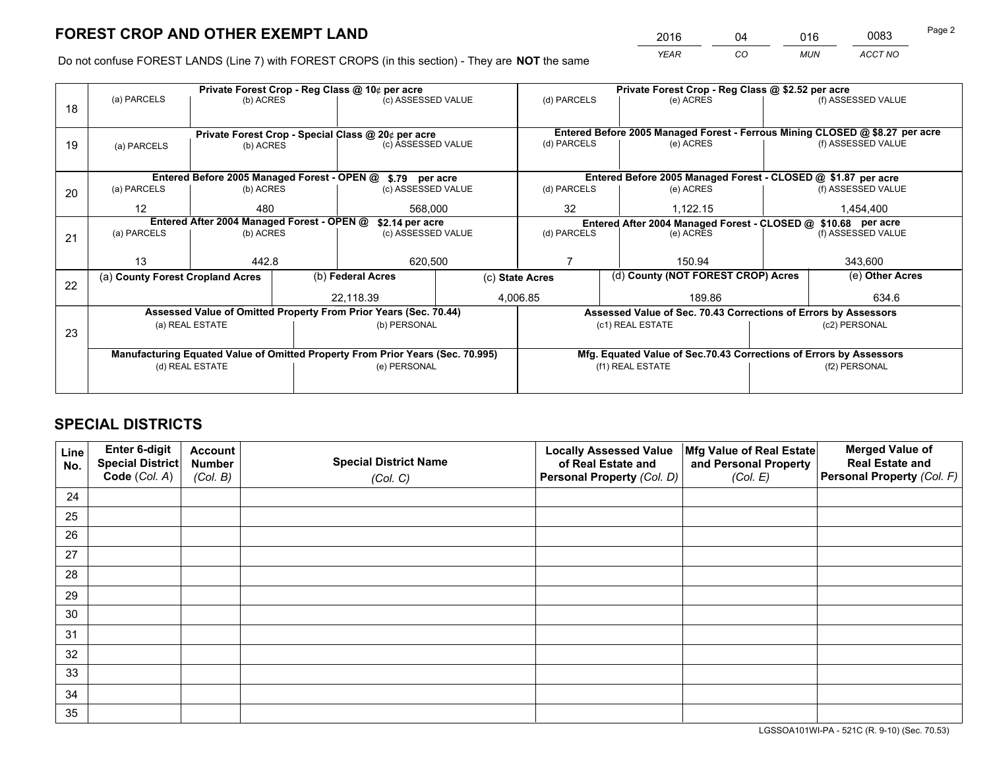*YEAR CO MUN ACCT NO* <sup>2016</sup> <sup>04</sup> <sup>016</sup> <sup>0083</sup>

Do not confuse FOREST LANDS (Line 7) with FOREST CROPS (in this section) - They are **NOT** the same

|    |                                                                                |                 |  | Private Forest Crop - Reg Class @ 10¢ per acre                   |                 | Private Forest Crop - Reg Class @ \$2.52 per acre |                                                               |                                                                    |               |                                                                              |
|----|--------------------------------------------------------------------------------|-----------------|--|------------------------------------------------------------------|-----------------|---------------------------------------------------|---------------------------------------------------------------|--------------------------------------------------------------------|---------------|------------------------------------------------------------------------------|
| 18 | (a) PARCELS                                                                    | (b) ACRES       |  | (c) ASSESSED VALUE                                               |                 | (d) PARCELS                                       |                                                               | (e) ACRES                                                          |               | (f) ASSESSED VALUE                                                           |
|    |                                                                                |                 |  | Private Forest Crop - Special Class @ 20¢ per acre               |                 |                                                   |                                                               |                                                                    |               | Entered Before 2005 Managed Forest - Ferrous Mining CLOSED @ \$8.27 per acre |
| 19 | (c) ASSESSED VALUE<br>(b) ACRES<br>(a) PARCELS                                 |                 |  | (d) PARCELS                                                      |                 | (e) ACRES                                         |                                                               | (f) ASSESSED VALUE                                                 |               |                                                                              |
|    |                                                                                |                 |  | Entered Before 2005 Managed Forest - OPEN @ \$.79 per acre       |                 |                                                   |                                                               | Entered Before 2005 Managed Forest - CLOSED @ \$1.87 per acre      |               |                                                                              |
| 20 | (a) PARCELS                                                                    | (b) ACRES       |  | (c) ASSESSED VALUE                                               |                 | (d) PARCELS                                       |                                                               | (e) ACRES                                                          |               | (f) ASSESSED VALUE                                                           |
|    | $12 \overline{ }$                                                              | 480<br>568,000  |  |                                                                  | 32              |                                                   | 1,122.15                                                      |                                                                    | 1,454,400     |                                                                              |
|    | Entered After 2004 Managed Forest - OPEN @<br>\$2.14 per acre                  |                 |  |                                                                  |                 |                                                   | Entered After 2004 Managed Forest - CLOSED @ \$10.68 per acre |                                                                    |               |                                                                              |
| 21 | (a) PARCELS                                                                    | (b) ACRES       |  | (c) ASSESSED VALUE                                               |                 | (d) PARCELS<br>(e) ACRES                          |                                                               | (f) ASSESSED VALUE                                                 |               |                                                                              |
|    |                                                                                |                 |  |                                                                  |                 |                                                   |                                                               |                                                                    |               |                                                                              |
|    | 13                                                                             | 442.8           |  | 620,500                                                          |                 |                                                   |                                                               | 150.94                                                             |               | 343,600                                                                      |
|    | (a) County Forest Cropland Acres                                               |                 |  | (b) Federal Acres                                                | (c) State Acres |                                                   |                                                               | (d) County (NOT FOREST CROP) Acres                                 |               | (e) Other Acres                                                              |
| 22 |                                                                                |                 |  | 22,118.39                                                        |                 | 4,006.85<br>189.86                                |                                                               |                                                                    |               | 634.6                                                                        |
|    |                                                                                |                 |  | Assessed Value of Omitted Property From Prior Years (Sec. 70.44) |                 |                                                   |                                                               | Assessed Value of Sec. 70.43 Corrections of Errors by Assessors    |               |                                                                              |
| 23 |                                                                                | (a) REAL ESTATE |  | (b) PERSONAL                                                     |                 |                                                   |                                                               | (c1) REAL ESTATE                                                   |               | (c2) PERSONAL                                                                |
|    |                                                                                |                 |  |                                                                  |                 |                                                   |                                                               |                                                                    |               |                                                                              |
|    | Manufacturing Equated Value of Omitted Property From Prior Years (Sec. 70.995) |                 |  |                                                                  |                 |                                                   |                                                               | Mfg. Equated Value of Sec.70.43 Corrections of Errors by Assessors |               |                                                                              |
|    | (d) REAL ESTATE                                                                |                 |  | (e) PERSONAL                                                     |                 | (f1) REAL ESTATE                                  |                                                               |                                                                    | (f2) PERSONAL |                                                                              |
|    |                                                                                |                 |  |                                                                  |                 |                                                   |                                                               |                                                                    |               |                                                                              |

## **SPECIAL DISTRICTS**

| Line<br>No. | Enter 6-digit<br>Special District<br>Code (Col. A) | <b>Account</b><br><b>Number</b> | <b>Special District Name</b> | <b>Locally Assessed Value</b><br>of Real Estate and | Mfg Value of Real Estate<br>and Personal Property | <b>Merged Value of</b><br><b>Real Estate and</b><br>Personal Property (Col. F) |
|-------------|----------------------------------------------------|---------------------------------|------------------------------|-----------------------------------------------------|---------------------------------------------------|--------------------------------------------------------------------------------|
|             |                                                    | (Col. B)                        | (Col. C)                     | Personal Property (Col. D)                          | (Col. E)                                          |                                                                                |
| 24          |                                                    |                                 |                              |                                                     |                                                   |                                                                                |
| 25          |                                                    |                                 |                              |                                                     |                                                   |                                                                                |
| 26          |                                                    |                                 |                              |                                                     |                                                   |                                                                                |
| 27          |                                                    |                                 |                              |                                                     |                                                   |                                                                                |
| 28          |                                                    |                                 |                              |                                                     |                                                   |                                                                                |
| 29          |                                                    |                                 |                              |                                                     |                                                   |                                                                                |
| 30          |                                                    |                                 |                              |                                                     |                                                   |                                                                                |
| 31          |                                                    |                                 |                              |                                                     |                                                   |                                                                                |
| 32          |                                                    |                                 |                              |                                                     |                                                   |                                                                                |
| 33          |                                                    |                                 |                              |                                                     |                                                   |                                                                                |
| 34          |                                                    |                                 |                              |                                                     |                                                   |                                                                                |
| 35          |                                                    |                                 |                              |                                                     |                                                   |                                                                                |

LGSSOA101WI-PA - 521C (R. 9-10) (Sec. 70.53)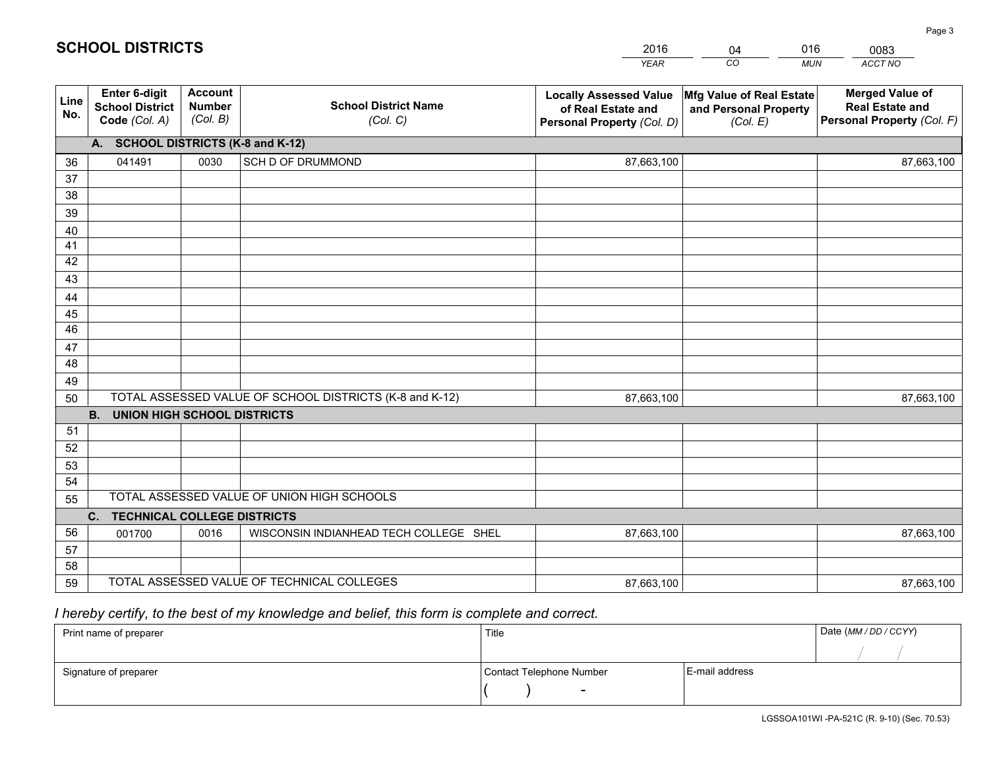|             |                                                          |                                             |                                                         | <b>YEAR</b>                                                                       | CO<br><b>MUN</b>                                              | ACCT NO                                                                        |
|-------------|----------------------------------------------------------|---------------------------------------------|---------------------------------------------------------|-----------------------------------------------------------------------------------|---------------------------------------------------------------|--------------------------------------------------------------------------------|
| Line<br>No. | Enter 6-digit<br><b>School District</b><br>Code (Col. A) | <b>Account</b><br><b>Number</b><br>(Col. B) | <b>School District Name</b><br>(Col. C)                 | <b>Locally Assessed Value</b><br>of Real Estate and<br>Personal Property (Col. D) | Mfg Value of Real Estate<br>and Personal Property<br>(Col. E) | <b>Merged Value of</b><br><b>Real Estate and</b><br>Personal Property (Col. F) |
|             | A. SCHOOL DISTRICTS (K-8 and K-12)                       |                                             |                                                         |                                                                                   |                                                               |                                                                                |
| 36          | 041491                                                   | 0030                                        | SCH D OF DRUMMOND                                       | 87,663,100                                                                        |                                                               | 87,663,100                                                                     |
| 37          |                                                          |                                             |                                                         |                                                                                   |                                                               |                                                                                |
| 38          |                                                          |                                             |                                                         |                                                                                   |                                                               |                                                                                |
| 39          |                                                          |                                             |                                                         |                                                                                   |                                                               |                                                                                |
| 40          |                                                          |                                             |                                                         |                                                                                   |                                                               |                                                                                |
| 41          |                                                          |                                             |                                                         |                                                                                   |                                                               |                                                                                |
| 42          |                                                          |                                             |                                                         |                                                                                   |                                                               |                                                                                |
| 43          |                                                          |                                             |                                                         |                                                                                   |                                                               |                                                                                |
| 44          |                                                          |                                             |                                                         |                                                                                   |                                                               |                                                                                |
| 45<br>46    |                                                          |                                             |                                                         |                                                                                   |                                                               |                                                                                |
|             |                                                          |                                             |                                                         |                                                                                   |                                                               |                                                                                |
| 47<br>48    |                                                          |                                             |                                                         |                                                                                   |                                                               |                                                                                |
| 49          |                                                          |                                             |                                                         |                                                                                   |                                                               |                                                                                |
| 50          |                                                          |                                             | TOTAL ASSESSED VALUE OF SCHOOL DISTRICTS (K-8 and K-12) | 87,663,100                                                                        |                                                               | 87,663,100                                                                     |
|             | <b>UNION HIGH SCHOOL DISTRICTS</b><br><b>B.</b>          |                                             |                                                         |                                                                                   |                                                               |                                                                                |
| 51          |                                                          |                                             |                                                         |                                                                                   |                                                               |                                                                                |
| 52          |                                                          |                                             |                                                         |                                                                                   |                                                               |                                                                                |
| 53          |                                                          |                                             |                                                         |                                                                                   |                                                               |                                                                                |
| 54          |                                                          |                                             |                                                         |                                                                                   |                                                               |                                                                                |
| 55          |                                                          |                                             | TOTAL ASSESSED VALUE OF UNION HIGH SCHOOLS              |                                                                                   |                                                               |                                                                                |
|             | <b>TECHNICAL COLLEGE DISTRICTS</b><br>C.                 |                                             |                                                         |                                                                                   |                                                               |                                                                                |
| 56          | 001700                                                   | 0016                                        | WISCONSIN INDIANHEAD TECH COLLEGE SHEL                  | 87,663,100                                                                        |                                                               | 87,663,100                                                                     |
| 57          |                                                          |                                             |                                                         |                                                                                   |                                                               |                                                                                |
| 58          |                                                          |                                             |                                                         |                                                                                   |                                                               |                                                                                |
| 59          |                                                          |                                             | TOTAL ASSESSED VALUE OF TECHNICAL COLLEGES              | 87,663,100                                                                        |                                                               | 87,663,100                                                                     |

04

016

## *I hereby certify, to the best of my knowledge and belief, this form is complete and correct.*

**SCHOOL DISTRICTS**

| Print name of preparer | Title                    |                | Date (MM / DD / CCYY) |
|------------------------|--------------------------|----------------|-----------------------|
|                        |                          |                |                       |
| Signature of preparer  | Contact Telephone Number | E-mail address |                       |
|                        | $\sim$                   |                |                       |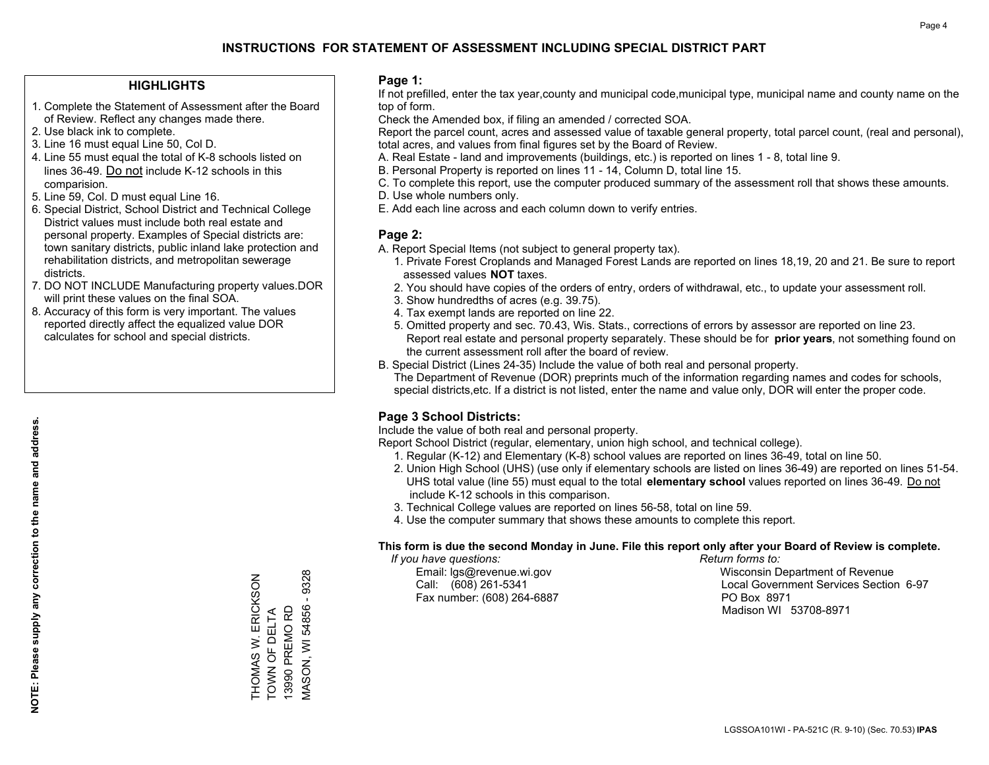#### **HIGHLIGHTS**

- 1. Complete the Statement of Assessment after the Board of Review. Reflect any changes made there.
- 2. Use black ink to complete.
- 3. Line 16 must equal Line 50, Col D.
- 4. Line 55 must equal the total of K-8 schools listed on lines 36-49. Do not include K-12 schools in this comparision.
- 5. Line 59, Col. D must equal Line 16.
- 6. Special District, School District and Technical College District values must include both real estate and personal property. Examples of Special districts are: town sanitary districts, public inland lake protection and rehabilitation districts, and metropolitan sewerage districts.
- 7. DO NOT INCLUDE Manufacturing property values.DOR will print these values on the final SOA.
- 8. Accuracy of this form is very important. The values reported directly affect the equalized value DOR calculates for school and special districts.

#### **Page 1:**

 If not prefilled, enter the tax year,county and municipal code,municipal type, municipal name and county name on the top of form.

Check the Amended box, if filing an amended / corrected SOA.

 Report the parcel count, acres and assessed value of taxable general property, total parcel count, (real and personal), total acres, and values from final figures set by the Board of Review.

- A. Real Estate land and improvements (buildings, etc.) is reported on lines 1 8, total line 9.
- B. Personal Property is reported on lines 11 14, Column D, total line 15.
- C. To complete this report, use the computer produced summary of the assessment roll that shows these amounts.
- D. Use whole numbers only.
- E. Add each line across and each column down to verify entries.

#### **Page 2:**

- A. Report Special Items (not subject to general property tax).
- 1. Private Forest Croplands and Managed Forest Lands are reported on lines 18,19, 20 and 21. Be sure to report assessed values **NOT** taxes.
- 2. You should have copies of the orders of entry, orders of withdrawal, etc., to update your assessment roll.
	- 3. Show hundredths of acres (e.g. 39.75).
- 4. Tax exempt lands are reported on line 22.
- 5. Omitted property and sec. 70.43, Wis. Stats., corrections of errors by assessor are reported on line 23. Report real estate and personal property separately. These should be for **prior years**, not something found on the current assessment roll after the board of review.
- B. Special District (Lines 24-35) Include the value of both real and personal property.
- The Department of Revenue (DOR) preprints much of the information regarding names and codes for schools, special districts,etc. If a district is not listed, enter the name and value only, DOR will enter the proper code.

### **Page 3 School Districts:**

Include the value of both real and personal property.

Report School District (regular, elementary, union high school, and technical college).

- 1. Regular (K-12) and Elementary (K-8) school values are reported on lines 36-49, total on line 50.
- 2. Union High School (UHS) (use only if elementary schools are listed on lines 36-49) are reported on lines 51-54. UHS total value (line 55) must equal to the total **elementary school** values reported on lines 36-49. Do notinclude K-12 schools in this comparison.
- 3. Technical College values are reported on lines 56-58, total on line 59.
- 4. Use the computer summary that shows these amounts to complete this report.

#### **This form is due the second Monday in June. File this report only after your Board of Review is complete.**

 *If you have questions: Return forms to:*

Fax number: (608) 264-6887 PO Box 8971

 Email: lgs@revenue.wi.gov Wisconsin Department of Revenue Call: (608) 261-5341 Local Government Services Section 6-97Madison WI 53708-8971

THOMAS W. ERICKSON<br>TOWN OF DELTA<br>13990 PREMO RD  $-9328$ MASON, WI 54856 - 9328 THOMAS W. ERICKSON **MASON, WI 54856** TOWN OF DELTA 13990 PREMO RD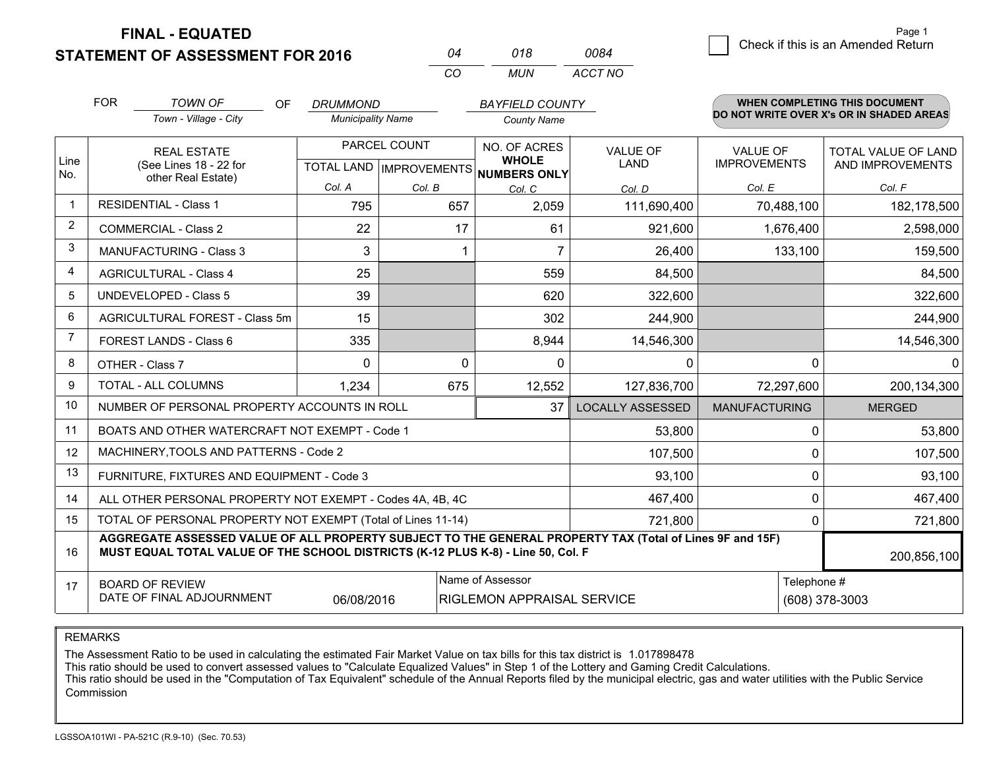**STATEMENT OF ASSESSMENT FOR 2016** 

**FINAL - EQUATED**

| 04  | 018 | 0084    |
|-----|-----|---------|
| CO. | MUN | ACCT NO |

|                | <b>FOR</b><br><b>TOWN OF</b><br><b>OF</b><br>Town - Village - City                                                                                                                                          | <b>BAYFIELD COUNTY</b><br><b>DRUMMOND</b><br><b>Municipality Name</b><br><b>County Name</b> |                         | <b>WHEN COMPLETING THIS DOCUMENT</b><br>DO NOT WRITE OVER X's OR IN SHADED AREAS |                                |                                        |                                                |
|----------------|-------------------------------------------------------------------------------------------------------------------------------------------------------------------------------------------------------------|---------------------------------------------------------------------------------------------|-------------------------|----------------------------------------------------------------------------------|--------------------------------|----------------------------------------|------------------------------------------------|
| Line<br>No.    | <b>REAL ESTATE</b><br>(See Lines 18 - 22 for<br>other Real Estate)                                                                                                                                          | PARCEL COUNT<br>TOTAL LAND MPROVEMENTS NUMBERS ONLY                                         |                         | NO. OF ACRES<br><b>WHOLE</b>                                                     | <b>VALUE OF</b><br><b>LAND</b> | <b>VALUE OF</b><br><b>IMPROVEMENTS</b> | <b>TOTAL VALUE OF LAND</b><br>AND IMPROVEMENTS |
|                |                                                                                                                                                                                                             | Col. A                                                                                      | Col. B                  | Col. C                                                                           | Col. D                         | Col. E                                 | Col. F                                         |
| $\mathbf 1$    | <b>RESIDENTIAL - Class 1</b>                                                                                                                                                                                | 795                                                                                         | 657                     | 2,059                                                                            | 111,690,400                    | 70,488,100                             | 182,178,500                                    |
| 2              | <b>COMMERCIAL - Class 2</b>                                                                                                                                                                                 | 22                                                                                          | 17                      | 61                                                                               | 921,600                        | 1,676,400                              | 2,598,000                                      |
| 3              | <b>MANUFACTURING - Class 3</b>                                                                                                                                                                              | 3                                                                                           |                         | 7                                                                                | 26,400                         | 133,100                                | 159,500                                        |
| 4              | <b>AGRICULTURAL - Class 4</b>                                                                                                                                                                               | 25                                                                                          |                         | 559                                                                              | 84,500                         |                                        | 84,500                                         |
| 5              | UNDEVELOPED - Class 5                                                                                                                                                                                       | 39                                                                                          |                         | 620                                                                              | 322,600                        |                                        | 322,600                                        |
| 6              | AGRICULTURAL FOREST - Class 5m                                                                                                                                                                              | 15                                                                                          |                         | 302                                                                              | 244,900                        |                                        | 244,900                                        |
| $\overline{7}$ | FOREST LANDS - Class 6                                                                                                                                                                                      | 335                                                                                         |                         | 8,944                                                                            | 14,546,300                     |                                        | 14,546,300                                     |
| 8              | OTHER - Class 7                                                                                                                                                                                             | $\Omega$                                                                                    | $\Omega$                | $\Omega$                                                                         | 0                              | $\Omega$                               | $\Omega$                                       |
| 9              | TOTAL - ALL COLUMNS                                                                                                                                                                                         | 1,234                                                                                       |                         |                                                                                  | 127,836,700                    | 72,297,600                             | 200,134,300                                    |
| 10             | NUMBER OF PERSONAL PROPERTY ACCOUNTS IN ROLL                                                                                                                                                                |                                                                                             | <b>LOCALLY ASSESSED</b> | <b>MANUFACTURING</b>                                                             | <b>MERGED</b>                  |                                        |                                                |
| 11             | BOATS AND OTHER WATERCRAFT NOT EXEMPT - Code 1                                                                                                                                                              |                                                                                             | 53,800                  | 0                                                                                | 53,800                         |                                        |                                                |
| 12             | MACHINERY, TOOLS AND PATTERNS - Code 2                                                                                                                                                                      |                                                                                             | 107,500                 | 0                                                                                | 107,500                        |                                        |                                                |
| 13             | FURNITURE, FIXTURES AND EQUIPMENT - Code 3                                                                                                                                                                  |                                                                                             |                         | 93,100                                                                           | 0                              | 93,100                                 |                                                |
| 14             | ALL OTHER PERSONAL PROPERTY NOT EXEMPT - Codes 4A, 4B, 4C                                                                                                                                                   |                                                                                             |                         | 467,400                                                                          | 0                              | 467,400                                |                                                |
| 15             | TOTAL OF PERSONAL PROPERTY NOT EXEMPT (Total of Lines 11-14)                                                                                                                                                | 0                                                                                           | 721,800                 |                                                                                  |                                |                                        |                                                |
| 16             | AGGREGATE ASSESSED VALUE OF ALL PROPERTY SUBJECT TO THE GENERAL PROPERTY TAX (Total of Lines 9F and 15F)<br>MUST EQUAL TOTAL VALUE OF THE SCHOOL DISTRICTS (K-12 PLUS K-8) - Line 50, Col. F<br>200,856,100 |                                                                                             |                         |                                                                                  |                                |                                        |                                                |
| 17             | <b>BOARD OF REVIEW</b><br>DATE OF FINAL ADJOURNMENT                                                                                                                                                         | 06/08/2016                                                                                  |                         | Name of Assessor<br>Telephone #<br>RIGLEMON APPRAISAL SERVICE<br>(608) 378-3003  |                                |                                        |                                                |

REMARKS

The Assessment Ratio to be used in calculating the estimated Fair Market Value on tax bills for this tax district is 1.017898478

This ratio should be used to convert assessed values to "Calculate Equalized Values" in Step 1 of the Lottery and Gaming Credit Calculations.<br>This ratio should be used in the "Computation of Tax Equivalent" schedule of the Commission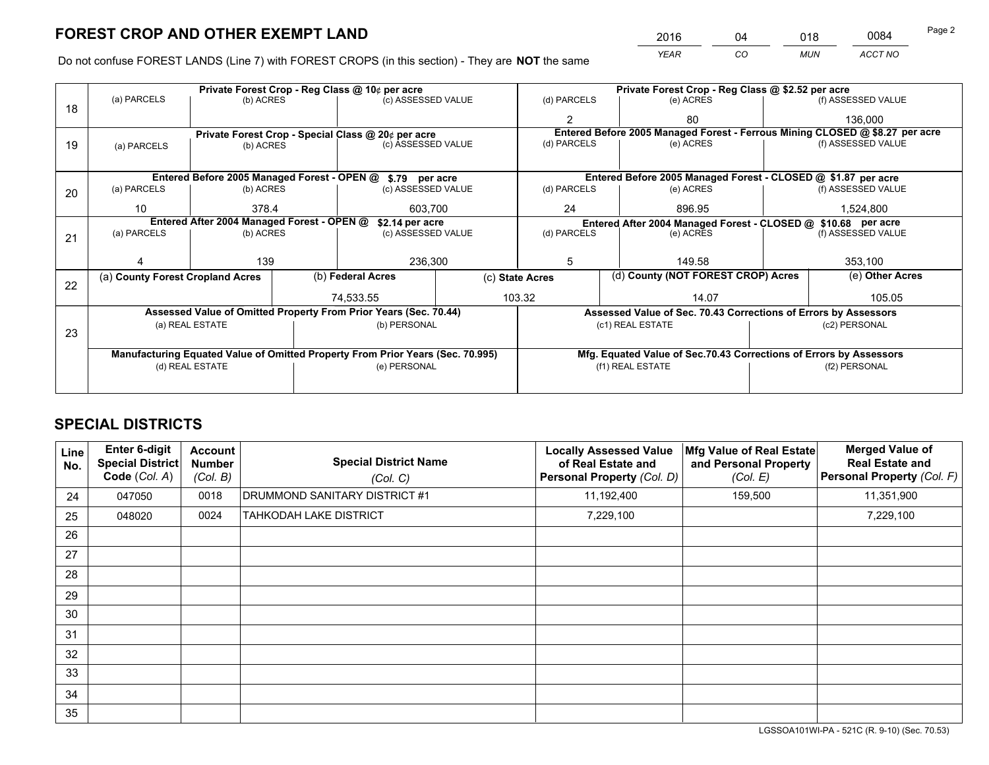*YEAR CO MUN ACCT NO* <sup>2016</sup> <sup>04</sup> <sup>018</sup> <sup>0084</sup>

Do not confuse FOREST LANDS (Line 7) with FOREST CROPS (in this section) - They are **NOT** the same

| (a) PARCELS                                                                    |           | Private Forest Crop - Reg Class @ 10¢ per acre |                    |                                                                 |                                                                                                                                                                                                                         |                       | Private Forest Crop - Reg Class @ \$2.52 per acre |                                    |  |  |
|--------------------------------------------------------------------------------|-----------|------------------------------------------------|--------------------|-----------------------------------------------------------------|-------------------------------------------------------------------------------------------------------------------------------------------------------------------------------------------------------------------------|-----------------------|---------------------------------------------------|------------------------------------|--|--|
|                                                                                | (b) ACRES |                                                | (c) ASSESSED VALUE |                                                                 | (d) PARCELS                                                                                                                                                                                                             | (e) ACRES             |                                                   | (f) ASSESSED VALUE                 |  |  |
|                                                                                |           |                                                |                    |                                                                 |                                                                                                                                                                                                                         | 80                    |                                                   | 136,000                            |  |  |
|                                                                                |           |                                                |                    |                                                                 | Entered Before 2005 Managed Forest - Ferrous Mining CLOSED @ \$8.27 per acre                                                                                                                                            |                       |                                                   |                                    |  |  |
| (c) ASSESSED VALUE<br>(b) ACRES<br>(a) PARCELS                                 |           |                                                |                    | (e) ACRES                                                       |                                                                                                                                                                                                                         | (f) ASSESSED VALUE    |                                                   |                                    |  |  |
|                                                                                |           |                                                |                    |                                                                 |                                                                                                                                                                                                                         |                       |                                                   |                                    |  |  |
|                                                                                |           |                                                |                    |                                                                 | Entered Before 2005 Managed Forest - CLOSED @ \$1.87 per acre                                                                                                                                                           |                       |                                                   |                                    |  |  |
| (a) PARCELS                                                                    | (b) ACRES |                                                | (c) ASSESSED VALUE |                                                                 | (d) PARCELS                                                                                                                                                                                                             | (e) ACRES             |                                                   |                                    |  |  |
| 10                                                                             | 378.4     |                                                | 603,700            |                                                                 | 24<br>896.95                                                                                                                                                                                                            |                       | 1,524,800                                         |                                    |  |  |
| Entered After 2004 Managed Forest - OPEN @                                     |           |                                                |                    | Entered After 2004 Managed Forest - CLOSED @ \$10.68 per acre   |                                                                                                                                                                                                                         |                       |                                                   |                                    |  |  |
| (a) PARCELS                                                                    | (b) ACRES | (c) ASSESSED VALUE                             |                    |                                                                 | (d) PARCELS<br>(e) ACRES                                                                                                                                                                                                |                       | (f) ASSESSED VALUE                                |                                    |  |  |
|                                                                                |           |                                                |                    |                                                                 |                                                                                                                                                                                                                         |                       |                                                   |                                    |  |  |
|                                                                                | 139       | 236,300                                        |                    | 5                                                               | 149.58                                                                                                                                                                                                                  |                       | 353,100                                           |                                    |  |  |
| (a) County Forest Cropland Acres                                               |           |                                                |                    | (c) State Acres                                                 |                                                                                                                                                                                                                         |                       | (e) Other Acres                                   |                                    |  |  |
|                                                                                |           |                                                |                    |                                                                 |                                                                                                                                                                                                                         |                       |                                                   | 105.05                             |  |  |
|                                                                                |           |                                                |                    |                                                                 |                                                                                                                                                                                                                         |                       |                                                   |                                    |  |  |
|                                                                                |           |                                                |                    | Assessed Value of Sec. 70.43 Corrections of Errors by Assessors |                                                                                                                                                                                                                         |                       |                                                   |                                    |  |  |
|                                                                                |           |                                                |                    |                                                                 |                                                                                                                                                                                                                         |                       | (c2) PERSONAL                                     |                                    |  |  |
|                                                                                |           |                                                |                    |                                                                 |                                                                                                                                                                                                                         |                       |                                                   |                                    |  |  |
| Manufacturing Equated Value of Omitted Property From Prior Years (Sec. 70.995) |           |                                                |                    |                                                                 | Mfg. Equated Value of Sec.70.43 Corrections of Errors by Assessors                                                                                                                                                      |                       |                                                   |                                    |  |  |
| (d) REAL ESTATE                                                                |           |                                                | (e) PERSONAL       |                                                                 | (f1) REAL ESTATE                                                                                                                                                                                                        |                       | (f2) PERSONAL                                     |                                    |  |  |
|                                                                                |           |                                                |                    |                                                                 |                                                                                                                                                                                                                         |                       |                                                   |                                    |  |  |
|                                                                                |           | (a) REAL ESTATE                                |                    | (b) Federal Acres<br>74.533.55                                  | Private Forest Crop - Special Class @ 20¢ per acre<br>Entered Before 2005 Managed Forest - OPEN @ \$.79 per acre<br>\$2.14 per acre<br>Assessed Value of Omitted Property From Prior Years (Sec. 70.44)<br>(b) PERSONAL | (d) PARCELS<br>103.32 | 14.07<br>(c1) REAL ESTATE                         | (d) County (NOT FOREST CROP) Acres |  |  |

## **SPECIAL DISTRICTS**

| Line<br>No. | <b>Enter 6-digit</b><br><b>Special District</b><br>Code (Col. A) | <b>Account</b><br><b>Number</b><br>(Col. B) | <b>Special District Name</b><br>(Col. C) | <b>Locally Assessed Value</b><br>of Real Estate and<br>Personal Property (Col. D) | Mfg Value of Real Estate<br>and Personal Property<br>(Col. E) | <b>Merged Value of</b><br><b>Real Estate and</b><br>Personal Property (Col. F) |
|-------------|------------------------------------------------------------------|---------------------------------------------|------------------------------------------|-----------------------------------------------------------------------------------|---------------------------------------------------------------|--------------------------------------------------------------------------------|
| 24          | 047050                                                           | 0018                                        | DRUMMOND SANITARY DISTRICT #1            | 11,192,400                                                                        | 159,500                                                       | 11,351,900                                                                     |
| 25          | 048020                                                           | 0024                                        | <b>TAHKODAH LAKE DISTRICT</b>            | 7,229,100                                                                         |                                                               | 7,229,100                                                                      |
| 26          |                                                                  |                                             |                                          |                                                                                   |                                                               |                                                                                |
| 27          |                                                                  |                                             |                                          |                                                                                   |                                                               |                                                                                |
| 28          |                                                                  |                                             |                                          |                                                                                   |                                                               |                                                                                |
| 29          |                                                                  |                                             |                                          |                                                                                   |                                                               |                                                                                |
| 30          |                                                                  |                                             |                                          |                                                                                   |                                                               |                                                                                |
| 31          |                                                                  |                                             |                                          |                                                                                   |                                                               |                                                                                |
| 32          |                                                                  |                                             |                                          |                                                                                   |                                                               |                                                                                |
| 33          |                                                                  |                                             |                                          |                                                                                   |                                                               |                                                                                |
| 34          |                                                                  |                                             |                                          |                                                                                   |                                                               |                                                                                |
| 35          |                                                                  |                                             |                                          |                                                                                   |                                                               |                                                                                |

LGSSOA101WI-PA - 521C (R. 9-10) (Sec. 70.53)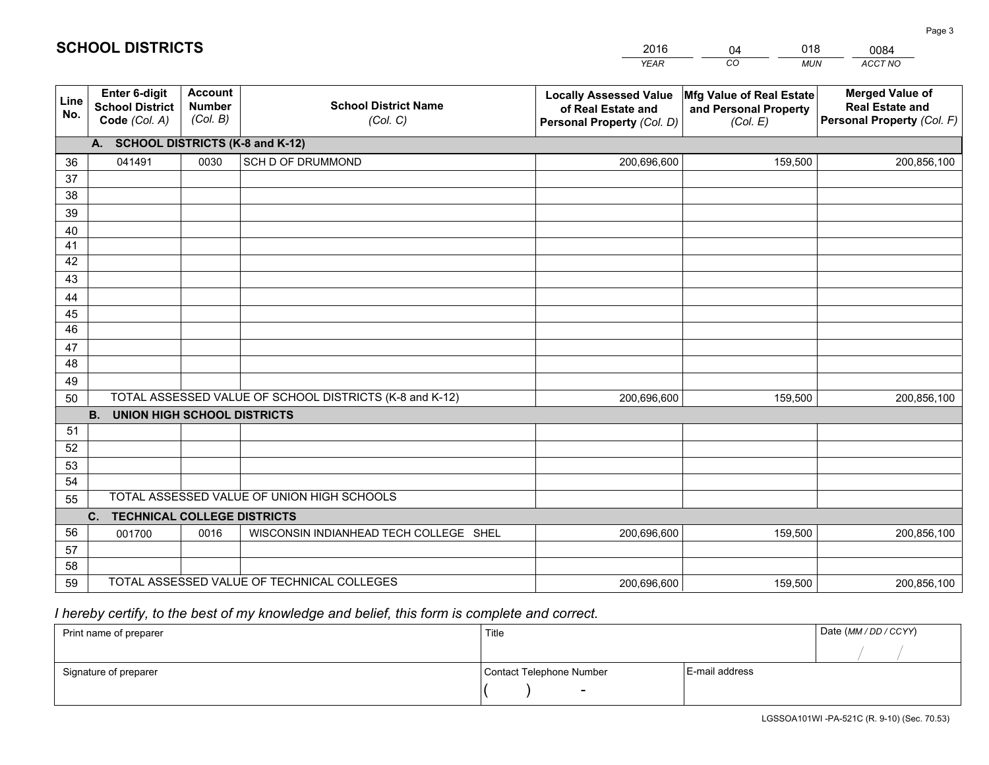| <b>Account</b><br><b>Enter 6-digit</b><br><b>Merged Value of</b><br>Mfg Value of Real Estate<br><b>Locally Assessed Value</b><br>Line<br><b>School District Name</b><br><b>Number</b><br><b>School District</b><br><b>Real Estate and</b><br>of Real Estate and<br>and Personal Property<br>No.<br>(Col. B)<br>Personal Property (Col. F)<br>Code (Col. A)<br>(Col. C)<br>(Col. E)<br>Personal Property (Col. D) | 200,856,100 |  |  |  |  |  |
|------------------------------------------------------------------------------------------------------------------------------------------------------------------------------------------------------------------------------------------------------------------------------------------------------------------------------------------------------------------------------------------------------------------|-------------|--|--|--|--|--|
|                                                                                                                                                                                                                                                                                                                                                                                                                  |             |  |  |  |  |  |
| A. SCHOOL DISTRICTS (K-8 and K-12)                                                                                                                                                                                                                                                                                                                                                                               |             |  |  |  |  |  |
| 0030<br>SCH D OF DRUMMOND<br>041491<br>200,696,600<br>159,500<br>36                                                                                                                                                                                                                                                                                                                                              |             |  |  |  |  |  |
| 37                                                                                                                                                                                                                                                                                                                                                                                                               |             |  |  |  |  |  |
| 38                                                                                                                                                                                                                                                                                                                                                                                                               |             |  |  |  |  |  |
| 39                                                                                                                                                                                                                                                                                                                                                                                                               |             |  |  |  |  |  |
| 40                                                                                                                                                                                                                                                                                                                                                                                                               |             |  |  |  |  |  |
| 41<br>42                                                                                                                                                                                                                                                                                                                                                                                                         |             |  |  |  |  |  |
| 43                                                                                                                                                                                                                                                                                                                                                                                                               |             |  |  |  |  |  |
| 44                                                                                                                                                                                                                                                                                                                                                                                                               |             |  |  |  |  |  |
| 45                                                                                                                                                                                                                                                                                                                                                                                                               |             |  |  |  |  |  |
| $\overline{46}$                                                                                                                                                                                                                                                                                                                                                                                                  |             |  |  |  |  |  |
| 47                                                                                                                                                                                                                                                                                                                                                                                                               |             |  |  |  |  |  |
| 48                                                                                                                                                                                                                                                                                                                                                                                                               |             |  |  |  |  |  |
| 49                                                                                                                                                                                                                                                                                                                                                                                                               |             |  |  |  |  |  |
| TOTAL ASSESSED VALUE OF SCHOOL DISTRICTS (K-8 and K-12)<br>50<br>159,500<br>200,696,600                                                                                                                                                                                                                                                                                                                          | 200,856,100 |  |  |  |  |  |
| <b>B.</b><br><b>UNION HIGH SCHOOL DISTRICTS</b>                                                                                                                                                                                                                                                                                                                                                                  |             |  |  |  |  |  |
| 51                                                                                                                                                                                                                                                                                                                                                                                                               |             |  |  |  |  |  |
| 52                                                                                                                                                                                                                                                                                                                                                                                                               |             |  |  |  |  |  |
| 53                                                                                                                                                                                                                                                                                                                                                                                                               |             |  |  |  |  |  |
| 54                                                                                                                                                                                                                                                                                                                                                                                                               |             |  |  |  |  |  |
| TOTAL ASSESSED VALUE OF UNION HIGH SCHOOLS<br>55                                                                                                                                                                                                                                                                                                                                                                 |             |  |  |  |  |  |
| C.<br><b>TECHNICAL COLLEGE DISTRICTS</b><br>56                                                                                                                                                                                                                                                                                                                                                                   |             |  |  |  |  |  |
| WISCONSIN INDIANHEAD TECH COLLEGE SHEL<br>0016<br>200,696,600<br>159,500<br>001700<br>57                                                                                                                                                                                                                                                                                                                         | 200,856,100 |  |  |  |  |  |
| 58                                                                                                                                                                                                                                                                                                                                                                                                               |             |  |  |  |  |  |
| TOTAL ASSESSED VALUE OF TECHNICAL COLLEGES<br>59<br>159,500<br>200,696,600                                                                                                                                                                                                                                                                                                                                       | 200,856,100 |  |  |  |  |  |

04

018

## *I hereby certify, to the best of my knowledge and belief, this form is complete and correct.*

**SCHOOL DISTRICTS**

| Print name of preparer | Title                    |                | Date (MM / DD / CCYY) |
|------------------------|--------------------------|----------------|-----------------------|
|                        |                          |                |                       |
| Signature of preparer  | Contact Telephone Number | E-mail address |                       |
|                        | $\overline{\phantom{0}}$ |                |                       |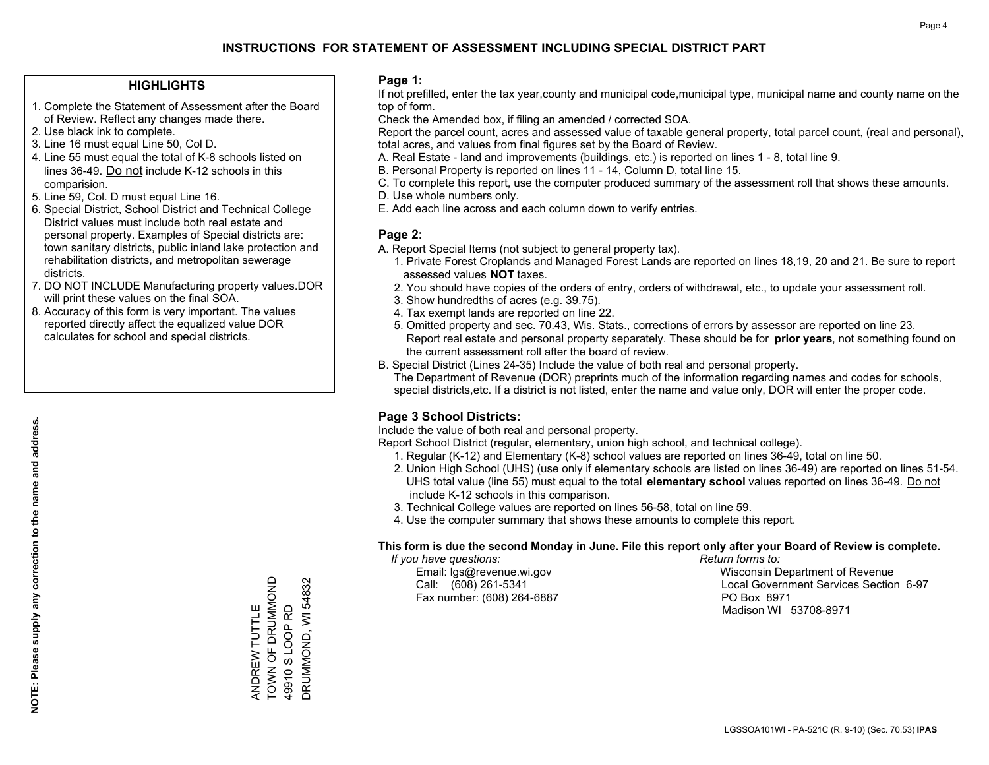#### **HIGHLIGHTS**

- 1. Complete the Statement of Assessment after the Board of Review. Reflect any changes made there.
- 2. Use black ink to complete.
- 3. Line 16 must equal Line 50, Col D.
- 4. Line 55 must equal the total of K-8 schools listed on lines 36-49. Do not include K-12 schools in this comparision.
- 5. Line 59, Col. D must equal Line 16.
- 6. Special District, School District and Technical College District values must include both real estate and personal property. Examples of Special districts are: town sanitary districts, public inland lake protection and rehabilitation districts, and metropolitan sewerage districts.
- 7. DO NOT INCLUDE Manufacturing property values.DOR will print these values on the final SOA.
- 8. Accuracy of this form is very important. The values reported directly affect the equalized value DOR calculates for school and special districts.

#### **Page 1:**

 If not prefilled, enter the tax year,county and municipal code,municipal type, municipal name and county name on the top of form.

Check the Amended box, if filing an amended / corrected SOA.

 Report the parcel count, acres and assessed value of taxable general property, total parcel count, (real and personal), total acres, and values from final figures set by the Board of Review.

- A. Real Estate land and improvements (buildings, etc.) is reported on lines 1 8, total line 9.
- B. Personal Property is reported on lines 11 14, Column D, total line 15.
- C. To complete this report, use the computer produced summary of the assessment roll that shows these amounts.
- D. Use whole numbers only.
- E. Add each line across and each column down to verify entries.

#### **Page 2:**

- A. Report Special Items (not subject to general property tax).
- 1. Private Forest Croplands and Managed Forest Lands are reported on lines 18,19, 20 and 21. Be sure to report assessed values **NOT** taxes.
- 2. You should have copies of the orders of entry, orders of withdrawal, etc., to update your assessment roll.
	- 3. Show hundredths of acres (e.g. 39.75).
- 4. Tax exempt lands are reported on line 22.
- 5. Omitted property and sec. 70.43, Wis. Stats., corrections of errors by assessor are reported on line 23. Report real estate and personal property separately. These should be for **prior years**, not something found on the current assessment roll after the board of review.
- B. Special District (Lines 24-35) Include the value of both real and personal property.
- The Department of Revenue (DOR) preprints much of the information regarding names and codes for schools, special districts,etc. If a district is not listed, enter the name and value only, DOR will enter the proper code.

### **Page 3 School Districts:**

Include the value of both real and personal property.

Report School District (regular, elementary, union high school, and technical college).

- 1. Regular (K-12) and Elementary (K-8) school values are reported on lines 36-49, total on line 50.
- 2. Union High School (UHS) (use only if elementary schools are listed on lines 36-49) are reported on lines 51-54. UHS total value (line 55) must equal to the total **elementary school** values reported on lines 36-49. Do notinclude K-12 schools in this comparison.
- 3. Technical College values are reported on lines 56-58, total on line 59.
- 4. Use the computer summary that shows these amounts to complete this report.

#### **This form is due the second Monday in June. File this report only after your Board of Review is complete.**

 *If you have questions: Return forms to:*

Fax number: (608) 264-6887 PO Box 8971

 Email: lgs@revenue.wi.gov Wisconsin Department of Revenue Call: (608) 261-5341 Local Government Services Section 6-97Madison WI 53708-8971

ANDREW TUTTLE TOWN OF DRUMMOND 49910 S LOOP RD DRUMMOND, WI 54832

ANDREW TUTTLE<br>TOWN OF DRUMMOND

DRUMMOND, WI 54832 49910 S LOOP RD

**NOTE: Please supply any correction to the name and address.**

NOTE: Please supply any correction to the name and address.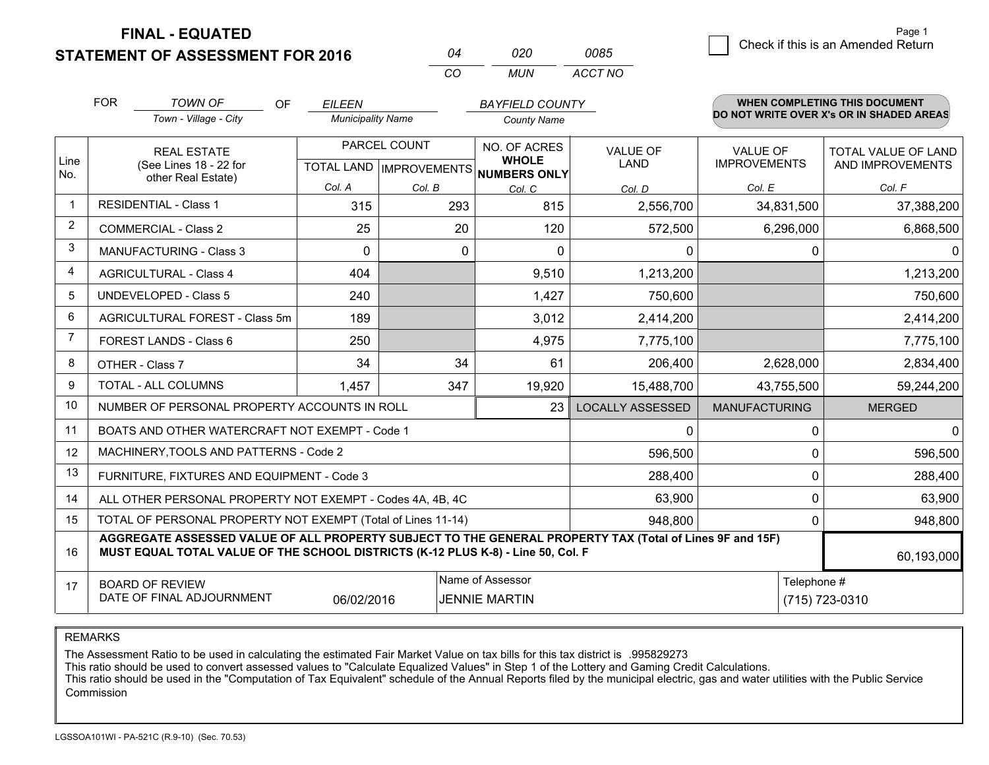**STATEMENT OF ASSESSMENT FOR 2016 FINAL - EQUATED**

 $\overline{5}$  Check if this is an Amended Return Page 1

| 04  | 020 | 0085    |
|-----|-----|---------|
| CO. | MUN | ACCT NO |

|                | <b>FOR</b>                                                                                                                                     | <b>TOWN OF</b><br><b>OF</b>                                                                                                                                                                  | <b>EILEEN</b>            |                                           | <b>BAYFIELD COUNTY</b>                              |                                |                                 | <b>WHEN COMPLETING THIS DOCUMENT</b>           |
|----------------|------------------------------------------------------------------------------------------------------------------------------------------------|----------------------------------------------------------------------------------------------------------------------------------------------------------------------------------------------|--------------------------|-------------------------------------------|-----------------------------------------------------|--------------------------------|---------------------------------|------------------------------------------------|
|                |                                                                                                                                                | Town - Village - City                                                                                                                                                                        | <b>Municipality Name</b> |                                           | <b>County Name</b>                                  |                                |                                 | DO NOT WRITE OVER X's OR IN SHADED AREAS       |
| Line<br>No.    |                                                                                                                                                | <b>REAL ESTATE</b><br>(See Lines 18 - 22 for<br>other Real Estate)                                                                                                                           |                          | PARCEL COUNT<br>TOTAL LAND   IMPROVEMENTS | NO. OF ACRES<br><b>WHOLE</b><br><b>NUMBERS ONLY</b> | <b>VALUE OF</b><br><b>LAND</b> | VALUE OF<br><b>IMPROVEMENTS</b> | <b>TOTAL VALUE OF LAND</b><br>AND IMPROVEMENTS |
|                |                                                                                                                                                |                                                                                                                                                                                              | Col. A                   | Col. B                                    | Col. C                                              | Col. D                         | Col. E                          | Col. F                                         |
| $\mathbf{1}$   |                                                                                                                                                | <b>RESIDENTIAL - Class 1</b>                                                                                                                                                                 | 315                      | 293                                       | 815                                                 | 2,556,700                      | 34,831,500                      | 37,388,200                                     |
| $\overline{2}$ |                                                                                                                                                | <b>COMMERCIAL - Class 2</b>                                                                                                                                                                  | 25                       | 20                                        | 120                                                 | 572,500                        | 6,296,000                       | 6,868,500                                      |
| 3              |                                                                                                                                                | <b>MANUFACTURING - Class 3</b>                                                                                                                                                               | $\Omega$                 | $\Omega$                                  | $\Omega$                                            | 0                              |                                 | $\Omega$<br>∩                                  |
| 4              |                                                                                                                                                | <b>AGRICULTURAL - Class 4</b>                                                                                                                                                                | 404                      |                                           | 9,510                                               | 1,213,200                      |                                 | 1,213,200                                      |
| 5              |                                                                                                                                                | <b>UNDEVELOPED - Class 5</b>                                                                                                                                                                 | 240                      |                                           | 1,427                                               | 750,600                        |                                 | 750,600                                        |
| 6              |                                                                                                                                                | AGRICULTURAL FOREST - Class 5m                                                                                                                                                               | 189                      |                                           | 3,012                                               | 2,414,200                      |                                 | 2,414,200                                      |
| $\overline{7}$ |                                                                                                                                                | FOREST LANDS - Class 6                                                                                                                                                                       | 250                      |                                           | 4,975                                               | 7,775,100                      |                                 | 7,775,100                                      |
| 8              |                                                                                                                                                | OTHER - Class 7                                                                                                                                                                              | 34                       | 34                                        | 61                                                  | 206,400                        | 2,628,000                       | 2,834,400                                      |
| 9              |                                                                                                                                                | TOTAL - ALL COLUMNS                                                                                                                                                                          | 1,457                    | 347                                       | 19,920                                              | 15,488,700                     | 43,755,500                      | 59,244,200                                     |
| 10             |                                                                                                                                                | NUMBER OF PERSONAL PROPERTY ACCOUNTS IN ROLL                                                                                                                                                 |                          |                                           | 23                                                  | <b>LOCALLY ASSESSED</b>        | <b>MANUFACTURING</b>            | <b>MERGED</b>                                  |
| 11             |                                                                                                                                                | BOATS AND OTHER WATERCRAFT NOT EXEMPT - Code 1                                                                                                                                               |                          |                                           |                                                     | 0                              |                                 | 0<br>0                                         |
| 12             |                                                                                                                                                | MACHINERY, TOOLS AND PATTERNS - Code 2                                                                                                                                                       |                          |                                           |                                                     | 596,500                        |                                 | 596,500<br>$\Omega$                            |
| 13             |                                                                                                                                                | FURNITURE, FIXTURES AND EQUIPMENT - Code 3                                                                                                                                                   |                          |                                           |                                                     | 288,400                        |                                 | 288,400<br>0                                   |
| 14             |                                                                                                                                                | ALL OTHER PERSONAL PROPERTY NOT EXEMPT - Codes 4A, 4B, 4C                                                                                                                                    |                          |                                           |                                                     | 63,900                         |                                 | 63,900<br>$\Omega$                             |
| 15             | TOTAL OF PERSONAL PROPERTY NOT EXEMPT (Total of Lines 11-14)<br>948,800                                                                        |                                                                                                                                                                                              |                          |                                           |                                                     |                                |                                 | 948,800<br>0                                   |
| 16             |                                                                                                                                                | AGGREGATE ASSESSED VALUE OF ALL PROPERTY SUBJECT TO THE GENERAL PROPERTY TAX (Total of Lines 9F and 15F)<br>MUST EQUAL TOTAL VALUE OF THE SCHOOL DISTRICTS (K-12 PLUS K-8) - Line 50, Col. F |                          |                                           |                                                     |                                |                                 | 60,193,000                                     |
| 17             | Name of Assessor<br>Telephone #<br><b>BOARD OF REVIEW</b><br>DATE OF FINAL ADJOURNMENT<br>(715) 723-0310<br>06/02/2016<br><b>JENNIE MARTIN</b> |                                                                                                                                                                                              |                          |                                           |                                                     |                                |                                 |                                                |

REMARKS

The Assessment Ratio to be used in calculating the estimated Fair Market Value on tax bills for this tax district is .995829273

This ratio should be used to convert assessed values to "Calculate Equalized Values" in Step 1 of the Lottery and Gaming Credit Calculations.<br>This ratio should be used in the "Computation of Tax Equivalent" schedule of the Commission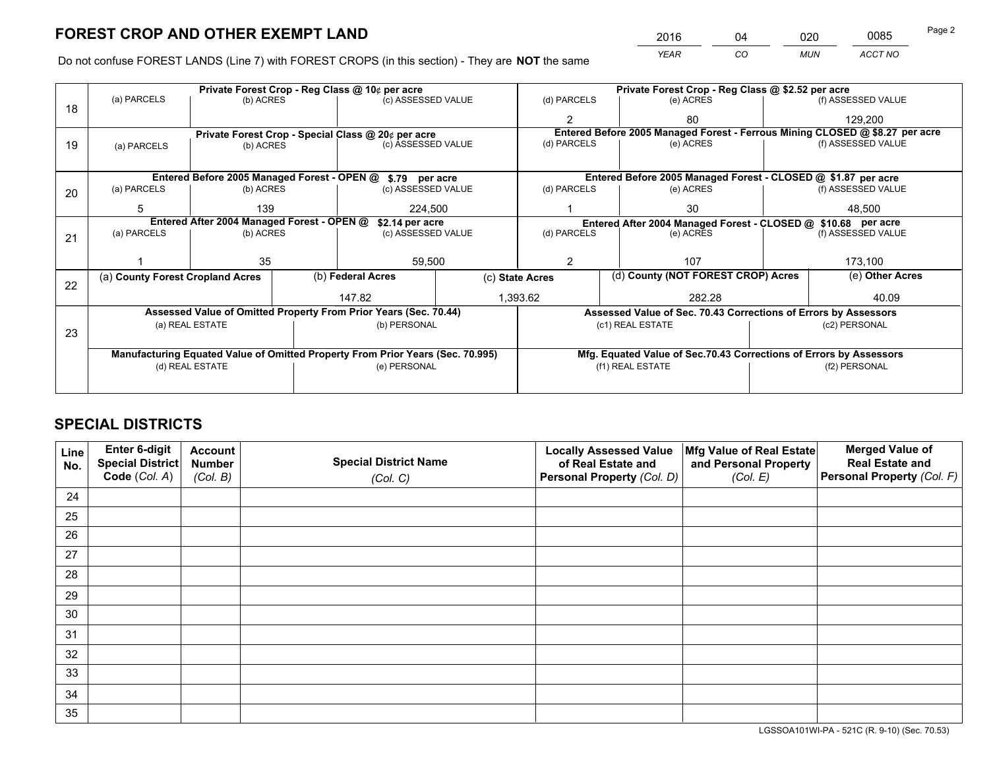*YEAR CO MUN ACCT NO* <sup>2016</sup> <sup>04</sup> <sup>020</sup> <sup>0085</sup>

Do not confuse FOREST LANDS (Line 7) with FOREST CROPS (in this section) - They are **NOT** the same

|    |                                  |                                            | Private Forest Crop - Reg Class @ 10¢ per acre                                 |          | Private Forest Crop - Reg Class @ \$2.52 per acre |                  |                                    |                                                               |                                                                              |
|----|----------------------------------|--------------------------------------------|--------------------------------------------------------------------------------|----------|---------------------------------------------------|------------------|------------------------------------|---------------------------------------------------------------|------------------------------------------------------------------------------|
| 18 | (a) PARCELS                      | (b) ACRES                                  | (c) ASSESSED VALUE                                                             |          | (d) PARCELS                                       |                  | (e) ACRES                          |                                                               | (f) ASSESSED VALUE                                                           |
|    |                                  |                                            |                                                                                |          |                                                   |                  | 80                                 |                                                               | 129,200                                                                      |
|    |                                  |                                            | Private Forest Crop - Special Class @ 20¢ per acre                             |          |                                                   |                  |                                    |                                                               | Entered Before 2005 Managed Forest - Ferrous Mining CLOSED @ \$8.27 per acre |
| 19 | (a) PARCELS                      | (b) ACRES                                  | (c) ASSESSED VALUE                                                             |          | (d) PARCELS                                       |                  | (e) ACRES                          |                                                               | (f) ASSESSED VALUE                                                           |
|    |                                  |                                            |                                                                                |          |                                                   |                  |                                    |                                                               |                                                                              |
|    |                                  |                                            | Entered Before 2005 Managed Forest - OPEN @ \$.79 per acre                     |          |                                                   |                  |                                    |                                                               | Entered Before 2005 Managed Forest - CLOSED @ \$1.87 per acre                |
| 20 | (a) PARCELS                      | (b) ACRES                                  | (c) ASSESSED VALUE                                                             |          | (d) PARCELS                                       |                  | (e) ACRES                          |                                                               | (f) ASSESSED VALUE                                                           |
|    | 5                                | 139                                        | 224,500                                                                        |          | 30                                                |                  | 48,500                             |                                                               |                                                                              |
|    |                                  | Entered After 2004 Managed Forest - OPEN @ | \$2.14 per acre                                                                |          |                                                   |                  |                                    | Entered After 2004 Managed Forest - CLOSED @ \$10.68 per acre |                                                                              |
| 21 | (a) PARCELS                      | (b) ACRES                                  | (c) ASSESSED VALUE                                                             |          | (d) PARCELS<br>(e) ACRES                          |                  | (f) ASSESSED VALUE                 |                                                               |                                                                              |
|    |                                  |                                            |                                                                                |          |                                                   |                  |                                    |                                                               |                                                                              |
|    |                                  | 35                                         | 59,500                                                                         |          | 2                                                 |                  | 107                                |                                                               | 173,100                                                                      |
|    | (a) County Forest Cropland Acres |                                            | (b) Federal Acres                                                              |          | (c) State Acres                                   |                  | (d) County (NOT FOREST CROP) Acres |                                                               | (e) Other Acres                                                              |
| 22 |                                  |                                            | 147.82                                                                         | 1,393.62 |                                                   |                  | 282.28                             |                                                               | 40.09                                                                        |
|    |                                  |                                            | Assessed Value of Omitted Property From Prior Years (Sec. 70.44)               |          |                                                   |                  |                                    |                                                               | Assessed Value of Sec. 70.43 Corrections of Errors by Assessors              |
|    |                                  | (a) REAL ESTATE                            | (b) PERSONAL                                                                   |          |                                                   | (c1) REAL ESTATE |                                    |                                                               | (c2) PERSONAL                                                                |
| 23 |                                  |                                            |                                                                                |          |                                                   |                  |                                    |                                                               |                                                                              |
|    |                                  |                                            | Manufacturing Equated Value of Omitted Property From Prior Years (Sec. 70.995) |          |                                                   |                  |                                    |                                                               | Mfg. Equated Value of Sec.70.43 Corrections of Errors by Assessors           |
|    |                                  | (d) REAL ESTATE                            | (e) PERSONAL                                                                   |          |                                                   | (f1) REAL ESTATE |                                    | (f2) PERSONAL                                                 |                                                                              |
|    |                                  |                                            |                                                                                |          |                                                   |                  |                                    |                                                               |                                                                              |

## **SPECIAL DISTRICTS**

| Line<br>No. | Enter 6-digit<br>Special District<br>Code (Col. A) | <b>Account</b><br><b>Number</b> | <b>Special District Name</b> | <b>Locally Assessed Value</b><br>of Real Estate and | Mfg Value of Real Estate<br>and Personal Property | <b>Merged Value of</b><br><b>Real Estate and</b><br>Personal Property (Col. F) |
|-------------|----------------------------------------------------|---------------------------------|------------------------------|-----------------------------------------------------|---------------------------------------------------|--------------------------------------------------------------------------------|
|             |                                                    | (Col. B)                        | (Col. C)                     | Personal Property (Col. D)                          | (Col. E)                                          |                                                                                |
| 24          |                                                    |                                 |                              |                                                     |                                                   |                                                                                |
| 25          |                                                    |                                 |                              |                                                     |                                                   |                                                                                |
| 26          |                                                    |                                 |                              |                                                     |                                                   |                                                                                |
| 27          |                                                    |                                 |                              |                                                     |                                                   |                                                                                |
| 28          |                                                    |                                 |                              |                                                     |                                                   |                                                                                |
| 29          |                                                    |                                 |                              |                                                     |                                                   |                                                                                |
| 30          |                                                    |                                 |                              |                                                     |                                                   |                                                                                |
| 31          |                                                    |                                 |                              |                                                     |                                                   |                                                                                |
| 32          |                                                    |                                 |                              |                                                     |                                                   |                                                                                |
| 33          |                                                    |                                 |                              |                                                     |                                                   |                                                                                |
| 34          |                                                    |                                 |                              |                                                     |                                                   |                                                                                |
| 35          |                                                    |                                 |                              |                                                     |                                                   |                                                                                |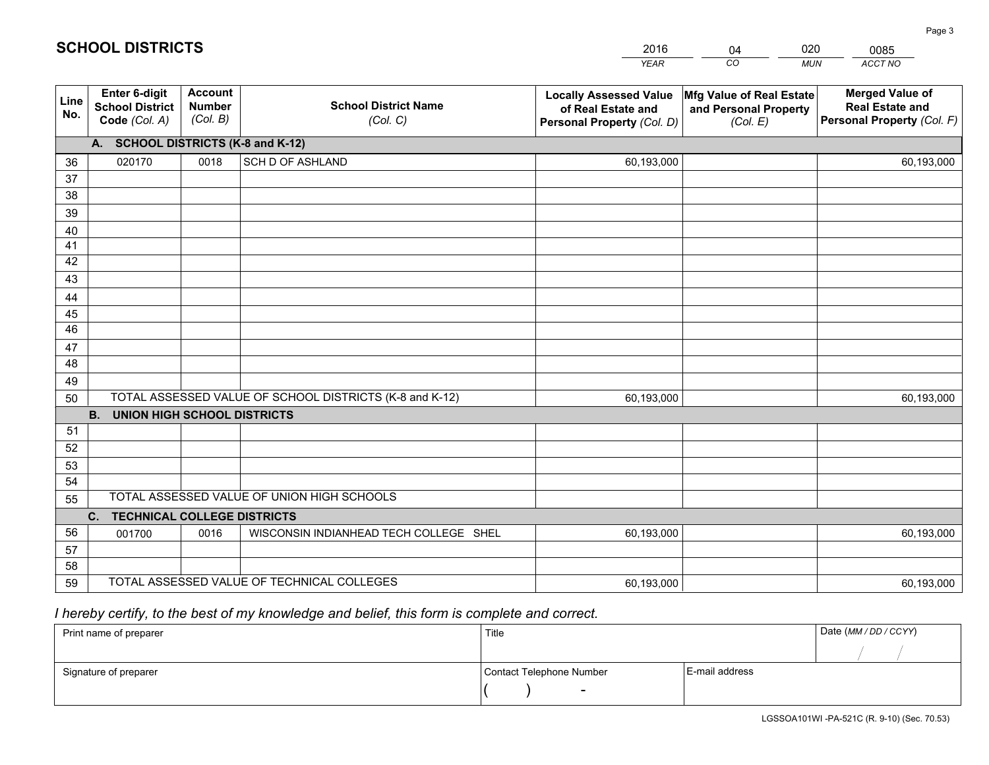|             |                                                          |                                             |                                                         | <b>YEAR</b>                                                                       | CO<br><b>MUN</b>                                              | ACCT NO                                                                        |
|-------------|----------------------------------------------------------|---------------------------------------------|---------------------------------------------------------|-----------------------------------------------------------------------------------|---------------------------------------------------------------|--------------------------------------------------------------------------------|
| Line<br>No. | Enter 6-digit<br><b>School District</b><br>Code (Col. A) | <b>Account</b><br><b>Number</b><br>(Col. B) | <b>School District Name</b><br>(Col. C)                 | <b>Locally Assessed Value</b><br>of Real Estate and<br>Personal Property (Col. D) | Mfg Value of Real Estate<br>and Personal Property<br>(Col. E) | <b>Merged Value of</b><br><b>Real Estate and</b><br>Personal Property (Col. F) |
|             | A. SCHOOL DISTRICTS (K-8 and K-12)                       |                                             |                                                         |                                                                                   |                                                               |                                                                                |
| 36          | 020170                                                   | 0018                                        | <b>SCH D OF ASHLAND</b>                                 | 60,193,000                                                                        |                                                               | 60,193,000                                                                     |
| 37          |                                                          |                                             |                                                         |                                                                                   |                                                               |                                                                                |
| 38          |                                                          |                                             |                                                         |                                                                                   |                                                               |                                                                                |
| 39          |                                                          |                                             |                                                         |                                                                                   |                                                               |                                                                                |
| 40          |                                                          |                                             |                                                         |                                                                                   |                                                               |                                                                                |
| 41          |                                                          |                                             |                                                         |                                                                                   |                                                               |                                                                                |
| 42          |                                                          |                                             |                                                         |                                                                                   |                                                               |                                                                                |
| 43          |                                                          |                                             |                                                         |                                                                                   |                                                               |                                                                                |
| 44          |                                                          |                                             |                                                         |                                                                                   |                                                               |                                                                                |
| 45<br>46    |                                                          |                                             |                                                         |                                                                                   |                                                               |                                                                                |
|             |                                                          |                                             |                                                         |                                                                                   |                                                               |                                                                                |
| 47<br>48    |                                                          |                                             |                                                         |                                                                                   |                                                               |                                                                                |
| 49          |                                                          |                                             |                                                         |                                                                                   |                                                               |                                                                                |
| 50          |                                                          |                                             | TOTAL ASSESSED VALUE OF SCHOOL DISTRICTS (K-8 and K-12) | 60,193,000                                                                        |                                                               | 60,193,000                                                                     |
|             | <b>B.</b><br><b>UNION HIGH SCHOOL DISTRICTS</b>          |                                             |                                                         |                                                                                   |                                                               |                                                                                |
| 51          |                                                          |                                             |                                                         |                                                                                   |                                                               |                                                                                |
| 52          |                                                          |                                             |                                                         |                                                                                   |                                                               |                                                                                |
| 53          |                                                          |                                             |                                                         |                                                                                   |                                                               |                                                                                |
| 54          |                                                          |                                             |                                                         |                                                                                   |                                                               |                                                                                |
| 55          |                                                          |                                             | TOTAL ASSESSED VALUE OF UNION HIGH SCHOOLS              |                                                                                   |                                                               |                                                                                |
|             | C.<br><b>TECHNICAL COLLEGE DISTRICTS</b>                 |                                             |                                                         |                                                                                   |                                                               |                                                                                |
| 56          | 001700                                                   | 0016                                        | WISCONSIN INDIANHEAD TECH COLLEGE SHEL                  | 60,193,000                                                                        |                                                               | 60,193,000                                                                     |
| 57          |                                                          |                                             |                                                         |                                                                                   |                                                               |                                                                                |
| 58          |                                                          |                                             |                                                         |                                                                                   |                                                               |                                                                                |
| 59          |                                                          |                                             | TOTAL ASSESSED VALUE OF TECHNICAL COLLEGES              | 60,193,000                                                                        |                                                               | 60,193,000                                                                     |

04

020

 *I hereby certify, to the best of my knowledge and belief, this form is complete and correct.*

**SCHOOL DISTRICTS**

| Print name of preparer | Title                    |                | Date (MM / DD / CCYY) |
|------------------------|--------------------------|----------------|-----------------------|
|                        |                          |                |                       |
| Signature of preparer  | Contact Telephone Number | E-mail address |                       |
|                        | $\overline{\phantom{0}}$ |                |                       |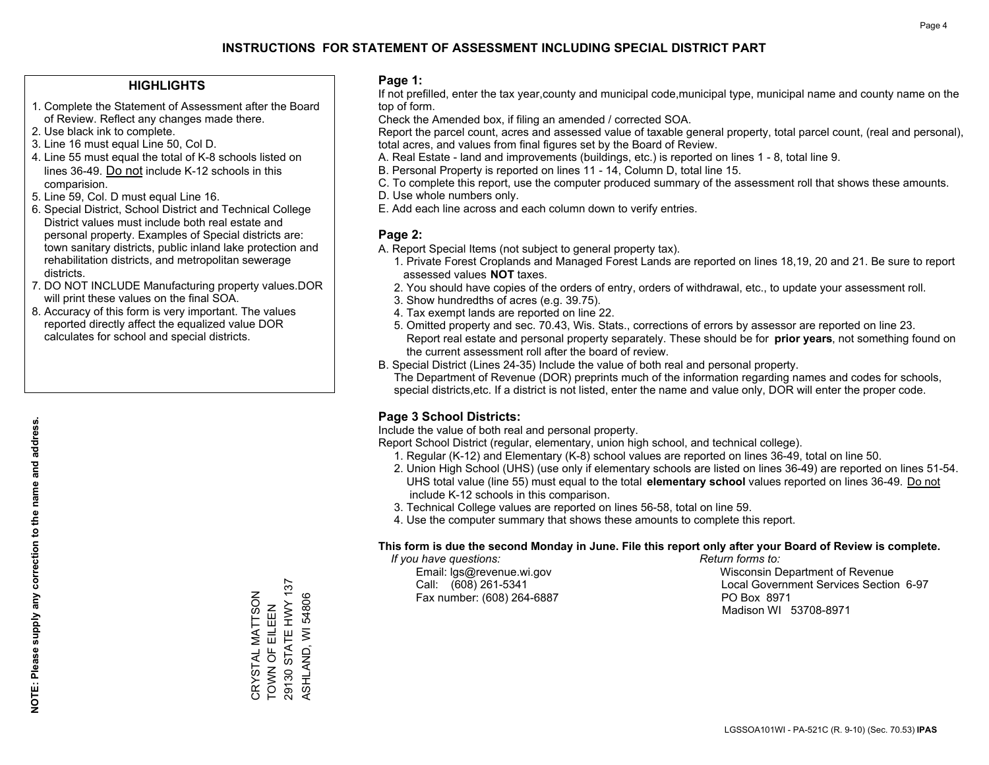#### **HIGHLIGHTS**

- 1. Complete the Statement of Assessment after the Board of Review. Reflect any changes made there.
- 2. Use black ink to complete.
- 3. Line 16 must equal Line 50, Col D.
- 4. Line 55 must equal the total of K-8 schools listed on lines 36-49. Do not include K-12 schools in this comparision.
- 5. Line 59, Col. D must equal Line 16.
- 6. Special District, School District and Technical College District values must include both real estate and personal property. Examples of Special districts are: town sanitary districts, public inland lake protection and rehabilitation districts, and metropolitan sewerage districts.
- 7. DO NOT INCLUDE Manufacturing property values.DOR will print these values on the final SOA.

CRYSTAL MATTSON TOWN OF EILEEN 29130 STATE HWY 137 ASHLAND, WI 54806

29130 STATE HWY 137 CRYSTAL MATTSON<br>TOWN OF EILEEN

ASHLAND, WI 54806

 8. Accuracy of this form is very important. The values reported directly affect the equalized value DOR calculates for school and special districts.

#### **Page 1:**

 If not prefilled, enter the tax year,county and municipal code,municipal type, municipal name and county name on the top of form.

Check the Amended box, if filing an amended / corrected SOA.

 Report the parcel count, acres and assessed value of taxable general property, total parcel count, (real and personal), total acres, and values from final figures set by the Board of Review.

- A. Real Estate land and improvements (buildings, etc.) is reported on lines 1 8, total line 9.
- B. Personal Property is reported on lines 11 14, Column D, total line 15.
- C. To complete this report, use the computer produced summary of the assessment roll that shows these amounts.
- D. Use whole numbers only.
- E. Add each line across and each column down to verify entries.

#### **Page 2:**

- A. Report Special Items (not subject to general property tax).
- 1. Private Forest Croplands and Managed Forest Lands are reported on lines 18,19, 20 and 21. Be sure to report assessed values **NOT** taxes.
- 2. You should have copies of the orders of entry, orders of withdrawal, etc., to update your assessment roll.
	- 3. Show hundredths of acres (e.g. 39.75).
- 4. Tax exempt lands are reported on line 22.
- 5. Omitted property and sec. 70.43, Wis. Stats., corrections of errors by assessor are reported on line 23. Report real estate and personal property separately. These should be for **prior years**, not something found on the current assessment roll after the board of review.
- B. Special District (Lines 24-35) Include the value of both real and personal property.

 The Department of Revenue (DOR) preprints much of the information regarding names and codes for schools, special districts,etc. If a district is not listed, enter the name and value only, DOR will enter the proper code.

## **Page 3 School Districts:**

Include the value of both real and personal property.

Report School District (regular, elementary, union high school, and technical college).

- 1. Regular (K-12) and Elementary (K-8) school values are reported on lines 36-49, total on line 50.
- 2. Union High School (UHS) (use only if elementary schools are listed on lines 36-49) are reported on lines 51-54. UHS total value (line 55) must equal to the total **elementary school** values reported on lines 36-49. Do notinclude K-12 schools in this comparison.
- 3. Technical College values are reported on lines 56-58, total on line 59.
- 4. Use the computer summary that shows these amounts to complete this report.

#### **This form is due the second Monday in June. File this report only after your Board of Review is complete.**

 *If you have questions: Return forms to:*

Fax number: (608) 264-6887 PO Box 8971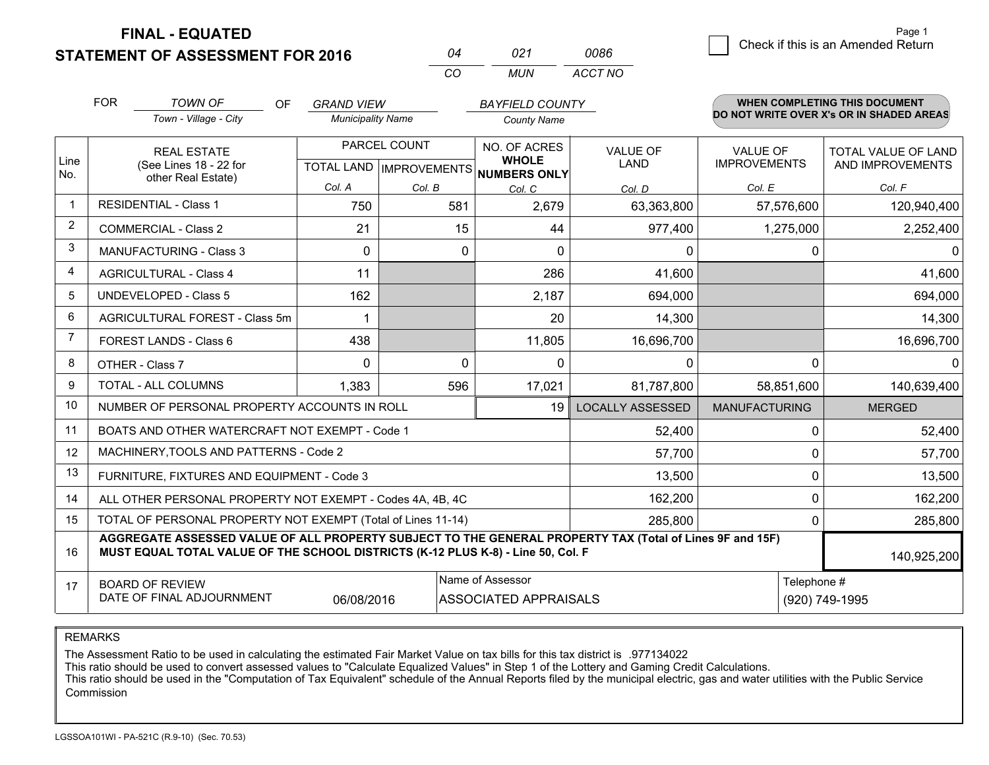**STATEMENT OF ASSESSMENT FOR 2016** 

**FINAL - EQUATED**

 $\overline{6}$  Check if this is an Amended Return Page 1

|                | <b>FOR</b>                              | <b>TOWN OF</b><br>OF                                                                                                                                                                         | <b>GRAND VIEW</b>        |              | <b>BAYFIELD COUNTY</b>                               |                         |                      | <b>WHEN COMPLETING THIS DOCUMENT</b>     |  |
|----------------|-----------------------------------------|----------------------------------------------------------------------------------------------------------------------------------------------------------------------------------------------|--------------------------|--------------|------------------------------------------------------|-------------------------|----------------------|------------------------------------------|--|
|                |                                         | Town - Village - City                                                                                                                                                                        | <b>Municipality Name</b> |              | <b>County Name</b>                                   |                         |                      | DO NOT WRITE OVER X's OR IN SHADED AREAS |  |
|                |                                         | <b>REAL ESTATE</b>                                                                                                                                                                           |                          | PARCEL COUNT | NO. OF ACRES                                         | <b>VALUE OF</b>         | <b>VALUE OF</b>      | <b>TOTAL VALUE OF LAND</b>               |  |
| Line<br>No.    |                                         | (See Lines 18 - 22 for<br>other Real Estate)                                                                                                                                                 |                          |              | <b>WHOLE</b><br>TOTAL LAND IMPROVEMENTS NUMBERS ONLY | <b>LAND</b>             | <b>IMPROVEMENTS</b>  | AND IMPROVEMENTS                         |  |
|                |                                         |                                                                                                                                                                                              | Col. A                   | Col. B       | Col. C                                               | Col. D                  | Col. E               | Col. F                                   |  |
| 1              |                                         | <b>RESIDENTIAL - Class 1</b>                                                                                                                                                                 | 750                      | 581          | 2,679                                                | 63,363,800              | 57,576,600           | 120,940,400                              |  |
| $\overline{2}$ |                                         | <b>COMMERCIAL - Class 2</b>                                                                                                                                                                  | 21                       | 15           | 44                                                   | 977,400                 | 1,275,000            | 2,252,400                                |  |
| 3              |                                         | MANUFACTURING - Class 3                                                                                                                                                                      | $\Omega$                 | $\mathbf{0}$ | $\Omega$                                             | 0                       | 0                    | $\Omega$                                 |  |
| 4              |                                         | <b>AGRICULTURAL - Class 4</b>                                                                                                                                                                | 11                       |              | 286                                                  | 41,600                  |                      | 41,600                                   |  |
| 5              |                                         | <b>UNDEVELOPED - Class 5</b>                                                                                                                                                                 | 162                      |              | 2,187                                                | 694,000                 |                      | 694,000                                  |  |
| 6              |                                         | AGRICULTURAL FOREST - Class 5m                                                                                                                                                               | 1                        |              | 20                                                   | 14,300                  |                      | 14,300                                   |  |
| 7              |                                         | <b>FOREST LANDS - Class 6</b>                                                                                                                                                                | 438                      |              | 11,805                                               | 16,696,700              |                      | 16,696,700                               |  |
| 8              |                                         | OTHER - Class 7                                                                                                                                                                              | $\Omega$                 | $\Omega$     | $\Omega$                                             | 0                       | $\Omega$             | 0                                        |  |
| 9              |                                         | <b>TOTAL - ALL COLUMNS</b>                                                                                                                                                                   | 1,383                    | 596          | 17,021                                               | 81,787,800              | 58,851,600           | 140,639,400                              |  |
| 10             |                                         | NUMBER OF PERSONAL PROPERTY ACCOUNTS IN ROLL                                                                                                                                                 |                          |              | 19                                                   | <b>LOCALLY ASSESSED</b> | <b>MANUFACTURING</b> | <b>MERGED</b>                            |  |
| 11             |                                         | BOATS AND OTHER WATERCRAFT NOT EXEMPT - Code 1                                                                                                                                               |                          |              |                                                      | 52,400                  | $\mathbf{0}$         | 52,400                                   |  |
| 12             |                                         | MACHINERY, TOOLS AND PATTERNS - Code 2                                                                                                                                                       |                          |              |                                                      | 57,700                  | $\Omega$             | 57,700                                   |  |
| 13             |                                         | FURNITURE, FIXTURES AND EQUIPMENT - Code 3                                                                                                                                                   |                          |              |                                                      | 13,500                  | 0                    | 13,500                                   |  |
| 14             |                                         | ALL OTHER PERSONAL PROPERTY NOT EXEMPT - Codes 4A, 4B, 4C                                                                                                                                    |                          |              |                                                      | 162,200                 | $\Omega$             | 162,200                                  |  |
| 15             |                                         | TOTAL OF PERSONAL PROPERTY NOT EXEMPT (Total of Lines 11-14)                                                                                                                                 |                          |              | 285,800                                              | 0                       | 285,800              |                                          |  |
| 16             |                                         | AGGREGATE ASSESSED VALUE OF ALL PROPERTY SUBJECT TO THE GENERAL PROPERTY TAX (Total of Lines 9F and 15F)<br>MUST EQUAL TOTAL VALUE OF THE SCHOOL DISTRICTS (K-12 PLUS K-8) - Line 50, Col. F |                          |              |                                                      |                         |                      | 140,925,200                              |  |
| 17             |                                         | <b>BOARD OF REVIEW</b>                                                                                                                                                                       |                          |              | Name of Assessor                                     |                         | Telephone #          |                                          |  |
|                | DATE OF FINAL ADJOURNMENT<br>06/08/2016 |                                                                                                                                                                                              |                          |              | <b>ASSOCIATED APPRAISALS</b>                         |                         |                      | (920) 749-1995                           |  |

*CO*

*MUN*

*ACCT NO0086*

*<sup>04</sup> <sup>021</sup>*

REMARKS

The Assessment Ratio to be used in calculating the estimated Fair Market Value on tax bills for this tax district is .977134022<br>This ratio should be used to convert assessed values to "Calculate Equalized Values" in Step 1 Commission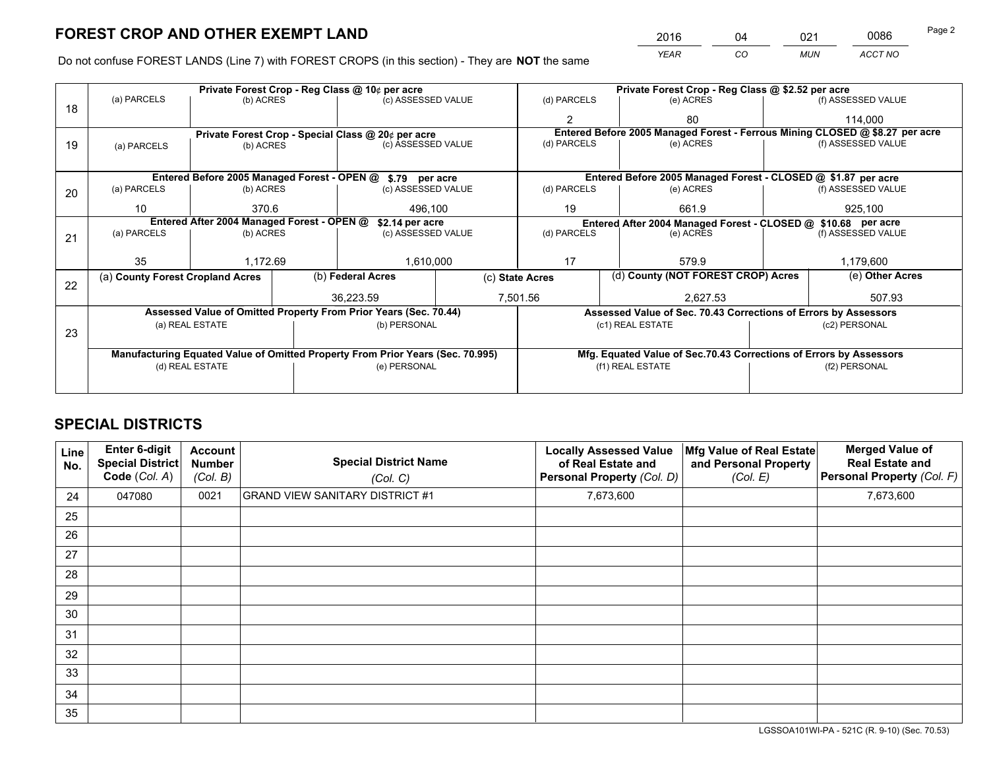*YEAR CO MUN ACCT NO* <sup>2016</sup> <sup>04</sup> <sup>021</sup> <sup>0086</sup>

Do not confuse FOREST LANDS (Line 7) with FOREST CROPS (in this section) - They are **NOT** the same

|    |                                                               |                 |  | Private Forest Crop - Reg Class @ 10¢ per acre                                 |          | Private Forest Crop - Reg Class @ \$2.52 per acre                  |                                                               |                                                                 |                 |                                                                              |
|----|---------------------------------------------------------------|-----------------|--|--------------------------------------------------------------------------------|----------|--------------------------------------------------------------------|---------------------------------------------------------------|-----------------------------------------------------------------|-----------------|------------------------------------------------------------------------------|
| 18 | (a) PARCELS                                                   | (b) ACRES       |  | (c) ASSESSED VALUE                                                             |          | (d) PARCELS                                                        |                                                               | (e) ACRES                                                       |                 | (f) ASSESSED VALUE                                                           |
|    |                                                               |                 |  |                                                                                |          |                                                                    |                                                               | 80                                                              |                 | 114,000                                                                      |
|    |                                                               |                 |  | Private Forest Crop - Special Class @ 20¢ per acre                             |          |                                                                    |                                                               |                                                                 |                 | Entered Before 2005 Managed Forest - Ferrous Mining CLOSED @ \$8.27 per acre |
| 19 | (a) PARCELS                                                   | (b) ACRES       |  | (c) ASSESSED VALUE                                                             |          | (d) PARCELS                                                        |                                                               | (e) ACRES                                                       |                 | (f) ASSESSED VALUE                                                           |
|    |                                                               |                 |  |                                                                                |          |                                                                    |                                                               |                                                                 |                 |                                                                              |
|    |                                                               |                 |  | Entered Before 2005 Managed Forest - OPEN @ \$.79 per acre                     |          |                                                                    |                                                               | Entered Before 2005 Managed Forest - CLOSED @ \$1.87 per acre   |                 |                                                                              |
| 20 | (a) PARCELS                                                   | (b) ACRES       |  | (c) ASSESSED VALUE                                                             |          | (d) PARCELS                                                        |                                                               | (e) ACRES                                                       |                 | (f) ASSESSED VALUE                                                           |
|    | 10                                                            | 370.6           |  | 496.100                                                                        |          | 661.9<br>19                                                        |                                                               | 925.100                                                         |                 |                                                                              |
|    | Entered After 2004 Managed Forest - OPEN @<br>\$2.14 per acre |                 |  |                                                                                |          |                                                                    | Entered After 2004 Managed Forest - CLOSED @ \$10.68 per acre |                                                                 |                 |                                                                              |
| 21 | (a) PARCELS                                                   | (b) ACRES       |  | (c) ASSESSED VALUE                                                             |          | (d) PARCELS<br>(e) ACRES                                           |                                                               | (f) ASSESSED VALUE                                              |                 |                                                                              |
|    |                                                               |                 |  |                                                                                |          |                                                                    |                                                               |                                                                 |                 |                                                                              |
|    | 35                                                            | 1,172.69        |  | 1,610,000                                                                      |          | 17<br>579.9                                                        |                                                               | 1,179,600                                                       |                 |                                                                              |
| 22 | (a) County Forest Cropland Acres                              |                 |  | (b) Federal Acres                                                              |          | (d) County (NOT FOREST CROP) Acres<br>(c) State Acres              |                                                               |                                                                 | (e) Other Acres |                                                                              |
|    |                                                               |                 |  | 36,223.59                                                                      | 7,501.56 |                                                                    |                                                               | 2,627.53                                                        |                 | 507.93                                                                       |
|    |                                                               |                 |  | Assessed Value of Omitted Property From Prior Years (Sec. 70.44)               |          |                                                                    |                                                               | Assessed Value of Sec. 70.43 Corrections of Errors by Assessors |                 |                                                                              |
| 23 |                                                               | (a) REAL ESTATE |  | (b) PERSONAL                                                                   |          |                                                                    |                                                               | (c1) REAL ESTATE                                                |                 | (c2) PERSONAL                                                                |
|    |                                                               |                 |  |                                                                                |          |                                                                    |                                                               |                                                                 |                 |                                                                              |
|    |                                                               |                 |  | Manufacturing Equated Value of Omitted Property From Prior Years (Sec. 70.995) |          | Mfg. Equated Value of Sec.70.43 Corrections of Errors by Assessors |                                                               |                                                                 |                 |                                                                              |
|    |                                                               | (d) REAL ESTATE |  | (e) PERSONAL                                                                   |          |                                                                    |                                                               | (f1) REAL ESTATE                                                |                 | (f2) PERSONAL                                                                |
|    |                                                               |                 |  |                                                                                |          |                                                                    |                                                               |                                                                 |                 |                                                                              |

## **SPECIAL DISTRICTS**

| Line<br>No. | Enter 6-digit<br>Special District<br>Code (Col. A) | <b>Account</b><br><b>Number</b><br>(Col. B) | <b>Special District Name</b><br>(Col. C) | <b>Locally Assessed Value</b><br>of Real Estate and<br>Personal Property (Col. D) | Mfg Value of Real Estate<br>and Personal Property<br>(Col. E) | <b>Merged Value of</b><br><b>Real Estate and</b><br>Personal Property (Col. F) |
|-------------|----------------------------------------------------|---------------------------------------------|------------------------------------------|-----------------------------------------------------------------------------------|---------------------------------------------------------------|--------------------------------------------------------------------------------|
| 24          | 047080                                             | 0021                                        | <b>GRAND VIEW SANITARY DISTRICT #1</b>   | 7,673,600                                                                         |                                                               | 7,673,600                                                                      |
| 25          |                                                    |                                             |                                          |                                                                                   |                                                               |                                                                                |
| 26          |                                                    |                                             |                                          |                                                                                   |                                                               |                                                                                |
| 27          |                                                    |                                             |                                          |                                                                                   |                                                               |                                                                                |
| 28          |                                                    |                                             |                                          |                                                                                   |                                                               |                                                                                |
| 29          |                                                    |                                             |                                          |                                                                                   |                                                               |                                                                                |
| 30          |                                                    |                                             |                                          |                                                                                   |                                                               |                                                                                |
| 31          |                                                    |                                             |                                          |                                                                                   |                                                               |                                                                                |
| 32          |                                                    |                                             |                                          |                                                                                   |                                                               |                                                                                |
| 33          |                                                    |                                             |                                          |                                                                                   |                                                               |                                                                                |
| 34          |                                                    |                                             |                                          |                                                                                   |                                                               |                                                                                |
| 35          |                                                    |                                             |                                          |                                                                                   |                                                               |                                                                                |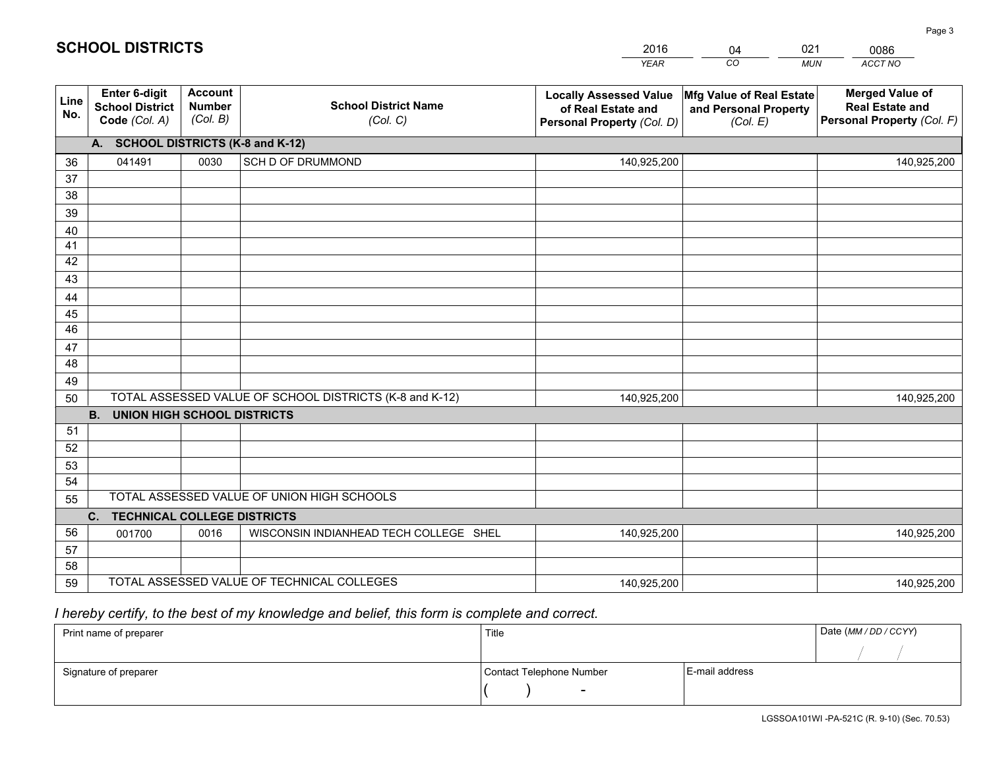|             |                                                          |                                             |                                                         | <b>YEAR</b>                                                                       | CO<br><b>MUN</b>                                              | ACCT NO                                                                        |
|-------------|----------------------------------------------------------|---------------------------------------------|---------------------------------------------------------|-----------------------------------------------------------------------------------|---------------------------------------------------------------|--------------------------------------------------------------------------------|
| Line<br>No. | Enter 6-digit<br><b>School District</b><br>Code (Col. A) | <b>Account</b><br><b>Number</b><br>(Col. B) | <b>School District Name</b><br>(Col. C)                 | <b>Locally Assessed Value</b><br>of Real Estate and<br>Personal Property (Col. D) | Mfg Value of Real Estate<br>and Personal Property<br>(Col. E) | <b>Merged Value of</b><br><b>Real Estate and</b><br>Personal Property (Col. F) |
|             | A. SCHOOL DISTRICTS (K-8 and K-12)                       |                                             |                                                         |                                                                                   |                                                               |                                                                                |
| 36          | 041491                                                   | 0030                                        | SCH D OF DRUMMOND                                       | 140,925,200                                                                       |                                                               | 140,925,200                                                                    |
| 37          |                                                          |                                             |                                                         |                                                                                   |                                                               |                                                                                |
| 38          |                                                          |                                             |                                                         |                                                                                   |                                                               |                                                                                |
| 39          |                                                          |                                             |                                                         |                                                                                   |                                                               |                                                                                |
| 40          |                                                          |                                             |                                                         |                                                                                   |                                                               |                                                                                |
| 41          |                                                          |                                             |                                                         |                                                                                   |                                                               |                                                                                |
| 42          |                                                          |                                             |                                                         |                                                                                   |                                                               |                                                                                |
| 43          |                                                          |                                             |                                                         |                                                                                   |                                                               |                                                                                |
| 44<br>45    |                                                          |                                             |                                                         |                                                                                   |                                                               |                                                                                |
| 46          |                                                          |                                             |                                                         |                                                                                   |                                                               |                                                                                |
| 47          |                                                          |                                             |                                                         |                                                                                   |                                                               |                                                                                |
| 48          |                                                          |                                             |                                                         |                                                                                   |                                                               |                                                                                |
| 49          |                                                          |                                             |                                                         |                                                                                   |                                                               |                                                                                |
| 50          |                                                          |                                             | TOTAL ASSESSED VALUE OF SCHOOL DISTRICTS (K-8 and K-12) | 140,925,200                                                                       |                                                               | 140,925,200                                                                    |
|             | <b>B.</b><br><b>UNION HIGH SCHOOL DISTRICTS</b>          |                                             |                                                         |                                                                                   |                                                               |                                                                                |
| 51          |                                                          |                                             |                                                         |                                                                                   |                                                               |                                                                                |
| 52          |                                                          |                                             |                                                         |                                                                                   |                                                               |                                                                                |
| 53          |                                                          |                                             |                                                         |                                                                                   |                                                               |                                                                                |
| 54          |                                                          |                                             |                                                         |                                                                                   |                                                               |                                                                                |
| 55          |                                                          |                                             | TOTAL ASSESSED VALUE OF UNION HIGH SCHOOLS              |                                                                                   |                                                               |                                                                                |
|             | C.<br><b>TECHNICAL COLLEGE DISTRICTS</b>                 |                                             |                                                         |                                                                                   |                                                               |                                                                                |
| 56          | 001700                                                   | 0016                                        | WISCONSIN INDIANHEAD TECH COLLEGE SHEL                  | 140,925,200                                                                       |                                                               | 140,925,200                                                                    |
| 57          |                                                          |                                             |                                                         |                                                                                   |                                                               |                                                                                |
| 58          |                                                          |                                             |                                                         |                                                                                   |                                                               |                                                                                |
| 59          |                                                          |                                             | TOTAL ASSESSED VALUE OF TECHNICAL COLLEGES              | 140,925,200                                                                       |                                                               | 140,925,200                                                                    |

04

021

 *I hereby certify, to the best of my knowledge and belief, this form is complete and correct.*

**SCHOOL DISTRICTS**

| Print name of preparer | Title                    |                | Date (MM / DD / CCYY) |
|------------------------|--------------------------|----------------|-----------------------|
|                        |                          |                |                       |
| Signature of preparer  | Contact Telephone Number | E-mail address |                       |
|                        | $\overline{\phantom{0}}$ |                |                       |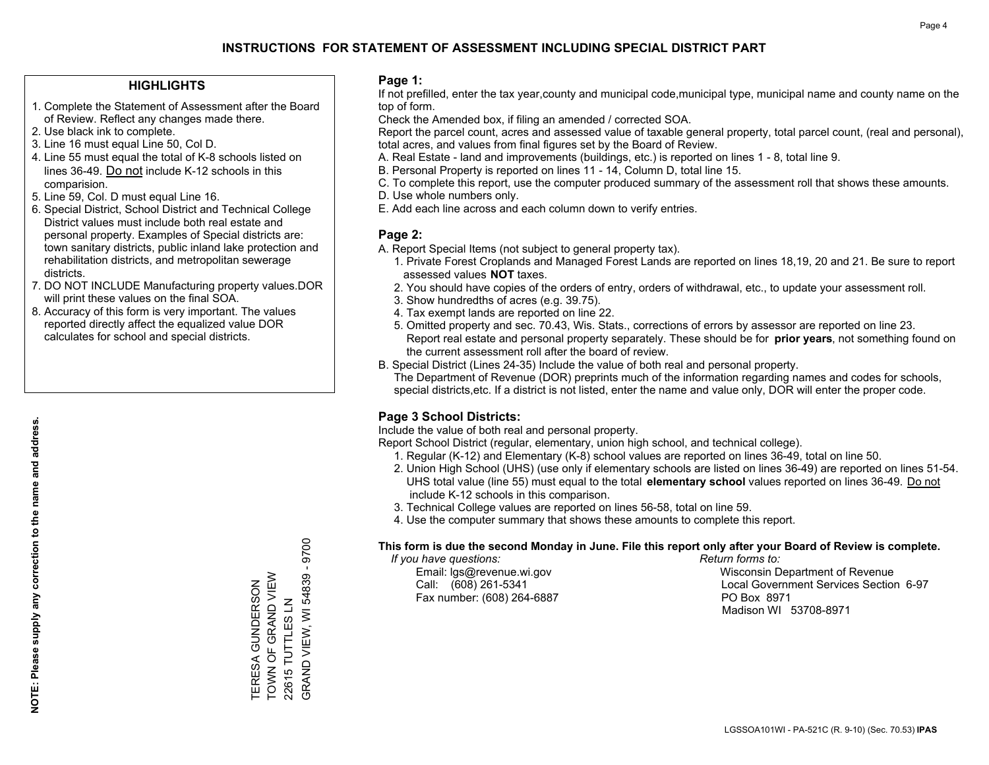#### **HIGHLIGHTS**

- 1. Complete the Statement of Assessment after the Board of Review. Reflect any changes made there.
- 2. Use black ink to complete.
- 3. Line 16 must equal Line 50, Col D.
- 4. Line 55 must equal the total of K-8 schools listed on lines 36-49. Do not include K-12 schools in this comparision.
- 5. Line 59, Col. D must equal Line 16.
- 6. Special District, School District and Technical College District values must include both real estate and personal property. Examples of Special districts are: town sanitary districts, public inland lake protection and rehabilitation districts, and metropolitan sewerage districts.
- 7. DO NOT INCLUDE Manufacturing property values.DOR will print these values on the final SOA.

TERESA GUNDERSON TOWN OF GRAND VIEW 22615 TUTTLES LN

TERESA GUNDERSON<br>TOWN OF GRAND VIEW

GRAND VIEW, WI 54839 - 9700

GRAND VIEW, WI 54839

22615 TUTTLES LN

 $-9700$ 

 8. Accuracy of this form is very important. The values reported directly affect the equalized value DOR calculates for school and special districts.

#### **Page 1:**

 If not prefilled, enter the tax year,county and municipal code,municipal type, municipal name and county name on the top of form.

Check the Amended box, if filing an amended / corrected SOA.

 Report the parcel count, acres and assessed value of taxable general property, total parcel count, (real and personal), total acres, and values from final figures set by the Board of Review.

- A. Real Estate land and improvements (buildings, etc.) is reported on lines 1 8, total line 9.
- B. Personal Property is reported on lines 11 14, Column D, total line 15.
- C. To complete this report, use the computer produced summary of the assessment roll that shows these amounts.
- D. Use whole numbers only.
- E. Add each line across and each column down to verify entries.

#### **Page 2:**

- A. Report Special Items (not subject to general property tax).
- 1. Private Forest Croplands and Managed Forest Lands are reported on lines 18,19, 20 and 21. Be sure to report assessed values **NOT** taxes.
- 2. You should have copies of the orders of entry, orders of withdrawal, etc., to update your assessment roll.
	- 3. Show hundredths of acres (e.g. 39.75).
- 4. Tax exempt lands are reported on line 22.
- 5. Omitted property and sec. 70.43, Wis. Stats., corrections of errors by assessor are reported on line 23. Report real estate and personal property separately. These should be for **prior years**, not something found on the current assessment roll after the board of review.
- B. Special District (Lines 24-35) Include the value of both real and personal property.
- The Department of Revenue (DOR) preprints much of the information regarding names and codes for schools, special districts,etc. If a district is not listed, enter the name and value only, DOR will enter the proper code.

## **Page 3 School Districts:**

Include the value of both real and personal property.

Report School District (regular, elementary, union high school, and technical college).

- 1. Regular (K-12) and Elementary (K-8) school values are reported on lines 36-49, total on line 50.
- 2. Union High School (UHS) (use only if elementary schools are listed on lines 36-49) are reported on lines 51-54. UHS total value (line 55) must equal to the total **elementary school** values reported on lines 36-49. Do notinclude K-12 schools in this comparison.
- 3. Technical College values are reported on lines 56-58, total on line 59.
- 4. Use the computer summary that shows these amounts to complete this report.

#### **This form is due the second Monday in June. File this report only after your Board of Review is complete.**

 *If you have questions: Return forms to:*

Fax number: (608) 264-6887 PO Box 8971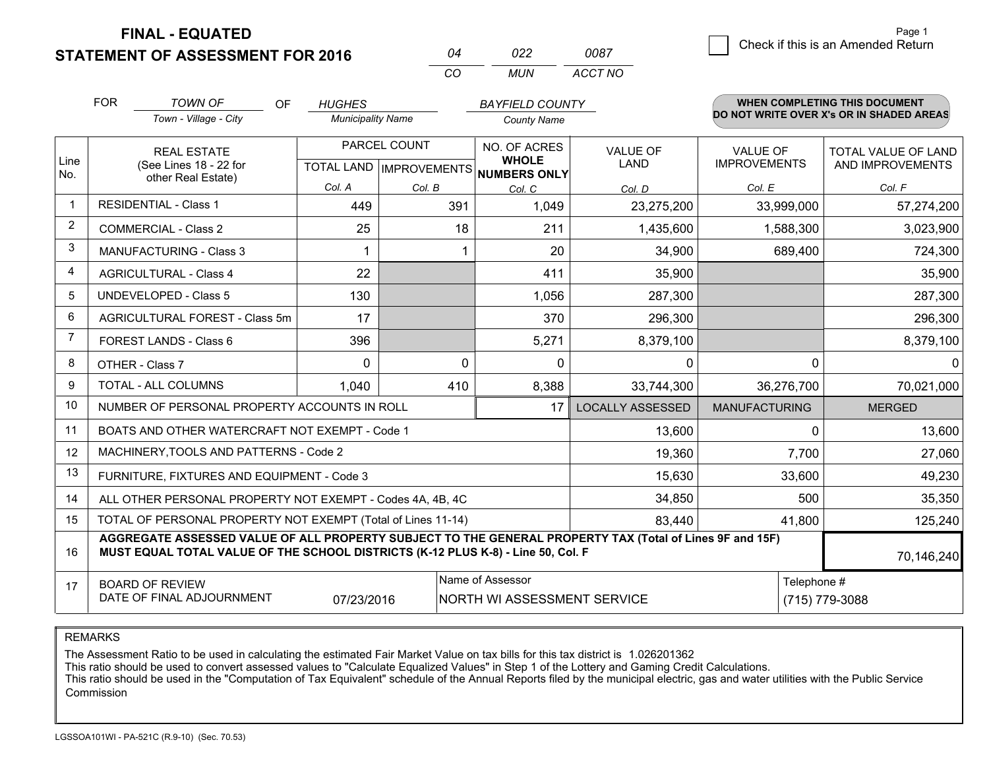**FINAL - EQUATED**

**STATEMENT OF ASSESSMENT FOR 2016** 

| በ4  | 022 | 0087    |
|-----|-----|---------|
| rn. | MUN | ACCT NO |

|                | <b>FOR</b>                                   | <b>TOWN OF</b><br>OF                                                                                                                                                                         | <b>HUGHES</b>                                            |          | <b>BAYFIELD COUNTY</b>                          |                                |                                        | <b>WHEN COMPLETING THIS DOCUMENT</b>           |
|----------------|----------------------------------------------|----------------------------------------------------------------------------------------------------------------------------------------------------------------------------------------------|----------------------------------------------------------|----------|-------------------------------------------------|--------------------------------|----------------------------------------|------------------------------------------------|
|                |                                              | Town - Village - City                                                                                                                                                                        | <b>Municipality Name</b>                                 |          | <b>County Name</b>                              |                                |                                        | DO NOT WRITE OVER X's OR IN SHADED AREAS       |
| Line<br>No.    | <b>REAL ESTATE</b><br>(See Lines 18 - 22 for |                                                                                                                                                                                              | PARCEL COUNT<br>TOTAL LAND   IMPROVEMENTS   NUMBERS ONLY |          | NO. OF ACRES<br><b>WHOLE</b>                    | <b>VALUE OF</b><br><b>LAND</b> | <b>VALUE OF</b><br><b>IMPROVEMENTS</b> | <b>TOTAL VALUE OF LAND</b><br>AND IMPROVEMENTS |
|                |                                              | other Real Estate)                                                                                                                                                                           | Col. A                                                   | Col. B   | Col. C                                          | Col. D                         | Col. E                                 | Col. F                                         |
|                |                                              | <b>RESIDENTIAL - Class 1</b>                                                                                                                                                                 | 449                                                      | 391      | 1,049                                           | 23,275,200                     | 33,999,000                             | 57,274,200                                     |
| 2              |                                              | <b>COMMERCIAL - Class 2</b>                                                                                                                                                                  | 25                                                       | 18       | 211                                             | 1,435,600                      | 1,588,300                              | 3,023,900                                      |
| 3              |                                              | <b>MANUFACTURING - Class 3</b>                                                                                                                                                               | 1                                                        | 1        | 20                                              | 34,900                         | 689,400                                | 724,300                                        |
| 4              |                                              | <b>AGRICULTURAL - Class 4</b>                                                                                                                                                                | 22                                                       |          | 411                                             | 35,900                         |                                        | 35,900                                         |
| 5              |                                              | <b>UNDEVELOPED - Class 5</b>                                                                                                                                                                 | 130                                                      |          | 1,056                                           | 287,300                        |                                        | 287,300                                        |
| 6              |                                              | AGRICULTURAL FOREST - Class 5m                                                                                                                                                               | 17                                                       |          | 370                                             | 296,300                        |                                        | 296,300                                        |
| $\overline{7}$ |                                              | FOREST LANDS - Class 6                                                                                                                                                                       | 396                                                      |          | 5,271                                           | 8,379,100                      |                                        | 8,379,100                                      |
| 8              |                                              | OTHER - Class 7                                                                                                                                                                              | $\Omega$                                                 | $\Omega$ | $\Omega$                                        | 0                              | $\Omega$                               | $\Omega$                                       |
| 9              |                                              | TOTAL - ALL COLUMNS                                                                                                                                                                          | 1,040                                                    | 410      | 8,388                                           | 33,744,300                     | 36,276,700                             | 70,021,000                                     |
| 10             |                                              | NUMBER OF PERSONAL PROPERTY ACCOUNTS IN ROLL                                                                                                                                                 |                                                          |          | 17                                              | <b>LOCALLY ASSESSED</b>        | <b>MANUFACTURING</b>                   | <b>MERGED</b>                                  |
| 11             |                                              | BOATS AND OTHER WATERCRAFT NOT EXEMPT - Code 1                                                                                                                                               |                                                          |          |                                                 | 13,600                         | $\Omega$                               | 13,600                                         |
| 12             |                                              | MACHINERY, TOOLS AND PATTERNS - Code 2                                                                                                                                                       |                                                          |          |                                                 | 19,360                         | 7,700                                  | 27,060                                         |
| 13             |                                              | FURNITURE, FIXTURES AND EQUIPMENT - Code 3                                                                                                                                                   |                                                          |          |                                                 | 15,630                         | 33,600                                 | 49,230                                         |
| 14             |                                              | ALL OTHER PERSONAL PROPERTY NOT EXEMPT - Codes 4A, 4B, 4C                                                                                                                                    |                                                          |          |                                                 | 34,850                         | 500                                    | 35,350                                         |
| 15             |                                              | TOTAL OF PERSONAL PROPERTY NOT EXEMPT (Total of Lines 11-14)                                                                                                                                 |                                                          |          |                                                 | 83,440                         | 41,800                                 | 125,240                                        |
| 16             |                                              | AGGREGATE ASSESSED VALUE OF ALL PROPERTY SUBJECT TO THE GENERAL PROPERTY TAX (Total of Lines 9F and 15F)<br>MUST EQUAL TOTAL VALUE OF THE SCHOOL DISTRICTS (K-12 PLUS K-8) - Line 50, Col. F |                                                          |          |                                                 |                                |                                        | 70,146,240                                     |
| 17             |                                              | <b>BOARD OF REVIEW</b><br>DATE OF FINAL ADJOURNMENT                                                                                                                                          | 07/23/2016                                               |          | Name of Assessor<br>NORTH WI ASSESSMENT SERVICE |                                | Telephone #                            | (715) 779-3088                                 |

REMARKS

The Assessment Ratio to be used in calculating the estimated Fair Market Value on tax bills for this tax district is 1.026201362<br>This ratio should be used to convert assessed values to "Calculate Equalized Values" in Step Commission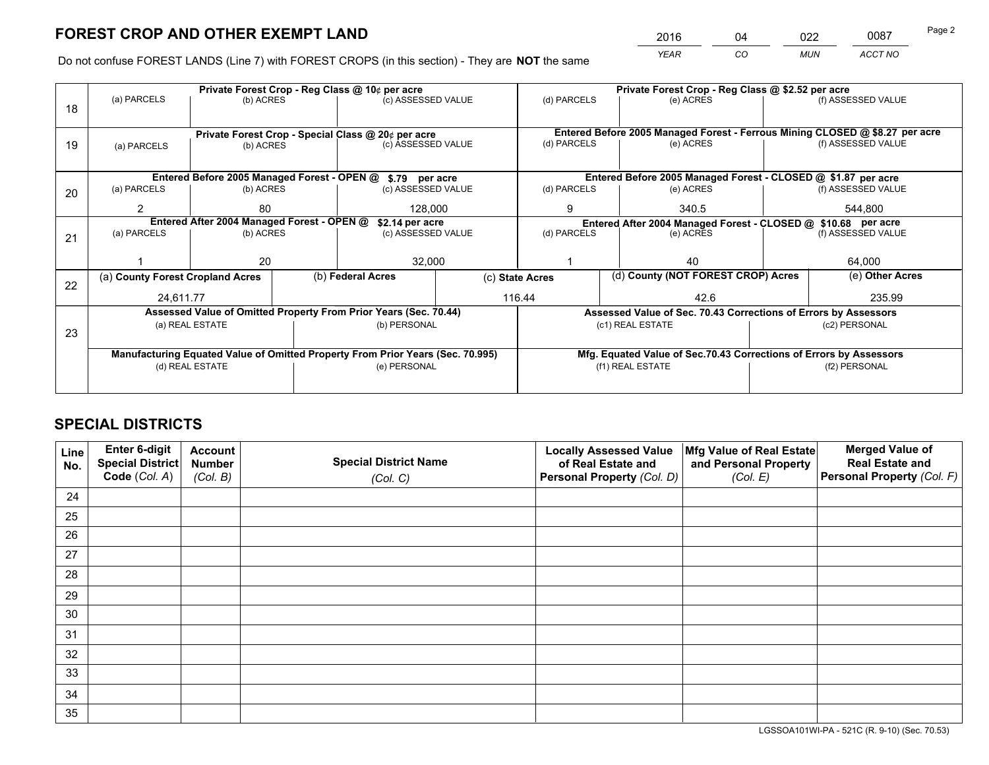*YEAR CO MUN ACCT NO* 2016 04 022 0087

Do not confuse FOREST LANDS (Line 7) with FOREST CROPS (in this section) - They are **NOT** the same

|    | Private Forest Crop - Reg Class @ 10¢ per acre                |                 |  |                                                                                |  | Private Forest Crop - Reg Class @ \$2.52 per acre |                                                                              |        |                    |  |
|----|---------------------------------------------------------------|-----------------|--|--------------------------------------------------------------------------------|--|---------------------------------------------------|------------------------------------------------------------------------------|--------|--------------------|--|
| 18 | (a) PARCELS                                                   | (b) ACRES       |  | (c) ASSESSED VALUE                                                             |  | (d) PARCELS                                       | (e) ACRES                                                                    |        | (f) ASSESSED VALUE |  |
|    |                                                               |                 |  |                                                                                |  |                                                   |                                                                              |        |                    |  |
|    |                                                               |                 |  | Private Forest Crop - Special Class @ 20¢ per acre                             |  |                                                   | Entered Before 2005 Managed Forest - Ferrous Mining CLOSED @ \$8.27 per acre |        |                    |  |
| 19 | (a) PARCELS                                                   | (b) ACRES       |  | (c) ASSESSED VALUE                                                             |  | (d) PARCELS                                       | (e) ACRES                                                                    |        | (f) ASSESSED VALUE |  |
|    |                                                               |                 |  |                                                                                |  |                                                   |                                                                              |        |                    |  |
|    |                                                               |                 |  | Entered Before 2005 Managed Forest - OPEN @ \$.79 per acre                     |  |                                                   | Entered Before 2005 Managed Forest - CLOSED @ \$1.87 per acre                |        |                    |  |
| 20 | (a) PARCELS                                                   | (b) ACRES       |  | (c) ASSESSED VALUE                                                             |  | (d) PARCELS                                       | (e) ACRES                                                                    |        | (f) ASSESSED VALUE |  |
|    | 2                                                             | 80              |  | 128,000                                                                        |  | 9                                                 | 340.5                                                                        |        | 544.800            |  |
|    | Entered After 2004 Managed Forest - OPEN @<br>\$2.14 per acre |                 |  |                                                                                |  |                                                   | Entered After 2004 Managed Forest - CLOSED @ \$10.68 per acre                |        |                    |  |
| 21 | (a) PARCELS                                                   | (b) ACRES       |  | (c) ASSESSED VALUE                                                             |  | (d) PARCELS                                       | (e) ACRES                                                                    |        |                    |  |
|    |                                                               |                 |  |                                                                                |  |                                                   |                                                                              |        |                    |  |
|    |                                                               | 20              |  | 32,000                                                                         |  | 40                                                |                                                                              | 64,000 |                    |  |
| 22 | (a) County Forest Cropland Acres                              |                 |  | (b) Federal Acres                                                              |  | (c) State Acres                                   | (d) County (NOT FOREST CROP) Acres                                           |        | (e) Other Acres    |  |
|    | 24.611.77                                                     |                 |  |                                                                                |  | 116.44                                            | 42.6                                                                         |        | 235.99             |  |
|    |                                                               |                 |  | Assessed Value of Omitted Property From Prior Years (Sec. 70.44)               |  |                                                   | Assessed Value of Sec. 70.43 Corrections of Errors by Assessors              |        |                    |  |
|    |                                                               | (a) REAL ESTATE |  | (b) PERSONAL                                                                   |  |                                                   | (c1) REAL ESTATE<br>(c2) PERSONAL                                            |        |                    |  |
| 23 |                                                               |                 |  |                                                                                |  |                                                   |                                                                              |        |                    |  |
|    |                                                               |                 |  | Manufacturing Equated Value of Omitted Property From Prior Years (Sec. 70.995) |  |                                                   | Mfg. Equated Value of Sec.70.43 Corrections of Errors by Assessors           |        |                    |  |
|    | (d) REAL ESTATE                                               |                 |  | (e) PERSONAL                                                                   |  | (f1) REAL ESTATE                                  |                                                                              |        | (f2) PERSONAL      |  |
|    |                                                               |                 |  |                                                                                |  |                                                   |                                                                              |        |                    |  |

## **SPECIAL DISTRICTS**

| Line<br>No. | Enter 6-digit<br><b>Special District</b> | <b>Account</b><br><b>Number</b> | <b>Special District Name</b> | <b>Locally Assessed Value</b><br>of Real Estate and | Mfg Value of Real Estate<br>and Personal Property | <b>Merged Value of</b><br><b>Real Estate and</b> |
|-------------|------------------------------------------|---------------------------------|------------------------------|-----------------------------------------------------|---------------------------------------------------|--------------------------------------------------|
|             | Code (Col. A)                            | (Col. B)                        | (Col. C)                     | Personal Property (Col. D)                          | (Col. E)                                          | Personal Property (Col. F)                       |
| 24          |                                          |                                 |                              |                                                     |                                                   |                                                  |
| 25          |                                          |                                 |                              |                                                     |                                                   |                                                  |
| 26          |                                          |                                 |                              |                                                     |                                                   |                                                  |
| 27          |                                          |                                 |                              |                                                     |                                                   |                                                  |
| 28          |                                          |                                 |                              |                                                     |                                                   |                                                  |
| 29          |                                          |                                 |                              |                                                     |                                                   |                                                  |
| 30          |                                          |                                 |                              |                                                     |                                                   |                                                  |
| 31          |                                          |                                 |                              |                                                     |                                                   |                                                  |
| 32          |                                          |                                 |                              |                                                     |                                                   |                                                  |
| 33          |                                          |                                 |                              |                                                     |                                                   |                                                  |
| 34          |                                          |                                 |                              |                                                     |                                                   |                                                  |
| 35          |                                          |                                 |                              |                                                     |                                                   |                                                  |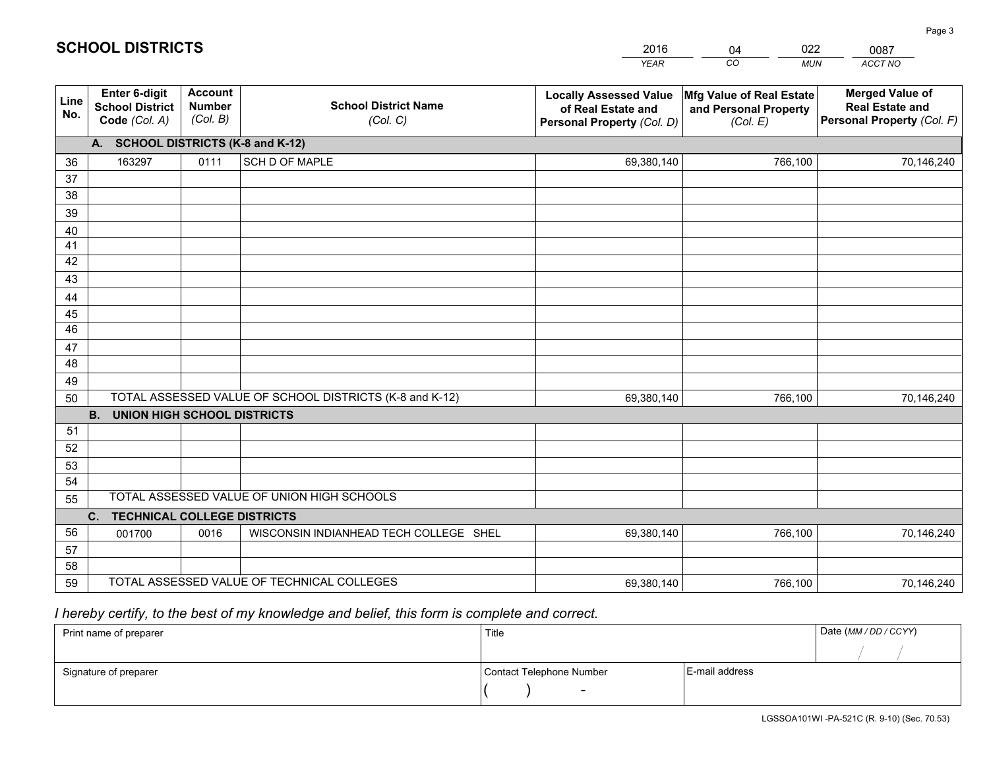|             |                                                                 |                                             |                                                         | <b>YEAR</b>                                                                       | CO<br><b>MUN</b>                                              | ACCT NO                                                                        |
|-------------|-----------------------------------------------------------------|---------------------------------------------|---------------------------------------------------------|-----------------------------------------------------------------------------------|---------------------------------------------------------------|--------------------------------------------------------------------------------|
| Line<br>No. | <b>Enter 6-digit</b><br><b>School District</b><br>Code (Col. A) | <b>Account</b><br><b>Number</b><br>(Col. B) | <b>School District Name</b><br>(Col. C)                 | <b>Locally Assessed Value</b><br>of Real Estate and<br>Personal Property (Col. D) | Mfg Value of Real Estate<br>and Personal Property<br>(Col. E) | <b>Merged Value of</b><br><b>Real Estate and</b><br>Personal Property (Col. F) |
|             | A. SCHOOL DISTRICTS (K-8 and K-12)                              |                                             |                                                         |                                                                                   |                                                               |                                                                                |
| 36          | 163297                                                          | 0111                                        | SCH D OF MAPLE                                          | 69,380,140                                                                        | 766,100                                                       | 70,146,240                                                                     |
| 37          |                                                                 |                                             |                                                         |                                                                                   |                                                               |                                                                                |
| 38          |                                                                 |                                             |                                                         |                                                                                   |                                                               |                                                                                |
| 39          |                                                                 |                                             |                                                         |                                                                                   |                                                               |                                                                                |
| 40          |                                                                 |                                             |                                                         |                                                                                   |                                                               |                                                                                |
| 41<br>42    |                                                                 |                                             |                                                         |                                                                                   |                                                               |                                                                                |
| 43          |                                                                 |                                             |                                                         |                                                                                   |                                                               |                                                                                |
|             |                                                                 |                                             |                                                         |                                                                                   |                                                               |                                                                                |
| 44<br>45    |                                                                 |                                             |                                                         |                                                                                   |                                                               |                                                                                |
| 46          |                                                                 |                                             |                                                         |                                                                                   |                                                               |                                                                                |
| 47          |                                                                 |                                             |                                                         |                                                                                   |                                                               |                                                                                |
| 48          |                                                                 |                                             |                                                         |                                                                                   |                                                               |                                                                                |
| 49          |                                                                 |                                             |                                                         |                                                                                   |                                                               |                                                                                |
| 50          |                                                                 |                                             | TOTAL ASSESSED VALUE OF SCHOOL DISTRICTS (K-8 and K-12) | 69,380,140                                                                        | 766,100                                                       | 70,146,240                                                                     |
|             | <b>B.</b><br>UNION HIGH SCHOOL DISTRICTS                        |                                             |                                                         |                                                                                   |                                                               |                                                                                |
| 51          |                                                                 |                                             |                                                         |                                                                                   |                                                               |                                                                                |
| 52          |                                                                 |                                             |                                                         |                                                                                   |                                                               |                                                                                |
| 53          |                                                                 |                                             |                                                         |                                                                                   |                                                               |                                                                                |
| 54          |                                                                 |                                             |                                                         |                                                                                   |                                                               |                                                                                |
| 55          |                                                                 |                                             | TOTAL ASSESSED VALUE OF UNION HIGH SCHOOLS              |                                                                                   |                                                               |                                                                                |
|             | C.<br><b>TECHNICAL COLLEGE DISTRICTS</b>                        |                                             |                                                         |                                                                                   |                                                               |                                                                                |
| 56          | 001700                                                          | 0016                                        | WISCONSIN INDIANHEAD TECH COLLEGE SHEL                  | 69,380,140                                                                        | 766,100                                                       | 70,146,240                                                                     |
| 57<br>58    |                                                                 |                                             |                                                         |                                                                                   |                                                               |                                                                                |
| 59          |                                                                 |                                             | TOTAL ASSESSED VALUE OF TECHNICAL COLLEGES              | 69,380,140                                                                        | 766,100                                                       | 70,146,240                                                                     |
|             |                                                                 |                                             |                                                         |                                                                                   |                                                               |                                                                                |

04

022

 *I hereby certify, to the best of my knowledge and belief, this form is complete and correct.*

**SCHOOL DISTRICTS**

| Print name of preparer | Title                    |                | Date (MM / DD / CCYY) |
|------------------------|--------------------------|----------------|-----------------------|
|                        |                          |                |                       |
| Signature of preparer  | Contact Telephone Number | E-mail address |                       |
|                        | $\sim$                   |                |                       |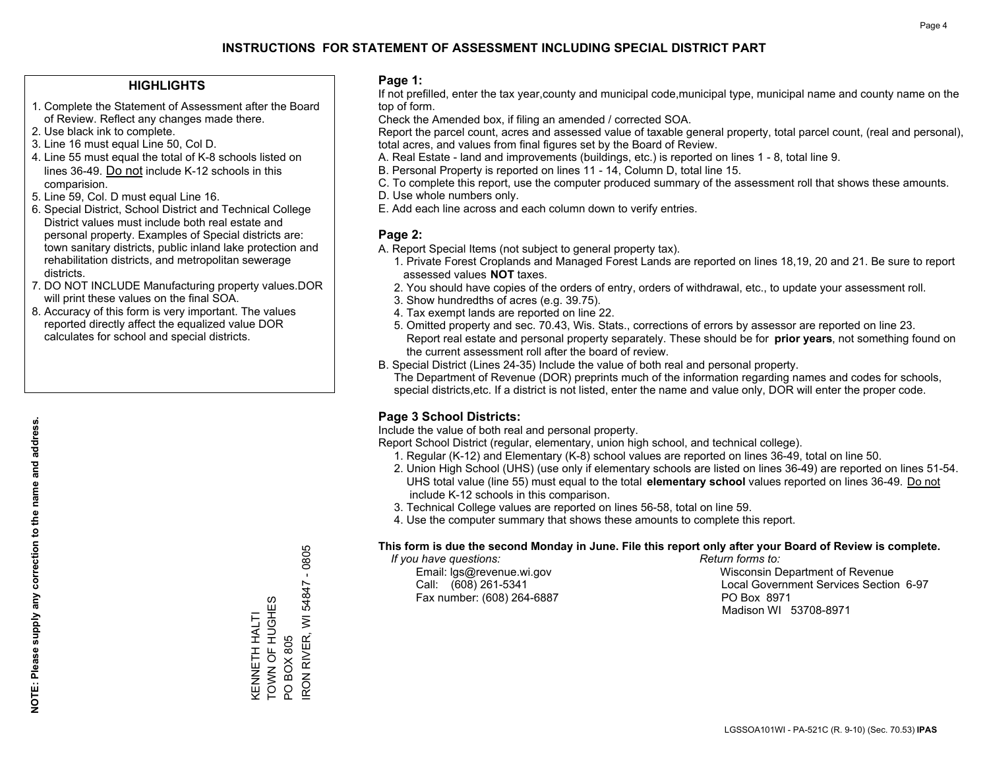#### **HIGHLIGHTS**

- 1. Complete the Statement of Assessment after the Board of Review. Reflect any changes made there.
- 2. Use black ink to complete.
- 3. Line 16 must equal Line 50, Col D.
- 4. Line 55 must equal the total of K-8 schools listed on lines 36-49. Do not include K-12 schools in this comparision.
- 5. Line 59, Col. D must equal Line 16.
- 6. Special District, School District and Technical College District values must include both real estate and personal property. Examples of Special districts are: town sanitary districts, public inland lake protection and rehabilitation districts, and metropolitan sewerage districts.
- 7. DO NOT INCLUDE Manufacturing property values.DOR will print these values on the final SOA.

KENNETH HALTI TOWN OF HUGHES

KENNETH HALTI<br>TOWN OF HUGHES

PO BOX 805

IRON RIVER, WI 54847 - 0805

RON RIVER, WI **PO BOX 805** 

54847

 $-0805$ 

 8. Accuracy of this form is very important. The values reported directly affect the equalized value DOR calculates for school and special districts.

#### **Page 1:**

 If not prefilled, enter the tax year,county and municipal code,municipal type, municipal name and county name on the top of form.

Check the Amended box, if filing an amended / corrected SOA.

 Report the parcel count, acres and assessed value of taxable general property, total parcel count, (real and personal), total acres, and values from final figures set by the Board of Review.

- A. Real Estate land and improvements (buildings, etc.) is reported on lines 1 8, total line 9.
- B. Personal Property is reported on lines 11 14, Column D, total line 15.
- C. To complete this report, use the computer produced summary of the assessment roll that shows these amounts.
- D. Use whole numbers only.
- E. Add each line across and each column down to verify entries.

#### **Page 2:**

- A. Report Special Items (not subject to general property tax).
- 1. Private Forest Croplands and Managed Forest Lands are reported on lines 18,19, 20 and 21. Be sure to report assessed values **NOT** taxes.
- 2. You should have copies of the orders of entry, orders of withdrawal, etc., to update your assessment roll.
	- 3. Show hundredths of acres (e.g. 39.75).
- 4. Tax exempt lands are reported on line 22.
- 5. Omitted property and sec. 70.43, Wis. Stats., corrections of errors by assessor are reported on line 23. Report real estate and personal property separately. These should be for **prior years**, not something found on the current assessment roll after the board of review.
- B. Special District (Lines 24-35) Include the value of both real and personal property.
- The Department of Revenue (DOR) preprints much of the information regarding names and codes for schools, special districts,etc. If a district is not listed, enter the name and value only, DOR will enter the proper code.

## **Page 3 School Districts:**

Include the value of both real and personal property.

Report School District (regular, elementary, union high school, and technical college).

- 1. Regular (K-12) and Elementary (K-8) school values are reported on lines 36-49, total on line 50.
- 2. Union High School (UHS) (use only if elementary schools are listed on lines 36-49) are reported on lines 51-54. UHS total value (line 55) must equal to the total **elementary school** values reported on lines 36-49. Do notinclude K-12 schools in this comparison.
- 3. Technical College values are reported on lines 56-58, total on line 59.
- 4. Use the computer summary that shows these amounts to complete this report.

#### **This form is due the second Monday in June. File this report only after your Board of Review is complete.**

 *If you have questions: Return forms to:*

Fax number: (608) 264-6887 PO Box 8971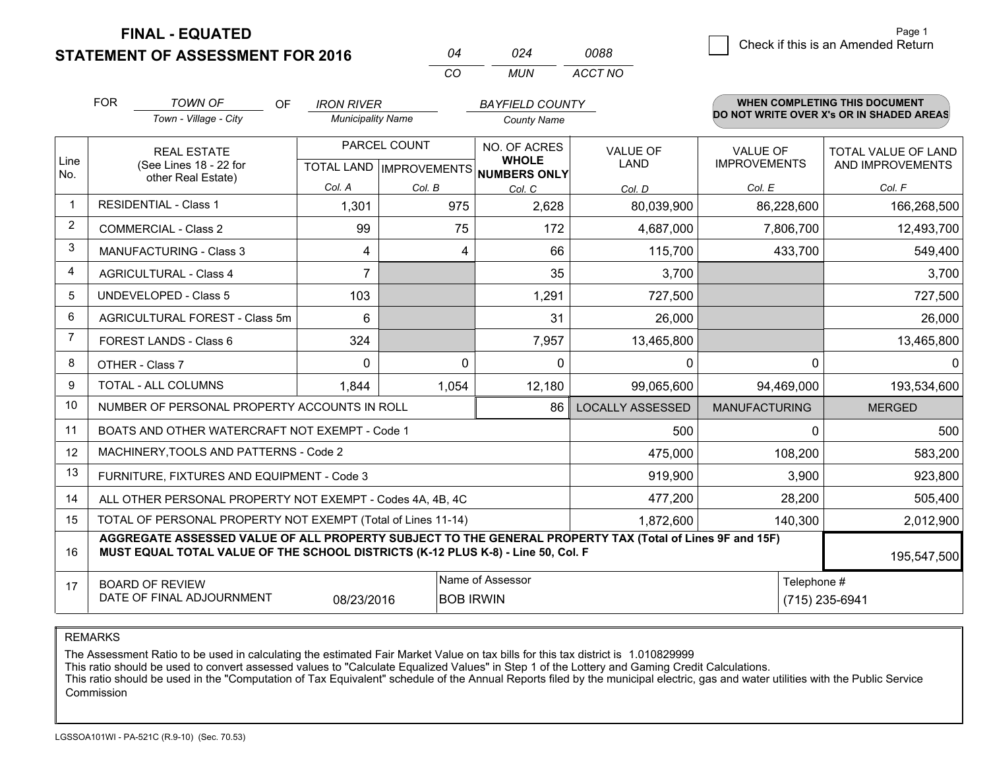**FINAL - EQUATED**

 $\overline{\mathcal{B}}$  Check if this is an Amended Return Page 1

| <b>STATEMENT OF ASSESSMENT FOR 2016</b> |     |
|-----------------------------------------|-----|
|                                         | MUN |

 *MUN ACCT NO0088*

|                | <b>FOR</b>                                                                                                | <b>TOWN OF</b><br><b>OF</b>                                                                                                                                                                  | <b>IRON RIVER</b>        |              | <b>BAYFIELD COUNTY</b>                                               |                         |                                        | <b>WHEN COMPLETING THIS DOCUMENT</b>           |
|----------------|-----------------------------------------------------------------------------------------------------------|----------------------------------------------------------------------------------------------------------------------------------------------------------------------------------------------|--------------------------|--------------|----------------------------------------------------------------------|-------------------------|----------------------------------------|------------------------------------------------|
|                |                                                                                                           | Town - Village - City                                                                                                                                                                        | <b>Municipality Name</b> |              | <b>County Name</b>                                                   |                         |                                        | DO NOT WRITE OVER X's OR IN SHADED AREAS       |
| Line<br>No.    |                                                                                                           | <b>REAL ESTATE</b><br>(See Lines 18 - 22 for                                                                                                                                                 |                          | PARCEL COUNT | NO. OF ACRES<br><b>WHOLE</b><br>TOTAL LAND IMPROVEMENTS NUMBERS ONLY | <b>VALUE OF</b><br>LAND | <b>VALUE OF</b><br><b>IMPROVEMENTS</b> | <b>TOTAL VALUE OF LAND</b><br>AND IMPROVEMENTS |
|                | other Real Estate)                                                                                        |                                                                                                                                                                                              | Col. A                   | Col. B       | Col. C                                                               | Col. D                  | Col. E                                 | Col. F                                         |
| $\mathbf 1$    |                                                                                                           | <b>RESIDENTIAL - Class 1</b>                                                                                                                                                                 | 1,301                    | 975          | 2,628                                                                | 80,039,900              | 86,228,600                             | 166,268,500                                    |
| 2              |                                                                                                           | <b>COMMERCIAL - Class 2</b>                                                                                                                                                                  | 99                       | 75           | 172                                                                  | 4,687,000               | 7,806,700                              | 12,493,700                                     |
| 3              |                                                                                                           | <b>MANUFACTURING - Class 3</b>                                                                                                                                                               | 4                        | 4            | 66                                                                   | 115,700                 | 433,700                                | 549,400                                        |
| $\overline{4}$ |                                                                                                           | <b>AGRICULTURAL - Class 4</b>                                                                                                                                                                | $\overline{7}$           |              | 35                                                                   | 3,700                   |                                        | 3,700                                          |
| 5              |                                                                                                           | UNDEVELOPED - Class 5                                                                                                                                                                        | 103                      |              | 1,291                                                                | 727,500                 |                                        | 727,500                                        |
| 6              |                                                                                                           | AGRICULTURAL FOREST - Class 5m                                                                                                                                                               | 6                        |              | 31                                                                   | 26,000                  |                                        | 26,000                                         |
| $\overline{7}$ |                                                                                                           | FOREST LANDS - Class 6                                                                                                                                                                       | 324                      |              | 7,957                                                                | 13,465,800              |                                        | 13,465,800                                     |
| 8              |                                                                                                           | OTHER - Class 7                                                                                                                                                                              | 0                        | $\Omega$     | $\Omega$                                                             | 0                       | 0                                      | $\Omega$                                       |
| 9              |                                                                                                           | TOTAL - ALL COLUMNS                                                                                                                                                                          | 1,844                    | 1,054        | 12,180                                                               | 99,065,600              | 94,469,000                             | 193,534,600                                    |
| 10             |                                                                                                           | NUMBER OF PERSONAL PROPERTY ACCOUNTS IN ROLL                                                                                                                                                 |                          |              | 86                                                                   | <b>LOCALLY ASSESSED</b> | <b>MANUFACTURING</b>                   | <b>MERGED</b>                                  |
| 11             |                                                                                                           | BOATS AND OTHER WATERCRAFT NOT EXEMPT - Code 1                                                                                                                                               |                          |              |                                                                      | 500                     | $\Omega$                               | 500                                            |
| 12             |                                                                                                           | MACHINERY, TOOLS AND PATTERNS - Code 2                                                                                                                                                       |                          |              |                                                                      | 475,000                 | 108,200                                | 583,200                                        |
| 13             |                                                                                                           | FURNITURE, FIXTURES AND EQUIPMENT - Code 3                                                                                                                                                   |                          |              |                                                                      | 919,900                 | 3,900                                  | 923,800                                        |
| 14             |                                                                                                           | ALL OTHER PERSONAL PROPERTY NOT EXEMPT - Codes 4A, 4B, 4C                                                                                                                                    |                          |              |                                                                      | 477,200                 | 28,200                                 | 505,400                                        |
| 15             |                                                                                                           | TOTAL OF PERSONAL PROPERTY NOT EXEMPT (Total of Lines 11-14)                                                                                                                                 |                          |              |                                                                      | 1,872,600               | 140,300                                | 2,012,900                                      |
| 16             |                                                                                                           | AGGREGATE ASSESSED VALUE OF ALL PROPERTY SUBJECT TO THE GENERAL PROPERTY TAX (Total of Lines 9F and 15F)<br>MUST EQUAL TOTAL VALUE OF THE SCHOOL DISTRICTS (K-12 PLUS K-8) - Line 50, Col. F |                          |              |                                                                      |                         |                                        | 195,547,500                                    |
| 17             | Name of Assessor<br><b>BOARD OF REVIEW</b><br>DATE OF FINAL ADJOURNMENT<br>08/23/2016<br><b>BOB IRWIN</b> |                                                                                                                                                                                              |                          |              |                                                                      |                         | Telephone #                            | (715) 235-6941                                 |

REMARKS

The Assessment Ratio to be used in calculating the estimated Fair Market Value on tax bills for this tax district is 1.010829999

This ratio should be used to convert assessed values to "Calculate Equalized Values" in Step 1 of the Lottery and Gaming Credit Calculations.

 This ratio should be used in the "Computation of Tax Equivalent" schedule of the Annual Reports filed by the municipal electric, gas and water utilities with the Public Service Commission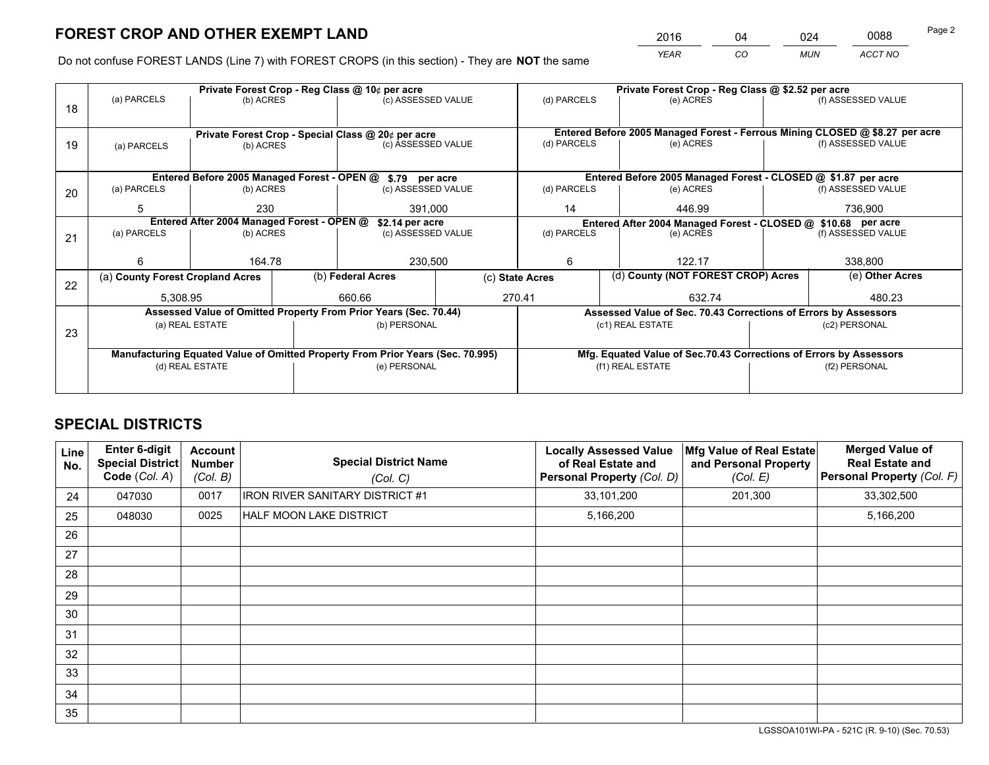*YEAR CO MUN ACCT NO* <sup>2016</sup> <sup>04</sup> <sup>024</sup> <sup>0088</sup>

Do not confuse FOREST LANDS (Line 7) with FOREST CROPS (in this section) - They are **NOT** the same

|    | Private Forest Crop - Reg Class @ 10¢ per acre |                                                               |  |                                                                                |                 | Private Forest Crop - Reg Class @ \$2.52 per acre             |  |                                                                    |  |                                                                              |
|----|------------------------------------------------|---------------------------------------------------------------|--|--------------------------------------------------------------------------------|-----------------|---------------------------------------------------------------|--|--------------------------------------------------------------------|--|------------------------------------------------------------------------------|
| 18 | (a) PARCELS                                    | (b) ACRES                                                     |  | (c) ASSESSED VALUE                                                             |                 | (d) PARCELS                                                   |  | (e) ACRES                                                          |  | (f) ASSESSED VALUE                                                           |
|    |                                                |                                                               |  |                                                                                |                 |                                                               |  |                                                                    |  |                                                                              |
|    |                                                |                                                               |  | Private Forest Crop - Special Class @ 20¢ per acre                             |                 |                                                               |  |                                                                    |  | Entered Before 2005 Managed Forest - Ferrous Mining CLOSED @ \$8.27 per acre |
| 19 | (a) PARCELS                                    | (b) ACRES                                                     |  | (c) ASSESSED VALUE                                                             |                 | (d) PARCELS                                                   |  | (e) ACRES                                                          |  | (f) ASSESSED VALUE                                                           |
|    |                                                |                                                               |  |                                                                                |                 |                                                               |  |                                                                    |  |                                                                              |
|    |                                                | Entered Before 2005 Managed Forest - OPEN @                   |  | \$.79 per acre                                                                 |                 |                                                               |  | Entered Before 2005 Managed Forest - CLOSED @ \$1.87 per acre      |  |                                                                              |
| 20 | (a) PARCELS                                    | (b) ACRES                                                     |  | (c) ASSESSED VALUE                                                             |                 | (d) PARCELS                                                   |  | (e) ACRES                                                          |  | (f) ASSESSED VALUE                                                           |
|    | 5                                              | 230                                                           |  | 391,000                                                                        |                 | 446.99<br>14                                                  |  | 736,900                                                            |  |                                                                              |
|    |                                                | Entered After 2004 Managed Forest - OPEN @<br>\$2.14 per acre |  |                                                                                |                 | Entered After 2004 Managed Forest - CLOSED @ \$10.68 per acre |  |                                                                    |  |                                                                              |
| 21 | (a) PARCELS                                    | (b) ACRES                                                     |  | (c) ASSESSED VALUE                                                             |                 | (d) PARCELS<br>(e) ACRES                                      |  | (f) ASSESSED VALUE                                                 |  |                                                                              |
|    |                                                |                                                               |  |                                                                                |                 |                                                               |  |                                                                    |  |                                                                              |
|    | ี                                              | 164.78                                                        |  | 230,500                                                                        |                 | 6                                                             |  | 122.17                                                             |  | 338,800                                                                      |
|    | (a) County Forest Cropland Acres               |                                                               |  | (b) Federal Acres                                                              | (c) State Acres |                                                               |  | (d) County (NOT FOREST CROP) Acres                                 |  | (e) Other Acres                                                              |
| 22 | 5,308.95                                       |                                                               |  | 660.66                                                                         | 270.41          |                                                               |  | 632.74                                                             |  | 480.23                                                                       |
|    |                                                |                                                               |  |                                                                                |                 |                                                               |  |                                                                    |  |                                                                              |
|    |                                                |                                                               |  | Assessed Value of Omitted Property From Prior Years (Sec. 70.44)               |                 |                                                               |  | Assessed Value of Sec. 70.43 Corrections of Errors by Assessors    |  |                                                                              |
| 23 |                                                | (a) REAL ESTATE                                               |  | (b) PERSONAL                                                                   |                 |                                                               |  | (c1) REAL ESTATE                                                   |  | (c2) PERSONAL                                                                |
|    |                                                |                                                               |  |                                                                                |                 |                                                               |  |                                                                    |  |                                                                              |
|    |                                                |                                                               |  | Manufacturing Equated Value of Omitted Property From Prior Years (Sec. 70.995) |                 |                                                               |  | Mfg. Equated Value of Sec.70.43 Corrections of Errors by Assessors |  |                                                                              |
|    | (d) REAL ESTATE                                |                                                               |  | (e) PERSONAL                                                                   |                 | (f1) REAL ESTATE                                              |  | (f2) PERSONAL                                                      |  |                                                                              |
|    |                                                |                                                               |  |                                                                                |                 |                                                               |  |                                                                    |  |                                                                              |

## **SPECIAL DISTRICTS**

| Line<br>No. | <b>Enter 6-digit</b><br>Special District<br>Code (Col. A) | Account<br>Number<br>(Col. B) | <b>Special District Name</b><br>(Col. C) | <b>Locally Assessed Value</b><br>of Real Estate and<br>Personal Property (Col. D) | Mfg Value of Real Estate<br>and Personal Property<br>(Col. E) | <b>Merged Value of</b><br><b>Real Estate and</b><br>Personal Property (Col. F) |
|-------------|-----------------------------------------------------------|-------------------------------|------------------------------------------|-----------------------------------------------------------------------------------|---------------------------------------------------------------|--------------------------------------------------------------------------------|
| 24          | 047030                                                    | 0017                          | <b>IRON RIVER SANITARY DISTRICT #1</b>   | 33,101,200                                                                        | 201,300                                                       | 33,302,500                                                                     |
| 25          | 048030                                                    | 0025                          | HALF MOON LAKE DISTRICT                  | 5,166,200                                                                         |                                                               | 5,166,200                                                                      |
| 26          |                                                           |                               |                                          |                                                                                   |                                                               |                                                                                |
| 27          |                                                           |                               |                                          |                                                                                   |                                                               |                                                                                |
| 28          |                                                           |                               |                                          |                                                                                   |                                                               |                                                                                |
| 29          |                                                           |                               |                                          |                                                                                   |                                                               |                                                                                |
| 30          |                                                           |                               |                                          |                                                                                   |                                                               |                                                                                |
| 31          |                                                           |                               |                                          |                                                                                   |                                                               |                                                                                |
| 32          |                                                           |                               |                                          |                                                                                   |                                                               |                                                                                |
| 33          |                                                           |                               |                                          |                                                                                   |                                                               |                                                                                |
| 34          |                                                           |                               |                                          |                                                                                   |                                                               |                                                                                |
| 35          |                                                           |                               |                                          |                                                                                   |                                                               |                                                                                |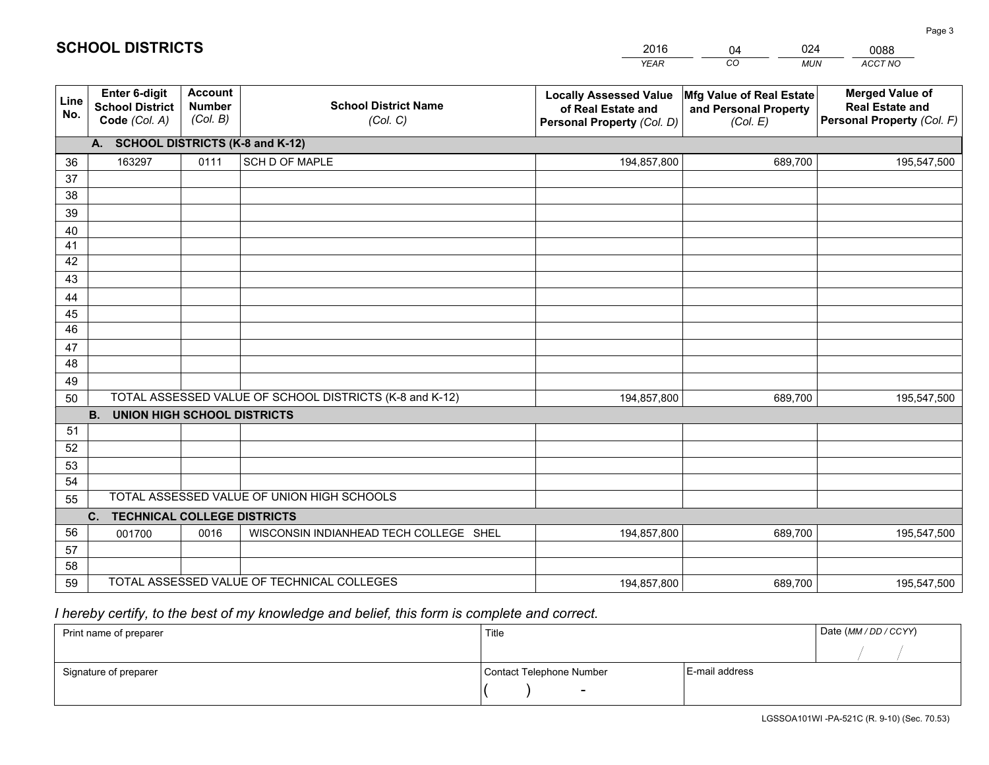|             |                                                                 |                                             |                                                         | <b>YEAR</b>                                                                       | CO<br><b>MUN</b>                                              | <b>ACCT NO</b>                                                                 |
|-------------|-----------------------------------------------------------------|---------------------------------------------|---------------------------------------------------------|-----------------------------------------------------------------------------------|---------------------------------------------------------------|--------------------------------------------------------------------------------|
| Line<br>No. | <b>Enter 6-digit</b><br><b>School District</b><br>Code (Col. A) | <b>Account</b><br><b>Number</b><br>(Col. B) | <b>School District Name</b><br>(Col. C)                 | <b>Locally Assessed Value</b><br>of Real Estate and<br>Personal Property (Col. D) | Mfg Value of Real Estate<br>and Personal Property<br>(Col. E) | <b>Merged Value of</b><br><b>Real Estate and</b><br>Personal Property (Col. F) |
|             | A. SCHOOL DISTRICTS (K-8 and K-12)                              |                                             |                                                         |                                                                                   |                                                               |                                                                                |
| 36          | 163297                                                          | 0111                                        | SCH D OF MAPLE                                          | 194,857,800                                                                       | 689,700                                                       | 195,547,500                                                                    |
| 37          |                                                                 |                                             |                                                         |                                                                                   |                                                               |                                                                                |
| 38          |                                                                 |                                             |                                                         |                                                                                   |                                                               |                                                                                |
| 39          |                                                                 |                                             |                                                         |                                                                                   |                                                               |                                                                                |
| 40          |                                                                 |                                             |                                                         |                                                                                   |                                                               |                                                                                |
| 41<br>42    |                                                                 |                                             |                                                         |                                                                                   |                                                               |                                                                                |
| 43          |                                                                 |                                             |                                                         |                                                                                   |                                                               |                                                                                |
|             |                                                                 |                                             |                                                         |                                                                                   |                                                               |                                                                                |
| 44<br>45    |                                                                 |                                             |                                                         |                                                                                   |                                                               |                                                                                |
| 46          |                                                                 |                                             |                                                         |                                                                                   |                                                               |                                                                                |
| 47          |                                                                 |                                             |                                                         |                                                                                   |                                                               |                                                                                |
| 48          |                                                                 |                                             |                                                         |                                                                                   |                                                               |                                                                                |
| 49          |                                                                 |                                             |                                                         |                                                                                   |                                                               |                                                                                |
| 50          |                                                                 |                                             | TOTAL ASSESSED VALUE OF SCHOOL DISTRICTS (K-8 and K-12) | 194,857,800                                                                       | 689,700                                                       | 195,547,500                                                                    |
|             | <b>B.</b><br><b>UNION HIGH SCHOOL DISTRICTS</b>                 |                                             |                                                         |                                                                                   |                                                               |                                                                                |
| 51          |                                                                 |                                             |                                                         |                                                                                   |                                                               |                                                                                |
| 52          |                                                                 |                                             |                                                         |                                                                                   |                                                               |                                                                                |
| 53          |                                                                 |                                             |                                                         |                                                                                   |                                                               |                                                                                |
| 54          |                                                                 |                                             |                                                         |                                                                                   |                                                               |                                                                                |
| 55          |                                                                 |                                             | TOTAL ASSESSED VALUE OF UNION HIGH SCHOOLS              |                                                                                   |                                                               |                                                                                |
|             | C.<br><b>TECHNICAL COLLEGE DISTRICTS</b>                        |                                             |                                                         |                                                                                   |                                                               |                                                                                |
| 56          | 001700                                                          | 0016                                        | WISCONSIN INDIANHEAD TECH COLLEGE SHEL                  | 194,857,800                                                                       | 689.700                                                       | 195,547,500                                                                    |
| 57<br>58    |                                                                 |                                             |                                                         |                                                                                   |                                                               |                                                                                |
| 59          |                                                                 |                                             | TOTAL ASSESSED VALUE OF TECHNICAL COLLEGES              | 194,857,800                                                                       | 689,700                                                       | 195,547,500                                                                    |
|             |                                                                 |                                             |                                                         |                                                                                   |                                                               |                                                                                |

04

024

# *I hereby certify, to the best of my knowledge and belief, this form is complete and correct.*

**SCHOOL DISTRICTS**

| Print name of preparer | Title                    |                | Date (MM / DD / CCYY) |
|------------------------|--------------------------|----------------|-----------------------|
|                        |                          |                |                       |
| Signature of preparer  | Contact Telephone Number | E-mail address |                       |
|                        | $\overline{\phantom{0}}$ |                |                       |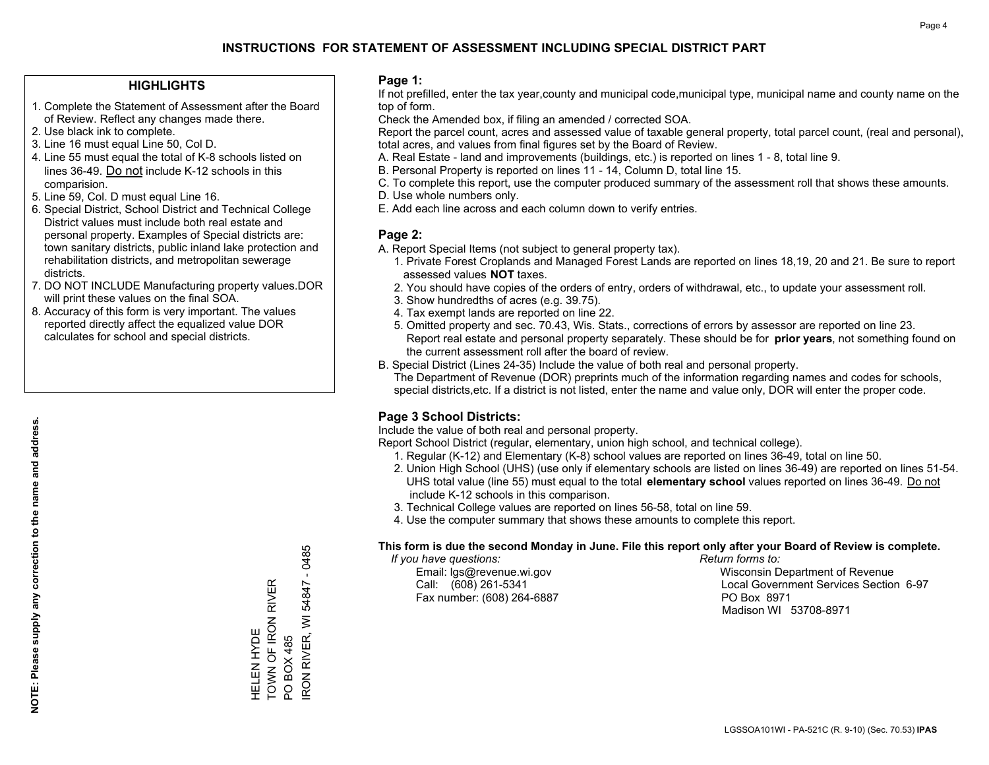#### **HIGHLIGHTS**

- 1. Complete the Statement of Assessment after the Board of Review. Reflect any changes made there.
- 2. Use black ink to complete.
- 3. Line 16 must equal Line 50, Col D.
- 4. Line 55 must equal the total of K-8 schools listed on lines 36-49. Do not include K-12 schools in this comparision.
- 5. Line 59, Col. D must equal Line 16.
- 6. Special District, School District and Technical College District values must include both real estate and personal property. Examples of Special districts are: town sanitary districts, public inland lake protection and rehabilitation districts, and metropolitan sewerage districts.
- 7. DO NOT INCLUDE Manufacturing property values.DOR will print these values on the final SOA.

HELEN HYDE

HELEN HYDE<br>TOWN OF IRON F

TOWN OF IRON RIVER

**RIVER** 

PO BOX 485

IRON RIVER, WI 54847 - 0485

RON RIVER, WI PO BOX 485

54847

 $-0485$ 

 8. Accuracy of this form is very important. The values reported directly affect the equalized value DOR calculates for school and special districts.

#### **Page 1:**

 If not prefilled, enter the tax year,county and municipal code,municipal type, municipal name and county name on the top of form.

Check the Amended box, if filing an amended / corrected SOA.

 Report the parcel count, acres and assessed value of taxable general property, total parcel count, (real and personal), total acres, and values from final figures set by the Board of Review.

- A. Real Estate land and improvements (buildings, etc.) is reported on lines 1 8, total line 9.
- B. Personal Property is reported on lines 11 14, Column D, total line 15.
- C. To complete this report, use the computer produced summary of the assessment roll that shows these amounts.
- D. Use whole numbers only.
- E. Add each line across and each column down to verify entries.

#### **Page 2:**

- A. Report Special Items (not subject to general property tax).
- 1. Private Forest Croplands and Managed Forest Lands are reported on lines 18,19, 20 and 21. Be sure to report assessed values **NOT** taxes.
- 2. You should have copies of the orders of entry, orders of withdrawal, etc., to update your assessment roll.
	- 3. Show hundredths of acres (e.g. 39.75).
- 4. Tax exempt lands are reported on line 22.
- 5. Omitted property and sec. 70.43, Wis. Stats., corrections of errors by assessor are reported on line 23. Report real estate and personal property separately. These should be for **prior years**, not something found on the current assessment roll after the board of review.
- B. Special District (Lines 24-35) Include the value of both real and personal property.

 The Department of Revenue (DOR) preprints much of the information regarding names and codes for schools, special districts,etc. If a district is not listed, enter the name and value only, DOR will enter the proper code.

## **Page 3 School Districts:**

Include the value of both real and personal property.

Report School District (regular, elementary, union high school, and technical college).

- 1. Regular (K-12) and Elementary (K-8) school values are reported on lines 36-49, total on line 50.
- 2. Union High School (UHS) (use only if elementary schools are listed on lines 36-49) are reported on lines 51-54. UHS total value (line 55) must equal to the total **elementary school** values reported on lines 36-49. Do notinclude K-12 schools in this comparison.
- 3. Technical College values are reported on lines 56-58, total on line 59.
- 4. Use the computer summary that shows these amounts to complete this report.

#### **This form is due the second Monday in June. File this report only after your Board of Review is complete.**

 *If you have questions: Return forms to:*

Fax number: (608) 264-6887 PO Box 8971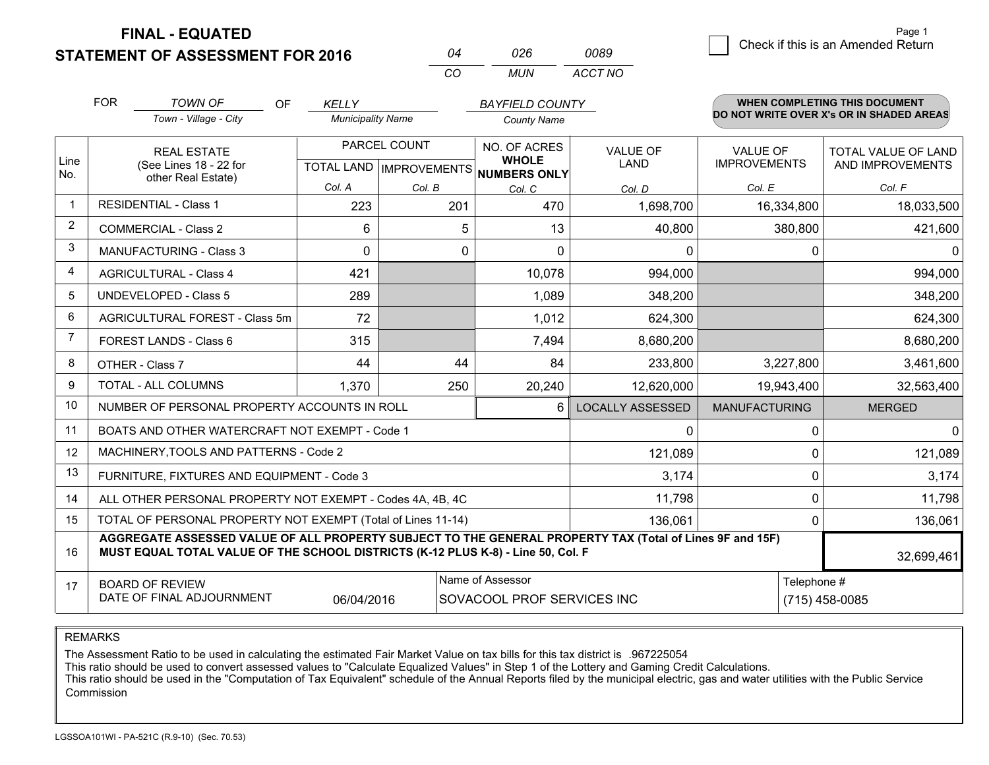**FINAL - EQUATED**

**STATEMENT OF ASSESSMENT FOR 2016** 

| 04  | 026 | 0089    |
|-----|-----|---------|
| CO. | MUN | ACCT NO |

|             | <b>FOR</b>                     | <b>TOWN OF</b><br><b>OF</b>                                                                                                                                                                  | <b>KELLY</b>             |              | <b>BAYFIELD COUNTY</b>                              |                         |                      | <b>WHEN COMPLETING THIS DOCUMENT</b><br>DO NOT WRITE OVER X's OR IN SHADED AREAS |
|-------------|--------------------------------|----------------------------------------------------------------------------------------------------------------------------------------------------------------------------------------------|--------------------------|--------------|-----------------------------------------------------|-------------------------|----------------------|----------------------------------------------------------------------------------|
|             |                                | Town - Village - City                                                                                                                                                                        | <b>Municipality Name</b> |              | <b>County Name</b>                                  |                         |                      |                                                                                  |
|             |                                | <b>REAL ESTATE</b>                                                                                                                                                                           |                          | PARCEL COUNT | NO. OF ACRES                                        | <b>VALUE OF</b>         | <b>VALUE OF</b>      | <b>TOTAL VALUE OF LAND</b>                                                       |
| Line<br>No. |                                | (See Lines 18 - 22 for<br>other Real Estate)                                                                                                                                                 |                          |              | <b>WHOLE</b><br>TOTAL LAND MPROVEMENTS NUMBERS ONLY | <b>LAND</b>             | <b>IMPROVEMENTS</b>  | AND IMPROVEMENTS                                                                 |
|             |                                |                                                                                                                                                                                              | Col. A                   | Col. B       | Col. C                                              | Col. D                  | Col. E               | Col. F                                                                           |
|             |                                | <b>RESIDENTIAL - Class 1</b>                                                                                                                                                                 | 223                      | 201          | 470                                                 | 1,698,700               | 16,334,800           | 18,033,500                                                                       |
| 2           |                                | <b>COMMERCIAL - Class 2</b>                                                                                                                                                                  | 6                        | 5            | 13                                                  | 40,800                  | 380,800              | 421,600                                                                          |
| 3           |                                | <b>MANUFACTURING - Class 3</b>                                                                                                                                                               | $\Omega$                 | 0            | $\mathbf{0}$                                        | 0                       | 0                    | $\Omega$                                                                         |
| 4           |                                | <b>AGRICULTURAL - Class 4</b>                                                                                                                                                                | 421                      |              | 10,078                                              | 994,000                 |                      | 994,000                                                                          |
| 5           |                                | UNDEVELOPED - Class 5                                                                                                                                                                        | 289                      |              | 1,089                                               | 348,200                 |                      | 348,200                                                                          |
| 6           | AGRICULTURAL FOREST - Class 5m |                                                                                                                                                                                              | 72                       |              | 1,012                                               | 624,300                 |                      | 624,300                                                                          |
| 7           |                                | FOREST LANDS - Class 6                                                                                                                                                                       | 315                      |              | 7,494                                               | 8,680,200               |                      | 8,680,200                                                                        |
| 8           |                                | OTHER - Class 7                                                                                                                                                                              | 44                       | 44           | 84                                                  | 233,800                 | 3,227,800            | 3,461,600                                                                        |
| 9           |                                | TOTAL - ALL COLUMNS                                                                                                                                                                          | 1,370                    | 250          | 20,240                                              | 12,620,000              | 19,943,400           | 32,563,400                                                                       |
| 10          |                                | NUMBER OF PERSONAL PROPERTY ACCOUNTS IN ROLL                                                                                                                                                 |                          |              | 6                                                   | <b>LOCALLY ASSESSED</b> | <b>MANUFACTURING</b> | <b>MERGED</b>                                                                    |
| 11          |                                | BOATS AND OTHER WATERCRAFT NOT EXEMPT - Code 1                                                                                                                                               |                          |              |                                                     | 0                       | 0                    | $\mathbf 0$                                                                      |
| 12          |                                | MACHINERY, TOOLS AND PATTERNS - Code 2                                                                                                                                                       |                          |              |                                                     | 121,089                 | $\Omega$             | 121,089                                                                          |
| 13          |                                | FURNITURE, FIXTURES AND EQUIPMENT - Code 3                                                                                                                                                   |                          |              |                                                     | 3,174                   | 0                    | 3,174                                                                            |
| 14          |                                | ALL OTHER PERSONAL PROPERTY NOT EXEMPT - Codes 4A, 4B, 4C                                                                                                                                    |                          |              |                                                     | 11,798                  | 0                    | 11,798                                                                           |
| 15          |                                | TOTAL OF PERSONAL PROPERTY NOT EXEMPT (Total of Lines 11-14)                                                                                                                                 |                          |              |                                                     | 136,061                 | $\Omega$             | 136,061                                                                          |
| 16          |                                | AGGREGATE ASSESSED VALUE OF ALL PROPERTY SUBJECT TO THE GENERAL PROPERTY TAX (Total of Lines 9F and 15F)<br>MUST EQUAL TOTAL VALUE OF THE SCHOOL DISTRICTS (K-12 PLUS K-8) - Line 50, Col. F |                          |              |                                                     |                         |                      | 32,699,461                                                                       |
| 17          |                                | <b>BOARD OF REVIEW</b>                                                                                                                                                                       |                          |              | Name of Assessor                                    |                         | Telephone #          |                                                                                  |
|             |                                | DATE OF FINAL ADJOURNMENT                                                                                                                                                                    | 06/04/2016               |              | SOVACOOL PROF SERVICES INC                          |                         |                      | $(715)$ 458-0085                                                                 |

REMARKS

The Assessment Ratio to be used in calculating the estimated Fair Market Value on tax bills for this tax district is .967225054

This ratio should be used to convert assessed values to "Calculate Equalized Values" in Step 1 of the Lottery and Gaming Credit Calculations.<br>This ratio should be used in the "Computation of Tax Equivalent" schedule of the Commission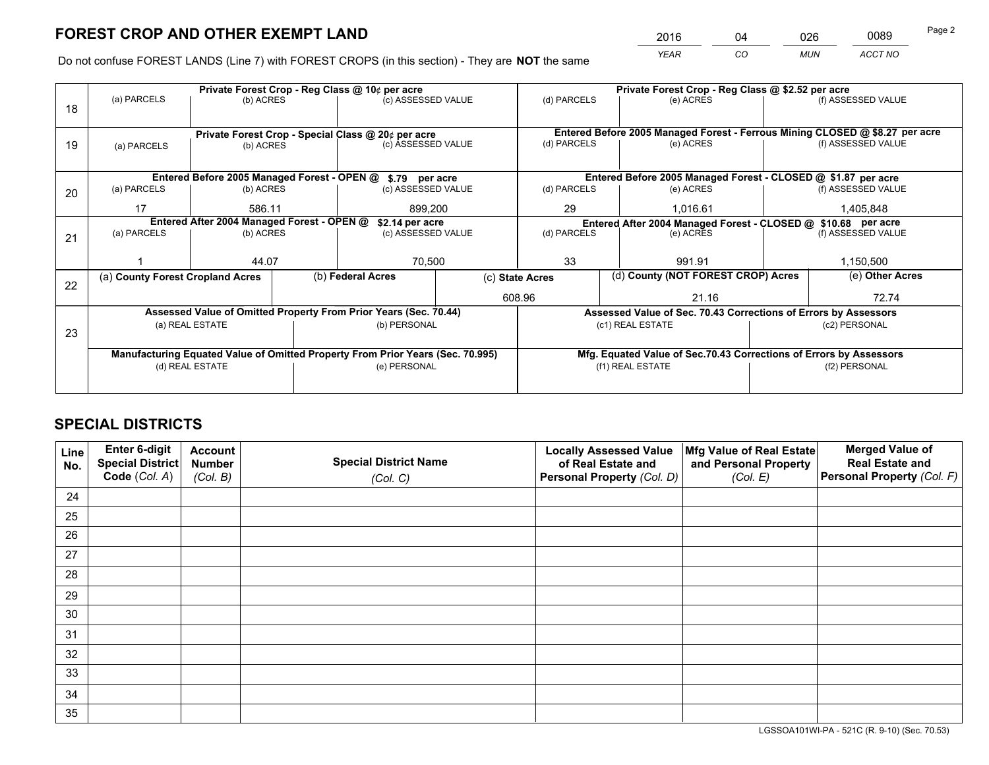*YEAR CO MUN ACCT NO* <sup>2016</sup> <sup>04</sup> <sup>026</sup> <sup>0089</sup> Page 2

Do not confuse FOREST LANDS (Line 7) with FOREST CROPS (in this section) - They are **NOT** the same

|    | Private Forest Crop - Reg Class @ 10¢ per acre                |                 |  |                                                                                |                                                               | Private Forest Crop - Reg Class @ \$2.52 per acre |                                                                              |  |                    |  |
|----|---------------------------------------------------------------|-----------------|--|--------------------------------------------------------------------------------|---------------------------------------------------------------|---------------------------------------------------|------------------------------------------------------------------------------|--|--------------------|--|
| 18 | (a) PARCELS                                                   | (b) ACRES       |  | (c) ASSESSED VALUE                                                             |                                                               | (d) PARCELS                                       | (e) ACRES                                                                    |  | (f) ASSESSED VALUE |  |
|    |                                                               |                 |  |                                                                                |                                                               |                                                   |                                                                              |  |                    |  |
|    |                                                               |                 |  | Private Forest Crop - Special Class @ 20¢ per acre                             |                                                               |                                                   | Entered Before 2005 Managed Forest - Ferrous Mining CLOSED @ \$8.27 per acre |  |                    |  |
| 19 | (a) PARCELS                                                   | (b) ACRES       |  | (c) ASSESSED VALUE                                                             |                                                               | (d) PARCELS                                       | (e) ACRES                                                                    |  | (f) ASSESSED VALUE |  |
|    |                                                               |                 |  |                                                                                |                                                               |                                                   |                                                                              |  |                    |  |
|    | Entered Before 2005 Managed Forest - OPEN @ \$.79 per acre    |                 |  |                                                                                |                                                               |                                                   | Entered Before 2005 Managed Forest - CLOSED @ \$1.87 per acre                |  |                    |  |
| 20 | (a) PARCELS                                                   | (b) ACRES       |  | (c) ASSESSED VALUE                                                             |                                                               | (d) PARCELS                                       | (e) ACRES                                                                    |  | (f) ASSESSED VALUE |  |
|    | 17                                                            | 586.11          |  | 899,200                                                                        |                                                               | 29                                                | 1.016.61                                                                     |  | 1,405,848          |  |
|    | Entered After 2004 Managed Forest - OPEN @<br>\$2.14 per acre |                 |  |                                                                                | Entered After 2004 Managed Forest - CLOSED @ \$10.68 per acre |                                                   |                                                                              |  |                    |  |
| 21 | (a) PARCELS                                                   | (b) ACRES       |  | (c) ASSESSED VALUE                                                             |                                                               | (d) PARCELS                                       | (e) ACRES                                                                    |  | (f) ASSESSED VALUE |  |
|    |                                                               |                 |  |                                                                                |                                                               |                                                   |                                                                              |  |                    |  |
|    |                                                               | 44.07           |  | 70,500                                                                         |                                                               | 33<br>991.91                                      |                                                                              |  | 1,150,500          |  |
| 22 | (a) County Forest Cropland Acres                              |                 |  | (b) Federal Acres                                                              |                                                               | (c) State Acres                                   | (d) County (NOT FOREST CROP) Acres                                           |  | (e) Other Acres    |  |
|    |                                                               |                 |  |                                                                                |                                                               | 608.96                                            | 21.16                                                                        |  | 72.74              |  |
|    |                                                               |                 |  | Assessed Value of Omitted Property From Prior Years (Sec. 70.44)               |                                                               |                                                   | Assessed Value of Sec. 70.43 Corrections of Errors by Assessors              |  |                    |  |
| 23 |                                                               | (a) REAL ESTATE |  | (b) PERSONAL                                                                   |                                                               |                                                   | (c1) REAL ESTATE                                                             |  | (c2) PERSONAL      |  |
|    |                                                               |                 |  |                                                                                |                                                               |                                                   |                                                                              |  |                    |  |
|    |                                                               |                 |  | Manufacturing Equated Value of Omitted Property From Prior Years (Sec. 70.995) |                                                               |                                                   | Mfg. Equated Value of Sec.70.43 Corrections of Errors by Assessors           |  |                    |  |
|    | (d) REAL ESTATE                                               |                 |  | (e) PERSONAL                                                                   |                                                               |                                                   | (f1) REAL ESTATE                                                             |  | (f2) PERSONAL      |  |
|    |                                                               |                 |  |                                                                                |                                                               |                                                   |                                                                              |  |                    |  |

## **SPECIAL DISTRICTS**

| Line<br>No. | Enter 6-digit<br><b>Special District</b> | <b>Account</b><br><b>Number</b> | <b>Special District Name</b> | <b>Locally Assessed Value</b><br>of Real Estate and | Mfg Value of Real Estate<br>and Personal Property | <b>Merged Value of</b><br><b>Real Estate and</b> |
|-------------|------------------------------------------|---------------------------------|------------------------------|-----------------------------------------------------|---------------------------------------------------|--------------------------------------------------|
|             | Code (Col. A)                            | (Col. B)                        | (Col. C)                     | Personal Property (Col. D)                          | (Col. E)                                          | Personal Property (Col. F)                       |
| 24          |                                          |                                 |                              |                                                     |                                                   |                                                  |
| 25          |                                          |                                 |                              |                                                     |                                                   |                                                  |
| 26          |                                          |                                 |                              |                                                     |                                                   |                                                  |
| 27          |                                          |                                 |                              |                                                     |                                                   |                                                  |
| 28          |                                          |                                 |                              |                                                     |                                                   |                                                  |
| 29          |                                          |                                 |                              |                                                     |                                                   |                                                  |
| 30          |                                          |                                 |                              |                                                     |                                                   |                                                  |
| 31          |                                          |                                 |                              |                                                     |                                                   |                                                  |
| 32          |                                          |                                 |                              |                                                     |                                                   |                                                  |
| 33          |                                          |                                 |                              |                                                     |                                                   |                                                  |
| 34          |                                          |                                 |                              |                                                     |                                                   |                                                  |
| 35          |                                          |                                 |                              |                                                     |                                                   |                                                  |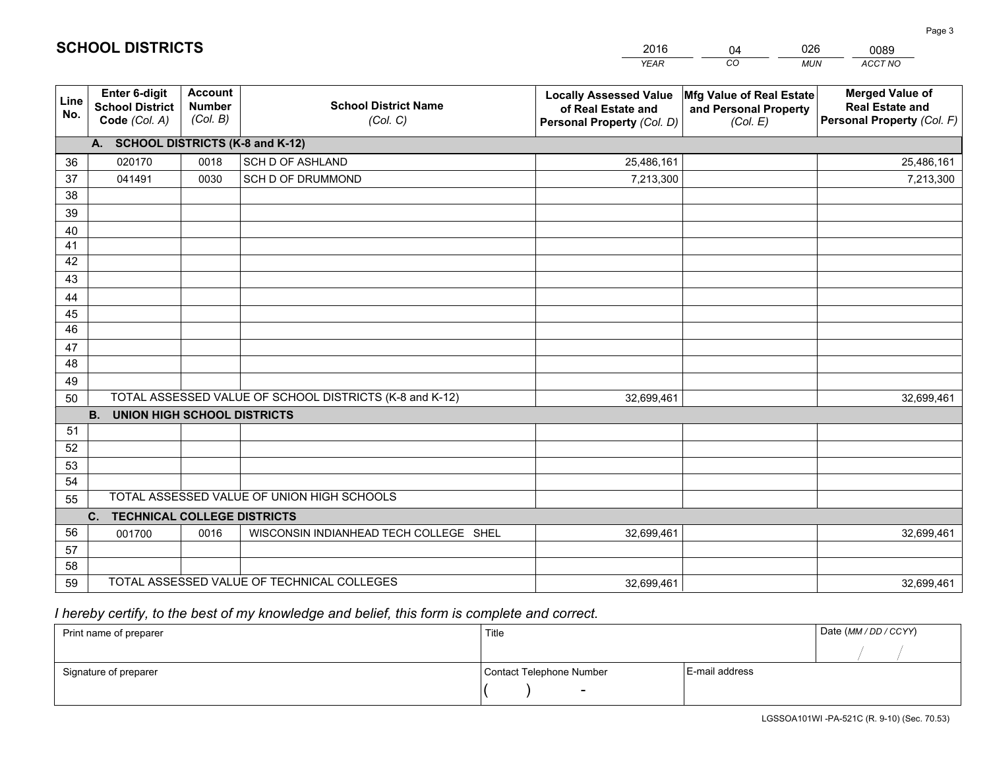|             |                                                          |                                             |                                                         | <b>YEAR</b>                                                                       | CO<br><b>MUN</b>                                              | ACCT NO                                                                        |
|-------------|----------------------------------------------------------|---------------------------------------------|---------------------------------------------------------|-----------------------------------------------------------------------------------|---------------------------------------------------------------|--------------------------------------------------------------------------------|
| Line<br>No. | Enter 6-digit<br><b>School District</b><br>Code (Col. A) | <b>Account</b><br><b>Number</b><br>(Col. B) | <b>School District Name</b><br>(Col. C)                 | <b>Locally Assessed Value</b><br>of Real Estate and<br>Personal Property (Col. D) | Mfg Value of Real Estate<br>and Personal Property<br>(Col. E) | <b>Merged Value of</b><br><b>Real Estate and</b><br>Personal Property (Col. F) |
|             | A. SCHOOL DISTRICTS (K-8 and K-12)                       |                                             |                                                         |                                                                                   |                                                               |                                                                                |
| 36          | 020170                                                   | 0018                                        | <b>SCH D OF ASHLAND</b>                                 | 25,486,161                                                                        |                                                               | 25,486,161                                                                     |
| 37          | 041491                                                   | 0030                                        | SCH D OF DRUMMOND                                       | 7,213,300                                                                         |                                                               | 7,213,300                                                                      |
| 38          |                                                          |                                             |                                                         |                                                                                   |                                                               |                                                                                |
| 39          |                                                          |                                             |                                                         |                                                                                   |                                                               |                                                                                |
| 40          |                                                          |                                             |                                                         |                                                                                   |                                                               |                                                                                |
| 41          |                                                          |                                             |                                                         |                                                                                   |                                                               |                                                                                |
| 42          |                                                          |                                             |                                                         |                                                                                   |                                                               |                                                                                |
| 43          |                                                          |                                             |                                                         |                                                                                   |                                                               |                                                                                |
| 44          |                                                          |                                             |                                                         |                                                                                   |                                                               |                                                                                |
| 45          |                                                          |                                             |                                                         |                                                                                   |                                                               |                                                                                |
| 46          |                                                          |                                             |                                                         |                                                                                   |                                                               |                                                                                |
| 47          |                                                          |                                             |                                                         |                                                                                   |                                                               |                                                                                |
| 48          |                                                          |                                             |                                                         |                                                                                   |                                                               |                                                                                |
| 49          |                                                          |                                             | TOTAL ASSESSED VALUE OF SCHOOL DISTRICTS (K-8 and K-12) |                                                                                   |                                                               |                                                                                |
| 50          | B <sub>1</sub><br><b>UNION HIGH SCHOOL DISTRICTS</b>     |                                             |                                                         | 32,699,461                                                                        |                                                               | 32,699,461                                                                     |
| 51          |                                                          |                                             |                                                         |                                                                                   |                                                               |                                                                                |
| 52          |                                                          |                                             |                                                         |                                                                                   |                                                               |                                                                                |
| 53          |                                                          |                                             |                                                         |                                                                                   |                                                               |                                                                                |
| 54          |                                                          |                                             |                                                         |                                                                                   |                                                               |                                                                                |
| 55          |                                                          |                                             | TOTAL ASSESSED VALUE OF UNION HIGH SCHOOLS              |                                                                                   |                                                               |                                                                                |
|             | C. TECHNICAL COLLEGE DISTRICTS                           |                                             |                                                         |                                                                                   |                                                               |                                                                                |
| 56          | 001700                                                   | 0016                                        | WISCONSIN INDIANHEAD TECH COLLEGE SHEL                  | 32,699,461                                                                        |                                                               | 32,699,461                                                                     |
| 57          |                                                          |                                             |                                                         |                                                                                   |                                                               |                                                                                |
| 58          |                                                          |                                             |                                                         |                                                                                   |                                                               |                                                                                |
| 59          |                                                          |                                             | TOTAL ASSESSED VALUE OF TECHNICAL COLLEGES              | 32,699,461                                                                        |                                                               | 32,699,461                                                                     |

04

026

 *I hereby certify, to the best of my knowledge and belief, this form is complete and correct.*

**SCHOOL DISTRICTS**

| Print name of preparer | Title                    |                | Date (MM/DD/CCYY) |
|------------------------|--------------------------|----------------|-------------------|
|                        |                          |                |                   |
| Signature of preparer  | Contact Telephone Number | E-mail address |                   |
|                        | $\overline{\phantom{0}}$ |                |                   |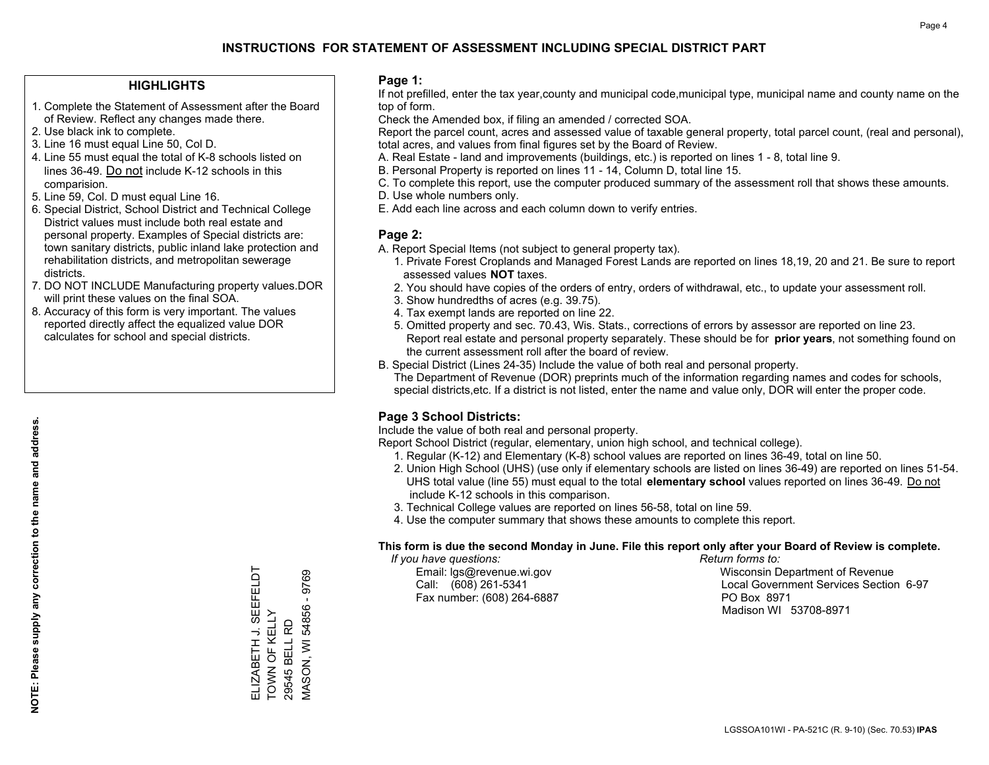#### **HIGHLIGHTS**

- 1. Complete the Statement of Assessment after the Board of Review. Reflect any changes made there.
- 2. Use black ink to complete.
- 3. Line 16 must equal Line 50, Col D.
- 4. Line 55 must equal the total of K-8 schools listed on lines 36-49. Do not include K-12 schools in this comparision.
- 5. Line 59, Col. D must equal Line 16.
- 6. Special District, School District and Technical College District values must include both real estate and personal property. Examples of Special districts are: town sanitary districts, public inland lake protection and rehabilitation districts, and metropolitan sewerage districts.
- 7. DO NOT INCLUDE Manufacturing property values.DOR will print these values on the final SOA.

ELIZABETH J. SEEFELDT

SEEFELDT

TOWN OF KELLY 29545 BELL RD

ELIZABETH J. SEE<br>TOWN OF KELLY 29545 BELL RD MASON, WI 54856 - 9769

**VIASON, WI 54856** 

9769

 8. Accuracy of this form is very important. The values reported directly affect the equalized value DOR calculates for school and special districts.

#### **Page 1:**

 If not prefilled, enter the tax year,county and municipal code,municipal type, municipal name and county name on the top of form.

Check the Amended box, if filing an amended / corrected SOA.

 Report the parcel count, acres and assessed value of taxable general property, total parcel count, (real and personal), total acres, and values from final figures set by the Board of Review.

- A. Real Estate land and improvements (buildings, etc.) is reported on lines 1 8, total line 9.
- B. Personal Property is reported on lines 11 14, Column D, total line 15.
- C. To complete this report, use the computer produced summary of the assessment roll that shows these amounts.
- D. Use whole numbers only.
- E. Add each line across and each column down to verify entries.

#### **Page 2:**

- A. Report Special Items (not subject to general property tax).
- 1. Private Forest Croplands and Managed Forest Lands are reported on lines 18,19, 20 and 21. Be sure to report assessed values **NOT** taxes.
- 2. You should have copies of the orders of entry, orders of withdrawal, etc., to update your assessment roll.
	- 3. Show hundredths of acres (e.g. 39.75).
- 4. Tax exempt lands are reported on line 22.
- 5. Omitted property and sec. 70.43, Wis. Stats., corrections of errors by assessor are reported on line 23. Report real estate and personal property separately. These should be for **prior years**, not something found on the current assessment roll after the board of review.
- B. Special District (Lines 24-35) Include the value of both real and personal property.
- The Department of Revenue (DOR) preprints much of the information regarding names and codes for schools, special districts,etc. If a district is not listed, enter the name and value only, DOR will enter the proper code.

## **Page 3 School Districts:**

Include the value of both real and personal property.

Report School District (regular, elementary, union high school, and technical college).

- 1. Regular (K-12) and Elementary (K-8) school values are reported on lines 36-49, total on line 50.
- 2. Union High School (UHS) (use only if elementary schools are listed on lines 36-49) are reported on lines 51-54. UHS total value (line 55) must equal to the total **elementary school** values reported on lines 36-49. Do notinclude K-12 schools in this comparison.
- 3. Technical College values are reported on lines 56-58, total on line 59.
- 4. Use the computer summary that shows these amounts to complete this report.

#### **This form is due the second Monday in June. File this report only after your Board of Review is complete.**

 *If you have questions: Return forms to:*

Fax number: (608) 264-6887 PO Box 8971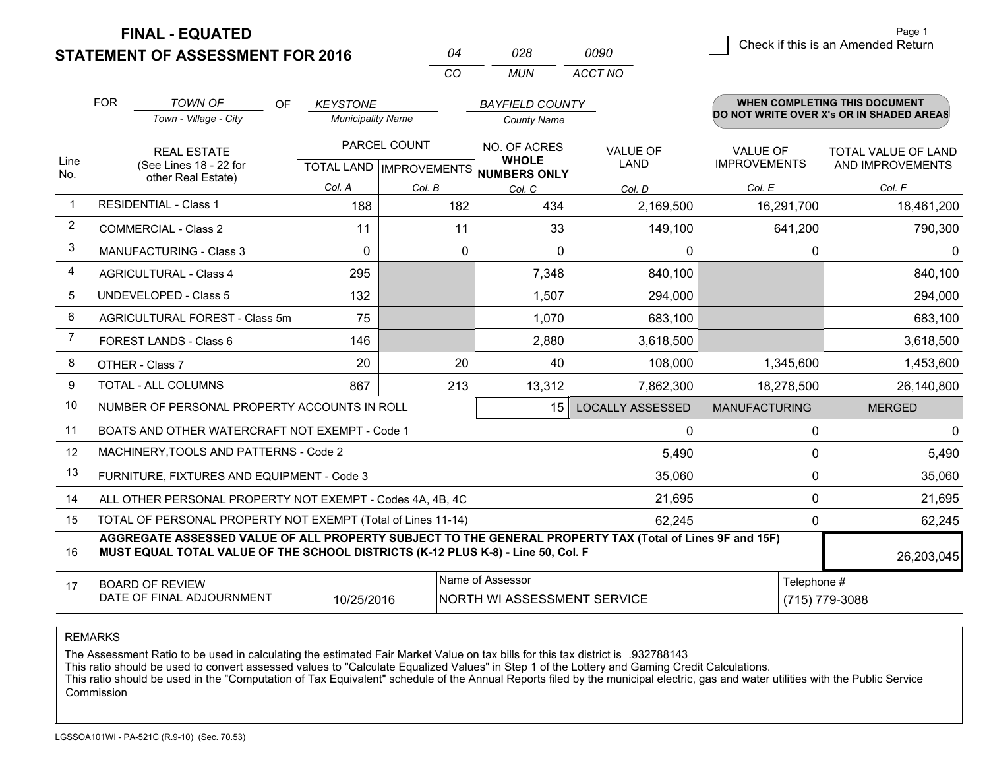**STATEMENT OF ASSESSMENT FOR 2016** 

**FINAL - EQUATED**

|   | Page 1                             |
|---|------------------------------------|
| 0 | Check if this is an Amended Return |
|   |                                    |

|                | <b>FOR</b>                                                                                                                                                                                   | <b>TOWN OF</b><br><b>OF</b>                               | <b>KEYSTONE</b>          |              |     | <b>BAYFIELD COUNTY</b>                               |                         |                      |                | <b>WHEN COMPLETING THIS DOCUMENT</b>     |
|----------------|----------------------------------------------------------------------------------------------------------------------------------------------------------------------------------------------|-----------------------------------------------------------|--------------------------|--------------|-----|------------------------------------------------------|-------------------------|----------------------|----------------|------------------------------------------|
|                |                                                                                                                                                                                              | Town - Village - City                                     | <b>Municipality Name</b> |              |     | <b>County Name</b>                                   |                         |                      |                | DO NOT WRITE OVER X's OR IN SHADED AREAS |
|                |                                                                                                                                                                                              | <b>REAL ESTATE</b>                                        |                          | PARCEL COUNT |     | NO. OF ACRES                                         | <b>VALUE OF</b>         | <b>VALUE OF</b>      |                | <b>TOTAL VALUE OF LAND</b>               |
| Line<br>No.    |                                                                                                                                                                                              | (See Lines 18 - 22 for<br>other Real Estate)              |                          |              |     | <b>WHOLE</b><br>TOTAL LAND IMPROVEMENTS NUMBERS ONLY | LAND                    | <b>IMPROVEMENTS</b>  |                | AND IMPROVEMENTS                         |
|                |                                                                                                                                                                                              |                                                           | Col. A                   | Col. B       |     | Col. C                                               | Col. D                  | Col. E               |                | Col. F                                   |
| 1              |                                                                                                                                                                                              | <b>RESIDENTIAL - Class 1</b>                              | 188                      |              | 182 | 434                                                  | 2,169,500               |                      | 16,291,700     | 18,461,200                               |
| $\overline{2}$ |                                                                                                                                                                                              | <b>COMMERCIAL - Class 2</b>                               | 11                       |              | 11  | 33                                                   | 149,100                 |                      | 641,200        | 790,300                                  |
| 3              |                                                                                                                                                                                              | <b>MANUFACTURING - Class 3</b>                            | $\mathbf{0}$             |              | 0   | 0                                                    | $\mathbf 0$             |                      | 0              | $\Omega$                                 |
| 4              |                                                                                                                                                                                              | <b>AGRICULTURAL - Class 4</b>                             | 295                      |              |     | 7,348                                                | 840,100                 |                      |                | 840,100                                  |
| 5              |                                                                                                                                                                                              | UNDEVELOPED - Class 5                                     | 132                      |              |     | 1,507                                                | 294,000                 |                      |                | 294,000                                  |
| 6              | AGRICULTURAL FOREST - Class 5m                                                                                                                                                               |                                                           | 75                       |              |     | 1,070                                                | 683,100                 |                      |                | 683,100                                  |
| $\overline{7}$ |                                                                                                                                                                                              | FOREST LANDS - Class 6                                    | 146                      |              |     | 2,880                                                | 3,618,500               |                      |                | 3,618,500                                |
| 8              |                                                                                                                                                                                              | OTHER - Class 7                                           | 20                       |              | 20  | 40                                                   | 108,000                 |                      | 1,345,600      | 1,453,600                                |
| 9              |                                                                                                                                                                                              | TOTAL - ALL COLUMNS                                       | 867                      |              | 213 | 13,312                                               | 7,862,300               |                      | 18,278,500     | 26,140,800                               |
| 10             |                                                                                                                                                                                              | NUMBER OF PERSONAL PROPERTY ACCOUNTS IN ROLL              |                          |              |     | 15                                                   | <b>LOCALLY ASSESSED</b> | <b>MANUFACTURING</b> |                | <b>MERGED</b>                            |
| 11             |                                                                                                                                                                                              | BOATS AND OTHER WATERCRAFT NOT EXEMPT - Code 1            |                          |              |     |                                                      | $\Omega$                |                      | $\Omega$       | $\Omega$                                 |
| 12             |                                                                                                                                                                                              | MACHINERY, TOOLS AND PATTERNS - Code 2                    |                          |              |     |                                                      | 5,490                   |                      | $\Omega$       | 5,490                                    |
| 13             |                                                                                                                                                                                              | FURNITURE, FIXTURES AND EQUIPMENT - Code 3                |                          |              |     |                                                      | 35,060                  |                      | $\Omega$       | 35,060                                   |
| 14             |                                                                                                                                                                                              | ALL OTHER PERSONAL PROPERTY NOT EXEMPT - Codes 4A, 4B, 4C |                          |              |     |                                                      | 21,695                  |                      | 0              | 21,695                                   |
| 15             | TOTAL OF PERSONAL PROPERTY NOT EXEMPT (Total of Lines 11-14)                                                                                                                                 |                                                           |                          |              |     |                                                      | 62,245                  |                      | $\Omega$       | 62,245                                   |
| 16             | AGGREGATE ASSESSED VALUE OF ALL PROPERTY SUBJECT TO THE GENERAL PROPERTY TAX (Total of Lines 9F and 15F)<br>MUST EQUAL TOTAL VALUE OF THE SCHOOL DISTRICTS (K-12 PLUS K-8) - Line 50, Col. F |                                                           |                          |              |     |                                                      |                         | 26,203,045           |                |                                          |
| 17             | Name of Assessor<br><b>BOARD OF REVIEW</b>                                                                                                                                                   |                                                           |                          |              |     |                                                      | Telephone #             |                      |                |                                          |
|                |                                                                                                                                                                                              | DATE OF FINAL ADJOURNMENT                                 | 10/25/2016               |              |     | <b>NORTH WI ASSESSMENT SERVICE</b>                   |                         |                      | (715) 779-3088 |                                          |

*CO*

*MUN*

*ACCT NO0090*

*<sup>04</sup> <sup>028</sup>*

REMARKS

The Assessment Ratio to be used in calculating the estimated Fair Market Value on tax bills for this tax district is .932788143<br>This ratio should be used to convert assessed values to "Calculate Equalized Values" in Step 1 Commission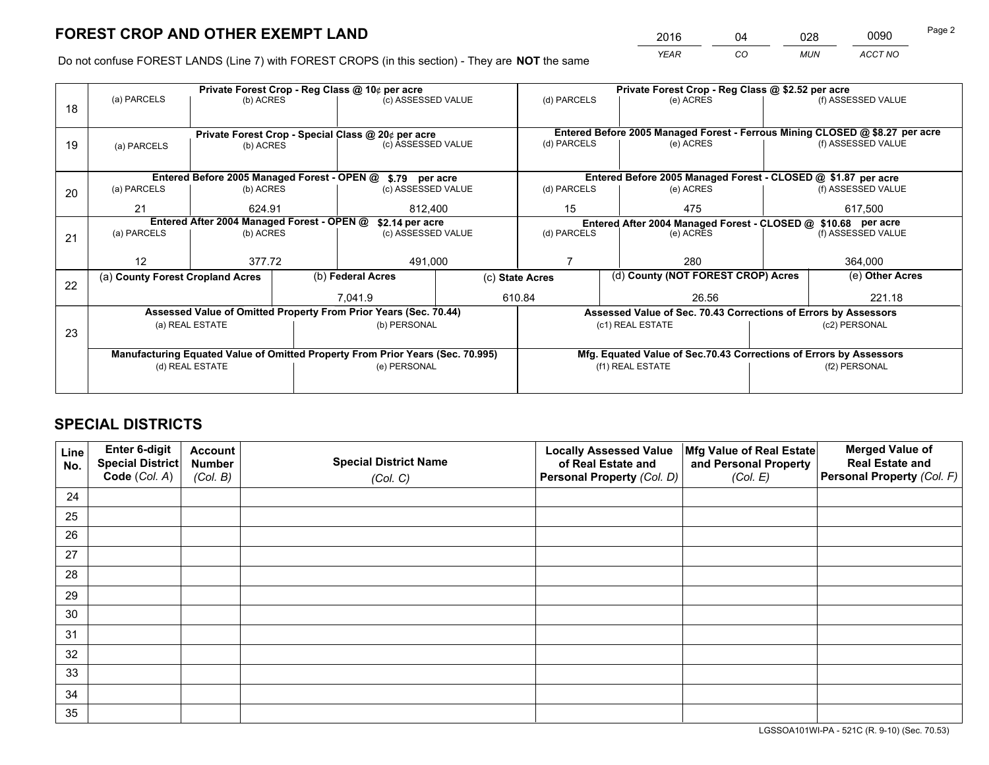*YEAR CO MUN ACCT NO* <sup>2016</sup> <sup>04</sup> <sup>028</sup> <sup>0090</sup>

Do not confuse FOREST LANDS (Line 7) with FOREST CROPS (in this section) - They are **NOT** the same

|    | Private Forest Crop - Reg Class @ 10¢ per acre                                 |                 |  |                                                                  |  | Private Forest Crop - Reg Class @ \$2.52 per acre             |                                                                 |                                                                              |         |                    |  |
|----|--------------------------------------------------------------------------------|-----------------|--|------------------------------------------------------------------|--|---------------------------------------------------------------|-----------------------------------------------------------------|------------------------------------------------------------------------------|---------|--------------------|--|
| 18 | (a) PARCELS                                                                    | (b) ACRES       |  | (c) ASSESSED VALUE                                               |  | (d) PARCELS                                                   |                                                                 | (e) ACRES                                                                    |         | (f) ASSESSED VALUE |  |
|    |                                                                                |                 |  |                                                                  |  |                                                               |                                                                 |                                                                              |         |                    |  |
|    | Private Forest Crop - Special Class @ 20¢ per acre                             |                 |  |                                                                  |  |                                                               |                                                                 | Entered Before 2005 Managed Forest - Ferrous Mining CLOSED @ \$8.27 per acre |         |                    |  |
| 19 | (a) PARCELS                                                                    | (b) ACRES       |  | (c) ASSESSED VALUE                                               |  | (d) PARCELS                                                   |                                                                 | (e) ACRES                                                                    |         | (f) ASSESSED VALUE |  |
|    |                                                                                |                 |  |                                                                  |  |                                                               |                                                                 |                                                                              |         |                    |  |
|    |                                                                                |                 |  | Entered Before 2005 Managed Forest - OPEN @ \$.79 per acre       |  |                                                               |                                                                 | Entered Before 2005 Managed Forest - CLOSED @ \$1.87 per acre                |         |                    |  |
| 20 | (a) PARCELS                                                                    | (b) ACRES       |  | (c) ASSESSED VALUE                                               |  | (d) PARCELS                                                   |                                                                 | (e) ACRES                                                                    |         | (f) ASSESSED VALUE |  |
|    | 21                                                                             | 624.91          |  | 812.400                                                          |  | 15                                                            |                                                                 | 475                                                                          |         | 617,500            |  |
|    | Entered After 2004 Managed Forest - OPEN @<br>\$2.14 per acre                  |                 |  |                                                                  |  | Entered After 2004 Managed Forest - CLOSED @ \$10.68 per acre |                                                                 |                                                                              |         |                    |  |
| 21 | (a) PARCELS                                                                    | (b) ACRES       |  | (c) ASSESSED VALUE                                               |  | (d) PARCELS<br>(e) ACRES                                      |                                                                 | (f) ASSESSED VALUE                                                           |         |                    |  |
|    |                                                                                |                 |  |                                                                  |  |                                                               |                                                                 |                                                                              |         |                    |  |
|    | 12                                                                             | 377.72          |  | 491,000                                                          |  |                                                               |                                                                 | 280                                                                          | 364,000 |                    |  |
| 22 | (a) County Forest Cropland Acres                                               |                 |  | (b) Federal Acres                                                |  | (c) State Acres                                               |                                                                 | (d) County (NOT FOREST CROP) Acres                                           |         | (e) Other Acres    |  |
|    |                                                                                |                 |  | 7,041.9                                                          |  | 610.84                                                        |                                                                 | 26.56                                                                        |         | 221.18             |  |
|    |                                                                                |                 |  | Assessed Value of Omitted Property From Prior Years (Sec. 70.44) |  |                                                               | Assessed Value of Sec. 70.43 Corrections of Errors by Assessors |                                                                              |         |                    |  |
| 23 |                                                                                | (a) REAL ESTATE |  | (b) PERSONAL                                                     |  |                                                               |                                                                 | (c1) REAL ESTATE                                                             |         | (c2) PERSONAL      |  |
|    |                                                                                |                 |  |                                                                  |  |                                                               |                                                                 |                                                                              |         |                    |  |
|    | Manufacturing Equated Value of Omitted Property From Prior Years (Sec. 70.995) |                 |  |                                                                  |  |                                                               |                                                                 | Mfg. Equated Value of Sec.70.43 Corrections of Errors by Assessors           |         |                    |  |
|    | (d) REAL ESTATE                                                                |                 |  | (e) PERSONAL                                                     |  |                                                               |                                                                 | (f1) REAL ESTATE                                                             |         | (f2) PERSONAL      |  |
|    |                                                                                |                 |  |                                                                  |  |                                                               |                                                                 |                                                                              |         |                    |  |

## **SPECIAL DISTRICTS**

| Line<br>No. | Enter 6-digit<br>Special District<br>Code (Col. A) | <b>Account</b><br><b>Number</b><br>(Col. B) | <b>Special District Name</b><br>(Col. C) | <b>Locally Assessed Value</b><br>of Real Estate and<br>Personal Property (Col. D) | Mfg Value of Real Estate<br>and Personal Property<br>(Col. E) | <b>Merged Value of</b><br><b>Real Estate and</b><br>Personal Property (Col. F) |
|-------------|----------------------------------------------------|---------------------------------------------|------------------------------------------|-----------------------------------------------------------------------------------|---------------------------------------------------------------|--------------------------------------------------------------------------------|
| 24          |                                                    |                                             |                                          |                                                                                   |                                                               |                                                                                |
| 25          |                                                    |                                             |                                          |                                                                                   |                                                               |                                                                                |
| 26          |                                                    |                                             |                                          |                                                                                   |                                                               |                                                                                |
| 27          |                                                    |                                             |                                          |                                                                                   |                                                               |                                                                                |
| 28          |                                                    |                                             |                                          |                                                                                   |                                                               |                                                                                |
| 29          |                                                    |                                             |                                          |                                                                                   |                                                               |                                                                                |
| 30          |                                                    |                                             |                                          |                                                                                   |                                                               |                                                                                |
| 31          |                                                    |                                             |                                          |                                                                                   |                                                               |                                                                                |
| 32          |                                                    |                                             |                                          |                                                                                   |                                                               |                                                                                |
| 33          |                                                    |                                             |                                          |                                                                                   |                                                               |                                                                                |
| 34          |                                                    |                                             |                                          |                                                                                   |                                                               |                                                                                |
| 35          |                                                    |                                             |                                          |                                                                                   |                                                               |                                                                                |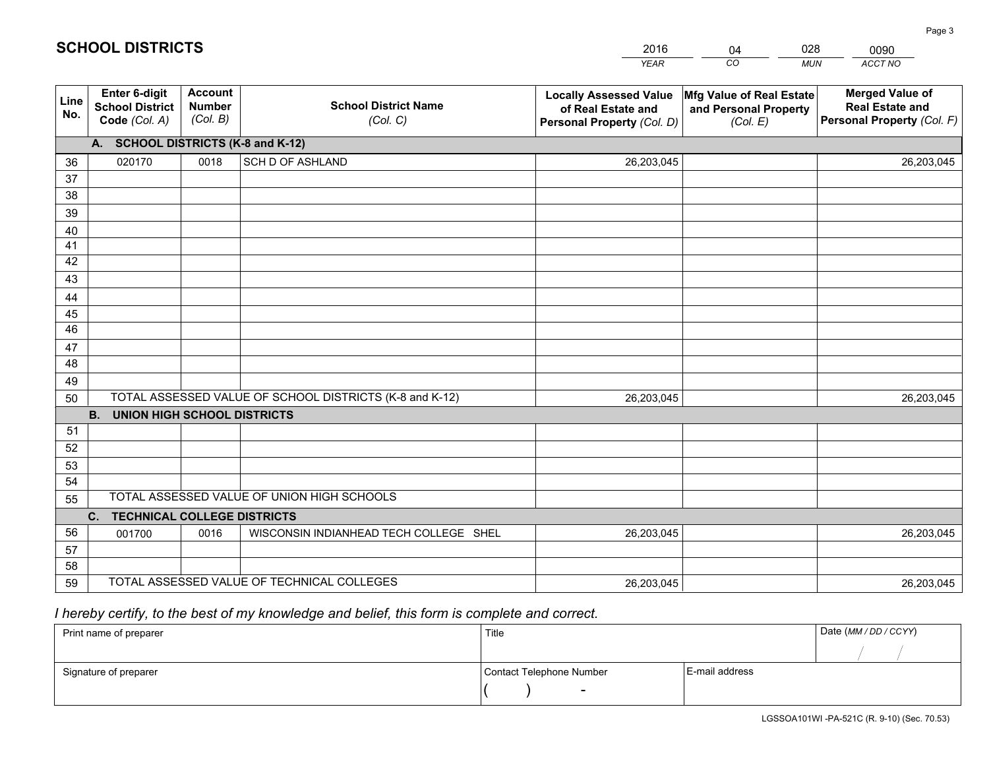|             |                                                          |                                             |                                                         | <b>YEAR</b>                                                                       | CO<br><b>MUN</b>                                              | ACCT NO                                                                        |
|-------------|----------------------------------------------------------|---------------------------------------------|---------------------------------------------------------|-----------------------------------------------------------------------------------|---------------------------------------------------------------|--------------------------------------------------------------------------------|
| Line<br>No. | Enter 6-digit<br><b>School District</b><br>Code (Col. A) | <b>Account</b><br><b>Number</b><br>(Col. B) | <b>School District Name</b><br>(Col. C)                 | <b>Locally Assessed Value</b><br>of Real Estate and<br>Personal Property (Col. D) | Mfg Value of Real Estate<br>and Personal Property<br>(Col. E) | <b>Merged Value of</b><br><b>Real Estate and</b><br>Personal Property (Col. F) |
|             | A. SCHOOL DISTRICTS (K-8 and K-12)                       |                                             |                                                         |                                                                                   |                                                               |                                                                                |
| 36          | 020170                                                   | 0018                                        | <b>SCH D OF ASHLAND</b>                                 | 26,203,045                                                                        |                                                               | 26,203,045                                                                     |
| 37          |                                                          |                                             |                                                         |                                                                                   |                                                               |                                                                                |
| 38          |                                                          |                                             |                                                         |                                                                                   |                                                               |                                                                                |
| 39          |                                                          |                                             |                                                         |                                                                                   |                                                               |                                                                                |
| 40          |                                                          |                                             |                                                         |                                                                                   |                                                               |                                                                                |
| 41<br>42    |                                                          |                                             |                                                         |                                                                                   |                                                               |                                                                                |
| 43          |                                                          |                                             |                                                         |                                                                                   |                                                               |                                                                                |
| 44          |                                                          |                                             |                                                         |                                                                                   |                                                               |                                                                                |
| 45          |                                                          |                                             |                                                         |                                                                                   |                                                               |                                                                                |
| 46          |                                                          |                                             |                                                         |                                                                                   |                                                               |                                                                                |
| 47          |                                                          |                                             |                                                         |                                                                                   |                                                               |                                                                                |
| 48          |                                                          |                                             |                                                         |                                                                                   |                                                               |                                                                                |
| 49          |                                                          |                                             |                                                         |                                                                                   |                                                               |                                                                                |
| 50          |                                                          |                                             | TOTAL ASSESSED VALUE OF SCHOOL DISTRICTS (K-8 and K-12) | 26,203,045                                                                        |                                                               | 26,203,045                                                                     |
|             | <b>B.</b><br><b>UNION HIGH SCHOOL DISTRICTS</b>          |                                             |                                                         |                                                                                   |                                                               |                                                                                |
| 51          |                                                          |                                             |                                                         |                                                                                   |                                                               |                                                                                |
| 52          |                                                          |                                             |                                                         |                                                                                   |                                                               |                                                                                |
| 53          |                                                          |                                             |                                                         |                                                                                   |                                                               |                                                                                |
| 54          |                                                          |                                             | TOTAL ASSESSED VALUE OF UNION HIGH SCHOOLS              |                                                                                   |                                                               |                                                                                |
| 55          |                                                          |                                             |                                                         |                                                                                   |                                                               |                                                                                |
| 56          | C.<br><b>TECHNICAL COLLEGE DISTRICTS</b><br>001700       | 0016                                        | WISCONSIN INDIANHEAD TECH COLLEGE SHEL                  | 26,203,045                                                                        |                                                               | 26,203,045                                                                     |
| 57          |                                                          |                                             |                                                         |                                                                                   |                                                               |                                                                                |
| 58          |                                                          |                                             |                                                         |                                                                                   |                                                               |                                                                                |
| 59          |                                                          |                                             | TOTAL ASSESSED VALUE OF TECHNICAL COLLEGES              | 26,203,045                                                                        |                                                               | 26,203,045                                                                     |

04

028

 *I hereby certify, to the best of my knowledge and belief, this form is complete and correct.*

**SCHOOL DISTRICTS**

| Print name of preparer | Title                    |                | Date (MM / DD / CCYY) |
|------------------------|--------------------------|----------------|-----------------------|
|                        |                          |                |                       |
| Signature of preparer  | Contact Telephone Number | E-mail address |                       |
|                        | $\sim$                   |                |                       |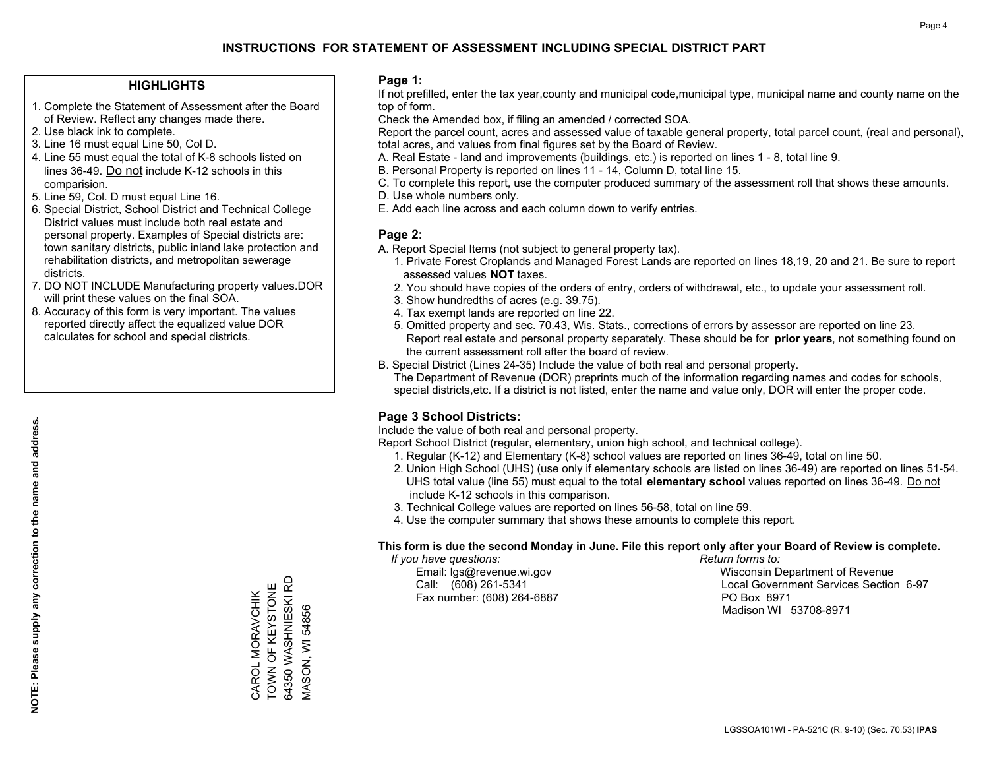#### **HIGHLIGHTS**

- 1. Complete the Statement of Assessment after the Board of Review. Reflect any changes made there.
- 2. Use black ink to complete.
- 3. Line 16 must equal Line 50, Col D.
- 4. Line 55 must equal the total of K-8 schools listed on lines 36-49. Do not include K-12 schools in this comparision.
- 5. Line 59, Col. D must equal Line 16.
- 6. Special District, School District and Technical College District values must include both real estate and personal property. Examples of Special districts are: town sanitary districts, public inland lake protection and rehabilitation districts, and metropolitan sewerage districts.
- 7. DO NOT INCLUDE Manufacturing property values.DOR will print these values on the final SOA.

CAROL MORAVCHIK TOWN OF KEYSTONE 64350 WASHNIESKI RD MASON, WI 54856

64350 WASHNIESKI RD CAROL MORAVCHIK<br>TOWN OF KEYSTONE

**VIASON, WI 54856** 

 8. Accuracy of this form is very important. The values reported directly affect the equalized value DOR calculates for school and special districts.

#### **Page 1:**

 If not prefilled, enter the tax year,county and municipal code,municipal type, municipal name and county name on the top of form.

Check the Amended box, if filing an amended / corrected SOA.

 Report the parcel count, acres and assessed value of taxable general property, total parcel count, (real and personal), total acres, and values from final figures set by the Board of Review.

- A. Real Estate land and improvements (buildings, etc.) is reported on lines 1 8, total line 9.
- B. Personal Property is reported on lines 11 14, Column D, total line 15.
- C. To complete this report, use the computer produced summary of the assessment roll that shows these amounts.
- D. Use whole numbers only.
- E. Add each line across and each column down to verify entries.

#### **Page 2:**

- A. Report Special Items (not subject to general property tax).
- 1. Private Forest Croplands and Managed Forest Lands are reported on lines 18,19, 20 and 21. Be sure to report assessed values **NOT** taxes.
- 2. You should have copies of the orders of entry, orders of withdrawal, etc., to update your assessment roll.
	- 3. Show hundredths of acres (e.g. 39.75).
- 4. Tax exempt lands are reported on line 22.
- 5. Omitted property and sec. 70.43, Wis. Stats., corrections of errors by assessor are reported on line 23. Report real estate and personal property separately. These should be for **prior years**, not something found on the current assessment roll after the board of review.
- B. Special District (Lines 24-35) Include the value of both real and personal property.
- The Department of Revenue (DOR) preprints much of the information regarding names and codes for schools, special districts,etc. If a district is not listed, enter the name and value only, DOR will enter the proper code.

## **Page 3 School Districts:**

Include the value of both real and personal property.

Report School District (regular, elementary, union high school, and technical college).

- 1. Regular (K-12) and Elementary (K-8) school values are reported on lines 36-49, total on line 50.
- 2. Union High School (UHS) (use only if elementary schools are listed on lines 36-49) are reported on lines 51-54. UHS total value (line 55) must equal to the total **elementary school** values reported on lines 36-49. Do notinclude K-12 schools in this comparison.
- 3. Technical College values are reported on lines 56-58, total on line 59.
- 4. Use the computer summary that shows these amounts to complete this report.

#### **This form is due the second Monday in June. File this report only after your Board of Review is complete.**

 *If you have questions: Return forms to:*

Fax number: (608) 264-6887 PO Box 8971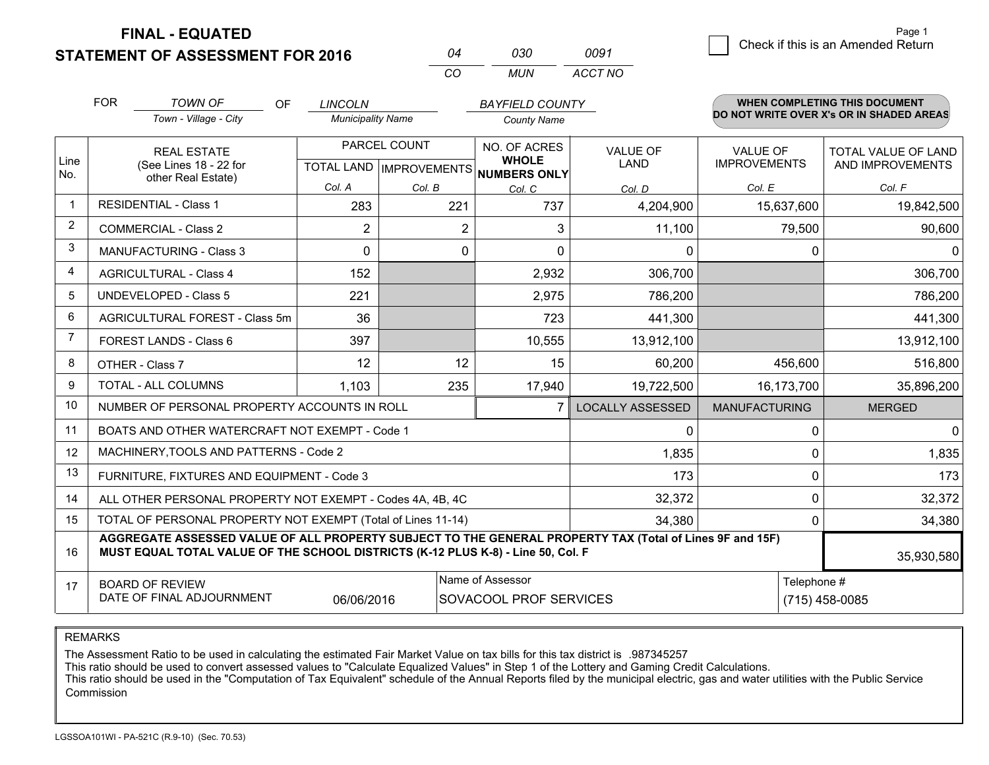**FINAL - EQUATED**

**STATEMENT OF ASSESSMENT FOR 2016** 

|          | กจก  | 0091    |
|----------|------|---------|
| $\cdots$ | MUN. | ACCT NO |

|             | <b>FOR</b>                                                                                                                                                                                                 | <b>TOWN OF</b><br>OF                                         | <b>LINCOLN</b>                            |                | <b>BAYFIELD COUNTY</b>       |                                |                                        | <b>WHEN COMPLETING THIS DOCUMENT</b>           |
|-------------|------------------------------------------------------------------------------------------------------------------------------------------------------------------------------------------------------------|--------------------------------------------------------------|-------------------------------------------|----------------|------------------------------|--------------------------------|----------------------------------------|------------------------------------------------|
|             |                                                                                                                                                                                                            | Town - Village - City                                        | <b>Municipality Name</b>                  |                | <b>County Name</b>           |                                |                                        | DO NOT WRITE OVER X's OR IN SHADED AREAS       |
| Line        |                                                                                                                                                                                                            | <b>REAL ESTATE</b><br>(See Lines 18 - 22 for                 | PARCEL COUNT<br>TOTAL LAND   IMPROVEMENTS |                | NO. OF ACRES<br><b>WHOLE</b> | <b>VALUE OF</b><br><b>LAND</b> | <b>VALUE OF</b><br><b>IMPROVEMENTS</b> | <b>TOTAL VALUE OF LAND</b><br>AND IMPROVEMENTS |
| No.         |                                                                                                                                                                                                            | other Real Estate)                                           | Col. A                                    | Col. B         | NUMBERS ONLY<br>Col. C       | Col. D                         | Col. E                                 | Col. F                                         |
| $\mathbf 1$ |                                                                                                                                                                                                            | <b>RESIDENTIAL - Class 1</b>                                 | 283                                       | 221            | 737                          | 4,204,900                      | 15,637,600                             | 19,842,500                                     |
| 2           |                                                                                                                                                                                                            | <b>COMMERCIAL - Class 2</b>                                  | $\overline{2}$                            | $\overline{2}$ | 3                            | 11,100                         | 79,500                                 | 90,600                                         |
| 3           |                                                                                                                                                                                                            | <b>MANUFACTURING - Class 3</b>                               | $\Omega$                                  | 0              | $\Omega$                     | 0                              | 0                                      | $\Omega$                                       |
| 4           |                                                                                                                                                                                                            | <b>AGRICULTURAL - Class 4</b>                                | 152                                       |                | 2,932                        | 306,700                        |                                        | 306,700                                        |
| 5           |                                                                                                                                                                                                            | <b>UNDEVELOPED - Class 5</b>                                 | 221                                       |                | 2,975                        | 786,200                        |                                        | 786,200                                        |
| 6           |                                                                                                                                                                                                            | AGRICULTURAL FOREST - Class 5m                               | 36                                        |                | 723                          | 441,300                        |                                        | 441,300                                        |
| 7           |                                                                                                                                                                                                            | FOREST LANDS - Class 6                                       | 397                                       |                | 10,555                       | 13,912,100                     |                                        | 13,912,100                                     |
| 8           |                                                                                                                                                                                                            | OTHER - Class 7                                              | 12                                        | 12             | 15                           | 60,200                         | 456,600                                | 516,800                                        |
| 9           |                                                                                                                                                                                                            | TOTAL - ALL COLUMNS                                          | 1,103                                     | 235            | 17,940                       | 19,722,500                     | 16,173,700                             | 35,896,200                                     |
| 10          |                                                                                                                                                                                                            | NUMBER OF PERSONAL PROPERTY ACCOUNTS IN ROLL                 |                                           |                |                              | <b>LOCALLY ASSESSED</b>        | <b>MANUFACTURING</b>                   | <b>MERGED</b>                                  |
| 11          |                                                                                                                                                                                                            | BOATS AND OTHER WATERCRAFT NOT EXEMPT - Code 1               |                                           |                |                              | 0                              | $\Omega$                               | $\mathbf{0}$                                   |
| 12          |                                                                                                                                                                                                            | MACHINERY, TOOLS AND PATTERNS - Code 2                       |                                           |                |                              | 1,835                          | 0                                      | 1,835                                          |
| 13          |                                                                                                                                                                                                            | FURNITURE, FIXTURES AND EQUIPMENT - Code 3                   |                                           |                |                              | 173                            | $\Omega$                               | 173                                            |
| 14          |                                                                                                                                                                                                            | ALL OTHER PERSONAL PROPERTY NOT EXEMPT - Codes 4A, 4B, 4C    |                                           |                |                              | 32,372                         | 0                                      | 32,372                                         |
| 15          |                                                                                                                                                                                                            | TOTAL OF PERSONAL PROPERTY NOT EXEMPT (Total of Lines 11-14) |                                           |                |                              | 34,380                         | 0                                      | 34,380                                         |
| 16          | AGGREGATE ASSESSED VALUE OF ALL PROPERTY SUBJECT TO THE GENERAL PROPERTY TAX (Total of Lines 9F and 15F)<br>MUST EQUAL TOTAL VALUE OF THE SCHOOL DISTRICTS (K-12 PLUS K-8) - Line 50, Col. F<br>35,930,580 |                                                              |                                           |                |                              |                                |                                        |                                                |
| 17          | Name of Assessor<br><b>BOARD OF REVIEW</b>                                                                                                                                                                 |                                                              |                                           |                |                              | Telephone #                    |                                        |                                                |
|             | DATE OF FINAL ADJOURNMENT<br>06/06/2016<br>SOVACOOL PROF SERVICES<br>$(715)$ 458-0085                                                                                                                      |                                                              |                                           |                |                              |                                |                                        |                                                |

REMARKS

The Assessment Ratio to be used in calculating the estimated Fair Market Value on tax bills for this tax district is .987345257<br>This ratio should be used to convert assessed values to "Calculate Equalized Values" in Step 1 Commission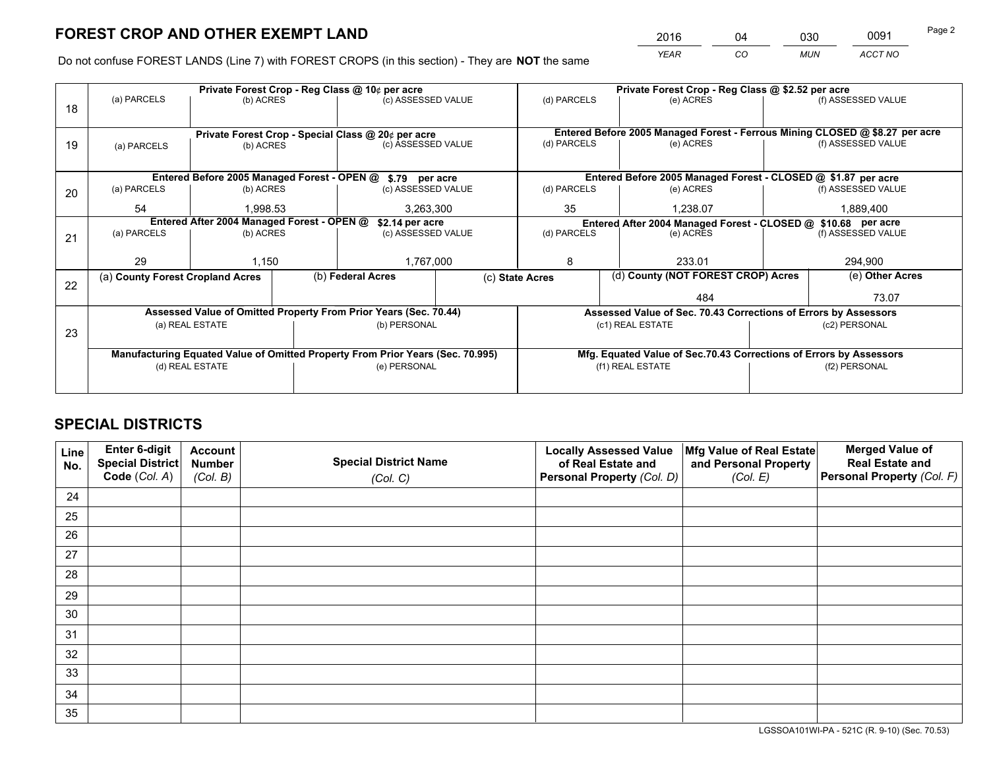*YEAR CO MUN ACCT NO* <sup>2016</sup> <sup>04</sup> <sup>030</sup> <sup>0091</sup>

Do not confuse FOREST LANDS (Line 7) with FOREST CROPS (in this section) - They are **NOT** the same

|    |                                                                                |                                                    |  | Private Forest Crop - Reg Class @ 10¢ per acre                   |                    |                                                                              |                                    | Private Forest Crop - Reg Class @ \$2.52 per acre                  |               |                    |
|----|--------------------------------------------------------------------------------|----------------------------------------------------|--|------------------------------------------------------------------|--------------------|------------------------------------------------------------------------------|------------------------------------|--------------------------------------------------------------------|---------------|--------------------|
| 18 | (a) PARCELS                                                                    | (b) ACRES                                          |  | (c) ASSESSED VALUE                                               |                    | (d) PARCELS                                                                  |                                    | (e) ACRES                                                          |               | (f) ASSESSED VALUE |
|    |                                                                                |                                                    |  |                                                                  |                    |                                                                              |                                    |                                                                    |               |                    |
|    |                                                                                | Private Forest Crop - Special Class @ 20¢ per acre |  |                                                                  |                    | Entered Before 2005 Managed Forest - Ferrous Mining CLOSED @ \$8.27 per acre |                                    |                                                                    |               |                    |
| 19 | (a) PARCELS                                                                    | (b) ACRES                                          |  |                                                                  | (c) ASSESSED VALUE |                                                                              | (d) PARCELS                        | (e) ACRES                                                          |               | (f) ASSESSED VALUE |
|    |                                                                                |                                                    |  |                                                                  |                    |                                                                              |                                    |                                                                    |               |                    |
|    |                                                                                |                                                    |  | Entered Before 2005 Managed Forest - OPEN @ \$.79 per acre       |                    |                                                                              |                                    | Entered Before 2005 Managed Forest - CLOSED @ \$1.87 per acre      |               |                    |
| 20 | (a) PARCELS                                                                    | (b) ACRES                                          |  | (c) ASSESSED VALUE                                               |                    | (d) PARCELS                                                                  |                                    | (e) ACRES                                                          |               | (f) ASSESSED VALUE |
|    | 54                                                                             | 1.998.53                                           |  | 3,263,300                                                        |                    | 35<br>1.238.07                                                               |                                    | 1,889,400                                                          |               |                    |
|    | Entered After 2004 Managed Forest - OPEN @                                     |                                                    |  | \$2.14 per acre                                                  |                    |                                                                              |                                    | Entered After 2004 Managed Forest - CLOSED @ \$10.68 per acre      |               |                    |
| 21 | (a) PARCELS                                                                    | (b) ACRES                                          |  |                                                                  | (c) ASSESSED VALUE |                                                                              | (d) PARCELS<br>(e) ACRES           |                                                                    |               | (f) ASSESSED VALUE |
|    |                                                                                |                                                    |  |                                                                  |                    |                                                                              |                                    |                                                                    |               |                    |
|    | 29                                                                             | 1,150                                              |  | 1,767,000                                                        |                    | 8<br>233.01                                                                  |                                    |                                                                    | 294,900       |                    |
| 22 | (a) County Forest Cropland Acres                                               |                                                    |  | (b) Federal Acres                                                | (c) State Acres    |                                                                              | (d) County (NOT FOREST CROP) Acres |                                                                    |               | (e) Other Acres    |
|    |                                                                                |                                                    |  |                                                                  |                    |                                                                              |                                    | 484                                                                |               | 73.07              |
|    |                                                                                |                                                    |  | Assessed Value of Omitted Property From Prior Years (Sec. 70.44) |                    |                                                                              |                                    | Assessed Value of Sec. 70.43 Corrections of Errors by Assessors    |               |                    |
| 23 |                                                                                | (a) REAL ESTATE                                    |  | (b) PERSONAL                                                     |                    | (c1) REAL ESTATE                                                             |                                    |                                                                    | (c2) PERSONAL |                    |
|    |                                                                                |                                                    |  |                                                                  |                    |                                                                              |                                    |                                                                    |               |                    |
|    | Manufacturing Equated Value of Omitted Property From Prior Years (Sec. 70.995) |                                                    |  |                                                                  |                    |                                                                              |                                    | Mfg. Equated Value of Sec.70.43 Corrections of Errors by Assessors |               |                    |
|    | (d) REAL ESTATE                                                                |                                                    |  | (e) PERSONAL                                                     |                    | (f1) REAL ESTATE                                                             |                                    |                                                                    | (f2) PERSONAL |                    |
|    |                                                                                |                                                    |  |                                                                  |                    |                                                                              |                                    |                                                                    |               |                    |

## **SPECIAL DISTRICTS**

| Line<br>No. | Enter 6-digit<br>Special District<br>Code (Col. A) | <b>Account</b><br><b>Number</b> | <b>Special District Name</b> | <b>Locally Assessed Value</b><br>of Real Estate and | Mfg Value of Real Estate<br>and Personal Property | <b>Merged Value of</b><br><b>Real Estate and</b><br>Personal Property (Col. F) |
|-------------|----------------------------------------------------|---------------------------------|------------------------------|-----------------------------------------------------|---------------------------------------------------|--------------------------------------------------------------------------------|
|             |                                                    | (Col. B)                        | (Col. C)                     | Personal Property (Col. D)                          | (Col. E)                                          |                                                                                |
| 24          |                                                    |                                 |                              |                                                     |                                                   |                                                                                |
| 25          |                                                    |                                 |                              |                                                     |                                                   |                                                                                |
| 26          |                                                    |                                 |                              |                                                     |                                                   |                                                                                |
| 27          |                                                    |                                 |                              |                                                     |                                                   |                                                                                |
| 28          |                                                    |                                 |                              |                                                     |                                                   |                                                                                |
| 29          |                                                    |                                 |                              |                                                     |                                                   |                                                                                |
| 30          |                                                    |                                 |                              |                                                     |                                                   |                                                                                |
| 31          |                                                    |                                 |                              |                                                     |                                                   |                                                                                |
| 32          |                                                    |                                 |                              |                                                     |                                                   |                                                                                |
| 33          |                                                    |                                 |                              |                                                     |                                                   |                                                                                |
| 34          |                                                    |                                 |                              |                                                     |                                                   |                                                                                |
| 35          |                                                    |                                 |                              |                                                     |                                                   |                                                                                |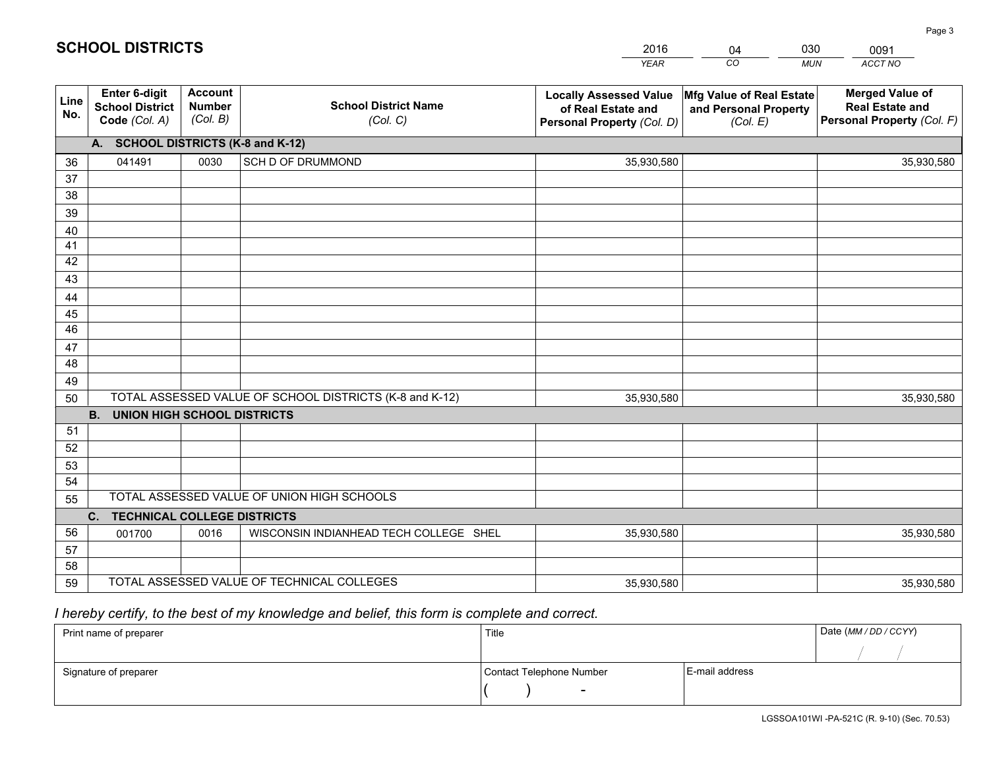|             |                                                          |                                             |                                                         | <b>YEAR</b>                                                                       | CO<br><b>MUN</b>                                              | ACCT NO                                                                        |
|-------------|----------------------------------------------------------|---------------------------------------------|---------------------------------------------------------|-----------------------------------------------------------------------------------|---------------------------------------------------------------|--------------------------------------------------------------------------------|
| Line<br>No. | Enter 6-digit<br><b>School District</b><br>Code (Col. A) | <b>Account</b><br><b>Number</b><br>(Col. B) | <b>School District Name</b><br>(Col. C)                 | <b>Locally Assessed Value</b><br>of Real Estate and<br>Personal Property (Col. D) | Mfg Value of Real Estate<br>and Personal Property<br>(Col. E) | <b>Merged Value of</b><br><b>Real Estate and</b><br>Personal Property (Col. F) |
|             | A. SCHOOL DISTRICTS (K-8 and K-12)                       |                                             |                                                         |                                                                                   |                                                               |                                                                                |
| 36          | 041491                                                   | 0030                                        | SCH D OF DRUMMOND                                       | 35,930,580                                                                        |                                                               | 35,930,580                                                                     |
| 37          |                                                          |                                             |                                                         |                                                                                   |                                                               |                                                                                |
| 38          |                                                          |                                             |                                                         |                                                                                   |                                                               |                                                                                |
| 39          |                                                          |                                             |                                                         |                                                                                   |                                                               |                                                                                |
| 40          |                                                          |                                             |                                                         |                                                                                   |                                                               |                                                                                |
| 41          |                                                          |                                             |                                                         |                                                                                   |                                                               |                                                                                |
| 42          |                                                          |                                             |                                                         |                                                                                   |                                                               |                                                                                |
| 43          |                                                          |                                             |                                                         |                                                                                   |                                                               |                                                                                |
| 44<br>45    |                                                          |                                             |                                                         |                                                                                   |                                                               |                                                                                |
| 46          |                                                          |                                             |                                                         |                                                                                   |                                                               |                                                                                |
| 47          |                                                          |                                             |                                                         |                                                                                   |                                                               |                                                                                |
| 48          |                                                          |                                             |                                                         |                                                                                   |                                                               |                                                                                |
| 49          |                                                          |                                             |                                                         |                                                                                   |                                                               |                                                                                |
| 50          |                                                          |                                             | TOTAL ASSESSED VALUE OF SCHOOL DISTRICTS (K-8 and K-12) | 35,930,580                                                                        |                                                               | 35,930,580                                                                     |
|             | <b>B.</b><br><b>UNION HIGH SCHOOL DISTRICTS</b>          |                                             |                                                         |                                                                                   |                                                               |                                                                                |
| 51          |                                                          |                                             |                                                         |                                                                                   |                                                               |                                                                                |
| 52          |                                                          |                                             |                                                         |                                                                                   |                                                               |                                                                                |
| 53          |                                                          |                                             |                                                         |                                                                                   |                                                               |                                                                                |
| 54          |                                                          |                                             |                                                         |                                                                                   |                                                               |                                                                                |
| 55          |                                                          |                                             | TOTAL ASSESSED VALUE OF UNION HIGH SCHOOLS              |                                                                                   |                                                               |                                                                                |
|             | C.<br><b>TECHNICAL COLLEGE DISTRICTS</b>                 |                                             |                                                         |                                                                                   |                                                               |                                                                                |
| 56          | 001700                                                   | 0016                                        | WISCONSIN INDIANHEAD TECH COLLEGE SHEL                  | 35,930,580                                                                        |                                                               | 35,930,580                                                                     |
| 57          |                                                          |                                             |                                                         |                                                                                   |                                                               |                                                                                |
| 58          |                                                          |                                             |                                                         |                                                                                   |                                                               |                                                                                |
| 59          |                                                          |                                             | TOTAL ASSESSED VALUE OF TECHNICAL COLLEGES              | 35,930,580                                                                        |                                                               | 35,930,580                                                                     |

04

030

 *I hereby certify, to the best of my knowledge and belief, this form is complete and correct.*

**SCHOOL DISTRICTS**

| Print name of preparer | Title                    | Date (MM / DD / CCYY) |  |
|------------------------|--------------------------|-----------------------|--|
|                        |                          |                       |  |
| Signature of preparer  | Contact Telephone Number | E-mail address        |  |
|                        | $\sim$                   |                       |  |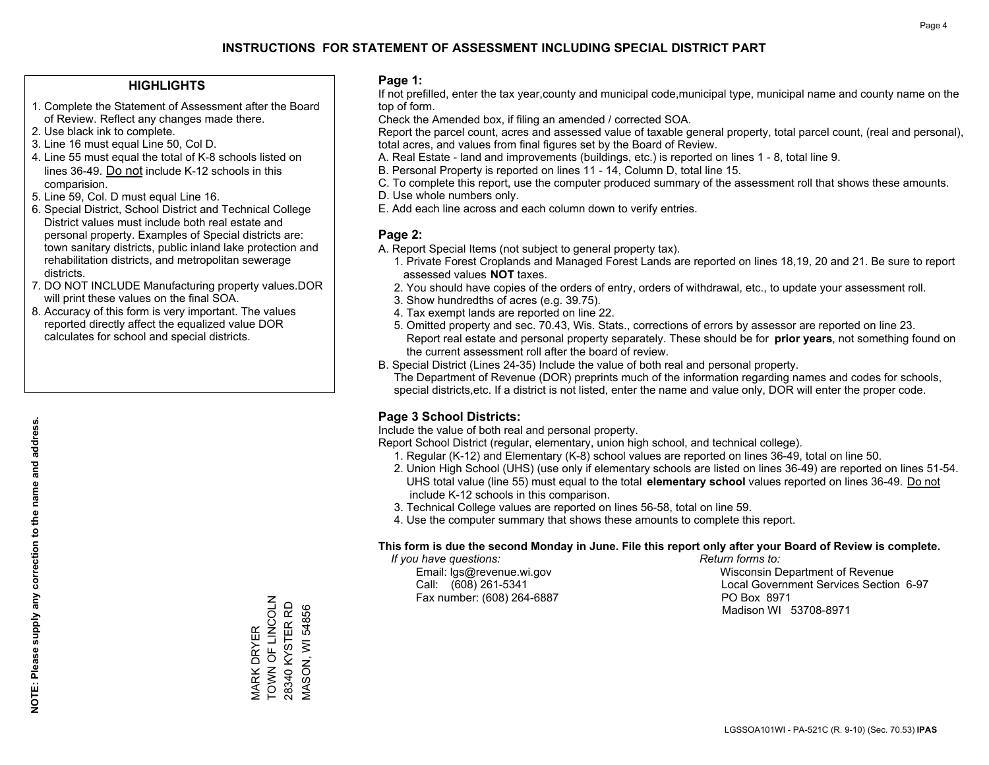#### **HIGHLIGHTS**

- 1. Complete the Statement of Assessment after the Board of Review. Reflect any changes made there.
- 2. Use black ink to complete.
- 3. Line 16 must equal Line 50, Col D.
- 4. Line 55 must equal the total of K-8 schools listed on lines 36-49. Do not include K-12 schools in this comparision.
- 5. Line 59, Col. D must equal Line 16.
- 6. Special District, School District and Technical College District values must include both real estate and personal property. Examples of Special districts are: town sanitary districts, public inland lake protection and rehabilitation districts, and metropolitan sewerage districts.
- 7. DO NOT INCLUDE Manufacturing property values.DOR will print these values on the final SOA.

MARK DRYER TOWN OF LINCOLN 28340 KYSTER RD MASON, WI 54856

MARK DRYER<br>TOWN OF LINCOLN 28340 KYSTER RD **VIASON, WI 54856** 

 8. Accuracy of this form is very important. The values reported directly affect the equalized value DOR calculates for school and special districts.

#### **Page 1:**

 If not prefilled, enter the tax year,county and municipal code,municipal type, municipal name and county name on the top of form.

Check the Amended box, if filing an amended / corrected SOA.

 Report the parcel count, acres and assessed value of taxable general property, total parcel count, (real and personal), total acres, and values from final figures set by the Board of Review.

- A. Real Estate land and improvements (buildings, etc.) is reported on lines 1 8, total line 9.
- B. Personal Property is reported on lines 11 14, Column D, total line 15.
- C. To complete this report, use the computer produced summary of the assessment roll that shows these amounts.
- D. Use whole numbers only.
- E. Add each line across and each column down to verify entries.

#### **Page 2:**

- A. Report Special Items (not subject to general property tax).
- 1. Private Forest Croplands and Managed Forest Lands are reported on lines 18,19, 20 and 21. Be sure to report assessed values **NOT** taxes.
- 2. You should have copies of the orders of entry, orders of withdrawal, etc., to update your assessment roll.
	- 3. Show hundredths of acres (e.g. 39.75).
- 4. Tax exempt lands are reported on line 22.
- 5. Omitted property and sec. 70.43, Wis. Stats., corrections of errors by assessor are reported on line 23. Report real estate and personal property separately. These should be for **prior years**, not something found on the current assessment roll after the board of review.
- B. Special District (Lines 24-35) Include the value of both real and personal property.
- The Department of Revenue (DOR) preprints much of the information regarding names and codes for schools, special districts,etc. If a district is not listed, enter the name and value only, DOR will enter the proper code.

## **Page 3 School Districts:**

Include the value of both real and personal property.

Report School District (regular, elementary, union high school, and technical college).

- 1. Regular (K-12) and Elementary (K-8) school values are reported on lines 36-49, total on line 50.
- 2. Union High School (UHS) (use only if elementary schools are listed on lines 36-49) are reported on lines 51-54. UHS total value (line 55) must equal to the total **elementary school** values reported on lines 36-49. Do notinclude K-12 schools in this comparison.
- 3. Technical College values are reported on lines 56-58, total on line 59.
- 4. Use the computer summary that shows these amounts to complete this report.

#### **This form is due the second Monday in June. File this report only after your Board of Review is complete.**

 *If you have questions: Return forms to:*

Fax number: (608) 264-6887 PO Box 8971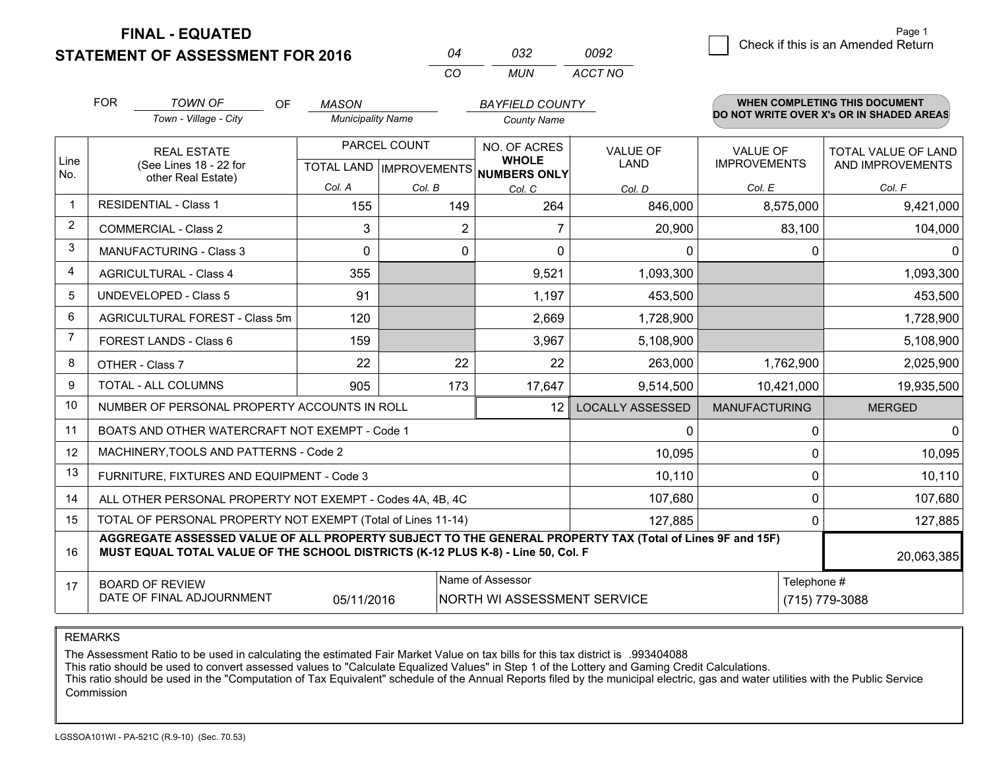**FINAL - EQUATED**

**STATEMENT OF ASSESSMENT FOR 2016** 

|              | ハマン | nnad    |  |  |
|--------------|-----|---------|--|--|
| $\mathbf{r}$ | MUN | ACCT NO |  |  |

|                | <b>FOR</b>                                                                                                                                                                                                 | <b>TOWN OF</b><br>OF                                         | <b>MASON</b>             |              | <b>BAYFIELD COUNTY</b>                               |                         |                      | WHEN COMPLETING THIS DOCUMENT<br>DO NOT WRITE OVER X's OR IN SHADED AREAS |  |
|----------------|------------------------------------------------------------------------------------------------------------------------------------------------------------------------------------------------------------|--------------------------------------------------------------|--------------------------|--------------|------------------------------------------------------|-------------------------|----------------------|---------------------------------------------------------------------------|--|
|                |                                                                                                                                                                                                            | Town - Village - City                                        | <b>Municipality Name</b> |              | <b>County Name</b>                                   |                         |                      |                                                                           |  |
|                |                                                                                                                                                                                                            | <b>REAL ESTATE</b>                                           |                          | PARCEL COUNT | NO. OF ACRES                                         | <b>VALUE OF</b>         | <b>VALUE OF</b>      | <b>TOTAL VALUE OF LAND</b>                                                |  |
| Line<br>No.    |                                                                                                                                                                                                            | (See Lines 18 - 22 for<br>other Real Estate)                 |                          |              | <b>WHOLE</b><br>TOTAL LAND IMPROVEMENTS NUMBERS ONLY | <b>LAND</b>             | <b>IMPROVEMENTS</b>  | AND IMPROVEMENTS                                                          |  |
|                |                                                                                                                                                                                                            |                                                              | Col. A                   | Col. B       | Col. C                                               | Col. D                  | Col. E               | Col. F                                                                    |  |
| -1             |                                                                                                                                                                                                            | <b>RESIDENTIAL - Class 1</b>                                 | 155                      | 149          | 264                                                  | 846,000                 | 8,575,000            | 9,421,000                                                                 |  |
| 2              |                                                                                                                                                                                                            | <b>COMMERCIAL - Class 2</b>                                  | 3                        | 2            |                                                      | 20,900                  | 83,100               | 104,000                                                                   |  |
| 3              |                                                                                                                                                                                                            | <b>MANUFACTURING - Class 3</b>                               | $\Omega$                 | 0            | $\mathbf 0$                                          | 0                       | 0                    | $\Omega$                                                                  |  |
| 4              |                                                                                                                                                                                                            | <b>AGRICULTURAL - Class 4</b>                                | 355                      |              | 9,521                                                | 1,093,300               |                      | 1,093,300                                                                 |  |
| 5              |                                                                                                                                                                                                            | UNDEVELOPED - Class 5                                        | 91                       |              | 1,197                                                | 453,500                 |                      | 453,500                                                                   |  |
| 6              |                                                                                                                                                                                                            | AGRICULTURAL FOREST - Class 5m                               | 120                      |              | 2,669                                                | 1,728,900               |                      | 1,728,900                                                                 |  |
| $\overline{7}$ |                                                                                                                                                                                                            | FOREST LANDS - Class 6                                       | 159                      |              | 3,967                                                | 5,108,900               |                      | 5,108,900                                                                 |  |
| 8              |                                                                                                                                                                                                            | OTHER - Class 7                                              | 22                       | 22           | 22                                                   | 263,000                 | 1,762,900            | 2,025,900                                                                 |  |
| 9              |                                                                                                                                                                                                            | TOTAL - ALL COLUMNS                                          | 905                      | 173          | 17,647                                               | 9,514,500               | 10,421,000           | 19,935,500                                                                |  |
| 10             |                                                                                                                                                                                                            | NUMBER OF PERSONAL PROPERTY ACCOUNTS IN ROLL                 |                          |              | 12                                                   | <b>LOCALLY ASSESSED</b> | <b>MANUFACTURING</b> | <b>MERGED</b>                                                             |  |
| 11             |                                                                                                                                                                                                            | BOATS AND OTHER WATERCRAFT NOT EXEMPT - Code 1               |                          |              |                                                      | 0                       | $\Omega$             | $\Omega$                                                                  |  |
| 12             |                                                                                                                                                                                                            | MACHINERY, TOOLS AND PATTERNS - Code 2                       |                          |              |                                                      | 10,095                  | $\Omega$             | 10,095                                                                    |  |
| 13             |                                                                                                                                                                                                            | FURNITURE, FIXTURES AND EQUIPMENT - Code 3                   |                          |              |                                                      | 10,110                  | 0                    | 10,110                                                                    |  |
| 14             |                                                                                                                                                                                                            | ALL OTHER PERSONAL PROPERTY NOT EXEMPT - Codes 4A, 4B, 4C    |                          |              |                                                      | 107,680                 | $\mathbf 0$          | 107,680                                                                   |  |
| 15             |                                                                                                                                                                                                            | TOTAL OF PERSONAL PROPERTY NOT EXEMPT (Total of Lines 11-14) |                          |              |                                                      | 127,885                 | 0                    | 127,885                                                                   |  |
| 16             | AGGREGATE ASSESSED VALUE OF ALL PROPERTY SUBJECT TO THE GENERAL PROPERTY TAX (Total of Lines 9F and 15F)<br>MUST EQUAL TOTAL VALUE OF THE SCHOOL DISTRICTS (K-12 PLUS K-8) - Line 50, Col. F<br>20,063,385 |                                                              |                          |              |                                                      |                         |                      |                                                                           |  |
| 17             |                                                                                                                                                                                                            | <b>BOARD OF REVIEW</b>                                       |                          |              | Name of Assessor                                     |                         |                      | Telephone #                                                               |  |
|                |                                                                                                                                                                                                            | DATE OF FINAL ADJOURNMENT                                    | 05/11/2016               |              | NORTH WI ASSESSMENT SERVICE                          |                         |                      | (715) 779-3088                                                            |  |

REMARKS

The Assessment Ratio to be used in calculating the estimated Fair Market Value on tax bills for this tax district is .993404088

This ratio should be used to convert assessed values to "Calculate Equalized Values" in Step 1 of the Lottery and Gaming Credit Calculations.<br>This ratio should be used in the "Computation of Tax Equivalent" schedule of the Commission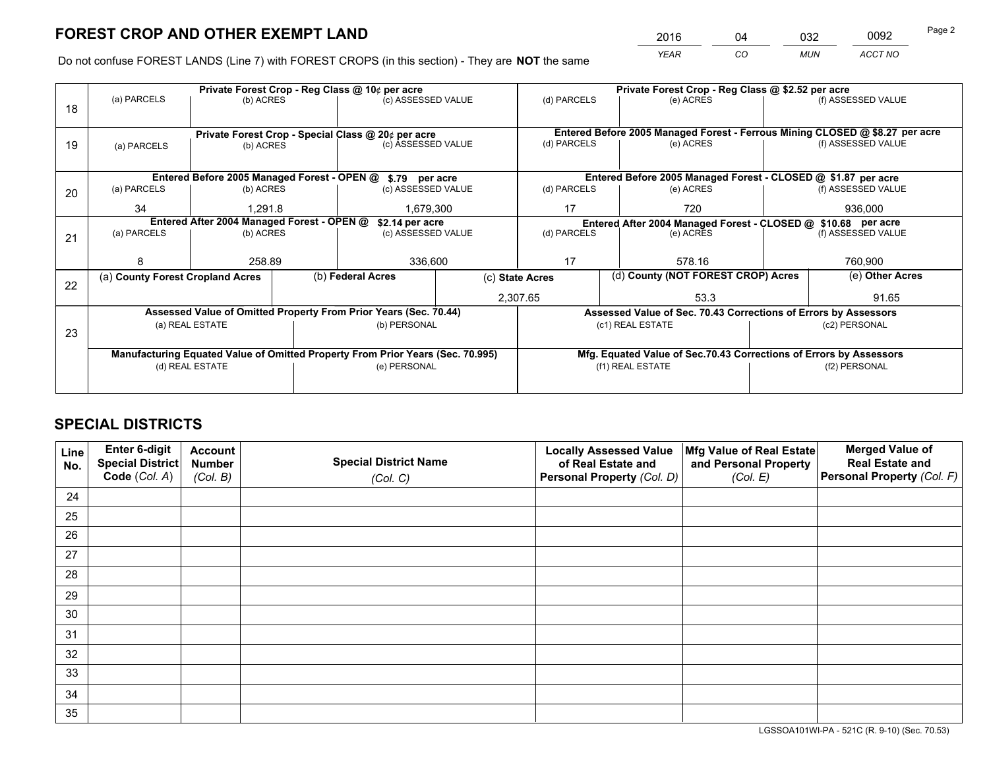*YEAR CO MUN ACCT NO* 2016 04 032 0092

Do not confuse FOREST LANDS (Line 7) with FOREST CROPS (in this section) - They are **NOT** the same

|    |                                                                                |                                                                 |  | Private Forest Crop - Reg Class @ 10¢ per acre                   |                                   |                                                                              | Private Forest Crop - Reg Class @ \$2.52 per acre                  |  |                    |  |
|----|--------------------------------------------------------------------------------|-----------------------------------------------------------------|--|------------------------------------------------------------------|-----------------------------------|------------------------------------------------------------------------------|--------------------------------------------------------------------|--|--------------------|--|
| 18 | (a) PARCELS                                                                    | (b) ACRES                                                       |  | (c) ASSESSED VALUE                                               |                                   | (d) PARCELS                                                                  | (e) ACRES                                                          |  | (f) ASSESSED VALUE |  |
|    |                                                                                |                                                                 |  |                                                                  |                                   | Entered Before 2005 Managed Forest - Ferrous Mining CLOSED @ \$8.27 per acre |                                                                    |  |                    |  |
| 19 | (a) PARCELS                                                                    | Private Forest Crop - Special Class @ 20¢ per acre<br>(b) ACRES |  | (c) ASSESSED VALUE                                               |                                   | (d) PARCELS                                                                  | (e) ACRES                                                          |  | (f) ASSESSED VALUE |  |
|    | Entered Before 2005 Managed Forest - OPEN @ \$.79 per acre                     |                                                                 |  |                                                                  |                                   |                                                                              | Entered Before 2005 Managed Forest - CLOSED @ \$1.87 per acre      |  |                    |  |
| 20 | (a) PARCELS                                                                    | (b) ACRES                                                       |  | (c) ASSESSED VALUE                                               |                                   | (d) PARCELS                                                                  | (e) ACRES                                                          |  | (f) ASSESSED VALUE |  |
|    | 34                                                                             | 1.291.8                                                         |  | 1,679,300                                                        |                                   | 17                                                                           | 720                                                                |  | 936,000            |  |
|    | Entered After 2004 Managed Forest - OPEN @<br>\$2.14 per acre                  |                                                                 |  |                                                                  |                                   |                                                                              | Entered After 2004 Managed Forest - CLOSED @ \$10.68 per acre      |  |                    |  |
| 21 | (a) PARCELS                                                                    | (b) ACRES                                                       |  |                                                                  | (d) PARCELS<br>(c) ASSESSED VALUE |                                                                              | (e) ACRES                                                          |  | (f) ASSESSED VALUE |  |
|    |                                                                                |                                                                 |  |                                                                  |                                   |                                                                              |                                                                    |  |                    |  |
|    | 8                                                                              | 258.89                                                          |  | 336,600                                                          |                                   | 17<br>578.16                                                                 |                                                                    |  | 760,900            |  |
| 22 | (a) County Forest Cropland Acres                                               |                                                                 |  | (b) Federal Acres                                                | (c) State Acres                   |                                                                              | (d) County (NOT FOREST CROP) Acres                                 |  | (e) Other Acres    |  |
|    |                                                                                |                                                                 |  | 2,307.65                                                         |                                   |                                                                              | 53.3                                                               |  | 91.65              |  |
|    |                                                                                |                                                                 |  | Assessed Value of Omitted Property From Prior Years (Sec. 70.44) |                                   |                                                                              | Assessed Value of Sec. 70.43 Corrections of Errors by Assessors    |  |                    |  |
| 23 |                                                                                | (a) REAL ESTATE                                                 |  | (b) PERSONAL                                                     |                                   |                                                                              | (c1) REAL ESTATE                                                   |  | (c2) PERSONAL      |  |
|    |                                                                                |                                                                 |  |                                                                  |                                   |                                                                              |                                                                    |  |                    |  |
|    | Manufacturing Equated Value of Omitted Property From Prior Years (Sec. 70.995) |                                                                 |  |                                                                  |                                   |                                                                              | Mfg. Equated Value of Sec.70.43 Corrections of Errors by Assessors |  |                    |  |
|    |                                                                                | (d) REAL ESTATE                                                 |  | (e) PERSONAL                                                     |                                   |                                                                              | (f1) REAL ESTATE                                                   |  | (f2) PERSONAL      |  |
|    |                                                                                |                                                                 |  |                                                                  |                                   |                                                                              |                                                                    |  |                    |  |

## **SPECIAL DISTRICTS**

| Line<br>No. | Enter 6-digit<br><b>Special District</b> | <b>Account</b><br><b>Number</b> | <b>Special District Name</b> | <b>Locally Assessed Value</b><br>of Real Estate and | Mfg Value of Real Estate<br>and Personal Property | <b>Merged Value of</b><br><b>Real Estate and</b> |
|-------------|------------------------------------------|---------------------------------|------------------------------|-----------------------------------------------------|---------------------------------------------------|--------------------------------------------------|
|             | Code (Col. A)                            | (Col. B)                        | (Col. C)                     | Personal Property (Col. D)                          | (Col. E)                                          | Personal Property (Col. F)                       |
| 24          |                                          |                                 |                              |                                                     |                                                   |                                                  |
| 25          |                                          |                                 |                              |                                                     |                                                   |                                                  |
| 26          |                                          |                                 |                              |                                                     |                                                   |                                                  |
| 27          |                                          |                                 |                              |                                                     |                                                   |                                                  |
| 28          |                                          |                                 |                              |                                                     |                                                   |                                                  |
| 29          |                                          |                                 |                              |                                                     |                                                   |                                                  |
| 30          |                                          |                                 |                              |                                                     |                                                   |                                                  |
| 31          |                                          |                                 |                              |                                                     |                                                   |                                                  |
| 32          |                                          |                                 |                              |                                                     |                                                   |                                                  |
| 33          |                                          |                                 |                              |                                                     |                                                   |                                                  |
| 34          |                                          |                                 |                              |                                                     |                                                   |                                                  |
| 35          |                                          |                                 |                              |                                                     |                                                   |                                                  |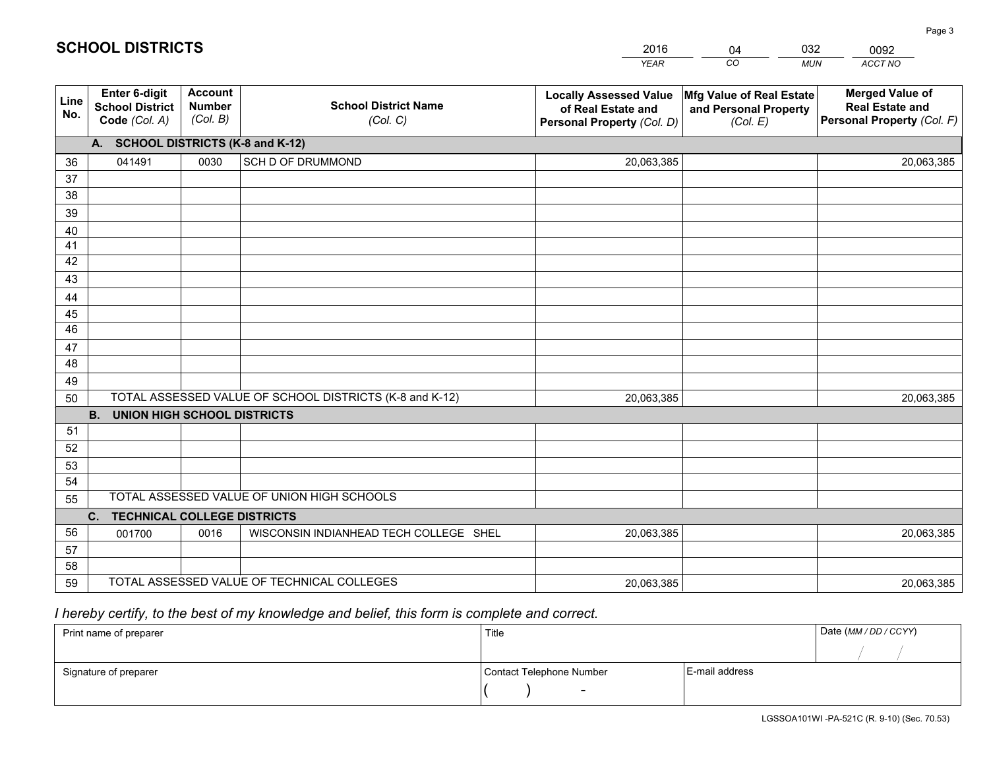|             |                                                          |                                             |                                                         | <b>YEAR</b>                                                                       | CO<br><b>MUN</b>                                              | ACCT NO                                                                        |
|-------------|----------------------------------------------------------|---------------------------------------------|---------------------------------------------------------|-----------------------------------------------------------------------------------|---------------------------------------------------------------|--------------------------------------------------------------------------------|
| Line<br>No. | Enter 6-digit<br><b>School District</b><br>Code (Col. A) | <b>Account</b><br><b>Number</b><br>(Col. B) | <b>School District Name</b><br>(Col. C)                 | <b>Locally Assessed Value</b><br>of Real Estate and<br>Personal Property (Col. D) | Mfg Value of Real Estate<br>and Personal Property<br>(Col. E) | <b>Merged Value of</b><br><b>Real Estate and</b><br>Personal Property (Col. F) |
|             | A. SCHOOL DISTRICTS (K-8 and K-12)                       |                                             |                                                         |                                                                                   |                                                               |                                                                                |
| 36          | 041491                                                   | 0030                                        | SCH D OF DRUMMOND                                       | 20,063,385                                                                        |                                                               | 20,063,385                                                                     |
| 37          |                                                          |                                             |                                                         |                                                                                   |                                                               |                                                                                |
| 38          |                                                          |                                             |                                                         |                                                                                   |                                                               |                                                                                |
| 39          |                                                          |                                             |                                                         |                                                                                   |                                                               |                                                                                |
| 40          |                                                          |                                             |                                                         |                                                                                   |                                                               |                                                                                |
| 41          |                                                          |                                             |                                                         |                                                                                   |                                                               |                                                                                |
| 42          |                                                          |                                             |                                                         |                                                                                   |                                                               |                                                                                |
| 43          |                                                          |                                             |                                                         |                                                                                   |                                                               |                                                                                |
| 44<br>45    |                                                          |                                             |                                                         |                                                                                   |                                                               |                                                                                |
| 46          |                                                          |                                             |                                                         |                                                                                   |                                                               |                                                                                |
| 47          |                                                          |                                             |                                                         |                                                                                   |                                                               |                                                                                |
| 48          |                                                          |                                             |                                                         |                                                                                   |                                                               |                                                                                |
| 49          |                                                          |                                             |                                                         |                                                                                   |                                                               |                                                                                |
| 50          |                                                          |                                             | TOTAL ASSESSED VALUE OF SCHOOL DISTRICTS (K-8 and K-12) | 20,063,385                                                                        |                                                               | 20,063,385                                                                     |
|             | <b>B.</b><br><b>UNION HIGH SCHOOL DISTRICTS</b>          |                                             |                                                         |                                                                                   |                                                               |                                                                                |
| 51          |                                                          |                                             |                                                         |                                                                                   |                                                               |                                                                                |
| 52          |                                                          |                                             |                                                         |                                                                                   |                                                               |                                                                                |
| 53          |                                                          |                                             |                                                         |                                                                                   |                                                               |                                                                                |
| 54          |                                                          |                                             |                                                         |                                                                                   |                                                               |                                                                                |
| 55          |                                                          |                                             | TOTAL ASSESSED VALUE OF UNION HIGH SCHOOLS              |                                                                                   |                                                               |                                                                                |
|             | C.<br><b>TECHNICAL COLLEGE DISTRICTS</b>                 |                                             |                                                         |                                                                                   |                                                               |                                                                                |
| 56          | 001700                                                   | 0016                                        | WISCONSIN INDIANHEAD TECH COLLEGE SHEL                  | 20,063,385                                                                        |                                                               | 20,063,385                                                                     |
| 57          |                                                          |                                             |                                                         |                                                                                   |                                                               |                                                                                |
| 58          |                                                          |                                             |                                                         |                                                                                   |                                                               |                                                                                |
| 59          |                                                          |                                             | TOTAL ASSESSED VALUE OF TECHNICAL COLLEGES              | 20,063,385                                                                        |                                                               | 20,063,385                                                                     |

04

032

 *I hereby certify, to the best of my knowledge and belief, this form is complete and correct.*

**SCHOOL DISTRICTS**

| Print name of preparer | Title                    | Date (MM / DD / CCYY) |  |
|------------------------|--------------------------|-----------------------|--|
|                        |                          |                       |  |
| Signature of preparer  | Contact Telephone Number | E-mail address        |  |
|                        | $\sim$                   |                       |  |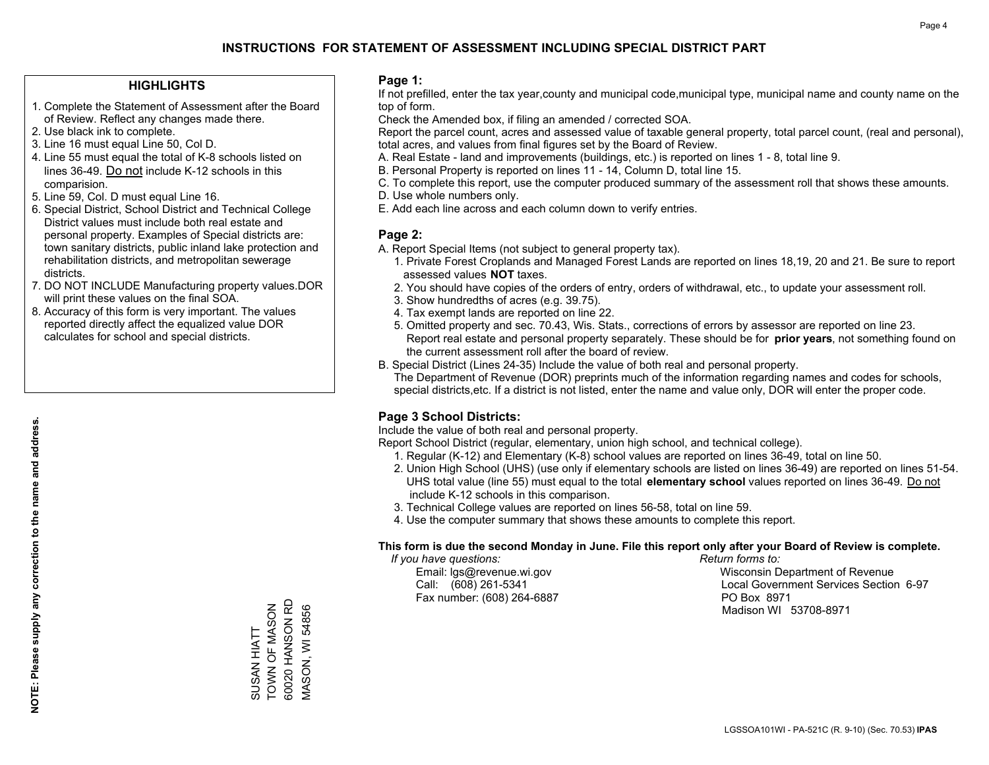#### **HIGHLIGHTS**

- 1. Complete the Statement of Assessment after the Board of Review. Reflect any changes made there.
- 2. Use black ink to complete.
- 3. Line 16 must equal Line 50, Col D.
- 4. Line 55 must equal the total of K-8 schools listed on lines 36-49. Do not include K-12 schools in this comparision.
- 5. Line 59, Col. D must equal Line 16.
- 6. Special District, School District and Technical College District values must include both real estate and personal property. Examples of Special districts are: town sanitary districts, public inland lake protection and rehabilitation districts, and metropolitan sewerage districts.
- 7. DO NOT INCLUDE Manufacturing property values.DOR will print these values on the final SOA.

SUSAN HIATT TOWN OF MASON 60020 HANSON RD MASON, WI 54856

SUSAN HIATT

60020 HANSON RD TOWN OF MASON

**VIASON, WI 54856** 

 8. Accuracy of this form is very important. The values reported directly affect the equalized value DOR calculates for school and special districts.

#### **Page 1:**

 If not prefilled, enter the tax year,county and municipal code,municipal type, municipal name and county name on the top of form.

Check the Amended box, if filing an amended / corrected SOA.

 Report the parcel count, acres and assessed value of taxable general property, total parcel count, (real and personal), total acres, and values from final figures set by the Board of Review.

- A. Real Estate land and improvements (buildings, etc.) is reported on lines 1 8, total line 9.
- B. Personal Property is reported on lines 11 14, Column D, total line 15.
- C. To complete this report, use the computer produced summary of the assessment roll that shows these amounts.
- D. Use whole numbers only.
- E. Add each line across and each column down to verify entries.

#### **Page 2:**

- A. Report Special Items (not subject to general property tax).
- 1. Private Forest Croplands and Managed Forest Lands are reported on lines 18,19, 20 and 21. Be sure to report assessed values **NOT** taxes.
- 2. You should have copies of the orders of entry, orders of withdrawal, etc., to update your assessment roll.
	- 3. Show hundredths of acres (e.g. 39.75).
- 4. Tax exempt lands are reported on line 22.
- 5. Omitted property and sec. 70.43, Wis. Stats., corrections of errors by assessor are reported on line 23. Report real estate and personal property separately. These should be for **prior years**, not something found on the current assessment roll after the board of review.
- B. Special District (Lines 24-35) Include the value of both real and personal property.
- The Department of Revenue (DOR) preprints much of the information regarding names and codes for schools, special districts,etc. If a district is not listed, enter the name and value only, DOR will enter the proper code.

## **Page 3 School Districts:**

Include the value of both real and personal property.

Report School District (regular, elementary, union high school, and technical college).

- 1. Regular (K-12) and Elementary (K-8) school values are reported on lines 36-49, total on line 50.
- 2. Union High School (UHS) (use only if elementary schools are listed on lines 36-49) are reported on lines 51-54. UHS total value (line 55) must equal to the total **elementary school** values reported on lines 36-49. Do notinclude K-12 schools in this comparison.
- 3. Technical College values are reported on lines 56-58, total on line 59.
- 4. Use the computer summary that shows these amounts to complete this report.

#### **This form is due the second Monday in June. File this report only after your Board of Review is complete.**

 *If you have questions: Return forms to:*

Fax number: (608) 264-6887 PO Box 8971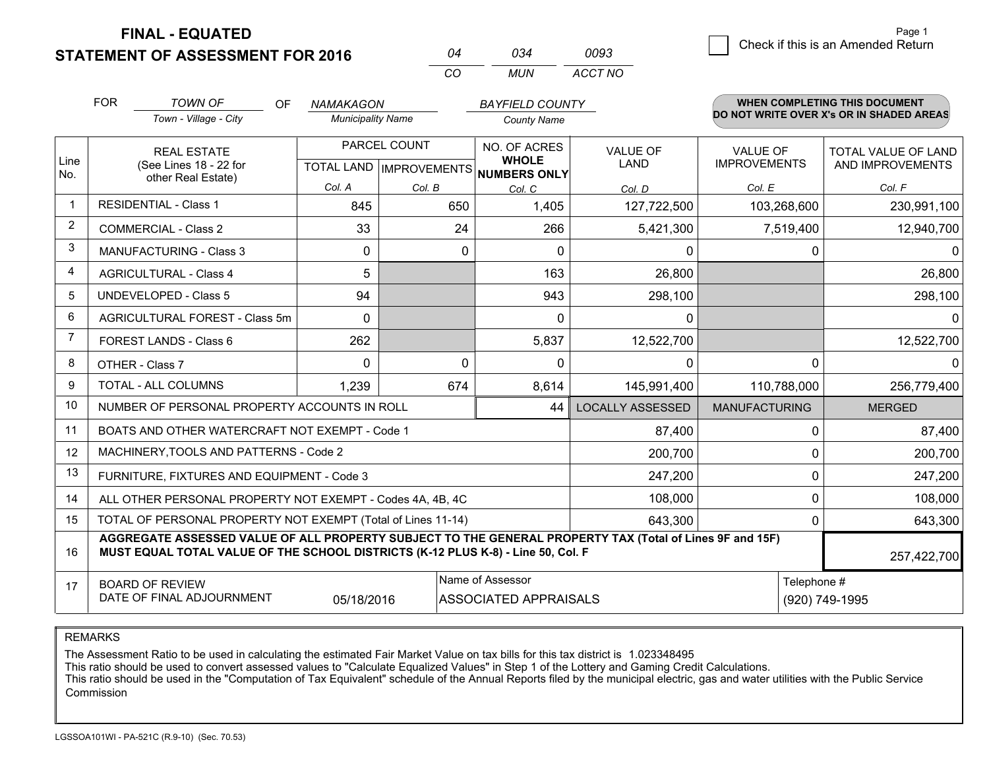**STATEMENT OF ASSESSMENT FOR 2016** 

**FINAL - EQUATED**

3 Check if this is an Amended Return<br>3 Page 1

|                | <b>FOR</b> | <b>TOWN OF</b><br>OF                                                                                                                                                                         | <b>NAMAKAGON</b>         |              | <b>BAYFIELD COUNTY</b>                               |                                                |                      | <b>WHEN COMPLETING THIS DOCUMENT</b>     |  |
|----------------|------------|----------------------------------------------------------------------------------------------------------------------------------------------------------------------------------------------|--------------------------|--------------|------------------------------------------------------|------------------------------------------------|----------------------|------------------------------------------|--|
|                |            | Town - Village - City                                                                                                                                                                        | <b>Municipality Name</b> |              | <b>County Name</b>                                   |                                                |                      | DO NOT WRITE OVER X's OR IN SHADED AREAS |  |
|                |            | <b>REAL ESTATE</b>                                                                                                                                                                           |                          | PARCEL COUNT | NO. OF ACRES                                         | <b>VALUE OF</b>                                | <b>VALUE OF</b>      | <b>TOTAL VALUE OF LAND</b>               |  |
| Line<br>No.    |            | (See Lines 18 - 22 for<br>other Real Estate)                                                                                                                                                 |                          |              | <b>WHOLE</b><br>TOTAL LAND IMPROVEMENTS NUMBERS ONLY | <b>LAND</b>                                    | <b>IMPROVEMENTS</b>  | AND IMPROVEMENTS                         |  |
|                |            |                                                                                                                                                                                              | Col. A                   | Col. B       | Col. C                                               | Col. D                                         | Col. E               | Col. F                                   |  |
| $\mathbf 1$    |            | <b>RESIDENTIAL - Class 1</b>                                                                                                                                                                 | 845                      | 650          | 1,405                                                | 127,722,500                                    | 103,268,600          | 230,991,100                              |  |
| $\overline{2}$ |            | <b>COMMERCIAL - Class 2</b>                                                                                                                                                                  | 33                       | 24           | 266                                                  | 5,421,300                                      | 7,519,400            | 12,940,700                               |  |
| 3              |            | <b>MANUFACTURING - Class 3</b>                                                                                                                                                               | 0                        |              | $\Omega$<br>$\Omega$                                 | 0                                              | 0                    | $\Omega$                                 |  |
| $\overline{4}$ |            | <b>AGRICULTURAL - Class 4</b>                                                                                                                                                                | 5                        |              | 163                                                  | 26,800                                         |                      | 26,800                                   |  |
| 5              |            | <b>UNDEVELOPED - Class 5</b>                                                                                                                                                                 | 94                       |              | 943                                                  | 298,100                                        |                      | 298,100                                  |  |
| 6              |            | AGRICULTURAL FOREST - Class 5m                                                                                                                                                               | $\Omega$                 |              | $\Omega$                                             | 0                                              |                      | $\Omega$                                 |  |
| $\overline{7}$ |            | FOREST LANDS - Class 6                                                                                                                                                                       | 262                      |              | 5,837                                                | 12,522,700                                     |                      | 12,522,700                               |  |
| 8              |            | OTHER - Class 7                                                                                                                                                                              | $\Omega$                 |              | $\Omega$<br>0                                        | $\Omega$                                       | $\Omega$             | $\Omega$                                 |  |
| 9              |            | <b>TOTAL - ALL COLUMNS</b>                                                                                                                                                                   | 1,239                    | 674          | 8,614                                                | 145,991,400                                    | 110,788,000          | 256,779,400                              |  |
| 10             |            | NUMBER OF PERSONAL PROPERTY ACCOUNTS IN ROLL                                                                                                                                                 |                          |              | 44                                                   | <b>LOCALLY ASSESSED</b>                        | <b>MANUFACTURING</b> | <b>MERGED</b>                            |  |
| 11             |            | BOATS AND OTHER WATERCRAFT NOT EXEMPT - Code 1                                                                                                                                               |                          |              |                                                      | 87,400                                         | 0                    | 87,400                                   |  |
| 12             |            | MACHINERY, TOOLS AND PATTERNS - Code 2                                                                                                                                                       |                          |              |                                                      | 200,700                                        | $\Omega$             | 200,700                                  |  |
| 13             |            | FURNITURE, FIXTURES AND EQUIPMENT - Code 3                                                                                                                                                   |                          |              |                                                      | 247,200                                        | $\Omega$             | 247,200                                  |  |
| 14             |            | ALL OTHER PERSONAL PROPERTY NOT EXEMPT - Codes 4A, 4B, 4C                                                                                                                                    |                          |              |                                                      | 108,000                                        | $\Omega$             | 108,000                                  |  |
| 15             |            | TOTAL OF PERSONAL PROPERTY NOT EXEMPT (Total of Lines 11-14)                                                                                                                                 |                          |              |                                                      | 643,300                                        | $\Omega$             | 643,300                                  |  |
| 16             |            | AGGREGATE ASSESSED VALUE OF ALL PROPERTY SUBJECT TO THE GENERAL PROPERTY TAX (Total of Lines 9F and 15F)<br>MUST EQUAL TOTAL VALUE OF THE SCHOOL DISTRICTS (K-12 PLUS K-8) - Line 50, Col. F |                          |              |                                                      |                                                |                      | 257,422,700                              |  |
| 17             |            | <b>BOARD OF REVIEW</b>                                                                                                                                                                       |                          |              | Name of Assessor                                     |                                                | Telephone #          |                                          |  |
|                |            | DATE OF FINAL ADJOURNMENT                                                                                                                                                                    | 05/18/2016               |              |                                                      | <b>ASSOCIATED APPRAISALS</b><br>(920) 749-1995 |                      |                                          |  |

*CO*

*MUN*

*ACCT NO0093*

*<sup>04</sup> <sup>034</sup>*

REMARKS

The Assessment Ratio to be used in calculating the estimated Fair Market Value on tax bills for this tax district is 1.023348495<br>This ratio should be used to convert assessed values to "Calculate Equalized Values" in Step Commission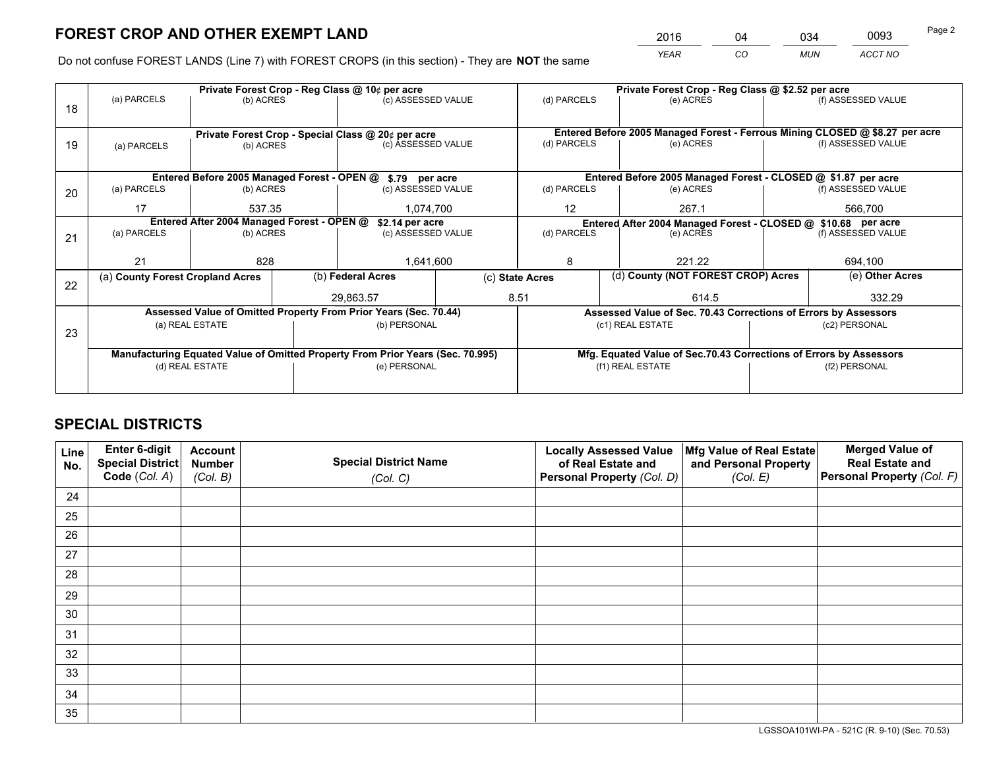*YEAR CO MUN ACCT NO* <sup>2016</sup> <sup>04</sup> <sup>034</sup> <sup>0093</sup>

Do not confuse FOREST LANDS (Line 7) with FOREST CROPS (in this section) - They are **NOT** the same

|    | Private Forest Crop - Reg Class @ 10¢ per acre                                 |                          |                                                                          |                                      |  | Private Forest Crop - Reg Class @ \$2.52 per acre                                                                 |                  |  |                                                                                     |  |
|----|--------------------------------------------------------------------------------|--------------------------|--------------------------------------------------------------------------|--------------------------------------|--|-------------------------------------------------------------------------------------------------------------------|------------------|--|-------------------------------------------------------------------------------------|--|
| 18 | (a) PARCELS                                                                    | (b) ACRES                |                                                                          | (c) ASSESSED VALUE                   |  | (d) PARCELS                                                                                                       | (e) ACRES        |  | (f) ASSESSED VALUE                                                                  |  |
|    |                                                                                |                          |                                                                          |                                      |  |                                                                                                                   |                  |  |                                                                                     |  |
|    |                                                                                |                          | Private Forest Crop - Special Class @ 20¢ per acre<br>(c) ASSESSED VALUE |                                      |  | Entered Before 2005 Managed Forest - Ferrous Mining CLOSED @ \$8.27 per acre<br>(f) ASSESSED VALUE<br>(d) PARCELS |                  |  |                                                                                     |  |
| 19 | (a) PARCELS                                                                    |                          | (b) ACRES                                                                |                                      |  |                                                                                                                   | (e) ACRES        |  |                                                                                     |  |
|    |                                                                                |                          |                                                                          |                                      |  |                                                                                                                   |                  |  |                                                                                     |  |
|    | Entered Before 2005 Managed Forest - OPEN @ \$.79 per acre                     |                          |                                                                          |                                      |  | Entered Before 2005 Managed Forest - CLOSED @ \$1.87 per acre                                                     |                  |  |                                                                                     |  |
| 20 | (a) PARCELS                                                                    | (b) ACRES                |                                                                          | (c) ASSESSED VALUE                   |  | (d) PARCELS                                                                                                       | (e) ACRES        |  |                                                                                     |  |
|    | 17                                                                             | 537.35                   |                                                                          | 1.074.700                            |  | $12 \overline{ }$                                                                                                 | 267.1            |  | 566.700                                                                             |  |
|    |                                                                                |                          |                                                                          |                                      |  |                                                                                                                   |                  |  |                                                                                     |  |
|    | Entered After 2004 Managed Forest - OPEN @                                     |                          |                                                                          | \$2.14 per acre                      |  | (d) PARCELS                                                                                                       |                  |  | Entered After 2004 Managed Forest - CLOSED @ \$10.68 per acre<br>(f) ASSESSED VALUE |  |
| 21 |                                                                                | (a) PARCELS<br>(b) ACRES |                                                                          | (c) ASSESSED VALUE                   |  |                                                                                                                   | (e) ACRES        |  |                                                                                     |  |
|    |                                                                                |                          |                                                                          |                                      |  |                                                                                                                   |                  |  |                                                                                     |  |
|    | 21<br>828                                                                      |                          |                                                                          | 1,641,600                            |  | 8                                                                                                                 | 221.22           |  |                                                                                     |  |
|    | (a) County Forest Cropland Acres                                               |                          |                                                                          | (b) Federal Acres<br>(c) State Acres |  | (d) County (NOT FOREST CROP) Acres                                                                                |                  |  | (e) Other Acres                                                                     |  |
| 22 |                                                                                |                          |                                                                          |                                      |  |                                                                                                                   |                  |  |                                                                                     |  |
|    |                                                                                |                          |                                                                          | 29,863.57                            |  | 8.51<br>614.5                                                                                                     |                  |  | 332.29                                                                              |  |
|    | Assessed Value of Omitted Property From Prior Years (Sec. 70.44)               |                          |                                                                          |                                      |  | Assessed Value of Sec. 70.43 Corrections of Errors by Assessors                                                   |                  |  |                                                                                     |  |
| 23 | (a) REAL ESTATE                                                                |                          |                                                                          | (b) PERSONAL                         |  | (c1) REAL ESTATE                                                                                                  |                  |  | (c2) PERSONAL                                                                       |  |
|    |                                                                                |                          |                                                                          |                                      |  |                                                                                                                   |                  |  |                                                                                     |  |
|    | Manufacturing Equated Value of Omitted Property From Prior Years (Sec. 70.995) |                          |                                                                          |                                      |  | Mfg. Equated Value of Sec.70.43 Corrections of Errors by Assessors                                                |                  |  |                                                                                     |  |
|    | (d) REAL ESTATE                                                                |                          |                                                                          | (e) PERSONAL                         |  |                                                                                                                   | (f1) REAL ESTATE |  | (f2) PERSONAL                                                                       |  |
|    |                                                                                |                          |                                                                          |                                      |  |                                                                                                                   |                  |  |                                                                                     |  |
|    |                                                                                |                          |                                                                          |                                      |  |                                                                                                                   |                  |  |                                                                                     |  |

## **SPECIAL DISTRICTS**

| Line<br>No. | Enter 6-digit<br><b>Special District</b> | <b>Account</b><br><b>Number</b> | <b>Special District Name</b> | <b>Locally Assessed Value</b><br>of Real Estate and | Mfg Value of Real Estate<br>and Personal Property | <b>Merged Value of</b><br><b>Real Estate and</b> |
|-------------|------------------------------------------|---------------------------------|------------------------------|-----------------------------------------------------|---------------------------------------------------|--------------------------------------------------|
|             | Code (Col. A)                            | (Col. B)                        | (Col. C)                     | Personal Property (Col. D)                          | (Col. E)                                          | Personal Property (Col. F)                       |
| 24          |                                          |                                 |                              |                                                     |                                                   |                                                  |
| 25          |                                          |                                 |                              |                                                     |                                                   |                                                  |
| 26          |                                          |                                 |                              |                                                     |                                                   |                                                  |
| 27          |                                          |                                 |                              |                                                     |                                                   |                                                  |
| 28          |                                          |                                 |                              |                                                     |                                                   |                                                  |
| 29          |                                          |                                 |                              |                                                     |                                                   |                                                  |
| 30          |                                          |                                 |                              |                                                     |                                                   |                                                  |
| 31          |                                          |                                 |                              |                                                     |                                                   |                                                  |
| 32          |                                          |                                 |                              |                                                     |                                                   |                                                  |
| 33          |                                          |                                 |                              |                                                     |                                                   |                                                  |
| 34          |                                          |                                 |                              |                                                     |                                                   |                                                  |
| 35          |                                          |                                 |                              |                                                     |                                                   |                                                  |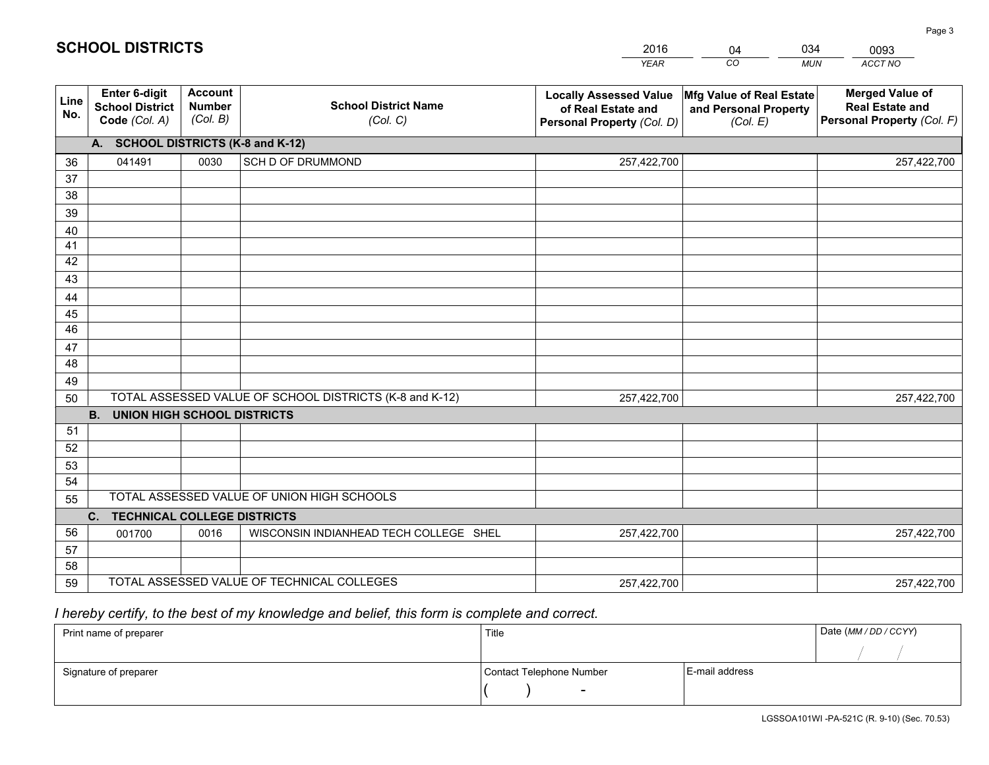|             |                                                                                       |                                             |                                            | <b>YEAR</b>                                                                       | CO<br><b>MUN</b>                                              | ACCT NO                                                                        |  |  |
|-------------|---------------------------------------------------------------------------------------|---------------------------------------------|--------------------------------------------|-----------------------------------------------------------------------------------|---------------------------------------------------------------|--------------------------------------------------------------------------------|--|--|
| Line<br>No. | Enter 6-digit<br><b>School District</b><br>Code (Col. A)                              | <b>Account</b><br><b>Number</b><br>(Col. B) | <b>School District Name</b><br>(Col. C)    | <b>Locally Assessed Value</b><br>of Real Estate and<br>Personal Property (Col. D) | Mfg Value of Real Estate<br>and Personal Property<br>(Col. E) | <b>Merged Value of</b><br><b>Real Estate and</b><br>Personal Property (Col. F) |  |  |
|             | A. SCHOOL DISTRICTS (K-8 and K-12)                                                    |                                             |                                            |                                                                                   |                                                               |                                                                                |  |  |
| 36          | 041491                                                                                | 0030                                        | SCH D OF DRUMMOND                          | 257,422,700                                                                       |                                                               | 257,422,700                                                                    |  |  |
| 37          |                                                                                       |                                             |                                            |                                                                                   |                                                               |                                                                                |  |  |
| 38          |                                                                                       |                                             |                                            |                                                                                   |                                                               |                                                                                |  |  |
| 39          |                                                                                       |                                             |                                            |                                                                                   |                                                               |                                                                                |  |  |
| 40          |                                                                                       |                                             |                                            |                                                                                   |                                                               |                                                                                |  |  |
| 41          |                                                                                       |                                             |                                            |                                                                                   |                                                               |                                                                                |  |  |
| 42<br>43    |                                                                                       |                                             |                                            |                                                                                   |                                                               |                                                                                |  |  |
|             |                                                                                       |                                             |                                            |                                                                                   |                                                               |                                                                                |  |  |
| 44<br>45    |                                                                                       |                                             |                                            |                                                                                   |                                                               |                                                                                |  |  |
| 46          |                                                                                       |                                             |                                            |                                                                                   |                                                               |                                                                                |  |  |
| 47          |                                                                                       |                                             |                                            |                                                                                   |                                                               |                                                                                |  |  |
| 48          |                                                                                       |                                             |                                            |                                                                                   |                                                               |                                                                                |  |  |
| 49          |                                                                                       |                                             |                                            |                                                                                   |                                                               |                                                                                |  |  |
| 50          | TOTAL ASSESSED VALUE OF SCHOOL DISTRICTS (K-8 and K-12)<br>257,422,700<br>257,422,700 |                                             |                                            |                                                                                   |                                                               |                                                                                |  |  |
|             | <b>B.</b><br><b>UNION HIGH SCHOOL DISTRICTS</b>                                       |                                             |                                            |                                                                                   |                                                               |                                                                                |  |  |
| 51          |                                                                                       |                                             |                                            |                                                                                   |                                                               |                                                                                |  |  |
| 52          |                                                                                       |                                             |                                            |                                                                                   |                                                               |                                                                                |  |  |
| 53          |                                                                                       |                                             |                                            |                                                                                   |                                                               |                                                                                |  |  |
| 54          |                                                                                       |                                             |                                            |                                                                                   |                                                               |                                                                                |  |  |
| 55          | TOTAL ASSESSED VALUE OF UNION HIGH SCHOOLS                                            |                                             |                                            |                                                                                   |                                                               |                                                                                |  |  |
|             | C.<br><b>TECHNICAL COLLEGE DISTRICTS</b>                                              |                                             |                                            |                                                                                   |                                                               |                                                                                |  |  |
| 56          | 001700                                                                                | 0016                                        | WISCONSIN INDIANHEAD TECH COLLEGE SHEL     | 257,422,700                                                                       |                                                               | 257,422,700                                                                    |  |  |
| 57          |                                                                                       |                                             |                                            |                                                                                   |                                                               |                                                                                |  |  |
| 58          |                                                                                       |                                             |                                            |                                                                                   |                                                               |                                                                                |  |  |
| 59          |                                                                                       |                                             | TOTAL ASSESSED VALUE OF TECHNICAL COLLEGES | 257,422,700                                                                       |                                                               | 257,422,700                                                                    |  |  |

04

034

# *I hereby certify, to the best of my knowledge and belief, this form is complete and correct.*

**SCHOOL DISTRICTS**

| Print name of preparer | Title                    | Date (MM / DD / CCYY) |  |
|------------------------|--------------------------|-----------------------|--|
|                        |                          |                       |  |
| Signature of preparer  | Contact Telephone Number | E-mail address        |  |
|                        | $\sim$                   |                       |  |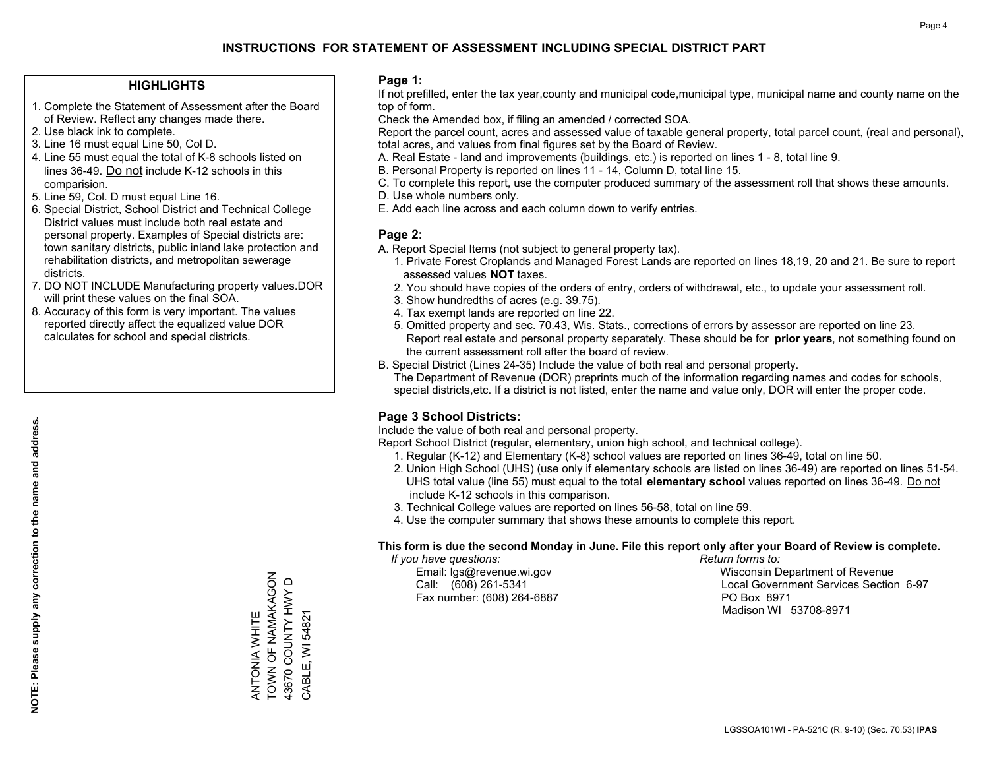#### **HIGHLIGHTS**

- 1. Complete the Statement of Assessment after the Board of Review. Reflect any changes made there.
- 2. Use black ink to complete.
- 3. Line 16 must equal Line 50, Col D.
- 4. Line 55 must equal the total of K-8 schools listed on lines 36-49. Do not include K-12 schools in this comparision.
- 5. Line 59, Col. D must equal Line 16.
- 6. Special District, School District and Technical College District values must include both real estate and personal property. Examples of Special districts are: town sanitary districts, public inland lake protection and rehabilitation districts, and metropolitan sewerage districts.
- 7. DO NOT INCLUDE Manufacturing property values.DOR will print these values on the final SOA.
- 8. Accuracy of this form is very important. The values reported directly affect the equalized value DOR calculates for school and special districts.

#### **Page 1:**

 If not prefilled, enter the tax year,county and municipal code,municipal type, municipal name and county name on the top of form.

Check the Amended box, if filing an amended / corrected SOA.

 Report the parcel count, acres and assessed value of taxable general property, total parcel count, (real and personal), total acres, and values from final figures set by the Board of Review.

- A. Real Estate land and improvements (buildings, etc.) is reported on lines 1 8, total line 9.
- B. Personal Property is reported on lines 11 14, Column D, total line 15.
- C. To complete this report, use the computer produced summary of the assessment roll that shows these amounts.
- D. Use whole numbers only.
- E. Add each line across and each column down to verify entries.

### **Page 2:**

- A. Report Special Items (not subject to general property tax).
- 1. Private Forest Croplands and Managed Forest Lands are reported on lines 18,19, 20 and 21. Be sure to report assessed values **NOT** taxes.
- 2. You should have copies of the orders of entry, orders of withdrawal, etc., to update your assessment roll.
	- 3. Show hundredths of acres (e.g. 39.75).
- 4. Tax exempt lands are reported on line 22.
- 5. Omitted property and sec. 70.43, Wis. Stats., corrections of errors by assessor are reported on line 23. Report real estate and personal property separately. These should be for **prior years**, not something found on the current assessment roll after the board of review.
- B. Special District (Lines 24-35) Include the value of both real and personal property.
- The Department of Revenue (DOR) preprints much of the information regarding names and codes for schools, special districts,etc. If a district is not listed, enter the name and value only, DOR will enter the proper code.

## **Page 3 School Districts:**

Include the value of both real and personal property.

Report School District (regular, elementary, union high school, and technical college).

- 1. Regular (K-12) and Elementary (K-8) school values are reported on lines 36-49, total on line 50.
- 2. Union High School (UHS) (use only if elementary schools are listed on lines 36-49) are reported on lines 51-54. UHS total value (line 55) must equal to the total **elementary school** values reported on lines 36-49. Do notinclude K-12 schools in this comparison.
- 3. Technical College values are reported on lines 56-58, total on line 59.
- 4. Use the computer summary that shows these amounts to complete this report.

#### **This form is due the second Monday in June. File this report only after your Board of Review is complete.**

 *If you have questions: Return forms to:*

Fax number: (608) 264-6887 PO Box 8971

 Email: lgs@revenue.wi.gov Wisconsin Department of Revenue Call: (608) 261-5341 Local Government Services Section 6-97Madison WI 53708-8971

TOWN OF NAMAKAGON ANTONIA WHITE<br>TOWN OF NAMAKAGON 43670 COUNTY HWY D 43670 COUNTY HWY D CABLE, WI 54821 CABLE, WI 54821 ANTONIA WHITE

**NOTE: Please supply any correction to the name and address.**

NOTE: Please supply any correction to the name and address.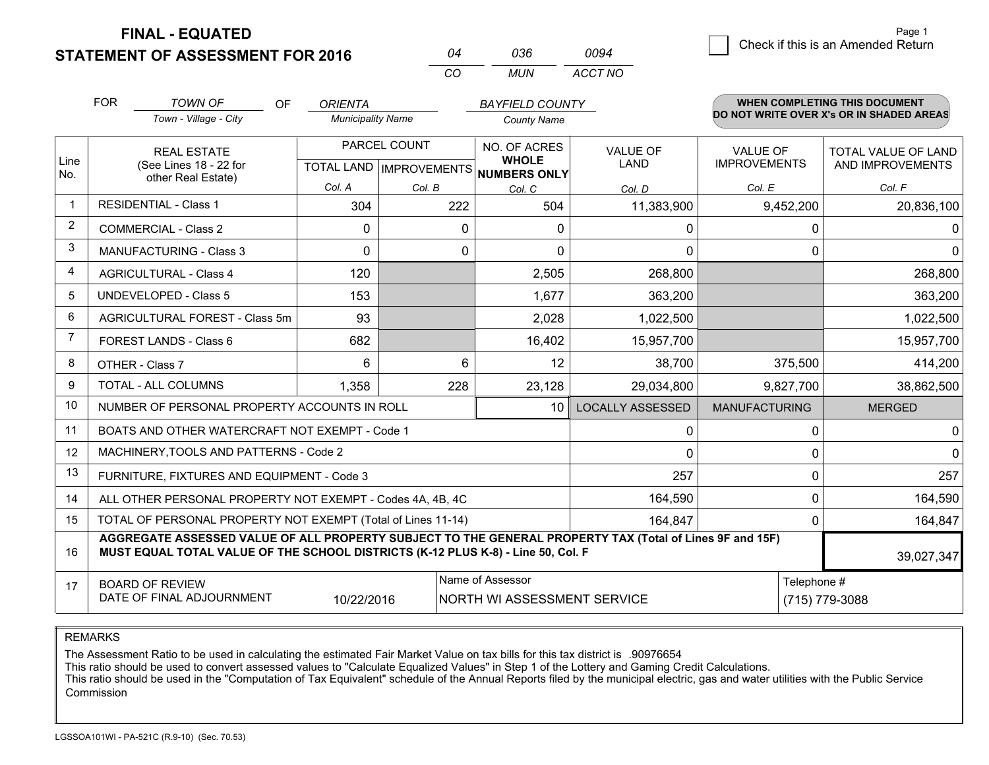**STATEMENT OF ASSESSMENT FOR 2016 FINAL - EQUATED**

**A** Check if this is an Amended Return Page 1

|                | <b>FOR</b>                                                              | <b>TOWN OF</b><br>OF                                                                                                                                                                         | <b>ORIENTA</b>           |              | <b>BAYFIELD COUNTY</b>                               |                         |                      | <b>WHEN COMPLETING THIS DOCUMENT</b>     |
|----------------|-------------------------------------------------------------------------|----------------------------------------------------------------------------------------------------------------------------------------------------------------------------------------------|--------------------------|--------------|------------------------------------------------------|-------------------------|----------------------|------------------------------------------|
|                |                                                                         | Town - Village - City                                                                                                                                                                        | <b>Municipality Name</b> |              | <b>County Name</b>                                   |                         |                      | DO NOT WRITE OVER X's OR IN SHADED AREAS |
|                |                                                                         | <b>REAL ESTATE</b>                                                                                                                                                                           |                          | PARCEL COUNT | NO. OF ACRES                                         | <b>VALUE OF</b>         | <b>VALUE OF</b>      | TOTAL VALUE OF LAND                      |
| Line<br>No.    |                                                                         | (See Lines 18 - 22 for<br>other Real Estate)                                                                                                                                                 |                          |              | <b>WHOLE</b><br>TOTAL LAND IMPROVEMENTS NUMBERS ONLY | LAND                    | <b>IMPROVEMENTS</b>  | AND IMPROVEMENTS                         |
|                |                                                                         |                                                                                                                                                                                              | Col. A                   | Col. B       | Col. C                                               | Col. D                  | Col. E               | Col. F                                   |
| $\mathbf 1$    |                                                                         | <b>RESIDENTIAL - Class 1</b>                                                                                                                                                                 | 304                      | 222          | 504                                                  | 11,383,900              | 9,452,200            | 20,836,100                               |
| 2              |                                                                         | <b>COMMERCIAL - Class 2</b>                                                                                                                                                                  | 0                        | 0            | $\mathbf{0}$                                         | 0                       | 0                    | $\overline{0}$                           |
| 3              |                                                                         | <b>MANUFACTURING - Class 3</b>                                                                                                                                                               | 0                        | 0            | $\Omega$                                             | 0                       | $\Omega$             | $\overline{0}$                           |
| 4              |                                                                         | <b>AGRICULTURAL - Class 4</b>                                                                                                                                                                | 120                      |              | 2,505                                                | 268,800                 |                      | 268,800                                  |
| 5              |                                                                         | <b>UNDEVELOPED - Class 5</b>                                                                                                                                                                 | 153                      |              | 1,677                                                | 363,200                 |                      | 363,200                                  |
| 6              |                                                                         | AGRICULTURAL FOREST - Class 5m                                                                                                                                                               | 93                       |              | 2,028                                                | 1,022,500               |                      | 1,022,500                                |
| $\overline{7}$ |                                                                         | FOREST LANDS - Class 6                                                                                                                                                                       | 682                      |              | 16,402                                               | 15,957,700              |                      | 15,957,700                               |
| 8              |                                                                         | OTHER - Class 7                                                                                                                                                                              | 6                        | 6            | 12                                                   | 38,700                  | 375,500              | 414,200                                  |
| 9              |                                                                         | TOTAL - ALL COLUMNS                                                                                                                                                                          | 1,358                    | 228          | 23,128                                               | 29,034,800              | 9,827,700            | 38,862,500                               |
| 10             |                                                                         | NUMBER OF PERSONAL PROPERTY ACCOUNTS IN ROLL                                                                                                                                                 |                          |              | 10                                                   | <b>LOCALLY ASSESSED</b> | <b>MANUFACTURING</b> | <b>MERGED</b>                            |
| 11             |                                                                         | BOATS AND OTHER WATERCRAFT NOT EXEMPT - Code 1                                                                                                                                               |                          |              |                                                      | 0                       | 0                    | $\overline{0}$                           |
| 12             |                                                                         | MACHINERY, TOOLS AND PATTERNS - Code 2                                                                                                                                                       |                          |              |                                                      | 0                       | $\Omega$             | $\overline{0}$                           |
| 13             |                                                                         | FURNITURE, FIXTURES AND EQUIPMENT - Code 3                                                                                                                                                   |                          |              |                                                      | 257                     | 0                    | 257                                      |
| 14             |                                                                         | ALL OTHER PERSONAL PROPERTY NOT EXEMPT - Codes 4A, 4B, 4C                                                                                                                                    |                          |              |                                                      | 164,590                 | 0                    | 164,590                                  |
| 15             | TOTAL OF PERSONAL PROPERTY NOT EXEMPT (Total of Lines 11-14)<br>164,847 |                                                                                                                                                                                              |                          |              |                                                      | 0                       | 164,847              |                                          |
| 16             |                                                                         | AGGREGATE ASSESSED VALUE OF ALL PROPERTY SUBJECT TO THE GENERAL PROPERTY TAX (Total of Lines 9F and 15F)<br>MUST EQUAL TOTAL VALUE OF THE SCHOOL DISTRICTS (K-12 PLUS K-8) - Line 50, Col. F |                          |              |                                                      |                         |                      | 39,027,347                               |
| 17             |                                                                         | <b>BOARD OF REVIEW</b><br>DATE OF FINAL ADJOURNMENT                                                                                                                                          | 10/22/2016               |              | Name of Assessor<br>NORTH WI ASSESSMENT SERVICE      |                         | Telephone #          | (715) 779-3088                           |

*CO*

*MUN*

*ACCT NO0094*

*<sup>04</sup> <sup>036</sup>*

REMARKS

The Assessment Ratio to be used in calculating the estimated Fair Market Value on tax bills for this tax district is .90976654<br>This ratio should be used to convert assessed values to "Calculate Equalized Values" in Step 1 Commission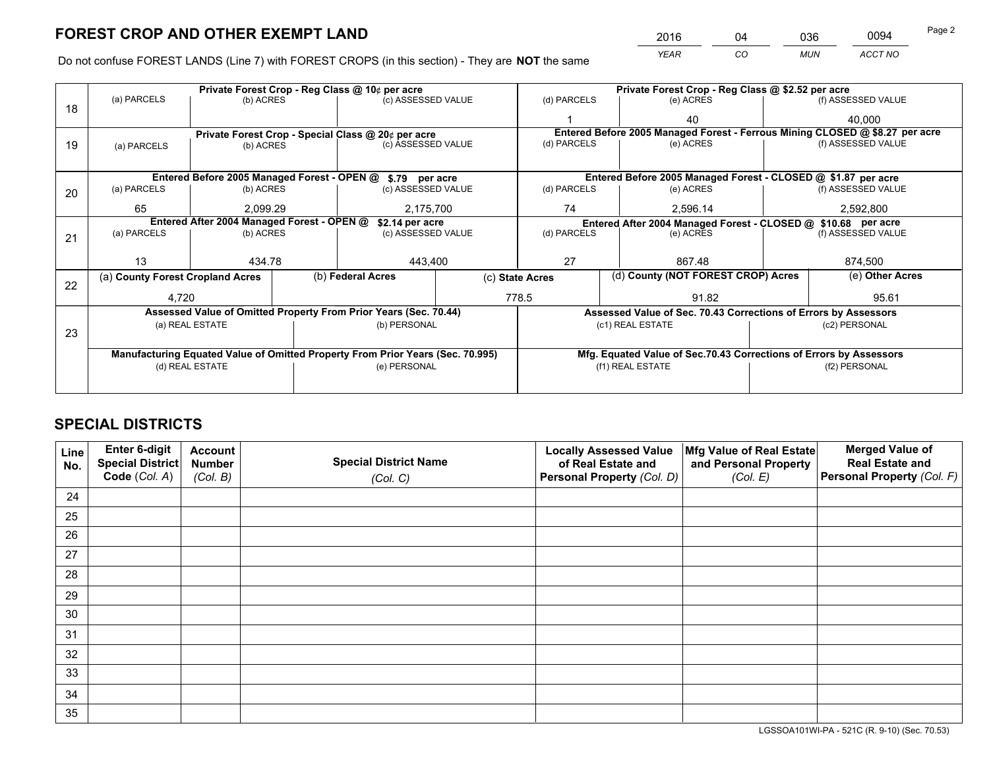*YEAR CO MUN ACCT NO* <sup>2016</sup> <sup>04</sup> <sup>036</sup> <sup>0094</sup>

Do not confuse FOREST LANDS (Line 7) with FOREST CROPS (in this section) - They are **NOT** the same

|    |                                                                                |                                                |  | Private Forest Crop - Reg Class @ 10¢ per acre                   |                          | Private Forest Crop - Reg Class @ \$2.52 per acre |                  |                                                                    |  |                                                                              |
|----|--------------------------------------------------------------------------------|------------------------------------------------|--|------------------------------------------------------------------|--------------------------|---------------------------------------------------|------------------|--------------------------------------------------------------------|--|------------------------------------------------------------------------------|
| 18 | (a) PARCELS                                                                    | (b) ACRES                                      |  | (c) ASSESSED VALUE                                               |                          | (d) PARCELS                                       |                  | (e) ACRES                                                          |  | (f) ASSESSED VALUE                                                           |
|    |                                                                                |                                                |  |                                                                  |                          |                                                   |                  | 40                                                                 |  | 40.000                                                                       |
|    |                                                                                |                                                |  | Private Forest Crop - Special Class @ 20¢ per acre               |                          |                                                   |                  |                                                                    |  | Entered Before 2005 Managed Forest - Ferrous Mining CLOSED @ \$8.27 per acre |
| 19 | (a) PARCELS                                                                    | (b) ACRES                                      |  | (c) ASSESSED VALUE                                               |                          | (d) PARCELS                                       |                  | (e) ACRES                                                          |  | (f) ASSESSED VALUE                                                           |
|    |                                                                                |                                                |  |                                                                  |                          |                                                   |                  |                                                                    |  |                                                                              |
|    |                                                                                |                                                |  | Entered Before 2005 Managed Forest - OPEN @ \$.79 per acre       |                          |                                                   |                  | Entered Before 2005 Managed Forest - CLOSED @ \$1.87 per acre      |  |                                                                              |
| 20 | (a) PARCELS                                                                    | (b) ACRES                                      |  | (c) ASSESSED VALUE                                               |                          | (d) PARCELS                                       |                  | (e) ACRES                                                          |  | (f) ASSESSED VALUE                                                           |
|    | 65                                                                             | 2.099.29<br>2,175,700                          |  | 74                                                               |                          | 2,596.14                                          | 2,592,800        |                                                                    |  |                                                                              |
|    | Entered After 2004 Managed Forest - OPEN @<br>\$2.14 per acre                  |                                                |  |                                                                  |                          |                                                   |                  | Entered After 2004 Managed Forest - CLOSED @ \$10.68 per acre      |  |                                                                              |
| 21 |                                                                                | (a) PARCELS<br>(b) ACRES<br>(c) ASSESSED VALUE |  |                                                                  | (d) PARCELS<br>(e) ACRES |                                                   |                  | (f) ASSESSED VALUE                                                 |  |                                                                              |
|    |                                                                                |                                                |  |                                                                  |                          |                                                   |                  |                                                                    |  |                                                                              |
|    | 13                                                                             | 434.78                                         |  | 443,400                                                          |                          | 27                                                |                  | 867.48                                                             |  | 874.500                                                                      |
| 22 | (a) County Forest Cropland Acres                                               |                                                |  | (b) Federal Acres                                                | (c) State Acres          |                                                   |                  | (d) County (NOT FOREST CROP) Acres                                 |  | (e) Other Acres                                                              |
|    | 4,720                                                                          |                                                |  |                                                                  |                          | 778.5                                             |                  | 91.82                                                              |  | 95.61                                                                        |
|    |                                                                                |                                                |  | Assessed Value of Omitted Property From Prior Years (Sec. 70.44) |                          |                                                   |                  | Assessed Value of Sec. 70.43 Corrections of Errors by Assessors    |  |                                                                              |
|    |                                                                                | (a) REAL ESTATE                                |  | (b) PERSONAL                                                     |                          |                                                   | (c1) REAL ESTATE |                                                                    |  | (c2) PERSONAL                                                                |
| 23 |                                                                                |                                                |  |                                                                  |                          |                                                   |                  |                                                                    |  |                                                                              |
|    | Manufacturing Equated Value of Omitted Property From Prior Years (Sec. 70.995) |                                                |  |                                                                  |                          |                                                   |                  | Mfg. Equated Value of Sec.70.43 Corrections of Errors by Assessors |  |                                                                              |
|    |                                                                                | (d) REAL ESTATE                                |  | (e) PERSONAL                                                     |                          |                                                   | (f1) REAL ESTATE |                                                                    |  | (f2) PERSONAL                                                                |
|    |                                                                                |                                                |  |                                                                  |                          |                                                   |                  |                                                                    |  |                                                                              |

# **SPECIAL DISTRICTS**

| Line<br>No. | Enter 6-digit<br>Special District<br>Code (Col. A) | <b>Account</b><br><b>Number</b> | <b>Special District Name</b> | <b>Locally Assessed Value</b><br>of Real Estate and | Mfg Value of Real Estate<br>and Personal Property | <b>Merged Value of</b><br><b>Real Estate and</b><br>Personal Property (Col. F) |
|-------------|----------------------------------------------------|---------------------------------|------------------------------|-----------------------------------------------------|---------------------------------------------------|--------------------------------------------------------------------------------|
|             |                                                    | (Col. B)                        | (Col. C)                     | Personal Property (Col. D)                          | (Col. E)                                          |                                                                                |
| 24          |                                                    |                                 |                              |                                                     |                                                   |                                                                                |
| 25          |                                                    |                                 |                              |                                                     |                                                   |                                                                                |
| 26          |                                                    |                                 |                              |                                                     |                                                   |                                                                                |
| 27          |                                                    |                                 |                              |                                                     |                                                   |                                                                                |
| 28          |                                                    |                                 |                              |                                                     |                                                   |                                                                                |
| 29          |                                                    |                                 |                              |                                                     |                                                   |                                                                                |
| 30          |                                                    |                                 |                              |                                                     |                                                   |                                                                                |
| 31          |                                                    |                                 |                              |                                                     |                                                   |                                                                                |
| 32          |                                                    |                                 |                              |                                                     |                                                   |                                                                                |
| 33          |                                                    |                                 |                              |                                                     |                                                   |                                                                                |
| 34          |                                                    |                                 |                              |                                                     |                                                   |                                                                                |
| 35          |                                                    |                                 |                              |                                                     |                                                   |                                                                                |

LGSSOA101WI-PA - 521C (R. 9-10) (Sec. 70.53)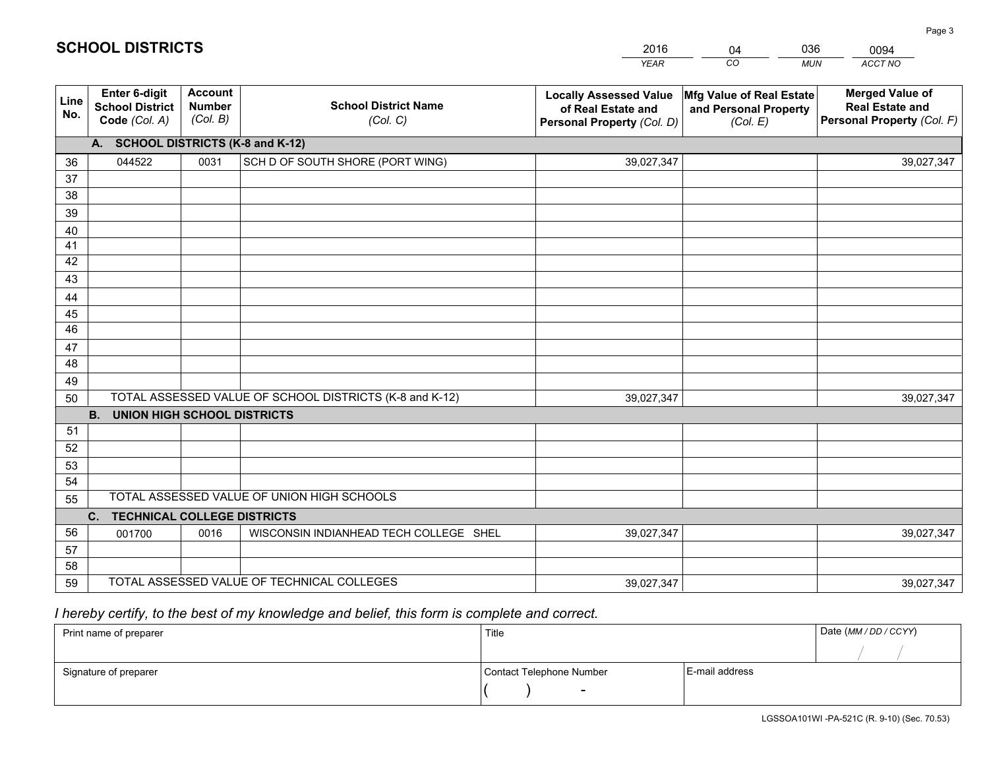|             |                                                                 |                                             |                                                         | <b>YEAR</b>                                                                       | CO<br><b>MUN</b>                                              | ACCT NO                                                                        |
|-------------|-----------------------------------------------------------------|---------------------------------------------|---------------------------------------------------------|-----------------------------------------------------------------------------------|---------------------------------------------------------------|--------------------------------------------------------------------------------|
| Line<br>No. | <b>Enter 6-digit</b><br><b>School District</b><br>Code (Col. A) | <b>Account</b><br><b>Number</b><br>(Col. B) | <b>School District Name</b><br>(Col. C)                 | <b>Locally Assessed Value</b><br>of Real Estate and<br>Personal Property (Col. D) | Mfg Value of Real Estate<br>and Personal Property<br>(Col. E) | <b>Merged Value of</b><br><b>Real Estate and</b><br>Personal Property (Col. F) |
|             | A. SCHOOL DISTRICTS (K-8 and K-12)                              |                                             |                                                         |                                                                                   |                                                               |                                                                                |
| 36          | 044522                                                          | 0031                                        | SCH D OF SOUTH SHORE (PORT WING)                        | 39,027,347                                                                        |                                                               | 39,027,347                                                                     |
| 37          |                                                                 |                                             |                                                         |                                                                                   |                                                               |                                                                                |
| 38          |                                                                 |                                             |                                                         |                                                                                   |                                                               |                                                                                |
| 39          |                                                                 |                                             |                                                         |                                                                                   |                                                               |                                                                                |
| 40          |                                                                 |                                             |                                                         |                                                                                   |                                                               |                                                                                |
| 41<br>42    |                                                                 |                                             |                                                         |                                                                                   |                                                               |                                                                                |
| 43          |                                                                 |                                             |                                                         |                                                                                   |                                                               |                                                                                |
| 44          |                                                                 |                                             |                                                         |                                                                                   |                                                               |                                                                                |
| 45          |                                                                 |                                             |                                                         |                                                                                   |                                                               |                                                                                |
| 46          |                                                                 |                                             |                                                         |                                                                                   |                                                               |                                                                                |
| 47          |                                                                 |                                             |                                                         |                                                                                   |                                                               |                                                                                |
| 48          |                                                                 |                                             |                                                         |                                                                                   |                                                               |                                                                                |
| 49          |                                                                 |                                             |                                                         |                                                                                   |                                                               |                                                                                |
| 50          |                                                                 |                                             | TOTAL ASSESSED VALUE OF SCHOOL DISTRICTS (K-8 and K-12) | 39,027,347                                                                        |                                                               | 39,027,347                                                                     |
|             | <b>B.</b><br><b>UNION HIGH SCHOOL DISTRICTS</b>                 |                                             |                                                         |                                                                                   |                                                               |                                                                                |
| 51          |                                                                 |                                             |                                                         |                                                                                   |                                                               |                                                                                |
| 52          |                                                                 |                                             |                                                         |                                                                                   |                                                               |                                                                                |
| 53          |                                                                 |                                             |                                                         |                                                                                   |                                                               |                                                                                |
| 54          |                                                                 |                                             | TOTAL ASSESSED VALUE OF UNION HIGH SCHOOLS              |                                                                                   |                                                               |                                                                                |
| 55          |                                                                 |                                             |                                                         |                                                                                   |                                                               |                                                                                |
| 56          | C.<br><b>TECHNICAL COLLEGE DISTRICTS</b>                        |                                             |                                                         |                                                                                   |                                                               |                                                                                |
| 57          | 001700                                                          | 0016                                        | WISCONSIN INDIANHEAD TECH COLLEGE SHEL                  | 39,027,347                                                                        |                                                               | 39,027,347                                                                     |
| 58          |                                                                 |                                             |                                                         |                                                                                   |                                                               |                                                                                |
| 59          |                                                                 |                                             | TOTAL ASSESSED VALUE OF TECHNICAL COLLEGES              | 39,027,347                                                                        |                                                               | 39,027,347                                                                     |

04

036

 *I hereby certify, to the best of my knowledge and belief, this form is complete and correct.*

**SCHOOL DISTRICTS**

| Print name of preparer | Title                    |                | Date (MM / DD / CCYY) |
|------------------------|--------------------------|----------------|-----------------------|
|                        |                          |                |                       |
| Signature of preparer  | Contact Telephone Number | E-mail address |                       |
|                        |                          |                |                       |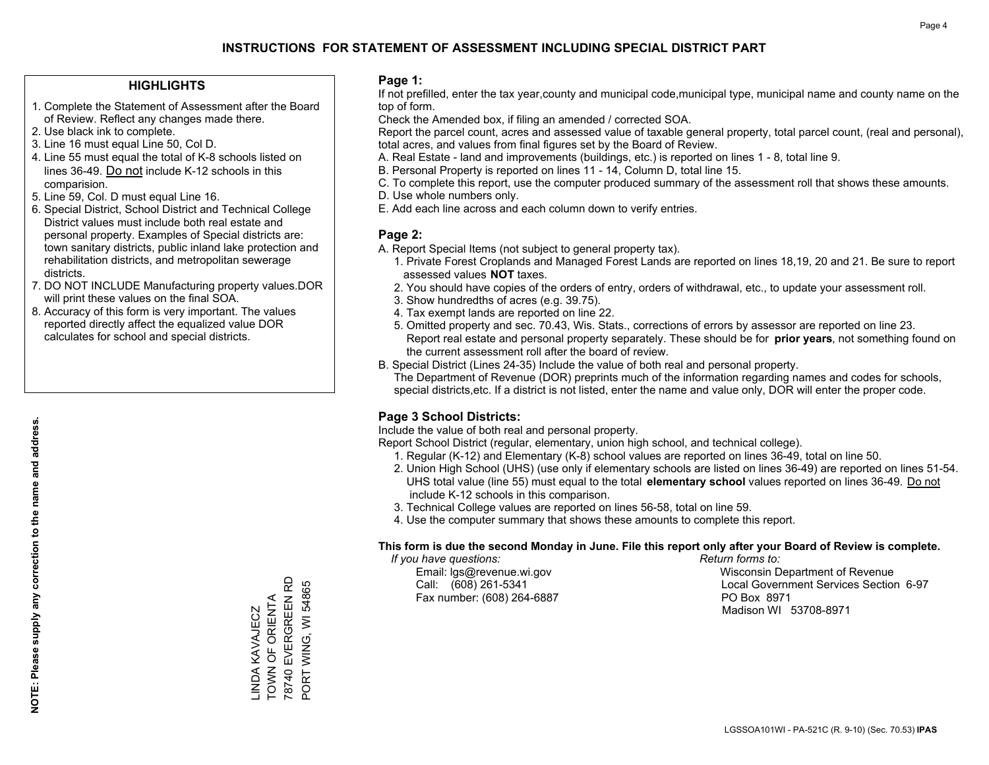### **HIGHLIGHTS**

- 1. Complete the Statement of Assessment after the Board of Review. Reflect any changes made there.
- 2. Use black ink to complete.
- 3. Line 16 must equal Line 50, Col D.
- 4. Line 55 must equal the total of K-8 schools listed on lines 36-49. Do not include K-12 schools in this comparision.
- 5. Line 59, Col. D must equal Line 16.
- 6. Special District, School District and Technical College District values must include both real estate and personal property. Examples of Special districts are: town sanitary districts, public inland lake protection and rehabilitation districts, and metropolitan sewerage districts.
- 7. DO NOT INCLUDE Manufacturing property values.DOR will print these values on the final SOA.
- 8. Accuracy of this form is very important. The values reported directly affect the equalized value DOR calculates for school and special districts.

### **Page 1:**

 If not prefilled, enter the tax year,county and municipal code,municipal type, municipal name and county name on the top of form.

Check the Amended box, if filing an amended / corrected SOA.

 Report the parcel count, acres and assessed value of taxable general property, total parcel count, (real and personal), total acres, and values from final figures set by the Board of Review.

- A. Real Estate land and improvements (buildings, etc.) is reported on lines 1 8, total line 9.
- B. Personal Property is reported on lines 11 14, Column D, total line 15.
- C. To complete this report, use the computer produced summary of the assessment roll that shows these amounts.
- D. Use whole numbers only.
- E. Add each line across and each column down to verify entries.

### **Page 2:**

- A. Report Special Items (not subject to general property tax).
- 1. Private Forest Croplands and Managed Forest Lands are reported on lines 18,19, 20 and 21. Be sure to report assessed values **NOT** taxes.
- 2. You should have copies of the orders of entry, orders of withdrawal, etc., to update your assessment roll.
	- 3. Show hundredths of acres (e.g. 39.75).
- 4. Tax exempt lands are reported on line 22.
- 5. Omitted property and sec. 70.43, Wis. Stats., corrections of errors by assessor are reported on line 23. Report real estate and personal property separately. These should be for **prior years**, not something found on the current assessment roll after the board of review.
- B. Special District (Lines 24-35) Include the value of both real and personal property.

 The Department of Revenue (DOR) preprints much of the information regarding names and codes for schools, special districts,etc. If a district is not listed, enter the name and value only, DOR will enter the proper code.

### **Page 3 School Districts:**

Include the value of both real and personal property.

Report School District (regular, elementary, union high school, and technical college).

- 1. Regular (K-12) and Elementary (K-8) school values are reported on lines 36-49, total on line 50.
- 2. Union High School (UHS) (use only if elementary schools are listed on lines 36-49) are reported on lines 51-54. UHS total value (line 55) must equal to the total **elementary school** values reported on lines 36-49. Do notinclude K-12 schools in this comparison.
- 3. Technical College values are reported on lines 56-58, total on line 59.
- 4. Use the computer summary that shows these amounts to complete this report.

#### **This form is due the second Monday in June. File this report only after your Board of Review is complete.**

 *If you have questions: Return forms to:*

Fax number: (608) 264-6887 PO Box 8971

 Email: lgs@revenue.wi.gov Wisconsin Department of Revenue Call: (608) 261-5341 Local Government Services Section 6-97Madison WI 53708-8971

78740 EVERGREEN RD 78740 EVERGREEN RD PORT WING, WI 54865 PORT WING, WI 54865 TOWN OF ORIENTA \_INDA KAVAJECZ<br>TOWN OF ORIENTA LINDA KAVAJECZ

**NOTE: Please supply any correction to the name and address.**

NOTE: Please supply any correction to the name and address.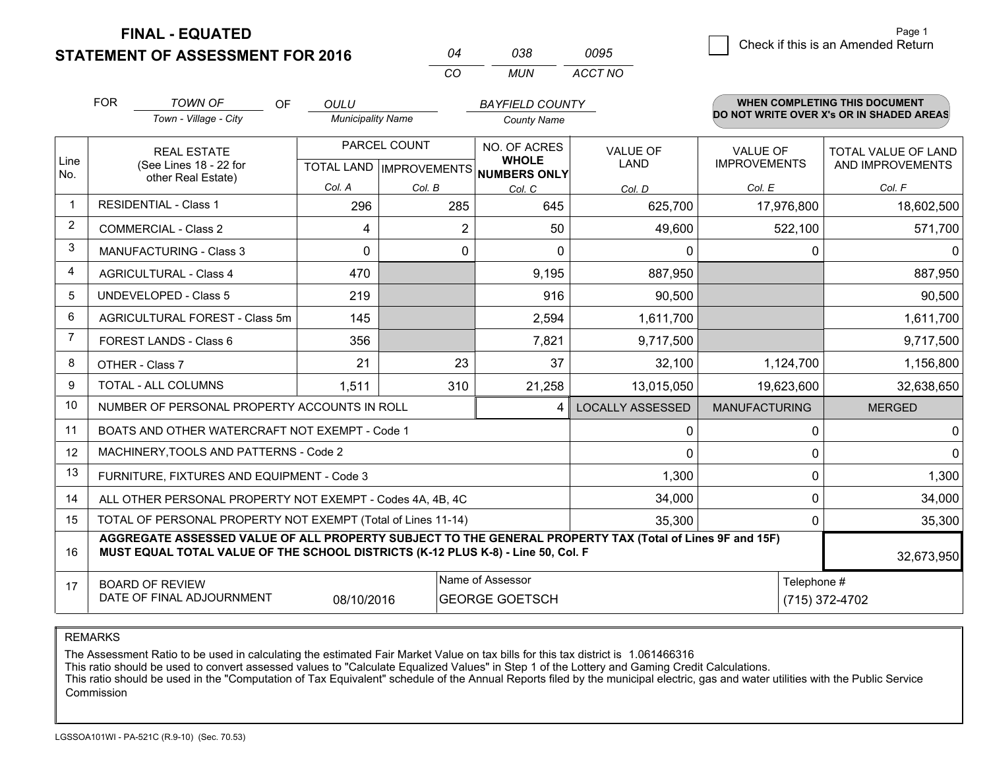**FINAL - EQUATED**

**STATEMENT OF ASSESSMENT FOR 2016** 

| ሰ4  | กาล | 0095    |
|-----|-----|---------|
| CO. | MUN | ACCT NO |

|                | <b>FOR</b>                                                             | <b>TOWN OF</b><br><b>OF</b>                                                                                                                                                                  | <b>OULU</b>              |                           | <b>BAYFIELD COUNTY</b>       |                         |                      | WHEN COMPLETING THIS DOCUMENT            |
|----------------|------------------------------------------------------------------------|----------------------------------------------------------------------------------------------------------------------------------------------------------------------------------------------|--------------------------|---------------------------|------------------------------|-------------------------|----------------------|------------------------------------------|
|                |                                                                        | Town - Village - City                                                                                                                                                                        | <b>Municipality Name</b> |                           | <b>County Name</b>           |                         |                      | DO NOT WRITE OVER X's OR IN SHADED AREAS |
|                |                                                                        | <b>REAL ESTATE</b>                                                                                                                                                                           |                          | PARCEL COUNT              | NO. OF ACRES                 | <b>VALUE OF</b>         | VALUE OF             | TOTAL VALUE OF LAND                      |
| Line<br>No.    |                                                                        | (See Lines 18 - 22 for<br>other Real Estate)                                                                                                                                                 |                          | TOTAL LAND   IMPROVEMENTS | <b>WHOLE</b><br>NUMBERS ONLY | <b>LAND</b>             | <b>IMPROVEMENTS</b>  | AND IMPROVEMENTS                         |
|                |                                                                        |                                                                                                                                                                                              | Col. A                   | Col. B                    | Col. C                       | Col. D                  | Col. E               | Col. F                                   |
|                |                                                                        | <b>RESIDENTIAL - Class 1</b>                                                                                                                                                                 | 296                      | 285                       | 645                          | 625,700                 | 17,976,800           | 18,602,500                               |
| $\overline{2}$ |                                                                        | <b>COMMERCIAL - Class 2</b>                                                                                                                                                                  | 4                        | $\overline{2}$            | 50                           | 49,600                  | 522,100              | 571,700                                  |
| 3              |                                                                        | <b>MANUFACTURING - Class 3</b>                                                                                                                                                               | $\Omega$                 | $\Omega$                  | $\Omega$                     | $\Omega$                | 0                    | $\Omega$                                 |
| 4              |                                                                        | <b>AGRICULTURAL - Class 4</b>                                                                                                                                                                | 470                      |                           | 9,195                        | 887,950                 |                      | 887,950                                  |
| 5              |                                                                        | <b>UNDEVELOPED - Class 5</b>                                                                                                                                                                 | 219                      |                           | 916                          | 90,500                  |                      | 90,500                                   |
| 6              | AGRICULTURAL FOREST - Class 5m                                         |                                                                                                                                                                                              | 145                      |                           | 2,594                        | 1,611,700               |                      | 1,611,700                                |
| 7              |                                                                        | FOREST LANDS - Class 6                                                                                                                                                                       | 356                      |                           | 7,821                        | 9,717,500               |                      | 9,717,500                                |
| 8              |                                                                        | OTHER - Class 7                                                                                                                                                                              | 21                       | 23                        | 37                           | 32,100                  | 1,124,700            | 1,156,800                                |
| 9              |                                                                        | TOTAL - ALL COLUMNS                                                                                                                                                                          | 1,511                    | 310                       | 21,258                       | 13,015,050              | 19,623,600           | 32,638,650                               |
| 10             |                                                                        | NUMBER OF PERSONAL PROPERTY ACCOUNTS IN ROLL                                                                                                                                                 |                          |                           | 4                            | <b>LOCALLY ASSESSED</b> | <b>MANUFACTURING</b> | <b>MERGED</b>                            |
| 11             |                                                                        | BOATS AND OTHER WATERCRAFT NOT EXEMPT - Code 1                                                                                                                                               |                          |                           |                              | 0                       | 0                    | 0                                        |
| 12             |                                                                        | MACHINERY, TOOLS AND PATTERNS - Code 2                                                                                                                                                       |                          |                           |                              | 0                       | 0                    | 0                                        |
| 13             |                                                                        | FURNITURE, FIXTURES AND EQUIPMENT - Code 3                                                                                                                                                   |                          |                           |                              | 1,300                   | 0                    | 1,300                                    |
| 14             |                                                                        | ALL OTHER PERSONAL PROPERTY NOT EXEMPT - Codes 4A, 4B, 4C                                                                                                                                    |                          |                           |                              | 34,000                  | 0                    | 34,000                                   |
| 15             | TOTAL OF PERSONAL PROPERTY NOT EXEMPT (Total of Lines 11-14)<br>35,300 |                                                                                                                                                                                              |                          |                           |                              |                         | 0                    | 35,300                                   |
| 16             |                                                                        | AGGREGATE ASSESSED VALUE OF ALL PROPERTY SUBJECT TO THE GENERAL PROPERTY TAX (Total of Lines 9F and 15F)<br>MUST EQUAL TOTAL VALUE OF THE SCHOOL DISTRICTS (K-12 PLUS K-8) - Line 50, Col. F |                          |                           |                              |                         |                      | 32,673,950                               |
| 17             |                                                                        | <b>BOARD OF REVIEW</b>                                                                                                                                                                       |                          |                           | Name of Assessor             |                         | Telephone #          |                                          |
|                |                                                                        | DATE OF FINAL ADJOURNMENT                                                                                                                                                                    | 08/10/2016               |                           | <b>GEORGE GOETSCH</b>        |                         |                      | (715) 372-4702                           |

REMARKS

The Assessment Ratio to be used in calculating the estimated Fair Market Value on tax bills for this tax district is 1.061466316

This ratio should be used to convert assessed values to "Calculate Equalized Values" in Step 1 of the Lottery and Gaming Credit Calculations.<br>This ratio should be used in the "Computation of Tax Equivalent" schedule of the Commission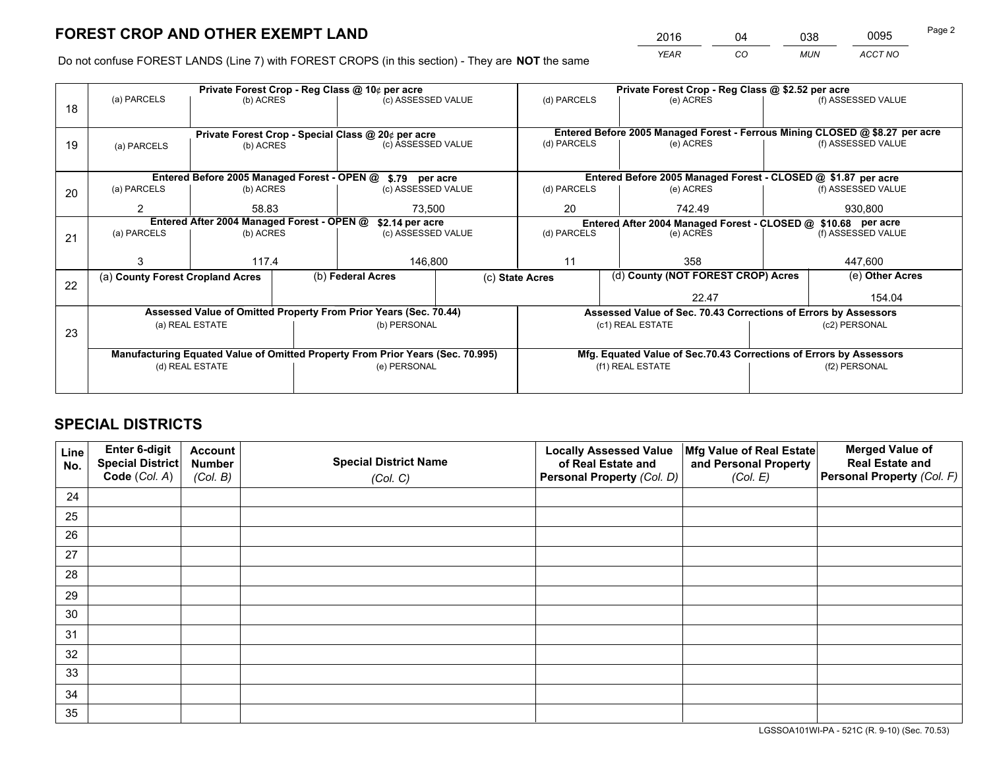*YEAR CO MUN ACCT NO* <sup>2016</sup> <sup>04</sup> <sup>038</sup> <sup>0095</sup>

Do not confuse FOREST LANDS (Line 7) with FOREST CROPS (in this section) - They are **NOT** the same

|    |                                                                                |                 |    | Private Forest Crop - Reg Class @ 10¢ per acre                   | Private Forest Crop - Reg Class @ \$2.52 per acre               |                  |                                    |                    |                                                                              |
|----|--------------------------------------------------------------------------------|-----------------|----|------------------------------------------------------------------|-----------------------------------------------------------------|------------------|------------------------------------|--------------------|------------------------------------------------------------------------------|
| 18 | (a) PARCELS                                                                    | (b) ACRES       |    | (c) ASSESSED VALUE                                               | (d) PARCELS                                                     |                  | (e) ACRES                          |                    | (f) ASSESSED VALUE                                                           |
|    |                                                                                |                 |    |                                                                  |                                                                 |                  |                                    |                    |                                                                              |
|    |                                                                                |                 |    | Private Forest Crop - Special Class @ 20¢ per acre               |                                                                 |                  |                                    |                    | Entered Before 2005 Managed Forest - Ferrous Mining CLOSED @ \$8.27 per acre |
| 19 | (a) PARCELS                                                                    | (b) ACRES       |    | (c) ASSESSED VALUE                                               | (d) PARCELS                                                     |                  | (e) ACRES                          |                    | (f) ASSESSED VALUE                                                           |
|    |                                                                                |                 |    |                                                                  |                                                                 |                  |                                    |                    |                                                                              |
|    |                                                                                |                 |    | Entered Before 2005 Managed Forest - OPEN @ \$.79 per acre       |                                                                 |                  |                                    |                    | Entered Before 2005 Managed Forest - CLOSED @ \$1.87 per acre                |
| 20 | (a) PARCELS                                                                    | (b) ACRES       |    | (c) ASSESSED VALUE                                               | (d) PARCELS                                                     |                  | (e) ACRES                          |                    | (f) ASSESSED VALUE                                                           |
|    | 2<br>58.83<br>73.500                                                           |                 | 20 |                                                                  | 742.49                                                          | 930.800          |                                    |                    |                                                                              |
|    | Entered After 2004 Managed Forest - OPEN @<br>\$2.14 per acre                  |                 |    |                                                                  | Entered After 2004 Managed Forest - CLOSED @ \$10.68 per acre   |                  |                                    |                    |                                                                              |
| 21 | (a) PARCELS                                                                    | (b) ACRES       |    | (c) ASSESSED VALUE                                               | (d) PARCELS<br>(e) ACRES                                        |                  |                                    | (f) ASSESSED VALUE |                                                                              |
|    |                                                                                |                 |    |                                                                  |                                                                 |                  |                                    |                    |                                                                              |
|    | 3                                                                              | 117.4           |    | 146,800                                                          | 11                                                              |                  | 358                                | 447,600            |                                                                              |
| 22 | (a) County Forest Cropland Acres                                               |                 |    | (b) Federal Acres                                                | (c) State Acres                                                 |                  | (d) County (NOT FOREST CROP) Acres |                    | (e) Other Acres                                                              |
|    |                                                                                |                 |    |                                                                  |                                                                 |                  | 22.47                              |                    | 154.04                                                                       |
|    |                                                                                |                 |    | Assessed Value of Omitted Property From Prior Years (Sec. 70.44) | Assessed Value of Sec. 70.43 Corrections of Errors by Assessors |                  |                                    |                    |                                                                              |
| 23 |                                                                                | (a) REAL ESTATE |    | (b) PERSONAL                                                     |                                                                 | (c1) REAL ESTATE |                                    |                    | (c2) PERSONAL                                                                |
|    |                                                                                |                 |    |                                                                  |                                                                 |                  |                                    |                    |                                                                              |
|    | Manufacturing Equated Value of Omitted Property From Prior Years (Sec. 70.995) |                 |    |                                                                  |                                                                 |                  |                                    |                    | Mfg. Equated Value of Sec.70.43 Corrections of Errors by Assessors           |
|    |                                                                                | (d) REAL ESTATE |    | (e) PERSONAL                                                     |                                                                 | (f1) REAL ESTATE |                                    |                    | (f2) PERSONAL                                                                |
|    |                                                                                |                 |    |                                                                  |                                                                 |                  |                                    |                    |                                                                              |

# **SPECIAL DISTRICTS**

| Line<br>No. | Enter 6-digit<br>Special District<br>Code (Col. A) | <b>Account</b><br><b>Number</b> | <b>Special District Name</b> | <b>Locally Assessed Value</b><br>of Real Estate and | Mfg Value of Real Estate<br>and Personal Property | <b>Merged Value of</b><br><b>Real Estate and</b><br>Personal Property (Col. F) |
|-------------|----------------------------------------------------|---------------------------------|------------------------------|-----------------------------------------------------|---------------------------------------------------|--------------------------------------------------------------------------------|
|             |                                                    | (Col. B)                        | (Col. C)                     | Personal Property (Col. D)                          | (Col. E)                                          |                                                                                |
| 24          |                                                    |                                 |                              |                                                     |                                                   |                                                                                |
| 25          |                                                    |                                 |                              |                                                     |                                                   |                                                                                |
| 26          |                                                    |                                 |                              |                                                     |                                                   |                                                                                |
| 27          |                                                    |                                 |                              |                                                     |                                                   |                                                                                |
| 28          |                                                    |                                 |                              |                                                     |                                                   |                                                                                |
| 29          |                                                    |                                 |                              |                                                     |                                                   |                                                                                |
| 30          |                                                    |                                 |                              |                                                     |                                                   |                                                                                |
| 31          |                                                    |                                 |                              |                                                     |                                                   |                                                                                |
| 32          |                                                    |                                 |                              |                                                     |                                                   |                                                                                |
| 33          |                                                    |                                 |                              |                                                     |                                                   |                                                                                |
| 34          |                                                    |                                 |                              |                                                     |                                                   |                                                                                |
| 35          |                                                    |                                 |                              |                                                     |                                                   |                                                                                |

LGSSOA101WI-PA - 521C (R. 9-10) (Sec. 70.53)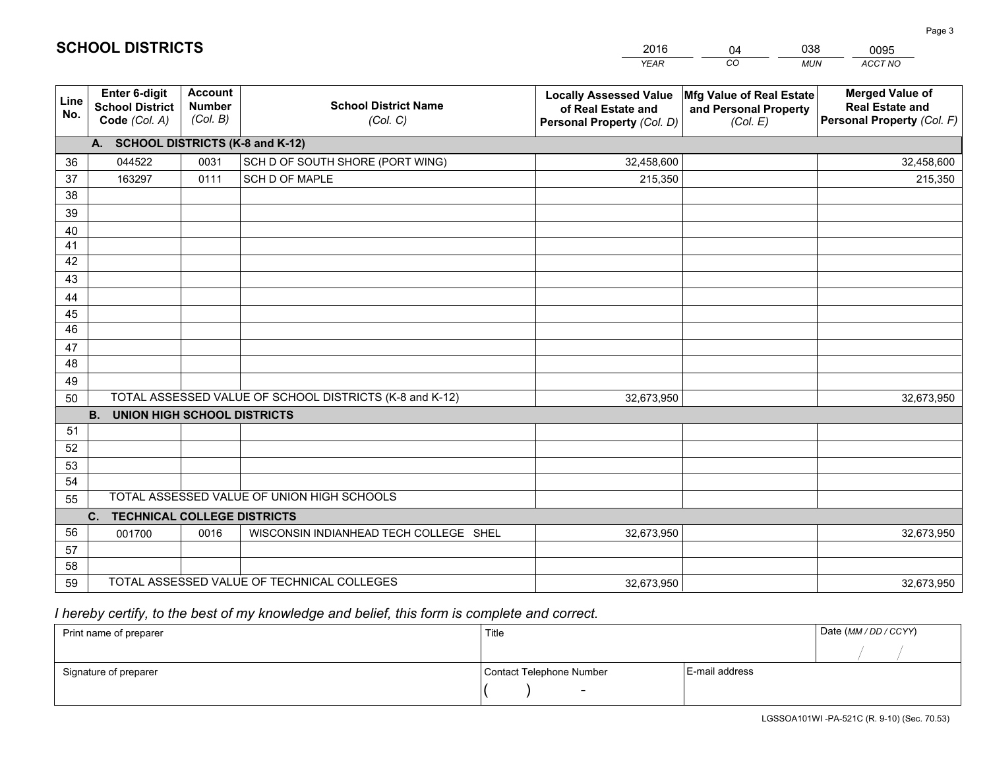|             |                                                          |                                             |                                                         | <b>YEAR</b>                                                                       | CO<br><b>MUN</b>                                              | ACCT NO                                                                        |
|-------------|----------------------------------------------------------|---------------------------------------------|---------------------------------------------------------|-----------------------------------------------------------------------------------|---------------------------------------------------------------|--------------------------------------------------------------------------------|
| Line<br>No. | Enter 6-digit<br><b>School District</b><br>Code (Col. A) | <b>Account</b><br><b>Number</b><br>(Col. B) | <b>School District Name</b><br>(Col. C)                 | <b>Locally Assessed Value</b><br>of Real Estate and<br>Personal Property (Col. D) | Mfg Value of Real Estate<br>and Personal Property<br>(Col. E) | <b>Merged Value of</b><br><b>Real Estate and</b><br>Personal Property (Col. F) |
|             | A. SCHOOL DISTRICTS (K-8 and K-12)                       |                                             |                                                         |                                                                                   |                                                               |                                                                                |
| 36          | 044522                                                   | 0031                                        | SCH D OF SOUTH SHORE (PORT WING)                        | 32,458,600                                                                        |                                                               | 32,458,600                                                                     |
| 37          | 163297                                                   | 0111                                        | SCH D OF MAPLE                                          | 215,350                                                                           |                                                               | 215,350                                                                        |
| 38          |                                                          |                                             |                                                         |                                                                                   |                                                               |                                                                                |
| 39          |                                                          |                                             |                                                         |                                                                                   |                                                               |                                                                                |
| 40          |                                                          |                                             |                                                         |                                                                                   |                                                               |                                                                                |
| 41          |                                                          |                                             |                                                         |                                                                                   |                                                               |                                                                                |
| 42          |                                                          |                                             |                                                         |                                                                                   |                                                               |                                                                                |
| 43          |                                                          |                                             |                                                         |                                                                                   |                                                               |                                                                                |
| 44          |                                                          |                                             |                                                         |                                                                                   |                                                               |                                                                                |
| 45          |                                                          |                                             |                                                         |                                                                                   |                                                               |                                                                                |
| 46          |                                                          |                                             |                                                         |                                                                                   |                                                               |                                                                                |
| 47          |                                                          |                                             |                                                         |                                                                                   |                                                               |                                                                                |
| 48          |                                                          |                                             |                                                         |                                                                                   |                                                               |                                                                                |
| 49          |                                                          |                                             | TOTAL ASSESSED VALUE OF SCHOOL DISTRICTS (K-8 and K-12) | 32,673,950                                                                        |                                                               |                                                                                |
| 50          | <b>B.</b><br><b>UNION HIGH SCHOOL DISTRICTS</b>          |                                             |                                                         |                                                                                   |                                                               | 32,673,950                                                                     |
| 51          |                                                          |                                             |                                                         |                                                                                   |                                                               |                                                                                |
| 52          |                                                          |                                             |                                                         |                                                                                   |                                                               |                                                                                |
| 53          |                                                          |                                             |                                                         |                                                                                   |                                                               |                                                                                |
| 54          |                                                          |                                             |                                                         |                                                                                   |                                                               |                                                                                |
| 55          |                                                          |                                             | TOTAL ASSESSED VALUE OF UNION HIGH SCHOOLS              |                                                                                   |                                                               |                                                                                |
|             | C. TECHNICAL COLLEGE DISTRICTS                           |                                             |                                                         |                                                                                   |                                                               |                                                                                |
| 56          | 001700                                                   | 0016                                        | WISCONSIN INDIANHEAD TECH COLLEGE SHEL                  | 32,673,950                                                                        |                                                               | 32,673,950                                                                     |
| 57          |                                                          |                                             |                                                         |                                                                                   |                                                               |                                                                                |
| 58          |                                                          |                                             |                                                         |                                                                                   |                                                               |                                                                                |
| 59          |                                                          |                                             | TOTAL ASSESSED VALUE OF TECHNICAL COLLEGES              | 32,673,950                                                                        |                                                               | 32,673,950                                                                     |

04

038

 *I hereby certify, to the best of my knowledge and belief, this form is complete and correct.*

**SCHOOL DISTRICTS**

| Print name of preparer | Title                    |                | Date (MM / DD / CCYY) |
|------------------------|--------------------------|----------------|-----------------------|
|                        |                          |                |                       |
| Signature of preparer  | Contact Telephone Number | E-mail address |                       |
|                        |                          |                |                       |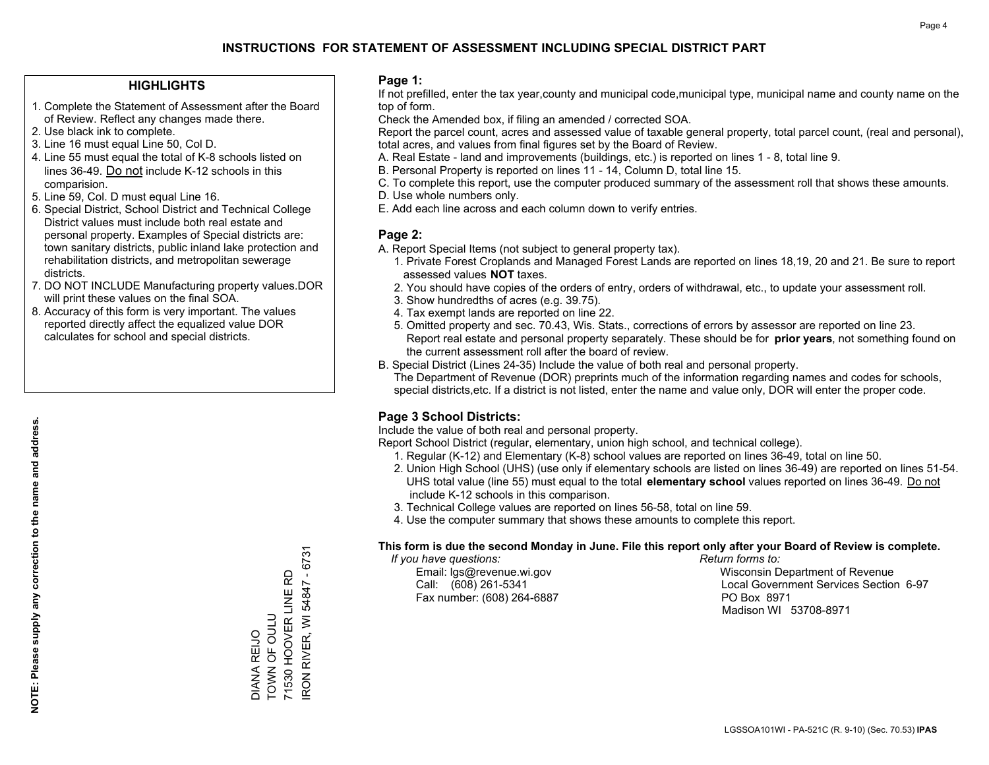### **HIGHLIGHTS**

- 1. Complete the Statement of Assessment after the Board of Review. Reflect any changes made there.
- 2. Use black ink to complete.
- 3. Line 16 must equal Line 50, Col D.
- 4. Line 55 must equal the total of K-8 schools listed on lines 36-49. Do not include K-12 schools in this comparision.
- 5. Line 59, Col. D must equal Line 16.
- 6. Special District, School District and Technical College District values must include both real estate and personal property. Examples of Special districts are: town sanitary districts, public inland lake protection and rehabilitation districts, and metropolitan sewerage districts.
- 7. DO NOT INCLUDE Manufacturing property values.DOR will print these values on the final SOA.

DIANA REIJO TOWN OF OULU

DIANA REIJO<br>TOWN OF OULU

71530 HOOVER LINE RD IRON RIVER, WI 54847 - 6731

RON RIVER, WI 54847 - 6731 71530 HOOVER LINE RD

 8. Accuracy of this form is very important. The values reported directly affect the equalized value DOR calculates for school and special districts.

### **Page 1:**

 If not prefilled, enter the tax year,county and municipal code,municipal type, municipal name and county name on the top of form.

Check the Amended box, if filing an amended / corrected SOA.

 Report the parcel count, acres and assessed value of taxable general property, total parcel count, (real and personal), total acres, and values from final figures set by the Board of Review.

- A. Real Estate land and improvements (buildings, etc.) is reported on lines 1 8, total line 9.
- B. Personal Property is reported on lines 11 14, Column D, total line 15.
- C. To complete this report, use the computer produced summary of the assessment roll that shows these amounts.
- D. Use whole numbers only.
- E. Add each line across and each column down to verify entries.

### **Page 2:**

- A. Report Special Items (not subject to general property tax).
- 1. Private Forest Croplands and Managed Forest Lands are reported on lines 18,19, 20 and 21. Be sure to report assessed values **NOT** taxes.
- 2. You should have copies of the orders of entry, orders of withdrawal, etc., to update your assessment roll.
	- 3. Show hundredths of acres (e.g. 39.75).
- 4. Tax exempt lands are reported on line 22.
- 5. Omitted property and sec. 70.43, Wis. Stats., corrections of errors by assessor are reported on line 23. Report real estate and personal property separately. These should be for **prior years**, not something found on the current assessment roll after the board of review.
- B. Special District (Lines 24-35) Include the value of both real and personal property.

 The Department of Revenue (DOR) preprints much of the information regarding names and codes for schools, special districts,etc. If a district is not listed, enter the name and value only, DOR will enter the proper code.

### **Page 3 School Districts:**

Include the value of both real and personal property.

Report School District (regular, elementary, union high school, and technical college).

- 1. Regular (K-12) and Elementary (K-8) school values are reported on lines 36-49, total on line 50.
- 2. Union High School (UHS) (use only if elementary schools are listed on lines 36-49) are reported on lines 51-54. UHS total value (line 55) must equal to the total **elementary school** values reported on lines 36-49. Do notinclude K-12 schools in this comparison.
- 3. Technical College values are reported on lines 56-58, total on line 59.
- 4. Use the computer summary that shows these amounts to complete this report.

#### **This form is due the second Monday in June. File this report only after your Board of Review is complete.**

 *If you have questions: Return forms to:*

Fax number: (608) 264-6887 PO Box 8971

 Email: lgs@revenue.wi.gov Wisconsin Department of Revenue Call: (608) 261-5341 Local Government Services Section 6-97Madison WI 53708-8971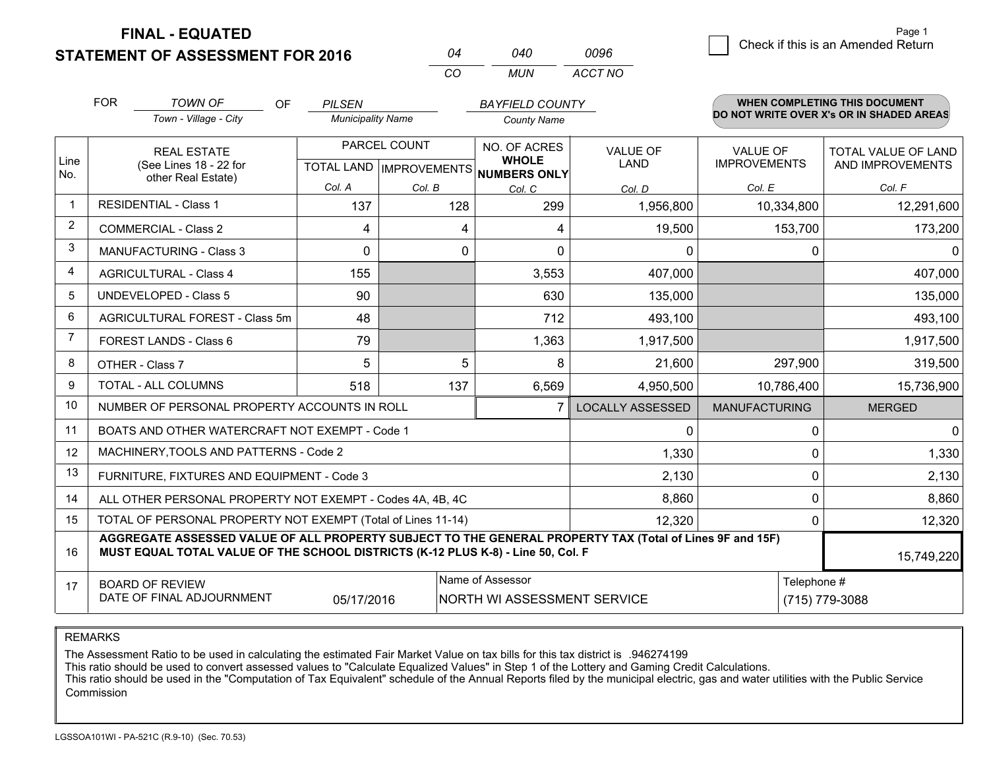**STATEMENT OF ASSESSMENT FOR 2016** 

**FINAL - EQUATED**

|   |                                    | Page 1 |
|---|------------------------------------|--------|
| 6 | Check if this is an Amended Return |        |

|             | <b>FOR</b>                                                                                                                                                                                                 | <b>TOWN OF</b><br>OF.                                        | <b>PILSEN</b>            |              | <b>BAYFIELD COUNTY</b>                               |                         |                      | <b>WHEN COMPLETING THIS DOCUMENT</b>     |  |
|-------------|------------------------------------------------------------------------------------------------------------------------------------------------------------------------------------------------------------|--------------------------------------------------------------|--------------------------|--------------|------------------------------------------------------|-------------------------|----------------------|------------------------------------------|--|
|             |                                                                                                                                                                                                            | Town - Village - City                                        | <b>Municipality Name</b> |              | <b>County Name</b>                                   |                         |                      | DO NOT WRITE OVER X's OR IN SHADED AREAS |  |
|             |                                                                                                                                                                                                            | <b>REAL ESTATE</b>                                           |                          | PARCEL COUNT | <b>NO. OF ACRES</b>                                  | VALUE OF                | <b>VALUE OF</b>      | TOTAL VALUE OF LAND                      |  |
| Line<br>No. | (See Lines 18 - 22 for<br>other Real Estate)                                                                                                                                                               |                                                              |                          |              | <b>WHOLE</b><br>TOTAL LAND IMPROVEMENTS NUMBERS ONLY | LAND                    | <b>IMPROVEMENTS</b>  | AND IMPROVEMENTS                         |  |
|             |                                                                                                                                                                                                            |                                                              | Col. A                   | Col. B       | Col. C                                               | Col. D                  | Col. E               | Col. F                                   |  |
|             | <b>RESIDENTIAL - Class 1</b>                                                                                                                                                                               |                                                              | 137                      | 128          | 299                                                  | 1,956,800               | 10,334,800           | 12,291,600                               |  |
| 2           | <b>COMMERCIAL - Class 2</b>                                                                                                                                                                                |                                                              | 4                        |              | 4<br>4                                               | 19,500                  | 153,700              | 173,200                                  |  |
| 3           | <b>MANUFACTURING - Class 3</b>                                                                                                                                                                             |                                                              | $\Omega$                 |              | 0<br>$\Omega$                                        | $\Omega$                |                      | $\Omega$<br>$\Omega$                     |  |
| 4           |                                                                                                                                                                                                            | <b>AGRICULTURAL - Class 4</b>                                | 155                      |              | 3,553                                                | 407,000                 |                      | 407,000                                  |  |
| 5           |                                                                                                                                                                                                            | <b>UNDEVELOPED - Class 5</b>                                 | 90                       |              | 630                                                  | 135,000                 |                      | 135,000                                  |  |
| 6           |                                                                                                                                                                                                            | AGRICULTURAL FOREST - Class 5m                               | 48                       |              | 712                                                  | 493,100                 |                      | 493,100                                  |  |
| 7           | FOREST LANDS - Class 6                                                                                                                                                                                     |                                                              | 79                       |              | 1,363                                                | 1,917,500               |                      | 1,917,500                                |  |
| 8           |                                                                                                                                                                                                            | OTHER - Class 7                                              | 5                        |              | 5<br>8                                               | 21,600                  | 297,900              | 319,500                                  |  |
| 9           |                                                                                                                                                                                                            | TOTAL - ALL COLUMNS                                          | 518                      | 137          | 6,569                                                | 4,950,500               | 10,786,400           | 15,736,900                               |  |
| 10          |                                                                                                                                                                                                            | NUMBER OF PERSONAL PROPERTY ACCOUNTS IN ROLL                 |                          |              |                                                      | <b>LOCALLY ASSESSED</b> | <b>MANUFACTURING</b> | <b>MERGED</b>                            |  |
| 11          |                                                                                                                                                                                                            | BOATS AND OTHER WATERCRAFT NOT EXEMPT - Code 1               |                          |              |                                                      | $\Omega$                |                      | $\Omega$<br>$\mathbf 0$                  |  |
| 12          |                                                                                                                                                                                                            | MACHINERY, TOOLS AND PATTERNS - Code 2                       |                          |              |                                                      | 1,330                   |                      | 1,330<br>$\Omega$                        |  |
| 13          |                                                                                                                                                                                                            | FURNITURE, FIXTURES AND EQUIPMENT - Code 3                   |                          |              |                                                      | 2,130                   |                      | $\Omega$<br>2,130                        |  |
| 14          |                                                                                                                                                                                                            | ALL OTHER PERSONAL PROPERTY NOT EXEMPT - Codes 4A, 4B, 4C    |                          |              |                                                      | 8,860                   |                      | $\Omega$<br>8,860                        |  |
| 15          |                                                                                                                                                                                                            | TOTAL OF PERSONAL PROPERTY NOT EXEMPT (Total of Lines 11-14) |                          |              |                                                      | 12,320                  |                      | 12,320<br>$\Omega$                       |  |
| 16          | AGGREGATE ASSESSED VALUE OF ALL PROPERTY SUBJECT TO THE GENERAL PROPERTY TAX (Total of Lines 9F and 15F)<br>MUST EQUAL TOTAL VALUE OF THE SCHOOL DISTRICTS (K-12 PLUS K-8) - Line 50, Col. F<br>15,749,220 |                                                              |                          |              |                                                      |                         |                      |                                          |  |
| 17          | Name of Assessor<br><b>BOARD OF REVIEW</b>                                                                                                                                                                 |                                                              |                          |              |                                                      |                         | Telephone #          |                                          |  |
|             |                                                                                                                                                                                                            | DATE OF FINAL ADJOURNMENT                                    | 05/17/2016               |              | NORTH WI ASSESSMENT SERVICE                          |                         | (715) 779-3088       |                                          |  |

*CO*

*MUN*

*ACCT NO0096*

*<sup>04</sup> <sup>040</sup>*

REMARKS

The Assessment Ratio to be used in calculating the estimated Fair Market Value on tax bills for this tax district is .946274199<br>This ratio should be used to convert assessed values to "Calculate Equalized Values" in Step 1 Commission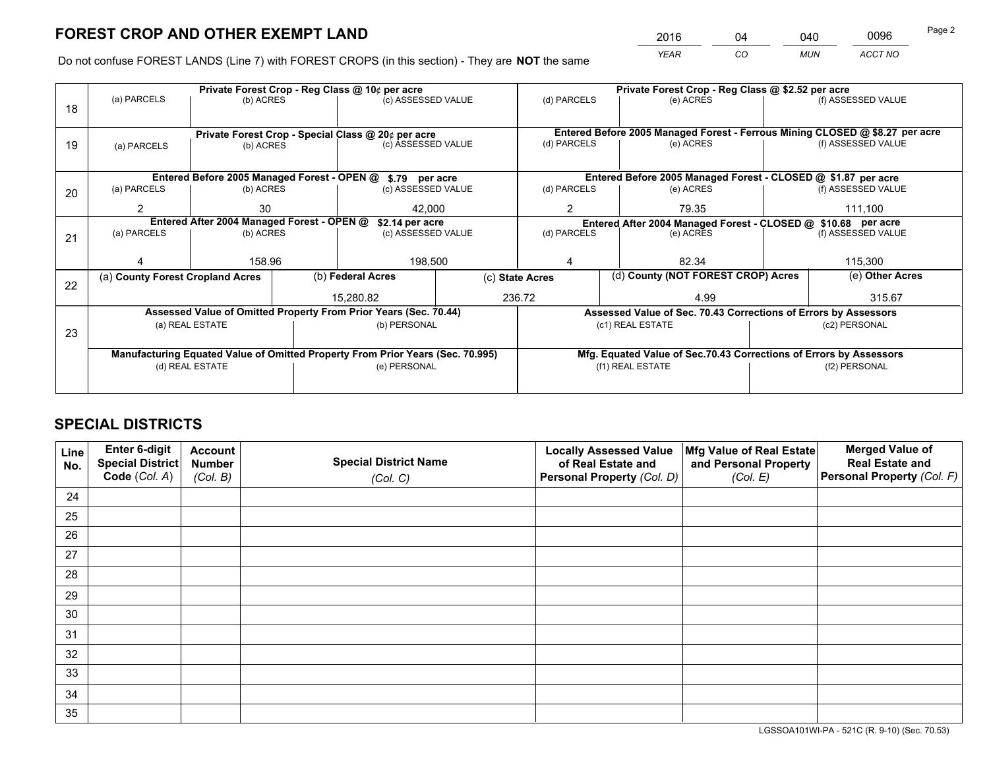*YEAR CO MUN ACCT NO* <sup>2016</sup> <sup>04</sup> <sup>040</sup> <sup>0096</sup>

Do not confuse FOREST LANDS (Line 7) with FOREST CROPS (in this section) - They are **NOT** the same

|    |                                                               |                 |  | Private Forest Crop - Reg Class @ 10¢ per acre                                 |                 |                                                                              | Private Forest Crop - Reg Class @ \$2.52 per acre                  |  |                    |  |
|----|---------------------------------------------------------------|-----------------|--|--------------------------------------------------------------------------------|-----------------|------------------------------------------------------------------------------|--------------------------------------------------------------------|--|--------------------|--|
| 18 | (a) PARCELS                                                   | (b) ACRES       |  | (c) ASSESSED VALUE                                                             |                 | (d) PARCELS                                                                  | (e) ACRES                                                          |  | (f) ASSESSED VALUE |  |
|    |                                                               |                 |  |                                                                                |                 | Entered Before 2005 Managed Forest - Ferrous Mining CLOSED @ \$8.27 per acre |                                                                    |  |                    |  |
| 19 | (a) PARCELS                                                   | (b) ACRES       |  | Private Forest Crop - Special Class @ 20¢ per acre<br>(c) ASSESSED VALUE       |                 | (d) PARCELS                                                                  | (e) ACRES                                                          |  | (f) ASSESSED VALUE |  |
|    |                                                               |                 |  |                                                                                |                 |                                                                              |                                                                    |  |                    |  |
|    | Entered Before 2005 Managed Forest - OPEN @ \$.79 per acre    |                 |  |                                                                                |                 |                                                                              | Entered Before 2005 Managed Forest - CLOSED @ \$1.87 per acre      |  |                    |  |
| 20 | (a) PARCELS                                                   | (b) ACRES       |  | (c) ASSESSED VALUE                                                             |                 | (d) PARCELS                                                                  | (e) ACRES                                                          |  | (f) ASSESSED VALUE |  |
|    | 2                                                             | 30              |  | 42.000                                                                         |                 | 2                                                                            | 79.35                                                              |  | 111,100            |  |
|    | Entered After 2004 Managed Forest - OPEN @<br>\$2.14 per acre |                 |  |                                                                                |                 |                                                                              | Entered After 2004 Managed Forest - CLOSED @ \$10.68 per acre      |  |                    |  |
| 21 | (a) PARCELS                                                   | (b) ACRES       |  | (c) ASSESSED VALUE                                                             |                 | (d) PARCELS                                                                  | (e) ACRES                                                          |  |                    |  |
|    |                                                               |                 |  |                                                                                |                 |                                                                              |                                                                    |  |                    |  |
|    |                                                               | 158.96          |  | 198,500                                                                        |                 |                                                                              | 82.34                                                              |  |                    |  |
| 22 | (a) County Forest Cropland Acres                              |                 |  | (b) Federal Acres                                                              | (c) State Acres |                                                                              | (d) County (NOT FOREST CROP) Acres                                 |  | (e) Other Acres    |  |
|    |                                                               |                 |  | 15.280.82                                                                      |                 | 236.72                                                                       | 4.99                                                               |  | 315.67             |  |
|    |                                                               |                 |  | Assessed Value of Omitted Property From Prior Years (Sec. 70.44)               |                 |                                                                              | Assessed Value of Sec. 70.43 Corrections of Errors by Assessors    |  |                    |  |
|    |                                                               | (a) REAL ESTATE |  | (b) PERSONAL                                                                   |                 |                                                                              | (c1) REAL ESTATE                                                   |  | (c2) PERSONAL      |  |
| 23 |                                                               |                 |  |                                                                                |                 |                                                                              |                                                                    |  |                    |  |
|    |                                                               |                 |  | Manufacturing Equated Value of Omitted Property From Prior Years (Sec. 70.995) |                 |                                                                              | Mfg. Equated Value of Sec.70.43 Corrections of Errors by Assessors |  |                    |  |
|    |                                                               | (d) REAL ESTATE |  | (e) PERSONAL                                                                   |                 | (f1) REAL ESTATE                                                             |                                                                    |  | (f2) PERSONAL      |  |
|    |                                                               |                 |  |                                                                                |                 |                                                                              |                                                                    |  |                    |  |
|    |                                                               |                 |  |                                                                                |                 |                                                                              |                                                                    |  |                    |  |

# **SPECIAL DISTRICTS**

| Line<br>No. | Enter 6-digit<br><b>Special District</b> | <b>Account</b><br><b>Number</b> | <b>Special District Name</b> | <b>Locally Assessed Value</b><br>of Real Estate and | Mfg Value of Real Estate<br>and Personal Property | <b>Merged Value of</b><br><b>Real Estate and</b> |
|-------------|------------------------------------------|---------------------------------|------------------------------|-----------------------------------------------------|---------------------------------------------------|--------------------------------------------------|
|             | Code (Col. A)                            | (Col. B)                        | (Col. C)                     | Personal Property (Col. D)                          | (Col. E)                                          | Personal Property (Col. F)                       |
| 24          |                                          |                                 |                              |                                                     |                                                   |                                                  |
| 25          |                                          |                                 |                              |                                                     |                                                   |                                                  |
| 26          |                                          |                                 |                              |                                                     |                                                   |                                                  |
| 27          |                                          |                                 |                              |                                                     |                                                   |                                                  |
| 28          |                                          |                                 |                              |                                                     |                                                   |                                                  |
| 29          |                                          |                                 |                              |                                                     |                                                   |                                                  |
| 30          |                                          |                                 |                              |                                                     |                                                   |                                                  |
| 31          |                                          |                                 |                              |                                                     |                                                   |                                                  |
| 32          |                                          |                                 |                              |                                                     |                                                   |                                                  |
| 33          |                                          |                                 |                              |                                                     |                                                   |                                                  |
| 34          |                                          |                                 |                              |                                                     |                                                   |                                                  |
| 35          |                                          |                                 |                              |                                                     |                                                   |                                                  |

LGSSOA101WI-PA - 521C (R. 9-10) (Sec. 70.53)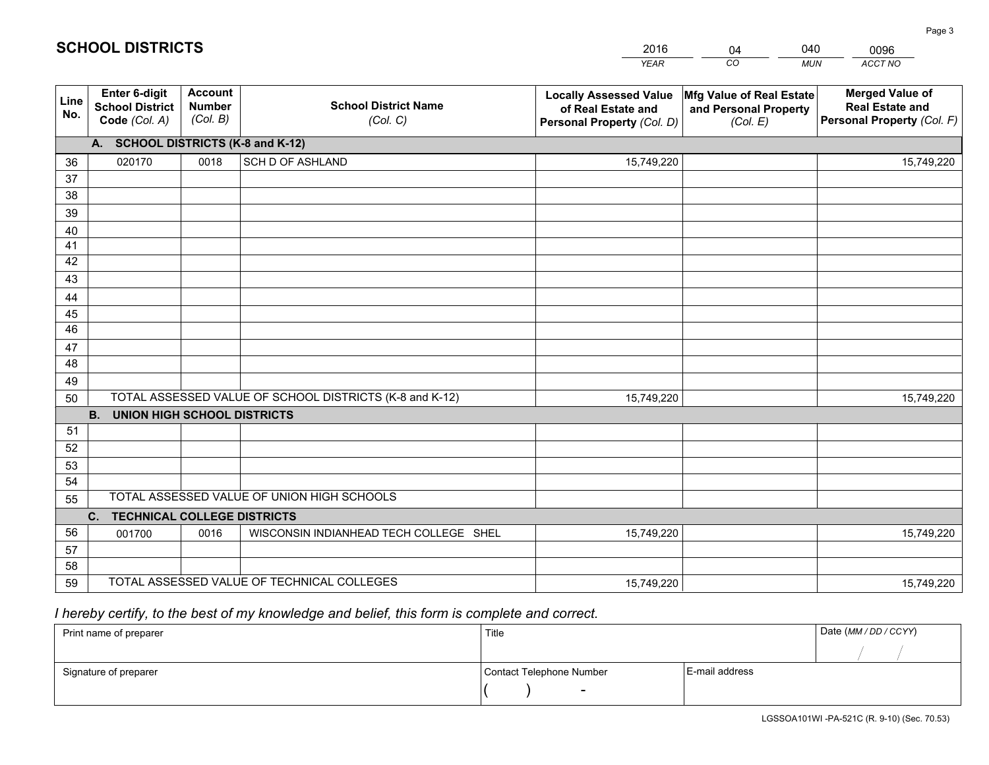|             |                                                          |                                             |                                                         | <b>YEAR</b>                                                                       | CO<br><b>MUN</b>                                              | ACCT NO                                                                        |
|-------------|----------------------------------------------------------|---------------------------------------------|---------------------------------------------------------|-----------------------------------------------------------------------------------|---------------------------------------------------------------|--------------------------------------------------------------------------------|
| Line<br>No. | Enter 6-digit<br><b>School District</b><br>Code (Col. A) | <b>Account</b><br><b>Number</b><br>(Col. B) | <b>School District Name</b><br>(Col. C)                 | <b>Locally Assessed Value</b><br>of Real Estate and<br>Personal Property (Col. D) | Mfg Value of Real Estate<br>and Personal Property<br>(Col. E) | <b>Merged Value of</b><br><b>Real Estate and</b><br>Personal Property (Col. F) |
|             | A. SCHOOL DISTRICTS (K-8 and K-12)                       |                                             |                                                         |                                                                                   |                                                               |                                                                                |
| 36          | 020170                                                   | 0018                                        | <b>SCH D OF ASHLAND</b>                                 | 15,749,220                                                                        |                                                               | 15,749,220                                                                     |
| 37          |                                                          |                                             |                                                         |                                                                                   |                                                               |                                                                                |
| 38          |                                                          |                                             |                                                         |                                                                                   |                                                               |                                                                                |
| 39          |                                                          |                                             |                                                         |                                                                                   |                                                               |                                                                                |
| 40          |                                                          |                                             |                                                         |                                                                                   |                                                               |                                                                                |
| 41          |                                                          |                                             |                                                         |                                                                                   |                                                               |                                                                                |
| 42          |                                                          |                                             |                                                         |                                                                                   |                                                               |                                                                                |
| 43          |                                                          |                                             |                                                         |                                                                                   |                                                               |                                                                                |
| 44<br>45    |                                                          |                                             |                                                         |                                                                                   |                                                               |                                                                                |
| 46          |                                                          |                                             |                                                         |                                                                                   |                                                               |                                                                                |
| 47          |                                                          |                                             |                                                         |                                                                                   |                                                               |                                                                                |
| 48          |                                                          |                                             |                                                         |                                                                                   |                                                               |                                                                                |
| 49          |                                                          |                                             |                                                         |                                                                                   |                                                               |                                                                                |
| 50          |                                                          |                                             | TOTAL ASSESSED VALUE OF SCHOOL DISTRICTS (K-8 and K-12) | 15,749,220                                                                        |                                                               | 15,749,220                                                                     |
|             | <b>B.</b><br><b>UNION HIGH SCHOOL DISTRICTS</b>          |                                             |                                                         |                                                                                   |                                                               |                                                                                |
| 51          |                                                          |                                             |                                                         |                                                                                   |                                                               |                                                                                |
| 52          |                                                          |                                             |                                                         |                                                                                   |                                                               |                                                                                |
| 53          |                                                          |                                             |                                                         |                                                                                   |                                                               |                                                                                |
| 54          |                                                          |                                             |                                                         |                                                                                   |                                                               |                                                                                |
| 55          |                                                          |                                             | TOTAL ASSESSED VALUE OF UNION HIGH SCHOOLS              |                                                                                   |                                                               |                                                                                |
|             | C.<br><b>TECHNICAL COLLEGE DISTRICTS</b>                 |                                             |                                                         |                                                                                   |                                                               |                                                                                |
| 56          | 001700                                                   | 0016                                        | WISCONSIN INDIANHEAD TECH COLLEGE SHEL                  | 15,749,220                                                                        |                                                               | 15,749,220                                                                     |
| 57          |                                                          |                                             |                                                         |                                                                                   |                                                               |                                                                                |
| 58          |                                                          |                                             |                                                         |                                                                                   |                                                               |                                                                                |
| 59          |                                                          |                                             | TOTAL ASSESSED VALUE OF TECHNICAL COLLEGES              | 15,749,220                                                                        |                                                               | 15,749,220                                                                     |

04

040

 *I hereby certify, to the best of my knowledge and belief, this form is complete and correct.*

**SCHOOL DISTRICTS**

| Print name of preparer | Title                    | Date (MM / DD / CCYY) |  |
|------------------------|--------------------------|-----------------------|--|
|                        |                          |                       |  |
| Signature of preparer  | Contact Telephone Number | E-mail address        |  |
|                        | -                        |                       |  |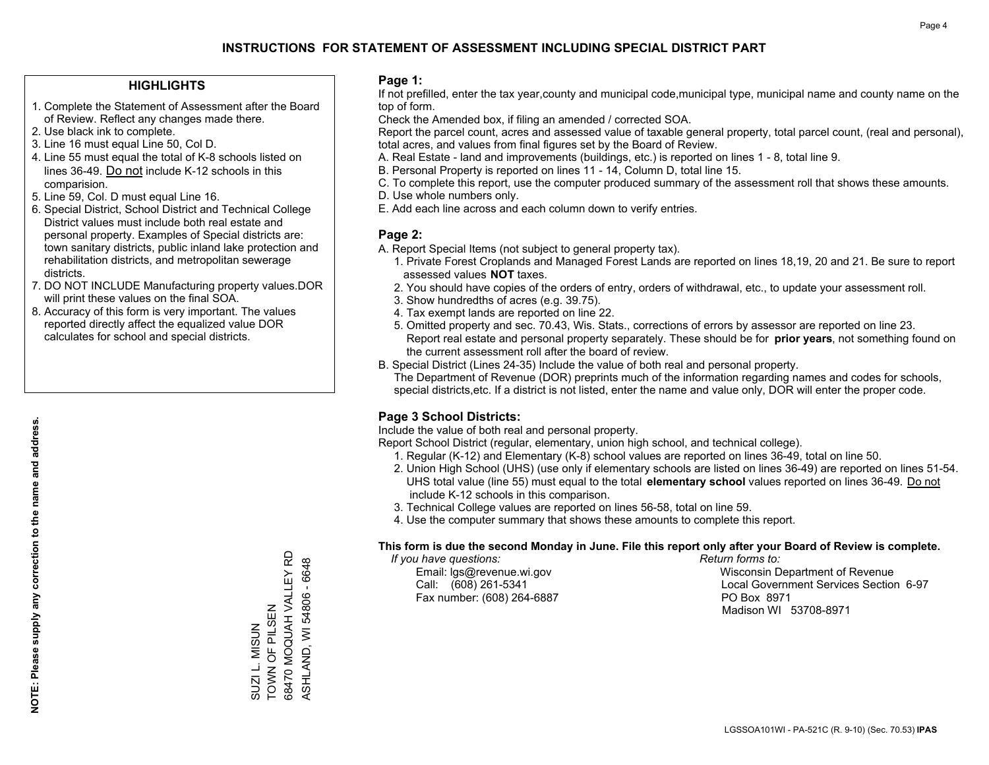### **HIGHLIGHTS**

- 1. Complete the Statement of Assessment after the Board of Review. Reflect any changes made there.
- 2. Use black ink to complete.
- 3. Line 16 must equal Line 50, Col D.
- 4. Line 55 must equal the total of K-8 schools listed on lines 36-49. Do not include K-12 schools in this comparision.
- 5. Line 59, Col. D must equal Line 16.
- 6. Special District, School District and Technical College District values must include both real estate and personal property. Examples of Special districts are: town sanitary districts, public inland lake protection and rehabilitation districts, and metropolitan sewerage districts.
- 7. DO NOT INCLUDE Manufacturing property values.DOR will print these values on the final SOA.

SUZI L. MISUN TOWN OF PILSEN

SUZI L. MISUN<br>TOWN OF PILSEN

68470 MOQUAH VALLEY RD ASHLAND, WI 54806 - 6648

68470 MOQUAH VALLEY RD ASHLAND, WI 54806 - 6648

 8. Accuracy of this form is very important. The values reported directly affect the equalized value DOR calculates for school and special districts.

### **Page 1:**

 If not prefilled, enter the tax year,county and municipal code,municipal type, municipal name and county name on the top of form.

Check the Amended box, if filing an amended / corrected SOA.

 Report the parcel count, acres and assessed value of taxable general property, total parcel count, (real and personal), total acres, and values from final figures set by the Board of Review.

- A. Real Estate land and improvements (buildings, etc.) is reported on lines 1 8, total line 9.
- B. Personal Property is reported on lines 11 14, Column D, total line 15.
- C. To complete this report, use the computer produced summary of the assessment roll that shows these amounts.
- D. Use whole numbers only.
- E. Add each line across and each column down to verify entries.

### **Page 2:**

- A. Report Special Items (not subject to general property tax).
- 1. Private Forest Croplands and Managed Forest Lands are reported on lines 18,19, 20 and 21. Be sure to report assessed values **NOT** taxes.
- 2. You should have copies of the orders of entry, orders of withdrawal, etc., to update your assessment roll.
	- 3. Show hundredths of acres (e.g. 39.75).
- 4. Tax exempt lands are reported on line 22.
- 5. Omitted property and sec. 70.43, Wis. Stats., corrections of errors by assessor are reported on line 23. Report real estate and personal property separately. These should be for **prior years**, not something found on the current assessment roll after the board of review.
- B. Special District (Lines 24-35) Include the value of both real and personal property.

 The Department of Revenue (DOR) preprints much of the information regarding names and codes for schools, special districts,etc. If a district is not listed, enter the name and value only, DOR will enter the proper code.

### **Page 3 School Districts:**

Include the value of both real and personal property.

Report School District (regular, elementary, union high school, and technical college).

- 1. Regular (K-12) and Elementary (K-8) school values are reported on lines 36-49, total on line 50.
- 2. Union High School (UHS) (use only if elementary schools are listed on lines 36-49) are reported on lines 51-54. UHS total value (line 55) must equal to the total **elementary school** values reported on lines 36-49. Do notinclude K-12 schools in this comparison.
- 3. Technical College values are reported on lines 56-58, total on line 59.
- 4. Use the computer summary that shows these amounts to complete this report.

#### **This form is due the second Monday in June. File this report only after your Board of Review is complete.**

 *If you have questions: Return forms to:*

Fax number: (608) 264-6887 PO Box 8971

 Email: lgs@revenue.wi.gov Wisconsin Department of Revenue Call: (608) 261-5341 Local Government Services Section 6-97Madison WI 53708-8971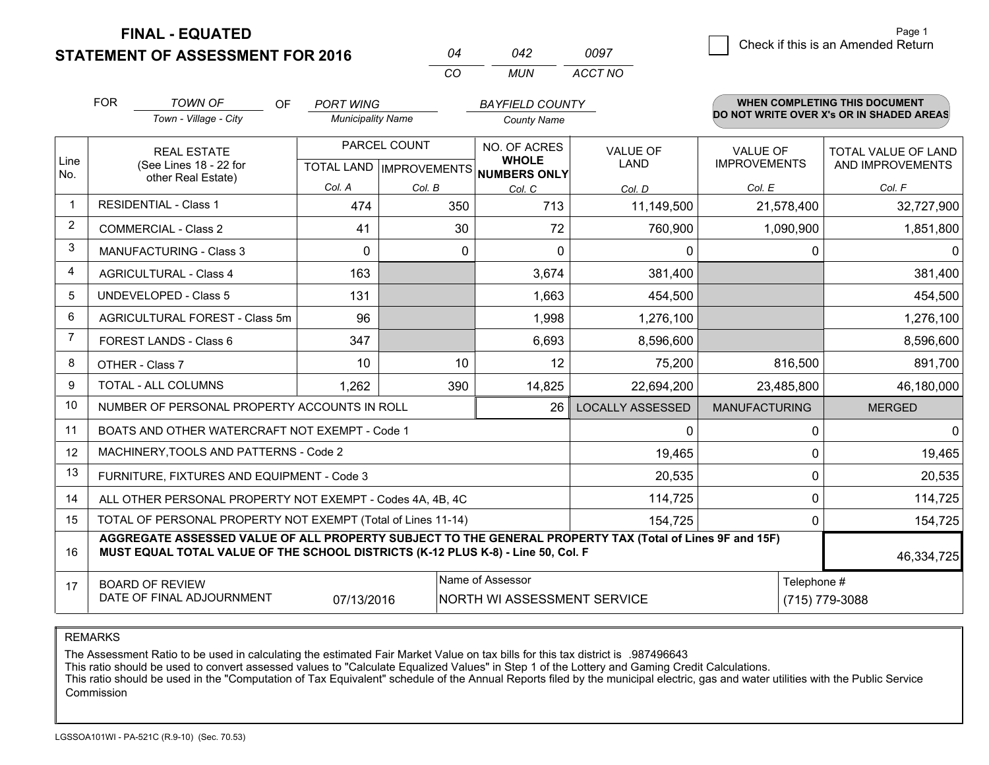**STATEMENT OF ASSESSMENT FOR 2016** 

**FINAL - EQUATED**

7 Check if this is an Amended Return<br>7 Page 1

|                | <b>FOR</b>                                                             | <b>TOWN OF</b><br>OF                                                                                                                                                                         | <b>PORT WING</b>         |                                  | <b>BAYFIELD COUNTY</b>              |                         |                      | <b>WHEN COMPLETING THIS DOCUMENT</b>     |
|----------------|------------------------------------------------------------------------|----------------------------------------------------------------------------------------------------------------------------------------------------------------------------------------------|--------------------------|----------------------------------|-------------------------------------|-------------------------|----------------------|------------------------------------------|
|                |                                                                        | Town - Village - City                                                                                                                                                                        | <b>Municipality Name</b> |                                  | <b>County Name</b>                  |                         |                      | DO NOT WRITE OVER X's OR IN SHADED AREAS |
|                |                                                                        | <b>REAL ESTATE</b>                                                                                                                                                                           |                          | PARCEL COUNT                     | NO. OF ACRES                        | <b>VALUE OF</b>         | <b>VALUE OF</b>      | TOTAL VALUE OF LAND                      |
| Line<br>No.    |                                                                        | (See Lines 18 - 22 for<br>other Real Estate)                                                                                                                                                 |                          | <b>TOTAL LAND   IMPROVEMENTS</b> | <b>WHOLE</b><br><b>NUMBERS ONLY</b> | LAND                    | <b>IMPROVEMENTS</b>  | AND IMPROVEMENTS                         |
|                |                                                                        |                                                                                                                                                                                              | Col. A                   | Col. B                           | Col. C                              | Col. D                  | Col. E               | Col. F                                   |
| $\mathbf 1$    |                                                                        | <b>RESIDENTIAL - Class 1</b>                                                                                                                                                                 | 474                      | 350                              | 713                                 | 11,149,500              | 21,578,400           | 32,727,900                               |
| $\overline{2}$ | <b>COMMERCIAL - Class 2</b>                                            |                                                                                                                                                                                              | 41                       | 30                               | 72                                  | 760,900                 | 1,090,900            | 1,851,800                                |
| 3              |                                                                        | <b>MANUFACTURING - Class 3</b>                                                                                                                                                               | $\Omega$                 | $\Omega$                         | $\Omega$                            | $\Omega$                | 0                    | $\Omega$                                 |
| 4              |                                                                        | <b>AGRICULTURAL - Class 4</b>                                                                                                                                                                | 163                      |                                  | 3,674                               | 381,400                 |                      | 381,400                                  |
| 5              |                                                                        | <b>UNDEVELOPED - Class 5</b>                                                                                                                                                                 | 131                      |                                  | 1,663                               | 454,500                 |                      | 454,500                                  |
| 6              |                                                                        | AGRICULTURAL FOREST - Class 5m                                                                                                                                                               | 96                       |                                  | 1,998                               | 1,276,100               |                      | 1,276,100                                |
| $\overline{7}$ |                                                                        | FOREST LANDS - Class 6                                                                                                                                                                       | 347                      |                                  | 6,693                               | 8,596,600               |                      | 8,596,600                                |
| 8              |                                                                        | OTHER - Class 7                                                                                                                                                                              | 10                       | 10                               | 12                                  | 75,200                  | 816,500              | 891,700                                  |
| 9              |                                                                        | <b>TOTAL - ALL COLUMNS</b>                                                                                                                                                                   | 1,262                    | 390                              | 14,825                              | 22,694,200              | 23,485,800           | 46,180,000                               |
| 10             |                                                                        | NUMBER OF PERSONAL PROPERTY ACCOUNTS IN ROLL                                                                                                                                                 |                          |                                  | 26                                  | <b>LOCALLY ASSESSED</b> | <b>MANUFACTURING</b> | <b>MERGED</b>                            |
| 11             |                                                                        | BOATS AND OTHER WATERCRAFT NOT EXEMPT - Code 1                                                                                                                                               |                          |                                  |                                     | 0                       | 0                    | $\Omega$                                 |
| 12             |                                                                        | MACHINERY, TOOLS AND PATTERNS - Code 2                                                                                                                                                       |                          |                                  |                                     | 19,465                  | 0                    | 19,465                                   |
| 13             |                                                                        | FURNITURE, FIXTURES AND EQUIPMENT - Code 3                                                                                                                                                   |                          |                                  |                                     | 20,535                  | $\Omega$             | 20,535                                   |
| 14             |                                                                        | ALL OTHER PERSONAL PROPERTY NOT EXEMPT - Codes 4A, 4B, 4C                                                                                                                                    |                          |                                  |                                     | 114,725                 | 0                    | 114,725                                  |
| 15             |                                                                        | TOTAL OF PERSONAL PROPERTY NOT EXEMPT (Total of Lines 11-14)                                                                                                                                 |                          |                                  |                                     | 154,725                 | 0                    | 154,725                                  |
| 16             |                                                                        | AGGREGATE ASSESSED VALUE OF ALL PROPERTY SUBJECT TO THE GENERAL PROPERTY TAX (Total of Lines 9F and 15F)<br>MUST EQUAL TOTAL VALUE OF THE SCHOOL DISTRICTS (K-12 PLUS K-8) - Line 50, Col. F |                          |                                  |                                     |                         |                      | 46,334,725                               |
| 17             |                                                                        | <b>BOARD OF REVIEW</b>                                                                                                                                                                       |                          |                                  | Name of Assessor                    |                         | Telephone #          |                                          |
|                | DATE OF FINAL ADJOURNMENT<br>07/13/2016<br>NORTH WI ASSESSMENT SERVICE |                                                                                                                                                                                              |                          |                                  |                                     |                         |                      | (715) 779-3088                           |

*CO*

*MUN*

*ACCT NO0097*

*<sup>04</sup> <sup>042</sup>*

REMARKS

The Assessment Ratio to be used in calculating the estimated Fair Market Value on tax bills for this tax district is .987496643<br>This ratio should be used to convert assessed values to "Calculate Equalized Values" in Step 1 Commission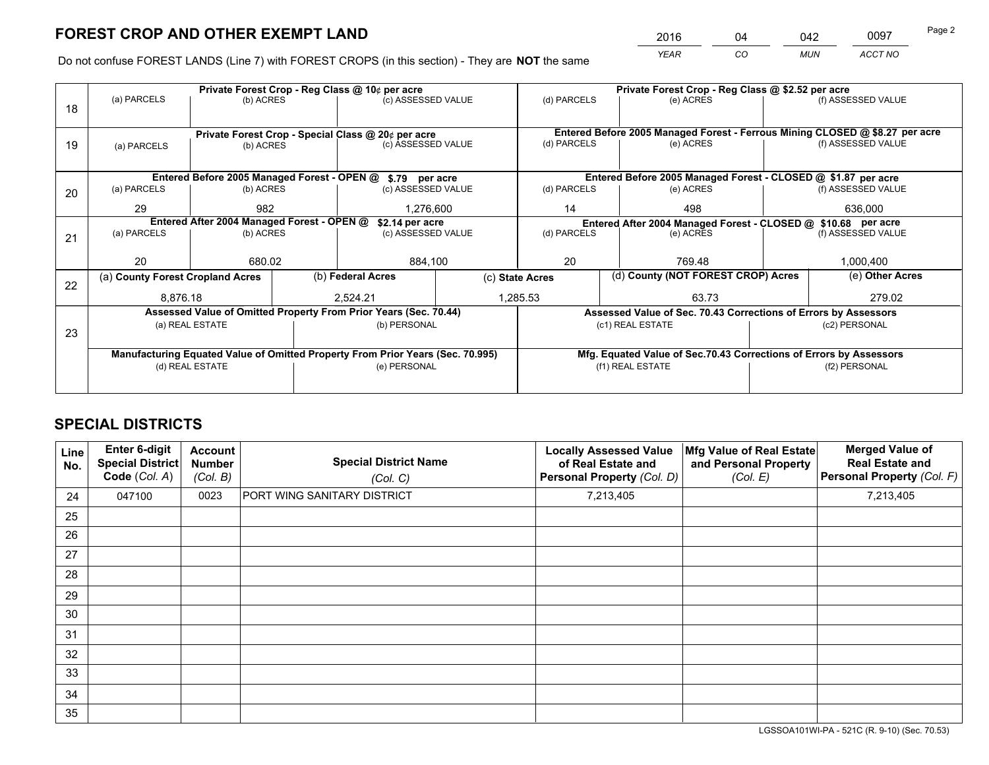*YEAR CO MUN ACCT NO* 2016 04 042 0097

Do not confuse FOREST LANDS (Line 7) with FOREST CROPS (in this section) - They are **NOT** the same

|    |                                                               |                                 |  | Private Forest Crop - Reg Class @ 10¢ per acre                                 |             |                                                       | Private Forest Crop - Reg Class @ \$2.52 per acre                            |         |                    |  |
|----|---------------------------------------------------------------|---------------------------------|--|--------------------------------------------------------------------------------|-------------|-------------------------------------------------------|------------------------------------------------------------------------------|---------|--------------------|--|
| 18 | (a) PARCELS                                                   | (b) ACRES                       |  | (c) ASSESSED VALUE                                                             |             | (d) PARCELS                                           | (e) ACRES                                                                    |         | (f) ASSESSED VALUE |  |
|    |                                                               |                                 |  |                                                                                |             |                                                       |                                                                              |         |                    |  |
|    |                                                               |                                 |  | Private Forest Crop - Special Class @ 20¢ per acre                             |             |                                                       | Entered Before 2005 Managed Forest - Ferrous Mining CLOSED @ \$8.27 per acre |         |                    |  |
| 19 | (a) PARCELS                                                   | (c) ASSESSED VALUE<br>(b) ACRES |  |                                                                                |             | (d) PARCELS                                           | (e) ACRES                                                                    |         | (f) ASSESSED VALUE |  |
|    |                                                               |                                 |  |                                                                                |             |                                                       |                                                                              |         |                    |  |
|    | Entered Before 2005 Managed Forest - OPEN @ \$.79 per acre    |                                 |  |                                                                                |             |                                                       | Entered Before 2005 Managed Forest - CLOSED @ \$1.87 per acre                |         |                    |  |
| 20 | (a) PARCELS                                                   | (b) ACRES                       |  | (c) ASSESSED VALUE                                                             |             | (d) PARCELS                                           | (e) ACRES                                                                    |         | (f) ASSESSED VALUE |  |
|    | 29                                                            | 982                             |  | 1,276,600                                                                      |             | 14                                                    | 498                                                                          | 636,000 |                    |  |
|    | Entered After 2004 Managed Forest - OPEN @<br>\$2.14 per acre |                                 |  |                                                                                |             |                                                       | Entered After 2004 Managed Forest - CLOSED @ \$10.68 per acre                |         |                    |  |
| 21 | (a) PARCELS                                                   | (b) ACRES                       |  | (c) ASSESSED VALUE                                                             | (d) PARCELS |                                                       | (e) ACRES                                                                    |         | (f) ASSESSED VALUE |  |
|    |                                                               |                                 |  |                                                                                |             |                                                       |                                                                              |         |                    |  |
|    | 20                                                            | 680.02                          |  | 884,100                                                                        |             | 20                                                    | 769.48                                                                       |         |                    |  |
| 22 | (a) County Forest Cropland Acres                              |                                 |  | (b) Federal Acres                                                              |             | (d) County (NOT FOREST CROP) Acres<br>(c) State Acres |                                                                              |         | (e) Other Acres    |  |
|    | 8,876.18                                                      |                                 |  | 2.524.21                                                                       |             | 1,285.53<br>63.73                                     |                                                                              |         | 279.02             |  |
|    |                                                               |                                 |  | Assessed Value of Omitted Property From Prior Years (Sec. 70.44)               |             |                                                       | Assessed Value of Sec. 70.43 Corrections of Errors by Assessors              |         |                    |  |
|    |                                                               | (a) REAL ESTATE                 |  | (b) PERSONAL                                                                   |             |                                                       | (c1) REAL ESTATE                                                             |         | (c2) PERSONAL      |  |
| 23 |                                                               |                                 |  |                                                                                |             |                                                       |                                                                              |         |                    |  |
|    |                                                               |                                 |  | Manufacturing Equated Value of Omitted Property From Prior Years (Sec. 70.995) |             |                                                       | Mfg. Equated Value of Sec.70.43 Corrections of Errors by Assessors           |         |                    |  |
|    |                                                               | (d) REAL ESTATE                 |  | (e) PERSONAL                                                                   |             | (f1) REAL ESTATE                                      |                                                                              |         | (f2) PERSONAL      |  |
|    |                                                               |                                 |  |                                                                                |             |                                                       |                                                                              |         |                    |  |

# **SPECIAL DISTRICTS**

| Line<br>No. | <b>Enter 6-digit</b><br>Special District<br>Code (Col. A) | Account<br><b>Number</b><br>(Col. B) | <b>Special District Name</b><br>(Col. C) | <b>Locally Assessed Value</b><br>of Real Estate and<br>Personal Property (Col. D) | Mfg Value of Real Estate<br>and Personal Property<br>(Col. E) | <b>Merged Value of</b><br><b>Real Estate and</b><br>Personal Property (Col. F) |
|-------------|-----------------------------------------------------------|--------------------------------------|------------------------------------------|-----------------------------------------------------------------------------------|---------------------------------------------------------------|--------------------------------------------------------------------------------|
| 24          | 047100                                                    | 0023                                 | PORT WING SANITARY DISTRICT              | 7,213,405                                                                         |                                                               | 7,213,405                                                                      |
| 25          |                                                           |                                      |                                          |                                                                                   |                                                               |                                                                                |
| 26          |                                                           |                                      |                                          |                                                                                   |                                                               |                                                                                |
| 27          |                                                           |                                      |                                          |                                                                                   |                                                               |                                                                                |
| 28          |                                                           |                                      |                                          |                                                                                   |                                                               |                                                                                |
| 29          |                                                           |                                      |                                          |                                                                                   |                                                               |                                                                                |
| 30          |                                                           |                                      |                                          |                                                                                   |                                                               |                                                                                |
| 31          |                                                           |                                      |                                          |                                                                                   |                                                               |                                                                                |
| 32          |                                                           |                                      |                                          |                                                                                   |                                                               |                                                                                |
| 33          |                                                           |                                      |                                          |                                                                                   |                                                               |                                                                                |
| 34          |                                                           |                                      |                                          |                                                                                   |                                                               |                                                                                |
| 35          |                                                           |                                      |                                          |                                                                                   |                                                               |                                                                                |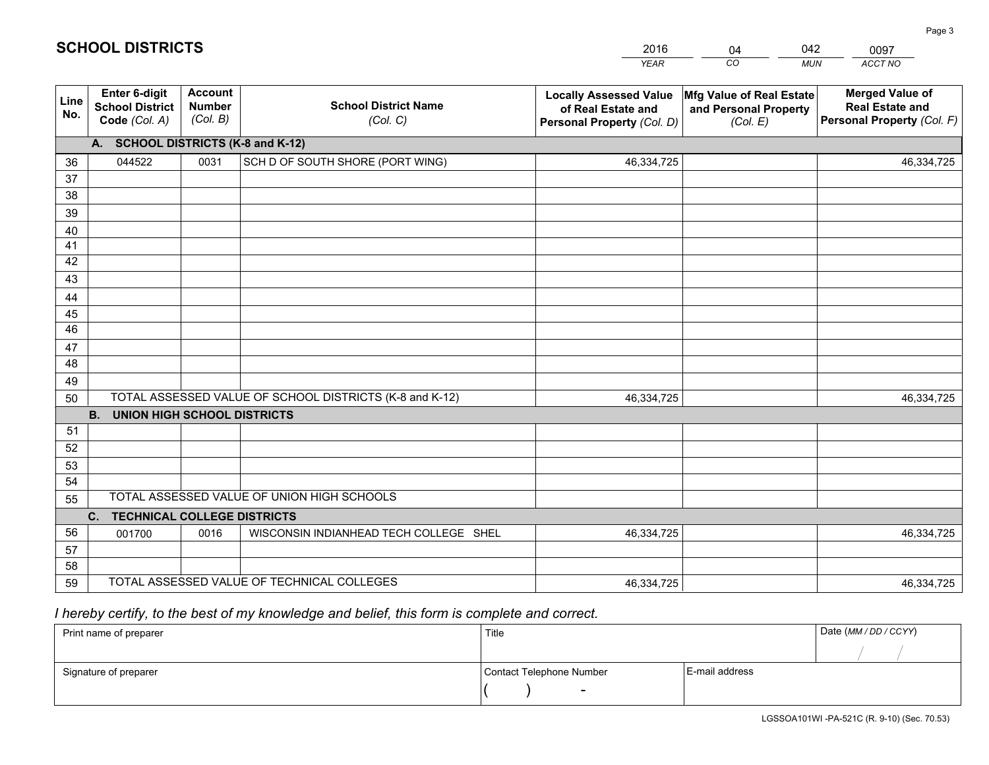|             |                                                                 |                                             |                                                         | <b>YEAR</b>                                                                       | CO<br><b>MUN</b>                                              | ACCT NO                                                                        |
|-------------|-----------------------------------------------------------------|---------------------------------------------|---------------------------------------------------------|-----------------------------------------------------------------------------------|---------------------------------------------------------------|--------------------------------------------------------------------------------|
| Line<br>No. | <b>Enter 6-digit</b><br><b>School District</b><br>Code (Col. A) | <b>Account</b><br><b>Number</b><br>(Col. B) | <b>School District Name</b><br>(Col. C)                 | <b>Locally Assessed Value</b><br>of Real Estate and<br>Personal Property (Col. D) | Mfg Value of Real Estate<br>and Personal Property<br>(Col. E) | <b>Merged Value of</b><br><b>Real Estate and</b><br>Personal Property (Col. F) |
|             | A. SCHOOL DISTRICTS (K-8 and K-12)                              |                                             |                                                         |                                                                                   |                                                               |                                                                                |
| 36          | 044522                                                          | 0031                                        | SCH D OF SOUTH SHORE (PORT WING)                        | 46,334,725                                                                        |                                                               | 46,334,725                                                                     |
| 37          |                                                                 |                                             |                                                         |                                                                                   |                                                               |                                                                                |
| 38          |                                                                 |                                             |                                                         |                                                                                   |                                                               |                                                                                |
| 39          |                                                                 |                                             |                                                         |                                                                                   |                                                               |                                                                                |
| 40          |                                                                 |                                             |                                                         |                                                                                   |                                                               |                                                                                |
| 41          |                                                                 |                                             |                                                         |                                                                                   |                                                               |                                                                                |
| 42          |                                                                 |                                             |                                                         |                                                                                   |                                                               |                                                                                |
| 43          |                                                                 |                                             |                                                         |                                                                                   |                                                               |                                                                                |
| 44<br>45    |                                                                 |                                             |                                                         |                                                                                   |                                                               |                                                                                |
| 46          |                                                                 |                                             |                                                         |                                                                                   |                                                               |                                                                                |
| 47          |                                                                 |                                             |                                                         |                                                                                   |                                                               |                                                                                |
| 48          |                                                                 |                                             |                                                         |                                                                                   |                                                               |                                                                                |
| 49          |                                                                 |                                             |                                                         |                                                                                   |                                                               |                                                                                |
| 50          |                                                                 |                                             | TOTAL ASSESSED VALUE OF SCHOOL DISTRICTS (K-8 and K-12) | 46,334,725                                                                        |                                                               | 46,334,725                                                                     |
|             | <b>B.</b><br><b>UNION HIGH SCHOOL DISTRICTS</b>                 |                                             |                                                         |                                                                                   |                                                               |                                                                                |
| 51          |                                                                 |                                             |                                                         |                                                                                   |                                                               |                                                                                |
| 52          |                                                                 |                                             |                                                         |                                                                                   |                                                               |                                                                                |
| 53          |                                                                 |                                             |                                                         |                                                                                   |                                                               |                                                                                |
| 54          |                                                                 |                                             |                                                         |                                                                                   |                                                               |                                                                                |
| 55          |                                                                 |                                             | TOTAL ASSESSED VALUE OF UNION HIGH SCHOOLS              |                                                                                   |                                                               |                                                                                |
|             | C.<br><b>TECHNICAL COLLEGE DISTRICTS</b>                        |                                             |                                                         |                                                                                   |                                                               |                                                                                |
| 56          | 001700                                                          | 0016                                        | WISCONSIN INDIANHEAD TECH COLLEGE SHEL                  | 46,334,725                                                                        |                                                               | 46,334,725                                                                     |
| 57          |                                                                 |                                             |                                                         |                                                                                   |                                                               |                                                                                |
| 58          |                                                                 |                                             |                                                         |                                                                                   |                                                               |                                                                                |
| 59          |                                                                 |                                             | TOTAL ASSESSED VALUE OF TECHNICAL COLLEGES              | 46,334,725                                                                        |                                                               | 46,334,725                                                                     |

04

042

 *I hereby certify, to the best of my knowledge and belief, this form is complete and correct.*

**SCHOOL DISTRICTS**

| Print name of preparer | Title                    | Date (MM / DD / CCYY) |  |
|------------------------|--------------------------|-----------------------|--|
|                        |                          |                       |  |
| Signature of preparer  | Contact Telephone Number | E-mail address        |  |
|                        |                          |                       |  |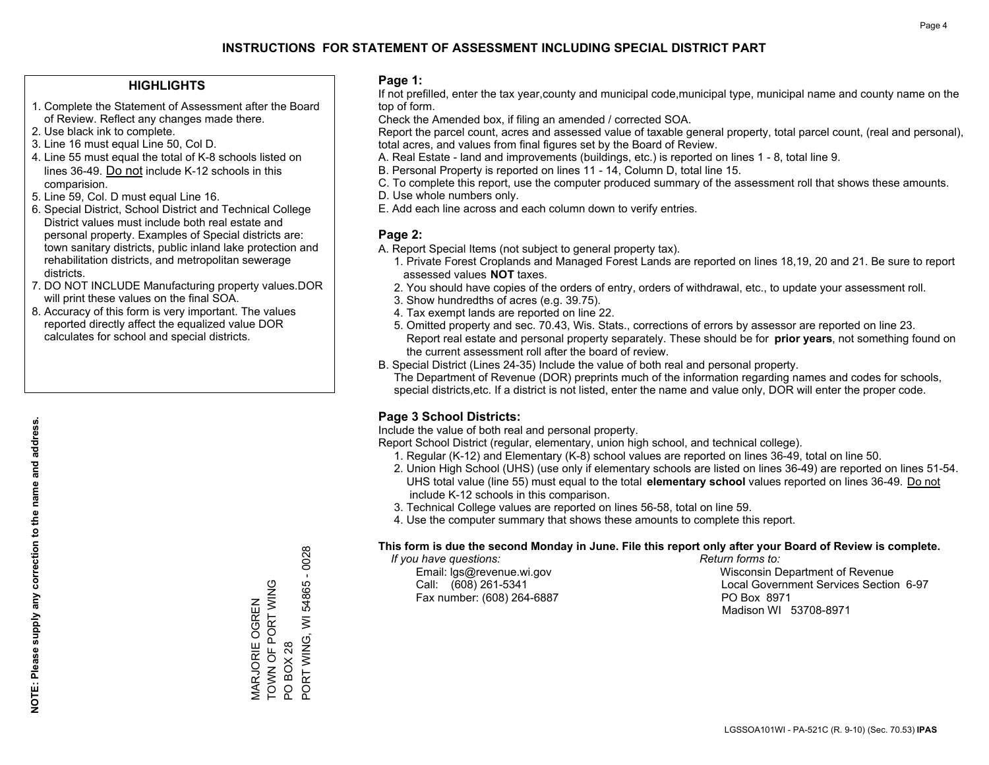### **HIGHLIGHTS**

- 1. Complete the Statement of Assessment after the Board of Review. Reflect any changes made there.
- 2. Use black ink to complete.
- 3. Line 16 must equal Line 50, Col D.
- 4. Line 55 must equal the total of K-8 schools listed on lines 36-49. Do not include K-12 schools in this comparision.
- 5. Line 59, Col. D must equal Line 16.
- 6. Special District, School District and Technical College District values must include both real estate and personal property. Examples of Special districts are: town sanitary districts, public inland lake protection and rehabilitation districts, and metropolitan sewerage districts.
- 7. DO NOT INCLUDE Manufacturing property values.DOR will print these values on the final SOA.

MARJORIE OGREN TOWN OF PORT WING

MARJORIE OGREN<br>TOWN OF PORT WING

PO BOX 28

PO BOX 28

PORT WING, WI 54865 - 0028

PORT WING, WI 54865 - 0028

 8. Accuracy of this form is very important. The values reported directly affect the equalized value DOR calculates for school and special districts.

### **Page 1:**

 If not prefilled, enter the tax year,county and municipal code,municipal type, municipal name and county name on the top of form.

Check the Amended box, if filing an amended / corrected SOA.

 Report the parcel count, acres and assessed value of taxable general property, total parcel count, (real and personal), total acres, and values from final figures set by the Board of Review.

- A. Real Estate land and improvements (buildings, etc.) is reported on lines 1 8, total line 9.
- B. Personal Property is reported on lines 11 14, Column D, total line 15.
- C. To complete this report, use the computer produced summary of the assessment roll that shows these amounts.
- D. Use whole numbers only.
- E. Add each line across and each column down to verify entries.

### **Page 2:**

- A. Report Special Items (not subject to general property tax).
- 1. Private Forest Croplands and Managed Forest Lands are reported on lines 18,19, 20 and 21. Be sure to report assessed values **NOT** taxes.
- 2. You should have copies of the orders of entry, orders of withdrawal, etc., to update your assessment roll.
	- 3. Show hundredths of acres (e.g. 39.75).
- 4. Tax exempt lands are reported on line 22.
- 5. Omitted property and sec. 70.43, Wis. Stats., corrections of errors by assessor are reported on line 23. Report real estate and personal property separately. These should be for **prior years**, not something found on the current assessment roll after the board of review.
- B. Special District (Lines 24-35) Include the value of both real and personal property.
- The Department of Revenue (DOR) preprints much of the information regarding names and codes for schools, special districts,etc. If a district is not listed, enter the name and value only, DOR will enter the proper code.

### **Page 3 School Districts:**

Include the value of both real and personal property.

Report School District (regular, elementary, union high school, and technical college).

- 1. Regular (K-12) and Elementary (K-8) school values are reported on lines 36-49, total on line 50.
- 2. Union High School (UHS) (use only if elementary schools are listed on lines 36-49) are reported on lines 51-54. UHS total value (line 55) must equal to the total **elementary school** values reported on lines 36-49. Do notinclude K-12 schools in this comparison.
- 3. Technical College values are reported on lines 56-58, total on line 59.
- 4. Use the computer summary that shows these amounts to complete this report.

#### **This form is due the second Monday in June. File this report only after your Board of Review is complete.**

 *If you have questions: Return forms to:*

Fax number: (608) 264-6887 PO Box 8971

 Email: lgs@revenue.wi.gov Wisconsin Department of Revenue Call: (608) 261-5341 Local Government Services Section 6-97Madison WI 53708-8971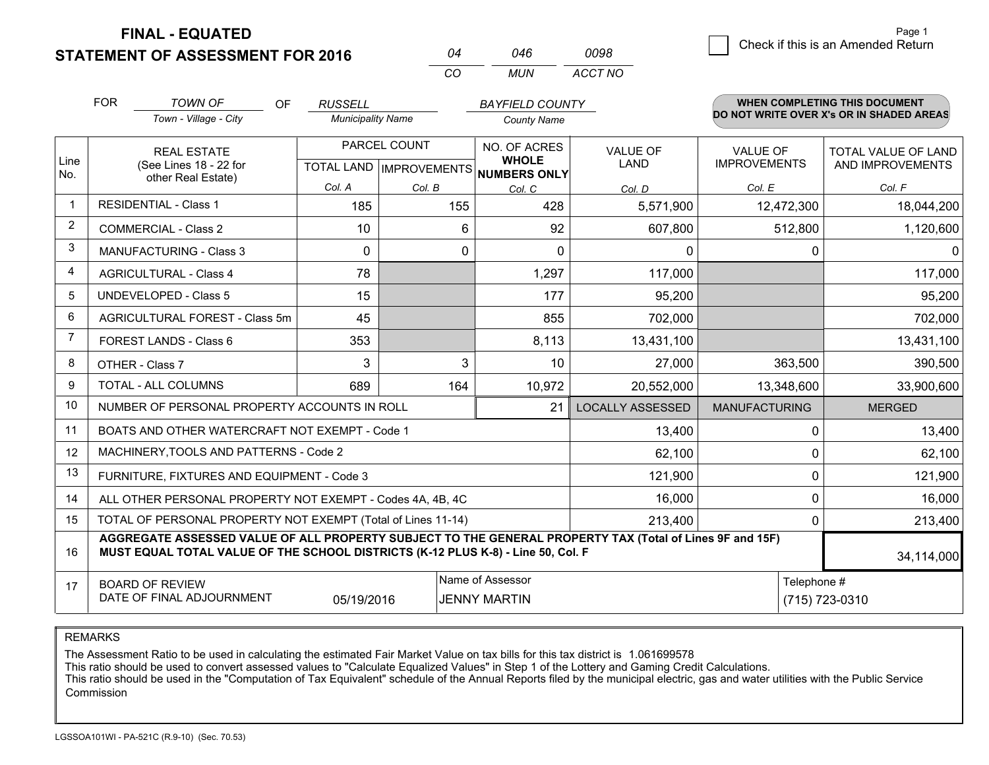**FINAL - EQUATED**

**STATEMENT OF ASSESSMENT FOR 2016** 

| Ω4  | 046 | 0098    |
|-----|-----|---------|
| CO. | MUN | ACCT NO |

|                | <b>FOR</b>                                                                                                                                                                                                 | <b>TOWN OF</b><br><b>OF</b>                                  | <b>RUSSELL</b>           |              | <b>BAYFIELD COUNTY</b>                              |                         |                      | <b>WHEN COMPLETING THIS DOCUMENT</b>     |
|----------------|------------------------------------------------------------------------------------------------------------------------------------------------------------------------------------------------------------|--------------------------------------------------------------|--------------------------|--------------|-----------------------------------------------------|-------------------------|----------------------|------------------------------------------|
|                |                                                                                                                                                                                                            | Town - Village - City                                        | <b>Municipality Name</b> |              | <b>County Name</b>                                  |                         |                      | DO NOT WRITE OVER X's OR IN SHADED AREAS |
|                |                                                                                                                                                                                                            | <b>REAL ESTATE</b>                                           |                          | PARCEL COUNT | NO. OF ACRES                                        | <b>VALUE OF</b>         | <b>VALUE OF</b>      | TOTAL VALUE OF LAND                      |
| Line<br>No.    |                                                                                                                                                                                                            | (See Lines 18 - 22 for<br>other Real Estate)                 |                          |              | <b>WHOLE</b><br>TOTAL LAND MPROVEMENTS NUMBERS ONLY | <b>LAND</b>             | <b>IMPROVEMENTS</b>  | AND IMPROVEMENTS                         |
|                |                                                                                                                                                                                                            |                                                              | Col. A                   | Col. B       | Col. C                                              | Col. D                  | Col. E               | Col. F                                   |
| -1             |                                                                                                                                                                                                            | <b>RESIDENTIAL - Class 1</b>                                 | 185                      | 155          | 428                                                 | 5,571,900               | 12,472,300           | 18,044,200                               |
| $\overline{2}$ |                                                                                                                                                                                                            | <b>COMMERCIAL - Class 2</b>                                  | 10                       | 6            | 92                                                  | 607,800                 | 512,800              | 1,120,600                                |
| 3              |                                                                                                                                                                                                            | <b>MANUFACTURING - Class 3</b>                               | $\mathbf{0}$             | 0            | $\mathbf{0}$                                        | 0                       | 0                    | $\Omega$                                 |
| 4              |                                                                                                                                                                                                            | <b>AGRICULTURAL - Class 4</b>                                | 78                       |              | 1,297                                               | 117,000                 |                      | 117,000                                  |
| 5              |                                                                                                                                                                                                            | <b>UNDEVELOPED - Class 5</b>                                 | 15                       |              | 177                                                 | 95,200                  |                      | 95,200                                   |
| 6              |                                                                                                                                                                                                            | AGRICULTURAL FOREST - Class 5m                               | 45                       |              | 855                                                 | 702,000                 |                      | 702,000                                  |
| 7              |                                                                                                                                                                                                            | FOREST LANDS - Class 6                                       | 353                      |              | 8,113                                               | 13,431,100              |                      | 13,431,100                               |
| 8              |                                                                                                                                                                                                            | OTHER - Class 7                                              | 3                        | 3            | 10                                                  | 27,000                  | 363,500              | 390,500                                  |
| 9              |                                                                                                                                                                                                            | TOTAL - ALL COLUMNS                                          | 689                      | 164          | 10,972                                              | 20,552,000              | 13,348,600           | 33,900,600                               |
| 10             |                                                                                                                                                                                                            | NUMBER OF PERSONAL PROPERTY ACCOUNTS IN ROLL                 |                          |              | 21                                                  | <b>LOCALLY ASSESSED</b> | <b>MANUFACTURING</b> | <b>MERGED</b>                            |
| 11             |                                                                                                                                                                                                            | BOATS AND OTHER WATERCRAFT NOT EXEMPT - Code 1               |                          |              |                                                     | 13,400                  | 0                    | 13,400                                   |
| 12             |                                                                                                                                                                                                            | MACHINERY, TOOLS AND PATTERNS - Code 2                       |                          |              |                                                     | 62,100                  | 0                    | 62,100                                   |
| 13             |                                                                                                                                                                                                            | FURNITURE, FIXTURES AND EQUIPMENT - Code 3                   |                          |              |                                                     | 121,900                 | 0                    | 121,900                                  |
| 14             |                                                                                                                                                                                                            | ALL OTHER PERSONAL PROPERTY NOT EXEMPT - Codes 4A, 4B, 4C    |                          |              |                                                     | 16,000                  | $\Omega$             | 16,000                                   |
| 15             |                                                                                                                                                                                                            | TOTAL OF PERSONAL PROPERTY NOT EXEMPT (Total of Lines 11-14) |                          |              |                                                     | 213,400                 | 0                    | 213,400                                  |
| 16             | AGGREGATE ASSESSED VALUE OF ALL PROPERTY SUBJECT TO THE GENERAL PROPERTY TAX (Total of Lines 9F and 15F)<br>MUST EQUAL TOTAL VALUE OF THE SCHOOL DISTRICTS (K-12 PLUS K-8) - Line 50, Col. F<br>34,114,000 |                                                              |                          |              |                                                     |                         |                      |                                          |
| 17             | Name of Assessor<br>Telephone #<br><b>BOARD OF REVIEW</b>                                                                                                                                                  |                                                              |                          |              |                                                     |                         |                      |                                          |
|                |                                                                                                                                                                                                            | DATE OF FINAL ADJOURNMENT                                    | 05/19/2016               |              | <b>JENNY MARTIN</b>                                 |                         |                      | (715) 723-0310                           |

REMARKS

The Assessment Ratio to be used in calculating the estimated Fair Market Value on tax bills for this tax district is 1.061699578

This ratio should be used to convert assessed values to "Calculate Equalized Values" in Step 1 of the Lottery and Gaming Credit Calculations.<br>This ratio should be used in the "Computation of Tax Equivalent" schedule of the Commission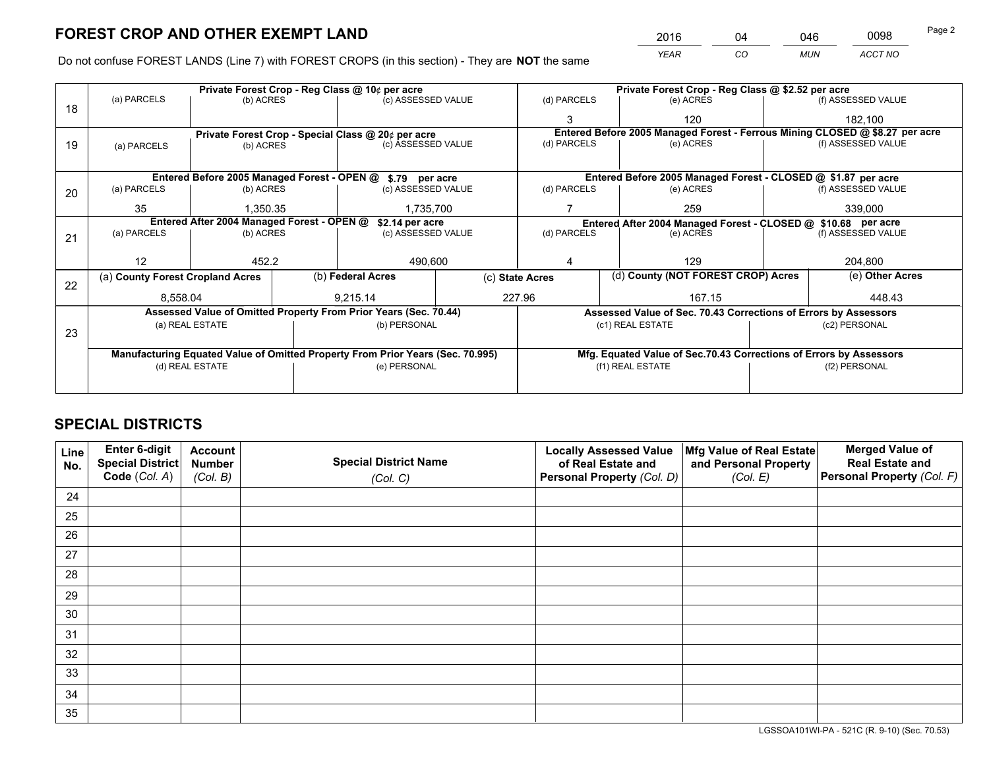*YEAR CO MUN ACCT NO* <sup>2016</sup> <sup>04</sup> <sup>046</sup> <sup>0098</sup>

Do not confuse FOREST LANDS (Line 7) with FOREST CROPS (in this section) - They are **NOT** the same

|    |                                                                                |                                             |  | Private Forest Crop - Reg Class @ 10¢ per acre                   |                 |                  | Private Forest Crop - Reg Class @ \$2.52 per acre |                                                                    |               |                                                                              |
|----|--------------------------------------------------------------------------------|---------------------------------------------|--|------------------------------------------------------------------|-----------------|------------------|---------------------------------------------------|--------------------------------------------------------------------|---------------|------------------------------------------------------------------------------|
| 18 | (a) PARCELS                                                                    | (b) ACRES                                   |  | (c) ASSESSED VALUE                                               |                 | (d) PARCELS      |                                                   | (e) ACRES                                                          |               | (f) ASSESSED VALUE                                                           |
|    |                                                                                |                                             |  |                                                                  |                 | 3                |                                                   | 120                                                                |               | 182,100                                                                      |
|    |                                                                                |                                             |  | Private Forest Crop - Special Class @ 20¢ per acre               |                 |                  |                                                   |                                                                    |               | Entered Before 2005 Managed Forest - Ferrous Mining CLOSED @ \$8.27 per acre |
| 19 | (a) PARCELS                                                                    | (b) ACRES                                   |  | (c) ASSESSED VALUE                                               |                 | (d) PARCELS      |                                                   | (e) ACRES                                                          |               | (f) ASSESSED VALUE                                                           |
|    |                                                                                |                                             |  |                                                                  |                 |                  |                                                   |                                                                    |               |                                                                              |
|    |                                                                                | Entered Before 2005 Managed Forest - OPEN @ |  | \$.79 per acre                                                   |                 |                  |                                                   | Entered Before 2005 Managed Forest - CLOSED @ \$1.87 per acre      |               |                                                                              |
| 20 | (a) PARCELS                                                                    | (b) ACRES                                   |  | (c) ASSESSED VALUE                                               |                 | (d) PARCELS      |                                                   | (e) ACRES                                                          |               | (f) ASSESSED VALUE                                                           |
|    | 35                                                                             | 1.350.35                                    |  | 1,735,700                                                        |                 | 259              |                                                   | 339,000                                                            |               |                                                                              |
|    | Entered After 2004 Managed Forest - OPEN @<br>\$2.14 per acre                  |                                             |  |                                                                  |                 |                  |                                                   | Entered After 2004 Managed Forest - CLOSED @ \$10.68 per acre      |               |                                                                              |
| 21 | (a) PARCELS                                                                    | (b) ACRES                                   |  | (c) ASSESSED VALUE                                               |                 | (d) PARCELS      |                                                   | (e) ACRES                                                          |               | (f) ASSESSED VALUE                                                           |
|    |                                                                                |                                             |  |                                                                  |                 |                  |                                                   |                                                                    |               |                                                                              |
|    | 12                                                                             | 452.2                                       |  | 490,600                                                          |                 |                  |                                                   | 129                                                                |               | 204,800                                                                      |
| 22 | (a) County Forest Cropland Acres                                               |                                             |  | (b) Federal Acres                                                | (c) State Acres |                  |                                                   | (d) County (NOT FOREST CROP) Acres                                 |               | (e) Other Acres                                                              |
|    | 8,558.04                                                                       |                                             |  | 9,215.14                                                         |                 | 227.96<br>167.15 |                                                   |                                                                    | 448.43        |                                                                              |
|    |                                                                                |                                             |  | Assessed Value of Omitted Property From Prior Years (Sec. 70.44) |                 |                  |                                                   | Assessed Value of Sec. 70.43 Corrections of Errors by Assessors    |               |                                                                              |
|    |                                                                                | (a) REAL ESTATE                             |  | (b) PERSONAL                                                     |                 |                  |                                                   | (c1) REAL ESTATE                                                   |               | (c2) PERSONAL                                                                |
| 23 |                                                                                |                                             |  |                                                                  |                 |                  |                                                   |                                                                    |               |                                                                              |
|    | Manufacturing Equated Value of Omitted Property From Prior Years (Sec. 70.995) |                                             |  |                                                                  |                 |                  |                                                   | Mfg. Equated Value of Sec.70.43 Corrections of Errors by Assessors |               |                                                                              |
|    |                                                                                | (d) REAL ESTATE                             |  | (e) PERSONAL                                                     |                 | (f1) REAL ESTATE |                                                   |                                                                    | (f2) PERSONAL |                                                                              |
|    |                                                                                |                                             |  |                                                                  |                 |                  |                                                   |                                                                    |               |                                                                              |

# **SPECIAL DISTRICTS**

| Line<br>No. | Enter 6-digit<br><b>Special District</b> | <b>Account</b><br><b>Number</b> | <b>Special District Name</b> | <b>Locally Assessed Value</b><br>of Real Estate and | Mfg Value of Real Estate<br>and Personal Property | <b>Merged Value of</b><br><b>Real Estate and</b> |
|-------------|------------------------------------------|---------------------------------|------------------------------|-----------------------------------------------------|---------------------------------------------------|--------------------------------------------------|
|             | Code (Col. A)                            | (Col. B)                        | (Col. C)                     | Personal Property (Col. D)                          | (Col. E)                                          | Personal Property (Col. F)                       |
| 24          |                                          |                                 |                              |                                                     |                                                   |                                                  |
| 25          |                                          |                                 |                              |                                                     |                                                   |                                                  |
| 26          |                                          |                                 |                              |                                                     |                                                   |                                                  |
| 27          |                                          |                                 |                              |                                                     |                                                   |                                                  |
| 28          |                                          |                                 |                              |                                                     |                                                   |                                                  |
| 29          |                                          |                                 |                              |                                                     |                                                   |                                                  |
| 30          |                                          |                                 |                              |                                                     |                                                   |                                                  |
| 31          |                                          |                                 |                              |                                                     |                                                   |                                                  |
| 32          |                                          |                                 |                              |                                                     |                                                   |                                                  |
| 33          |                                          |                                 |                              |                                                     |                                                   |                                                  |
| 34          |                                          |                                 |                              |                                                     |                                                   |                                                  |
| 35          |                                          |                                 |                              |                                                     |                                                   |                                                  |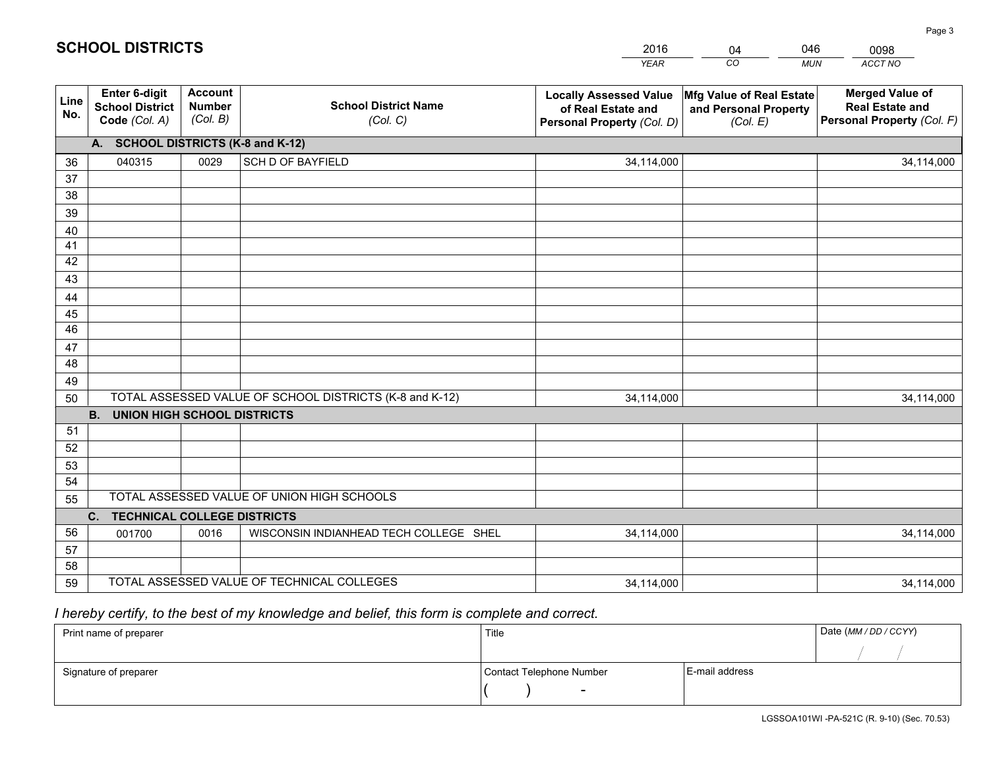|             |                                                                 |                                             |                                                         | <b>YEAR</b>                                                                       | CO<br><b>MUN</b>                                              | ACCT NO                                                                        |
|-------------|-----------------------------------------------------------------|---------------------------------------------|---------------------------------------------------------|-----------------------------------------------------------------------------------|---------------------------------------------------------------|--------------------------------------------------------------------------------|
| Line<br>No. | <b>Enter 6-digit</b><br><b>School District</b><br>Code (Col. A) | <b>Account</b><br><b>Number</b><br>(Col. B) | <b>School District Name</b><br>(Col. C)                 | <b>Locally Assessed Value</b><br>of Real Estate and<br>Personal Property (Col. D) | Mfg Value of Real Estate<br>and Personal Property<br>(Col. E) | <b>Merged Value of</b><br><b>Real Estate and</b><br>Personal Property (Col. F) |
|             | A. SCHOOL DISTRICTS (K-8 and K-12)                              |                                             |                                                         |                                                                                   |                                                               |                                                                                |
| 36          | 040315                                                          | 0029                                        | <b>SCH D OF BAYFIELD</b>                                | 34,114,000                                                                        |                                                               | 34,114,000                                                                     |
| 37          |                                                                 |                                             |                                                         |                                                                                   |                                                               |                                                                                |
| 38          |                                                                 |                                             |                                                         |                                                                                   |                                                               |                                                                                |
| 39          |                                                                 |                                             |                                                         |                                                                                   |                                                               |                                                                                |
| 40          |                                                                 |                                             |                                                         |                                                                                   |                                                               |                                                                                |
| 41          |                                                                 |                                             |                                                         |                                                                                   |                                                               |                                                                                |
| 42<br>43    |                                                                 |                                             |                                                         |                                                                                   |                                                               |                                                                                |
|             |                                                                 |                                             |                                                         |                                                                                   |                                                               |                                                                                |
| 44<br>45    |                                                                 |                                             |                                                         |                                                                                   |                                                               |                                                                                |
| 46          |                                                                 |                                             |                                                         |                                                                                   |                                                               |                                                                                |
| 47          |                                                                 |                                             |                                                         |                                                                                   |                                                               |                                                                                |
| 48          |                                                                 |                                             |                                                         |                                                                                   |                                                               |                                                                                |
| 49          |                                                                 |                                             |                                                         |                                                                                   |                                                               |                                                                                |
| 50          |                                                                 |                                             | TOTAL ASSESSED VALUE OF SCHOOL DISTRICTS (K-8 and K-12) | 34,114,000                                                                        |                                                               | 34,114,000                                                                     |
|             | <b>B.</b><br><b>UNION HIGH SCHOOL DISTRICTS</b>                 |                                             |                                                         |                                                                                   |                                                               |                                                                                |
| 51          |                                                                 |                                             |                                                         |                                                                                   |                                                               |                                                                                |
| 52          |                                                                 |                                             |                                                         |                                                                                   |                                                               |                                                                                |
| 53          |                                                                 |                                             |                                                         |                                                                                   |                                                               |                                                                                |
| 54          |                                                                 |                                             |                                                         |                                                                                   |                                                               |                                                                                |
| 55          |                                                                 |                                             | TOTAL ASSESSED VALUE OF UNION HIGH SCHOOLS              |                                                                                   |                                                               |                                                                                |
|             | C.<br><b>TECHNICAL COLLEGE DISTRICTS</b>                        |                                             |                                                         |                                                                                   |                                                               |                                                                                |
| 56          | 001700                                                          | 0016                                        | WISCONSIN INDIANHEAD TECH COLLEGE SHEL                  | 34,114,000                                                                        |                                                               | 34,114,000                                                                     |
| 57          |                                                                 |                                             |                                                         |                                                                                   |                                                               |                                                                                |
| 58          |                                                                 |                                             | TOTAL ASSESSED VALUE OF TECHNICAL COLLEGES              |                                                                                   |                                                               |                                                                                |
| 59          |                                                                 |                                             |                                                         | 34,114,000                                                                        |                                                               | 34,114,000                                                                     |

04

046

 *I hereby certify, to the best of my knowledge and belief, this form is complete and correct.*

**SCHOOL DISTRICTS**

| Print name of preparer | Title                    | Date (MM / DD / CCYY) |  |
|------------------------|--------------------------|-----------------------|--|
|                        |                          |                       |  |
| Signature of preparer  | Contact Telephone Number | E-mail address        |  |
|                        | $\overline{\phantom{0}}$ |                       |  |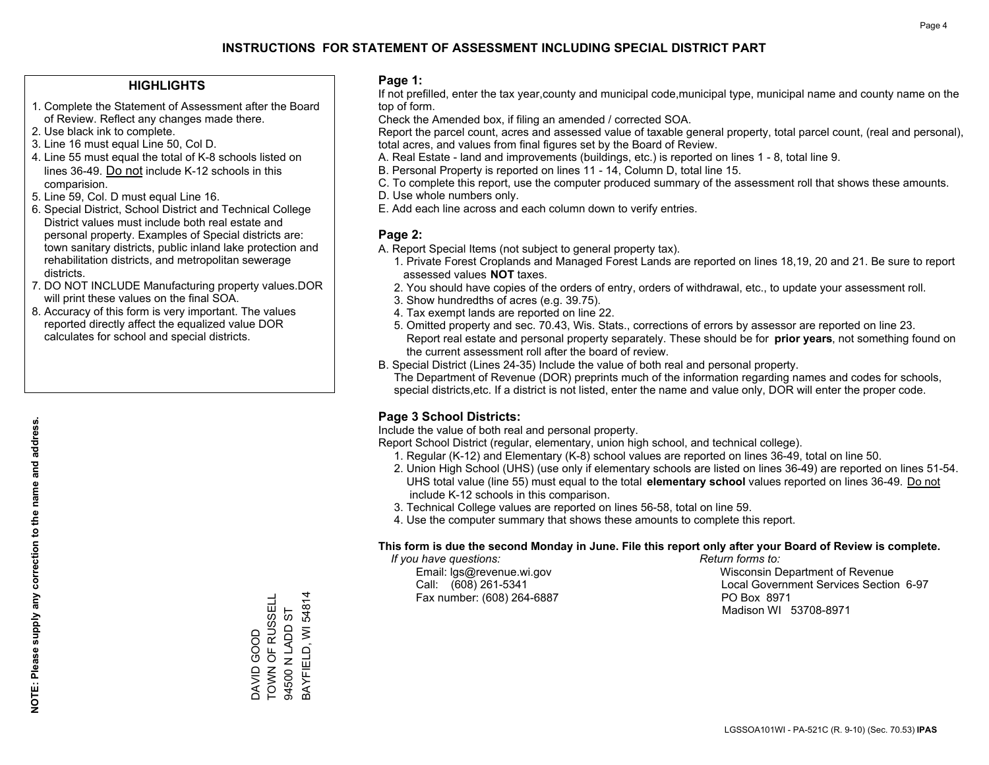### **HIGHLIGHTS**

- 1. Complete the Statement of Assessment after the Board of Review. Reflect any changes made there.
- 2. Use black ink to complete.
- 3. Line 16 must equal Line 50, Col D.
- 4. Line 55 must equal the total of K-8 schools listed on lines 36-49. Do not include K-12 schools in this comparision.
- 5. Line 59, Col. D must equal Line 16.
- 6. Special District, School District and Technical College District values must include both real estate and personal property. Examples of Special districts are: town sanitary districts, public inland lake protection and rehabilitation districts, and metropolitan sewerage districts.
- 7. DO NOT INCLUDE Manufacturing property values.DOR will print these values on the final SOA.
- 8. Accuracy of this form is very important. The values reported directly affect the equalized value DOR calculates for school and special districts.

### **Page 1:**

 If not prefilled, enter the tax year,county and municipal code,municipal type, municipal name and county name on the top of form.

Check the Amended box, if filing an amended / corrected SOA.

 Report the parcel count, acres and assessed value of taxable general property, total parcel count, (real and personal), total acres, and values from final figures set by the Board of Review.

- A. Real Estate land and improvements (buildings, etc.) is reported on lines 1 8, total line 9.
- B. Personal Property is reported on lines 11 14, Column D, total line 15.
- C. To complete this report, use the computer produced summary of the assessment roll that shows these amounts.
- D. Use whole numbers only.
- E. Add each line across and each column down to verify entries.

### **Page 2:**

- A. Report Special Items (not subject to general property tax).
- 1. Private Forest Croplands and Managed Forest Lands are reported on lines 18,19, 20 and 21. Be sure to report assessed values **NOT** taxes.
- 2. You should have copies of the orders of entry, orders of withdrawal, etc., to update your assessment roll.
	- 3. Show hundredths of acres (e.g. 39.75).
- 4. Tax exempt lands are reported on line 22.
- 5. Omitted property and sec. 70.43, Wis. Stats., corrections of errors by assessor are reported on line 23. Report real estate and personal property separately. These should be for **prior years**, not something found on the current assessment roll after the board of review.
- B. Special District (Lines 24-35) Include the value of both real and personal property.
- The Department of Revenue (DOR) preprints much of the information regarding names and codes for schools, special districts,etc. If a district is not listed, enter the name and value only, DOR will enter the proper code.

### **Page 3 School Districts:**

Include the value of both real and personal property.

Report School District (regular, elementary, union high school, and technical college).

- 1. Regular (K-12) and Elementary (K-8) school values are reported on lines 36-49, total on line 50.
- 2. Union High School (UHS) (use only if elementary schools are listed on lines 36-49) are reported on lines 51-54. UHS total value (line 55) must equal to the total **elementary school** values reported on lines 36-49. Do notinclude K-12 schools in this comparison.
- 3. Technical College values are reported on lines 56-58, total on line 59.
- 4. Use the computer summary that shows these amounts to complete this report.

#### **This form is due the second Monday in June. File this report only after your Board of Review is complete.**

 *If you have questions: Return forms to:*

Fax number: (608) 264-6887 PO Box 8971

 Email: lgs@revenue.wi.gov Wisconsin Department of Revenue Call: (608) 261-5341 Local Government Services Section 6-97Madison WI 53708-8971

TOWN OF RUSSELL BAYFIELD, WI 54814 BAYFIELD, WI 54814 DAVID GOOD<br>TOWN OF RUSSELL 94500 N LADD ST 94500 N LADD ST DAVID GOOD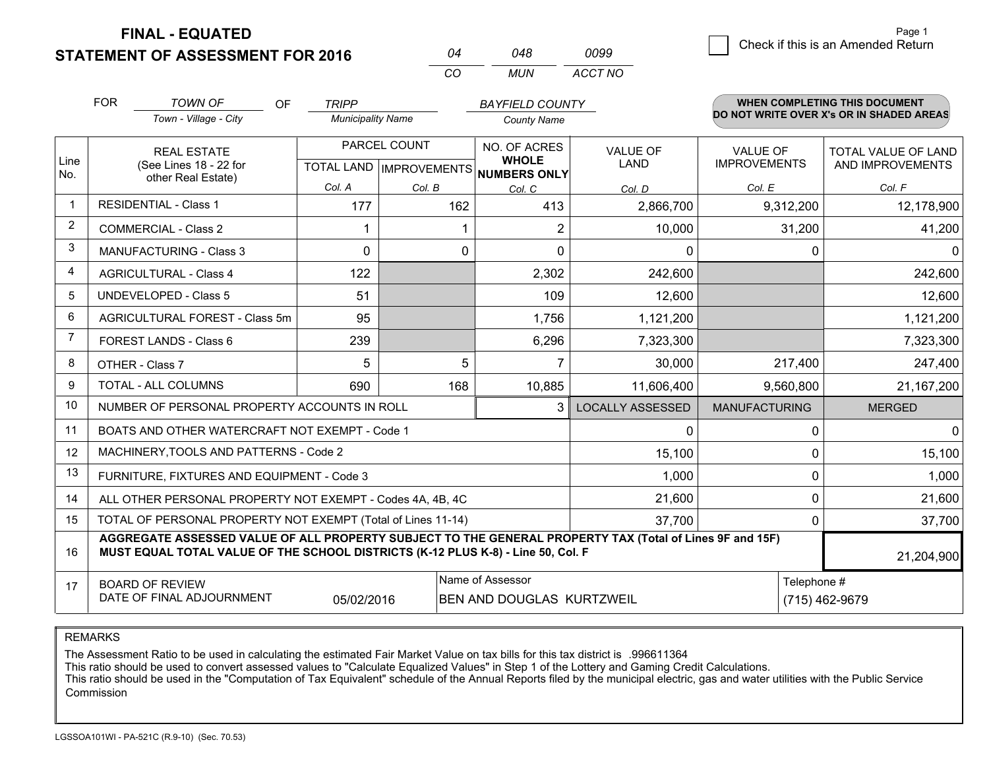**STATEMENT OF ASSESSMENT FOR 2016** 

**FINAL - EQUATED**

|   | Page 1                             |
|---|------------------------------------|
| 9 | Check if this is an Amended Return |
|   |                                    |

|                | <b>FOR</b>                                                                                                                                                                                   | <b>TOWN OF</b><br><b>OF</b>                               | <b>TRIPP</b>             |        | <b>BAYFIELD COUNTY</b>                               |                         |                      | <b>WHEN COMPLETING THIS DOCUMENT</b>     |
|----------------|----------------------------------------------------------------------------------------------------------------------------------------------------------------------------------------------|-----------------------------------------------------------|--------------------------|--------|------------------------------------------------------|-------------------------|----------------------|------------------------------------------|
|                |                                                                                                                                                                                              | Town - Village - City                                     | <b>Municipality Name</b> |        | <b>County Name</b>                                   |                         |                      | DO NOT WRITE OVER X's OR IN SHADED AREAS |
|                |                                                                                                                                                                                              | PARCEL COUNT<br><b>REAL ESTATE</b>                        |                          |        | NO. OF ACRES                                         | <b>VALUE OF</b>         | <b>VALUE OF</b>      | <b>TOTAL VALUE OF LAND</b>               |
| Line<br>No.    |                                                                                                                                                                                              | (See Lines 18 - 22 for<br>other Real Estate)              |                          |        | <b>WHOLE</b><br>TOTAL LAND IMPROVEMENTS NUMBERS ONLY | <b>LAND</b>             | <b>IMPROVEMENTS</b>  | AND IMPROVEMENTS                         |
|                |                                                                                                                                                                                              |                                                           | Col. A                   | Col. B | Col. C                                               | Col. D                  | Col. E               | Col. F                                   |
| $\mathbf 1$    |                                                                                                                                                                                              | <b>RESIDENTIAL - Class 1</b>                              | 177                      | 162    | 413                                                  | 2,866,700               | 9,312,200            | 12,178,900                               |
| $\overline{2}$ |                                                                                                                                                                                              | <b>COMMERCIAL - Class 2</b>                               |                          |        | 2                                                    | 10,000                  | 31,200               | 41,200                                   |
| 3              |                                                                                                                                                                                              | <b>MANUFACTURING - Class 3</b>                            | $\Omega$                 |        | $\Omega$<br>$\Omega$                                 | $\Omega$                | $\Omega$             | $\Omega$                                 |
| 4              |                                                                                                                                                                                              | <b>AGRICULTURAL - Class 4</b>                             | 122                      |        | 2,302                                                | 242,600                 |                      | 242,600                                  |
| 5              |                                                                                                                                                                                              | <b>UNDEVELOPED - Class 5</b>                              | 51                       |        | 109                                                  | 12,600                  |                      | 12,600                                   |
| 6              |                                                                                                                                                                                              | AGRICULTURAL FOREST - Class 5m                            | 95                       |        | 1,756                                                | 1,121,200               |                      | 1,121,200                                |
| $\overline{7}$ |                                                                                                                                                                                              | FOREST LANDS - Class 6                                    | 239                      |        | 6,296                                                | 7,323,300               |                      | 7,323,300                                |
| 8              |                                                                                                                                                                                              | OTHER - Class 7                                           | 5                        |        | 5                                                    | 30,000                  | 217,400              | 247,400                                  |
| 9              |                                                                                                                                                                                              | TOTAL - ALL COLUMNS                                       | 690                      | 168    | 10,885                                               | 11,606,400              | 9,560,800            | 21,167,200                               |
| 10             |                                                                                                                                                                                              | NUMBER OF PERSONAL PROPERTY ACCOUNTS IN ROLL              |                          |        | 3                                                    | <b>LOCALLY ASSESSED</b> | <b>MANUFACTURING</b> | <b>MERGED</b>                            |
| 11             |                                                                                                                                                                                              | BOATS AND OTHER WATERCRAFT NOT EXEMPT - Code 1            |                          |        |                                                      | 0                       | $\Omega$             | $\mathbf{0}$                             |
| 12             |                                                                                                                                                                                              | MACHINERY, TOOLS AND PATTERNS - Code 2                    |                          |        |                                                      | 15,100                  | $\Omega$             | 15,100                                   |
| 13             |                                                                                                                                                                                              | FURNITURE, FIXTURES AND EQUIPMENT - Code 3                |                          |        |                                                      | 1,000                   | 0                    | 1,000                                    |
| 14             |                                                                                                                                                                                              | ALL OTHER PERSONAL PROPERTY NOT EXEMPT - Codes 4A, 4B, 4C |                          |        |                                                      | 21,600                  | $\Omega$             | 21,600                                   |
| 15             | TOTAL OF PERSONAL PROPERTY NOT EXEMPT (Total of Lines 11-14)<br>37,700                                                                                                                       |                                                           |                          |        |                                                      |                         | 0                    | 37,700                                   |
| 16             | AGGREGATE ASSESSED VALUE OF ALL PROPERTY SUBJECT TO THE GENERAL PROPERTY TAX (Total of Lines 9F and 15F)<br>MUST EQUAL TOTAL VALUE OF THE SCHOOL DISTRICTS (K-12 PLUS K-8) - Line 50, Col. F |                                                           |                          |        |                                                      |                         |                      | 21,204,900                               |
| 17             |                                                                                                                                                                                              | <b>BOARD OF REVIEW</b>                                    |                          |        | Name of Assessor                                     |                         | Telephone #          |                                          |
|                | DATE OF FINAL ADJOURNMENT<br>05/02/2016<br>BEN AND DOUGLAS KURTZWEIL<br>(715) 462-9679                                                                                                       |                                                           |                          |        |                                                      |                         |                      |                                          |

*CO*

*MUN*

*ACCT NO0099*

*<sup>04</sup> <sup>048</sup>*

REMARKS

The Assessment Ratio to be used in calculating the estimated Fair Market Value on tax bills for this tax district is .996611364<br>This ratio should be used to convert assessed values to "Calculate Equalized Values" in Step 1 Commission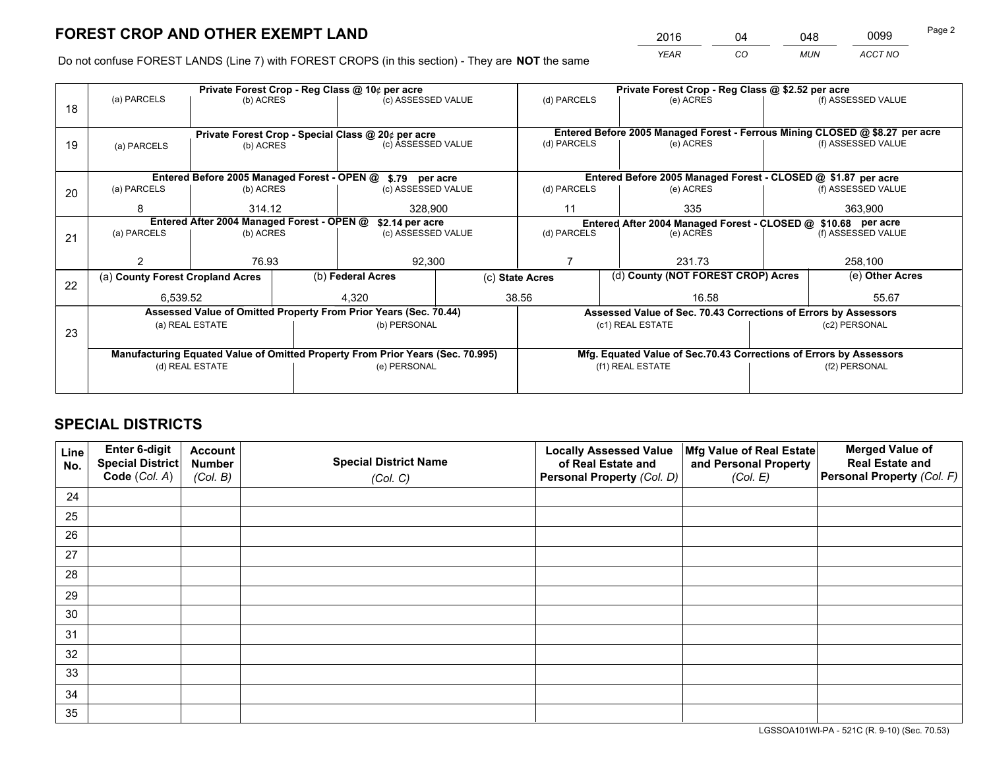*YEAR CO MUN ACCT NO* <sup>2016</sup> <sup>04</sup> <sup>048</sup> <sup>0099</sup>

Do not confuse FOREST LANDS (Line 7) with FOREST CROPS (in this section) - They are **NOT** the same

|    |                          |                                            | Private Forest Crop - Reg Class @ 10¢ per acre                                 |                    | Private Forest Crop - Reg Class @ \$2.52 per acre |                                                                                                    |                                                                    |                    |  |
|----|--------------------------|--------------------------------------------|--------------------------------------------------------------------------------|--------------------|---------------------------------------------------|----------------------------------------------------------------------------------------------------|--------------------------------------------------------------------|--------------------|--|
| 18 | (a) PARCELS<br>(b) ACRES |                                            |                                                                                | (c) ASSESSED VALUE | (d) PARCELS                                       | (e) ACRES                                                                                          |                                                                    | (f) ASSESSED VALUE |  |
|    |                          |                                            |                                                                                |                    |                                                   |                                                                                                    |                                                                    |                    |  |
|    |                          |                                            | Private Forest Crop - Special Class @ 20¢ per acre                             |                    |                                                   | Entered Before 2005 Managed Forest - Ferrous Mining CLOSED @ \$8.27 per acre                       |                                                                    |                    |  |
| 19 | (a) PARCELS              | (b) ACRES                                  |                                                                                | (c) ASSESSED VALUE | (d) PARCELS                                       | (e) ACRES                                                                                          |                                                                    | (f) ASSESSED VALUE |  |
|    |                          |                                            |                                                                                |                    |                                                   |                                                                                                    |                                                                    |                    |  |
|    |                          |                                            | Entered Before 2005 Managed Forest - OPEN @ \$.79 per acre                     |                    |                                                   | Entered Before 2005 Managed Forest - CLOSED @ \$1.87 per acre                                      |                                                                    |                    |  |
| 20 | (a) PARCELS              | (b) ACRES                                  |                                                                                | (c) ASSESSED VALUE | (d) PARCELS<br>(e) ACRES                          |                                                                                                    |                                                                    | (f) ASSESSED VALUE |  |
|    | 8                        | 314.12                                     |                                                                                | 328,900            |                                                   | 335<br>11                                                                                          |                                                                    | 363,900            |  |
|    |                          | Entered After 2004 Managed Forest - OPEN @ | \$2.14 per acre                                                                |                    |                                                   | Entered After 2004 Managed Forest - CLOSED @ \$10.68 per acre<br>(d) PARCELS<br>(f) ASSESSED VALUE |                                                                    |                    |  |
| 21 | (a) PARCELS              | (b) ACRES                                  |                                                                                | (c) ASSESSED VALUE |                                                   | (e) ACRES                                                                                          |                                                                    |                    |  |
|    |                          |                                            |                                                                                |                    |                                                   |                                                                                                    |                                                                    |                    |  |
|    | 2                        | 76.93                                      |                                                                                | 92,300             |                                                   | 231.73                                                                                             |                                                                    |                    |  |
| 22 |                          | (a) County Forest Cropland Acres           |                                                                                | (b) Federal Acres  |                                                   | (d) County (NOT FOREST CROP) Acres<br>(c) State Acres                                              |                                                                    | (e) Other Acres    |  |
|    | 6,539.52                 |                                            | 4,320                                                                          | 38.56              |                                                   | 16.58                                                                                              |                                                                    | 55.67              |  |
|    |                          |                                            | Assessed Value of Omitted Property From Prior Years (Sec. 70.44)               |                    |                                                   | Assessed Value of Sec. 70.43 Corrections of Errors by Assessors                                    |                                                                    |                    |  |
|    |                          | (a) REAL ESTATE                            | (b) PERSONAL                                                                   |                    |                                                   | (c1) REAL ESTATE                                                                                   |                                                                    | (c2) PERSONAL      |  |
| 23 |                          |                                            |                                                                                |                    |                                                   |                                                                                                    |                                                                    |                    |  |
|    |                          |                                            | Manufacturing Equated Value of Omitted Property From Prior Years (Sec. 70.995) |                    |                                                   |                                                                                                    | Mfg. Equated Value of Sec.70.43 Corrections of Errors by Assessors |                    |  |
|    |                          | (d) REAL ESTATE                            | (e) PERSONAL                                                                   |                    | (f1) REAL ESTATE                                  |                                                                                                    | (f2) PERSONAL                                                      |                    |  |
|    |                          |                                            |                                                                                |                    |                                                   |                                                                                                    |                                                                    |                    |  |

# **SPECIAL DISTRICTS**

| Line<br>No. | Enter 6-digit<br><b>Special District</b> | <b>Account</b><br><b>Number</b> | <b>Special District Name</b> | <b>Locally Assessed Value</b><br>of Real Estate and | Mfg Value of Real Estate<br>and Personal Property | <b>Merged Value of</b><br><b>Real Estate and</b> |
|-------------|------------------------------------------|---------------------------------|------------------------------|-----------------------------------------------------|---------------------------------------------------|--------------------------------------------------|
|             | Code (Col. A)                            | (Col. B)                        | (Col. C)                     | Personal Property (Col. D)                          | (Col. E)                                          | Personal Property (Col. F)                       |
| 24          |                                          |                                 |                              |                                                     |                                                   |                                                  |
| 25          |                                          |                                 |                              |                                                     |                                                   |                                                  |
| 26          |                                          |                                 |                              |                                                     |                                                   |                                                  |
| 27          |                                          |                                 |                              |                                                     |                                                   |                                                  |
| 28          |                                          |                                 |                              |                                                     |                                                   |                                                  |
| 29          |                                          |                                 |                              |                                                     |                                                   |                                                  |
| 30          |                                          |                                 |                              |                                                     |                                                   |                                                  |
| 31          |                                          |                                 |                              |                                                     |                                                   |                                                  |
| 32          |                                          |                                 |                              |                                                     |                                                   |                                                  |
| 33          |                                          |                                 |                              |                                                     |                                                   |                                                  |
| 34          |                                          |                                 |                              |                                                     |                                                   |                                                  |
| 35          |                                          |                                 |                              |                                                     |                                                   |                                                  |

LGSSOA101WI-PA - 521C (R. 9-10) (Sec. 70.53)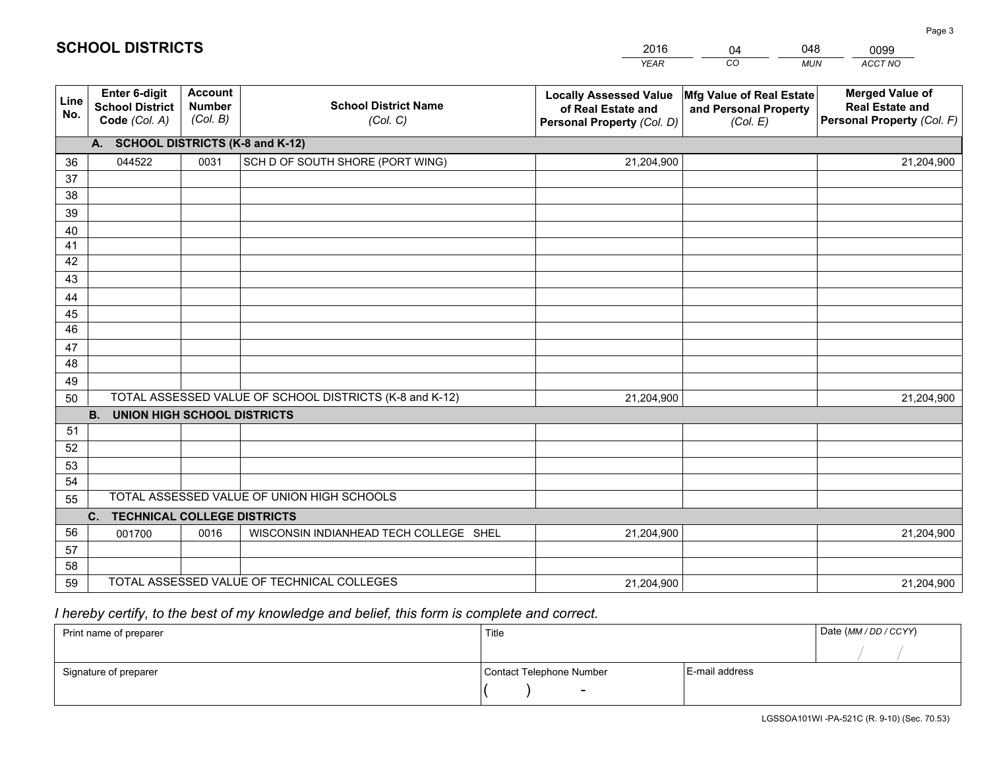|             |                                                                 |                                             |                                                         | <b>YEAR</b>                                                                       | CO<br><b>MUN</b>                                              | ACCT NO                                                                        |
|-------------|-----------------------------------------------------------------|---------------------------------------------|---------------------------------------------------------|-----------------------------------------------------------------------------------|---------------------------------------------------------------|--------------------------------------------------------------------------------|
| Line<br>No. | <b>Enter 6-digit</b><br><b>School District</b><br>Code (Col. A) | <b>Account</b><br><b>Number</b><br>(Col. B) | <b>School District Name</b><br>(Col. C)                 | <b>Locally Assessed Value</b><br>of Real Estate and<br>Personal Property (Col. D) | Mfg Value of Real Estate<br>and Personal Property<br>(Col. E) | <b>Merged Value of</b><br><b>Real Estate and</b><br>Personal Property (Col. F) |
|             | A. SCHOOL DISTRICTS (K-8 and K-12)                              |                                             |                                                         |                                                                                   |                                                               |                                                                                |
| 36          | 044522                                                          | 0031                                        | SCH D OF SOUTH SHORE (PORT WING)                        | 21,204,900                                                                        |                                                               | 21,204,900                                                                     |
| 37          |                                                                 |                                             |                                                         |                                                                                   |                                                               |                                                                                |
| 38          |                                                                 |                                             |                                                         |                                                                                   |                                                               |                                                                                |
| 39          |                                                                 |                                             |                                                         |                                                                                   |                                                               |                                                                                |
| 40          |                                                                 |                                             |                                                         |                                                                                   |                                                               |                                                                                |
| 41          |                                                                 |                                             |                                                         |                                                                                   |                                                               |                                                                                |
| 42          |                                                                 |                                             |                                                         |                                                                                   |                                                               |                                                                                |
| 43          |                                                                 |                                             |                                                         |                                                                                   |                                                               |                                                                                |
| 44          |                                                                 |                                             |                                                         |                                                                                   |                                                               |                                                                                |
| 45<br>46    |                                                                 |                                             |                                                         |                                                                                   |                                                               |                                                                                |
|             |                                                                 |                                             |                                                         |                                                                                   |                                                               |                                                                                |
| 47<br>48    |                                                                 |                                             |                                                         |                                                                                   |                                                               |                                                                                |
| 49          |                                                                 |                                             |                                                         |                                                                                   |                                                               |                                                                                |
| 50          |                                                                 |                                             | TOTAL ASSESSED VALUE OF SCHOOL DISTRICTS (K-8 and K-12) | 21,204,900                                                                        |                                                               | 21,204,900                                                                     |
|             | <b>B.</b><br><b>UNION HIGH SCHOOL DISTRICTS</b>                 |                                             |                                                         |                                                                                   |                                                               |                                                                                |
| 51          |                                                                 |                                             |                                                         |                                                                                   |                                                               |                                                                                |
| 52          |                                                                 |                                             |                                                         |                                                                                   |                                                               |                                                                                |
| 53          |                                                                 |                                             |                                                         |                                                                                   |                                                               |                                                                                |
| 54          |                                                                 |                                             |                                                         |                                                                                   |                                                               |                                                                                |
| 55          |                                                                 |                                             | TOTAL ASSESSED VALUE OF UNION HIGH SCHOOLS              |                                                                                   |                                                               |                                                                                |
|             | <b>TECHNICAL COLLEGE DISTRICTS</b><br>C.                        |                                             |                                                         |                                                                                   |                                                               |                                                                                |
| 56          | 001700                                                          | 0016                                        | WISCONSIN INDIANHEAD TECH COLLEGE SHEL                  | 21,204,900                                                                        |                                                               | 21,204,900                                                                     |
| 57          |                                                                 |                                             |                                                         |                                                                                   |                                                               |                                                                                |
| 58          |                                                                 |                                             |                                                         |                                                                                   |                                                               |                                                                                |
| 59          |                                                                 |                                             | TOTAL ASSESSED VALUE OF TECHNICAL COLLEGES              | 21,204,900                                                                        |                                                               | 21,204,900                                                                     |

04

048

# *I hereby certify, to the best of my knowledge and belief, this form is complete and correct.*

**SCHOOL DISTRICTS**

| Print name of preparer | Title                    | Date (MM / DD / CCYY) |  |
|------------------------|--------------------------|-----------------------|--|
|                        |                          |                       |  |
| Signature of preparer  | Contact Telephone Number | E-mail address        |  |
|                        | $\overline{\phantom{0}}$ |                       |  |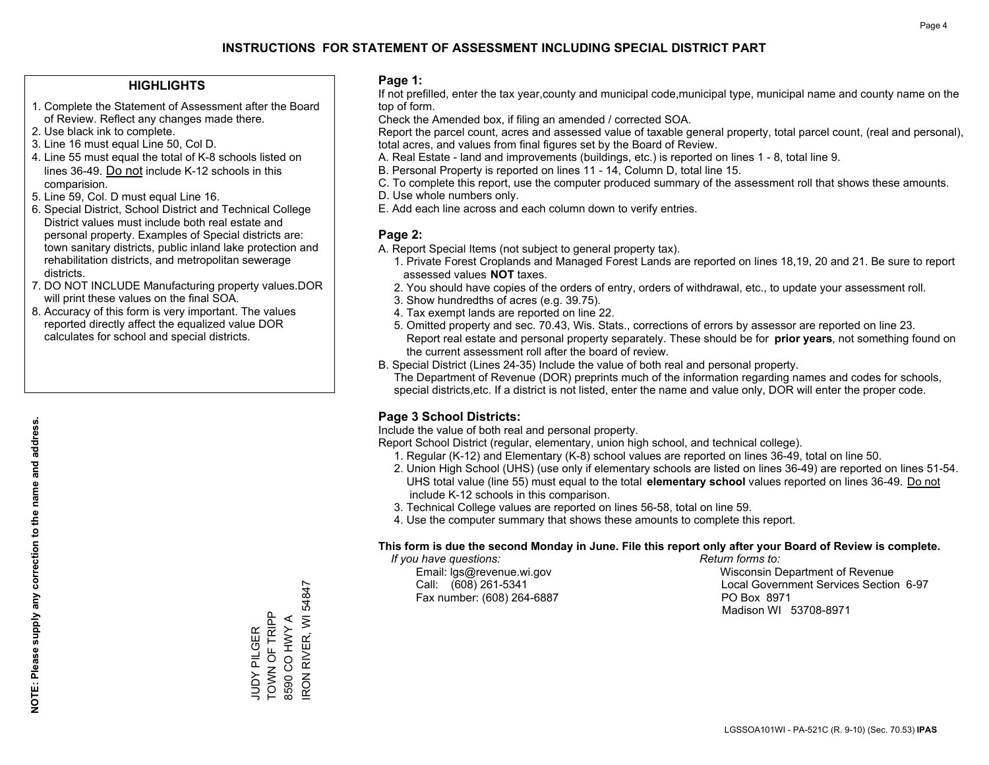### **HIGHLIGHTS**

- 1. Complete the Statement of Assessment after the Board of Review. Reflect any changes made there.
- 2. Use black ink to complete.
- 3. Line 16 must equal Line 50, Col D.
- 4. Line 55 must equal the total of K-8 schools listed on lines 36-49. Do not include K-12 schools in this comparision.
- 5. Line 59, Col. D must equal Line 16.
- 6. Special District, School District and Technical College District values must include both real estate and personal property. Examples of Special districts are: town sanitary districts, public inland lake protection and rehabilitation districts, and metropolitan sewerage districts.
- 7. DO NOT INCLUDE Manufacturing property values.DOR will print these values on the final SOA.

JUDY PILGER TOWN OF TRIPP 8590 CO HWY A

JUDY PILGER<br>TOWN OF TRIPP 8590 CO HWY A IRON RIVER, WI 54847

RON RIVER, WI 54847

 8. Accuracy of this form is very important. The values reported directly affect the equalized value DOR calculates for school and special districts.

### **Page 1:**

 If not prefilled, enter the tax year,county and municipal code,municipal type, municipal name and county name on the top of form.

Check the Amended box, if filing an amended / corrected SOA.

 Report the parcel count, acres and assessed value of taxable general property, total parcel count, (real and personal), total acres, and values from final figures set by the Board of Review.

- A. Real Estate land and improvements (buildings, etc.) is reported on lines 1 8, total line 9.
- B. Personal Property is reported on lines 11 14, Column D, total line 15.
- C. To complete this report, use the computer produced summary of the assessment roll that shows these amounts.
- D. Use whole numbers only.
- E. Add each line across and each column down to verify entries.

### **Page 2:**

- A. Report Special Items (not subject to general property tax).
- 1. Private Forest Croplands and Managed Forest Lands are reported on lines 18,19, 20 and 21. Be sure to report assessed values **NOT** taxes.
- 2. You should have copies of the orders of entry, orders of withdrawal, etc., to update your assessment roll.
	- 3. Show hundredths of acres (e.g. 39.75).
- 4. Tax exempt lands are reported on line 22.
- 5. Omitted property and sec. 70.43, Wis. Stats., corrections of errors by assessor are reported on line 23. Report real estate and personal property separately. These should be for **prior years**, not something found on the current assessment roll after the board of review.
- B. Special District (Lines 24-35) Include the value of both real and personal property.

 The Department of Revenue (DOR) preprints much of the information regarding names and codes for schools, special districts,etc. If a district is not listed, enter the name and value only, DOR will enter the proper code.

### **Page 3 School Districts:**

Include the value of both real and personal property.

Report School District (regular, elementary, union high school, and technical college).

- 1. Regular (K-12) and Elementary (K-8) school values are reported on lines 36-49, total on line 50.
- 2. Union High School (UHS) (use only if elementary schools are listed on lines 36-49) are reported on lines 51-54. UHS total value (line 55) must equal to the total **elementary school** values reported on lines 36-49. Do notinclude K-12 schools in this comparison.
- 3. Technical College values are reported on lines 56-58, total on line 59.
- 4. Use the computer summary that shows these amounts to complete this report.

#### **This form is due the second Monday in June. File this report only after your Board of Review is complete.**

 *If you have questions: Return forms to:*

Fax number: (608) 264-6887 PO Box 8971

 Email: lgs@revenue.wi.gov Wisconsin Department of Revenue Call: (608) 261-5341 Local Government Services Section 6-97Madison WI 53708-8971

LGSSOA101WI - PA-521C (R. 9-10) (Sec. 70.53) **IPAS**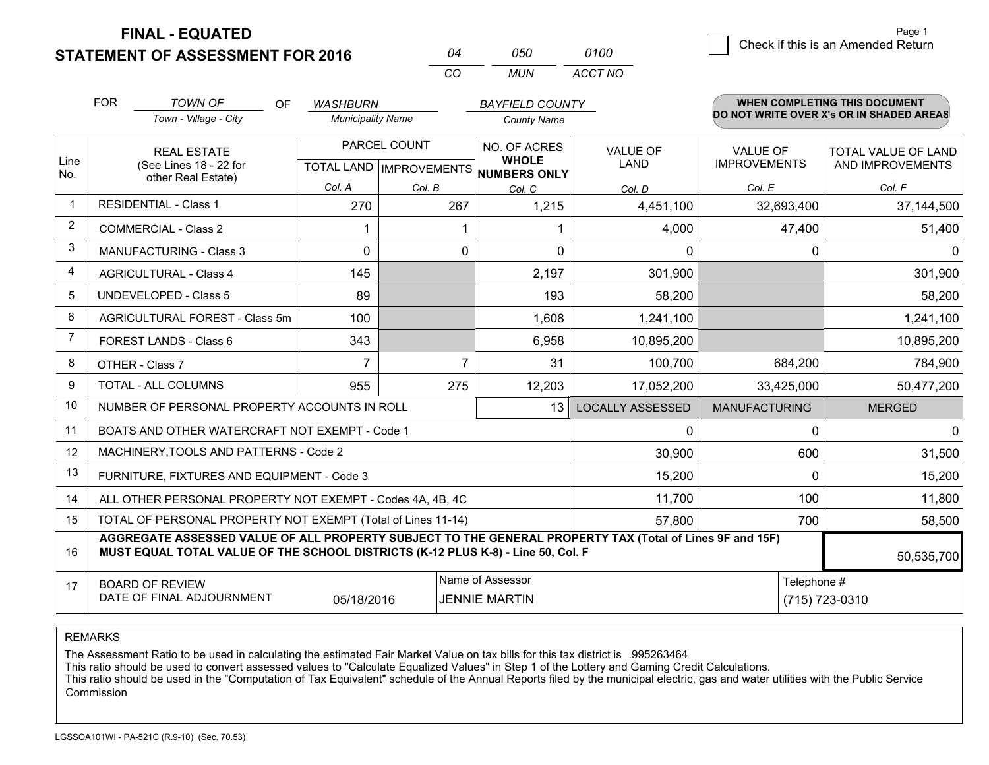**STATEMENT OF ASSESSMENT FOR 2016** 

**FINAL - EQUATED**

| ሰ4  | กรก | 0100    |
|-----|-----|---------|
| CO. | MUN | ACCT NO |

|                | <b>FOR</b><br><b>TOWN OF</b><br>OF<br><b>WASHBURN</b><br>Town - Village - City<br><b>Municipality Name</b>                                                                                   |                                                              |                                                                | <b>BAYFIELD COUNTY</b><br><b>County Name</b> |                 | <b>WHEN COMPLETING THIS DOCUMENT</b><br>DO NOT WRITE OVER X's OR IN SHADED AREAS |                         |                                        |                                         |
|----------------|----------------------------------------------------------------------------------------------------------------------------------------------------------------------------------------------|--------------------------------------------------------------|----------------------------------------------------------------|----------------------------------------------|-----------------|----------------------------------------------------------------------------------|-------------------------|----------------------------------------|-----------------------------------------|
| Line<br>No.    | <b>REAL ESTATE</b><br>(See Lines 18 - 22 for<br>other Real Estate)                                                                                                                           |                                                              | PARCEL COUNT<br>TOTAL LAND IMPROVEMENTS NUMBERS ONLY<br>Col. A |                                              |                 | NO. OF ACRES<br><b>WHOLE</b>                                                     | <b>VALUE OF</b><br>LAND | <b>VALUE OF</b><br><b>IMPROVEMENTS</b> | TOTAL VALUE OF LAND<br>AND IMPROVEMENTS |
| $\mathbf 1$    |                                                                                                                                                                                              | <b>RESIDENTIAL - Class 1</b>                                 | 270                                                            | Col. B<br>267                                | Col. C<br>1,215 | Col. D<br>4,451,100                                                              | Col. E<br>32,693,400    | Col. F<br>37,144,500                   |                                         |
| $\overline{2}$ |                                                                                                                                                                                              | <b>COMMERCIAL - Class 2</b>                                  |                                                                |                                              |                 | 4,000                                                                            | 47,400                  | 51,400                                 |                                         |
| 3              |                                                                                                                                                                                              | <b>MANUFACTURING - Class 3</b>                               | $\Omega$                                                       | 0                                            | $\Omega$        | $\Omega$                                                                         | 0                       | 0                                      |                                         |
| $\overline{4}$ |                                                                                                                                                                                              | <b>AGRICULTURAL - Class 4</b>                                | 145                                                            |                                              | 2,197           | 301,900                                                                          |                         | 301,900                                |                                         |
| 5              |                                                                                                                                                                                              | <b>UNDEVELOPED - Class 5</b>                                 | 89                                                             |                                              | 193             | 58,200                                                                           |                         | 58,200                                 |                                         |
| 6              | AGRICULTURAL FOREST - Class 5m                                                                                                                                                               |                                                              | 100                                                            |                                              | 1,608           | 1,241,100                                                                        |                         | 1,241,100                              |                                         |
| 7              | FOREST LANDS - Class 6                                                                                                                                                                       |                                                              | 343                                                            |                                              | 6,958           | 10,895,200                                                                       |                         | 10,895,200                             |                                         |
| 8              |                                                                                                                                                                                              | OTHER - Class 7                                              | $\overline{7}$                                                 | $\overline{7}$                               | 31              | 100,700                                                                          | 684,200                 | 784,900                                |                                         |
| 9              |                                                                                                                                                                                              | TOTAL - ALL COLUMNS                                          | 955                                                            | 275                                          | 12,203          | 17,052,200                                                                       | 33,425,000              | 50,477,200                             |                                         |
| 10             |                                                                                                                                                                                              | NUMBER OF PERSONAL PROPERTY ACCOUNTS IN ROLL                 |                                                                |                                              | 13              | <b>LOCALLY ASSESSED</b>                                                          | <b>MANUFACTURING</b>    | <b>MERGED</b>                          |                                         |
| 11             |                                                                                                                                                                                              | BOATS AND OTHER WATERCRAFT NOT EXEMPT - Code 1               |                                                                |                                              |                 | 0                                                                                | $\Omega$                | 0                                      |                                         |
| 12             |                                                                                                                                                                                              | MACHINERY, TOOLS AND PATTERNS - Code 2                       |                                                                |                                              |                 | 30,900                                                                           | 600                     | 31,500                                 |                                         |
| 13             |                                                                                                                                                                                              | FURNITURE, FIXTURES AND EQUIPMENT - Code 3                   |                                                                |                                              |                 | 15,200                                                                           | $\Omega$                | 15,200                                 |                                         |
| 14             |                                                                                                                                                                                              | ALL OTHER PERSONAL PROPERTY NOT EXEMPT - Codes 4A, 4B, 4C    |                                                                |                                              |                 | 11,700                                                                           | 100                     | 11,800                                 |                                         |
| 15             |                                                                                                                                                                                              | TOTAL OF PERSONAL PROPERTY NOT EXEMPT (Total of Lines 11-14) |                                                                | 57,800                                       | 700             | 58,500                                                                           |                         |                                        |                                         |
| 16             | AGGREGATE ASSESSED VALUE OF ALL PROPERTY SUBJECT TO THE GENERAL PROPERTY TAX (Total of Lines 9F and 15F)<br>MUST EQUAL TOTAL VALUE OF THE SCHOOL DISTRICTS (K-12 PLUS K-8) - Line 50, Col. F |                                                              |                                                                |                                              |                 |                                                                                  |                         | 50,535,700                             |                                         |
| 17             | Name of Assessor<br><b>BOARD OF REVIEW</b><br>DATE OF FINAL ADJOURNMENT<br>05/18/2016<br><b>JENNIE MARTIN</b>                                                                                |                                                              |                                                                |                                              |                 |                                                                                  | Telephone #             | (715) 723-0310                         |                                         |

REMARKS

The Assessment Ratio to be used in calculating the estimated Fair Market Value on tax bills for this tax district is .995263464

This ratio should be used to convert assessed values to "Calculate Equalized Values" in Step 1 of the Lottery and Gaming Credit Calculations.<br>This ratio should be used in the "Computation of Tax Equivalent" schedule of the Commission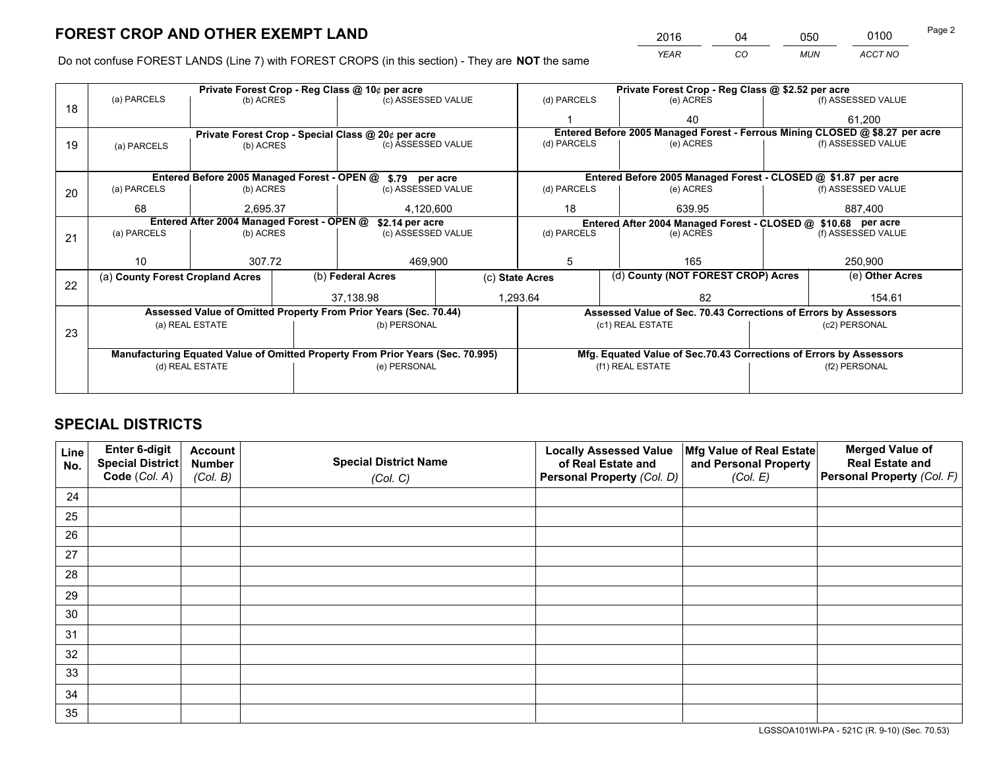*YEAR CO MUN ACCT NO* <sup>2016</sup> <sup>04</sup> <sup>050</sup> <sup>0100</sup> Page 2

Do not confuse FOREST LANDS (Line 7) with FOREST CROPS (in this section) - They are **NOT** the same

|    |                                                                                |                 |  | Private Forest Crop - Reg Class @ 10¢ per acre                   |         | Private Forest Crop - Reg Class @ \$2.52 per acre     |                                                                              |                                                                 |                 |                    |  |
|----|--------------------------------------------------------------------------------|-----------------|--|------------------------------------------------------------------|---------|-------------------------------------------------------|------------------------------------------------------------------------------|-----------------------------------------------------------------|-----------------|--------------------|--|
| 18 | (a) PARCELS                                                                    | (b) ACRES       |  | (c) ASSESSED VALUE                                               |         | (d) PARCELS                                           |                                                                              | (e) ACRES                                                       |                 | (f) ASSESSED VALUE |  |
|    |                                                                                |                 |  |                                                                  |         |                                                       |                                                                              | 40                                                              |                 | 61,200             |  |
|    |                                                                                |                 |  | Private Forest Crop - Special Class @ 20¢ per acre               |         |                                                       | Entered Before 2005 Managed Forest - Ferrous Mining CLOSED @ \$8.27 per acre |                                                                 |                 |                    |  |
| 19 | (a) PARCELS                                                                    | (b) ACRES       |  | (c) ASSESSED VALUE                                               |         | (d) PARCELS                                           |                                                                              | (e) ACRES                                                       |                 | (f) ASSESSED VALUE |  |
|    |                                                                                |                 |  |                                                                  |         |                                                       |                                                                              |                                                                 |                 |                    |  |
|    |                                                                                |                 |  | Entered Before 2005 Managed Forest - OPEN @ \$.79 per acre       |         |                                                       |                                                                              | Entered Before 2005 Managed Forest - CLOSED @ \$1.87 per acre   |                 |                    |  |
| 20 | (a) PARCELS                                                                    | (b) ACRES       |  | (c) ASSESSED VALUE                                               |         | (d) PARCELS                                           |                                                                              | (e) ACRES                                                       |                 | (f) ASSESSED VALUE |  |
|    | 68                                                                             | 2.695.37        |  | 4,120,600                                                        |         | 18                                                    | 639.95                                                                       |                                                                 | 887.400         |                    |  |
|    | Entered After 2004 Managed Forest - OPEN @<br>\$2.14 per acre                  |                 |  |                                                                  |         |                                                       |                                                                              | Entered After 2004 Managed Forest - CLOSED @ \$10.68 per acre   |                 |                    |  |
| 21 | (a) PARCELS                                                                    | (b) ACRES       |  | (c) ASSESSED VALUE                                               |         | (d) PARCELS                                           |                                                                              | (e) ACRES                                                       |                 | (f) ASSESSED VALUE |  |
|    |                                                                                |                 |  |                                                                  |         |                                                       |                                                                              |                                                                 |                 |                    |  |
|    | 10                                                                             | 307.72          |  |                                                                  | 469,900 |                                                       | 5<br>165                                                                     |                                                                 |                 | 250,900            |  |
| 22 | (a) County Forest Cropland Acres                                               |                 |  | (b) Federal Acres                                                |         | (d) County (NOT FOREST CROP) Acres<br>(c) State Acres |                                                                              |                                                                 | (e) Other Acres |                    |  |
|    |                                                                                |                 |  | 37,138.98                                                        |         | 1,293.64<br>82                                        |                                                                              |                                                                 |                 | 154.61             |  |
|    |                                                                                |                 |  | Assessed Value of Omitted Property From Prior Years (Sec. 70.44) |         |                                                       |                                                                              | Assessed Value of Sec. 70.43 Corrections of Errors by Assessors |                 |                    |  |
|    |                                                                                | (a) REAL ESTATE |  | (b) PERSONAL                                                     |         |                                                       |                                                                              | (c1) REAL ESTATE                                                |                 | (c2) PERSONAL      |  |
| 23 |                                                                                |                 |  |                                                                  |         |                                                       |                                                                              |                                                                 |                 |                    |  |
|    | Manufacturing Equated Value of Omitted Property From Prior Years (Sec. 70.995) |                 |  |                                                                  |         |                                                       | Mfg. Equated Value of Sec.70.43 Corrections of Errors by Assessors           |                                                                 |                 |                    |  |
|    |                                                                                | (d) REAL ESTATE |  | (e) PERSONAL                                                     |         | (f1) REAL ESTATE                                      |                                                                              | (f2) PERSONAL                                                   |                 |                    |  |
|    |                                                                                |                 |  |                                                                  |         |                                                       |                                                                              |                                                                 |                 |                    |  |

# **SPECIAL DISTRICTS**

| Line<br>No. | Enter 6-digit<br>Special District<br>Code (Col. A) | <b>Account</b><br><b>Number</b> | <b>Special District Name</b> | <b>Locally Assessed Value</b><br>of Real Estate and | Mfg Value of Real Estate<br>and Personal Property | <b>Merged Value of</b><br><b>Real Estate and</b><br>Personal Property (Col. F) |
|-------------|----------------------------------------------------|---------------------------------|------------------------------|-----------------------------------------------------|---------------------------------------------------|--------------------------------------------------------------------------------|
|             |                                                    | (Col. B)                        | (Col. C)                     | Personal Property (Col. D)                          | (Col. E)                                          |                                                                                |
| 24          |                                                    |                                 |                              |                                                     |                                                   |                                                                                |
| 25          |                                                    |                                 |                              |                                                     |                                                   |                                                                                |
| 26          |                                                    |                                 |                              |                                                     |                                                   |                                                                                |
| 27          |                                                    |                                 |                              |                                                     |                                                   |                                                                                |
| 28          |                                                    |                                 |                              |                                                     |                                                   |                                                                                |
| 29          |                                                    |                                 |                              |                                                     |                                                   |                                                                                |
| 30          |                                                    |                                 |                              |                                                     |                                                   |                                                                                |
| 31          |                                                    |                                 |                              |                                                     |                                                   |                                                                                |
| 32          |                                                    |                                 |                              |                                                     |                                                   |                                                                                |
| 33          |                                                    |                                 |                              |                                                     |                                                   |                                                                                |
| 34          |                                                    |                                 |                              |                                                     |                                                   |                                                                                |
| 35          |                                                    |                                 |                              |                                                     |                                                   |                                                                                |

LGSSOA101WI-PA - 521C (R. 9-10) (Sec. 70.53)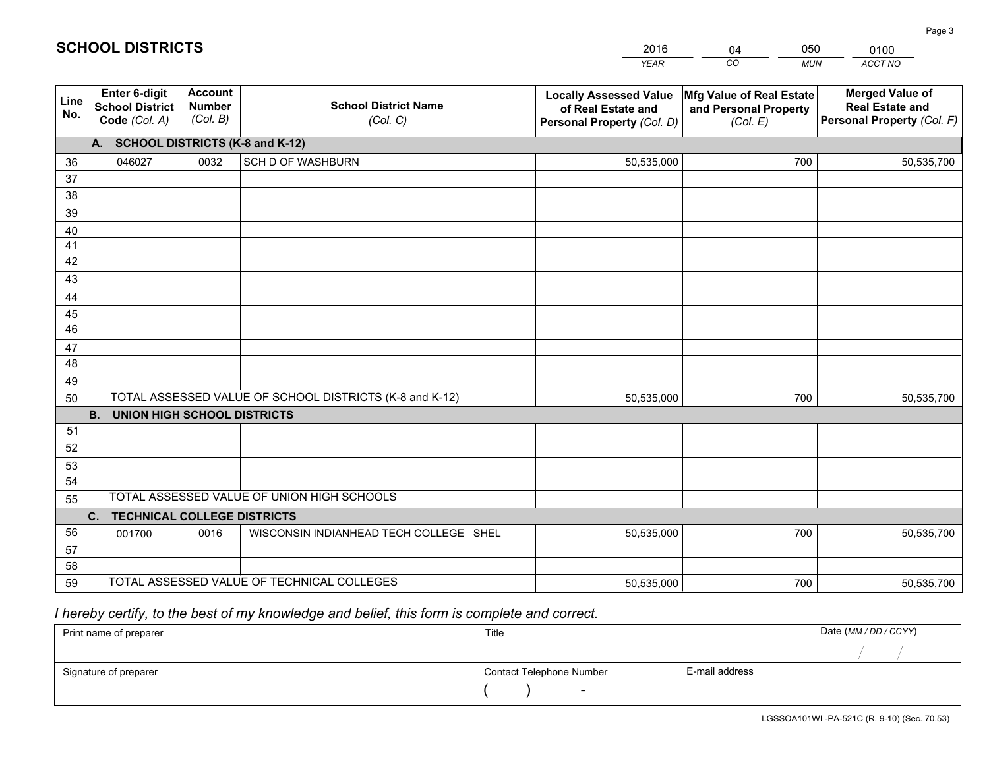|             |                                                                 |                                             |                                                         | <b>YEAR</b>                                                                       | CO<br><b>MUN</b>                                              | ACCT NO                                                                        |
|-------------|-----------------------------------------------------------------|---------------------------------------------|---------------------------------------------------------|-----------------------------------------------------------------------------------|---------------------------------------------------------------|--------------------------------------------------------------------------------|
| Line<br>No. | <b>Enter 6-digit</b><br><b>School District</b><br>Code (Col. A) | <b>Account</b><br><b>Number</b><br>(Col. B) | <b>School District Name</b><br>(Col. C)                 | <b>Locally Assessed Value</b><br>of Real Estate and<br>Personal Property (Col. D) | Mfg Value of Real Estate<br>and Personal Property<br>(Col. E) | <b>Merged Value of</b><br><b>Real Estate and</b><br>Personal Property (Col. F) |
|             | A. SCHOOL DISTRICTS (K-8 and K-12)                              |                                             |                                                         |                                                                                   |                                                               |                                                                                |
| 36          | 046027                                                          | 0032                                        | <b>SCH D OF WASHBURN</b>                                | 50,535,000                                                                        | 700                                                           | 50,535,700                                                                     |
| 37          |                                                                 |                                             |                                                         |                                                                                   |                                                               |                                                                                |
| 38          |                                                                 |                                             |                                                         |                                                                                   |                                                               |                                                                                |
| 39          |                                                                 |                                             |                                                         |                                                                                   |                                                               |                                                                                |
| 40          |                                                                 |                                             |                                                         |                                                                                   |                                                               |                                                                                |
| 41<br>42    |                                                                 |                                             |                                                         |                                                                                   |                                                               |                                                                                |
| 43          |                                                                 |                                             |                                                         |                                                                                   |                                                               |                                                                                |
|             |                                                                 |                                             |                                                         |                                                                                   |                                                               |                                                                                |
| 44<br>45    |                                                                 |                                             |                                                         |                                                                                   |                                                               |                                                                                |
| 46          |                                                                 |                                             |                                                         |                                                                                   |                                                               |                                                                                |
| 47          |                                                                 |                                             |                                                         |                                                                                   |                                                               |                                                                                |
| 48          |                                                                 |                                             |                                                         |                                                                                   |                                                               |                                                                                |
| 49          |                                                                 |                                             |                                                         |                                                                                   |                                                               |                                                                                |
| 50          |                                                                 |                                             | TOTAL ASSESSED VALUE OF SCHOOL DISTRICTS (K-8 and K-12) | 50,535,000                                                                        | 700                                                           | 50,535,700                                                                     |
|             | <b>B.</b><br>UNION HIGH SCHOOL DISTRICTS                        |                                             |                                                         |                                                                                   |                                                               |                                                                                |
| 51          |                                                                 |                                             |                                                         |                                                                                   |                                                               |                                                                                |
| 52          |                                                                 |                                             |                                                         |                                                                                   |                                                               |                                                                                |
| 53          |                                                                 |                                             |                                                         |                                                                                   |                                                               |                                                                                |
| 54          |                                                                 |                                             |                                                         |                                                                                   |                                                               |                                                                                |
| 55          |                                                                 |                                             | TOTAL ASSESSED VALUE OF UNION HIGH SCHOOLS              |                                                                                   |                                                               |                                                                                |
|             | C.<br><b>TECHNICAL COLLEGE DISTRICTS</b>                        |                                             |                                                         |                                                                                   |                                                               |                                                                                |
| 56          | 001700                                                          | 0016                                        | WISCONSIN INDIANHEAD TECH COLLEGE SHEL                  | 50,535,000                                                                        | 700                                                           | 50,535,700                                                                     |
| 57<br>58    |                                                                 |                                             |                                                         |                                                                                   |                                                               |                                                                                |
| 59          |                                                                 |                                             | TOTAL ASSESSED VALUE OF TECHNICAL COLLEGES              | 50,535,000                                                                        | 700                                                           | 50,535,700                                                                     |
|             |                                                                 |                                             |                                                         |                                                                                   |                                                               |                                                                                |

04

050

 *I hereby certify, to the best of my knowledge and belief, this form is complete and correct.*

**SCHOOL DISTRICTS**

| Print name of preparer | Title                    |                | Date (MM / DD / CCYY) |
|------------------------|--------------------------|----------------|-----------------------|
|                        |                          |                |                       |
| Signature of preparer  | Contact Telephone Number | E-mail address |                       |
|                        | $\overline{\phantom{0}}$ |                |                       |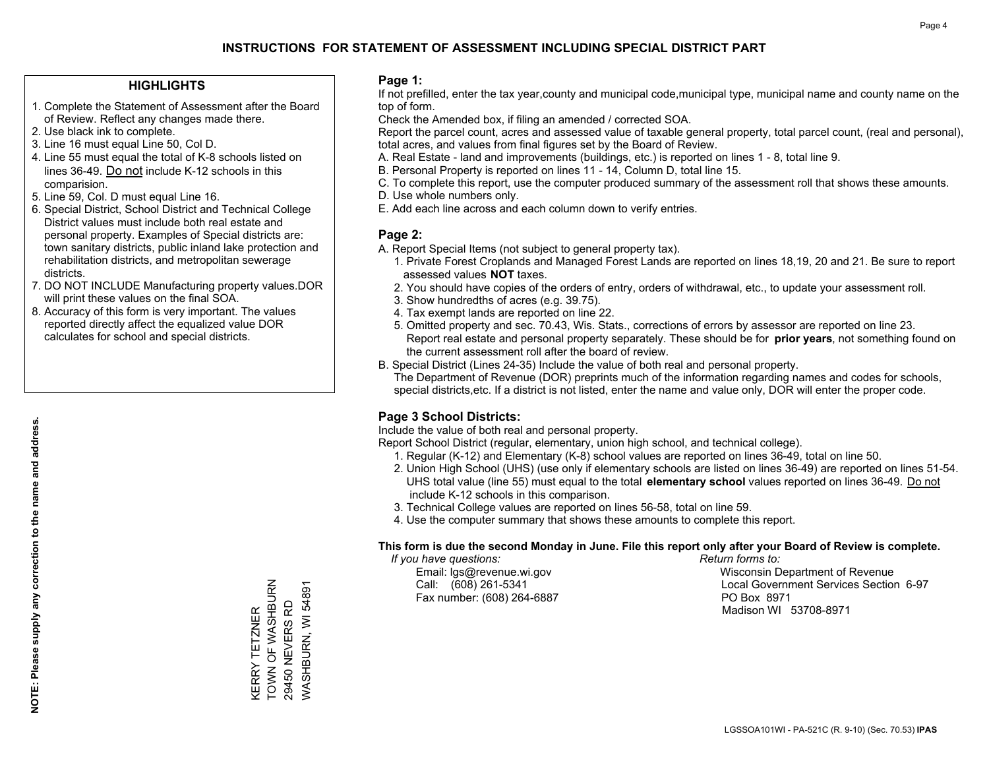### **HIGHLIGHTS**

- 1. Complete the Statement of Assessment after the Board of Review. Reflect any changes made there.
- 2. Use black ink to complete.

**NOTE: Please supply any correction to the name and address.**

NOTE: Please supply any correction to the name and address.

- 3. Line 16 must equal Line 50, Col D.
- 4. Line 55 must equal the total of K-8 schools listed on lines 36-49. Do not include K-12 schools in this comparision.
- 5. Line 59, Col. D must equal Line 16.
- 6. Special District, School District and Technical College District values must include both real estate and personal property. Examples of Special districts are: town sanitary districts, public inland lake protection and rehabilitation districts, and metropolitan sewerage districts.
- 7. DO NOT INCLUDE Manufacturing property values.DOR will print these values on the final SOA.
- 8. Accuracy of this form is very important. The values reported directly affect the equalized value DOR calculates for school and special districts.

### **Page 1:**

 If not prefilled, enter the tax year,county and municipal code,municipal type, municipal name and county name on the top of form.

Check the Amended box, if filing an amended / corrected SOA.

 Report the parcel count, acres and assessed value of taxable general property, total parcel count, (real and personal), total acres, and values from final figures set by the Board of Review.

- A. Real Estate land and improvements (buildings, etc.) is reported on lines 1 8, total line 9.
- B. Personal Property is reported on lines 11 14, Column D, total line 15.
- C. To complete this report, use the computer produced summary of the assessment roll that shows these amounts.
- D. Use whole numbers only.
- E. Add each line across and each column down to verify entries.

### **Page 2:**

- A. Report Special Items (not subject to general property tax).
- 1. Private Forest Croplands and Managed Forest Lands are reported on lines 18,19, 20 and 21. Be sure to report assessed values **NOT** taxes.
- 2. You should have copies of the orders of entry, orders of withdrawal, etc., to update your assessment roll.
	- 3. Show hundredths of acres (e.g. 39.75).
- 4. Tax exempt lands are reported on line 22.
- 5. Omitted property and sec. 70.43, Wis. Stats., corrections of errors by assessor are reported on line 23. Report real estate and personal property separately. These should be for **prior years**, not something found on the current assessment roll after the board of review.
- B. Special District (Lines 24-35) Include the value of both real and personal property.
- The Department of Revenue (DOR) preprints much of the information regarding names and codes for schools, special districts,etc. If a district is not listed, enter the name and value only, DOR will enter the proper code.

### **Page 3 School Districts:**

Include the value of both real and personal property.

Report School District (regular, elementary, union high school, and technical college).

- 1. Regular (K-12) and Elementary (K-8) school values are reported on lines 36-49, total on line 50.
- 2. Union High School (UHS) (use only if elementary schools are listed on lines 36-49) are reported on lines 51-54. UHS total value (line 55) must equal to the total **elementary school** values reported on lines 36-49. Do notinclude K-12 schools in this comparison.
- 3. Technical College values are reported on lines 56-58, total on line 59.
- 4. Use the computer summary that shows these amounts to complete this report.

#### **This form is due the second Monday in June. File this report only after your Board of Review is complete.**

 *If you have questions: Return forms to:*

Fax number: (608) 264-6887 PO Box 8971

 Email: lgs@revenue.wi.gov Wisconsin Department of Revenue Call: (608) 261-5341 Local Government Services Section 6-97Madison WI 53708-8971

KERRY TETZNER<br>TOWN OF WASHBURN KERRY TETZNER

TOWN OF WASHBURN 29450 NEVERS RD WASHBURN, WI 54891

WASHBURN, WI 54891 29450 NEVERS RD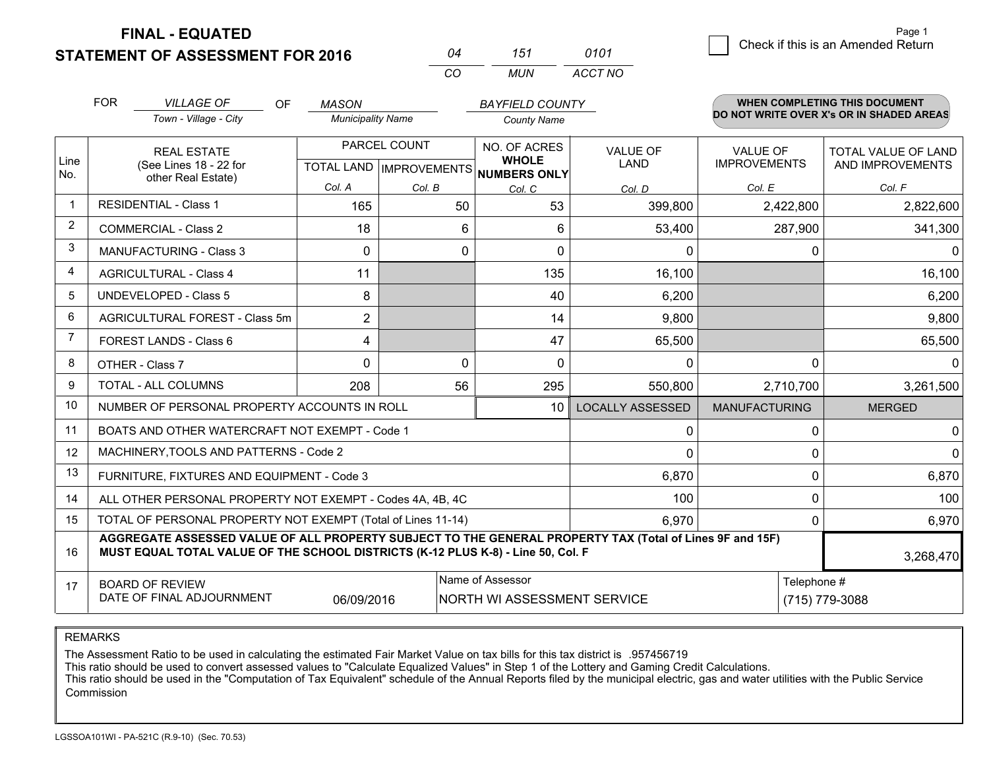**STATEMENT OF ASSESSMENT FOR 2016** 

**FINAL - EQUATED**

| 04  | 151 | 0101    |
|-----|-----|---------|
| CO. | MUN | ACCT NO |

|             | <b>FOR</b>                                          | <b>VILLAGE OF</b><br><b>OF</b>                                                                                                                                                               | <b>MASON</b>             |              | <b>BAYFIELD COUNTY</b>                         |                         |                                        | WHEN COMPLETING THIS DOCUMENT                  |
|-------------|-----------------------------------------------------|----------------------------------------------------------------------------------------------------------------------------------------------------------------------------------------------|--------------------------|--------------|------------------------------------------------|-------------------------|----------------------------------------|------------------------------------------------|
|             |                                                     | Town - Village - City                                                                                                                                                                        | <b>Municipality Name</b> |              | <b>County Name</b>                             |                         |                                        | DO NOT WRITE OVER X's OR IN SHADED AREAS       |
| Line        |                                                     | <b>REAL ESTATE</b><br>(See Lines 18 - 22 for                                                                                                                                                 |                          | PARCEL COUNT | NO. OF ACRES<br><b>WHOLE</b>                   | <b>VALUE OF</b><br>LAND | <b>VALUE OF</b><br><b>IMPROVEMENTS</b> | <b>TOTAL VALUE OF LAND</b><br>AND IMPROVEMENTS |
| No.         |                                                     | other Real Estate)                                                                                                                                                                           | Col. A                   | Col. B       | TOTAL LAND IMPROVEMENTS NUMBERS ONLY<br>Col. C | Col. D                  | Col. E                                 | Col. F                                         |
| $\mathbf 1$ |                                                     | <b>RESIDENTIAL - Class 1</b>                                                                                                                                                                 | 165                      | 50           | 53                                             | 399,800                 | 2,422,800                              | 2,822,600                                      |
| 2           |                                                     | <b>COMMERCIAL - Class 2</b>                                                                                                                                                                  | 18                       | 6            | 6                                              | 53,400                  | 287,900                                | 341,300                                        |
| 3           |                                                     | MANUFACTURING - Class 3                                                                                                                                                                      | $\Omega$                 | 0            | $\Omega$                                       | $\mathbf{0}$            | 0                                      | $\mathbf{0}$                                   |
| 4           |                                                     | <b>AGRICULTURAL - Class 4</b>                                                                                                                                                                | 11                       |              | 135                                            | 16,100                  |                                        | 16,100                                         |
| 5           |                                                     | <b>UNDEVELOPED - Class 5</b>                                                                                                                                                                 | 8                        |              | 40                                             | 6,200                   |                                        | 6,200                                          |
| 6           | AGRICULTURAL FOREST - Class 5m                      |                                                                                                                                                                                              | $\overline{2}$           |              | 14                                             | 9,800                   |                                        | 9,800                                          |
| 7           |                                                     | <b>FOREST LANDS - Class 6</b>                                                                                                                                                                | 4                        |              | 47                                             | 65,500                  |                                        | 65,500                                         |
| 8           |                                                     | OTHER - Class 7                                                                                                                                                                              | $\Omega$                 | $\Omega$     | $\Omega$                                       | $\Omega$                | $\Omega$                               | $\mathbf{0}$                                   |
| 9           |                                                     | TOTAL - ALL COLUMNS                                                                                                                                                                          | 208                      | 56           | 295                                            | 550,800                 | 2,710,700                              | 3,261,500                                      |
| 10          |                                                     | NUMBER OF PERSONAL PROPERTY ACCOUNTS IN ROLL                                                                                                                                                 |                          |              | 10                                             | <b>LOCALLY ASSESSED</b> | <b>MANUFACTURING</b>                   | <b>MERGED</b>                                  |
| 11          |                                                     | BOATS AND OTHER WATERCRAFT NOT EXEMPT - Code 1                                                                                                                                               |                          |              |                                                | 0                       | 0                                      | $\mathbf 0$                                    |
| 12          |                                                     | MACHINERY, TOOLS AND PATTERNS - Code 2                                                                                                                                                       |                          |              |                                                | $\Omega$                | 0                                      | 0                                              |
| 13          |                                                     | FURNITURE, FIXTURES AND EQUIPMENT - Code 3                                                                                                                                                   |                          |              |                                                | 6,870                   | $\Omega$                               | 6,870                                          |
| 14          |                                                     | ALL OTHER PERSONAL PROPERTY NOT EXEMPT - Codes 4A, 4B, 4C                                                                                                                                    |                          |              |                                                | 100                     | 0                                      | 100                                            |
| 15          |                                                     | TOTAL OF PERSONAL PROPERTY NOT EXEMPT (Total of Lines 11-14)                                                                                                                                 |                          |              |                                                | 6,970                   | $\Omega$                               | 6,970                                          |
| 16          |                                                     | AGGREGATE ASSESSED VALUE OF ALL PROPERTY SUBJECT TO THE GENERAL PROPERTY TAX (Total of Lines 9F and 15F)<br>MUST EQUAL TOTAL VALUE OF THE SCHOOL DISTRICTS (K-12 PLUS K-8) - Line 50, Col. F |                          |              |                                                |                         |                                        | 3,268,470                                      |
| 17          | <b>BOARD OF REVIEW</b><br>DATE OF FINAL ADJOURNMENT | Telephone #                                                                                                                                                                                  | (715) 779-3088           |              |                                                |                         |                                        |                                                |

REMARKS

The Assessment Ratio to be used in calculating the estimated Fair Market Value on tax bills for this tax district is .957456719

This ratio should be used to convert assessed values to "Calculate Equalized Values" in Step 1 of the Lottery and Gaming Credit Calculations.<br>This ratio should be used in the "Computation of Tax Equivalent" schedule of the Commission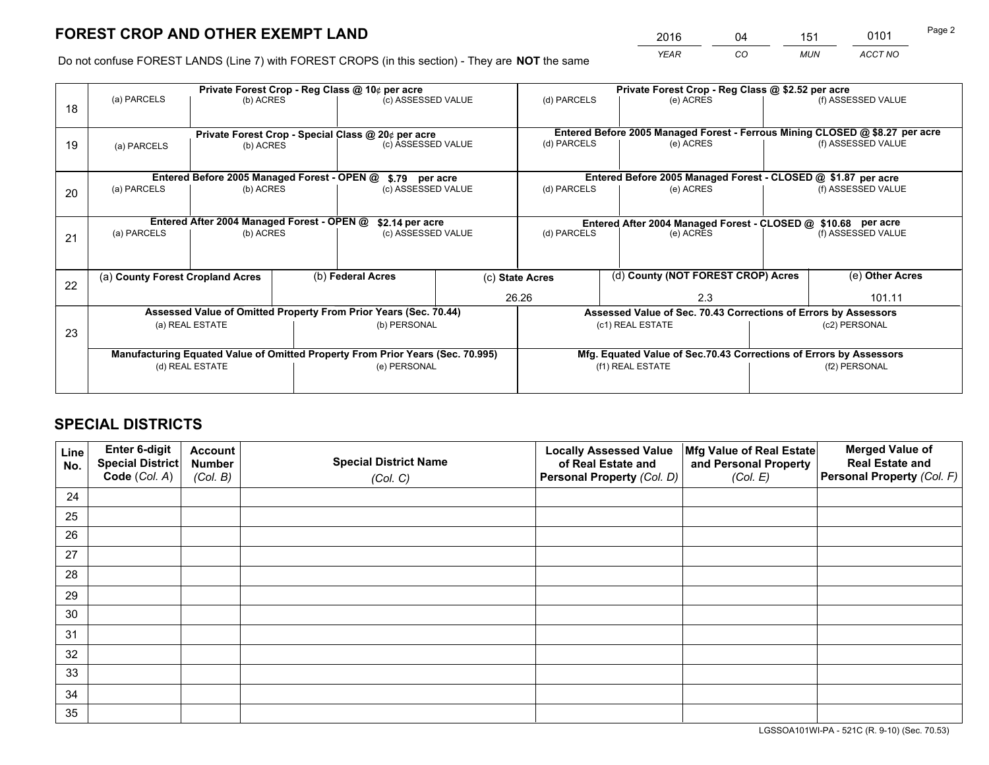*YEAR CO MUN ACCT NO* <sup>2016</sup> <sup>04</sup> <sup>151</sup> <sup>0101</sup>

Do not confuse FOREST LANDS (Line 7) with FOREST CROPS (in this section) - They are **NOT** the same

|    |                                  |                                             |  | Private Forest Crop - Reg Class @ 10¢ per acre                                 |  |                                                                              | Private Forest Crop - Reg Class @ \$2.52 per acre                  |  |                    |  |
|----|----------------------------------|---------------------------------------------|--|--------------------------------------------------------------------------------|--|------------------------------------------------------------------------------|--------------------------------------------------------------------|--|--------------------|--|
| 18 | (a) PARCELS                      | (b) ACRES                                   |  | (c) ASSESSED VALUE                                                             |  | (d) PARCELS                                                                  | (e) ACRES                                                          |  | (f) ASSESSED VALUE |  |
|    |                                  |                                             |  |                                                                                |  |                                                                              |                                                                    |  |                    |  |
|    |                                  |                                             |  | Private Forest Crop - Special Class @ 20¢ per acre                             |  | Entered Before 2005 Managed Forest - Ferrous Mining CLOSED @ \$8.27 per acre |                                                                    |  |                    |  |
| 19 | (a) PARCELS<br>(b) ACRES         |                                             |  | (c) ASSESSED VALUE                                                             |  | (d) PARCELS                                                                  | (e) ACRES                                                          |  | (f) ASSESSED VALUE |  |
|    |                                  |                                             |  |                                                                                |  |                                                                              |                                                                    |  |                    |  |
|    |                                  | Entered Before 2005 Managed Forest - OPEN @ |  | \$.79 per acre                                                                 |  |                                                                              | Entered Before 2005 Managed Forest - CLOSED @ \$1.87 per acre      |  |                    |  |
| 20 | (a) PARCELS                      | (b) ACRES                                   |  | (c) ASSESSED VALUE                                                             |  | (d) PARCELS                                                                  | (e) ACRES                                                          |  | (f) ASSESSED VALUE |  |
|    |                                  |                                             |  |                                                                                |  |                                                                              |                                                                    |  |                    |  |
|    |                                  | Entered After 2004 Managed Forest - OPEN @  |  | \$2.14 per acre                                                                |  | Entered After 2004 Managed Forest - CLOSED @ \$10.68 per acre                |                                                                    |  |                    |  |
| 21 | (a) PARCELS                      | (b) ACRES                                   |  | (c) ASSESSED VALUE                                                             |  | (d) PARCELS<br>(e) ACRES                                                     |                                                                    |  | (f) ASSESSED VALUE |  |
|    |                                  |                                             |  |                                                                                |  |                                                                              |                                                                    |  |                    |  |
|    |                                  |                                             |  |                                                                                |  |                                                                              | (d) County (NOT FOREST CROP) Acres                                 |  |                    |  |
| 22 | (a) County Forest Cropland Acres |                                             |  | (b) Federal Acres                                                              |  | (c) State Acres                                                              |                                                                    |  | (e) Other Acres    |  |
|    |                                  |                                             |  |                                                                                |  | 26.26<br>2.3                                                                 |                                                                    |  | 101.11             |  |
|    |                                  |                                             |  | Assessed Value of Omitted Property From Prior Years (Sec. 70.44)               |  |                                                                              | Assessed Value of Sec. 70.43 Corrections of Errors by Assessors    |  |                    |  |
| 23 |                                  | (a) REAL ESTATE                             |  | (b) PERSONAL                                                                   |  |                                                                              | (c1) REAL ESTATE                                                   |  | (c2) PERSONAL      |  |
|    |                                  |                                             |  |                                                                                |  |                                                                              |                                                                    |  |                    |  |
|    |                                  |                                             |  | Manufacturing Equated Value of Omitted Property From Prior Years (Sec. 70.995) |  |                                                                              | Mfg. Equated Value of Sec.70.43 Corrections of Errors by Assessors |  |                    |  |
|    | (d) REAL ESTATE                  |                                             |  | (e) PERSONAL                                                                   |  | (f1) REAL ESTATE                                                             |                                                                    |  | (f2) PERSONAL      |  |
|    |                                  |                                             |  |                                                                                |  |                                                                              |                                                                    |  |                    |  |

# **SPECIAL DISTRICTS**

| Line<br>No. | Enter 6-digit<br><b>Special District</b> | <b>Account</b><br><b>Number</b> | <b>Special District Name</b> | <b>Locally Assessed Value</b><br>of Real Estate and | Mfg Value of Real Estate<br>and Personal Property | <b>Merged Value of</b><br><b>Real Estate and</b> |
|-------------|------------------------------------------|---------------------------------|------------------------------|-----------------------------------------------------|---------------------------------------------------|--------------------------------------------------|
|             | Code (Col. A)                            | (Col. B)                        | (Col. C)                     | Personal Property (Col. D)                          | (Col. E)                                          | Personal Property (Col. F)                       |
| 24          |                                          |                                 |                              |                                                     |                                                   |                                                  |
| 25          |                                          |                                 |                              |                                                     |                                                   |                                                  |
| 26          |                                          |                                 |                              |                                                     |                                                   |                                                  |
| 27          |                                          |                                 |                              |                                                     |                                                   |                                                  |
| 28          |                                          |                                 |                              |                                                     |                                                   |                                                  |
| 29          |                                          |                                 |                              |                                                     |                                                   |                                                  |
| 30          |                                          |                                 |                              |                                                     |                                                   |                                                  |
| 31          |                                          |                                 |                              |                                                     |                                                   |                                                  |
| 32          |                                          |                                 |                              |                                                     |                                                   |                                                  |
| 33          |                                          |                                 |                              |                                                     |                                                   |                                                  |
| 34          |                                          |                                 |                              |                                                     |                                                   |                                                  |
| 35          |                                          |                                 |                              |                                                     |                                                   |                                                  |

LGSSOA101WI-PA - 521C (R. 9-10) (Sec. 70.53)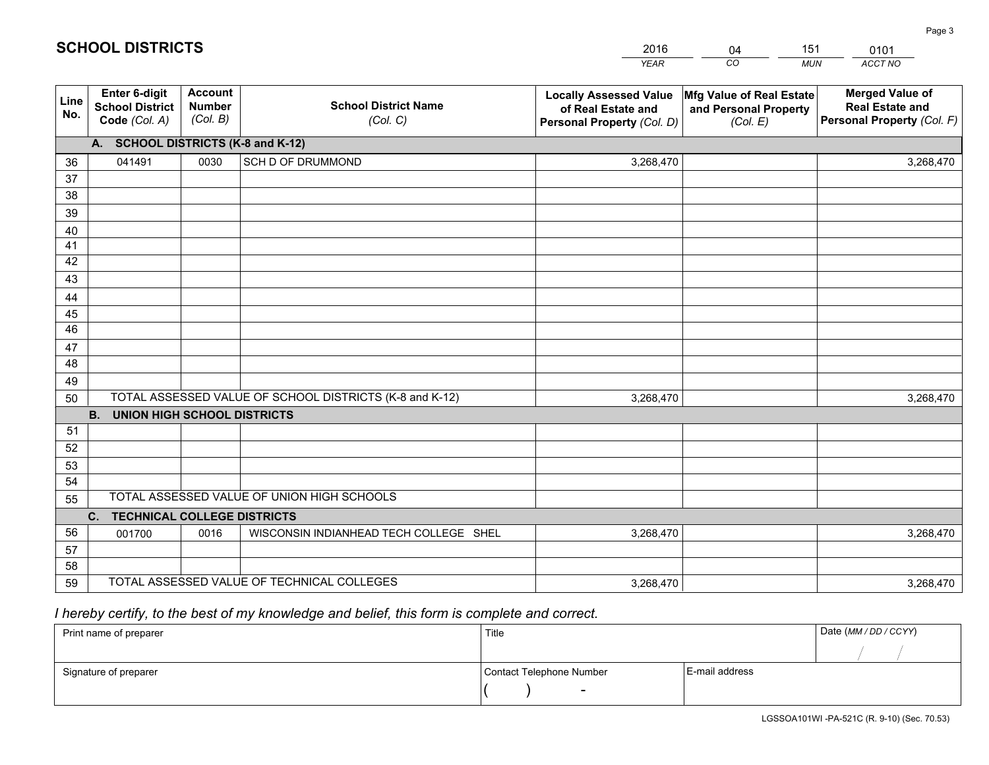|             |                                                                 |                                             |                                                         | <b>YEAR</b>                                                                       | CO<br><b>MUN</b>                                              | ACCT NO                                                                        |
|-------------|-----------------------------------------------------------------|---------------------------------------------|---------------------------------------------------------|-----------------------------------------------------------------------------------|---------------------------------------------------------------|--------------------------------------------------------------------------------|
| Line<br>No. | <b>Enter 6-digit</b><br><b>School District</b><br>Code (Col. A) | <b>Account</b><br><b>Number</b><br>(Col. B) | <b>School District Name</b><br>(Col. C)                 | <b>Locally Assessed Value</b><br>of Real Estate and<br>Personal Property (Col. D) | Mfg Value of Real Estate<br>and Personal Property<br>(Col. E) | <b>Merged Value of</b><br><b>Real Estate and</b><br>Personal Property (Col. F) |
|             | A. SCHOOL DISTRICTS (K-8 and K-12)                              |                                             |                                                         |                                                                                   |                                                               |                                                                                |
| 36          | 041491                                                          | 0030                                        | SCH D OF DRUMMOND                                       | 3,268,470                                                                         |                                                               | 3,268,470                                                                      |
| 37          |                                                                 |                                             |                                                         |                                                                                   |                                                               |                                                                                |
| 38          |                                                                 |                                             |                                                         |                                                                                   |                                                               |                                                                                |
| 39          |                                                                 |                                             |                                                         |                                                                                   |                                                               |                                                                                |
| 40          |                                                                 |                                             |                                                         |                                                                                   |                                                               |                                                                                |
| 41          |                                                                 |                                             |                                                         |                                                                                   |                                                               |                                                                                |
| 42          |                                                                 |                                             |                                                         |                                                                                   |                                                               |                                                                                |
| 43          |                                                                 |                                             |                                                         |                                                                                   |                                                               |                                                                                |
| 44          |                                                                 |                                             |                                                         |                                                                                   |                                                               |                                                                                |
| 45<br>46    |                                                                 |                                             |                                                         |                                                                                   |                                                               |                                                                                |
|             |                                                                 |                                             |                                                         |                                                                                   |                                                               |                                                                                |
| 47<br>48    |                                                                 |                                             |                                                         |                                                                                   |                                                               |                                                                                |
| 49          |                                                                 |                                             |                                                         |                                                                                   |                                                               |                                                                                |
| 50          |                                                                 |                                             | TOTAL ASSESSED VALUE OF SCHOOL DISTRICTS (K-8 and K-12) | 3,268,470                                                                         |                                                               | 3,268,470                                                                      |
|             | <b>B.</b><br><b>UNION HIGH SCHOOL DISTRICTS</b>                 |                                             |                                                         |                                                                                   |                                                               |                                                                                |
| 51          |                                                                 |                                             |                                                         |                                                                                   |                                                               |                                                                                |
| 52          |                                                                 |                                             |                                                         |                                                                                   |                                                               |                                                                                |
| 53          |                                                                 |                                             |                                                         |                                                                                   |                                                               |                                                                                |
| 54          |                                                                 |                                             |                                                         |                                                                                   |                                                               |                                                                                |
| 55          |                                                                 |                                             | TOTAL ASSESSED VALUE OF UNION HIGH SCHOOLS              |                                                                                   |                                                               |                                                                                |
|             | C.<br><b>TECHNICAL COLLEGE DISTRICTS</b>                        |                                             |                                                         |                                                                                   |                                                               |                                                                                |
| 56          | 001700                                                          | 0016                                        | WISCONSIN INDIANHEAD TECH COLLEGE SHEL                  | 3,268,470                                                                         |                                                               | 3,268,470                                                                      |
| 57          |                                                                 |                                             |                                                         |                                                                                   |                                                               |                                                                                |
| 58          |                                                                 |                                             |                                                         |                                                                                   |                                                               |                                                                                |
| 59          |                                                                 |                                             | TOTAL ASSESSED VALUE OF TECHNICAL COLLEGES              | 3,268,470                                                                         |                                                               | 3,268,470                                                                      |

04

151

 *I hereby certify, to the best of my knowledge and belief, this form is complete and correct.*

**SCHOOL DISTRICTS**

| Print name of preparer | Title                    | Date (MM / DD / CCYY) |  |
|------------------------|--------------------------|-----------------------|--|
|                        |                          |                       |  |
| Signature of preparer  | Contact Telephone Number | E-mail address        |  |
|                        | $\overline{\phantom{0}}$ |                       |  |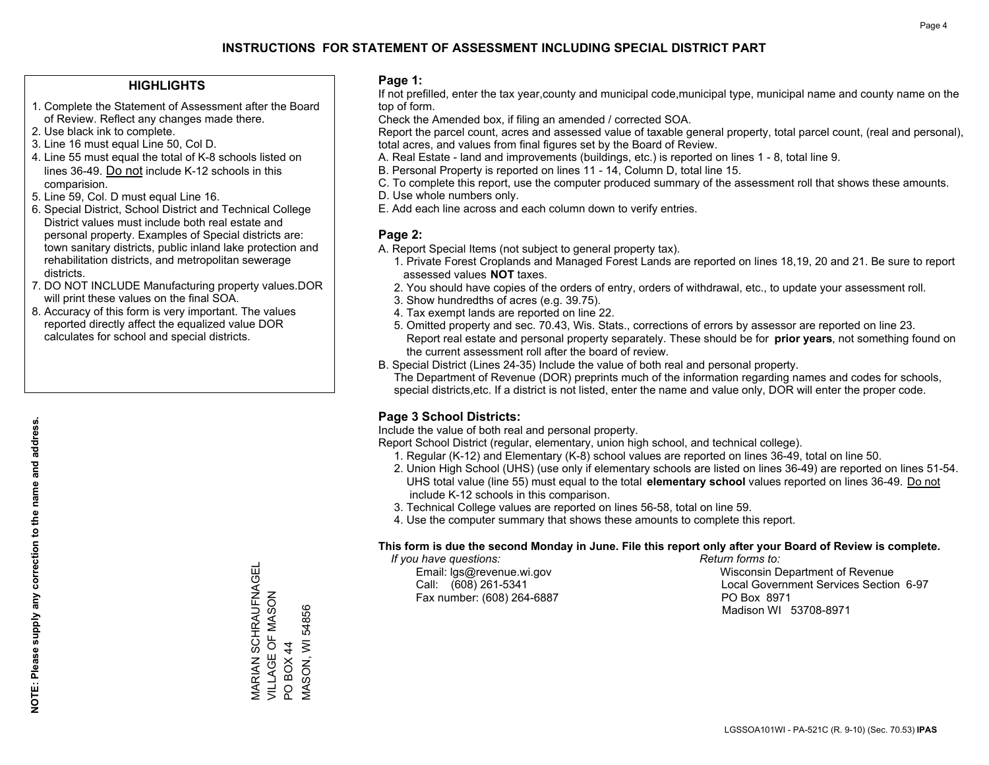### **HIGHLIGHTS**

- 1. Complete the Statement of Assessment after the Board of Review. Reflect any changes made there.
- 2. Use black ink to complete.

**NOTE: Please supply any correction to the name and address.**

NOTE: Please supply any correction to the name and address.

- 3. Line 16 must equal Line 50, Col D.
- 4. Line 55 must equal the total of K-8 schools listed on lines 36-49. Do not include K-12 schools in this comparision.
- 5. Line 59, Col. D must equal Line 16.
- 6. Special District, School District and Technical College District values must include both real estate and personal property. Examples of Special districts are: town sanitary districts, public inland lake protection and rehabilitation districts, and metropolitan sewerage districts.
- 7. DO NOT INCLUDE Manufacturing property values.DOR will print these values on the final SOA.
- 8. Accuracy of this form is very important. The values reported directly affect the equalized value DOR calculates for school and special districts.

### **Page 1:**

 If not prefilled, enter the tax year,county and municipal code,municipal type, municipal name and county name on the top of form.

Check the Amended box, if filing an amended / corrected SOA.

 Report the parcel count, acres and assessed value of taxable general property, total parcel count, (real and personal), total acres, and values from final figures set by the Board of Review.

- A. Real Estate land and improvements (buildings, etc.) is reported on lines 1 8, total line 9.
- B. Personal Property is reported on lines 11 14, Column D, total line 15.
- C. To complete this report, use the computer produced summary of the assessment roll that shows these amounts.
- D. Use whole numbers only.
- E. Add each line across and each column down to verify entries.

### **Page 2:**

- A. Report Special Items (not subject to general property tax).
- 1. Private Forest Croplands and Managed Forest Lands are reported on lines 18,19, 20 and 21. Be sure to report assessed values **NOT** taxes.
- 2. You should have copies of the orders of entry, orders of withdrawal, etc., to update your assessment roll.
	- 3. Show hundredths of acres (e.g. 39.75).
- 4. Tax exempt lands are reported on line 22.
- 5. Omitted property and sec. 70.43, Wis. Stats., corrections of errors by assessor are reported on line 23. Report real estate and personal property separately. These should be for **prior years**, not something found on the current assessment roll after the board of review.
- B. Special District (Lines 24-35) Include the value of both real and personal property.
- The Department of Revenue (DOR) preprints much of the information regarding names and codes for schools, special districts,etc. If a district is not listed, enter the name and value only, DOR will enter the proper code.

### **Page 3 School Districts:**

Include the value of both real and personal property.

Report School District (regular, elementary, union high school, and technical college).

- 1. Regular (K-12) and Elementary (K-8) school values are reported on lines 36-49, total on line 50.
- 2. Union High School (UHS) (use only if elementary schools are listed on lines 36-49) are reported on lines 51-54. UHS total value (line 55) must equal to the total **elementary school** values reported on lines 36-49. Do notinclude K-12 schools in this comparison.
- 3. Technical College values are reported on lines 56-58, total on line 59.
- 4. Use the computer summary that shows these amounts to complete this report.

#### **This form is due the second Monday in June. File this report only after your Board of Review is complete.**

 *If you have questions: Return forms to:*

Fax number: (608) 264-6887 PO Box 8971

 Email: lgs@revenue.wi.gov Wisconsin Department of Revenue Call: (608) 261-5341 Local Government Services Section 6-97Madison WI 53708-8971

MARIAN SCHRAUFNAGEL **VARIAN SCHRAUFNAGEL** VILLAGE OF MASON VILLAGE OF MASON PO BOX 44 PO BOX 44

MASON, WI 54856

**MASON, WI 54856**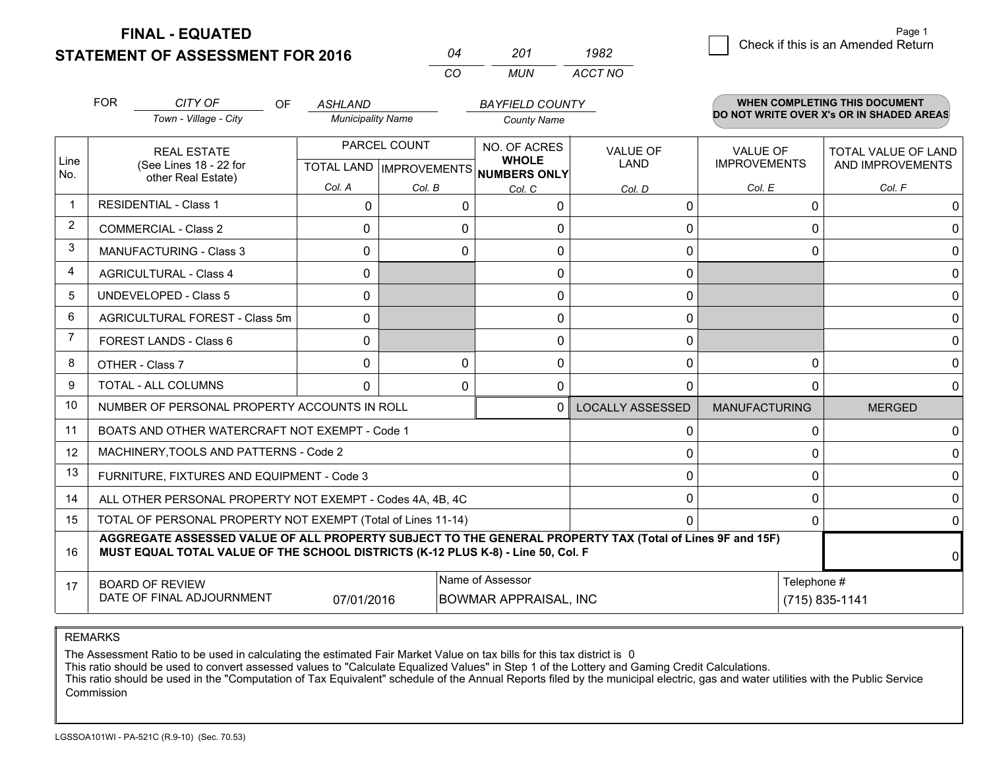**STATEMENT OF ASSESSMENT FOR 2016** 

**FINAL - EQUATED**

 $\overline{2}$  Check if this is an Amended Return Page 1

|                         | <b>FOR</b> | CITY OF<br><b>OF</b><br>Town - Village - City                                                                                                                                                | <b>ASHLAND</b><br><b>Municipality Name</b> |              | <b>BAYFIELD COUNTY</b><br><b>County Name</b> |                         |                      | <b>WHEN COMPLETING THIS DOCUMENT</b><br>DO NOT WRITE OVER X's OR IN SHADED AREAS |
|-------------------------|------------|----------------------------------------------------------------------------------------------------------------------------------------------------------------------------------------------|--------------------------------------------|--------------|----------------------------------------------|-------------------------|----------------------|----------------------------------------------------------------------------------|
|                         |            |                                                                                                                                                                                              |                                            |              |                                              |                         |                      |                                                                                  |
| Line                    |            | <b>REAL ESTATE</b>                                                                                                                                                                           |                                            | PARCEL COUNT | NO. OF ACRES<br><b>WHOLE</b>                 | <b>VALUE OF</b>         | VALUE OF             | <b>TOTAL VALUE OF LAND</b>                                                       |
| No.                     |            | (See Lines 18 - 22 for<br>other Real Estate)                                                                                                                                                 |                                            |              | TOTAL LAND IMPROVEMENTS NUMBERS ONLY         | LAND                    | <b>IMPROVEMENTS</b>  | AND IMPROVEMENTS                                                                 |
|                         |            |                                                                                                                                                                                              | Col. A                                     | Col. B       | Col. C                                       | Col. D                  | Col. E               | Col. F                                                                           |
| $\overline{\mathbf{1}}$ |            | <b>RESIDENTIAL - Class 1</b>                                                                                                                                                                 | 0                                          | 0            | 0                                            | 0                       |                      | 0<br>0                                                                           |
| 2                       |            | <b>COMMERCIAL - Class 2</b>                                                                                                                                                                  | 0                                          | O            | 0                                            | $\mathbf 0$             |                      | $\Omega$<br>U                                                                    |
| 3                       |            | <b>MANUFACTURING - Class 3</b>                                                                                                                                                               | 0                                          | 0            | 0                                            | $\mathbf 0$             |                      | $\Omega$<br>0                                                                    |
| 4                       |            | <b>AGRICULTURAL - Class 4</b>                                                                                                                                                                | $\mathbf{0}$                               |              | 0                                            | 0                       |                      | $\Omega$                                                                         |
| 5                       |            | <b>UNDEVELOPED - Class 5</b>                                                                                                                                                                 | 0                                          |              | 0                                            | $\mathbf{0}$            |                      | $\Omega$                                                                         |
| 6                       |            | AGRICULTURAL FOREST - Class 5m                                                                                                                                                               | 0                                          |              | 0                                            | 0                       |                      | 0                                                                                |
| $\overline{7}$          |            | FOREST LANDS - Class 6                                                                                                                                                                       | 0                                          |              | 0                                            | 0                       |                      | $\Omega$                                                                         |
| 8                       |            | OTHER - Class 7                                                                                                                                                                              | 0                                          | $\mathbf{0}$ | 0                                            | $\mathbf 0$             |                      | 0<br>0                                                                           |
| 9                       |            | <b>TOTAL - ALL COLUMNS</b>                                                                                                                                                                   | $\Omega$                                   | $\Omega$     | $\Omega$                                     | $\Omega$                |                      | $\Omega$<br>$\Omega$                                                             |
| 10                      |            | NUMBER OF PERSONAL PROPERTY ACCOUNTS IN ROLL                                                                                                                                                 |                                            |              | 0                                            | <b>LOCALLY ASSESSED</b> | <b>MANUFACTURING</b> | <b>MERGED</b>                                                                    |
| 11                      |            | BOATS AND OTHER WATERCRAFT NOT EXEMPT - Code 1                                                                                                                                               |                                            |              |                                              | $\mathbf{0}$            |                      | $\Omega$<br>0                                                                    |
| 12                      |            | MACHINERY, TOOLS AND PATTERNS - Code 2                                                                                                                                                       |                                            |              |                                              | $\mathbf 0$             |                      | $\Omega$<br>0                                                                    |
| 13                      |            | FURNITURE, FIXTURES AND EQUIPMENT - Code 3                                                                                                                                                   |                                            |              |                                              | $\mathbf{0}$            |                      | $\Omega$<br>$\Omega$                                                             |
| 14                      |            | ALL OTHER PERSONAL PROPERTY NOT EXEMPT - Codes 4A, 4B, 4C                                                                                                                                    |                                            |              |                                              | 0                       |                      | 0<br>$\Omega$                                                                    |
| 15                      |            | TOTAL OF PERSONAL PROPERTY NOT EXEMPT (Total of Lines 11-14)                                                                                                                                 |                                            |              |                                              | $\Omega$                |                      | 0<br>$\Omega$                                                                    |
| 16                      |            | AGGREGATE ASSESSED VALUE OF ALL PROPERTY SUBJECT TO THE GENERAL PROPERTY TAX (Total of Lines 9F and 15F)<br>MUST EQUAL TOTAL VALUE OF THE SCHOOL DISTRICTS (K-12 PLUS K-8) - Line 50, Col. F |                                            |              |                                              |                         |                      | $\Omega$                                                                         |
| 17                      |            | <b>BOARD OF REVIEW</b>                                                                                                                                                                       |                                            |              | Name of Assessor                             |                         |                      | Telephone #                                                                      |
|                         |            | DATE OF FINAL ADJOURNMENT                                                                                                                                                                    | 07/01/2016                                 |              | <b>BOWMAR APPRAISAL, INC</b>                 |                         |                      | (715) 835-1141                                                                   |

*CO*

*MUN*

*ACCT NO1982*

*<sup>04</sup> <sup>201</sup>*

REMARKS

The Assessment Ratio to be used in calculating the estimated Fair Market Value on tax bills for this tax district is 0<br>This ratio should be used to convert assessed values to "Calculate Equalized Values" in Step 1 of the L Commission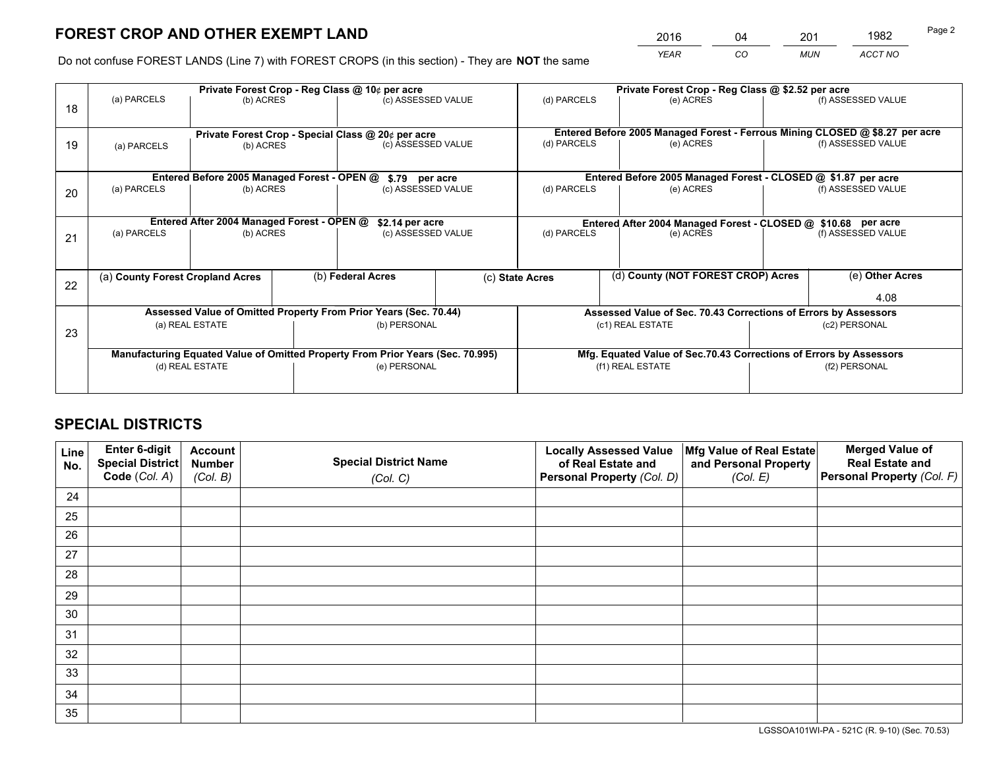*YEAR CO MUN ACCT NO* <sup>2016</sup> <sup>04</sup> <sup>201</sup> <sup>1982</sup>

Do not confuse FOREST LANDS (Line 7) with FOREST CROPS (in this section) - They are **NOT** the same

|    |                                            |                                             |  | Private Forest Crop - Reg Class @ 10¢ per acre                                 |  |                                                       | Private Forest Crop - Reg Class @ \$2.52 per acre                            |               |                    |
|----|--------------------------------------------|---------------------------------------------|--|--------------------------------------------------------------------------------|--|-------------------------------------------------------|------------------------------------------------------------------------------|---------------|--------------------|
| 18 | (a) PARCELS                                | (b) ACRES                                   |  | (c) ASSESSED VALUE                                                             |  | (d) PARCELS                                           | (e) ACRES                                                                    |               | (f) ASSESSED VALUE |
|    |                                            |                                             |  | Private Forest Crop - Special Class @ 20¢ per acre                             |  |                                                       | Entered Before 2005 Managed Forest - Ferrous Mining CLOSED @ \$8.27 per acre |               |                    |
| 19 | (b) ACRES<br>(a) PARCELS                   |                                             |  | (c) ASSESSED VALUE                                                             |  | (d) PARCELS                                           | (e) ACRES                                                                    |               | (f) ASSESSED VALUE |
|    |                                            | Entered Before 2005 Managed Forest - OPEN @ |  | \$.79 per acre                                                                 |  |                                                       | Entered Before 2005 Managed Forest - CLOSED @ \$1.87 per acre                |               |                    |
| 20 | (a) PARCELS<br>(b) ACRES                   |                                             |  | (c) ASSESSED VALUE                                                             |  | (d) PARCELS<br>(e) ACRES                              |                                                                              |               | (f) ASSESSED VALUE |
|    | Entered After 2004 Managed Forest - OPEN @ |                                             |  |                                                                                |  |                                                       |                                                                              |               |                    |
|    | (a) PARCELS<br>(b) ACRES                   |                                             |  | \$2.14 per acre<br>(c) ASSESSED VALUE                                          |  | (d) PARCELS                                           | Entered After 2004 Managed Forest - CLOSED @ \$10.68 per acre<br>(e) ACRES   |               | (f) ASSESSED VALUE |
| 21 |                                            |                                             |  |                                                                                |  |                                                       |                                                                              |               |                    |
|    |                                            |                                             |  |                                                                                |  |                                                       |                                                                              |               |                    |
|    | (a) County Forest Cropland Acres           |                                             |  | (b) Federal Acres                                                              |  | (d) County (NOT FOREST CROP) Acres<br>(c) State Acres |                                                                              |               | (e) Other Acres    |
| 22 |                                            |                                             |  |                                                                                |  |                                                       |                                                                              |               | 4.08               |
|    |                                            |                                             |  | Assessed Value of Omitted Property From Prior Years (Sec. 70.44)               |  |                                                       | Assessed Value of Sec. 70.43 Corrections of Errors by Assessors              |               |                    |
|    |                                            | (a) REAL ESTATE                             |  | (b) PERSONAL                                                                   |  |                                                       | (c1) REAL ESTATE                                                             |               | (c2) PERSONAL      |
| 23 |                                            |                                             |  |                                                                                |  |                                                       |                                                                              |               |                    |
|    |                                            |                                             |  | Manufacturing Equated Value of Omitted Property From Prior Years (Sec. 70.995) |  |                                                       | Mfg. Equated Value of Sec.70.43 Corrections of Errors by Assessors           |               |                    |
|    |                                            | (d) REAL ESTATE                             |  | (e) PERSONAL                                                                   |  |                                                       | (f1) REAL ESTATE                                                             | (f2) PERSONAL |                    |
|    |                                            |                                             |  |                                                                                |  |                                                       |                                                                              |               |                    |

# **SPECIAL DISTRICTS**

| Line<br>No. | Enter 6-digit<br>Special District<br>Code (Col. A) | <b>Account</b><br><b>Number</b><br>(Col. B) | <b>Special District Name</b><br>(Col. C) | <b>Locally Assessed Value</b><br>of Real Estate and<br>Personal Property (Col. D) | Mfg Value of Real Estate<br>and Personal Property<br>(Col. E) | <b>Merged Value of</b><br><b>Real Estate and</b><br>Personal Property (Col. F) |
|-------------|----------------------------------------------------|---------------------------------------------|------------------------------------------|-----------------------------------------------------------------------------------|---------------------------------------------------------------|--------------------------------------------------------------------------------|
| 24          |                                                    |                                             |                                          |                                                                                   |                                                               |                                                                                |
| 25          |                                                    |                                             |                                          |                                                                                   |                                                               |                                                                                |
| 26          |                                                    |                                             |                                          |                                                                                   |                                                               |                                                                                |
| 27          |                                                    |                                             |                                          |                                                                                   |                                                               |                                                                                |
| 28          |                                                    |                                             |                                          |                                                                                   |                                                               |                                                                                |
| 29          |                                                    |                                             |                                          |                                                                                   |                                                               |                                                                                |
| 30          |                                                    |                                             |                                          |                                                                                   |                                                               |                                                                                |
| 31          |                                                    |                                             |                                          |                                                                                   |                                                               |                                                                                |
| 32          |                                                    |                                             |                                          |                                                                                   |                                                               |                                                                                |
| 33          |                                                    |                                             |                                          |                                                                                   |                                                               |                                                                                |
| 34          |                                                    |                                             |                                          |                                                                                   |                                                               |                                                                                |
| 35          |                                                    |                                             |                                          |                                                                                   |                                                               |                                                                                |

LGSSOA101WI-PA - 521C (R. 9-10) (Sec. 70.53)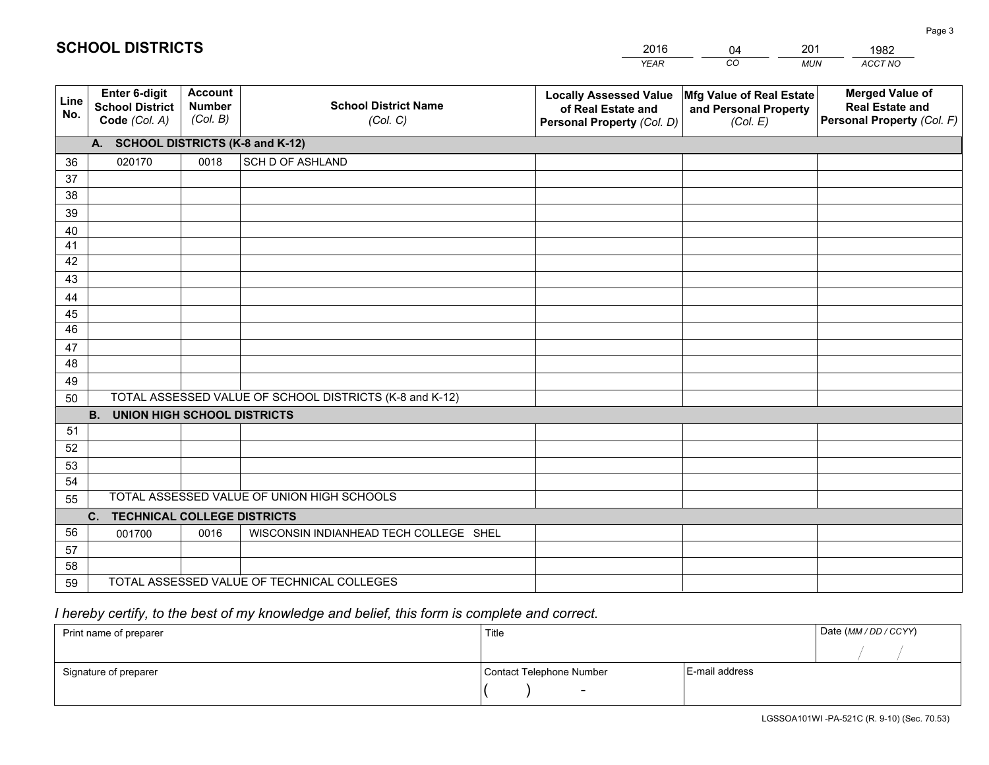|             |                                                          |                                             |                                                         | YEAR                                                                              | CO<br><b>MUN</b>                                              | ACCT NO                                                                        |
|-------------|----------------------------------------------------------|---------------------------------------------|---------------------------------------------------------|-----------------------------------------------------------------------------------|---------------------------------------------------------------|--------------------------------------------------------------------------------|
| Line<br>No. | Enter 6-digit<br><b>School District</b><br>Code (Col. A) | <b>Account</b><br><b>Number</b><br>(Col. B) | <b>School District Name</b><br>(Col. C)                 | <b>Locally Assessed Value</b><br>of Real Estate and<br>Personal Property (Col. D) | Mfg Value of Real Estate<br>and Personal Property<br>(Col. E) | <b>Merged Value of</b><br><b>Real Estate and</b><br>Personal Property (Col. F) |
|             | A. SCHOOL DISTRICTS (K-8 and K-12)                       |                                             |                                                         |                                                                                   |                                                               |                                                                                |
| 36          | 020170                                                   | 0018                                        | <b>SCH D OF ASHLAND</b>                                 |                                                                                   |                                                               |                                                                                |
| 37          |                                                          |                                             |                                                         |                                                                                   |                                                               |                                                                                |
| 38          |                                                          |                                             |                                                         |                                                                                   |                                                               |                                                                                |
| 39          |                                                          |                                             |                                                         |                                                                                   |                                                               |                                                                                |
| 40          |                                                          |                                             |                                                         |                                                                                   |                                                               |                                                                                |
| 41          |                                                          |                                             |                                                         |                                                                                   |                                                               |                                                                                |
| 42          |                                                          |                                             |                                                         |                                                                                   |                                                               |                                                                                |
| 43          |                                                          |                                             |                                                         |                                                                                   |                                                               |                                                                                |
| 44          |                                                          |                                             |                                                         |                                                                                   |                                                               |                                                                                |
| 45<br>46    |                                                          |                                             |                                                         |                                                                                   |                                                               |                                                                                |
|             |                                                          |                                             |                                                         |                                                                                   |                                                               |                                                                                |
| 47<br>48    |                                                          |                                             |                                                         |                                                                                   |                                                               |                                                                                |
| 49          |                                                          |                                             |                                                         |                                                                                   |                                                               |                                                                                |
| 50          |                                                          |                                             | TOTAL ASSESSED VALUE OF SCHOOL DISTRICTS (K-8 and K-12) |                                                                                   |                                                               |                                                                                |
|             | <b>UNION HIGH SCHOOL DISTRICTS</b><br><b>B.</b>          |                                             |                                                         |                                                                                   |                                                               |                                                                                |
| 51          |                                                          |                                             |                                                         |                                                                                   |                                                               |                                                                                |
| 52          |                                                          |                                             |                                                         |                                                                                   |                                                               |                                                                                |
| 53          |                                                          |                                             |                                                         |                                                                                   |                                                               |                                                                                |
| 54          |                                                          |                                             |                                                         |                                                                                   |                                                               |                                                                                |
| 55          |                                                          |                                             | TOTAL ASSESSED VALUE OF UNION HIGH SCHOOLS              |                                                                                   |                                                               |                                                                                |
|             | C.<br><b>TECHNICAL COLLEGE DISTRICTS</b>                 |                                             |                                                         |                                                                                   |                                                               |                                                                                |
| 56          | 001700                                                   | 0016                                        | WISCONSIN INDIANHEAD TECH COLLEGE SHEL                  |                                                                                   |                                                               |                                                                                |
| 57          |                                                          |                                             |                                                         |                                                                                   |                                                               |                                                                                |
| 58          |                                                          |                                             |                                                         |                                                                                   |                                                               |                                                                                |
| 59          | TOTAL ASSESSED VALUE OF TECHNICAL COLLEGES               |                                             |                                                         |                                                                                   |                                                               |                                                                                |

04

201

# *I hereby certify, to the best of my knowledge and belief, this form is complete and correct.*

**SCHOOL DISTRICTS**

| Print name of preparer | Title                    |                | Date (MM / DD / CCYY) |
|------------------------|--------------------------|----------------|-----------------------|
|                        |                          |                |                       |
| Signature of preparer  | Contact Telephone Number | E-mail address |                       |
|                        | $\overline{\phantom{0}}$ |                |                       |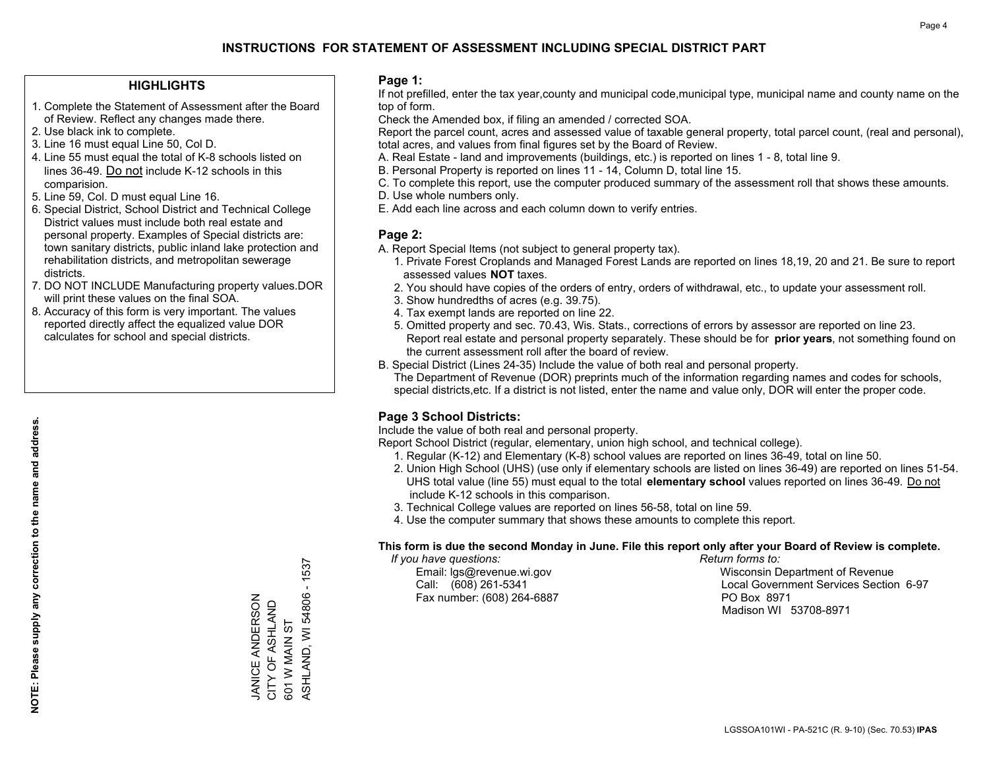### **HIGHLIGHTS**

- 1. Complete the Statement of Assessment after the Board of Review. Reflect any changes made there.
- 2. Use black ink to complete.
- 3. Line 16 must equal Line 50, Col D.
- 4. Line 55 must equal the total of K-8 schools listed on lines 36-49. Do not include K-12 schools in this comparision.
- 5. Line 59, Col. D must equal Line 16.
- 6. Special District, School District and Technical College District values must include both real estate and personal property. Examples of Special districts are: town sanitary districts, public inland lake protection and rehabilitation districts, and metropolitan sewerage districts.
- 7. DO NOT INCLUDE Manufacturing property values.DOR will print these values on the final SOA.
- 8. Accuracy of this form is very important. The values reported directly affect the equalized value DOR calculates for school and special districts.

### **Page 1:**

 If not prefilled, enter the tax year,county and municipal code,municipal type, municipal name and county name on the top of form.

Check the Amended box, if filing an amended / corrected SOA.

 Report the parcel count, acres and assessed value of taxable general property, total parcel count, (real and personal), total acres, and values from final figures set by the Board of Review.

- A. Real Estate land and improvements (buildings, etc.) is reported on lines 1 8, total line 9.
- B. Personal Property is reported on lines 11 14, Column D, total line 15.
- C. To complete this report, use the computer produced summary of the assessment roll that shows these amounts.
- D. Use whole numbers only.
- E. Add each line across and each column down to verify entries.

### **Page 2:**

- A. Report Special Items (not subject to general property tax).
- 1. Private Forest Croplands and Managed Forest Lands are reported on lines 18,19, 20 and 21. Be sure to report assessed values **NOT** taxes.
- 2. You should have copies of the orders of entry, orders of withdrawal, etc., to update your assessment roll.
	- 3. Show hundredths of acres (e.g. 39.75).
- 4. Tax exempt lands are reported on line 22.
- 5. Omitted property and sec. 70.43, Wis. Stats., corrections of errors by assessor are reported on line 23. Report real estate and personal property separately. These should be for **prior years**, not something found on the current assessment roll after the board of review.
- B. Special District (Lines 24-35) Include the value of both real and personal property.
- The Department of Revenue (DOR) preprints much of the information regarding names and codes for schools, special districts,etc. If a district is not listed, enter the name and value only, DOR will enter the proper code.

### **Page 3 School Districts:**

Include the value of both real and personal property.

Report School District (regular, elementary, union high school, and technical college).

- 1. Regular (K-12) and Elementary (K-8) school values are reported on lines 36-49, total on line 50.
- 2. Union High School (UHS) (use only if elementary schools are listed on lines 36-49) are reported on lines 51-54. UHS total value (line 55) must equal to the total **elementary school** values reported on lines 36-49. Do notinclude K-12 schools in this comparison.
- 3. Technical College values are reported on lines 56-58, total on line 59.
- 4. Use the computer summary that shows these amounts to complete this report.

#### **This form is due the second Monday in June. File this report only after your Board of Review is complete.**

 *If you have questions: Return forms to:*

Fax number: (608) 264-6887 PO Box 8971

 Email: lgs@revenue.wi.gov Wisconsin Department of Revenue Call: (608) 261-5341 Local Government Services Section 6-97Madison WI 53708-8971

 $-1537$ ASHLAND, WI 54806 - 1537 ASHLAND, WI 54806 **JANICE ANDERSON** JANICE ANDERSON CITY OF ASHLAND CITY OF ASHLAND 601 W MAIN ST 601 W MAIN ST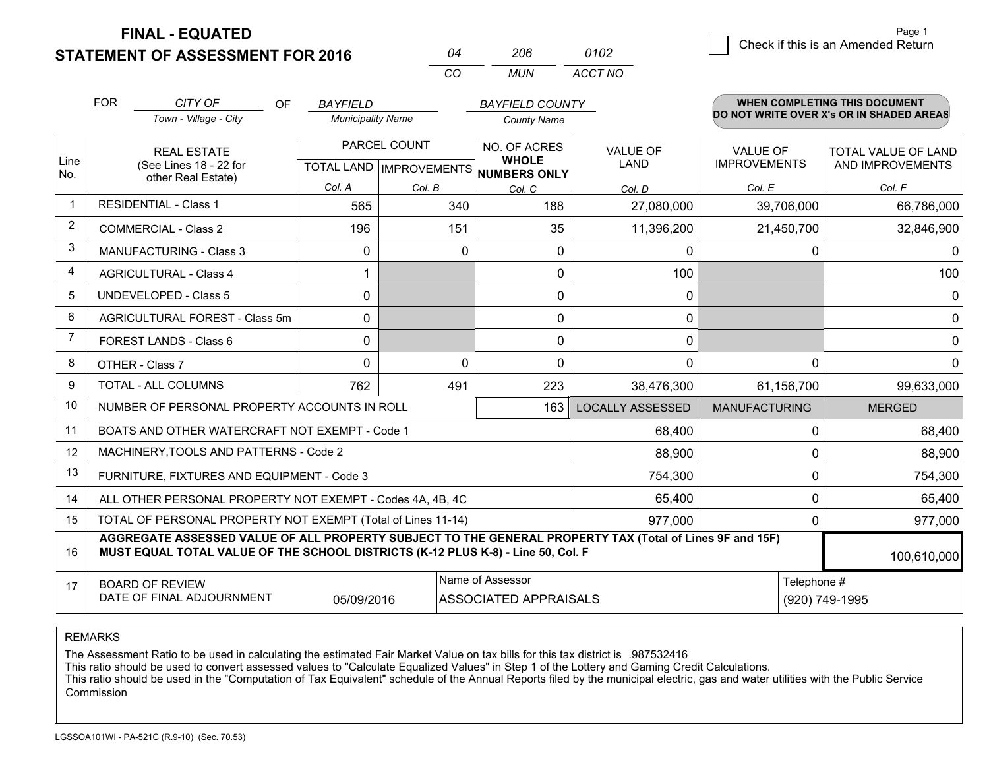**STATEMENT OF ASSESSMENT FOR 2016** 

**FINAL - EQUATED**

| 04 | 206 | 0102    |
|----|-----|---------|
| CO | MUN | ACCT NO |

|                | <b>FOR</b>                                                                                                                                                                                                  | CITY OF<br><b>OF</b>                                         | <b>BAYFIELD</b>          |              | <b>BAYFIELD COUNTY</b>                                   |                         |                      | <b>WHEN COMPLETING THIS DOCUMENT</b>     |  |
|----------------|-------------------------------------------------------------------------------------------------------------------------------------------------------------------------------------------------------------|--------------------------------------------------------------|--------------------------|--------------|----------------------------------------------------------|-------------------------|----------------------|------------------------------------------|--|
|                |                                                                                                                                                                                                             | Town - Village - City                                        | <b>Municipality Name</b> |              | <b>County Name</b>                                       |                         |                      | DO NOT WRITE OVER X's OR IN SHADED AREAS |  |
|                |                                                                                                                                                                                                             | <b>REAL ESTATE</b>                                           |                          | PARCEL COUNT | NO. OF ACRES                                             | <b>VALUE OF</b>         | <b>VALUE OF</b>      | <b>TOTAL VALUE OF LAND</b>               |  |
| Line<br>No.    |                                                                                                                                                                                                             | (See Lines 18 - 22 for<br>other Real Estate)                 |                          |              | <b>WHOLE</b><br>TOTAL LAND   IMPROVEMENTS   NUMBERS ONLY | LAND                    | <b>IMPROVEMENTS</b>  | AND IMPROVEMENTS                         |  |
|                |                                                                                                                                                                                                             |                                                              | Col. A                   | Col. B       | Col. C                                                   | Col. D                  | Col. E               | Col. F                                   |  |
| $\mathbf 1$    |                                                                                                                                                                                                             | <b>RESIDENTIAL - Class 1</b>                                 | 565                      | 340          | 188                                                      | 27,080,000              | 39,706,000           | 66,786,000                               |  |
| $\overline{2}$ |                                                                                                                                                                                                             | <b>COMMERCIAL - Class 2</b>                                  | 196                      | 151          | 35                                                       | 11,396,200              | 21,450,700           | 32,846,900                               |  |
| 3              |                                                                                                                                                                                                             | <b>MANUFACTURING - Class 3</b>                               | $\mathbf{0}$             | $\mathbf{0}$ | 0                                                        | 0                       | 0                    | $\Omega$                                 |  |
| 4              |                                                                                                                                                                                                             | <b>AGRICULTURAL - Class 4</b>                                | 1                        |              | 0                                                        | 100                     |                      | 100                                      |  |
| 5              |                                                                                                                                                                                                             | <b>UNDEVELOPED - Class 5</b>                                 | $\Omega$                 |              | 0                                                        | 0                       |                      | $\mathbf{0}$                             |  |
| 6              | AGRICULTURAL FOREST - Class 5m                                                                                                                                                                              |                                                              | $\mathbf{0}$             |              | 0                                                        | 0                       |                      | $\mathbf 0$                              |  |
| $\overline{7}$ |                                                                                                                                                                                                             | FOREST LANDS - Class 6                                       | $\mathbf{0}$             |              | $\Omega$                                                 | 0                       |                      | $\mathbf 0$                              |  |
| 8              |                                                                                                                                                                                                             | OTHER - Class 7                                              | $\Omega$                 | $\mathbf{0}$ | 0                                                        | 0                       | $\Omega$             | $\mathbf 0$                              |  |
| 9              |                                                                                                                                                                                                             | TOTAL - ALL COLUMNS                                          | 762                      | 491          | 223                                                      | 38,476,300              | 61,156,700           | 99,633,000                               |  |
| 10             |                                                                                                                                                                                                             | NUMBER OF PERSONAL PROPERTY ACCOUNTS IN ROLL                 |                          |              | 163                                                      | <b>LOCALLY ASSESSED</b> | <b>MANUFACTURING</b> | <b>MERGED</b>                            |  |
| 11             |                                                                                                                                                                                                             | BOATS AND OTHER WATERCRAFT NOT EXEMPT - Code 1               |                          |              |                                                          | 68,400                  | $\mathbf 0$          | 68,400                                   |  |
| 12             |                                                                                                                                                                                                             | MACHINERY, TOOLS AND PATTERNS - Code 2                       |                          |              |                                                          | 88,900                  | $\Omega$             | 88,900                                   |  |
| 13             |                                                                                                                                                                                                             | FURNITURE, FIXTURES AND EQUIPMENT - Code 3                   |                          |              |                                                          | 754,300                 | $\mathbf 0$          | 754,300                                  |  |
| 14             |                                                                                                                                                                                                             | ALL OTHER PERSONAL PROPERTY NOT EXEMPT - Codes 4A, 4B, 4C    |                          |              |                                                          | 65,400                  | $\mathbf 0$          | 65,400                                   |  |
| 15             |                                                                                                                                                                                                             | TOTAL OF PERSONAL PROPERTY NOT EXEMPT (Total of Lines 11-14) |                          |              |                                                          | 977,000                 | $\Omega$             | 977,000                                  |  |
| 16             | AGGREGATE ASSESSED VALUE OF ALL PROPERTY SUBJECT TO THE GENERAL PROPERTY TAX (Total of Lines 9F and 15F)<br>MUST EQUAL TOTAL VALUE OF THE SCHOOL DISTRICTS (K-12 PLUS K-8) - Line 50, Col. F<br>100,610,000 |                                                              |                          |              |                                                          |                         |                      |                                          |  |
| 17             | Name of Assessor<br><b>BOARD OF REVIEW</b><br>DATE OF FINAL ADJOURNMENT<br>05/09/2016<br>ASSOCIATED APPRAISALS                                                                                              |                                                              |                          |              |                                                          |                         | Telephone #          | (920) 749-1995                           |  |

REMARKS

The Assessment Ratio to be used in calculating the estimated Fair Market Value on tax bills for this tax district is .987532416

This ratio should be used to convert assessed values to "Calculate Equalized Values" in Step 1 of the Lottery and Gaming Credit Calculations.

 This ratio should be used in the "Computation of Tax Equivalent" schedule of the Annual Reports filed by the municipal electric, gas and water utilities with the Public Service Commission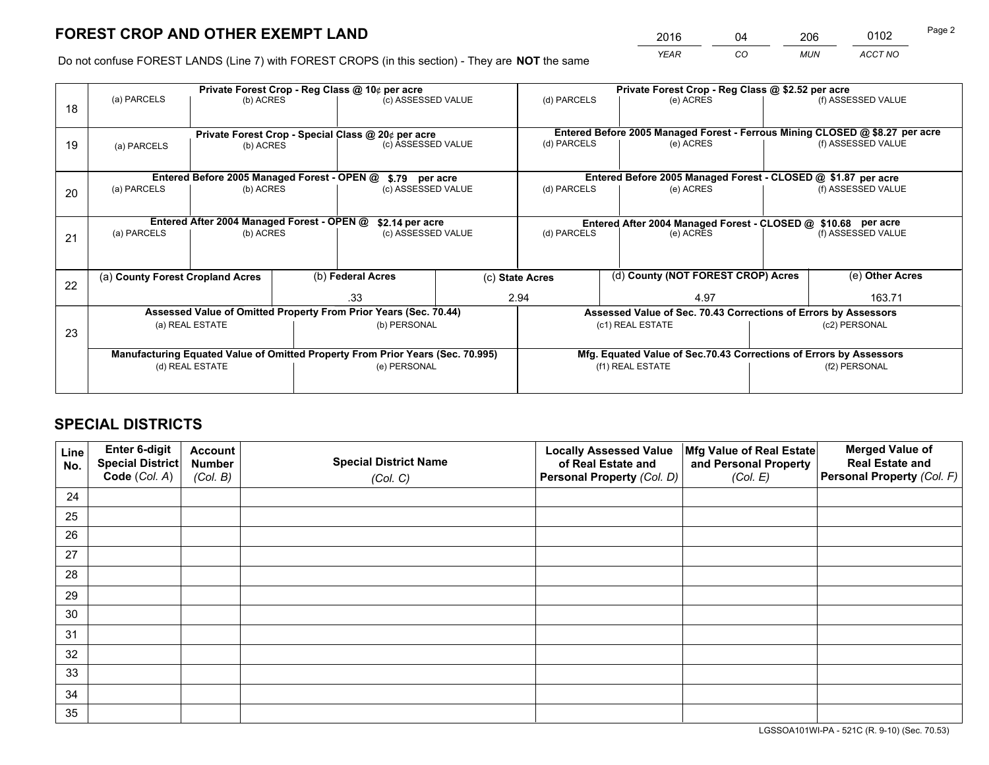# **FOREST CROP AND OTHER EXEMPT LAND**

 *YEAR CO MUN ACCT NO* <sup>2016</sup> <sup>04</sup> <sup>206</sup> <sup>0102</sup> Page 2

Do not confuse FOREST LANDS (Line 7) with FOREST CROPS (in this section) - They are **NOT** the same

|    |                                                                                |                                             |  | Private Forest Crop - Reg Class @ 10¢ per acre                   |                    |              |                          | Private Forest Crop - Reg Class @ \$2.52 per acre                            |               |                    |  |
|----|--------------------------------------------------------------------------------|---------------------------------------------|--|------------------------------------------------------------------|--------------------|--------------|--------------------------|------------------------------------------------------------------------------|---------------|--------------------|--|
| 18 | (a) PARCELS                                                                    | (b) ACRES                                   |  | (c) ASSESSED VALUE                                               |                    | (d) PARCELS  |                          | (e) ACRES                                                                    |               | (f) ASSESSED VALUE |  |
|    | Private Forest Crop - Special Class @ 20¢ per acre                             |                                             |  |                                                                  |                    |              |                          | Entered Before 2005 Managed Forest - Ferrous Mining CLOSED @ \$8.27 per acre |               |                    |  |
| 19 | (b) ACRES<br>(a) PARCELS                                                       |                                             |  | (c) ASSESSED VALUE                                               |                    | (d) PARCELS  |                          | (e) ACRES                                                                    |               | (f) ASSESSED VALUE |  |
|    |                                                                                | Entered Before 2005 Managed Forest - OPEN @ |  | \$.79 per acre                                                   |                    |              |                          | Entered Before 2005 Managed Forest - CLOSED @ \$1.87 per acre                |               |                    |  |
|    | (a) PARCELS                                                                    | (b) ACRES                                   |  | (c) ASSESSED VALUE                                               |                    | (d) PARCELS  |                          | (e) ACRES                                                                    |               | (f) ASSESSED VALUE |  |
| 20 |                                                                                |                                             |  |                                                                  |                    |              |                          |                                                                              |               |                    |  |
|    |                                                                                | Entered After 2004 Managed Forest - OPEN @  |  | \$2.14 per acre                                                  |                    |              |                          | Entered After 2004 Managed Forest - CLOSED @ \$10.68 per acre                |               |                    |  |
| 21 | (a) PARCELS                                                                    | (b) ACRES                                   |  |                                                                  | (c) ASSESSED VALUE |              | (d) PARCELS<br>(e) ACRES |                                                                              |               | (f) ASSESSED VALUE |  |
|    |                                                                                |                                             |  |                                                                  |                    |              |                          |                                                                              |               |                    |  |
| 22 | (a) County Forest Cropland Acres                                               |                                             |  | (b) Federal Acres                                                | (c) State Acres    |              |                          | (d) County (NOT FOREST CROP) Acres                                           |               | (e) Other Acres    |  |
|    |                                                                                |                                             |  | .33                                                              |                    | 2.94<br>4.97 |                          |                                                                              | 163.71        |                    |  |
|    |                                                                                |                                             |  | Assessed Value of Omitted Property From Prior Years (Sec. 70.44) |                    |              |                          | Assessed Value of Sec. 70.43 Corrections of Errors by Assessors              |               |                    |  |
| 23 |                                                                                | (a) REAL ESTATE                             |  | (b) PERSONAL                                                     |                    |              |                          | (c1) REAL ESTATE                                                             |               | (c2) PERSONAL      |  |
|    |                                                                                |                                             |  |                                                                  |                    |              |                          |                                                                              |               |                    |  |
|    | Manufacturing Equated Value of Omitted Property From Prior Years (Sec. 70.995) |                                             |  |                                                                  |                    |              |                          | Mfg. Equated Value of Sec.70.43 Corrections of Errors by Assessors           |               |                    |  |
|    | (d) REAL ESTATE                                                                |                                             |  | (e) PERSONAL                                                     |                    |              |                          | (f1) REAL ESTATE                                                             | (f2) PERSONAL |                    |  |
|    |                                                                                |                                             |  |                                                                  |                    |              |                          |                                                                              |               |                    |  |

# **SPECIAL DISTRICTS**

| Line<br>No. | Enter 6-digit<br><b>Special District</b> | <b>Account</b><br><b>Number</b> | <b>Special District Name</b> | <b>Locally Assessed Value</b><br>of Real Estate and | Mfg Value of Real Estate<br>and Personal Property | <b>Merged Value of</b><br><b>Real Estate and</b> |
|-------------|------------------------------------------|---------------------------------|------------------------------|-----------------------------------------------------|---------------------------------------------------|--------------------------------------------------|
|             | Code (Col. A)                            | (Col. B)                        | (Col. C)                     | Personal Property (Col. D)                          | (Col. E)                                          | Personal Property (Col. F)                       |
| 24          |                                          |                                 |                              |                                                     |                                                   |                                                  |
| 25          |                                          |                                 |                              |                                                     |                                                   |                                                  |
| 26          |                                          |                                 |                              |                                                     |                                                   |                                                  |
| 27          |                                          |                                 |                              |                                                     |                                                   |                                                  |
| 28          |                                          |                                 |                              |                                                     |                                                   |                                                  |
| 29          |                                          |                                 |                              |                                                     |                                                   |                                                  |
| 30          |                                          |                                 |                              |                                                     |                                                   |                                                  |
| 31          |                                          |                                 |                              |                                                     |                                                   |                                                  |
| 32          |                                          |                                 |                              |                                                     |                                                   |                                                  |
| 33          |                                          |                                 |                              |                                                     |                                                   |                                                  |
| 34          |                                          |                                 |                              |                                                     |                                                   |                                                  |
| 35          |                                          |                                 |                              |                                                     |                                                   |                                                  |

LGSSOA101WI-PA - 521C (R. 9-10) (Sec. 70.53)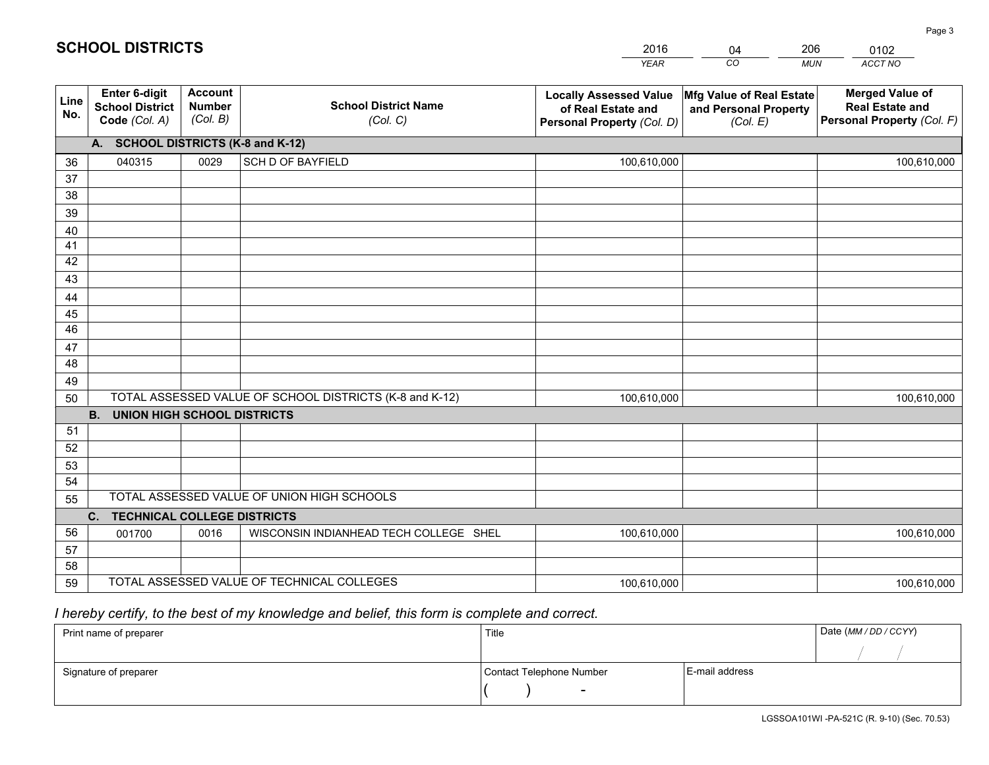|             |                                                                 |                                             |                                                         | <b>YEAR</b>                                                                       | CO<br><b>MUN</b>                                              | ACCT NO                                                                        |
|-------------|-----------------------------------------------------------------|---------------------------------------------|---------------------------------------------------------|-----------------------------------------------------------------------------------|---------------------------------------------------------------|--------------------------------------------------------------------------------|
| Line<br>No. | <b>Enter 6-digit</b><br><b>School District</b><br>Code (Col. A) | <b>Account</b><br><b>Number</b><br>(Col. B) | <b>School District Name</b><br>(Col. C)                 | <b>Locally Assessed Value</b><br>of Real Estate and<br>Personal Property (Col. D) | Mfg Value of Real Estate<br>and Personal Property<br>(Col. E) | <b>Merged Value of</b><br><b>Real Estate and</b><br>Personal Property (Col. F) |
|             | A. SCHOOL DISTRICTS (K-8 and K-12)                              |                                             |                                                         |                                                                                   |                                                               |                                                                                |
| 36          | 040315                                                          | 0029                                        | <b>SCH D OF BAYFIELD</b>                                | 100,610,000                                                                       |                                                               | 100,610,000                                                                    |
| 37          |                                                                 |                                             |                                                         |                                                                                   |                                                               |                                                                                |
| 38          |                                                                 |                                             |                                                         |                                                                                   |                                                               |                                                                                |
| 39          |                                                                 |                                             |                                                         |                                                                                   |                                                               |                                                                                |
| 40          |                                                                 |                                             |                                                         |                                                                                   |                                                               |                                                                                |
| 41<br>42    |                                                                 |                                             |                                                         |                                                                                   |                                                               |                                                                                |
| 43          |                                                                 |                                             |                                                         |                                                                                   |                                                               |                                                                                |
| 44          |                                                                 |                                             |                                                         |                                                                                   |                                                               |                                                                                |
| 45          |                                                                 |                                             |                                                         |                                                                                   |                                                               |                                                                                |
| 46          |                                                                 |                                             |                                                         |                                                                                   |                                                               |                                                                                |
| 47          |                                                                 |                                             |                                                         |                                                                                   |                                                               |                                                                                |
| 48          |                                                                 |                                             |                                                         |                                                                                   |                                                               |                                                                                |
| 49          |                                                                 |                                             |                                                         |                                                                                   |                                                               |                                                                                |
| 50          |                                                                 |                                             | TOTAL ASSESSED VALUE OF SCHOOL DISTRICTS (K-8 and K-12) | 100,610,000                                                                       |                                                               | 100,610,000                                                                    |
|             | <b>UNION HIGH SCHOOL DISTRICTS</b><br><b>B.</b>                 |                                             |                                                         |                                                                                   |                                                               |                                                                                |
| 51          |                                                                 |                                             |                                                         |                                                                                   |                                                               |                                                                                |
| 52          |                                                                 |                                             |                                                         |                                                                                   |                                                               |                                                                                |
| 53          |                                                                 |                                             |                                                         |                                                                                   |                                                               |                                                                                |
| 54          |                                                                 |                                             | TOTAL ASSESSED VALUE OF UNION HIGH SCHOOLS              |                                                                                   |                                                               |                                                                                |
| 55          |                                                                 |                                             |                                                         |                                                                                   |                                                               |                                                                                |
| 56          | <b>TECHNICAL COLLEGE DISTRICTS</b><br>C.                        |                                             | WISCONSIN INDIANHEAD TECH COLLEGE SHEL                  |                                                                                   |                                                               |                                                                                |
| 57          | 001700                                                          | 0016                                        |                                                         | 100,610,000                                                                       |                                                               | 100,610,000                                                                    |
| 58          |                                                                 |                                             |                                                         |                                                                                   |                                                               |                                                                                |
| 59          |                                                                 |                                             | TOTAL ASSESSED VALUE OF TECHNICAL COLLEGES              | 100,610,000                                                                       |                                                               | 100,610,000                                                                    |

2016

04

206

# *I hereby certify, to the best of my knowledge and belief, this form is complete and correct.*

**SCHOOL DISTRICTS**

| Print name of preparer | Title                    |                | Date (MM / DD / CCYY) |
|------------------------|--------------------------|----------------|-----------------------|
|                        |                          |                |                       |
| Signature of preparer  | Contact Telephone Number | E-mail address |                       |
|                        | $\overline{\phantom{0}}$ |                |                       |

0102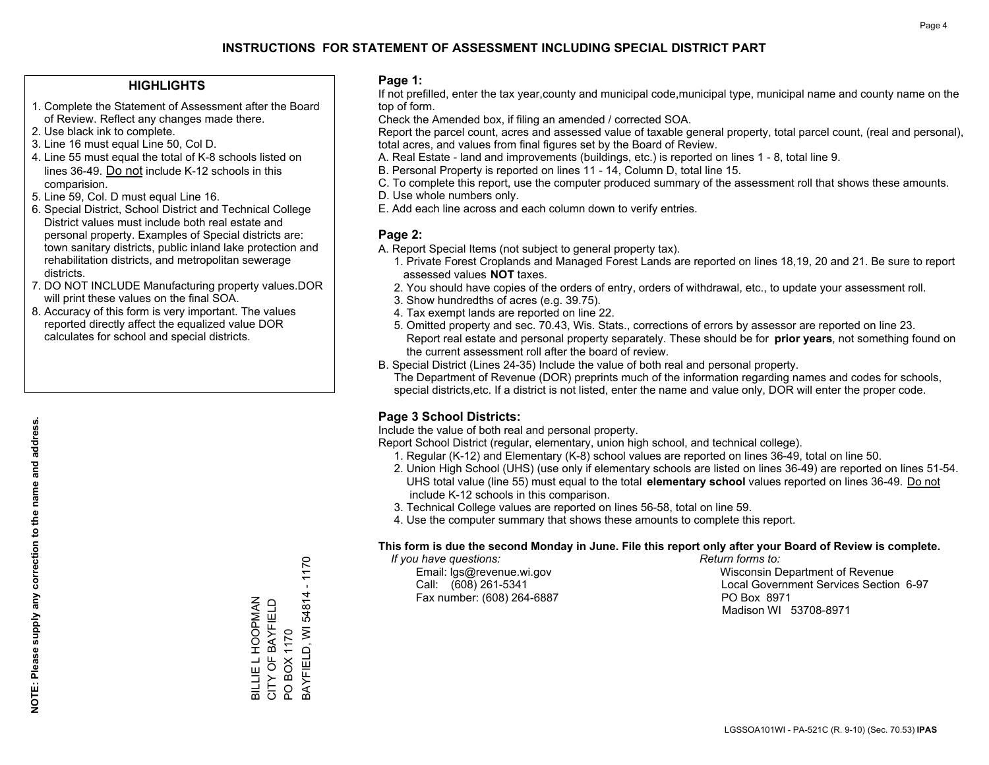## **INSTRUCTIONS FOR STATEMENT OF ASSESSMENT INCLUDING SPECIAL DISTRICT PART**

### **HIGHLIGHTS**

- 1. Complete the Statement of Assessment after the Board of Review. Reflect any changes made there.
- 2. Use black ink to complete.
- 3. Line 16 must equal Line 50, Col D.
- 4. Line 55 must equal the total of K-8 schools listed on lines 36-49. Do not include K-12 schools in this comparision.
- 5. Line 59, Col. D must equal Line 16.
- 6. Special District, School District and Technical College District values must include both real estate and personal property. Examples of Special districts are: town sanitary districts, public inland lake protection and rehabilitation districts, and metropolitan sewerage districts.
- 7. DO NOT INCLUDE Manufacturing property values.DOR will print these values on the final SOA.

BILLIE L HOOPMAN CITY OF BAYFIELD PO BOX 1170

BILLIE L HOOPMAN<br>CITY OF BAYFIELD

BAYFIELD, WI 54814 - 1170

BAYFIELD, WI 54814

PO BOX 1170

 $-1170$ 

 8. Accuracy of this form is very important. The values reported directly affect the equalized value DOR calculates for school and special districts.

### **Page 1:**

 If not prefilled, enter the tax year,county and municipal code,municipal type, municipal name and county name on the top of form.

Check the Amended box, if filing an amended / corrected SOA.

 Report the parcel count, acres and assessed value of taxable general property, total parcel count, (real and personal), total acres, and values from final figures set by the Board of Review.

- A. Real Estate land and improvements (buildings, etc.) is reported on lines 1 8, total line 9.
- B. Personal Property is reported on lines 11 14, Column D, total line 15.
- C. To complete this report, use the computer produced summary of the assessment roll that shows these amounts.
- D. Use whole numbers only.
- E. Add each line across and each column down to verify entries.

### **Page 2:**

- A. Report Special Items (not subject to general property tax).
- 1. Private Forest Croplands and Managed Forest Lands are reported on lines 18,19, 20 and 21. Be sure to report assessed values **NOT** taxes.
- 2. You should have copies of the orders of entry, orders of withdrawal, etc., to update your assessment roll.
	- 3. Show hundredths of acres (e.g. 39.75).
- 4. Tax exempt lands are reported on line 22.
- 5. Omitted property and sec. 70.43, Wis. Stats., corrections of errors by assessor are reported on line 23. Report real estate and personal property separately. These should be for **prior years**, not something found on the current assessment roll after the board of review.
- B. Special District (Lines 24-35) Include the value of both real and personal property.
- The Department of Revenue (DOR) preprints much of the information regarding names and codes for schools, special districts,etc. If a district is not listed, enter the name and value only, DOR will enter the proper code.

### **Page 3 School Districts:**

Include the value of both real and personal property.

Report School District (regular, elementary, union high school, and technical college).

- 1. Regular (K-12) and Elementary (K-8) school values are reported on lines 36-49, total on line 50.
- 2. Union High School (UHS) (use only if elementary schools are listed on lines 36-49) are reported on lines 51-54. UHS total value (line 55) must equal to the total **elementary school** values reported on lines 36-49. Do notinclude K-12 schools in this comparison.
- 3. Technical College values are reported on lines 56-58, total on line 59.
- 4. Use the computer summary that shows these amounts to complete this report.

#### **This form is due the second Monday in June. File this report only after your Board of Review is complete.**

 *If you have questions: Return forms to:*

Fax number: (608) 264-6887 PO Box 8971

 Email: lgs@revenue.wi.gov Wisconsin Department of Revenue Call: (608) 261-5341 Local Government Services Section 6-97Madison WI 53708-8971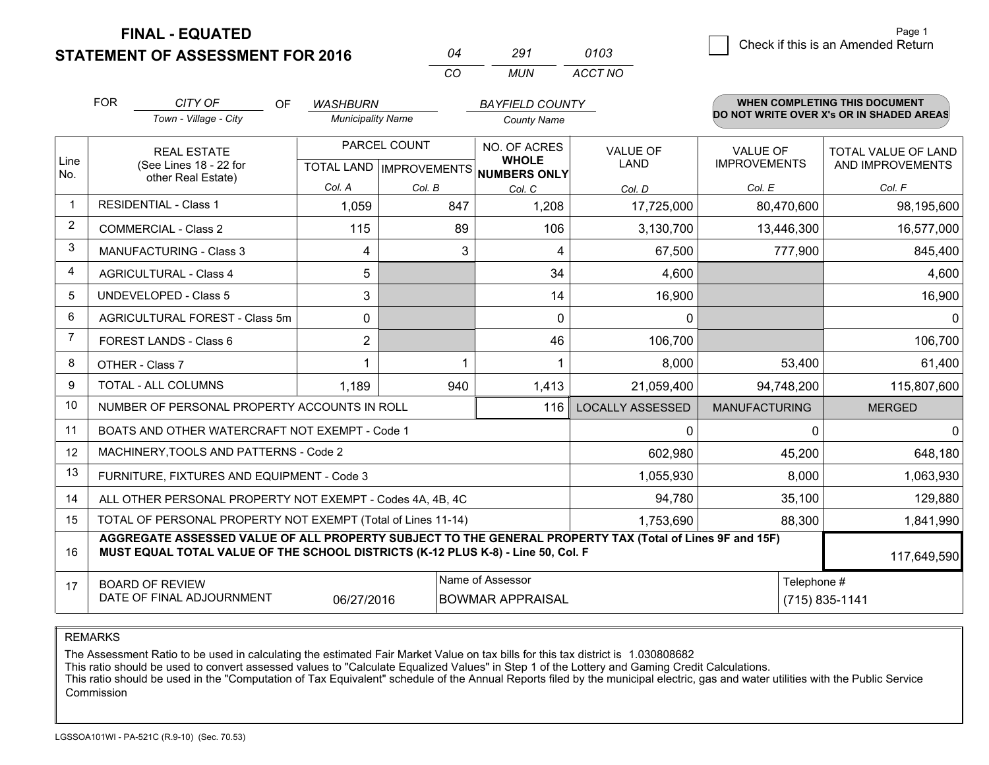**STATEMENT OF ASSESSMENT FOR 2016** 

**FINAL - EQUATED**

| ∩⊿ | 291  | 0103    |
|----|------|---------|
| cо | MUN. | ACCT NO |

|                         | <b>FOR</b><br>CITY OF<br>OF<br><b>WASHBURN</b><br>Town - Village - City<br><b>Municipality Name</b>                                                                                                         |                                                              |  |                                                          | <b>BAYFIELD COUNTY</b><br><b>County Name</b> |     | WHEN COMPLETING THIS DOCUMENT<br>DO NOT WRITE OVER X's OR IN SHADED AREAS |                                |                                 |                                         |
|-------------------------|-------------------------------------------------------------------------------------------------------------------------------------------------------------------------------------------------------------|--------------------------------------------------------------|--|----------------------------------------------------------|----------------------------------------------|-----|---------------------------------------------------------------------------|--------------------------------|---------------------------------|-----------------------------------------|
| Line<br>No.             | <b>REAL ESTATE</b><br>(See Lines 18 - 22 for<br>other Real Estate)                                                                                                                                          |                                                              |  | PARCEL COUNT<br>TOTAL LAND   IMPROVEMENTS   NUMBERS ONLY |                                              |     | NO. OF ACRES<br><b>WHOLE</b>                                              | <b>VALUE OF</b><br><b>LAND</b> | VALUE OF<br><b>IMPROVEMENTS</b> | TOTAL VALUE OF LAND<br>AND IMPROVEMENTS |
| $\overline{1}$          | <b>RESIDENTIAL - Class 1</b>                                                                                                                                                                                |                                                              |  | Col. A<br>1,059                                          | Col. B                                       | 847 | Col. C<br>1,208                                                           | Col. D<br>17,725,000           | Col. E<br>80,470,600            | Col. F<br>98,195,600                    |
| 2                       | <b>COMMERCIAL - Class 2</b>                                                                                                                                                                                 |                                                              |  | 115                                                      |                                              | 89  | 106                                                                       | 3,130,700                      | 13,446,300                      | 16,577,000                              |
| 3                       |                                                                                                                                                                                                             | <b>MANUFACTURING - Class 3</b>                               |  | 4                                                        |                                              | 3   | $\overline{4}$                                                            | 67,500                         | 777,900                         | 845,400                                 |
| $\overline{\mathbf{A}}$ | <b>AGRICULTURAL - Class 4</b>                                                                                                                                                                               |                                                              |  | 5                                                        |                                              |     | 34                                                                        | 4,600                          |                                 | 4,600                                   |
| 5                       | <b>UNDEVELOPED - Class 5</b>                                                                                                                                                                                |                                                              |  | 3                                                        |                                              |     | 14                                                                        | 16,900                         |                                 | 16,900                                  |
| 6                       |                                                                                                                                                                                                             | AGRICULTURAL FOREST - Class 5m                               |  | 0                                                        |                                              |     | $\mathbf 0$                                                               | 0                              |                                 | 0                                       |
| 7                       | FOREST LANDS - Class 6                                                                                                                                                                                      |                                                              |  | $\overline{2}$                                           |                                              |     | 46                                                                        | 106,700                        |                                 | 106,700                                 |
| 8                       | OTHER - Class 7                                                                                                                                                                                             |                                                              |  |                                                          |                                              |     |                                                                           | 8,000                          | 53,400                          | 61,400                                  |
| 9                       | TOTAL - ALL COLUMNS                                                                                                                                                                                         |                                                              |  | 1,189                                                    |                                              | 940 | 1,413                                                                     | 21,059,400                     | 94,748,200                      | 115,807,600                             |
| 10                      |                                                                                                                                                                                                             | NUMBER OF PERSONAL PROPERTY ACCOUNTS IN ROLL                 |  |                                                          |                                              |     | 116                                                                       | <b>LOCALLY ASSESSED</b>        | <b>MANUFACTURING</b>            | <b>MERGED</b>                           |
| 11                      |                                                                                                                                                                                                             | BOATS AND OTHER WATERCRAFT NOT EXEMPT - Code 1               |  |                                                          |                                              |     |                                                                           | 0                              | 0                               | $\mathbf{0}$                            |
| 12                      |                                                                                                                                                                                                             | MACHINERY, TOOLS AND PATTERNS - Code 2                       |  |                                                          |                                              |     |                                                                           | 602,980                        | 45,200                          | 648,180                                 |
| 13                      |                                                                                                                                                                                                             | FURNITURE, FIXTURES AND EQUIPMENT - Code 3                   |  |                                                          |                                              |     |                                                                           | 1,055,930                      | 8,000                           | 1,063,930                               |
| 14                      |                                                                                                                                                                                                             | ALL OTHER PERSONAL PROPERTY NOT EXEMPT - Codes 4A, 4B, 4C    |  |                                                          |                                              |     |                                                                           | 94,780                         | 35,100                          | 129,880                                 |
| 15                      |                                                                                                                                                                                                             | TOTAL OF PERSONAL PROPERTY NOT EXEMPT (Total of Lines 11-14) |  |                                                          |                                              |     |                                                                           | 1,753,690                      | 88,300                          | 1,841,990                               |
| 16                      | AGGREGATE ASSESSED VALUE OF ALL PROPERTY SUBJECT TO THE GENERAL PROPERTY TAX (Total of Lines 9F and 15F)<br>MUST EQUAL TOTAL VALUE OF THE SCHOOL DISTRICTS (K-12 PLUS K-8) - Line 50, Col. F<br>117,649,590 |                                                              |  |                                                          |                                              |     |                                                                           |                                |                                 |                                         |
| 17                      | Name of Assessor<br><b>BOARD OF REVIEW</b><br>DATE OF FINAL ADJOURNMENT<br>06/27/2016<br><b>BOWMAR APPRAISAL</b>                                                                                            |                                                              |  |                                                          |                                              |     |                                                                           | Telephone #                    | (715) 835-1141                  |                                         |

REMARKS

The Assessment Ratio to be used in calculating the estimated Fair Market Value on tax bills for this tax district is 1.030808682

This ratio should be used to convert assessed values to "Calculate Equalized Values" in Step 1 of the Lottery and Gaming Credit Calculations.<br>This ratio should be used in the "Computation of Tax Equivalent" schedule of the Commission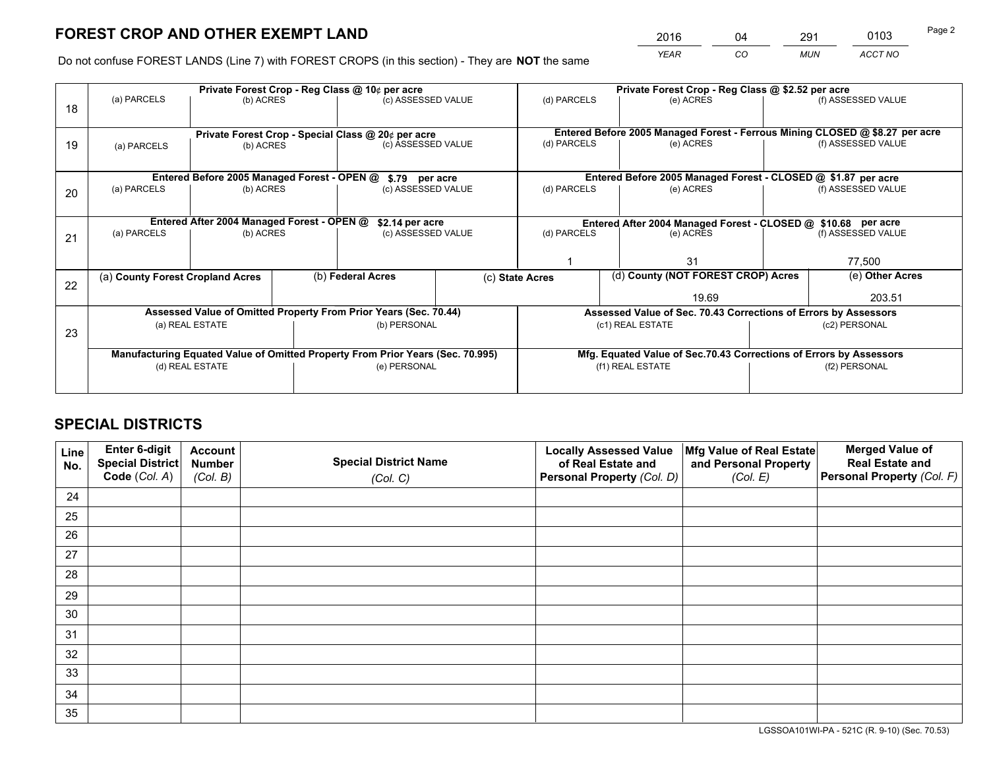# **FOREST CROP AND OTHER EXEMPT LAND**

|   | 2016 | 04 | 291        | 0103    | Page 2 |
|---|------|----|------------|---------|--------|
| е | YEAR | CO | <b>MUN</b> | ACCT NO |        |

Do not confuse FOREST LANDS (Line 7) with FOREST CROPS (in this section) - They are **NOT** the same

|    |                                                               |                 |  | Private Forest Crop - Reg Class @ 10¢ per acre                                 |                 |                                                                              | Private Forest Crop - Reg Class @ \$2.52 per acre                  |                                    |                    |
|----|---------------------------------------------------------------|-----------------|--|--------------------------------------------------------------------------------|-----------------|------------------------------------------------------------------------------|--------------------------------------------------------------------|------------------------------------|--------------------|
| 18 | (a) PARCELS                                                   | (b) ACRES       |  | (c) ASSESSED VALUE                                                             |                 | (d) PARCELS                                                                  | (e) ACRES                                                          |                                    | (f) ASSESSED VALUE |
|    |                                                               |                 |  |                                                                                |                 |                                                                              |                                                                    |                                    |                    |
|    | Private Forest Crop - Special Class @ 20¢ per acre            |                 |  |                                                                                |                 | Entered Before 2005 Managed Forest - Ferrous Mining CLOSED @ \$8.27 per acre |                                                                    |                                    |                    |
| 19 | (a) PARCELS                                                   | (b) ACRES       |  | (c) ASSESSED VALUE                                                             |                 | (d) PARCELS<br>(e) ACRES                                                     |                                                                    |                                    | (f) ASSESSED VALUE |
|    |                                                               |                 |  |                                                                                |                 |                                                                              |                                                                    |                                    |                    |
|    |                                                               |                 |  | Entered Before 2005 Managed Forest - OPEN @ \$.79 per acre                     |                 |                                                                              | Entered Before 2005 Managed Forest - CLOSED @ \$1.87 per acre      |                                    |                    |
| 20 | (a) PARCELS                                                   | (b) ACRES       |  | (c) ASSESSED VALUE                                                             |                 | (d) PARCELS                                                                  | (e) ACRES                                                          |                                    | (f) ASSESSED VALUE |
|    |                                                               |                 |  |                                                                                |                 |                                                                              |                                                                    |                                    |                    |
|    | Entered After 2004 Managed Forest - OPEN @<br>\$2.14 per acre |                 |  |                                                                                |                 | Entered After 2004 Managed Forest - CLOSED @ \$10.68 per acre                |                                                                    |                                    |                    |
| 21 | (a) PARCELS                                                   | (b) ACRES       |  | (c) ASSESSED VALUE                                                             |                 | (d) PARCELS<br>(e) ACRES                                                     |                                                                    | (f) ASSESSED VALUE                 |                    |
|    |                                                               |                 |  |                                                                                |                 |                                                                              |                                                                    |                                    |                    |
|    |                                                               |                 |  |                                                                                |                 |                                                                              | 31                                                                 |                                    | 77,500             |
|    | (a) County Forest Cropland Acres                              |                 |  | (b) Federal Acres                                                              | (c) State Acres |                                                                              |                                                                    | (d) County (NOT FOREST CROP) Acres |                    |
| 22 |                                                               |                 |  |                                                                                |                 |                                                                              | 19.69                                                              |                                    | 203.51             |
|    |                                                               |                 |  | Assessed Value of Omitted Property From Prior Years (Sec. 70.44)               |                 |                                                                              | Assessed Value of Sec. 70.43 Corrections of Errors by Assessors    |                                    |                    |
| 23 |                                                               | (a) REAL ESTATE |  | (b) PERSONAL                                                                   |                 |                                                                              | (c1) REAL ESTATE                                                   |                                    | (c2) PERSONAL      |
|    |                                                               |                 |  |                                                                                |                 |                                                                              |                                                                    |                                    |                    |
|    |                                                               |                 |  | Manufacturing Equated Value of Omitted Property From Prior Years (Sec. 70.995) |                 |                                                                              | Mfg. Equated Value of Sec.70.43 Corrections of Errors by Assessors |                                    |                    |
|    | (d) REAL ESTATE                                               |                 |  | (e) PERSONAL                                                                   |                 |                                                                              | (f1) REAL ESTATE                                                   | (f2) PERSONAL                      |                    |
|    |                                                               |                 |  |                                                                                |                 |                                                                              |                                                                    |                                    |                    |

# **SPECIAL DISTRICTS**

| Line<br>No. | Enter 6-digit<br>Special District<br>Code (Col. A) | <b>Account</b><br><b>Number</b> | <b>Special District Name</b> | <b>Locally Assessed Value</b><br>of Real Estate and | Mfg Value of Real Estate<br>and Personal Property | <b>Merged Value of</b><br><b>Real Estate and</b><br>Personal Property (Col. F) |
|-------------|----------------------------------------------------|---------------------------------|------------------------------|-----------------------------------------------------|---------------------------------------------------|--------------------------------------------------------------------------------|
|             |                                                    | (Col. B)                        | (Col. C)                     | Personal Property (Col. D)                          | (Col. E)                                          |                                                                                |
| 24          |                                                    |                                 |                              |                                                     |                                                   |                                                                                |
| 25          |                                                    |                                 |                              |                                                     |                                                   |                                                                                |
| 26          |                                                    |                                 |                              |                                                     |                                                   |                                                                                |
| 27          |                                                    |                                 |                              |                                                     |                                                   |                                                                                |
| 28          |                                                    |                                 |                              |                                                     |                                                   |                                                                                |
| 29          |                                                    |                                 |                              |                                                     |                                                   |                                                                                |
| 30          |                                                    |                                 |                              |                                                     |                                                   |                                                                                |
| 31          |                                                    |                                 |                              |                                                     |                                                   |                                                                                |
| 32          |                                                    |                                 |                              |                                                     |                                                   |                                                                                |
| 33          |                                                    |                                 |                              |                                                     |                                                   |                                                                                |
| 34          |                                                    |                                 |                              |                                                     |                                                   |                                                                                |
| 35          |                                                    |                                 |                              |                                                     |                                                   |                                                                                |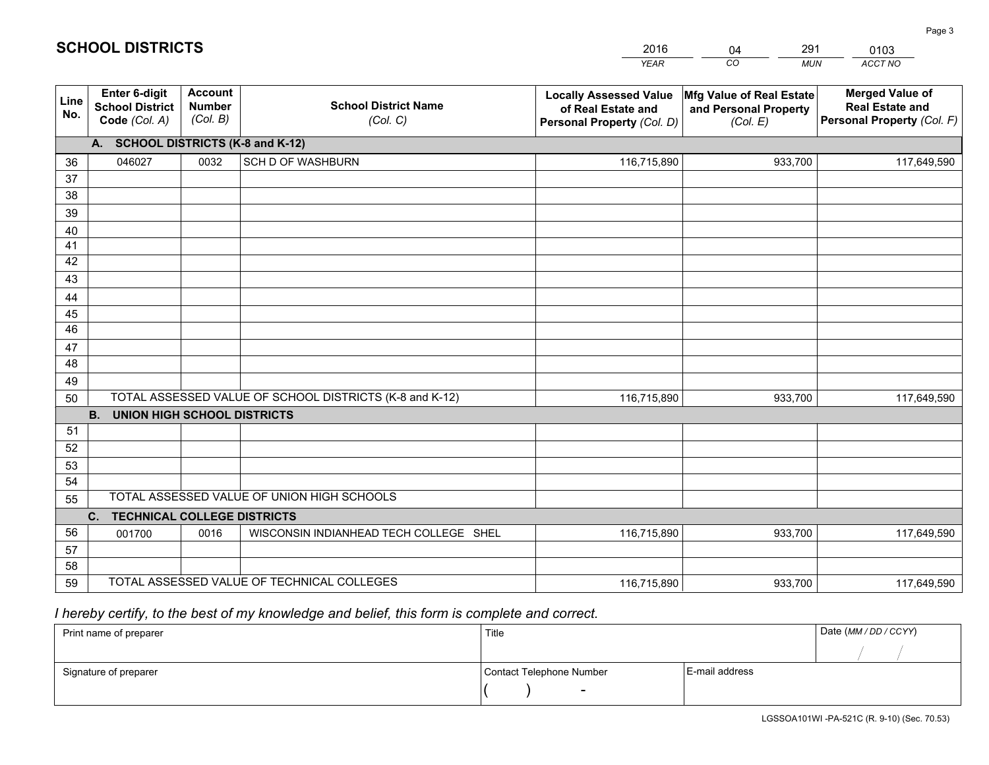|             |                                                                 |                                             |                                                         | <b>YEAR</b>                                                                       | CO<br><b>MUN</b>                                              | ACCT NO                                                                        |  |  |  |  |  |
|-------------|-----------------------------------------------------------------|---------------------------------------------|---------------------------------------------------------|-----------------------------------------------------------------------------------|---------------------------------------------------------------|--------------------------------------------------------------------------------|--|--|--|--|--|
| Line<br>No. | <b>Enter 6-digit</b><br><b>School District</b><br>Code (Col. A) | <b>Account</b><br><b>Number</b><br>(Col. B) | <b>School District Name</b><br>(Col. C)                 | <b>Locally Assessed Value</b><br>of Real Estate and<br>Personal Property (Col. D) | Mfg Value of Real Estate<br>and Personal Property<br>(Col. E) | <b>Merged Value of</b><br><b>Real Estate and</b><br>Personal Property (Col. F) |  |  |  |  |  |
|             | A. SCHOOL DISTRICTS (K-8 and K-12)                              |                                             |                                                         |                                                                                   |                                                               |                                                                                |  |  |  |  |  |
| 36          | 046027                                                          | 0032                                        | <b>SCH D OF WASHBURN</b>                                | 116,715,890                                                                       | 933,700                                                       | 117,649,590                                                                    |  |  |  |  |  |
| 37          |                                                                 |                                             |                                                         |                                                                                   |                                                               |                                                                                |  |  |  |  |  |
| 38          |                                                                 |                                             |                                                         |                                                                                   |                                                               |                                                                                |  |  |  |  |  |
| 39          |                                                                 |                                             |                                                         |                                                                                   |                                                               |                                                                                |  |  |  |  |  |
| 40          |                                                                 |                                             |                                                         |                                                                                   |                                                               |                                                                                |  |  |  |  |  |
| 41<br>42    |                                                                 |                                             |                                                         |                                                                                   |                                                               |                                                                                |  |  |  |  |  |
| 43          |                                                                 |                                             |                                                         |                                                                                   |                                                               |                                                                                |  |  |  |  |  |
|             |                                                                 |                                             |                                                         |                                                                                   |                                                               |                                                                                |  |  |  |  |  |
| 44<br>45    |                                                                 |                                             |                                                         |                                                                                   |                                                               |                                                                                |  |  |  |  |  |
| 46          |                                                                 |                                             |                                                         |                                                                                   |                                                               |                                                                                |  |  |  |  |  |
| 47          |                                                                 |                                             |                                                         |                                                                                   |                                                               |                                                                                |  |  |  |  |  |
| 48          |                                                                 |                                             |                                                         |                                                                                   |                                                               |                                                                                |  |  |  |  |  |
| 49          |                                                                 |                                             |                                                         |                                                                                   |                                                               |                                                                                |  |  |  |  |  |
| 50          |                                                                 |                                             | TOTAL ASSESSED VALUE OF SCHOOL DISTRICTS (K-8 and K-12) | 116,715,890                                                                       | 933,700                                                       | 117,649,590                                                                    |  |  |  |  |  |
|             | <b>B.</b><br>UNION HIGH SCHOOL DISTRICTS                        |                                             |                                                         |                                                                                   |                                                               |                                                                                |  |  |  |  |  |
| 51          |                                                                 |                                             |                                                         |                                                                                   |                                                               |                                                                                |  |  |  |  |  |
| 52          |                                                                 |                                             |                                                         |                                                                                   |                                                               |                                                                                |  |  |  |  |  |
| 53          |                                                                 |                                             |                                                         |                                                                                   |                                                               |                                                                                |  |  |  |  |  |
| 54          |                                                                 |                                             |                                                         |                                                                                   |                                                               |                                                                                |  |  |  |  |  |
| 55          |                                                                 |                                             | TOTAL ASSESSED VALUE OF UNION HIGH SCHOOLS              |                                                                                   |                                                               |                                                                                |  |  |  |  |  |
|             | C.<br><b>TECHNICAL COLLEGE DISTRICTS</b>                        |                                             |                                                         |                                                                                   |                                                               |                                                                                |  |  |  |  |  |
| 56          | 001700                                                          | 0016                                        | WISCONSIN INDIANHEAD TECH COLLEGE SHEL                  | 116,715,890                                                                       | 933,700                                                       | 117,649,590                                                                    |  |  |  |  |  |
| 57<br>58    |                                                                 |                                             |                                                         |                                                                                   |                                                               |                                                                                |  |  |  |  |  |
| 59          |                                                                 |                                             | TOTAL ASSESSED VALUE OF TECHNICAL COLLEGES              | 116,715,890                                                                       | 933,700                                                       | 117,649,590                                                                    |  |  |  |  |  |
|             |                                                                 |                                             |                                                         |                                                                                   |                                                               |                                                                                |  |  |  |  |  |

2016

04

291

 *I hereby certify, to the best of my knowledge and belief, this form is complete and correct.*

**SCHOOL DISTRICTS**

| Print name of preparer | Title                    |                | Date (MM/DD/CCYY) |
|------------------------|--------------------------|----------------|-------------------|
|                        |                          |                |                   |
| Signature of preparer  | Contact Telephone Number | E-mail address |                   |
|                        | $\overline{\phantom{0}}$ |                |                   |

0103